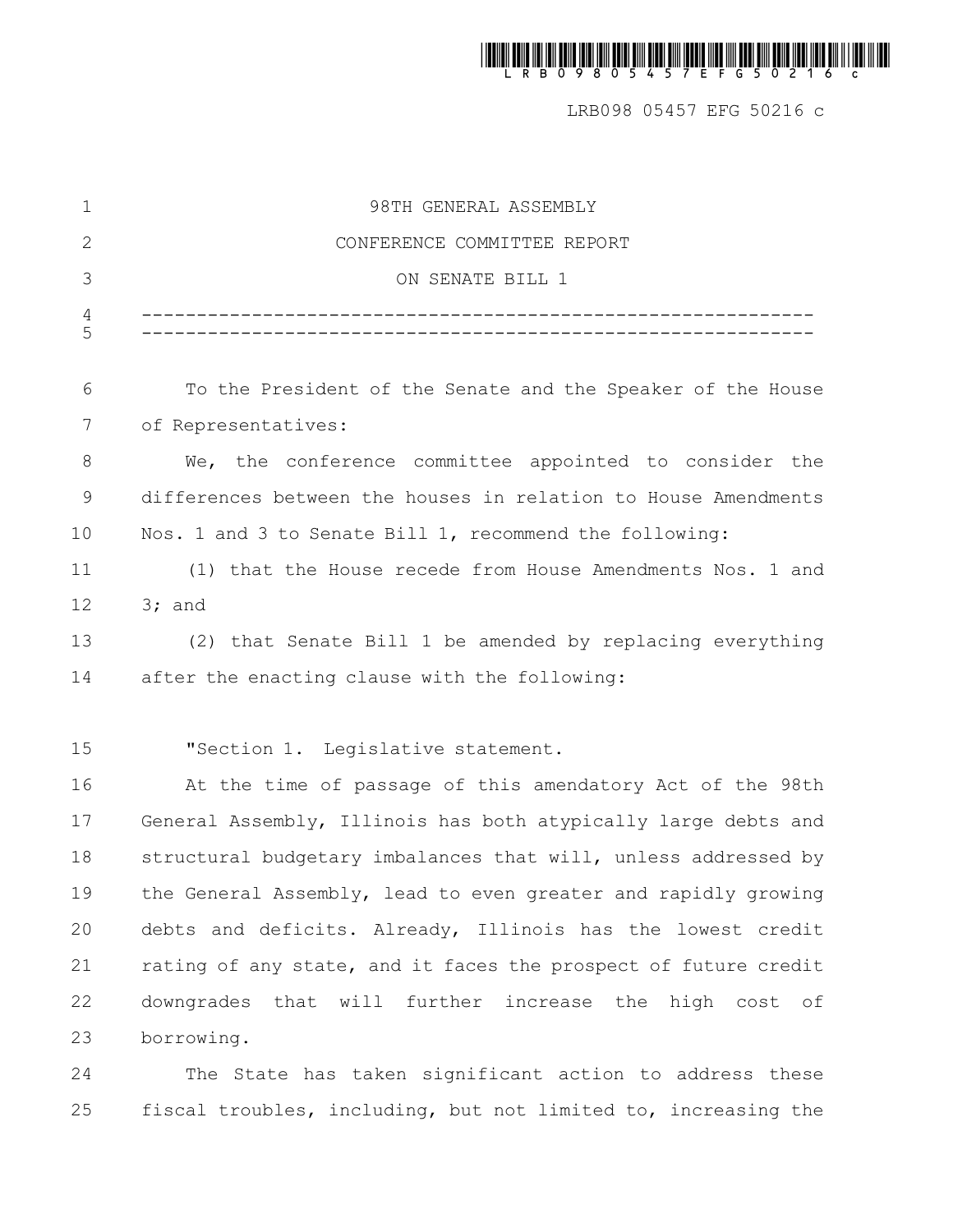| $\mathbf 1$ | 98TH GENERAL ASSEMBLY                                           |
|-------------|-----------------------------------------------------------------|
| 2           | CONFERENCE COMMITTEE REPORT                                     |
| 3           | ON SENATE BILL 1                                                |
| 4<br>5      |                                                                 |
| 6           | To the President of the Senate and the Speaker of the House     |
| 7           | of Representatives:                                             |
| 8           | We, the conference committee appointed to consider the          |
| $\mathsf 9$ | differences between the houses in relation to House Amendments  |
| 10          | Nos. 1 and 3 to Senate Bill 1, recommend the following:         |
| 11          | (1) that the House recede from House Amendments Nos. 1 and      |
| 12          | $3;$ and                                                        |
| 13          | (2) that Senate Bill 1 be amended by replacing everything       |
| 14          | after the enacting clause with the following:                   |
|             |                                                                 |
| 15          | "Section 1. Legislative statement.                              |
| 16          | At the time of passage of this amendatory Act of the 98th       |
| 17          | General Assembly, Illinois has both atypically large debts and  |
| 18          | structural budgetary imbalances that will, unless addressed by  |
| 19          | the General Assembly, lead to even greater and rapidly growing  |
| 20          | debts and deficits. Already, Illinois has the lowest credit     |
| 21          | rating of any state, and it faces the prospect of future credit |
| 22          | downgrades that will further increase the high cost of          |
| 23          | borrowing.                                                      |
|             |                                                                 |

The State has taken significant action to address these fiscal troubles, including, but not limited to, increasing the 24 25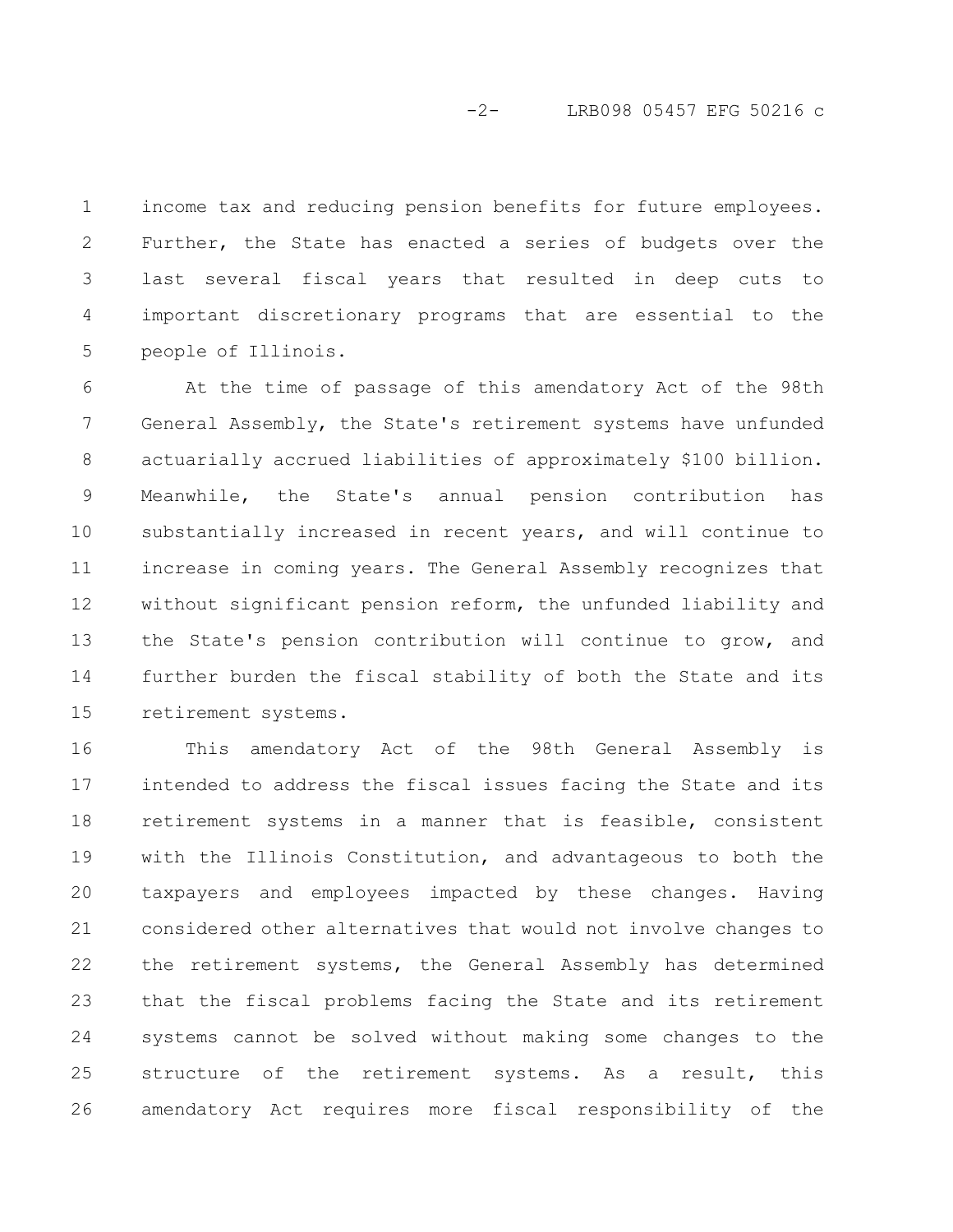income tax and reducing pension benefits for future employees. Further, the State has enacted a series of budgets over the last several fiscal years that resulted in deep cuts to important discretionary programs that are essential to the people of Illinois. 1 2 3 4 5

At the time of passage of this amendatory Act of the 98th General Assembly, the State's retirement systems have unfunded actuarially accrued liabilities of approximately \$100 billion. Meanwhile, the State's annual pension contribution has substantially increased in recent years, and will continue to increase in coming years. The General Assembly recognizes that without significant pension reform, the unfunded liability and the State's pension contribution will continue to grow, and further burden the fiscal stability of both the State and its retirement systems. 6 7 8 9 10 11 12 13 14 15

This amendatory Act of the 98th General Assembly is intended to address the fiscal issues facing the State and its retirement systems in a manner that is feasible, consistent with the Illinois Constitution, and advantageous to both the taxpayers and employees impacted by these changes. Having considered other alternatives that would not involve changes to the retirement systems, the General Assembly has determined that the fiscal problems facing the State and its retirement systems cannot be solved without making some changes to the structure of the retirement systems. As a result, this amendatory Act requires more fiscal responsibility of the 16 17 18 19 20 21 22 23 24 25 26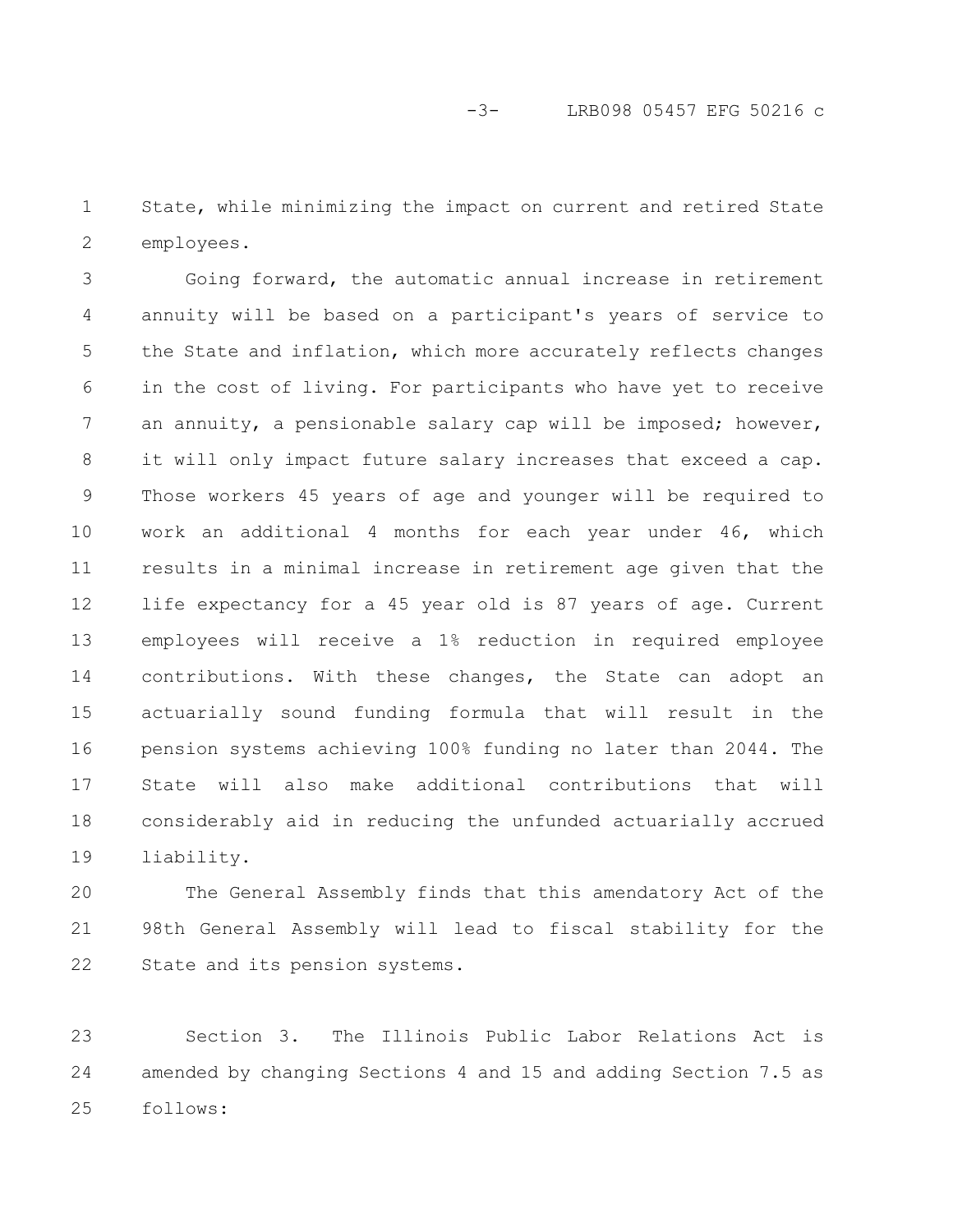State, while minimizing the impact on current and retired State employees. 1 2

Going forward, the automatic annual increase in retirement annuity will be based on a participant's years of service to the State and inflation, which more accurately reflects changes in the cost of living. For participants who have yet to receive an annuity, a pensionable salary cap will be imposed; however, it will only impact future salary increases that exceed a cap. Those workers 45 years of age and younger will be required to work an additional 4 months for each year under 46, which results in a minimal increase in retirement age given that the life expectancy for a 45 year old is 87 years of age. Current employees will receive a 1% reduction in required employee contributions. With these changes, the State can adopt an actuarially sound funding formula that will result in the pension systems achieving 100% funding no later than 2044. The State will also make additional contributions that will considerably aid in reducing the unfunded actuarially accrued liability. 3 4 5 6 7 8 9 10 11 12 13 14 15 16 17 18 19

The General Assembly finds that this amendatory Act of the 98th General Assembly will lead to fiscal stability for the State and its pension systems. 20 21 22

Section 3. The Illinois Public Labor Relations Act is amended by changing Sections 4 and 15 and adding Section 7.5 as follows: 23 24 25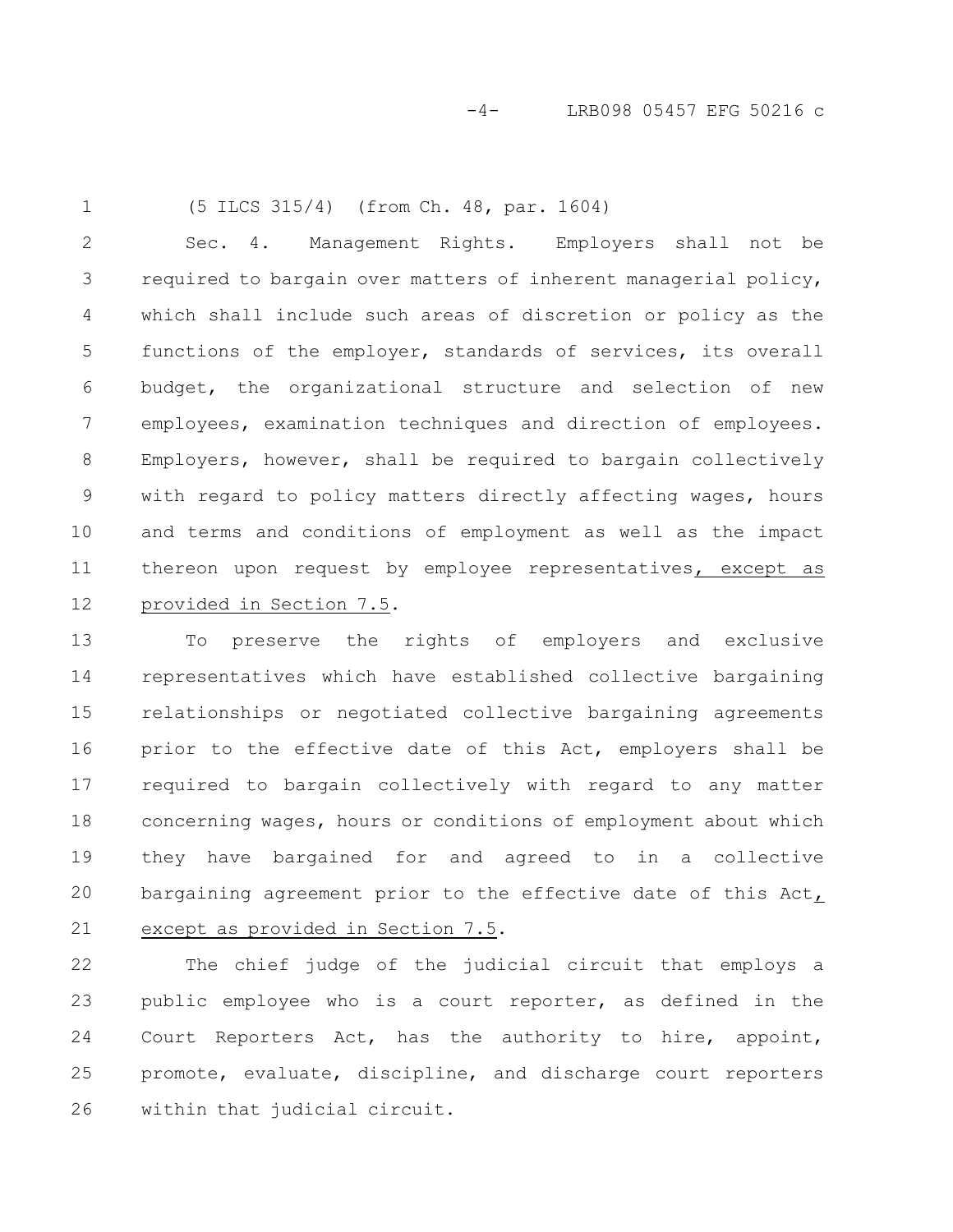1

(5 ILCS 315/4) (from Ch. 48, par. 1604)

Sec. 4. Management Rights. Employers shall not be required to bargain over matters of inherent managerial policy, which shall include such areas of discretion or policy as the functions of the employer, standards of services, its overall budget, the organizational structure and selection of new employees, examination techniques and direction of employees. Employers, however, shall be required to bargain collectively with regard to policy matters directly affecting wages, hours and terms and conditions of employment as well as the impact thereon upon request by employee representatives, except as provided in Section 7.5. 2 3 4 5 6 7 8 9 10 11 12

To preserve the rights of employers and exclusive representatives which have established collective bargaining relationships or negotiated collective bargaining agreements prior to the effective date of this Act, employers shall be required to bargain collectively with regard to any matter concerning wages, hours or conditions of employment about which they have bargained for and agreed to in a collective bargaining agreement prior to the effective date of this Act, except as provided in Section 7.5. 13 14 15 16 17 18 19 20 21

The chief judge of the judicial circuit that employs a public employee who is a court reporter, as defined in the Court Reporters Act, has the authority to hire, appoint, promote, evaluate, discipline, and discharge court reporters within that judicial circuit. 22 23 24 25 26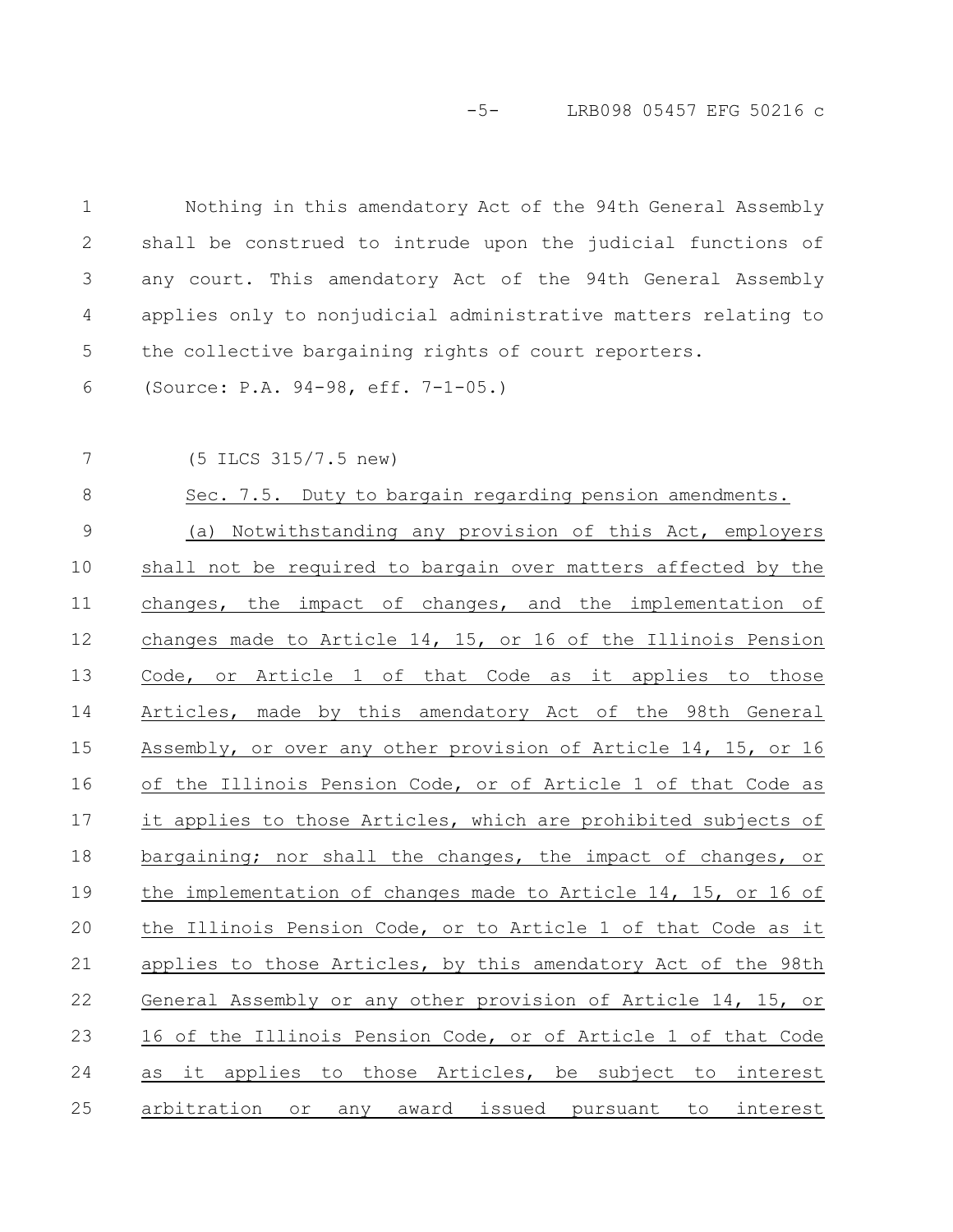-5- LRB098 05457 EFG 50216 c

| $\mathbf 1$  | Nothing in this amendatory Act of the 94th General Assembly    |
|--------------|----------------------------------------------------------------|
| $\mathbf{2}$ | shall be construed to intrude upon the judicial functions of   |
| 3            | any court. This amendatory Act of the 94th General Assembly    |
| 4            | applies only to nonjudicial administrative matters relating to |
| 5            | the collective bargaining rights of court reporters.           |
| 6            | (Source: P.A. 94-98, eff. 7-1-05.)                             |
| 7            | (5 ILCS 315/7.5 new)                                           |
| $\,8\,$      | Sec. 7.5. Duty to bargain regarding pension amendments.        |
| $\mathsf{O}$ | (a) Notwithstanding any provision of this Act, employers       |
| 10           | shall not be required to bargain over matters affected by the  |
| 11           | changes, the impact of changes, and the implementation of      |
| 12           | changes made to Article 14, 15, or 16 of the Illinois Pension  |
| 13           | Code, or Article 1 of that Code as it applies to those         |
| 14           | Articles, made by this amendatory Act of the 98th General      |
| 15           | Assembly, or over any other provision of Article 14, 15, or 16 |
| 16           | of the Illinois Pension Code, or of Article 1 of that Code as  |
| 17           | it applies to those Articles, which are prohibited subjects of |
| 18           | bargaining; nor shall the changes, the impact of changes, or   |
| 19           | the implementation of changes made to Article 14, 15, or 16 of |
| 20           | the Illinois Pension Code, or to Article 1 of that Code as it  |
| 21           | applies to those Articles, by this amendatory Act of the 98th  |
| 22           | General Assembly or any other provision of Article 14, 15, or  |
| 23           | 16 of the Illinois Pension Code, or of Article 1 of that Code  |
| 24           | as it applies to those Articles, be subject to interest        |
| 25           | arbitration or any award issued pursuant to interest           |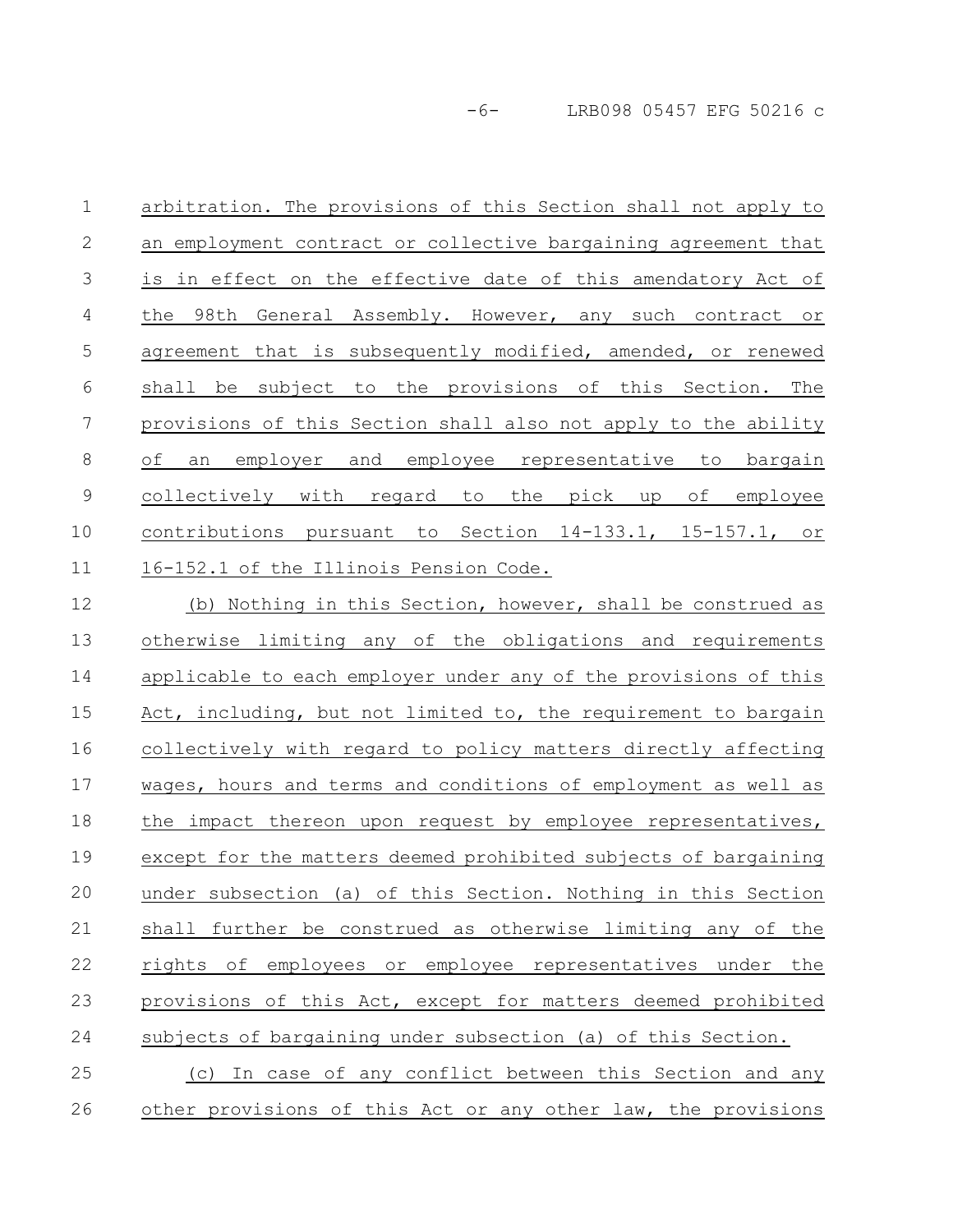-6- LRB098 05457 EFG 50216 c

arbitration. The provisions of this Section shall not apply to an employment contract or collective bargaining agreement that is in effect on the effective date of this amendatory Act of the 98th General Assembly. However, any such contract or agreement that is subsequently modified, amended, or renewed shall be subject to the provisions of this Section. The provisions of this Section shall also not apply to the ability of an employer and employee representative to bargain collectively with regard to the pick up of employee contributions pursuant to Section 14-133.1, 15-157.1, or 16-152.1 of the Illinois Pension Code. 1 2 3 4 5 6 7 8 9 10 11

(b) Nothing in this Section, however, shall be construed as otherwise limiting any of the obligations and requirements applicable to each employer under any of the provisions of this Act, including, but not limited to, the requirement to bargain collectively with regard to policy matters directly affecting wages, hours and terms and conditions of employment as well as the impact thereon upon request by employee representatives, except for the matters deemed prohibited subjects of bargaining under subsection (a) of this Section. Nothing in this Section shall further be construed as otherwise limiting any of the rights of employees or employee representatives under the provisions of this Act, except for matters deemed prohibited subjects of bargaining under subsection (a) of this Section. (c) In case of any conflict between this Section and any 12 13 14 15 16 17 18 19 20 21 22 23 24 25

other provisions of this Act or any other law, the provisions 26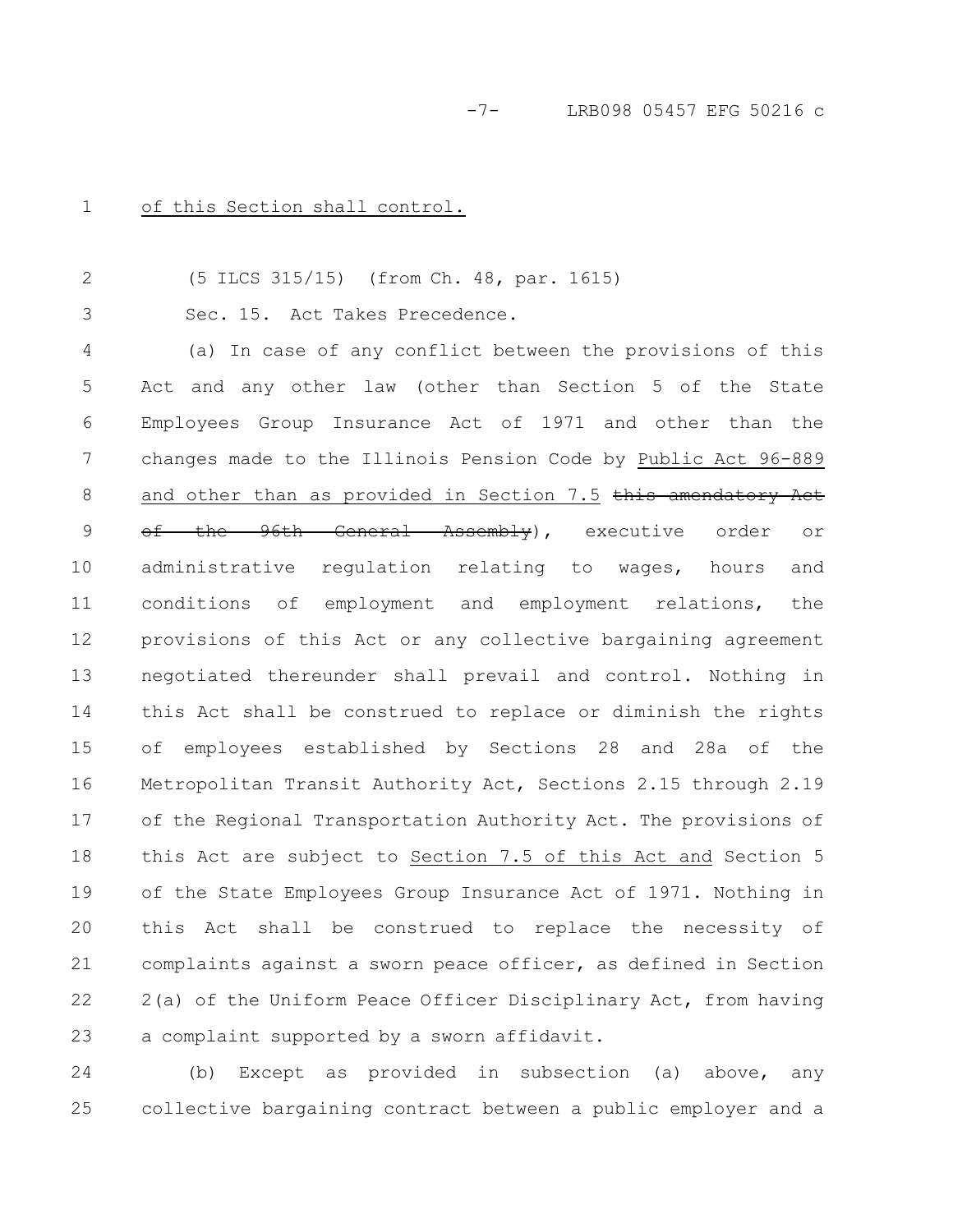1

of this Section shall control.

(5 ILCS 315/15) (from Ch. 48, par. 1615) Sec. 15. Act Takes Precedence. 2 3

(a) In case of any conflict between the provisions of this Act and any other law (other than Section 5 of the State Employees Group Insurance Act of 1971 and other than the changes made to the Illinois Pension Code by Public Act 96-889 and other than as provided in Section 7.5  $t$ his amendatory Act of the 96th General Assembly), executive order or administrative regulation relating to wages, hours and conditions of employment and employment relations, the provisions of this Act or any collective bargaining agreement negotiated thereunder shall prevail and control. Nothing in this Act shall be construed to replace or diminish the rights of employees established by Sections 28 and 28a of the Metropolitan Transit Authority Act, Sections 2.15 through 2.19 of the Regional Transportation Authority Act. The provisions of this Act are subject to Section 7.5 of this Act and Section 5 of the State Employees Group Insurance Act of 1971. Nothing in this Act shall be construed to replace the necessity of complaints against a sworn peace officer, as defined in Section 2(a) of the Uniform Peace Officer Disciplinary Act, from having a complaint supported by a sworn affidavit. 4 5 6 7 8 9 10 11 12 13 14 15 16 17 18 19 20 21 22 23

(b) Except as provided in subsection (a) above, any collective bargaining contract between a public employer and a 24 25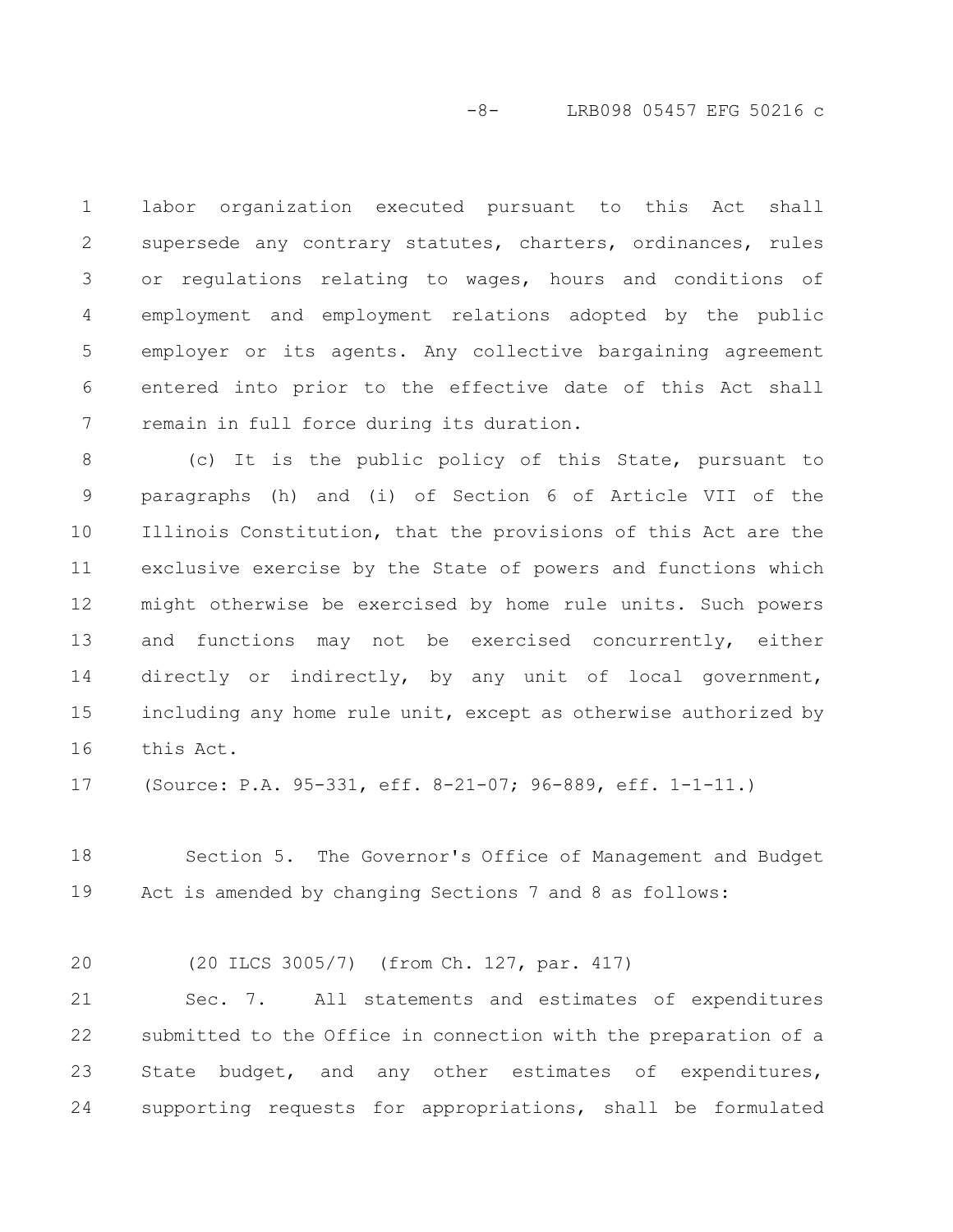#### -8- LRB098 05457 EFG 50216 c

labor organization executed pursuant to this Act shall supersede any contrary statutes, charters, ordinances, rules or regulations relating to wages, hours and conditions of employment and employment relations adopted by the public employer or its agents. Any collective bargaining agreement entered into prior to the effective date of this Act shall remain in full force during its duration. 1 2 3 4 5 6 7

(c) It is the public policy of this State, pursuant to paragraphs (h) and (i) of Section 6 of Article VII of the Illinois Constitution, that the provisions of this Act are the exclusive exercise by the State of powers and functions which might otherwise be exercised by home rule units. Such powers and functions may not be exercised concurrently, either directly or indirectly, by any unit of local government, including any home rule unit, except as otherwise authorized by this Act. 8 9 10 11 12 13 14 15 16

(Source: P.A. 95-331, eff. 8-21-07; 96-889, eff. 1-1-11.) 17

Section 5. The Governor's Office of Management and Budget Act is amended by changing Sections 7 and 8 as follows: 18 19

(20 ILCS 3005/7) (from Ch. 127, par. 417) 20

Sec. 7. All statements and estimates of expenditures submitted to the Office in connection with the preparation of a State budget, and any other estimates of expenditures, supporting requests for appropriations, shall be formulated 21 22 23 24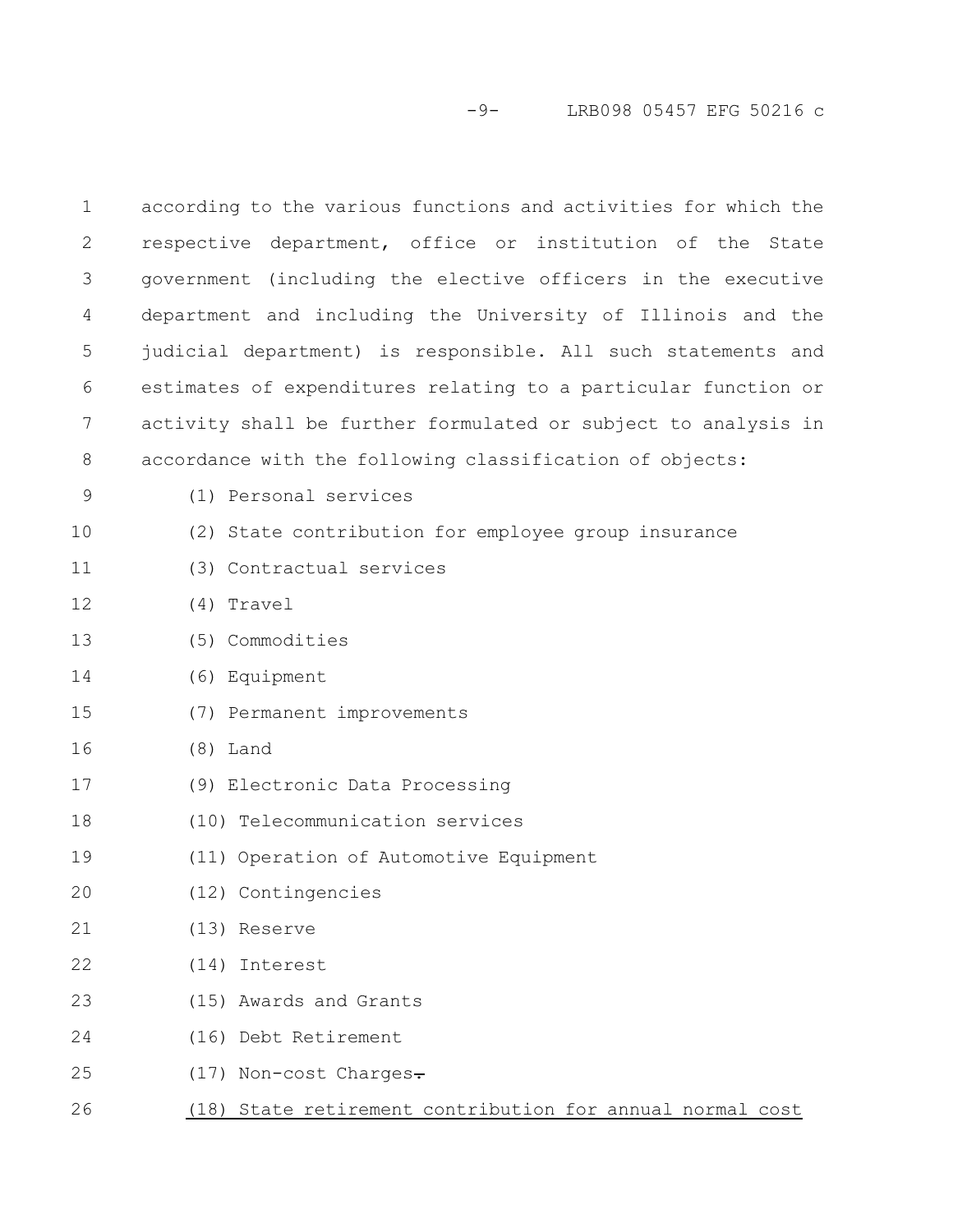# -9- LRB098 05457 EFG 50216 c

| $\mathbf 1$    | according to the various functions and activities for which the |
|----------------|-----------------------------------------------------------------|
| $\overline{2}$ | respective department, office or institution of the State       |
| 3              | government (including the elective officers in the executive    |
| 4              | department and including the University of Illinois and the     |
| 5              | judicial department) is responsible. All such statements and    |
| 6              | estimates of expenditures relating to a particular function or  |
| 7              | activity shall be further formulated or subject to analysis in  |
| 8              | accordance with the following classification of objects:        |
| 9              | (1) Personal services                                           |
| 10             | (2) State contribution for employee group insurance             |
| 11             | (3) Contractual services                                        |
| 12             | (4) Travel                                                      |
| 13             | (5) Commodities                                                 |
| 14             | (6) Equipment                                                   |
| 15             | (7) Permanent improvements                                      |
| 16             | $(8)$ Land                                                      |
| 17             | (9) Electronic Data Processing                                  |
| 18             | (10) Telecommunication services                                 |
| 19             | (11) Operation of Automotive Equipment                          |
| 20             | (12) Contingencies                                              |
| 21             | (13) Reserve                                                    |
| 22             | (14) Interest                                                   |
| 23             | (15) Awards and Grants                                          |
| 24             | (16) Debt Retirement                                            |
| 25             | (17) Non-cost Charges.                                          |
| 26             | (18) State retirement contribution for annual normal cost       |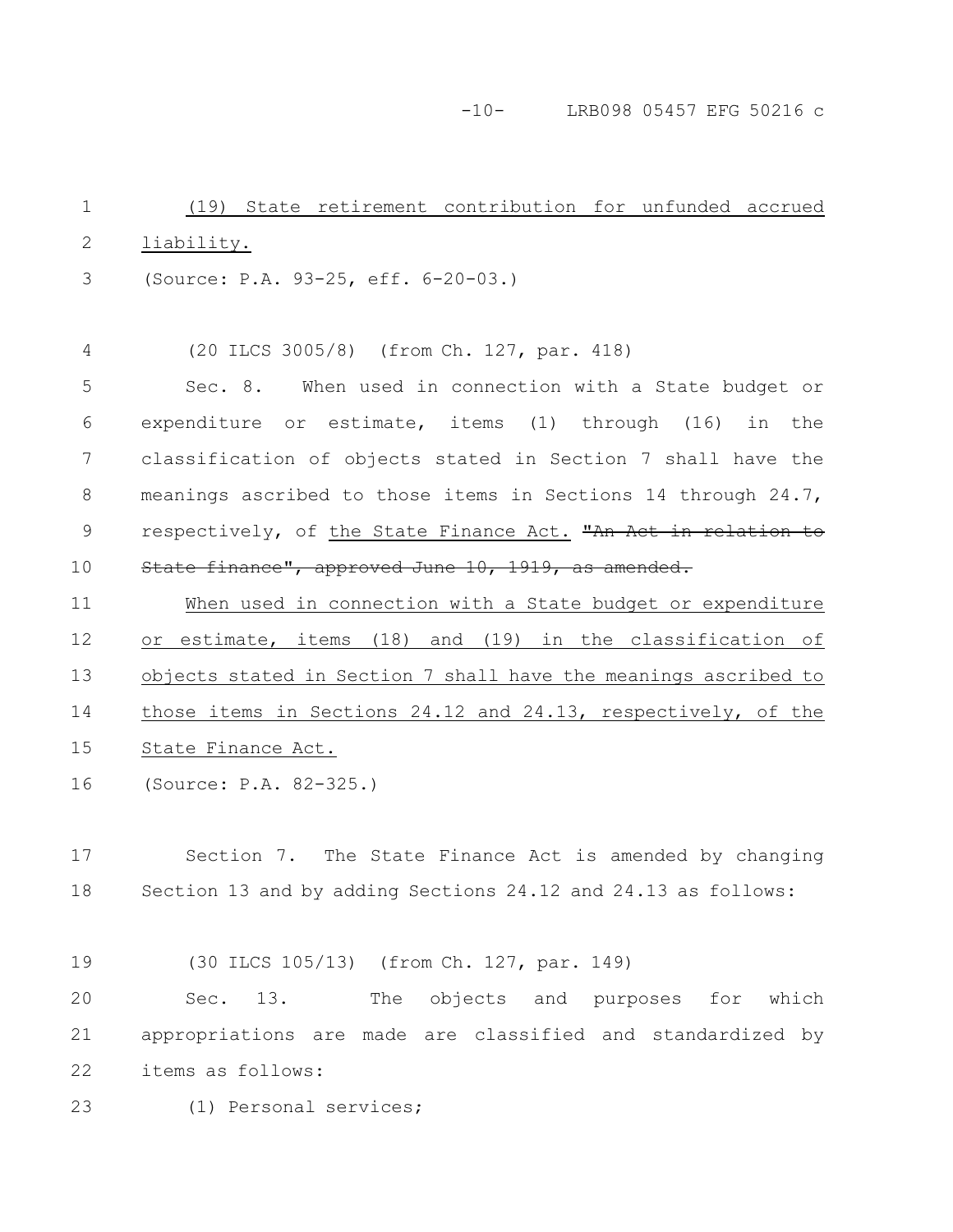-10- LRB098 05457 EFG 50216 c

(19) State retirement contribution for unfunded accrued liability. (Source: P.A. 93-25, eff. 6-20-03.) (20 ILCS 3005/8) (from Ch. 127, par. 418) Sec. 8. When used in connection with a State budget or expenditure or estimate, items (1) through (16) in the classification of objects stated in Section 7 shall have the meanings ascribed to those items in Sections 14 through 24.7, respectively, of the State Finance Act. "An Act in relation State finance", approved June 10, 1919, as amended. When used in connection with a State budget or expenditure or estimate, items (18) and (19) in the classification of objects stated in Section 7 shall have the meanings ascribed to those items in Sections 24.12 and 24.13, respectively, of the State Finance Act. (Source: P.A. 82-325.) Section 7. The State Finance Act is amended by changing Section 13 and by adding Sections 24.12 and 24.13 as follows: (30 ILCS 105/13) (from Ch. 127, par. 149) Sec. 13. The objects and purposes for which appropriations are made are classified and standardized by items as follows: 1 2 3 4 5 6 7 8 9 10 11 12 13 14 15 16 17 18 19 20 21 22

(1) Personal services; 23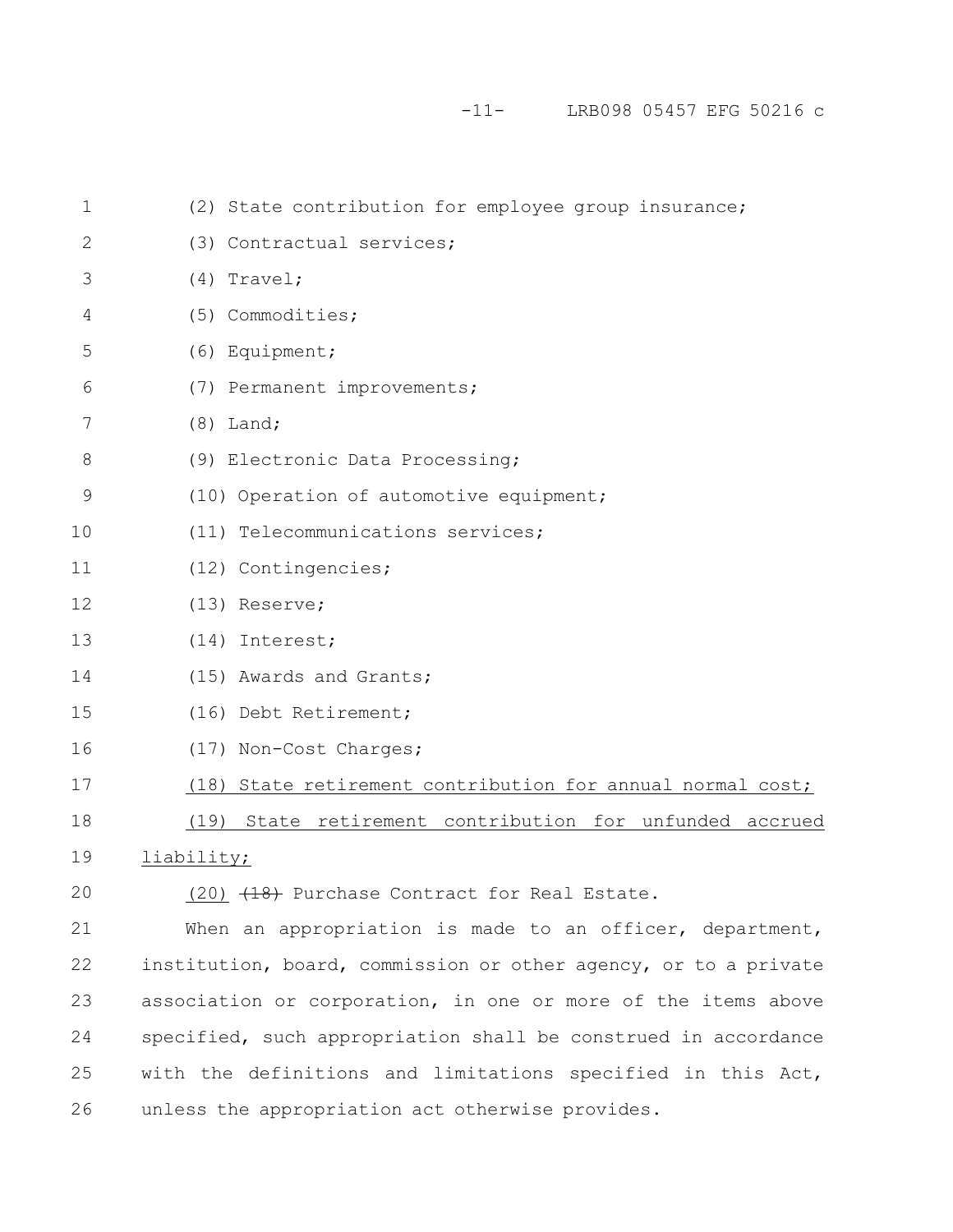-11- LRB098 05457 EFG 50216 c

| $\mathbf 1$   | (2) State contribution for employee group insurance;            |
|---------------|-----------------------------------------------------------------|
| $\mathbf{2}$  | (3) Contractual services;                                       |
| 3             | $(4)$ Travel;                                                   |
| 4             | (5) Commodities;                                                |
| 5             | (6) Equipment;                                                  |
| 6             | (7) Permanent improvements;                                     |
| 7             | $(8)$ Land;                                                     |
| $\,8\,$       | (9) Electronic Data Processing;                                 |
| $\mathcal{G}$ | (10) Operation of automotive equipment;                         |
| 10            | (11) Telecommunications services;                               |
| 11            | (12) Contingencies;                                             |
| 12            | $(13)$ Reserve;                                                 |
| 13            | (14) Interest;                                                  |
| 14            | (15) Awards and Grants;                                         |
| 15            | (16) Debt Retirement;                                           |
| 16            | (17) Non-Cost Charges;                                          |
| 17            | (18) State retirement contribution for annual normal cost;      |
| 18            | (19) State retirement contribution for unfunded accrued         |
| 19            | liability;                                                      |
| 20            | (20) (18) Purchase Contract for Real Estate.                    |
| 21            | When an appropriation is made to an officer, department,        |
| 22            | institution, board, commission or other agency, or to a private |
| 23            | association or corporation, in one or more of the items above   |
| 24            | specified, such appropriation shall be construed in accordance  |
| 25            | with the definitions and limitations specified in this Act,     |
|               |                                                                 |

unless the appropriation act otherwise provides. 26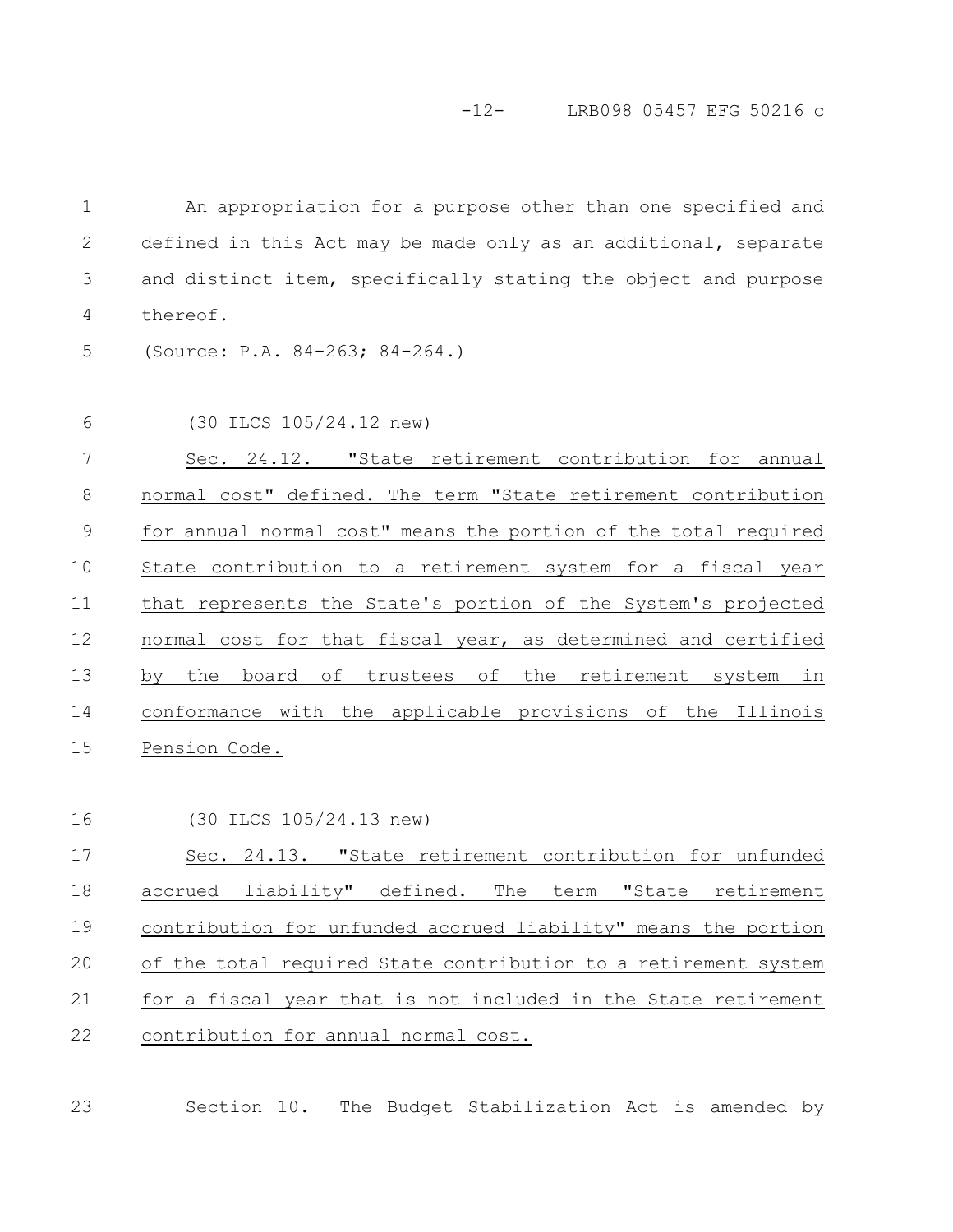An appropriation for a purpose other than one specified and defined in this Act may be made only as an additional, separate and distinct item, specifically stating the object and purpose thereof. 1 2 3 4

(Source: P.A. 84-263; 84-264.) 5

(30 ILCS 105/24.12 new) 6

Sec. 24.12. "State retirement contribution for annual normal cost" defined. The term "State retirement contribution for annual normal cost" means the portion of the total required State contribution to a retirement system for a fiscal year that represents the State's portion of the System's projected normal cost for that fiscal year, as determined and certified by the board of trustees of the retirement system in conformance with the applicable provisions of the Illinois Pension Code. 7 8 9 10 11 12 13 14 15

```
(30 ILCS 105/24.13 new)
16
```
Sec. 24.13. "State retirement contribution for unfunded accrued liability" defined. The term "State retirement contribution for unfunded accrued liability" means the portion of the total required State contribution to a retirement system for a fiscal year that is not included in the State retirement contribution for annual normal cost. 17 18 19 20 21 22

Section 10. The Budget Stabilization Act is amended by 23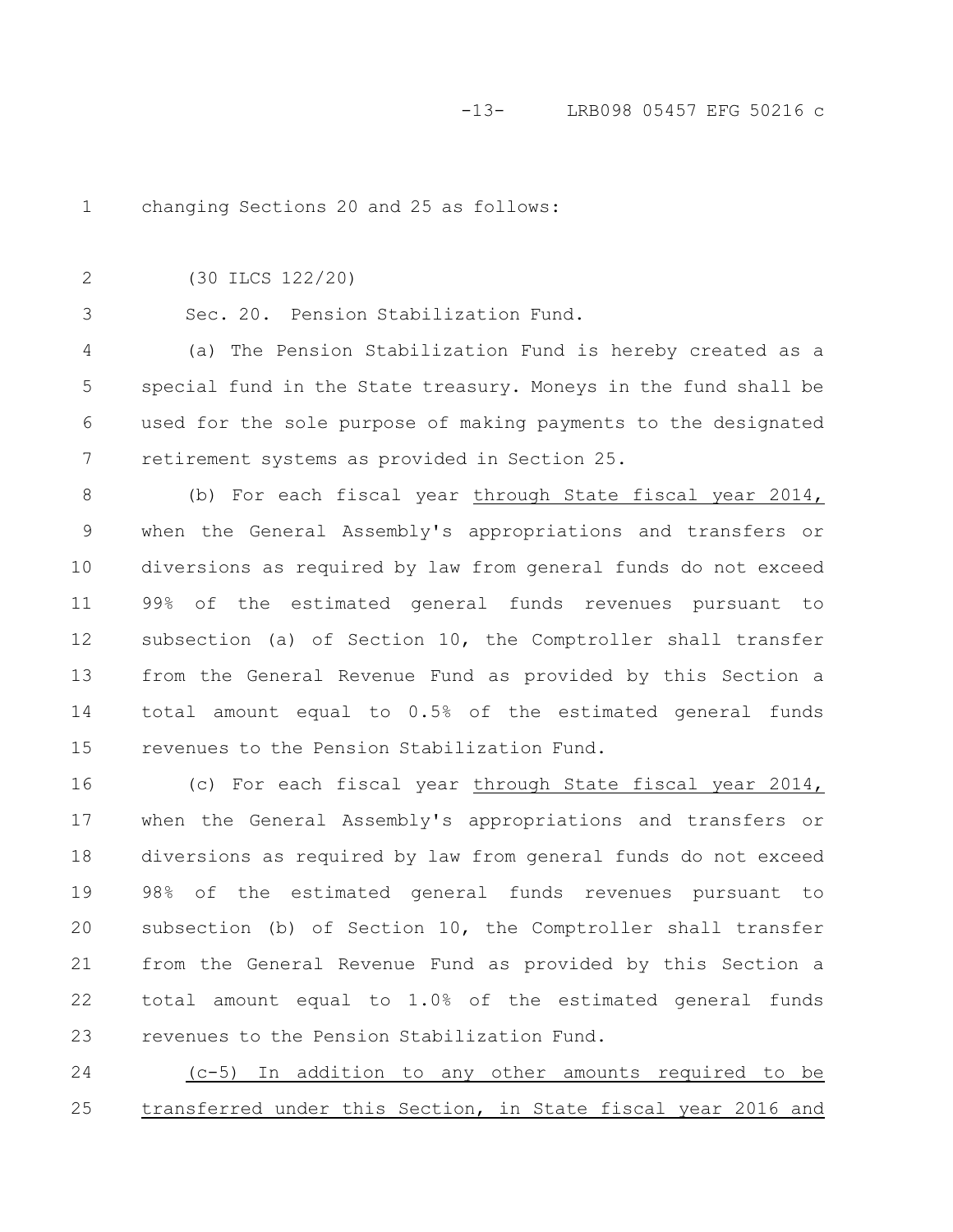changing Sections 20 and 25 as follows: 1

(30 ILCS 122/20) 2

3

Sec. 20. Pension Stabilization Fund.

(a) The Pension Stabilization Fund is hereby created as a special fund in the State treasury. Moneys in the fund shall be used for the sole purpose of making payments to the designated retirement systems as provided in Section 25. 4 5 6 7

(b) For each fiscal year through State fiscal year 2014, when the General Assembly's appropriations and transfers or diversions as required by law from general funds do not exceed 99% of the estimated general funds revenues pursuant to subsection (a) of Section 10, the Comptroller shall transfer from the General Revenue Fund as provided by this Section a total amount equal to 0.5% of the estimated general funds revenues to the Pension Stabilization Fund. 8 9 10 11 12 13 14 15

(c) For each fiscal year through State fiscal year 2014, when the General Assembly's appropriations and transfers or diversions as required by law from general funds do not exceed 98% of the estimated general funds revenues pursuant to subsection (b) of Section 10, the Comptroller shall transfer from the General Revenue Fund as provided by this Section a total amount equal to 1.0% of the estimated general funds revenues to the Pension Stabilization Fund. 16 17 18 19 20 21 22 23

(c-5) In addition to any other amounts required to be transferred under this Section, in State fiscal year 2016 and 24 25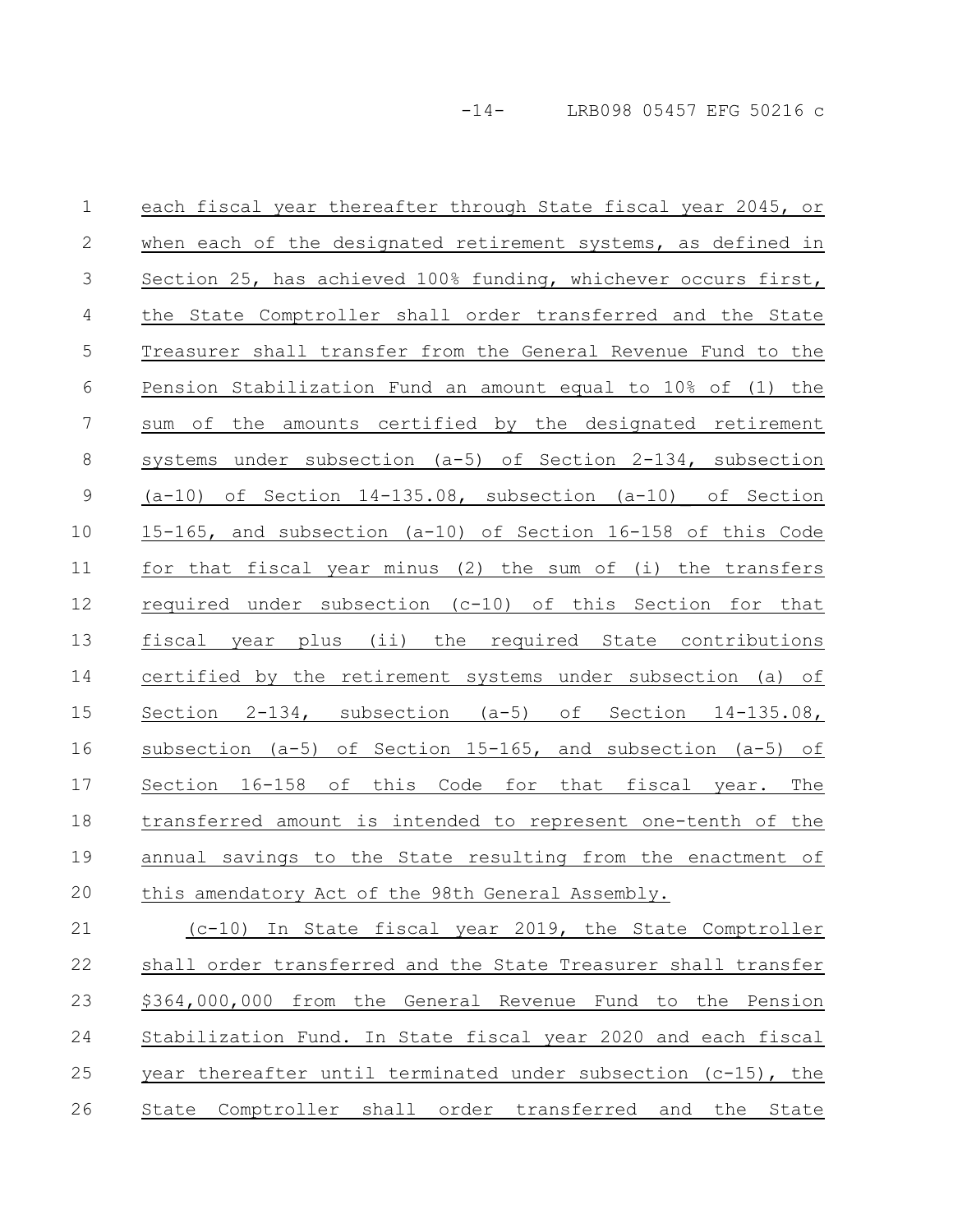each fiscal year thereafter through State fiscal year 2045, or when each of the designated retirement systems, as defined in Section 25, has achieved 100% funding, whichever occurs first, the State Comptroller shall order transferred and the State Treasurer shall transfer from the General Revenue Fund to the Pension Stabilization Fund an amount equal to 10% of (1) the sum of the amounts certified by the designated retirement systems under subsection (a-5) of Section 2-134, subsection (a-10) of Section 14-135.08, subsection (a-10) of Section 15-165, and subsection (a-10) of Section 16-158 of this Code for that fiscal year minus (2) the sum of (i) the transfers required under subsection (c-10) of this Section for that fiscal year plus (ii) the required State contributions certified by the retirement systems under subsection (a) of Section 2-134, subsection (a-5) of Section 14-135.08, subsection (a-5) of Section 15-165, and subsection (a-5) of Section 16-158 of this Code for that fiscal year. The transferred amount is intended to represent one-tenth of the annual savings to the State resulting from the enactment of this amendatory Act of the 98th General Assembly. 1 2 3 4 5 6 7 8 9 10 11 12 13 14 15 16 17 18 19 20

(c-10) In State fiscal year 2019, the State Comptroller shall order transferred and the State Treasurer shall transfer \$364,000,000 from the General Revenue Fund to the Pension Stabilization Fund. In State fiscal year 2020 and each fiscal year thereafter until terminated under subsection  $(c-15)$ , the State Comptroller shall order transferred and the State 21 22 23 24 25 26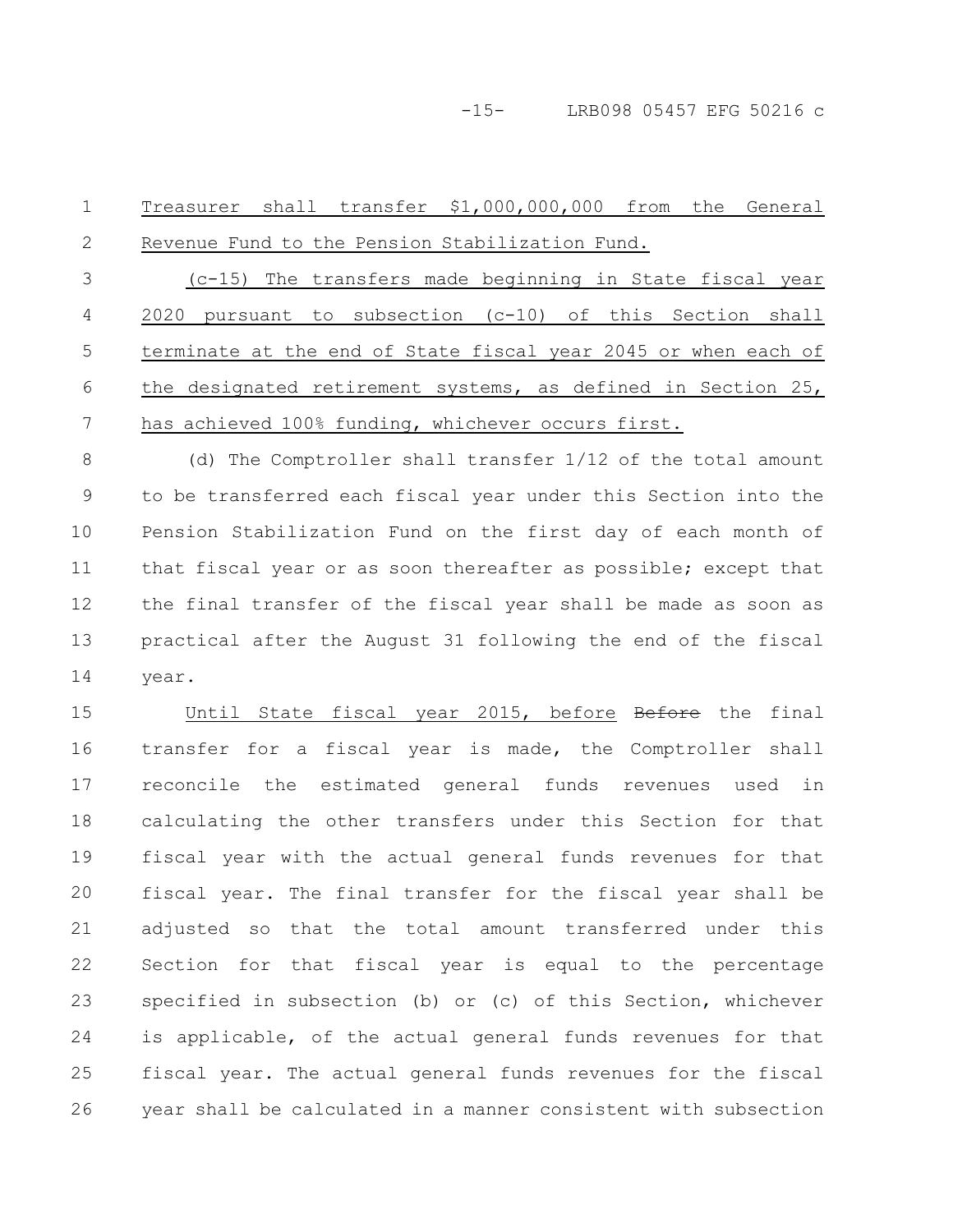Treasurer shall transfer \$1,000,000,000 from the General Revenue Fund to the Pension Stabilization Fund. (c-15) The transfers made beginning in State fiscal year 2020 pursuant to subsection (c-10) of this Section shall terminate at the end of State fiscal year 2045 or when each of the designated retirement systems, as defined in Section 25, has achieved 100% funding, whichever occurs first. (d) The Comptroller shall transfer 1/12 of the total amount to be transferred each fiscal year under this Section into the Pension Stabilization Fund on the first day of each month of 1 2 3 4 5 6 7 8 9 10

that fiscal year or as soon thereafter as possible; except that the final transfer of the fiscal year shall be made as soon as practical after the August 31 following the end of the fiscal year. 11 12 13 14

Until State fiscal year 2015, before Before the final transfer for a fiscal year is made, the Comptroller shall reconcile the estimated general funds revenues used in calculating the other transfers under this Section for that fiscal year with the actual general funds revenues for that fiscal year. The final transfer for the fiscal year shall be adjusted so that the total amount transferred under this Section for that fiscal year is equal to the percentage specified in subsection (b) or (c) of this Section, whichever is applicable, of the actual general funds revenues for that fiscal year. The actual general funds revenues for the fiscal year shall be calculated in a manner consistent with subsection 15 16 17 18 19 20 21 22 23 24 25 26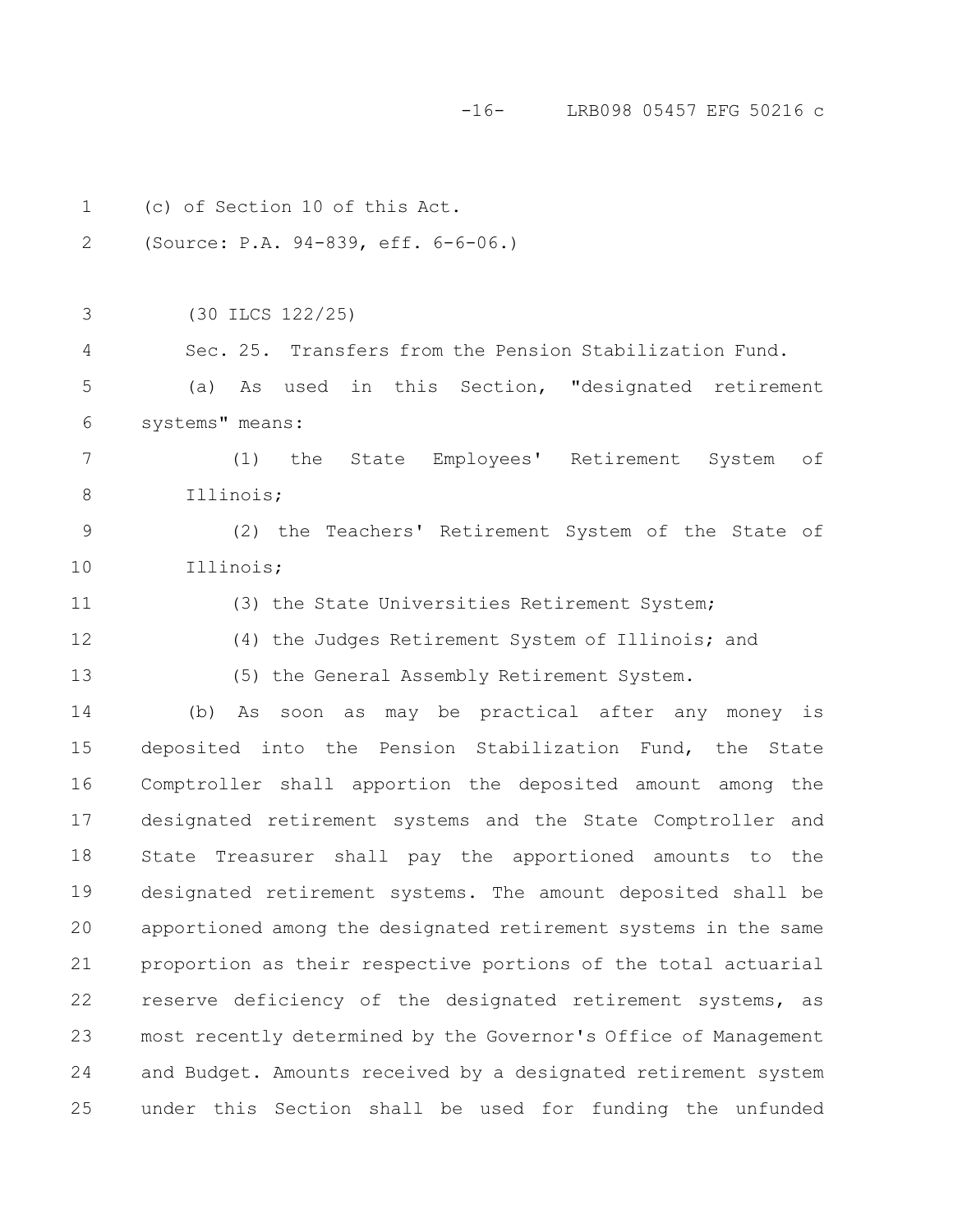-16- LRB098 05457 EFG 50216 c

| $\mathbf 1$    | (c) of Section 10 of this Act.                                  |
|----------------|-----------------------------------------------------------------|
| 2              | (Source: P.A. 94-839, eff. 6-6-06.)                             |
|                |                                                                 |
| 3              | (30 ILCS 122/25)                                                |
| $\overline{4}$ | Sec. 25. Transfers from the Pension Stabilization Fund.         |
| 5              | As used in this Section, "designated retirement<br>(a)          |
| 6              | systems" means:                                                 |
| 7              | the State Employees' Retirement System<br>of<br>(1)             |
| $8\,$          | Illinois;                                                       |
| $\mathsf 9$    | (2) the Teachers' Retirement System of the State of             |
| 10             | Illinois;                                                       |
| 11             | (3) the State Universities Retirement System;                   |
| 12             | (4) the Judges Retirement System of Illinois; and               |
| 13             | (5) the General Assembly Retirement System.                     |
| 14             | (b) As soon as may be practical after any money is              |
| 15             | deposited into the Pension Stabilization Fund, the State        |
| 16             | Comptroller shall apportion the deposited amount among the      |
| 17             | designated retirement systems and the State Comptroller and     |
| 18             | Treasurer shall pay the apportioned amounts to the<br>State     |
| 19             | designated retirement systems. The amount deposited shall be    |
| 20             | apportioned among the designated retirement systems in the same |
| 21             | proportion as their respective portions of the total actuarial  |
| 22             | reserve deficiency of the designated retirement systems, as     |
| 23             | most recently determined by the Governor's Office of Management |
| 24             | and Budget. Amounts received by a designated retirement system  |
| 25             | under this Section shall be used for funding the unfunded       |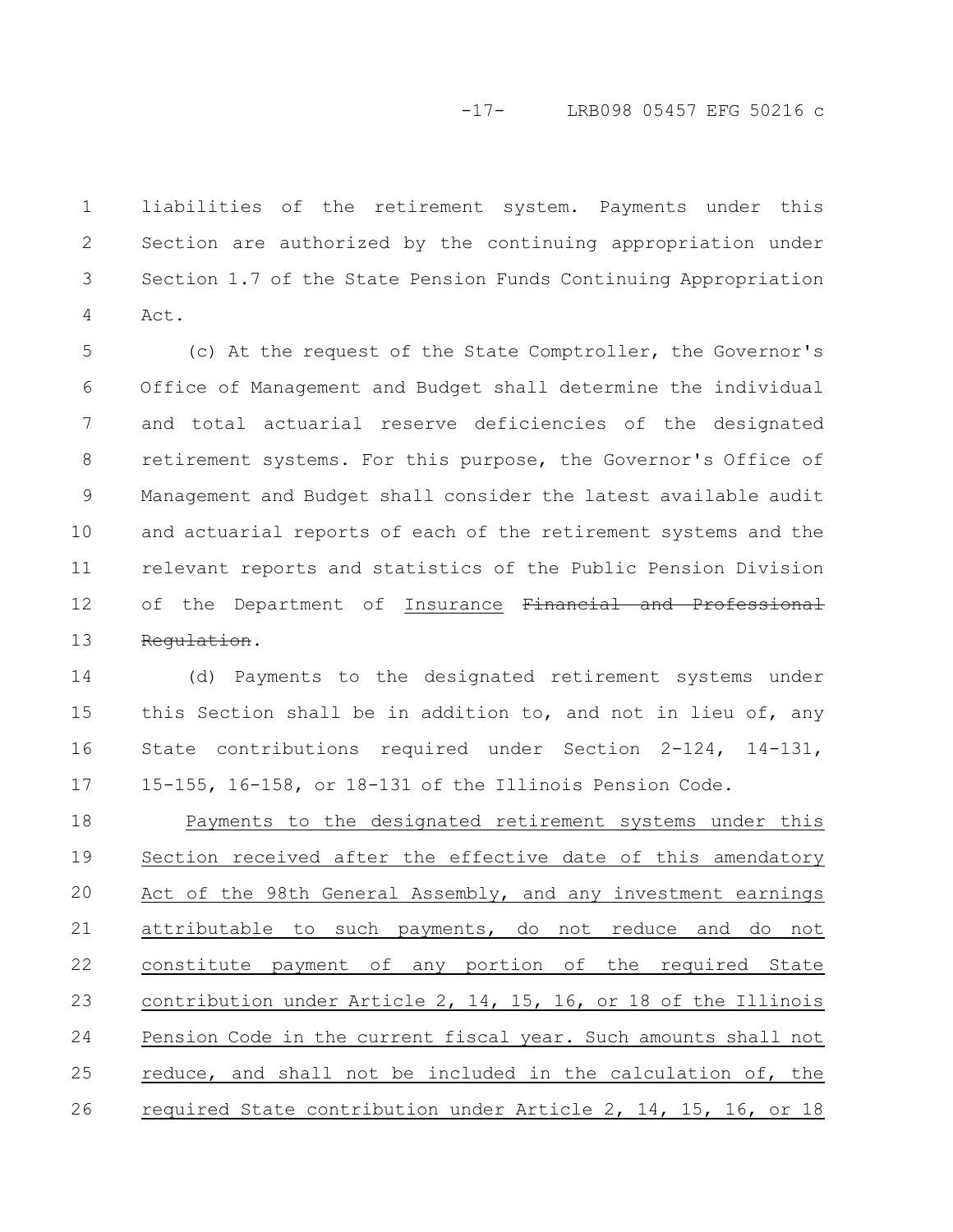## -17- LRB098 05457 EFG 50216 c

liabilities of the retirement system. Payments under this Section are authorized by the continuing appropriation under Section 1.7 of the State Pension Funds Continuing Appropriation Act. 1 2 3 4

(c) At the request of the State Comptroller, the Governor's Office of Management and Budget shall determine the individual and total actuarial reserve deficiencies of the designated retirement systems. For this purpose, the Governor's Office of Management and Budget shall consider the latest available audit and actuarial reports of each of the retirement systems and the relevant reports and statistics of the Public Pension Division of the Department of Insurance Financial and Professional Regulation. 5 6 7 8 9 10 11 12 13

(d) Payments to the designated retirement systems under this Section shall be in addition to, and not in lieu of, any State contributions required under Section 2-124, 14-131, 15-155, 16-158, or 18-131 of the Illinois Pension Code. 14 15 16 17

Payments to the designated retirement systems under this Section received after the effective date of this amendatory Act of the 98th General Assembly, and any investment earnings attributable to such payments, do not reduce and do not constitute payment of any portion of the required State contribution under Article 2, 14, 15, 16, or 18 of the Illinois Pension Code in the current fiscal year. Such amounts shall not reduce, and shall not be included in the calculation of, the required State contribution under Article 2, 14, 15, 16, or 18 18 19 20 21 22 23 24 25 26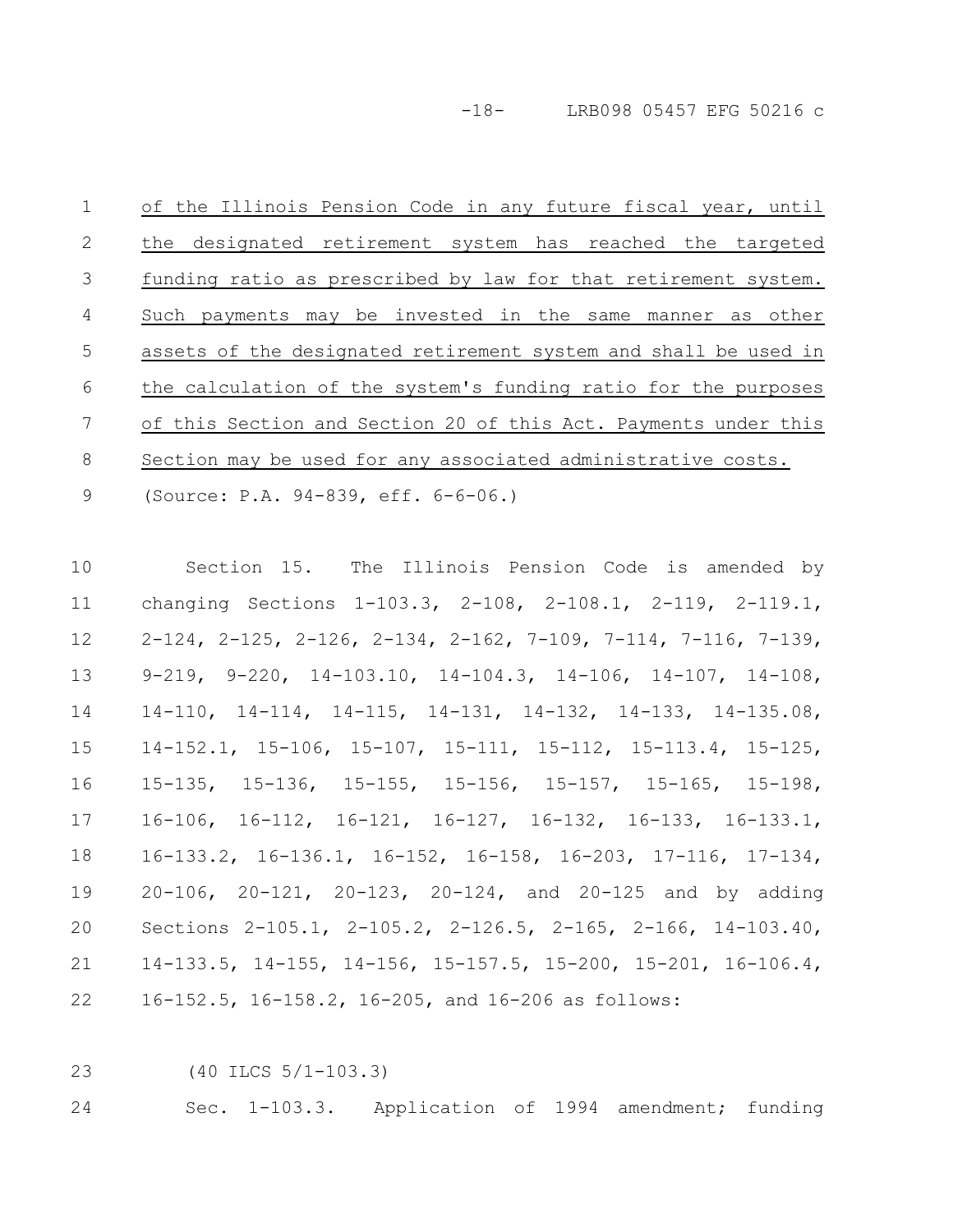-18- LRB098 05457 EFG 50216 c

of the Illinois Pension Code in any future fiscal year, until the designated retirement system has reached the targeted funding ratio as prescribed by law for that retirement system. Such payments may be invested in the same manner as other assets of the designated retirement system and shall be used in the calculation of the system's funding ratio for the purposes of this Section and Section 20 of this Act. Payments under this Section may be used for any associated administrative costs. 1 2 3 4 5 6 7 8

(Source: P.A. 94-839, eff. 6-6-06.) 9

Section 15. The Illinois Pension Code is amended by changing Sections 1-103.3, 2-108, 2-108.1, 2-119, 2-119.1, 2-124, 2-125, 2-126, 2-134, 2-162, 7-109, 7-114, 7-116, 7-139, 9-219, 9-220, 14-103.10, 14-104.3, 14-106, 14-107, 14-108, 14-110, 14-114, 14-115, 14-131, 14-132, 14-133, 14-135.08, 14-152.1, 15-106, 15-107, 15-111, 15-112, 15-113.4, 15-125, 15-135, 15-136, 15-155, 15-156, 15-157, 15-165, 15-198, 16-106, 16-112, 16-121, 16-127, 16-132, 16-133, 16-133.1, 16-133.2, 16-136.1, 16-152, 16-158, 16-203, 17-116, 17-134, 20-106, 20-121, 20-123, 20-124, and 20-125 and by adding Sections 2-105.1, 2-105.2, 2-126.5, 2-165, 2-166, 14-103.40, 14-133.5, 14-155, 14-156, 15-157.5, 15-200, 15-201, 16-106.4, 16-152.5, 16-158.2, 16-205, and 16-206 as follows: 10 11 12 13 14 15 16 17 18 19 20 21 22

(40 ILCS 5/1-103.3) 23

Sec. 1-103.3. Application of 1994 amendment; funding 24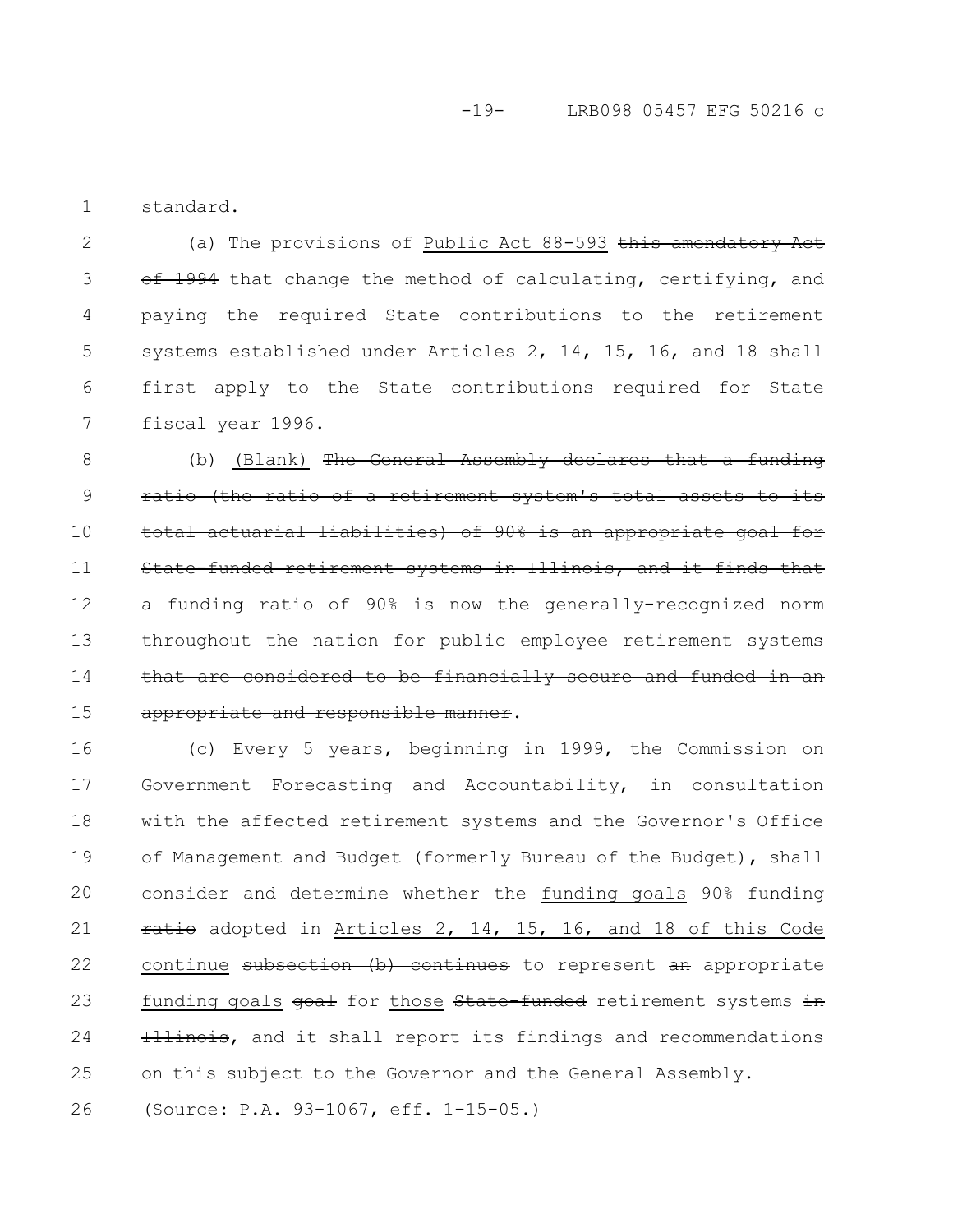-19- LRB098 05457 EFG 50216 c

standard. 1

(a) The provisions of Public Act 88-593 this amendatory Act  $\overline{\text{eff}}$  1994 that change the method of calculating, certifying, and paying the required State contributions to the retirement systems established under Articles 2, 14, 15, 16, and 18 shall first apply to the State contributions required for State fiscal year 1996. 2 3 4 5 6 7

(b) (Blank) The General Assembly declares ratio (the ratio of a retirement system's total actuarial liabilities) of 90% is an appropriat funded retirement systems in Illinois, and funding ratio of  $90\%$  is now the generallythroughout the nation for public employee retirement systems be financially appropriate and responsible manner. 8 9 10 11 12 13 14 15

(c) Every 5 years, beginning in 1999, the Commission on Government Forecasting and Accountability, in consultation with the affected retirement systems and the Governor's Office of Management and Budget (formerly Bureau of the Budget), shall consider and determine whether the funding goals 90% funding ratio adopted in Articles 2, 14, 15, 16, and 18 of this Code continue subsection (b) continues to represent an appropriate funding goals goal for those State-funded retirement systems in Illinois, and it shall report its findings and recommendations on this subject to the Governor and the General Assembly. (Source: P.A. 93-1067, eff. 1-15-05.) 16 17 18 19 20 21 22 23 24 25 26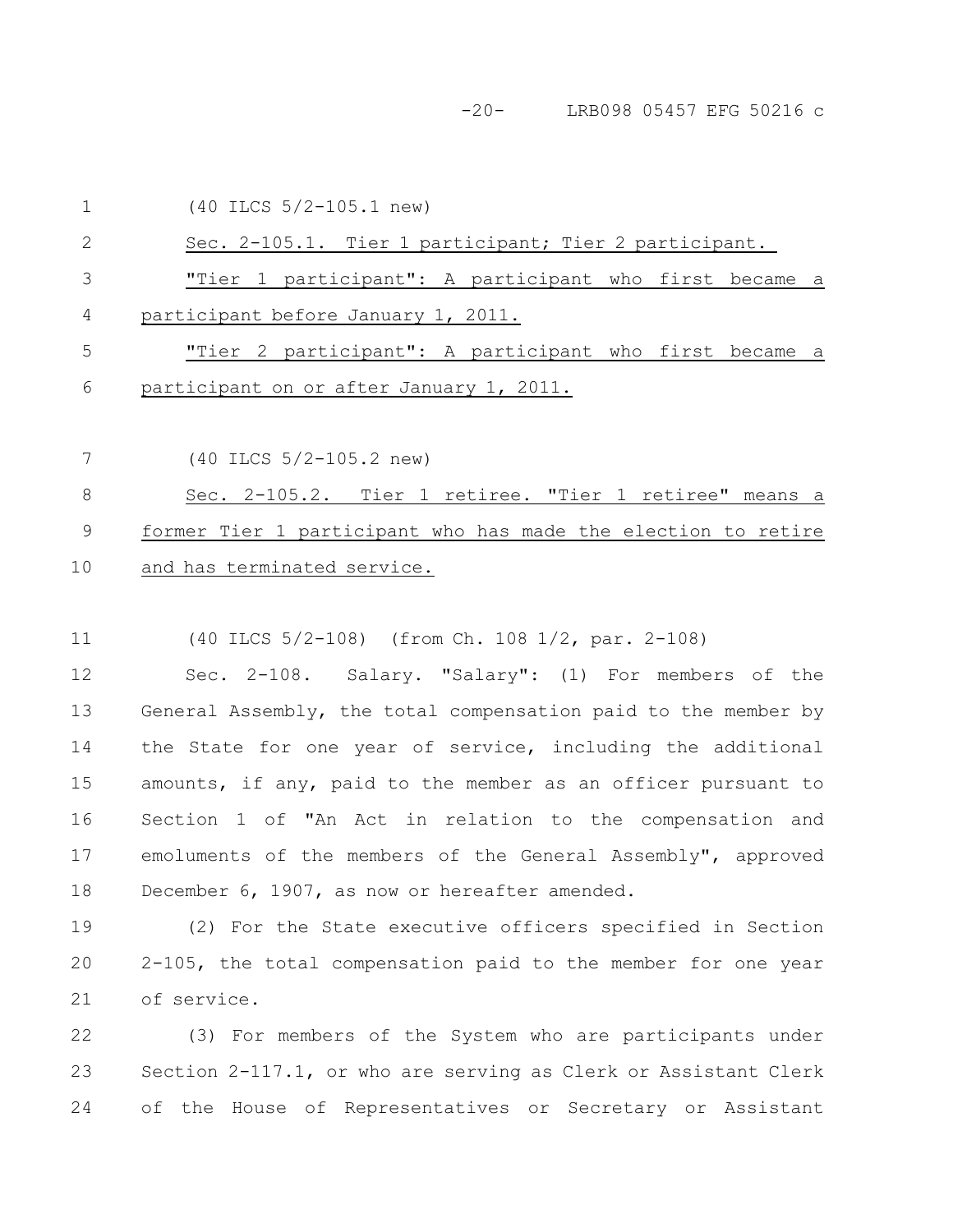-20- LRB098 05457 EFG 50216 c

|    | $(40$ ILCS $5/2 - 105.1$ new)                                 |
|----|---------------------------------------------------------------|
| 2  | Sec. 2-105.1. Tier 1 participant; Tier 2 participant.         |
| 3  | "Tier 1 participant": A participant who first became a        |
| 4  | participant before January 1, 2011.                           |
| 5  | "Tier 2 participant": A participant who first became a        |
| 6  | participant on or after January 1, 2011.                      |
|    |                                                               |
| 7  | $(40$ ILCS $5/2 - 105.2$ new)                                 |
| 8  | Sec. 2-105.2. Tier 1 retiree. "Tier 1 retiree" means a        |
| 9  | former Tier 1 participant who has made the election to retire |
| 10 | and has terminated service.                                   |
|    |                                                               |

(40 ILCS 5/2-108) (from Ch. 108 1/2, par. 2-108) 11

Sec. 2-108. Salary. "Salary": (1) For members of the General Assembly, the total compensation paid to the member by the State for one year of service, including the additional amounts, if any, paid to the member as an officer pursuant to Section 1 of "An Act in relation to the compensation and emoluments of the members of the General Assembly", approved December 6, 1907, as now or hereafter amended. 12 13 14 15 16 17 18

(2) For the State executive officers specified in Section 2-105, the total compensation paid to the member for one year of service. 19 20 21

(3) For members of the System who are participants under Section 2-117.1, or who are serving as Clerk or Assistant Clerk of the House of Representatives or Secretary or Assistant 22 23 24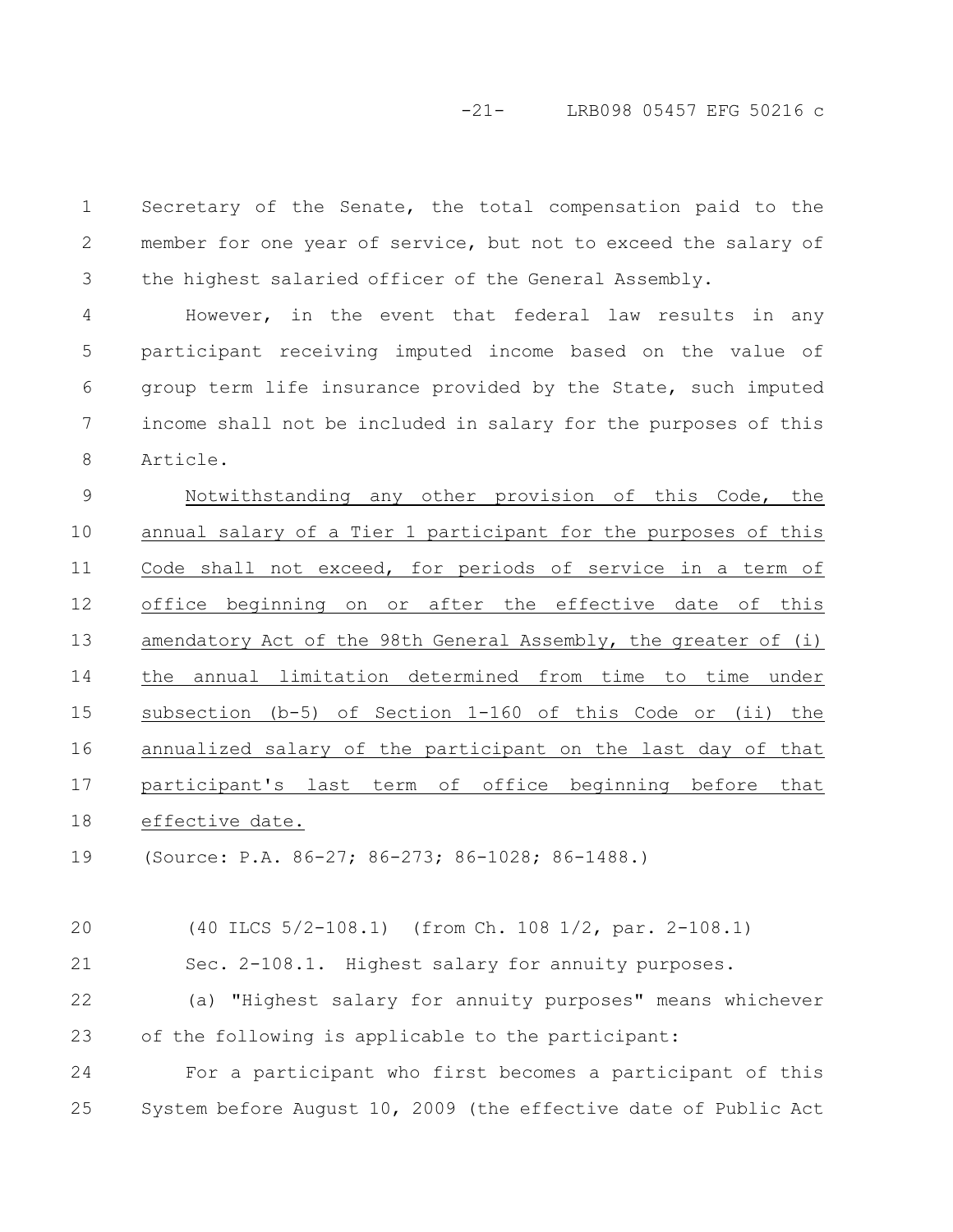Secretary of the Senate, the total compensation paid to the member for one year of service, but not to exceed the salary of the highest salaried officer of the General Assembly. 1 2 3

However, in the event that federal law results in any participant receiving imputed income based on the value of group term life insurance provided by the State, such imputed income shall not be included in salary for the purposes of this Article. 4 5 6 7 8

Notwithstanding any other provision of this Code, the annual salary of a Tier 1 participant for the purposes of this Code shall not exceed, for periods of service in a term of office beginning on or after the effective date of this amendatory Act of the 98th General Assembly, the greater of (i) the annual limitation determined from time to time under subsection (b-5) of Section 1-160 of this Code or (ii) the annualized salary of the participant on the last day of that participant's last term of office beginning before that effective date. 9 10 11 12 13 14 15 16 17 18

(Source: P.A. 86-27; 86-273; 86-1028; 86-1488.) 19

(40 ILCS 5/2-108.1) (from Ch. 108 1/2, par. 2-108.1) Sec. 2-108.1. Highest salary for annuity purposes. (a) "Highest salary for annuity purposes" means whichever of the following is applicable to the participant: For a participant who first becomes a participant of this System before August 10, 2009 (the effective date of Public Act 20 21 22 23 24 25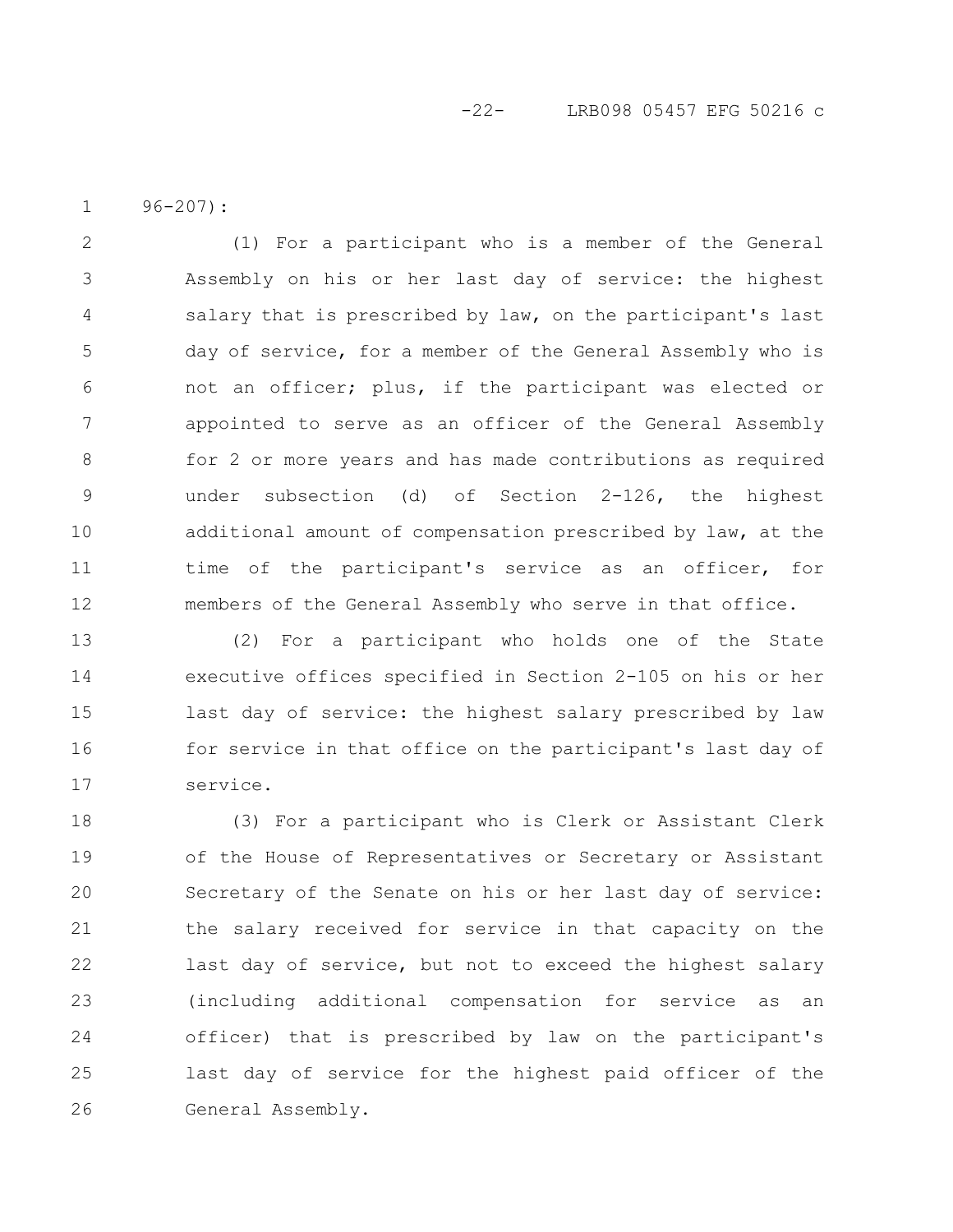### -22- LRB098 05457 EFG 50216 c

96-207): 1

(1) For a participant who is a member of the General Assembly on his or her last day of service: the highest salary that is prescribed by law, on the participant's last day of service, for a member of the General Assembly who is not an officer; plus, if the participant was elected or appointed to serve as an officer of the General Assembly for 2 or more years and has made contributions as required under subsection (d) of Section 2-126, the highest additional amount of compensation prescribed by law, at the time of the participant's service as an officer, for members of the General Assembly who serve in that office. 2 3 4 5 6 7 8 9 10 11 12

(2) For a participant who holds one of the State executive offices specified in Section 2-105 on his or her last day of service: the highest salary prescribed by law for service in that office on the participant's last day of service. 13 14 15 16 17

(3) For a participant who is Clerk or Assistant Clerk of the House of Representatives or Secretary or Assistant Secretary of the Senate on his or her last day of service: the salary received for service in that capacity on the last day of service, but not to exceed the highest salary (including additional compensation for service as an officer) that is prescribed by law on the participant's last day of service for the highest paid officer of the General Assembly. 18 19 20 21 22 23 24 25 26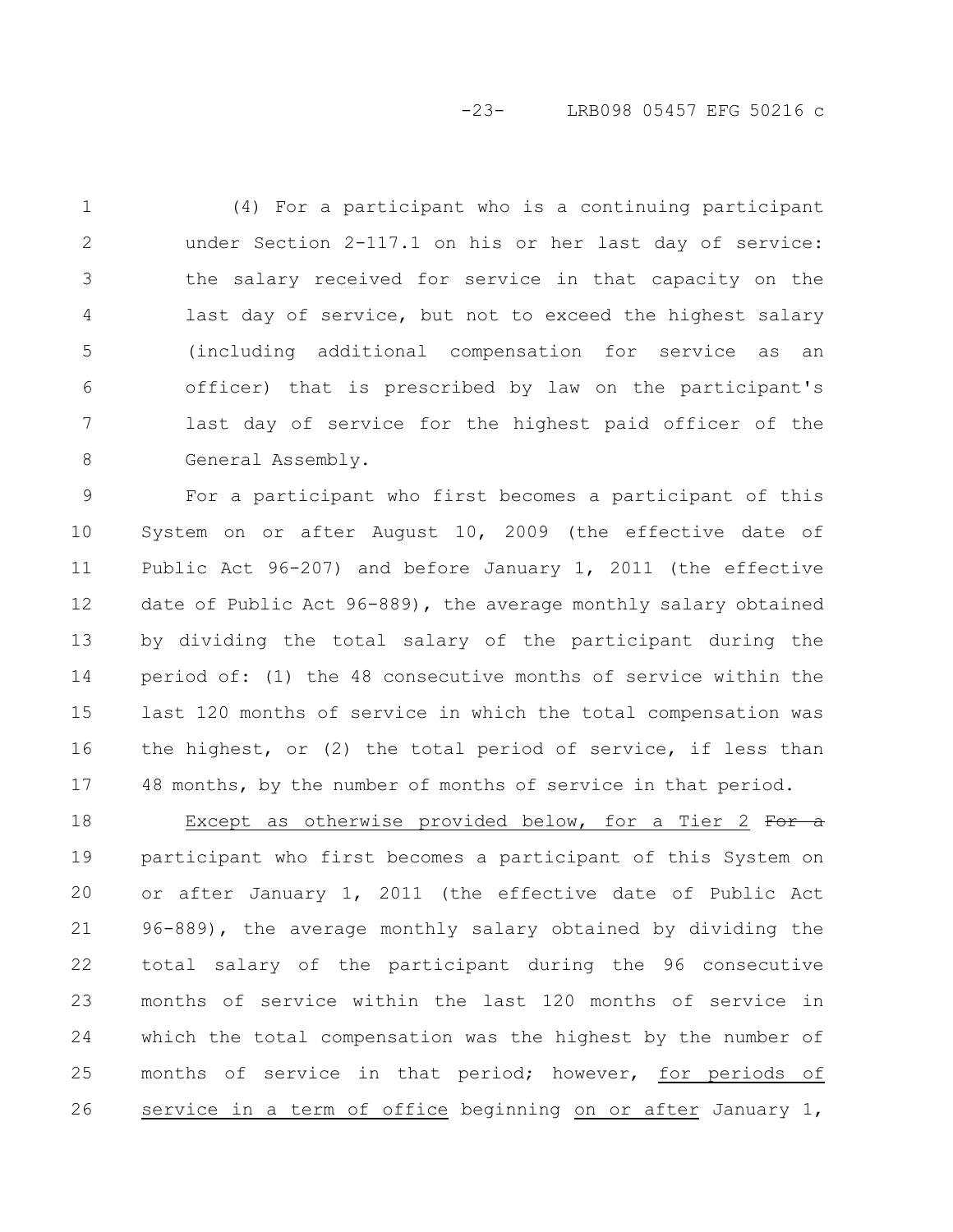### -23- LRB098 05457 EFG 50216 c

(4) For a participant who is a continuing participant under Section 2-117.1 on his or her last day of service: the salary received for service in that capacity on the last day of service, but not to exceed the highest salary (including additional compensation for service as an officer) that is prescribed by law on the participant's last day of service for the highest paid officer of the General Assembly. 1 2 3 4 5 6 7 8

For a participant who first becomes a participant of this System on or after August 10, 2009 (the effective date of Public Act 96-207) and before January 1, 2011 (the effective date of Public Act 96-889), the average monthly salary obtained by dividing the total salary of the participant during the period of: (1) the 48 consecutive months of service within the last 120 months of service in which the total compensation was the highest, or (2) the total period of service, if less than 48 months, by the number of months of service in that period. 9 10 11 12 13 14 15 16 17

Except as otherwise provided below, for a Tier 2 For  $a$ participant who first becomes a participant of this System on or after January 1, 2011 (the effective date of Public Act 96-889), the average monthly salary obtained by dividing the total salary of the participant during the 96 consecutive months of service within the last 120 months of service in which the total compensation was the highest by the number of months of service in that period; however, for periods of service in a term of office beginning on or after January 1, 18 19 20 21 22 23 24 25 26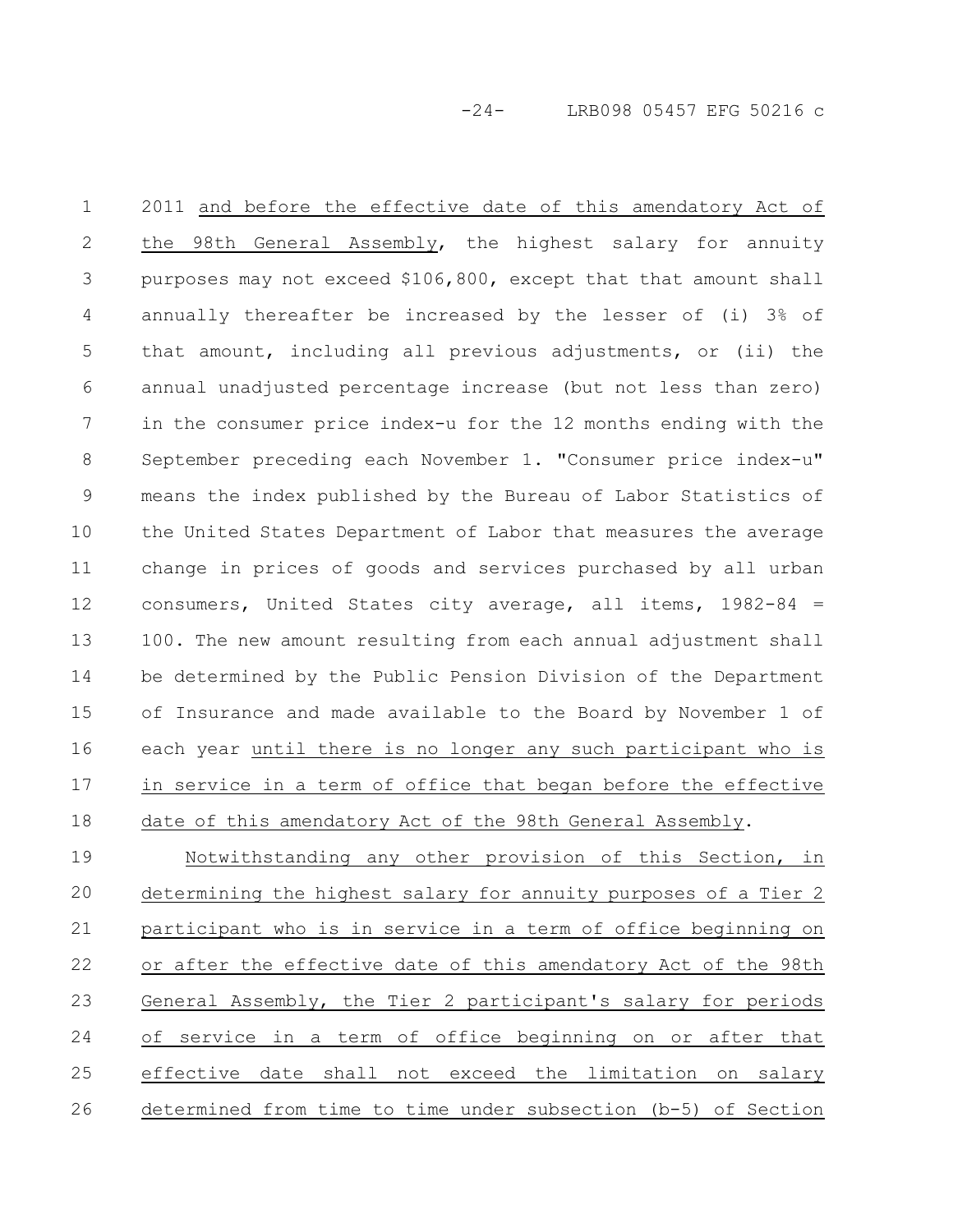-24- LRB098 05457 EFG 50216 c

2011 and before the effective date of this amendatory Act of the 98th General Assembly, the highest salary for annuity purposes may not exceed \$106,800, except that that amount shall annually thereafter be increased by the lesser of (i) 3% of that amount, including all previous adjustments, or (ii) the annual unadjusted percentage increase (but not less than zero) in the consumer price index-u for the 12 months ending with the September preceding each November 1. "Consumer price index-u" means the index published by the Bureau of Labor Statistics of the United States Department of Labor that measures the average change in prices of goods and services purchased by all urban consumers, United States city average, all items, 1982-84 = 100. The new amount resulting from each annual adjustment shall be determined by the Public Pension Division of the Department of Insurance and made available to the Board by November 1 of each year until there is no longer any such participant who is in service in a term of office that began before the effective date of this amendatory Act of the 98th General Assembly. 1 2 3 4 5 6 7 8 9 10 11 12 13 14 15 16 17 18

Notwithstanding any other provision of this Section, in determining the highest salary for annuity purposes of a Tier 2 participant who is in service in a term of office beginning on or after the effective date of this amendatory Act of the 98th General Assembly, the Tier 2 participant's salary for periods of service in a term of office beginning on or after that effective date shall not exceed the limitation on salary determined from time to time under subsection (b-5) of Section 19 20 21 22 23 24 25 26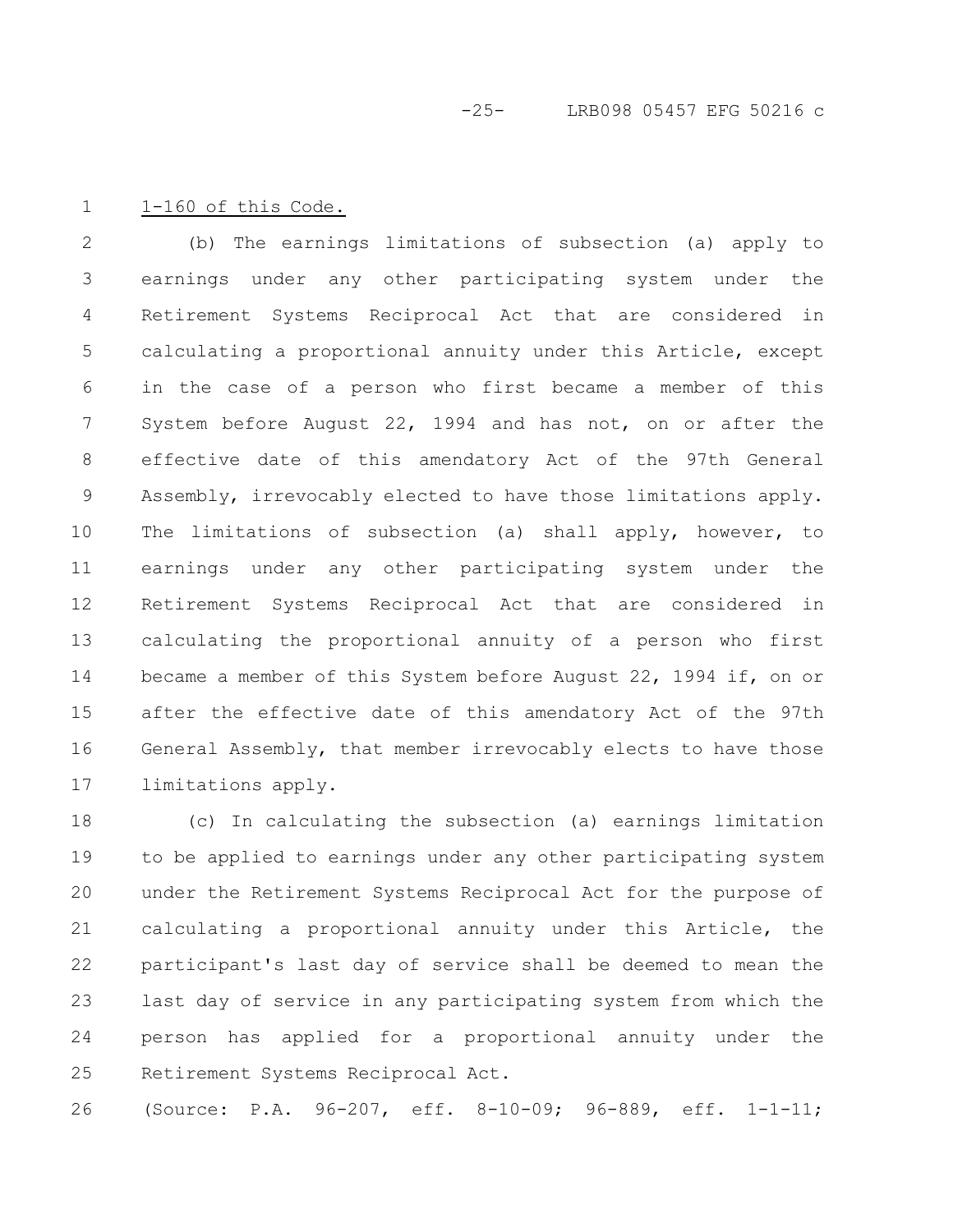#### 1-160 of this Code. 1

(b) The earnings limitations of subsection (a) apply to earnings under any other participating system under the Retirement Systems Reciprocal Act that are considered in calculating a proportional annuity under this Article, except in the case of a person who first became a member of this System before August 22, 1994 and has not, on or after the effective date of this amendatory Act of the 97th General Assembly, irrevocably elected to have those limitations apply. The limitations of subsection (a) shall apply, however, to earnings under any other participating system under the Retirement Systems Reciprocal Act that are considered in calculating the proportional annuity of a person who first became a member of this System before August 22, 1994 if, on or after the effective date of this amendatory Act of the 97th General Assembly, that member irrevocably elects to have those limitations apply. 2 3 4 5 6 7 8 9 10 11 12 13 14 15 16 17

(c) In calculating the subsection (a) earnings limitation to be applied to earnings under any other participating system under the Retirement Systems Reciprocal Act for the purpose of calculating a proportional annuity under this Article, the participant's last day of service shall be deemed to mean the last day of service in any participating system from which the person has applied for a proportional annuity under the Retirement Systems Reciprocal Act. 18 19 20 21 22 23 24 25

(Source: P.A. 96-207, eff. 8-10-09; 96-889, eff. 1-1-11; 26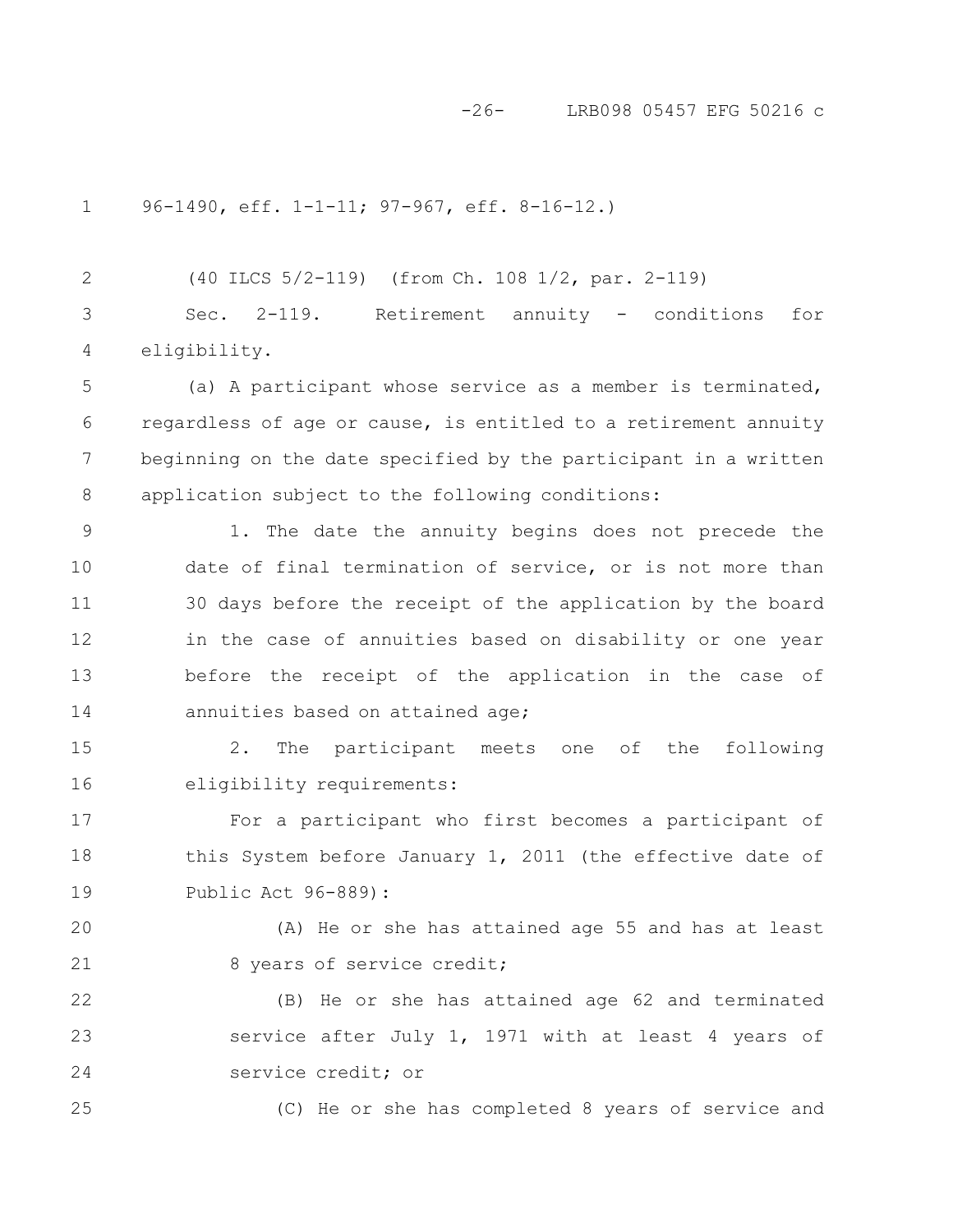#### -26- LRB098 05457 EFG 50216 c

96-1490, eff. 1-1-11; 97-967, eff. 8-16-12.) 1

(40 ILCS 5/2-119) (from Ch. 108 1/2, par. 2-119) Sec. 2-119. Retirement annuity - conditions for eligibility. 2 3 4

(a) A participant whose service as a member is terminated, regardless of age or cause, is entitled to a retirement annuity beginning on the date specified by the participant in a written application subject to the following conditions: 5 6 7 8

1. The date the annuity begins does not precede the date of final termination of service, or is not more than 30 days before the receipt of the application by the board in the case of annuities based on disability or one year before the receipt of the application in the case of annuities based on attained age; 9 10 11 12 13 14

2. The participant meets one of the following eligibility requirements: 15 16

For a participant who first becomes a participant of this System before January 1, 2011 (the effective date of Public Act 96-889): 17 18 19

(A) He or she has attained age 55 and has at least 8 years of service credit; 20 21

(B) He or she has attained age 62 and terminated service after July 1, 1971 with at least 4 years of service credit; or 22 23 24

25

(C) He or she has completed 8 years of service and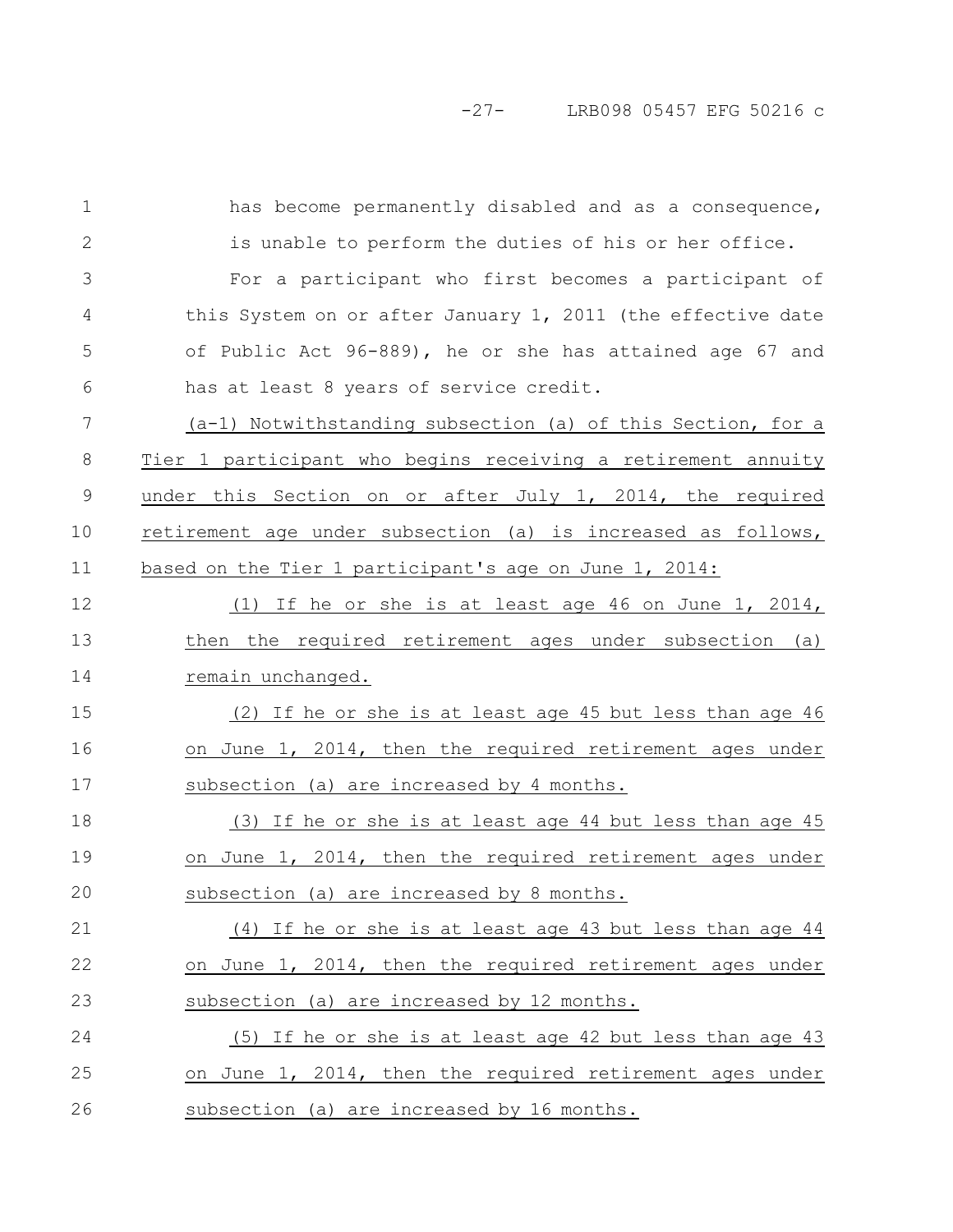has become permanently disabled and as a consequence, is unable to perform the duties of his or her office. For a participant who first becomes a participant of this System on or after January 1, 2011 (the effective date of Public Act 96-889), he or she has attained age 67 and has at least 8 years of service credit. (a-1) Notwithstanding subsection (a) of this Section, for a Tier 1 participant who begins receiving a retirement annuity under this Section on or after July 1, 2014, the required retirement age under subsection (a) is increased as follows, based on the Tier 1 participant's age on June 1, 2014: (1) If he or she is at least age 46 on June 1, 2014, then the required retirement ages under subsection (a) remain unchanged. (2) If he or she is at least age 45 but less than age 46 on June 1, 2014, then the required retirement ages under subsection (a) are increased by 4 months. (3) If he or she is at least age 44 but less than age 45 on June 1, 2014, then the required retirement ages under subsection (a) are increased by 8 months. (4) If he or she is at least age 43 but less than age 44 on June 1, 2014, then the required retirement ages under subsection (a) are increased by 12 months. (5) If he or she is at least age 42 but less than age 43 on June 1, 2014, then the required retirement ages under subsection (a) are increased by 16 months. 1 2 3 4 5 6 7 8 9 10 11 12 13 14 15 16 17 18 19 20 21 22 23 24 25 26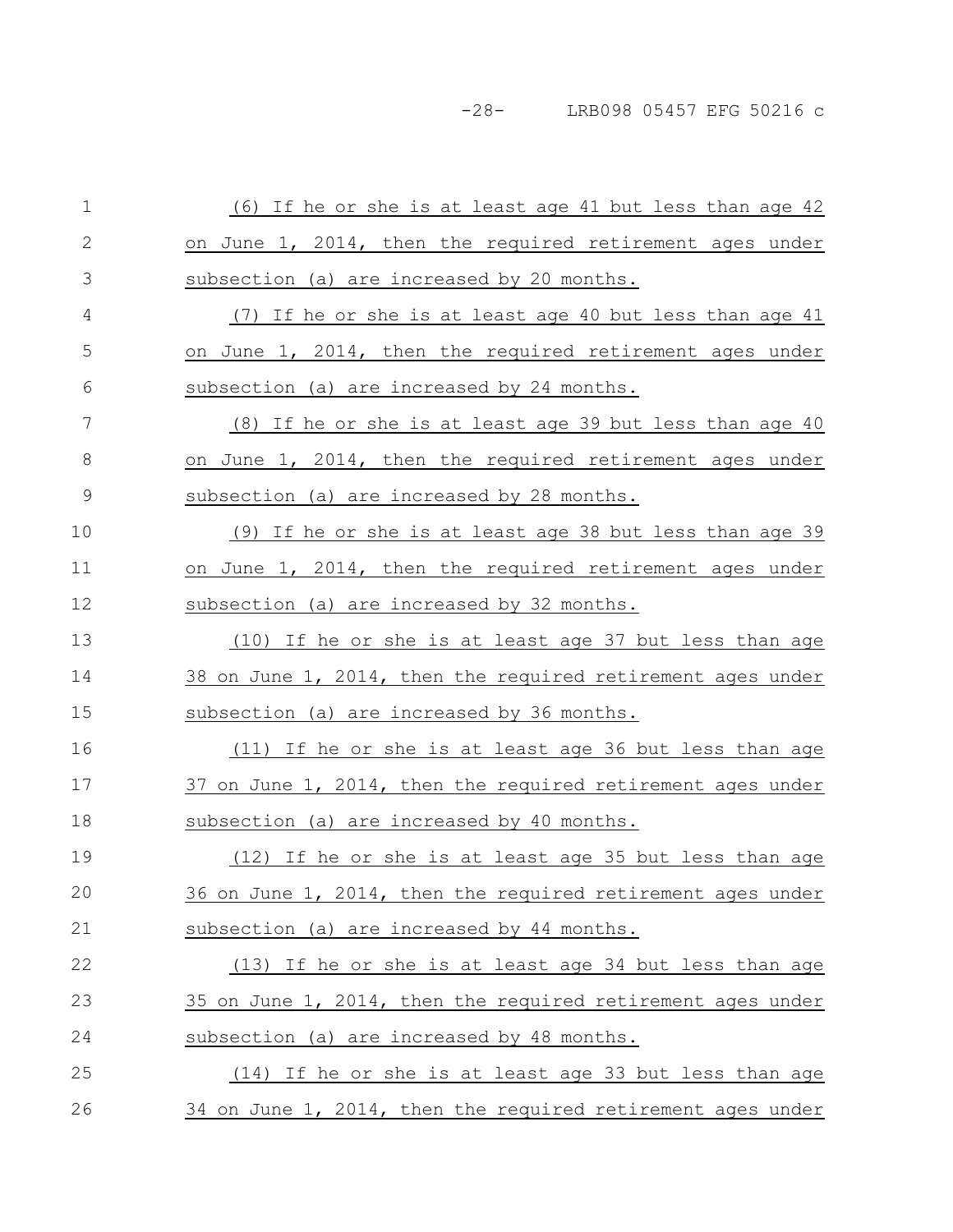-28- LRB098 05457 EFG 50216 c

| $\mathbf 1$   | (6) If he or she is at least age 41 but less than age 42        |
|---------------|-----------------------------------------------------------------|
| $\mathbf{2}$  | on June 1, 2014, then the required retirement ages under        |
| 3             | subsection (a) are increased by 20 months.                      |
| 4             | (7) If he or she is at least age 40 but less than age 41        |
| 5             | on June 1, 2014, then the required retirement ages under        |
| 6             | subsection (a) are increased by 24 months.                      |
| 7             | <u>(8)</u> If he or she is at least age 39 but less than age 40 |
| 8             | on June 1, 2014, then the required retirement ages under        |
| $\mathcal{G}$ | subsection (a) are increased by 28 months.                      |
| 10            | (9) If he or she is at least age 38 but less than age 39        |
| 11            | on June 1, 2014, then the required retirement ages under        |
| 12            | subsection (a) are increased by 32 months.                      |
| 13            | (10) If he or she is at least age 37 but less than age          |
| 14            | 38 on June 1, 2014, then the required retirement ages under     |
| 15            | subsection (a) are increased by 36 months.                      |
| 16            | (11) If he or she is at least age 36 but less than age          |
| 17            | 37 on June 1, 2014, then the required retirement ages under     |
| 18            | subsection (a) are increased by 40 months.                      |
| 19            | (12) If he or she is at least age 35 but less than age          |
| 20            | 36 on June 1, 2014, then the required retirement ages under     |
| 21            | subsection (a) are increased by 44 months.                      |
| 22            | (13) If he or she is at least age 34 but less than age          |
| 23            | 35 on June 1, 2014, then the required retirement ages under     |
| 24            | subsection (a) are increased by 48 months.                      |
| 25            | (14) If he or she is at least age 33 but less than age          |
| 26            | 34 on June 1, 2014, then the required retirement ages under     |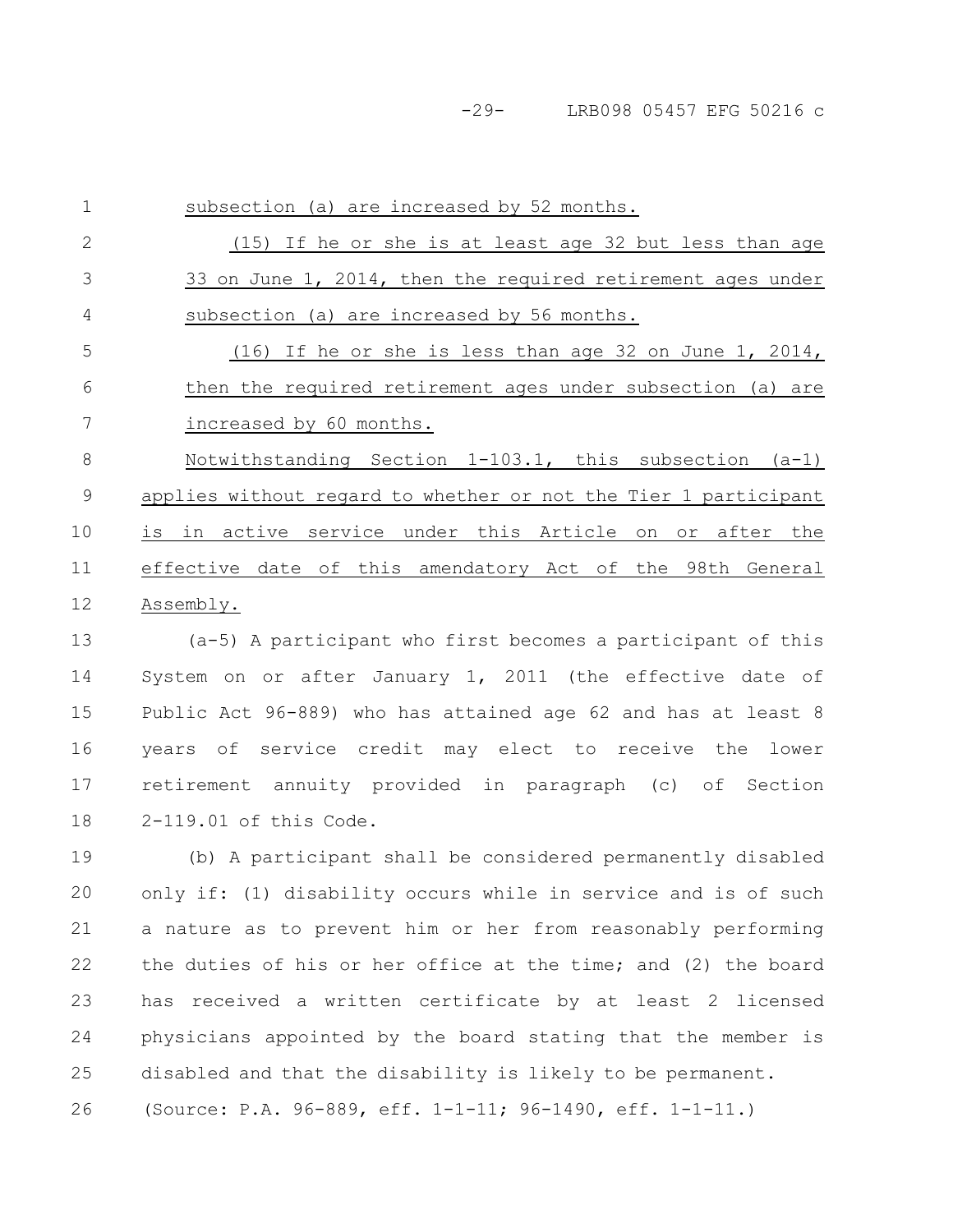-29- LRB098 05457 EFG 50216 c

subsection (a) are increased by 52 months. (15) If he or she is at least age 32 but less than age 33 on June 1, 2014, then the required retirement ages under subsection (a) are increased by 56 months. (16) If he or she is less than age 32 on June 1, 2014, then the required retirement ages under subsection (a) are increased by 60 months. Notwithstanding Section 1-103.1, this subsection (a-1) applies without regard to whether or not the Tier 1 participant is in active service under this Article on or after the effective date of this amendatory Act of the 98th General Assembly. (a-5) A participant who first becomes a participant of this 1 2 3 4 5 6 7 8 9 10 11 12 13

System on or after January 1, 2011 (the effective date of Public Act 96-889) who has attained age 62 and has at least 8 years of service credit may elect to receive the lower retirement annuity provided in paragraph (c) of Section 2-119.01 of this Code. 14 15 16 17 18

(b) A participant shall be considered permanently disabled only if: (1) disability occurs while in service and is of such a nature as to prevent him or her from reasonably performing the duties of his or her office at the time; and (2) the board has received a written certificate by at least 2 licensed physicians appointed by the board stating that the member is disabled and that the disability is likely to be permanent. (Source: P.A. 96-889, eff. 1-1-11; 96-1490, eff. 1-1-11.) 19 20 21 22 23 24 25 26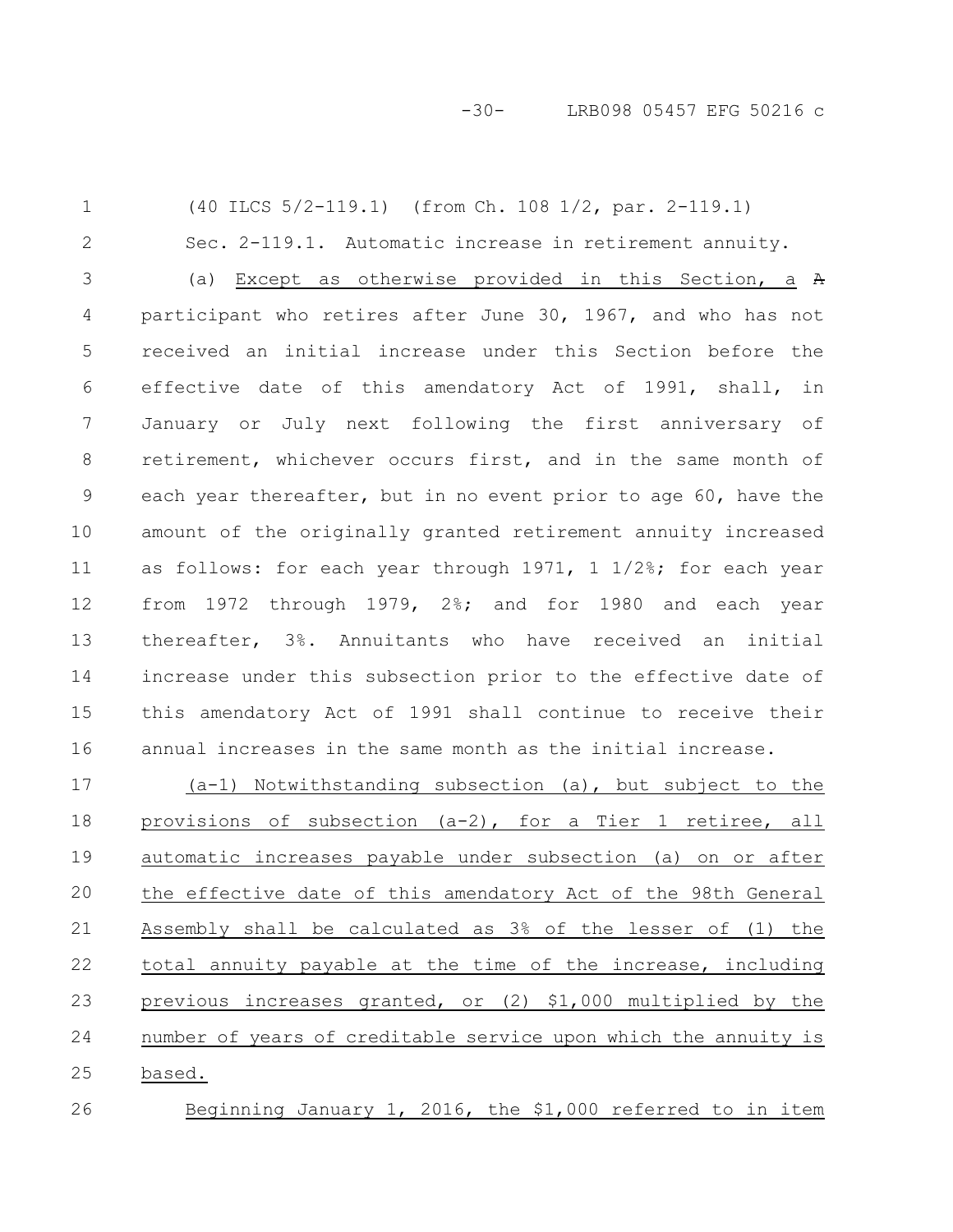-30- LRB098 05457 EFG 50216 c

(40 ILCS 5/2-119.1) (from Ch. 108 1/2, par. 2-119.1) Sec. 2-119.1. Automatic increase in retirement annuity. (a) Except as otherwise provided in this Section, a A participant who retires after June 30, 1967, and who has not received an initial increase under this Section before the effective date of this amendatory Act of 1991, shall, in January or July next following the first anniversary of retirement, whichever occurs first, and in the same month of each year thereafter, but in no event prior to age 60, have the amount of the originally granted retirement annuity increased as follows: for each year through 1971, 1 1/2%; for each year from 1972 through 1979, 2%; and for 1980 and each year thereafter, 3%. Annuitants who have received an initial increase under this subsection prior to the effective date of this amendatory Act of 1991 shall continue to receive their annual increases in the same month as the initial increase. (a-1) Notwithstanding subsection (a), but subject to the provisions of subsection (a-2), for a Tier 1 retiree, all automatic increases payable under subsection (a) on or after the effective date of this amendatory Act of the 98th General Assembly shall be calculated as 3% of the lesser of (1) the 1 2 3 4 5 6 7 8 9 10 11 12 13 14 15 16 17 18 19 20 21

total annuity payable at the time of the increase, including previous increases granted, or (2) \$1,000 multiplied by the number of years of creditable service upon which the annuity is based. 22 23 24 25

26

Beginning January 1, 2016, the \$1,000 referred to in item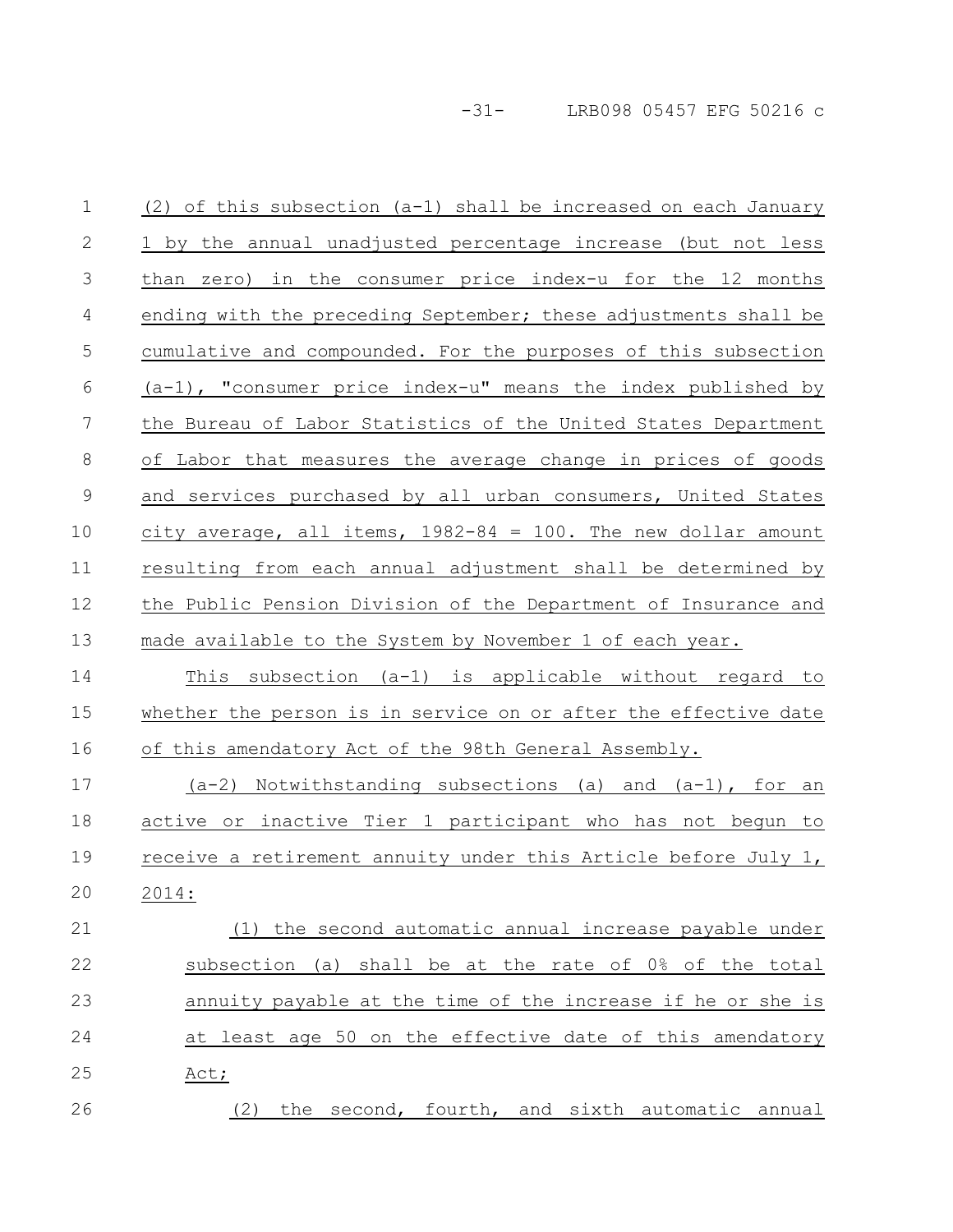-31- LRB098 05457 EFG 50216 c

(2) of this subsection (a-1) shall be increased on each January 1 by the annual unadjusted percentage increase (but not less than zero) in the consumer price index-u for the 12 months ending with the preceding September; these adjustments shall be cumulative and compounded. For the purposes of this subsection (a-1), "consumer price index-u" means the index published by the Bureau of Labor Statistics of the United States Department of Labor that measures the average change in prices of goods and services purchased by all urban consumers, United States city average, all items,  $1982-84 = 100$ . The new dollar amount resulting from each annual adjustment shall be determined by the Public Pension Division of the Department of Insurance and made available to the System by November 1 of each year. This subsection (a-1) is applicable without regard to whether the person is in service on or after the effective date of this amendatory Act of the 98th General Assembly.  $(a-2)$  Notwithstanding subsections (a) and  $(a-1)$ , for an active or inactive Tier 1 participant who has not begun to receive a retirement annuity under this Article before July 1, 2014: (1) the second automatic annual increase payable under subsection (a) shall be at the rate of 0% of the total annuity payable at the time of the increase if he or she is at least age 50 on the effective date of this amendatory Act; (2) the second, fourth, and sixth automatic annual 1 2 3 4 5 6 7 8 9 10 11 12 13 14 15 16 17 18 19 20 21 22 23 24 25 26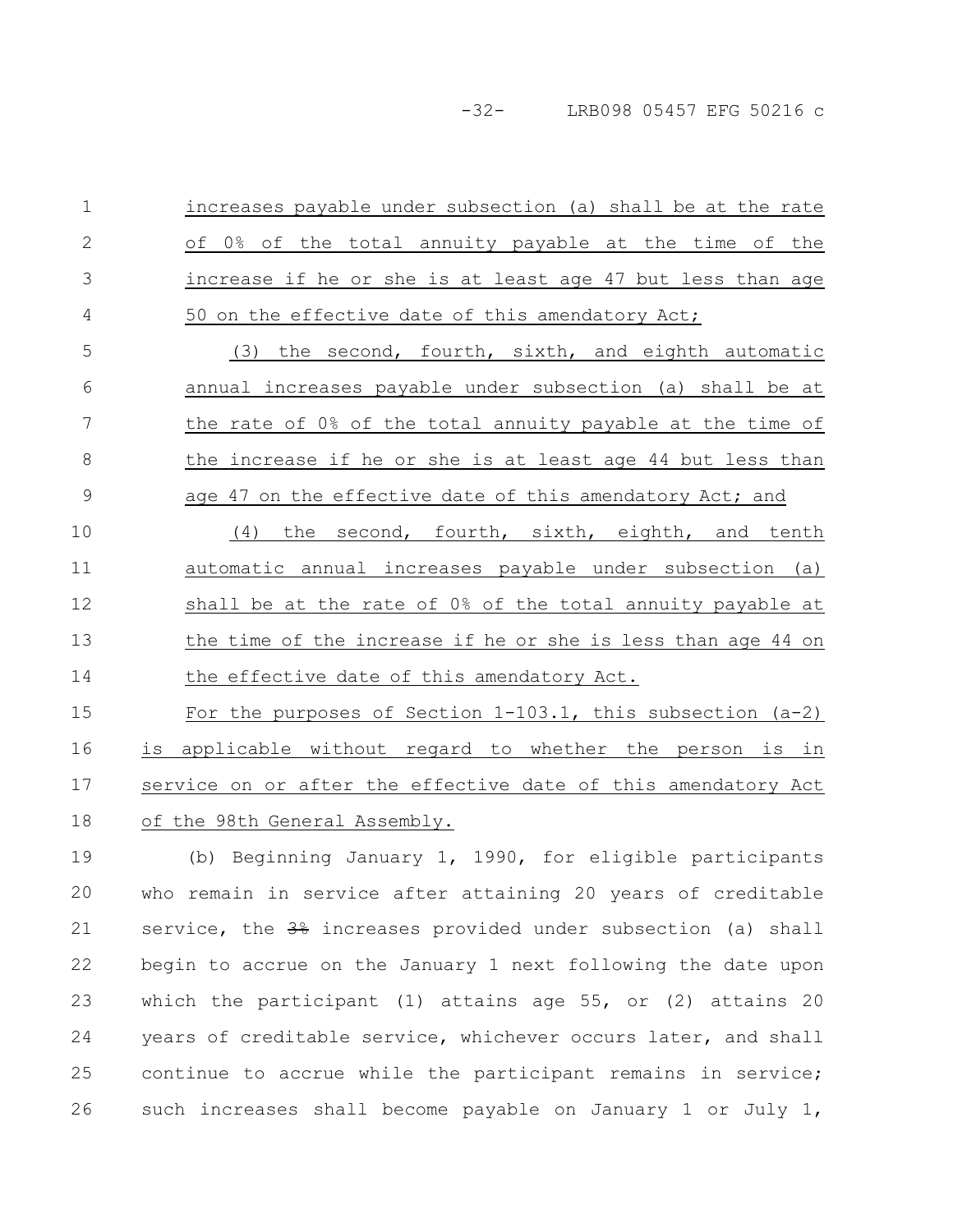-32- LRB098 05457 EFG 50216 c

increases payable under subsection (a) shall be at the rate of 0% of the total annuity payable at the time of the increase if he or she is at least age 47 but less than age 50 on the effective date of this amendatory Act; 1 2 3 4

(3) the second, fourth, sixth, and eighth automatic annual increases payable under subsection (a) shall be at the rate of 0% of the total annuity payable at the time of the increase if he or she is at least age 44 but less than age 47 on the effective date of this amendatory Act; and 5 6 7 8 9

(4) the second, fourth, sixth, eighth, and tenth automatic annual increases payable under subsection (a) shall be at the rate of 0% of the total annuity payable at the time of the increase if he or she is less than age 44 on the effective date of this amendatory Act. 10 11 12 13 14

For the purposes of Section 1-103.1, this subsection (a-2) is applicable without regard to whether the person is in service on or after the effective date of this amendatory Act of the 98th General Assembly. 15 16 17 18

(b) Beginning January 1, 1990, for eligible participants who remain in service after attaining 20 years of creditable service, the  $3\frac{6}{7}$  increases provided under subsection (a) shall begin to accrue on the January 1 next following the date upon which the participant (1) attains age 55, or (2) attains 20 years of creditable service, whichever occurs later, and shall continue to accrue while the participant remains in service; such increases shall become payable on January 1 or July 1, 19 20 21 22 23 24 25 26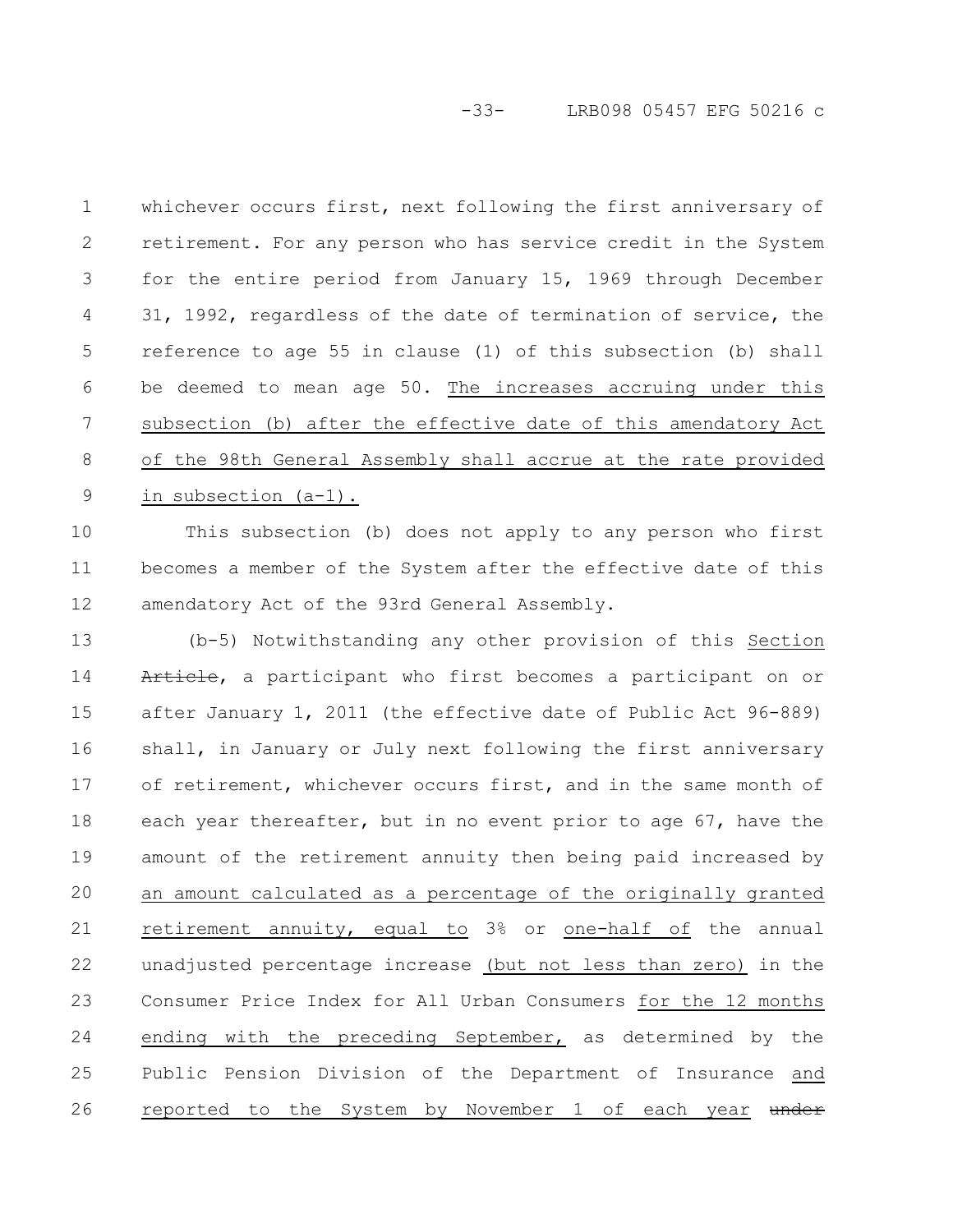-33- LRB098 05457 EFG 50216 c

whichever occurs first, next following the first anniversary of retirement. For any person who has service credit in the System for the entire period from January 15, 1969 through December 31, 1992, regardless of the date of termination of service, the reference to age 55 in clause (1) of this subsection (b) shall be deemed to mean age 50. The increases accruing under this subsection (b) after the effective date of this amendatory Act of the 98th General Assembly shall accrue at the rate provided in subsection (a-1). 1 2 3 4 5 6 7 8 9

This subsection (b) does not apply to any person who first becomes a member of the System after the effective date of this amendatory Act of the 93rd General Assembly. 10 11 12

(b-5) Notwithstanding any other provision of this Section Article, a participant who first becomes a participant on or after January 1, 2011 (the effective date of Public Act 96-889) shall, in January or July next following the first anniversary of retirement, whichever occurs first, and in the same month of each year thereafter, but in no event prior to age 67, have the amount of the retirement annuity then being paid increased by an amount calculated as a percentage of the originally granted retirement annuity, equal to 3% or one-half of the annual unadjusted percentage increase (but not less than zero) in the Consumer Price Index for All Urban Consumers for the 12 months ending with the preceding September, as determined by the Public Pension Division of the Department of Insurance and reported to the System by November 1 of each year under 13 14 15 16 17 18 19 20 21 22 23 24 25 26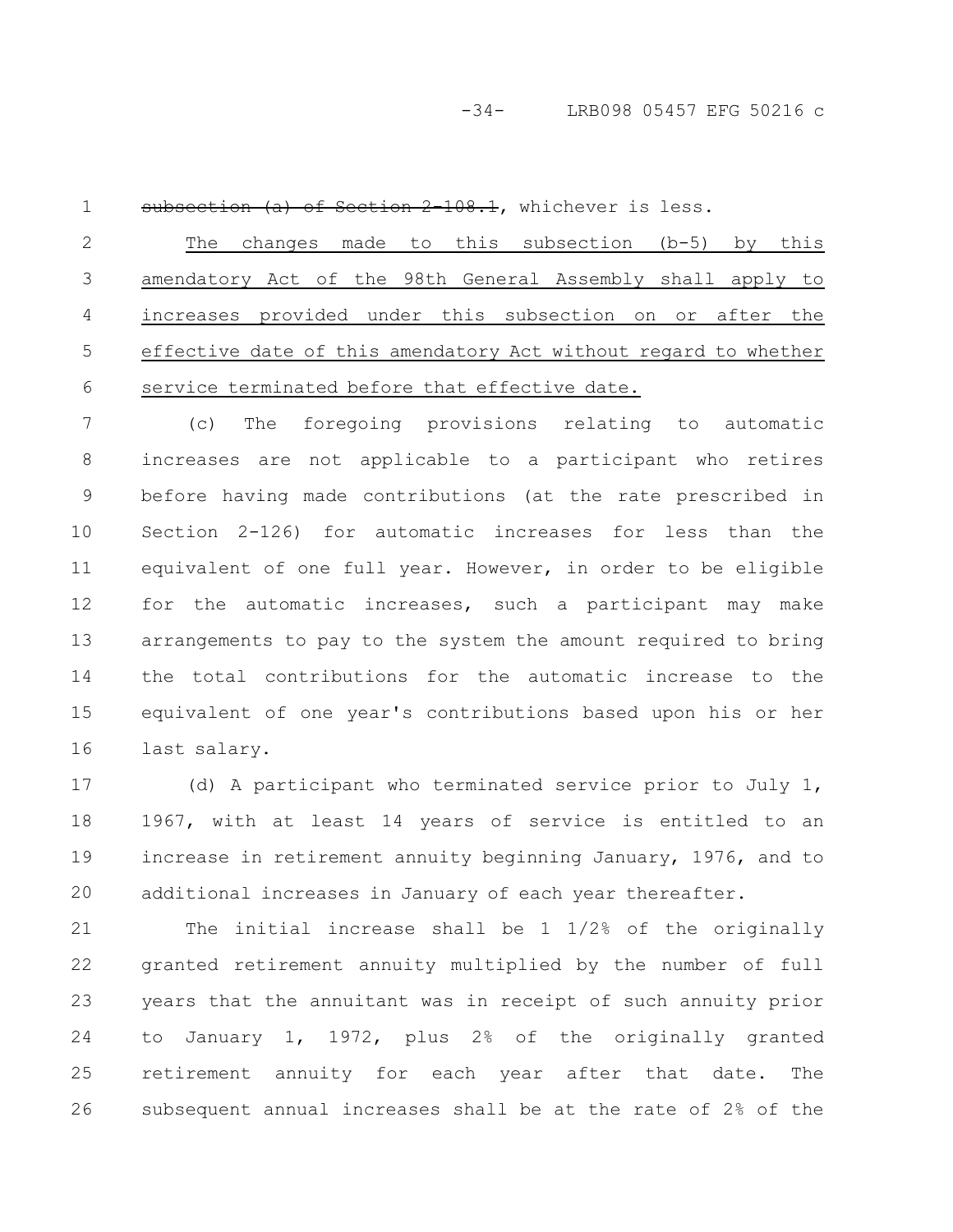1

subsection (a) of Section 2-108.1, whichever is less.

The changes made to this subsection (b-5) by this amendatory Act of the 98th General Assembly shall apply to increases provided under this subsection on or after the effective date of this amendatory Act without regard to whether service terminated before that effective date. 2 3 4 5 6

(c) The foregoing provisions relating to automatic increases are not applicable to a participant who retires before having made contributions (at the rate prescribed in Section 2-126) for automatic increases for less than the equivalent of one full year. However, in order to be eligible for the automatic increases, such a participant may make arrangements to pay to the system the amount required to bring the total contributions for the automatic increase to the equivalent of one year's contributions based upon his or her last salary. 7 8 9 10 11 12 13 14 15 16

(d) A participant who terminated service prior to July 1, 1967, with at least 14 years of service is entitled to an increase in retirement annuity beginning January, 1976, and to additional increases in January of each year thereafter. 17 18 19 20

The initial increase shall be 1 1/2% of the originally granted retirement annuity multiplied by the number of full years that the annuitant was in receipt of such annuity prior to January 1, 1972, plus 2% of the originally granted retirement annuity for each year after that date. The subsequent annual increases shall be at the rate of 2% of the 21 22 23 24 25 26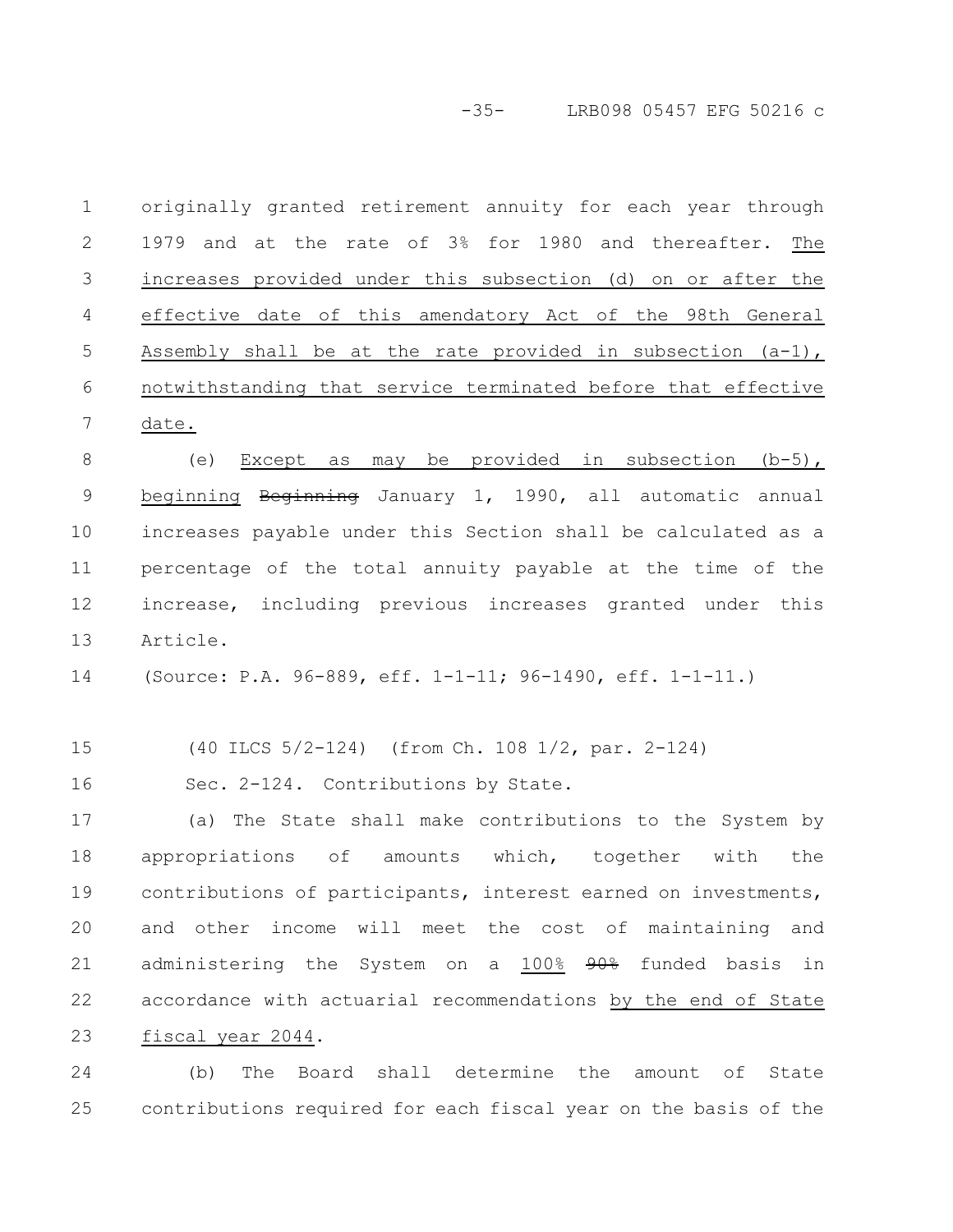-35- LRB098 05457 EFG 50216 c

originally granted retirement annuity for each year through 1979 and at the rate of 3% for 1980 and thereafter. The increases provided under this subsection (d) on or after the effective date of this amendatory Act of the 98th General Assembly shall be at the rate provided in subsection  $(a-1)$ , notwithstanding that service terminated before that effective date. 1 2 3 4 5 6 7

(e) Except as may be provided in subsection  $(b-5)$ , beginning Beginning January 1, 1990, all automatic annual increases payable under this Section shall be calculated as a percentage of the total annuity payable at the time of the increase, including previous increases granted under this Article. 8 9 10 11 12 13

(Source: P.A. 96-889, eff. 1-1-11; 96-1490, eff. 1-1-11.) 14

(40 ILCS 5/2-124) (from Ch. 108 1/2, par. 2-124) 15

Sec. 2-124. Contributions by State. 16

(a) The State shall make contributions to the System by appropriations of amounts which, together with the contributions of participants, interest earned on investments, and other income will meet the cost of maintaining and administering the System on a 100% 90% funded basis in accordance with actuarial recommendations by the end of State fiscal year 2044. 17 18 19 20 21 22 23

(b) The Board shall determine the amount of State contributions required for each fiscal year on the basis of the 24 25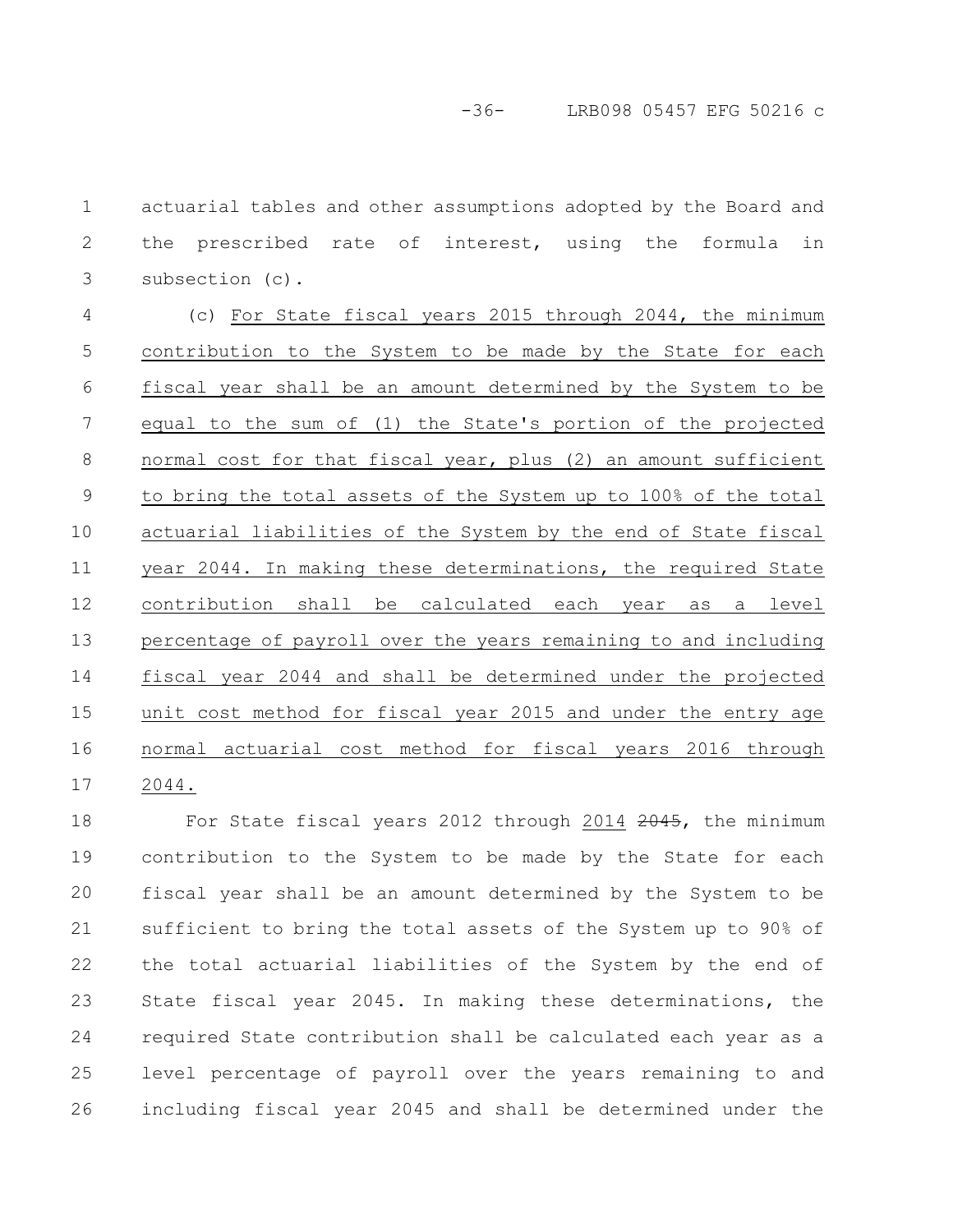actuarial tables and other assumptions adopted by the Board and the prescribed rate of interest, using the formula in subsection (c). 1 2 3

(c) For State fiscal years 2015 through 2044, the minimum contribution to the System to be made by the State for each fiscal year shall be an amount determined by the System to be equal to the sum of (1) the State's portion of the projected normal cost for that fiscal year, plus (2) an amount sufficient to bring the total assets of the System up to 100% of the total actuarial liabilities of the System by the end of State fiscal year 2044. In making these determinations, the required State contribution shall be calculated each year as a level percentage of payroll over the years remaining to and including fiscal year 2044 and shall be determined under the projected unit cost method for fiscal year 2015 and under the entry age normal actuarial cost method for fiscal years 2016 through 2044. 4 5 6 7 8 9 10 11 12 13 14 15 16 17

For State fiscal years 2012 through 2014 2045, the minimum contribution to the System to be made by the State for each fiscal year shall be an amount determined by the System to be sufficient to bring the total assets of the System up to 90% of the total actuarial liabilities of the System by the end of State fiscal year 2045. In making these determinations, the required State contribution shall be calculated each year as a level percentage of payroll over the years remaining to and including fiscal year 2045 and shall be determined under the 18 19 20 21 22 23 24 25 26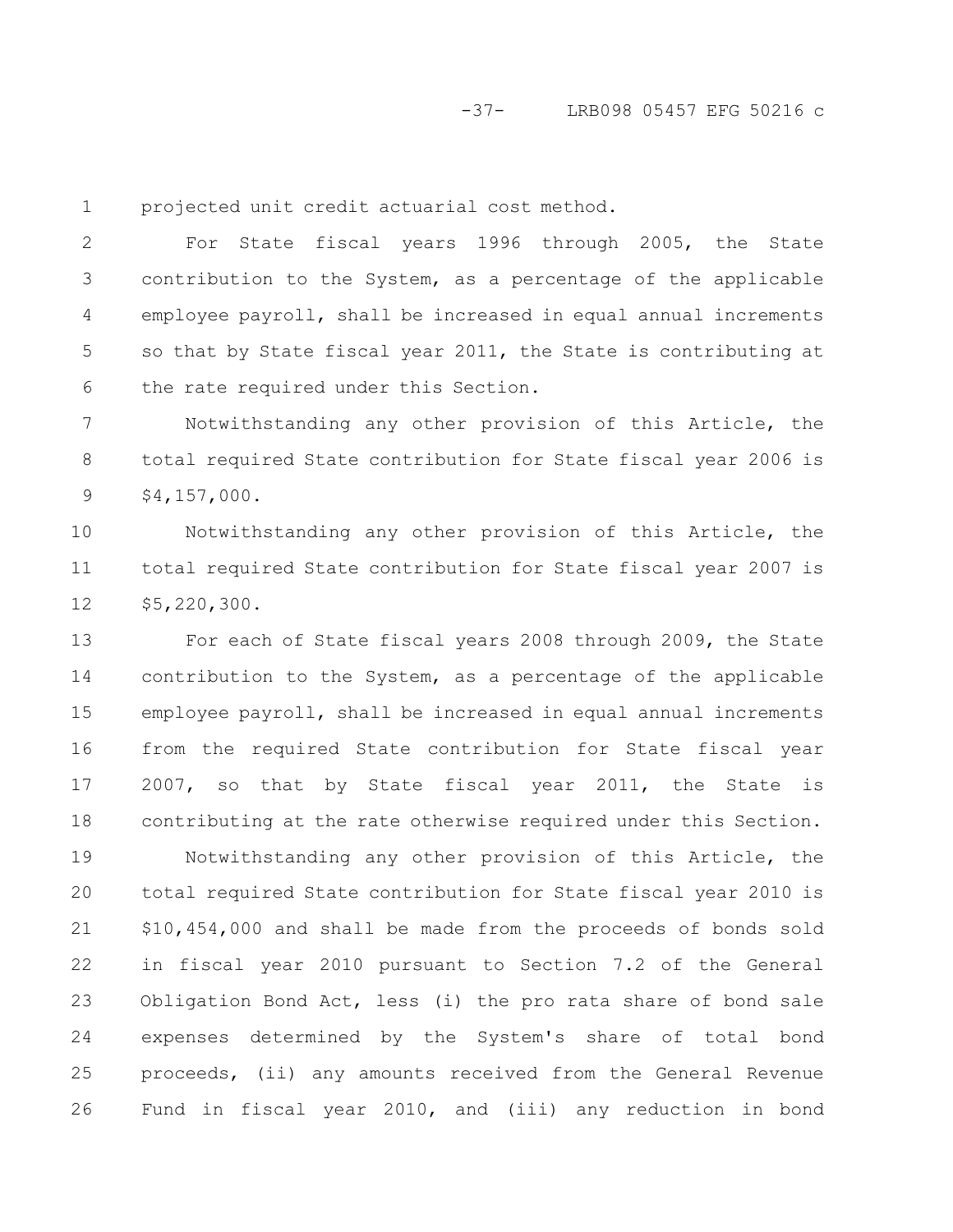1

projected unit credit actuarial cost method.

For State fiscal years 1996 through 2005, the State contribution to the System, as a percentage of the applicable employee payroll, shall be increased in equal annual increments so that by State fiscal year 2011, the State is contributing at the rate required under this Section. 2 3 4 5 6

Notwithstanding any other provision of this Article, the total required State contribution for State fiscal year 2006 is \$4,157,000. 7 8 9

Notwithstanding any other provision of this Article, the total required State contribution for State fiscal year 2007 is \$5,220,300. 10 11 12

For each of State fiscal years 2008 through 2009, the State contribution to the System, as a percentage of the applicable employee payroll, shall be increased in equal annual increments from the required State contribution for State fiscal year 2007, so that by State fiscal year 2011, the State is contributing at the rate otherwise required under this Section. 13 14 15 16 17 18

Notwithstanding any other provision of this Article, the total required State contribution for State fiscal year 2010 is \$10,454,000 and shall be made from the proceeds of bonds sold in fiscal year 2010 pursuant to Section 7.2 of the General Obligation Bond Act, less (i) the pro rata share of bond sale expenses determined by the System's share of total bond proceeds, (ii) any amounts received from the General Revenue Fund in fiscal year 2010, and (iii) any reduction in bond 19 20 21 22 23 24 25 26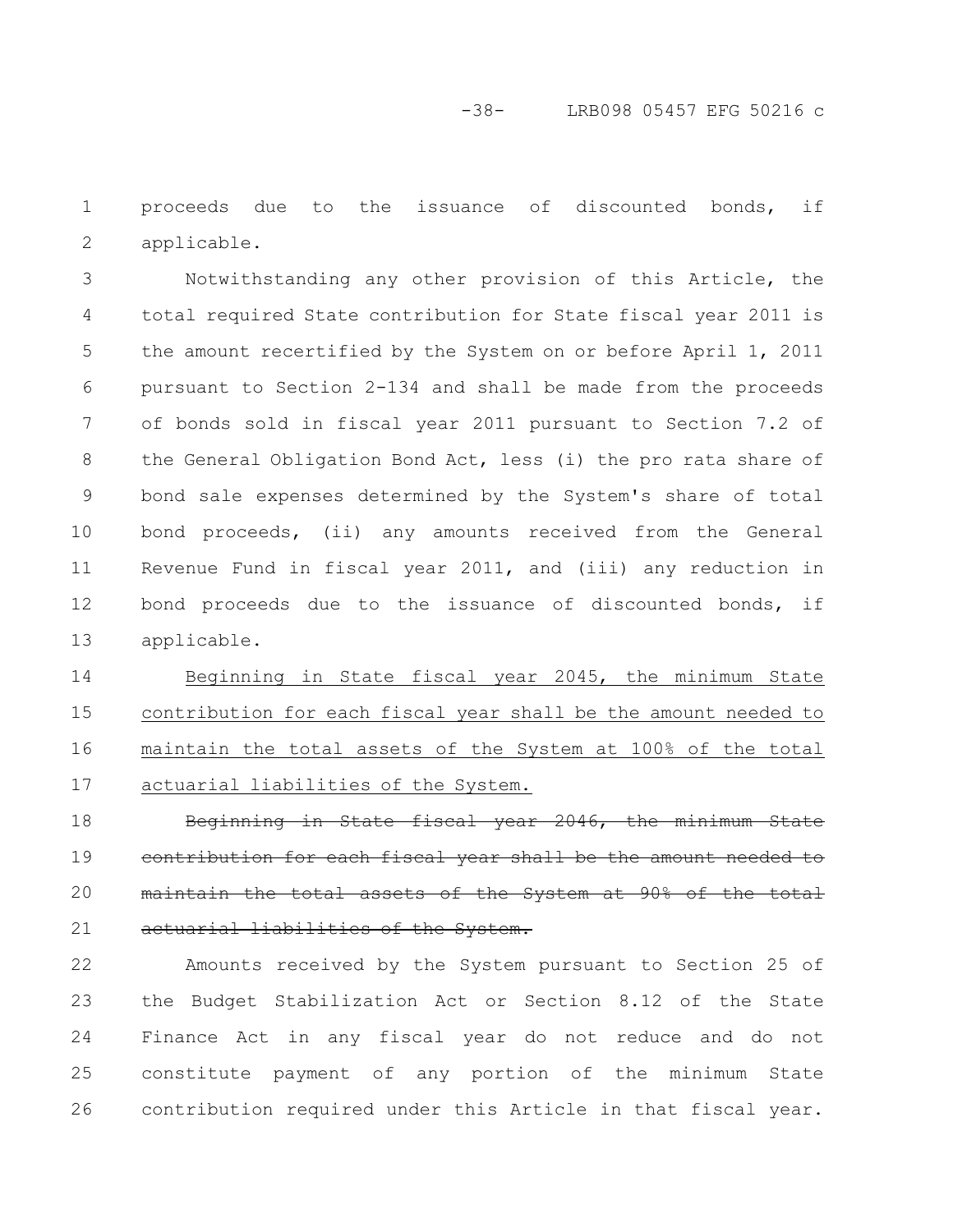proceeds due to the issuance of discounted bonds, if applicable. 1 2

Notwithstanding any other provision of this Article, the total required State contribution for State fiscal year 2011 is the amount recertified by the System on or before April 1, 2011 pursuant to Section 2-134 and shall be made from the proceeds of bonds sold in fiscal year 2011 pursuant to Section 7.2 of the General Obligation Bond Act, less (i) the pro rata share of bond sale expenses determined by the System's share of total bond proceeds, (ii) any amounts received from the General Revenue Fund in fiscal year 2011, and (iii) any reduction in bond proceeds due to the issuance of discounted bonds, if applicable. 3 4 5 6 7 8 9 10 11 12 13

Beginning in State fiscal year 2045, the minimum State contribution for each fiscal year shall be the amount needed to maintain the total assets of the System at 100% of the total actuarial liabilities of the System. 14 15 16 17

Beginning in State fiscal year 2046, the minimum State contribution for each fiscal year shall be the amount maintain the total assets of the System at 90% actuarial liabilities of the System. 18 19 20 21

Amounts received by the System pursuant to Section 25 of the Budget Stabilization Act or Section 8.12 of the State Finance Act in any fiscal year do not reduce and do not constitute payment of any portion of the minimum State contribution required under this Article in that fiscal year. 22 23 24 25 26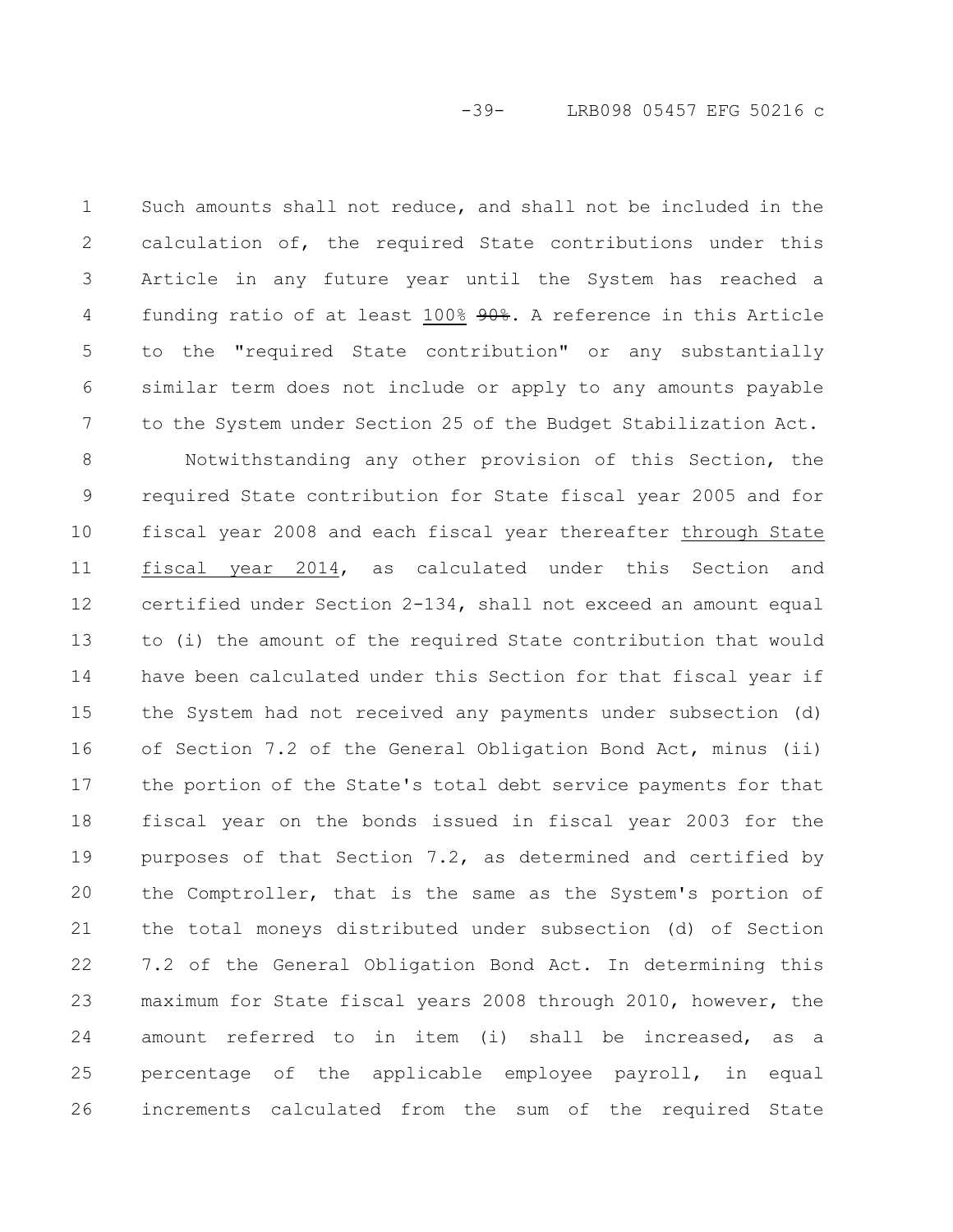Such amounts shall not reduce, and shall not be included in the calculation of, the required State contributions under this Article in any future year until the System has reached a funding ratio of at least 100% 90%. A reference in this Article to the "required State contribution" or any substantially similar term does not include or apply to any amounts payable to the System under Section 25 of the Budget Stabilization Act. 1 2 3 4 5 6 7

Notwithstanding any other provision of this Section, the required State contribution for State fiscal year 2005 and for fiscal year 2008 and each fiscal year thereafter through State fiscal year 2014, as calculated under this Section and certified under Section 2-134, shall not exceed an amount equal to (i) the amount of the required State contribution that would have been calculated under this Section for that fiscal year if the System had not received any payments under subsection (d) of Section 7.2 of the General Obligation Bond Act, minus (ii) the portion of the State's total debt service payments for that fiscal year on the bonds issued in fiscal year 2003 for the purposes of that Section 7.2, as determined and certified by the Comptroller, that is the same as the System's portion of the total moneys distributed under subsection (d) of Section 7.2 of the General Obligation Bond Act. In determining this maximum for State fiscal years 2008 through 2010, however, the amount referred to in item (i) shall be increased, as a percentage of the applicable employee payroll, in equal increments calculated from the sum of the required State 8 9 10 11 12 13 14 15 16 17 18 19 20 21 22 23 24 25 26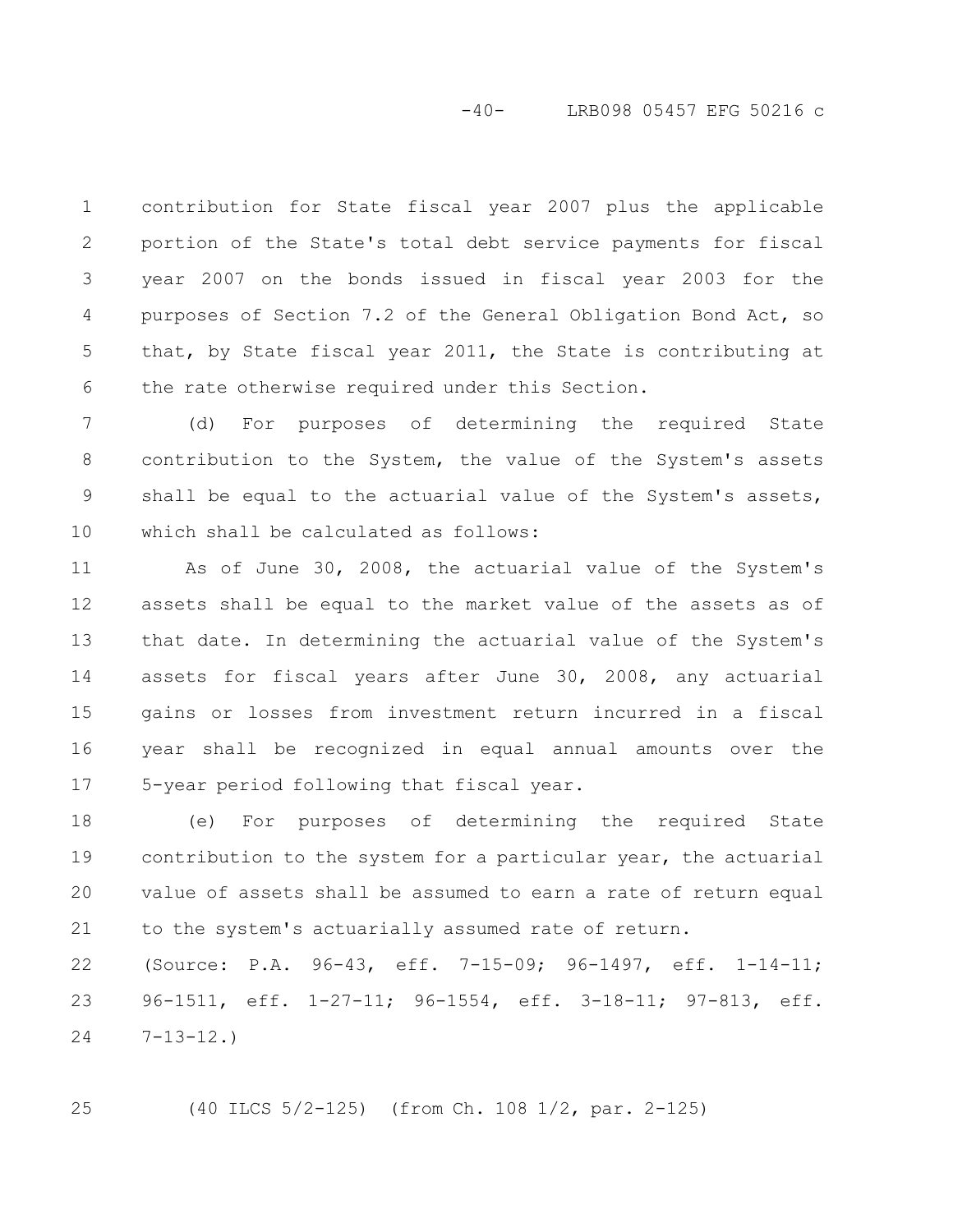-40- LRB098 05457 EFG 50216 c

contribution for State fiscal year 2007 plus the applicable portion of the State's total debt service payments for fiscal year 2007 on the bonds issued in fiscal year 2003 for the purposes of Section 7.2 of the General Obligation Bond Act, so that, by State fiscal year 2011, the State is contributing at the rate otherwise required under this Section. 1 2 3 4 5 6

(d) For purposes of determining the required State contribution to the System, the value of the System's assets shall be equal to the actuarial value of the System's assets, which shall be calculated as follows: 7 8 9 10

As of June 30, 2008, the actuarial value of the System's assets shall be equal to the market value of the assets as of that date. In determining the actuarial value of the System's assets for fiscal years after June 30, 2008, any actuarial gains or losses from investment return incurred in a fiscal year shall be recognized in equal annual amounts over the 5-year period following that fiscal year. 11 12 13 14 15 16 17

(e) For purposes of determining the required State contribution to the system for a particular year, the actuarial value of assets shall be assumed to earn a rate of return equal to the system's actuarially assumed rate of return. 18 19 20 21

(Source: P.A. 96-43, eff. 7-15-09; 96-1497, eff. 1-14-11; 96-1511, eff. 1-27-11; 96-1554, eff. 3-18-11; 97-813, eff.  $7 - 13 - 12.$ 22 23 24

25

(40 ILCS 5/2-125) (from Ch. 108 1/2, par. 2-125)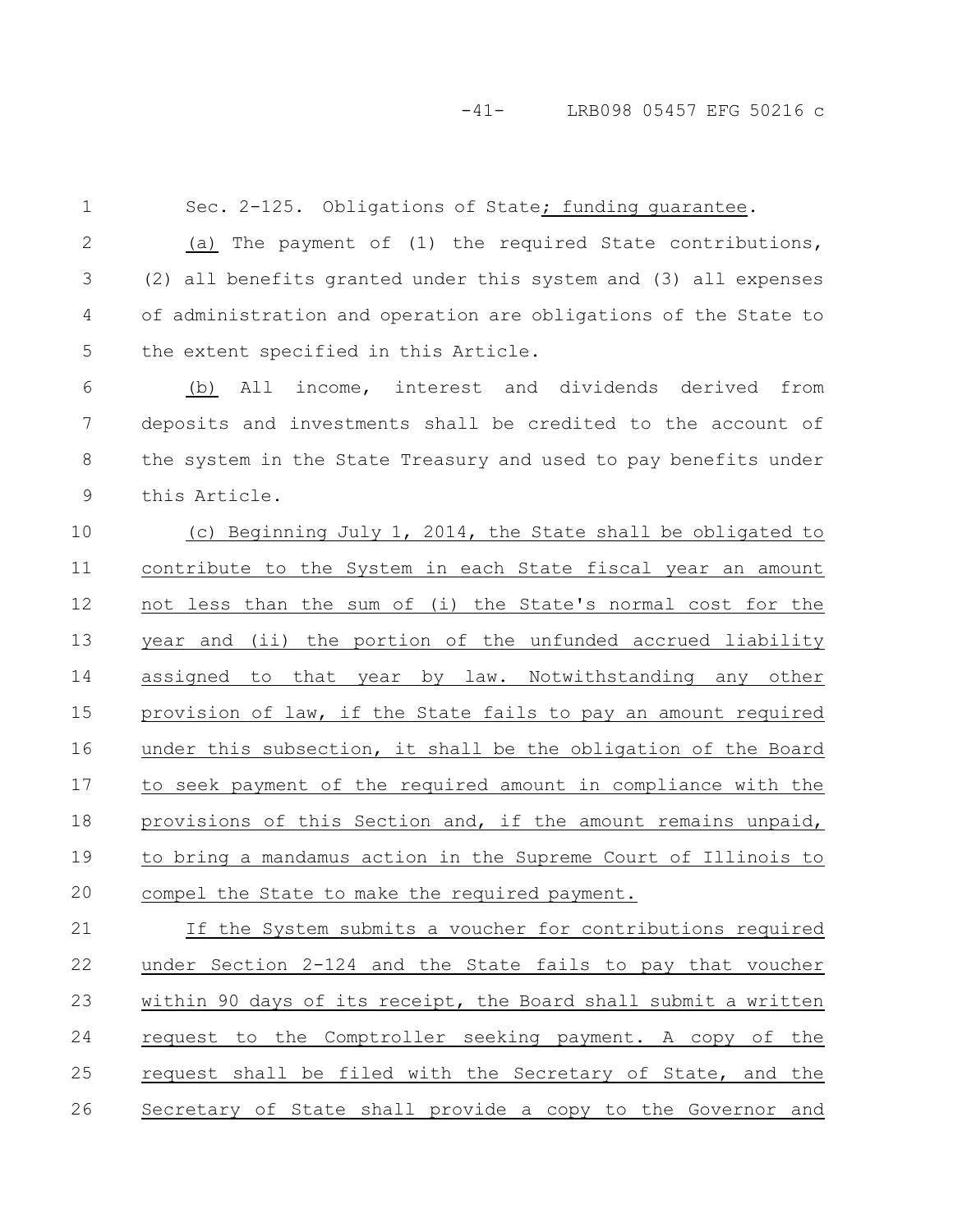## -41- LRB098 05457 EFG 50216 c

1

Sec. 2-125. Obligations of State; funding quarantee.

(a) The payment of (1) the required State contributions, (2) all benefits granted under this system and (3) all expenses of administration and operation are obligations of the State to the extent specified in this Article. 2 3 4 5

(b) All income, interest and dividends derived from deposits and investments shall be credited to the account of the system in the State Treasury and used to pay benefits under this Article. 6 7 8 9

(c) Beginning July 1, 2014, the State shall be obligated to contribute to the System in each State fiscal year an amount not less than the sum of (i) the State's normal cost for the year and (ii) the portion of the unfunded accrued liability assigned to that year by law. Notwithstanding any other provision of law, if the State fails to pay an amount required under this subsection, it shall be the obligation of the Board to seek payment of the required amount in compliance with the provisions of this Section and, if the amount remains unpaid, to bring a mandamus action in the Supreme Court of Illinois to compel the State to make the required payment. 10 11 12 13 14 15 16 17 18 19 20

If the System submits a voucher for contributions required under Section 2-124 and the State fails to pay that voucher within 90 days of its receipt, the Board shall submit a written request to the Comptroller seeking payment. A copy of the request shall be filed with the Secretary of State, and the Secretary of State shall provide a copy to the Governor and 21 22 23 24 25 26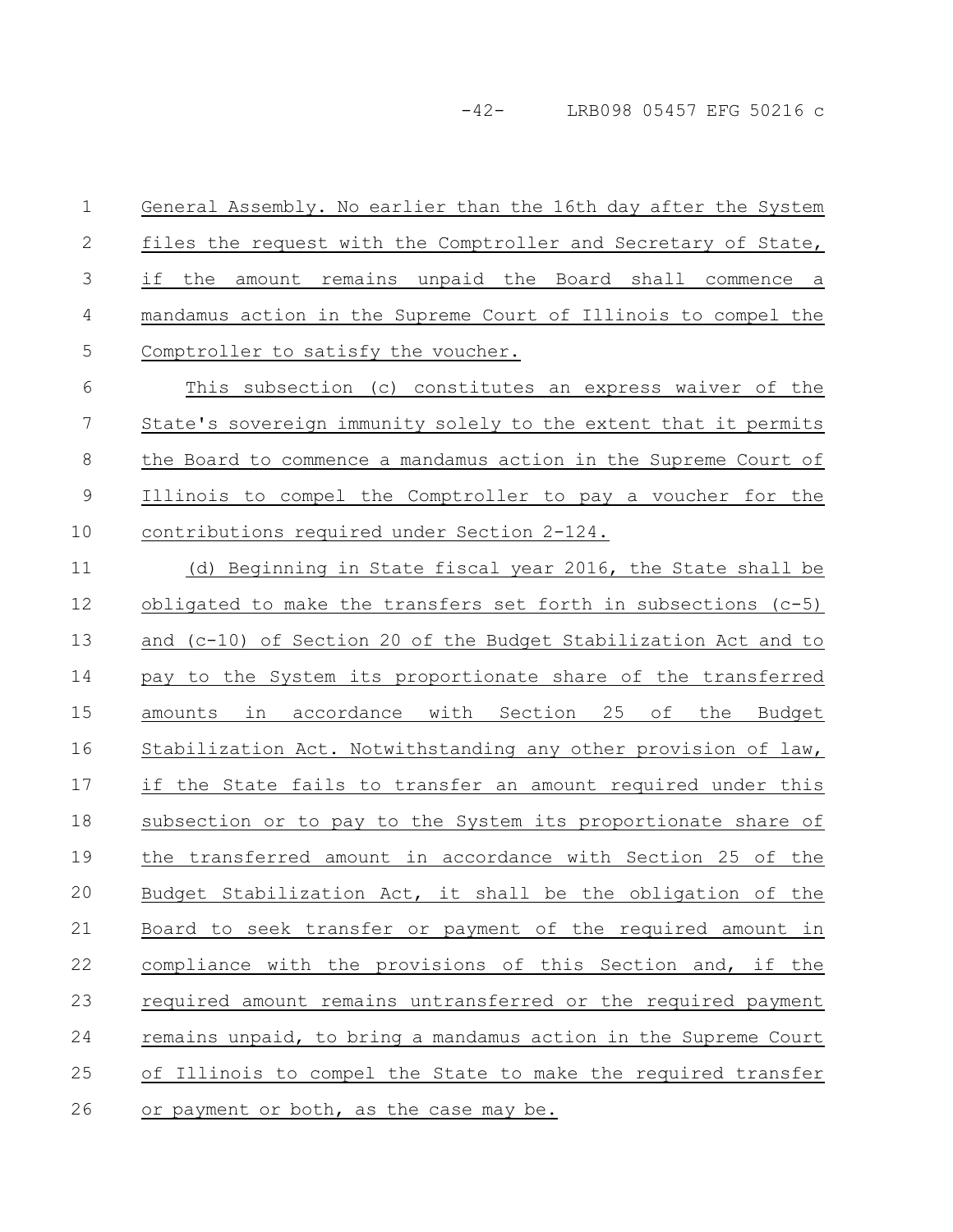-42- LRB098 05457 EFG 50216 c

General Assembly. No earlier than the 16th day after the System files the request with the Comptroller and Secretary of State, if the amount remains unpaid the Board shall commence a mandamus action in the Supreme Court of Illinois to compel the Comptroller to satisfy the voucher. 1 2 3 4 5

This subsection (c) constitutes an express waiver of the State's sovereign immunity solely to the extent that it permits the Board to commence a mandamus action in the Supreme Court of Illinois to compel the Comptroller to pay a voucher for the contributions required under Section 2-124. 6 7 8 9 10

(d) Beginning in State fiscal year 2016, the State shall be obligated to make the transfers set forth in subsections (c-5) and (c-10) of Section 20 of the Budget Stabilization Act and to pay to the System its proportionate share of the transferred amounts in accordance with Section 25 of the Budget Stabilization Act. Notwithstanding any other provision of law, if the State fails to transfer an amount required under this subsection or to pay to the System its proportionate share of the transferred amount in accordance with Section 25 of the Budget Stabilization Act, it shall be the obligation of the Board to seek transfer or payment of the required amount in compliance with the provisions of this Section and, if the required amount remains untransferred or the required payment remains unpaid, to bring a mandamus action in the Supreme Court of Illinois to compel the State to make the required transfer or payment or both, as the case may be. 11 12 13 14 15 16 17 18 19 20 21 22 23 24 25 26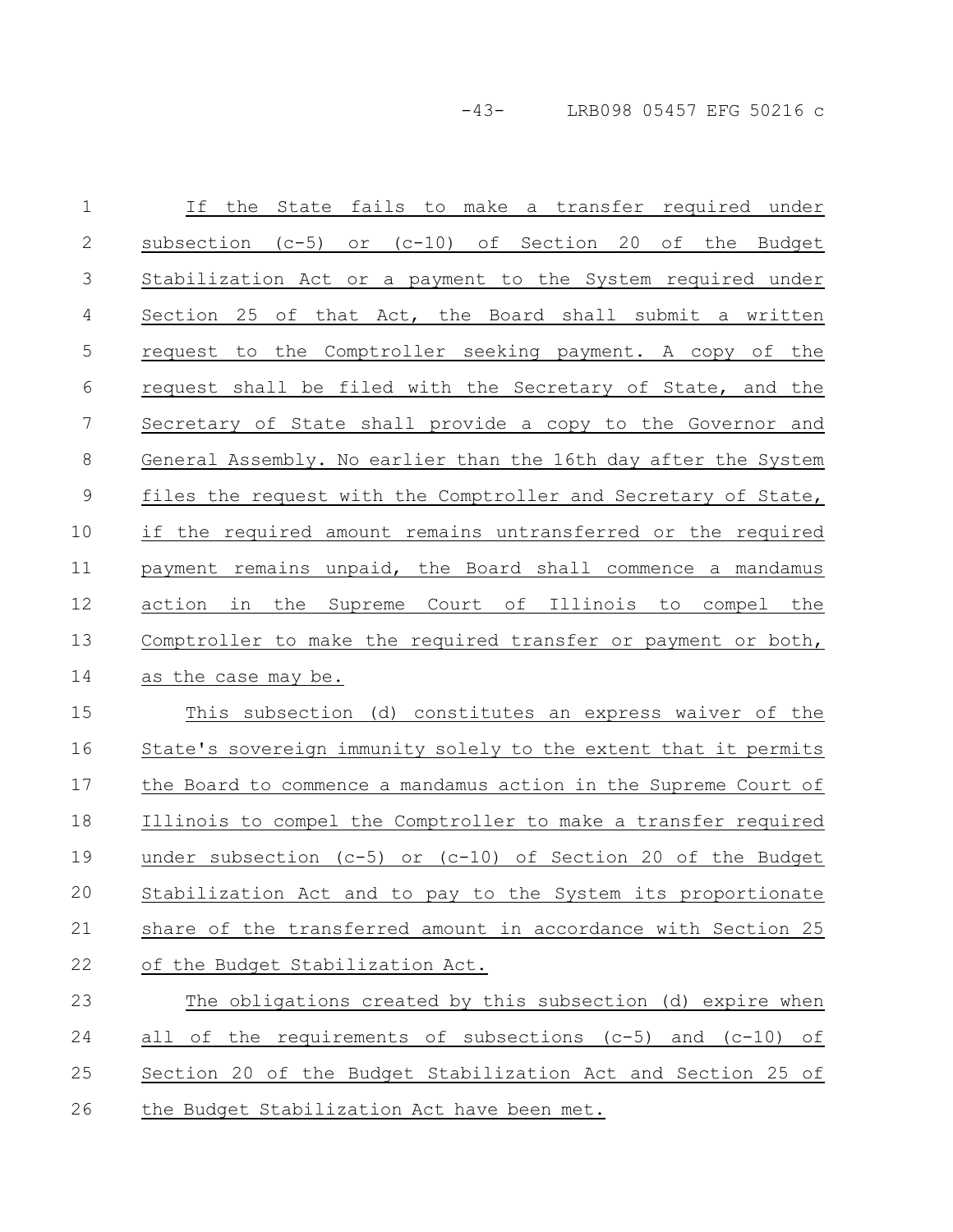-43- LRB098 05457 EFG 50216 c

If the State fails to make a transfer required under subsection (c-5) or (c-10) of Section 20 of the Budget Stabilization Act or a payment to the System required under Section 25 of that Act, the Board shall submit a written request to the Comptroller seeking payment. A copy of the request shall be filed with the Secretary of State, and the Secretary of State shall provide a copy to the Governor and General Assembly. No earlier than the 16th day after the System files the request with the Comptroller and Secretary of State, if the required amount remains untransferred or the required payment remains unpaid, the Board shall commence a mandamus action in the Supreme Court of Illinois to compel the Comptroller to make the required transfer or payment or both, as the case may be. This subsection (d) constitutes an express waiver of the State's sovereign immunity solely to the extent that it permits the Board to commence a mandamus action in the Supreme Court of Illinois to compel the Comptroller to make a transfer required under subsection (c-5) or (c-10) of Section 20 of the Budget Stabilization Act and to pay to the System its proportionate share of the transferred amount in accordance with Section 25 of the Budget Stabilization Act. The obligations created by this subsection (d) expire when all of the requirements of subsections (c-5) and (c-10) of Section 20 of the Budget Stabilization Act and Section 25 of the Budget Stabilization Act have been met. 1 2 3 4 5 6 7 8 9 10 11 12 13 14 15 16 17 18 19 20 21 22 23 24 25 26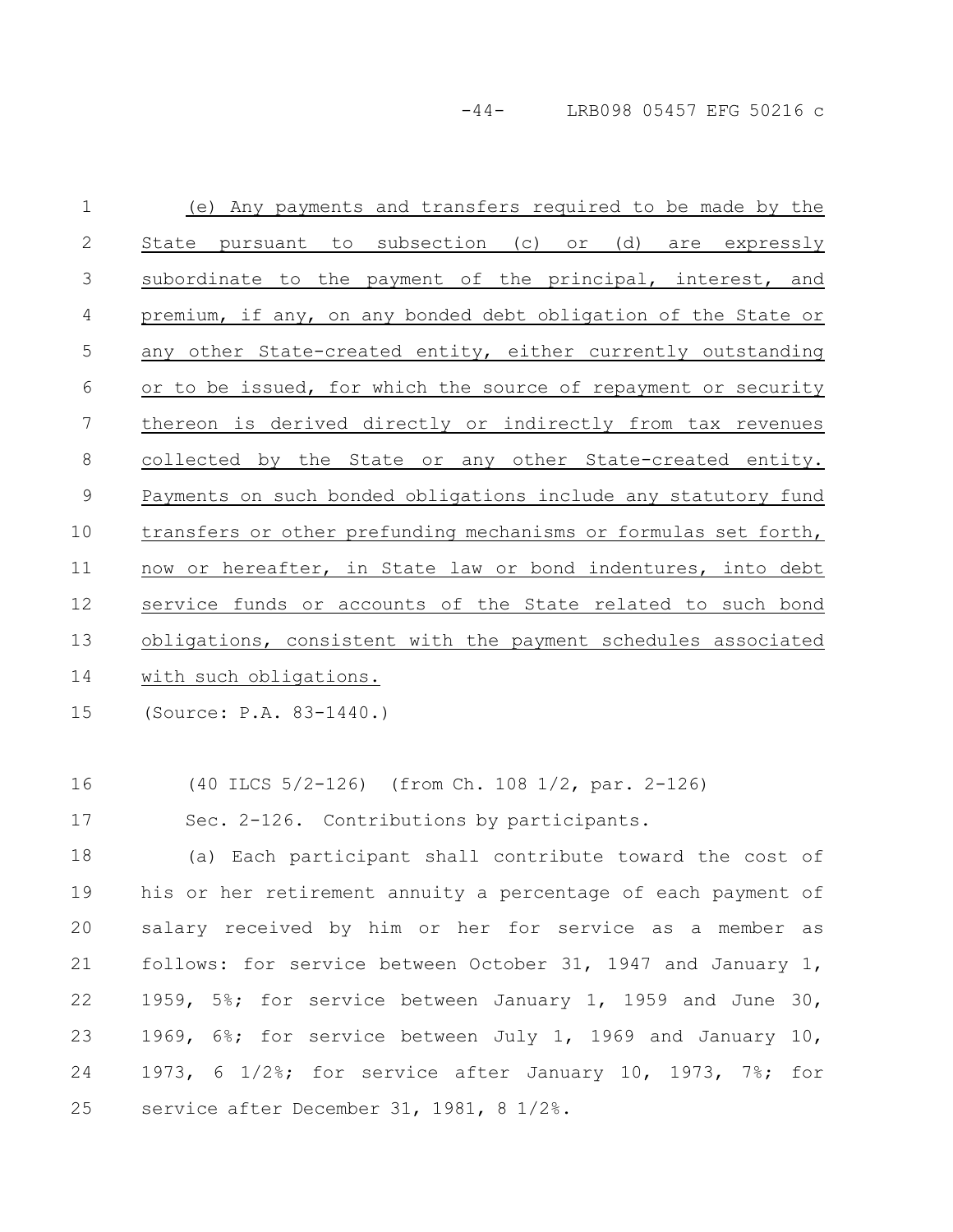-44- LRB098 05457 EFG 50216 c

(e) Any payments and transfers required to be made by the State pursuant to subsection (c) or (d) are expressly subordinate to the payment of the principal, interest, and premium, if any, on any bonded debt obligation of the State or any other State-created entity, either currently outstanding or to be issued, for which the source of repayment or security thereon is derived directly or indirectly from tax revenues collected by the State or any other State-created entity. Payments on such bonded obligations include any statutory fund transfers or other prefunding mechanisms or formulas set forth, now or hereafter, in State law or bond indentures, into debt service funds or accounts of the State related to such bond obligations, consistent with the payment schedules associated with such obligations. 1 2 3 4 5 6 7 8 9 10 11 12 13 14

(Source: P.A. 83-1440.) 15

(40 ILCS 5/2-126) (from Ch. 108 1/2, par. 2-126) 16

Sec. 2-126. Contributions by participants. 17

(a) Each participant shall contribute toward the cost of his or her retirement annuity a percentage of each payment of salary received by him or her for service as a member as follows: for service between October 31, 1947 and January 1, 1959, 5%; for service between January 1, 1959 and June 30, 1969, 6%; for service between July 1, 1969 and January 10, 1973, 6 1/2%; for service after January 10, 1973, 7%; for service after December 31, 1981, 8 1/2%. 18 19 20 21 22 23 24 25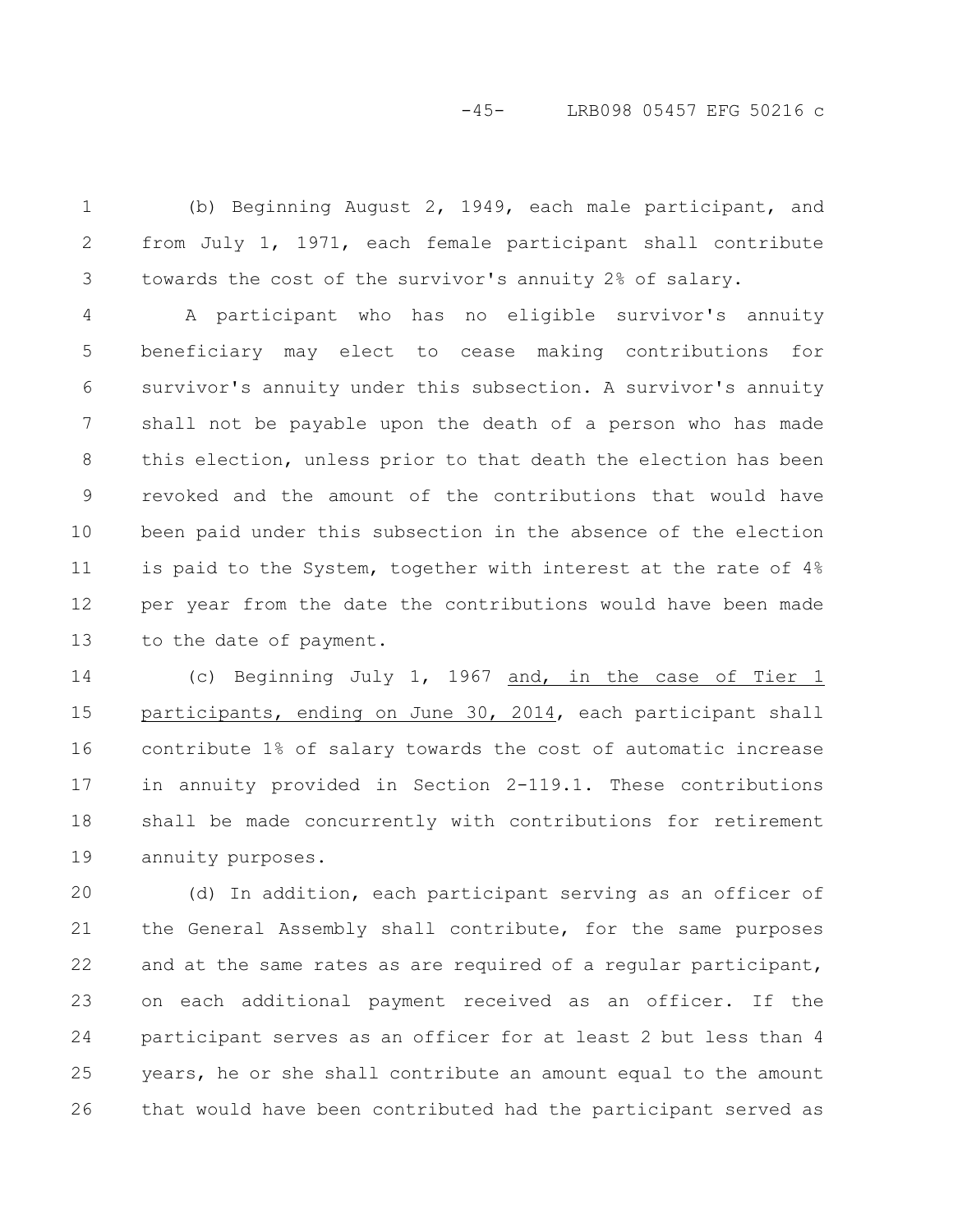(b) Beginning August 2, 1949, each male participant, and from July 1, 1971, each female participant shall contribute towards the cost of the survivor's annuity 2% of salary. 1 2 3

A participant who has no eligible survivor's annuity beneficiary may elect to cease making contributions for survivor's annuity under this subsection. A survivor's annuity shall not be payable upon the death of a person who has made this election, unless prior to that death the election has been revoked and the amount of the contributions that would have been paid under this subsection in the absence of the election is paid to the System, together with interest at the rate of 4% per year from the date the contributions would have been made to the date of payment. 4 5 6 7 8 9 10 11 12 13

(c) Beginning July 1, 1967 and, in the case of Tier 1 participants, ending on June 30, 2014, each participant shall contribute 1% of salary towards the cost of automatic increase in annuity provided in Section 2-119.1. These contributions shall be made concurrently with contributions for retirement annuity purposes. 14 15 16 17 18 19

(d) In addition, each participant serving as an officer of the General Assembly shall contribute, for the same purposes and at the same rates as are required of a regular participant, on each additional payment received as an officer. If the participant serves as an officer for at least 2 but less than 4 years, he or she shall contribute an amount equal to the amount that would have been contributed had the participant served as 20 21 22 23 24 25 26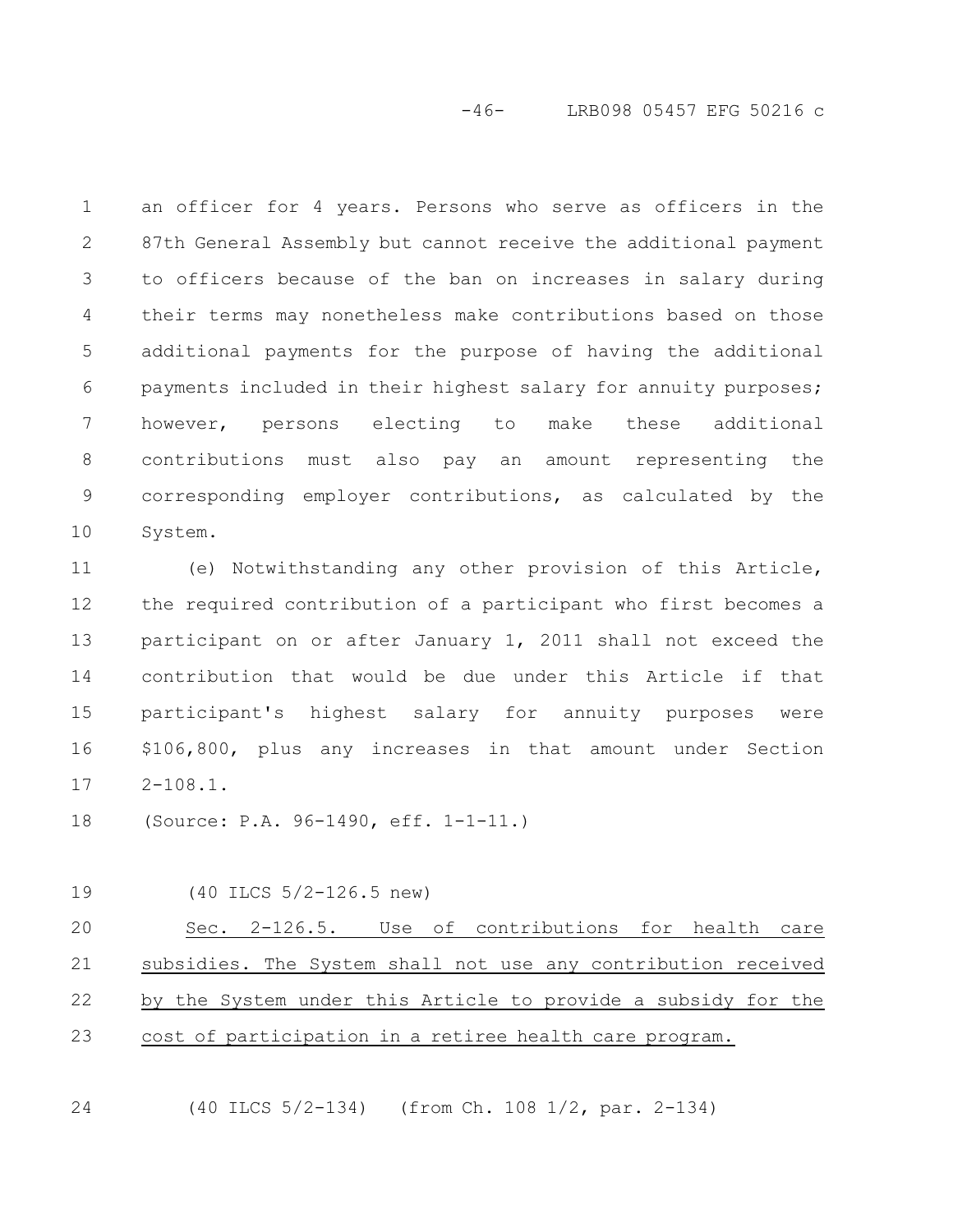-46- LRB098 05457 EFG 50216 c

an officer for 4 years. Persons who serve as officers in the 87th General Assembly but cannot receive the additional payment to officers because of the ban on increases in salary during their terms may nonetheless make contributions based on those additional payments for the purpose of having the additional payments included in their highest salary for annuity purposes; however, persons electing to make these additional contributions must also pay an amount representing the corresponding employer contributions, as calculated by the System. 1 2 3 4 5 6 7 8 9 10

(e) Notwithstanding any other provision of this Article, the required contribution of a participant who first becomes a participant on or after January 1, 2011 shall not exceed the contribution that would be due under this Article if that participant's highest salary for annuity purposes were \$106,800, plus any increases in that amount under Section  $2 - 108.1$ . 11 12 13 14 15 16 17

(Source: P.A. 96-1490, eff. 1-1-11.) 18

(40 ILCS 5/2-126.5 new) 19

Sec. 2-126.5. Use of contributions for health care subsidies. The System shall not use any contribution received by the System under this Article to provide a subsidy for the cost of participation in a retiree health care program. 20 21 22 23

(40 ILCS 5/2-134) (from Ch. 108 1/2, par. 2-134) 24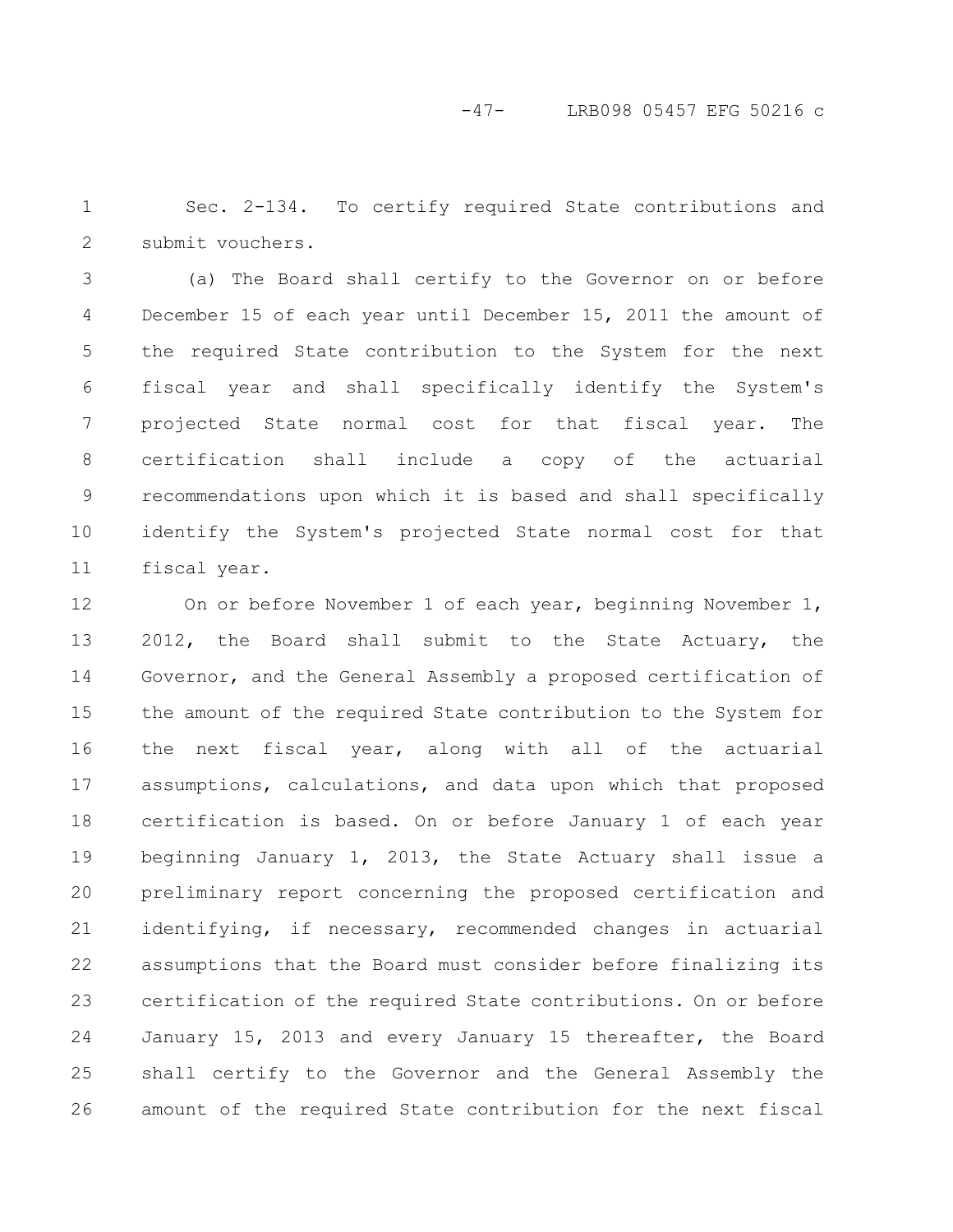-47- LRB098 05457 EFG 50216 c

Sec. 2-134. To certify required State contributions and submit vouchers. 1 2

(a) The Board shall certify to the Governor on or before December 15 of each year until December 15, 2011 the amount of the required State contribution to the System for the next fiscal year and shall specifically identify the System's projected State normal cost for that fiscal year. The certification shall include a copy of the actuarial recommendations upon which it is based and shall specifically identify the System's projected State normal cost for that fiscal year. 3 4 5 6 7 8 9 10 11

On or before November 1 of each year, beginning November 1, 2012, the Board shall submit to the State Actuary, the Governor, and the General Assembly a proposed certification of the amount of the required State contribution to the System for the next fiscal year, along with all of the actuarial assumptions, calculations, and data upon which that proposed certification is based. On or before January 1 of each year beginning January 1, 2013, the State Actuary shall issue a preliminary report concerning the proposed certification and identifying, if necessary, recommended changes in actuarial assumptions that the Board must consider before finalizing its certification of the required State contributions. On or before January 15, 2013 and every January 15 thereafter, the Board shall certify to the Governor and the General Assembly the amount of the required State contribution for the next fiscal 12 13 14 15 16 17 18 19 20 21 22 23 24 25 26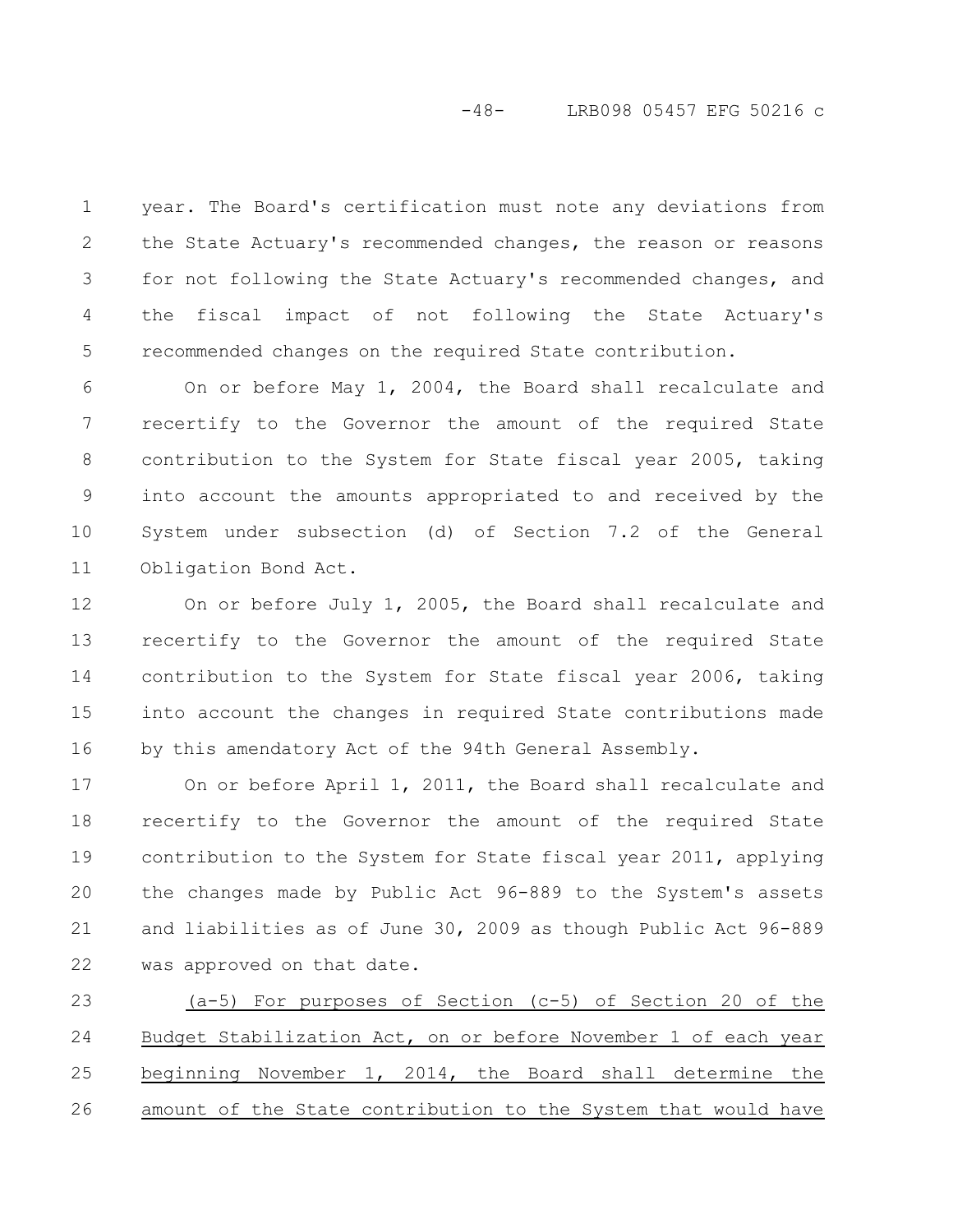year. The Board's certification must note any deviations from the State Actuary's recommended changes, the reason or reasons for not following the State Actuary's recommended changes, and the fiscal impact of not following the State Actuary's recommended changes on the required State contribution. 1 2 3 4 5

On or before May 1, 2004, the Board shall recalculate and recertify to the Governor the amount of the required State contribution to the System for State fiscal year 2005, taking into account the amounts appropriated to and received by the System under subsection (d) of Section 7.2 of the General Obligation Bond Act. 6 7 8 9 10 11

On or before July 1, 2005, the Board shall recalculate and recertify to the Governor the amount of the required State contribution to the System for State fiscal year 2006, taking into account the changes in required State contributions made by this amendatory Act of the 94th General Assembly. 12 13 14 15 16

On or before April 1, 2011, the Board shall recalculate and recertify to the Governor the amount of the required State contribution to the System for State fiscal year 2011, applying the changes made by Public Act 96-889 to the System's assets and liabilities as of June 30, 2009 as though Public Act 96-889 was approved on that date. 17 18 19 20 21 22

(a-5) For purposes of Section (c-5) of Section 20 of the Budget Stabilization Act, on or before November 1 of each year beginning November 1, 2014, the Board shall determine the amount of the State contribution to the System that would have 23 24 25 26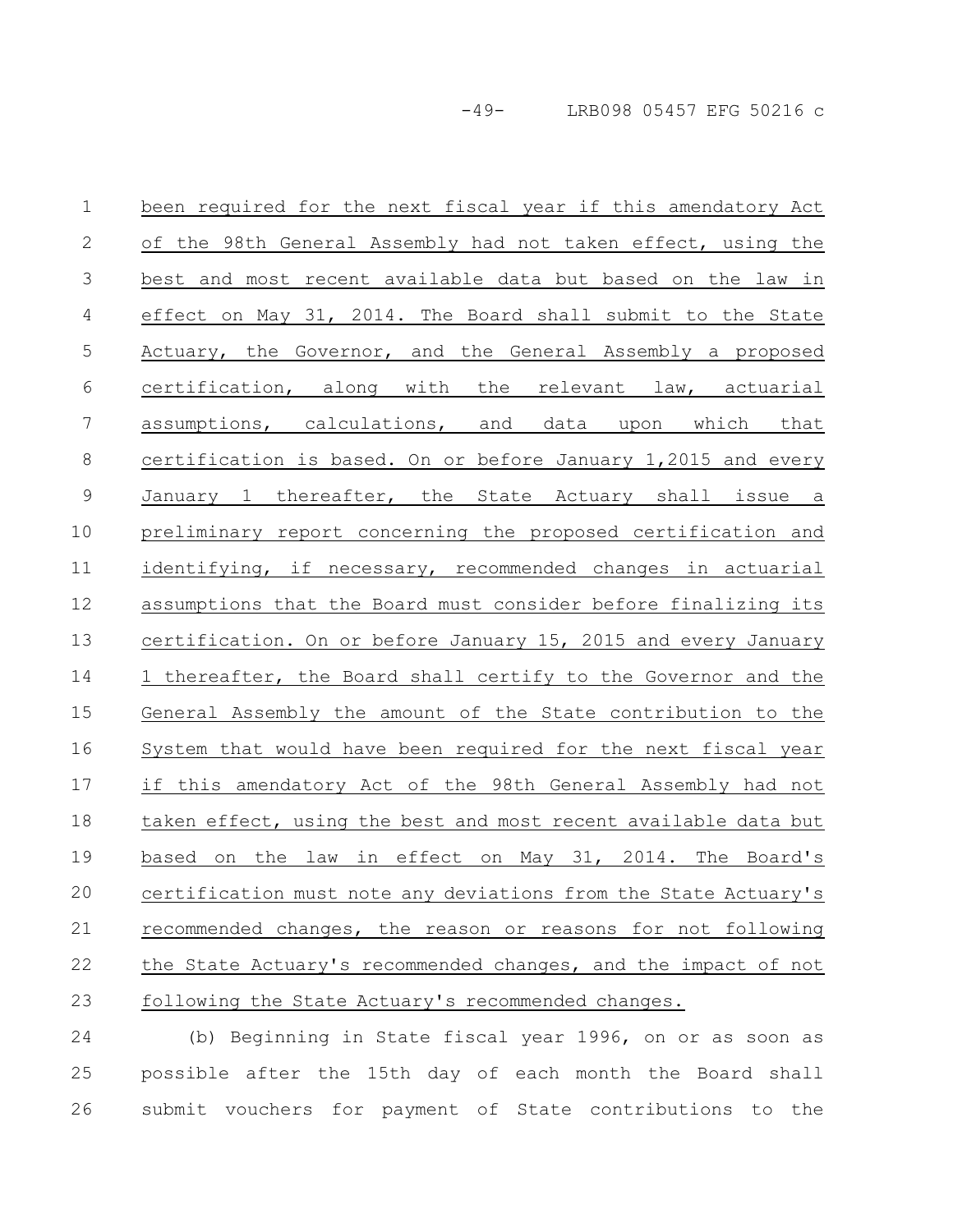-49- LRB098 05457 EFG 50216 c

been required for the next fiscal year if this amendatory Act of the 98th General Assembly had not taken effect, using the best and most recent available data but based on the law in effect on May 31, 2014. The Board shall submit to the State Actuary, the Governor, and the General Assembly a proposed certification, along with the relevant law, actuarial assumptions, calculations, and data upon which that certification is based. On or before January 1,2015 and every January 1 thereafter, the State Actuary shall issue a preliminary report concerning the proposed certification and identifying, if necessary, recommended changes in actuarial assumptions that the Board must consider before finalizing its certification. On or before January 15, 2015 and every January 1 thereafter, the Board shall certify to the Governor and the General Assembly the amount of the State contribution to the System that would have been required for the next fiscal year if this amendatory Act of the 98th General Assembly had not taken effect, using the best and most recent available data but based on the law in effect on May 31, 2014. The Board's certification must note any deviations from the State Actuary's recommended changes, the reason or reasons for not following the State Actuary's recommended changes, and the impact of not following the State Actuary's recommended changes. 1 2 3 4 5 6 7 8 9 10 11 12 13 14 15 16 17 18 19 20 21 22 23

(b) Beginning in State fiscal year 1996, on or as soon as possible after the 15th day of each month the Board shall submit vouchers for payment of State contributions to the 24 25 26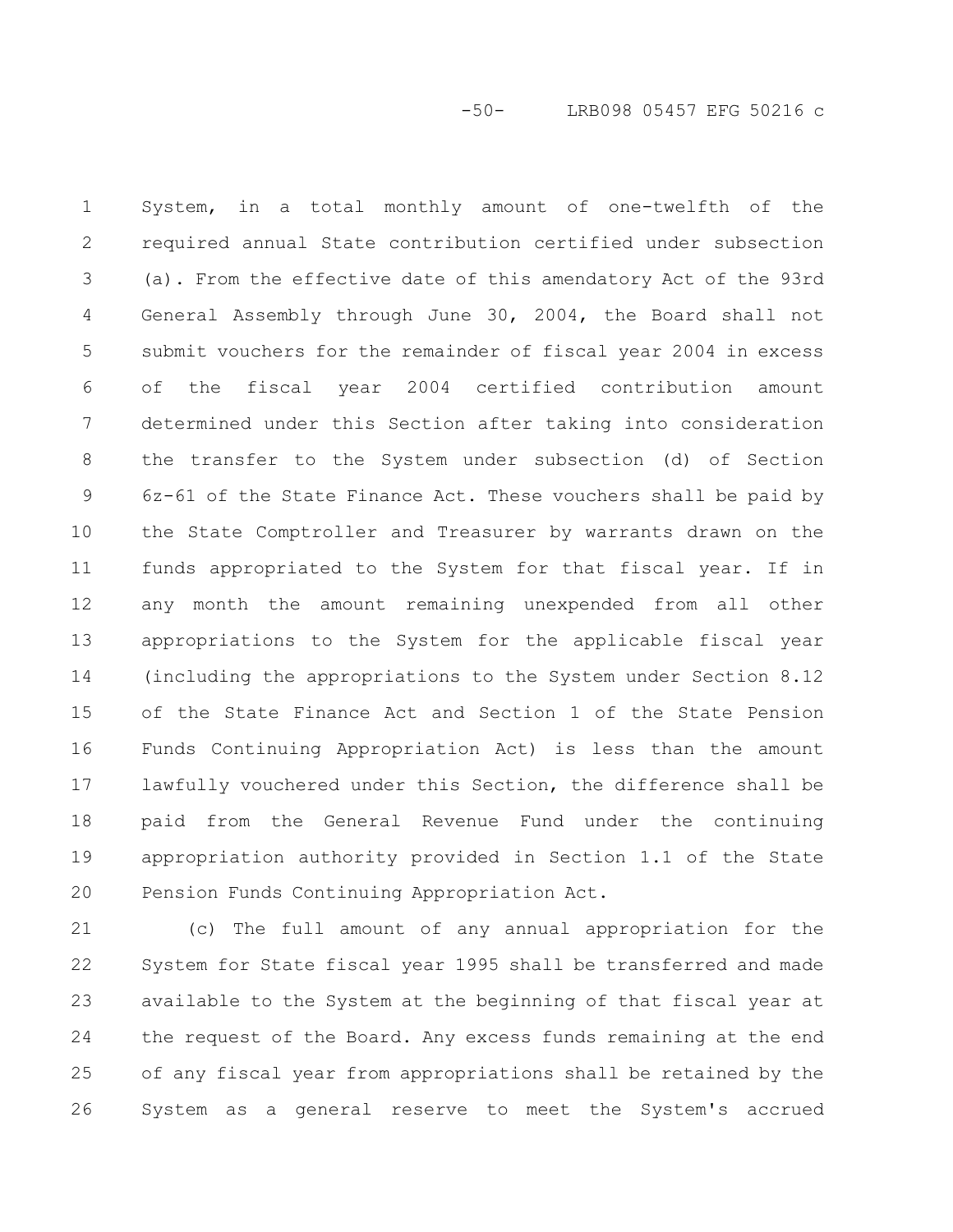System, in a total monthly amount of one-twelfth of the required annual State contribution certified under subsection (a). From the effective date of this amendatory Act of the 93rd General Assembly through June 30, 2004, the Board shall not submit vouchers for the remainder of fiscal year 2004 in excess of the fiscal year 2004 certified contribution amount determined under this Section after taking into consideration the transfer to the System under subsection (d) of Section 6z-61 of the State Finance Act. These vouchers shall be paid by the State Comptroller and Treasurer by warrants drawn on the funds appropriated to the System for that fiscal year. If in any month the amount remaining unexpended from all other appropriations to the System for the applicable fiscal year (including the appropriations to the System under Section 8.12 of the State Finance Act and Section 1 of the State Pension Funds Continuing Appropriation Act) is less than the amount lawfully vouchered under this Section, the difference shall be paid from the General Revenue Fund under the continuing appropriation authority provided in Section 1.1 of the State Pension Funds Continuing Appropriation Act. 1 2 3 4 5 6 7 8 9 10 11 12 13 14 15 16 17 18 19 20

(c) The full amount of any annual appropriation for the System for State fiscal year 1995 shall be transferred and made available to the System at the beginning of that fiscal year at the request of the Board. Any excess funds remaining at the end of any fiscal year from appropriations shall be retained by the System as a general reserve to meet the System's accrued 21 22 23 24 25 26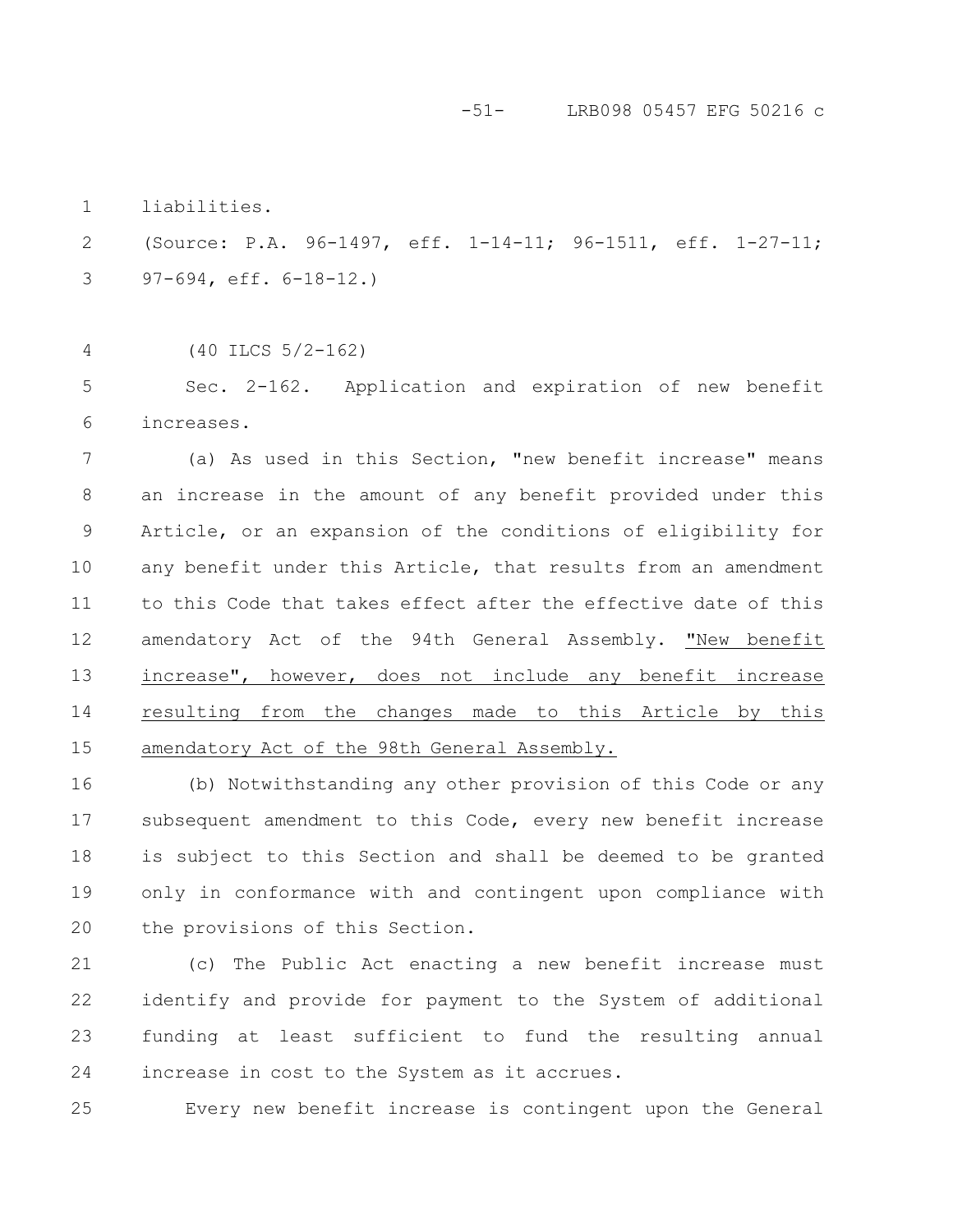-51- LRB098 05457 EFG 50216 c

liabilities. 1

(Source: P.A. 96-1497, eff. 1-14-11; 96-1511, eff. 1-27-11; 97-694, eff. 6-18-12.) 2 3

(40 ILCS 5/2-162) 4

Sec. 2-162. Application and expiration of new benefit increases. 5 6

(a) As used in this Section, "new benefit increase" means an increase in the amount of any benefit provided under this Article, or an expansion of the conditions of eligibility for any benefit under this Article, that results from an amendment to this Code that takes effect after the effective date of this amendatory Act of the 94th General Assembly. "New benefit increase", however, does not include any benefit increase resulting from the changes made to this Article by this amendatory Act of the 98th General Assembly. 7 8 9 10 11 12 13 14 15

(b) Notwithstanding any other provision of this Code or any subsequent amendment to this Code, every new benefit increase is subject to this Section and shall be deemed to be granted only in conformance with and contingent upon compliance with the provisions of this Section. 16 17 18 19 20

(c) The Public Act enacting a new benefit increase must identify and provide for payment to the System of additional funding at least sufficient to fund the resulting annual increase in cost to the System as it accrues. 21 22 23 24

25

Every new benefit increase is contingent upon the General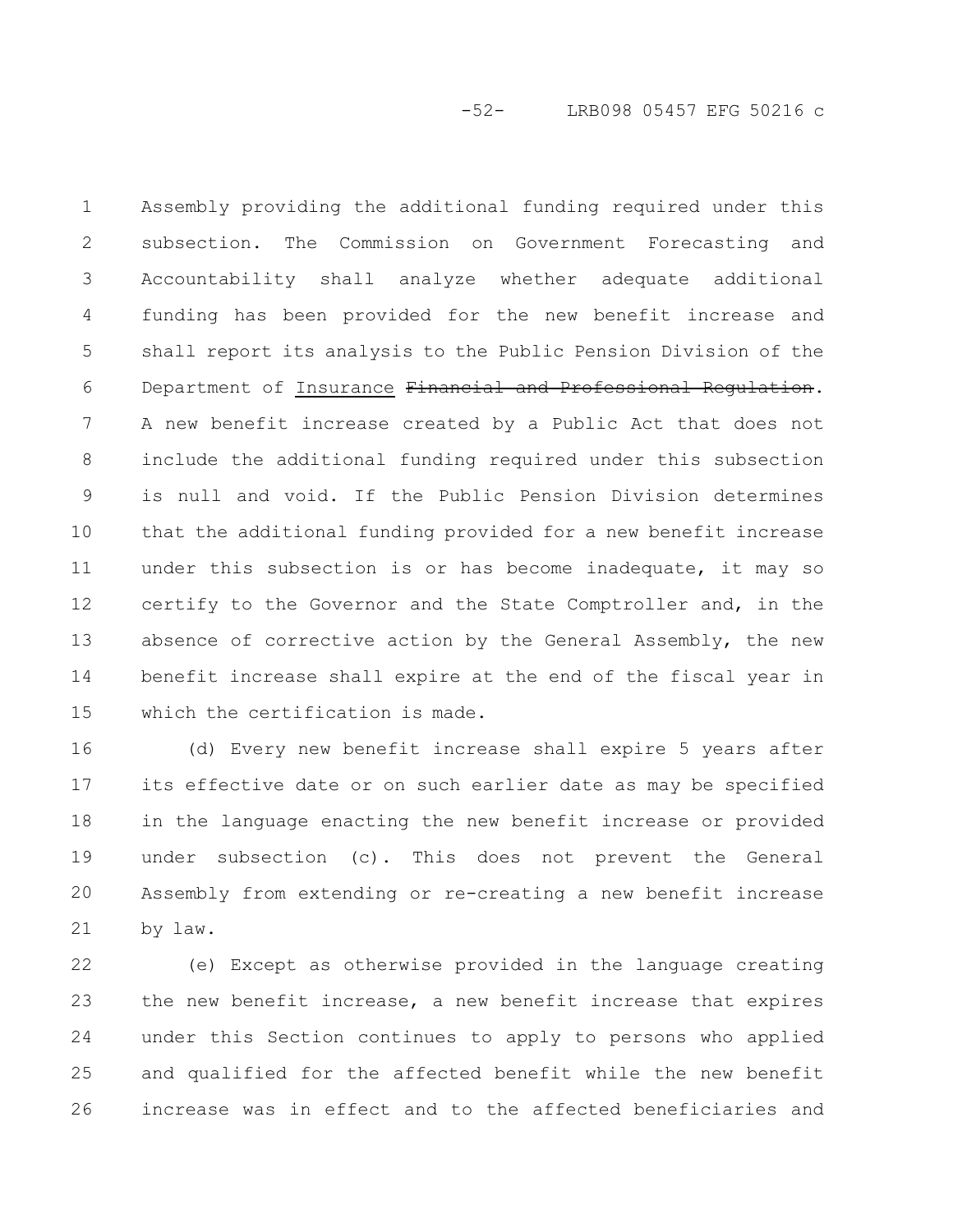-52- LRB098 05457 EFG 50216 c

Assembly providing the additional funding required under this subsection. The Commission on Government Forecasting and Accountability shall analyze whether adequate additional funding has been provided for the new benefit increase and shall report its analysis to the Public Pension Division of the Department of Insurance Financial and Professional Regulation. A new benefit increase created by a Public Act that does not include the additional funding required under this subsection is null and void. If the Public Pension Division determines that the additional funding provided for a new benefit increase under this subsection is or has become inadequate, it may so certify to the Governor and the State Comptroller and, in the absence of corrective action by the General Assembly, the new benefit increase shall expire at the end of the fiscal year in which the certification is made. 1 2 3 4 5 6 7 8 9 10 11 12 13 14 15

(d) Every new benefit increase shall expire 5 years after its effective date or on such earlier date as may be specified in the language enacting the new benefit increase or provided under subsection (c). This does not prevent the General Assembly from extending or re-creating a new benefit increase by law. 16 17 18 19 20 21

(e) Except as otherwise provided in the language creating the new benefit increase, a new benefit increase that expires under this Section continues to apply to persons who applied and qualified for the affected benefit while the new benefit increase was in effect and to the affected beneficiaries and 22 23 24 25 26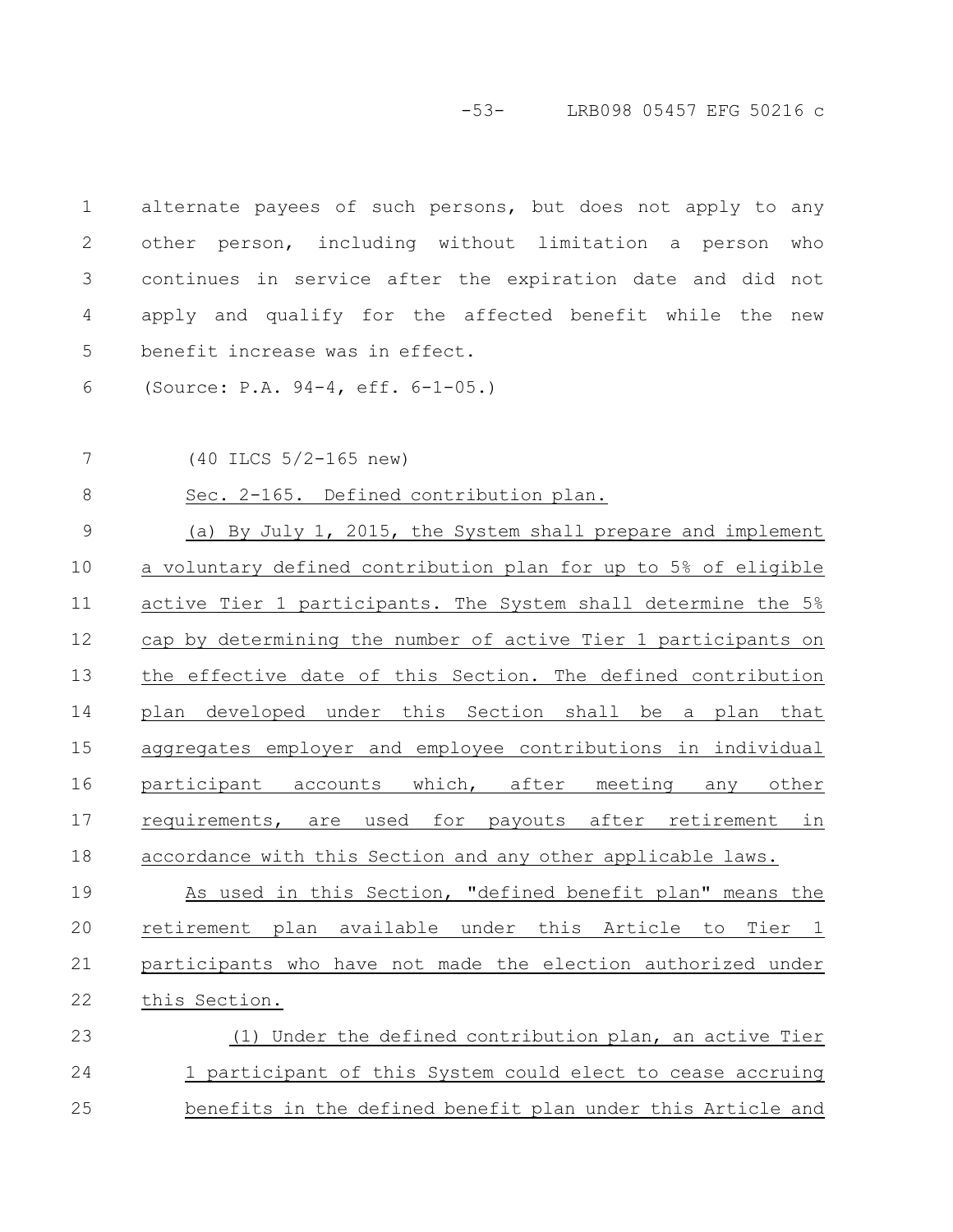-53- LRB098 05457 EFG 50216 c

| $\mathbf 1$ | alternate payees of such persons, but does not apply to any    |
|-------------|----------------------------------------------------------------|
| 2           | other person, including without limitation a person<br>who     |
| 3           | continues in service after the expiration date and did not     |
| 4           | apply and qualify for the affected benefit while the new       |
| 5           | benefit increase was in effect.                                |
| 6           | (Source: P.A. 94-4, eff. 6-1-05.)                              |
| 7           | (40 ILCS 5/2-165 new)                                          |
| $8\,$       | Sec. 2-165. Defined contribution plan.                         |
| $\mathsf 9$ | (a) By July 1, 2015, the System shall prepare and implement    |
| 10          | a voluntary defined contribution plan for up to 5% of eligible |
| 11          | active Tier 1 participants. The System shall determine the 5%  |
| 12          | cap by determining the number of active Tier 1 participants on |
| 13          | the effective date of this Section. The defined contribution   |
| 14          | plan developed under this Section shall be a plan that         |
| 15          | aggregates employer and employee contributions in individual   |
| 16          | participant accounts which, after meeting any other            |
| 17          | requirements, are used for payouts after retirement in         |
| 18          | accordance with this Section and any other applicable laws.    |
| 19          | As used in this Section, "defined benefit plan" means the      |
| 20          | retirement plan available under this Article to Tier 1         |
| 21          | participants who have not made the election authorized under   |
| 22          | this Section.                                                  |
| 23          | (1) Under the defined contribution plan, an active Tier        |
| 24          | 1 participant of this System could elect to cease accruing     |
| 25          | benefits in the defined benefit plan under this Article and    |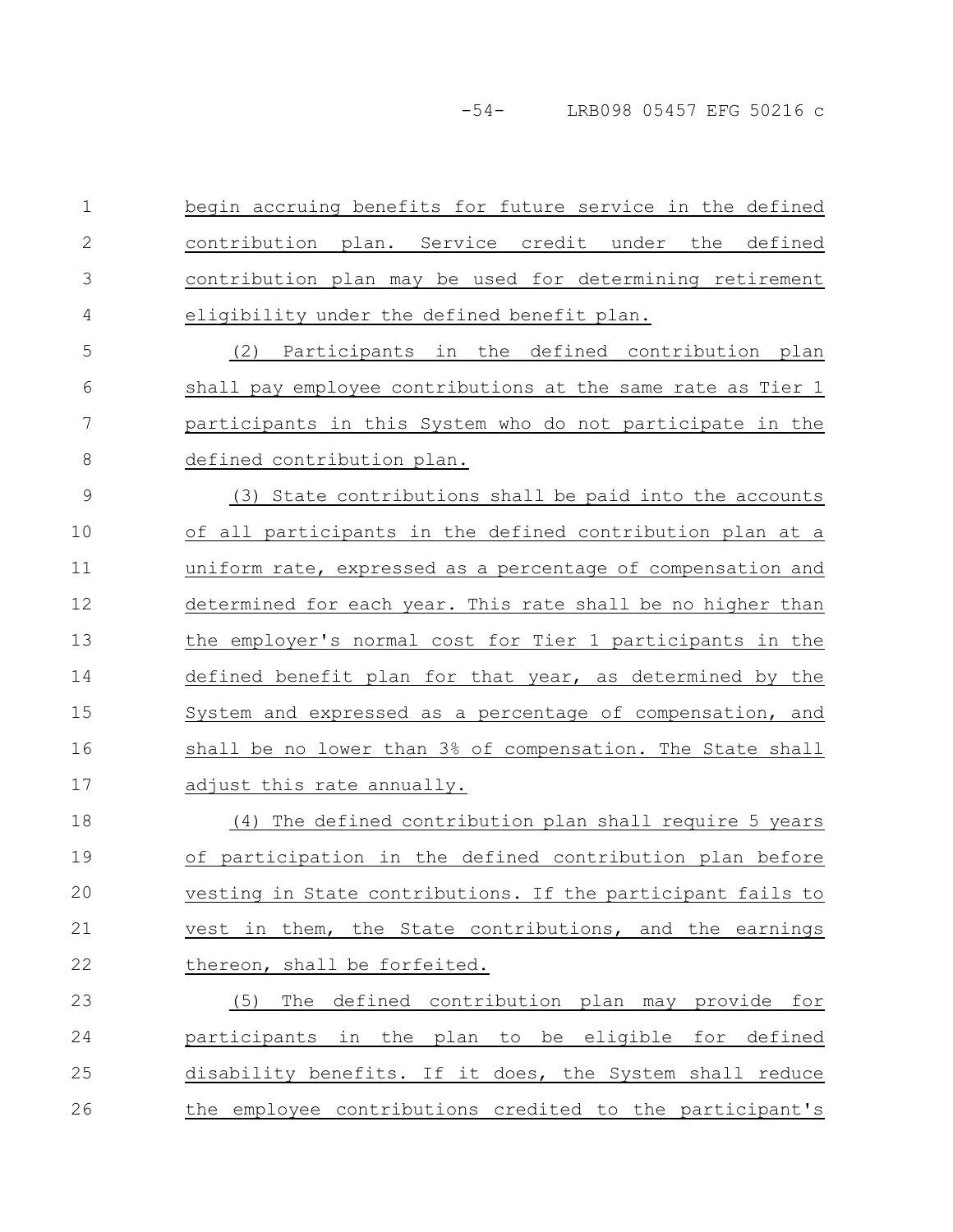begin accruing benefits for future service in the defined contribution plan. Service credit under the defined contribution plan may be used for determining retirement eligibility under the defined benefit plan. 1 2 3 4

(2) Participants in the defined contribution plan shall pay employee contributions at the same rate as Tier 1 participants in this System who do not participate in the defined contribution plan. 5 6 7 8

(3) State contributions shall be paid into the accounts of all participants in the defined contribution plan at a uniform rate, expressed as a percentage of compensation and determined for each year. This rate shall be no higher than the employer's normal cost for Tier 1 participants in the defined benefit plan for that year, as determined by the System and expressed as a percentage of compensation, and shall be no lower than 3% of compensation. The State shall adjust this rate annually. 9 10 11 12 13 14 15 16 17

(4) The defined contribution plan shall require 5 years of participation in the defined contribution plan before vesting in State contributions. If the participant fails to vest in them, the State contributions, and the earnings thereon, shall be forfeited. 18 19 20 21 22

(5) The defined contribution plan may provide for participants in the plan to be eligible for defined disability benefits. If it does, the System shall reduce the employee contributions credited to the participant's 23 24 25 26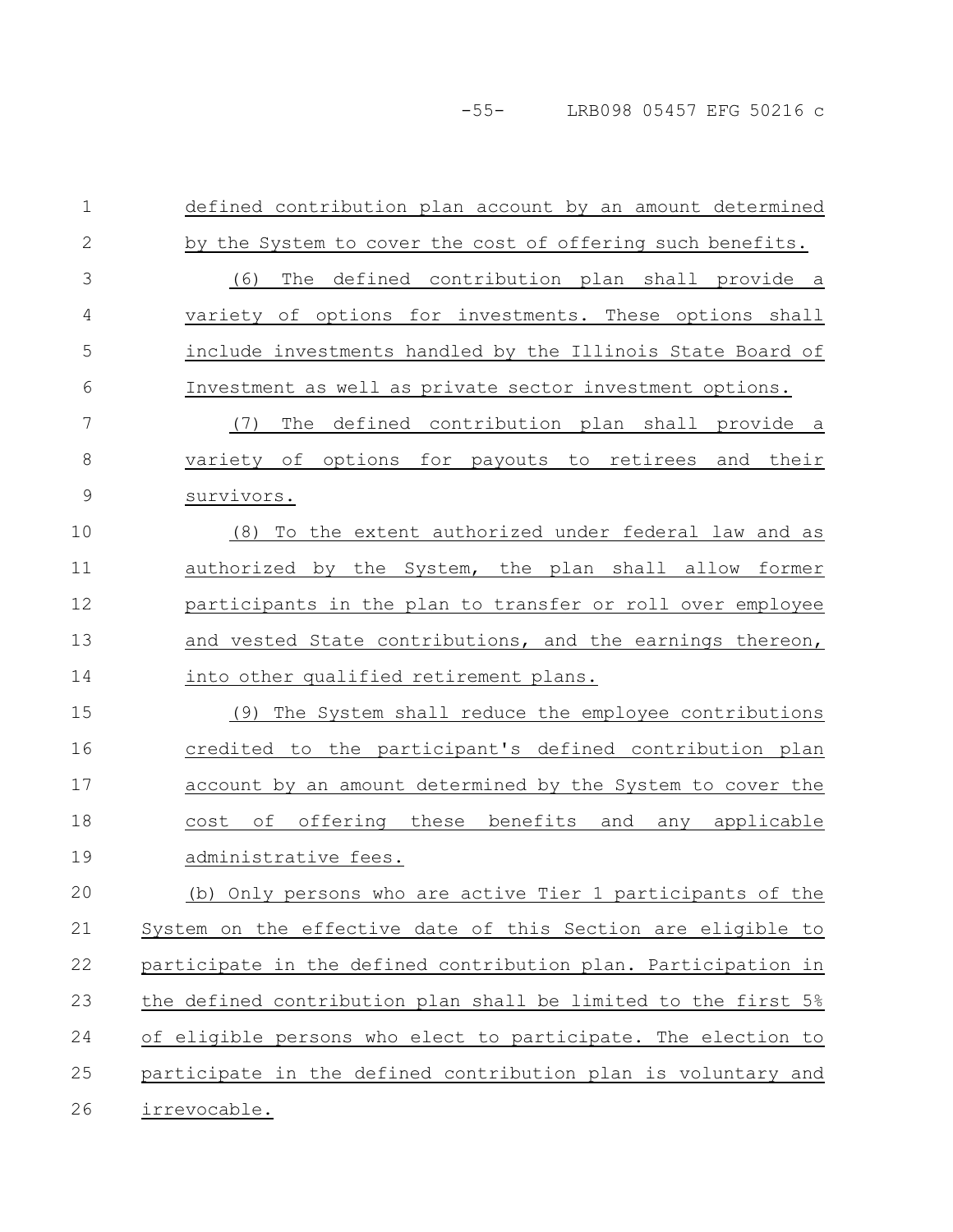-55- LRB098 05457 EFG 50216 c

defined contribution plan account by an amount determined by the System to cover the cost of offering such benefits. (6) The defined contribution plan shall provide a variety of options for investments. These options shall include investments handled by the Illinois State Board of Investment as well as private sector investment options. (7) The defined contribution plan shall provide a variety of options for payouts to retirees and their survivors. (8) To the extent authorized under federal law and as authorized by the System, the plan shall allow former participants in the plan to transfer or roll over employee and vested State contributions, and the earnings thereon, into other qualified retirement plans. (9) The System shall reduce the employee contributions credited to the participant's defined contribution plan account by an amount determined by the System to cover the cost of offering these benefits and any applicable administrative fees. (b) Only persons who are active Tier 1 participants of the System on the effective date of this Section are eligible to participate in the defined contribution plan. Participation in the defined contribution plan shall be limited to the first 5% of eligible persons who elect to participate. The election to participate in the defined contribution plan is voluntary and irrevocable. 1 2 3 4 5 6 7 8 9 10 11 12 13 14 15 16 17 18 19 20 21 22 23 24 25 26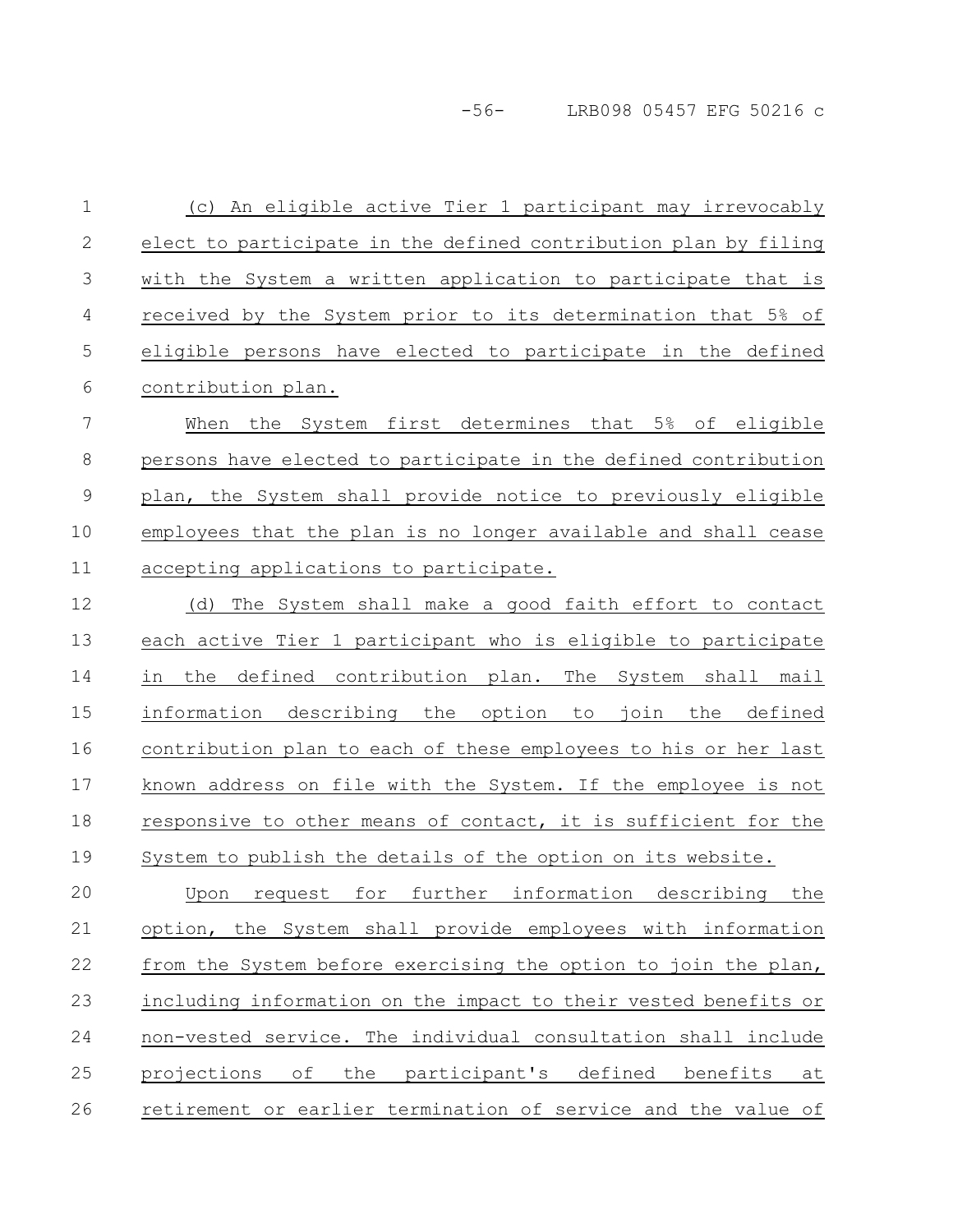-56- LRB098 05457 EFG 50216 c

(c) An eligible active Tier 1 participant may irrevocably elect to participate in the defined contribution plan by filing with the System a written application to participate that is received by the System prior to its determination that 5% of eligible persons have elected to participate in the defined contribution plan. 1 2 3 4 5 6

When the System first determines that 5% of eligible persons have elected to participate in the defined contribution plan, the System shall provide notice to previously eligible employees that the plan is no longer available and shall cease accepting applications to participate. 7 8 9 10 11

(d) The System shall make a good faith effort to contact each active Tier 1 participant who is eligible to participate in the defined contribution plan. The System shall mail information describing the option to join the defined contribution plan to each of these employees to his or her last known address on file with the System. If the employee is not responsive to other means of contact, it is sufficient for the System to publish the details of the option on its website. 12 13 14 15 16 17 18 19

Upon request for further information describing the option, the System shall provide employees with information from the System before exercising the option to join the plan, including information on the impact to their vested benefits or non-vested service. The individual consultation shall include projections of the participant's defined benefits at retirement or earlier termination of service and the value of 20 21 22 23 24 25 26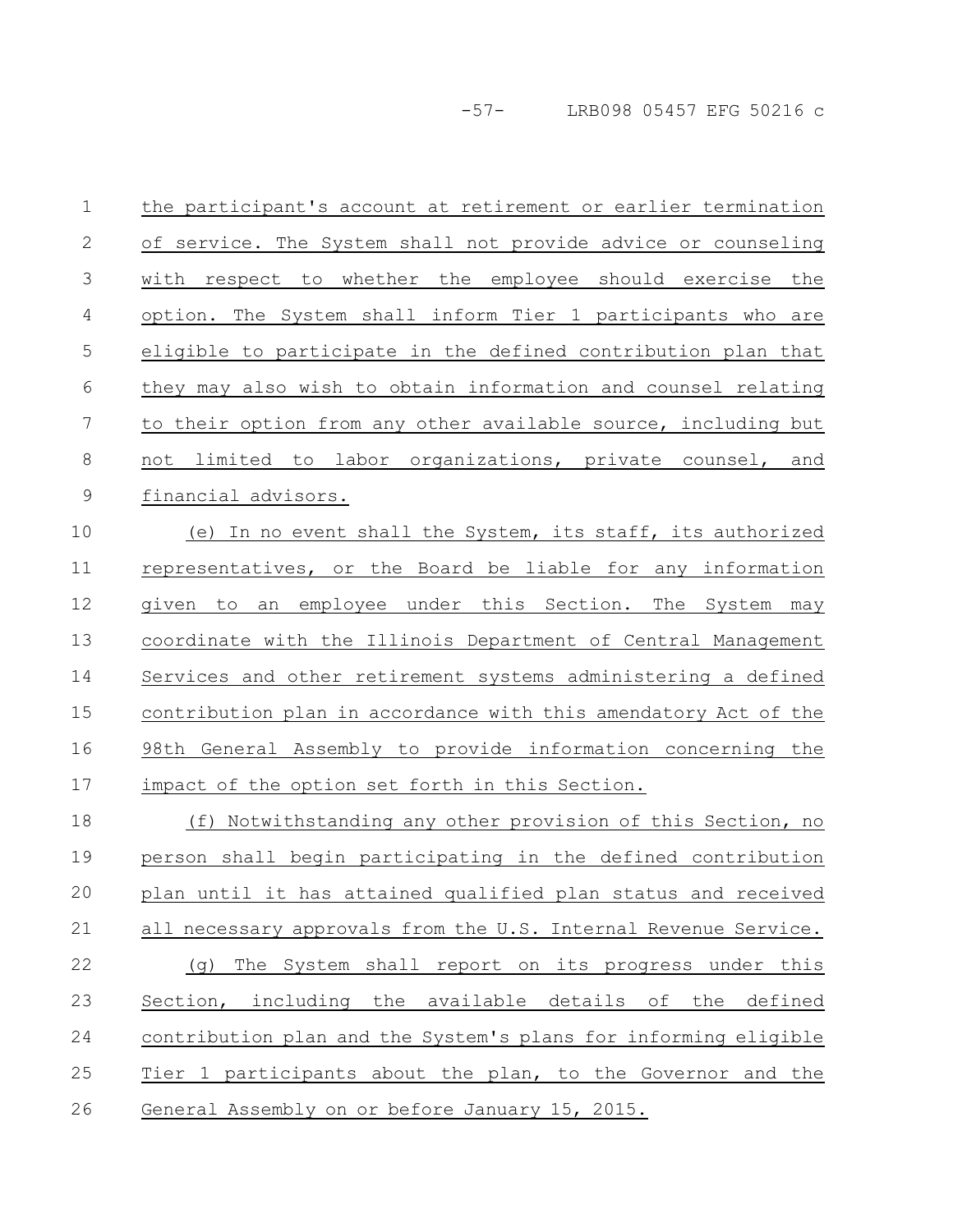-57- LRB098 05457 EFG 50216 c

the participant's account at retirement or earlier termination of service. The System shall not provide advice or counseling with respect to whether the employee should exercise the option. The System shall inform Tier 1 participants who are eligible to participate in the defined contribution plan that they may also wish to obtain information and counsel relating to their option from any other available source, including but not limited to labor organizations, private counsel, and financial advisors. (e) In no event shall the System, its staff, its authorized representatives, or the Board be liable for any information given to an employee under this Section. The System may coordinate with the Illinois Department of Central Management Services and other retirement systems administering a defined contribution plan in accordance with this amendatory Act of the 98th General Assembly to provide information concerning the impact of the option set forth in this Section. (f) Notwithstanding any other provision of this Section, no person shall begin participating in the defined contribution plan until it has attained qualified plan status and received all necessary approvals from the U.S. Internal Revenue Service. (g) The System shall report on its progress under this Section, including the available details of the defined contribution plan and the System's plans for informing eligible Tier 1 participants about the plan, to the Governor and the General Assembly on or before January 15, 2015. 1 2 3 4 5 6 7 8 9 10 11 12 13 14 15 16 17 18 19 20 21 22 23 24 25 26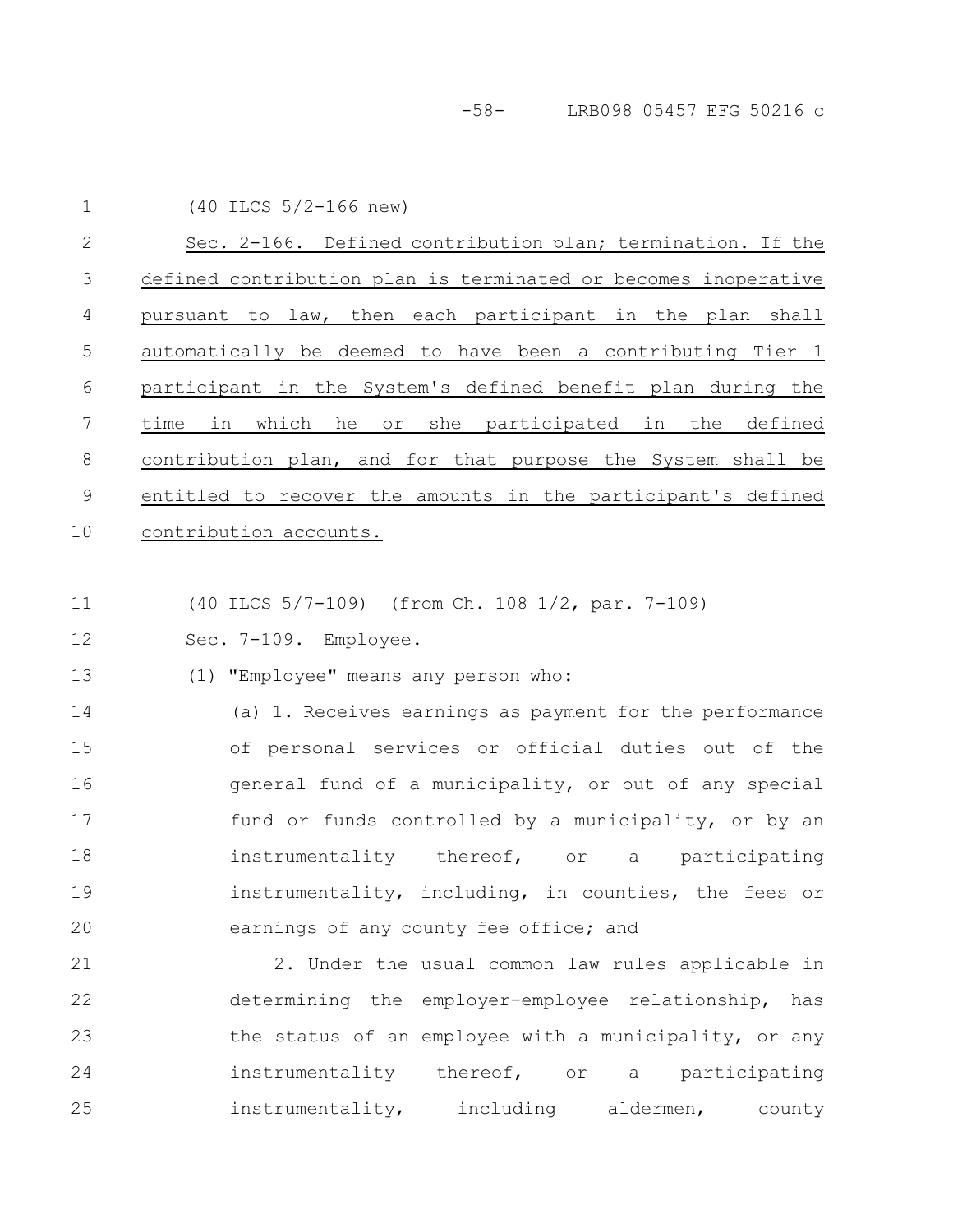-58- LRB098 05457 EFG 50216 c

(40 ILCS 5/2-166 new) 1

Sec. 2-166. Defined contribution plan; termination. If the defined contribution plan is terminated or becomes inoperative pursuant to law, then each participant in the plan shall automatically be deemed to have been a contributing Tier 1 participant in the System's defined benefit plan during the time in which he or she participated in the defined contribution plan, and for that purpose the System shall be entitled to recover the amounts in the participant's defined contribution accounts. 2 3 4 5 6 7 8 9 10

(40 ILCS 5/7-109) (from Ch. 108 1/2, par. 7-109) 11

Sec. 7-109. Employee. 12

(1) "Employee" means any person who: 13

(a) 1. Receives earnings as payment for the performance of personal services or official duties out of the general fund of a municipality, or out of any special fund or funds controlled by a municipality, or by an instrumentality thereof, or a participating instrumentality, including, in counties, the fees or earnings of any county fee office; and 14 15 16 17 18 19 20

2. Under the usual common law rules applicable in determining the employer-employee relationship, has the status of an employee with a municipality, or any instrumentality thereof, or a participating instrumentality, including aldermen, county 21 22 23 24 25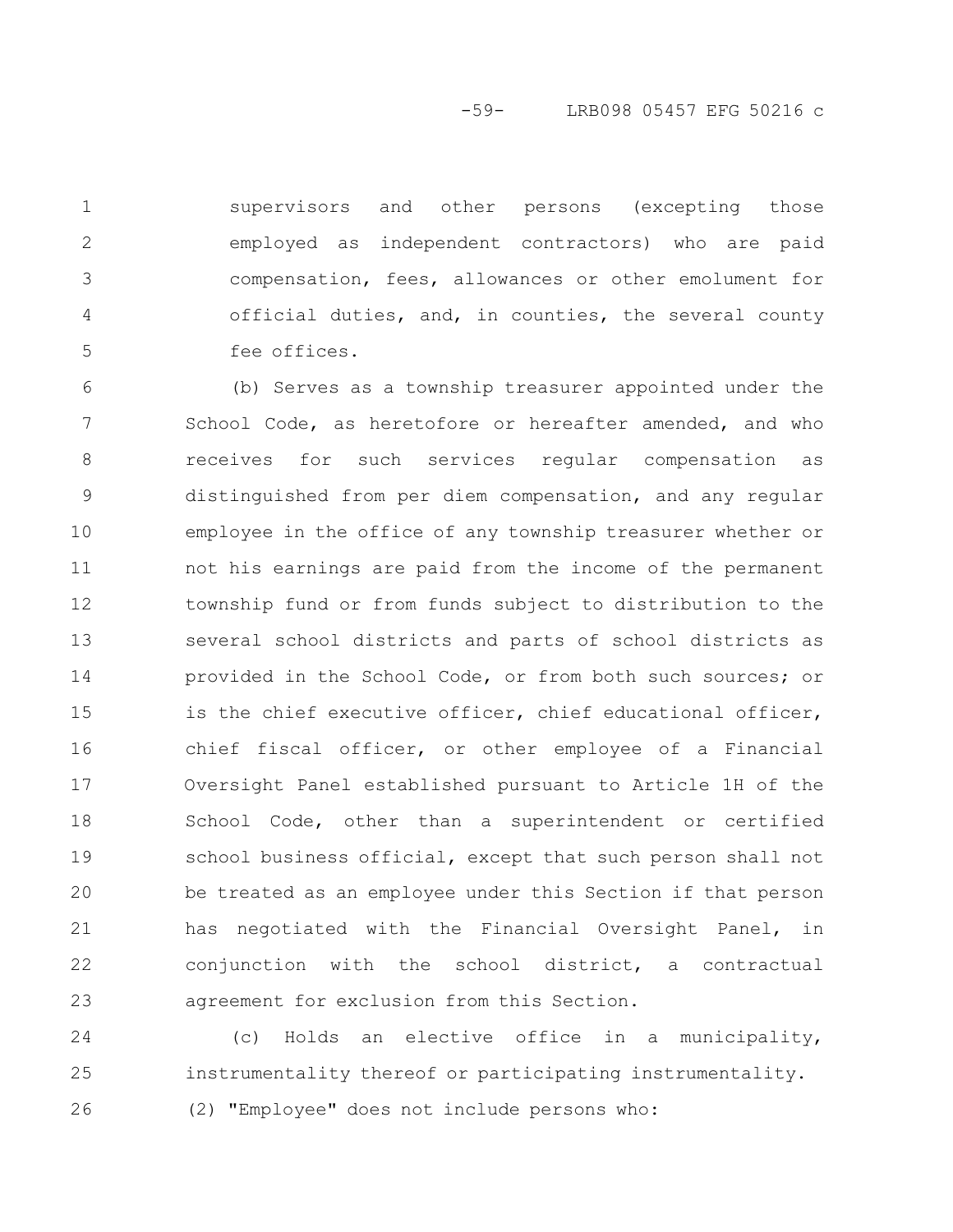-59- LRB098 05457 EFG 50216 c

supervisors and other persons (excepting those employed as independent contractors) who are paid compensation, fees, allowances or other emolument for official duties, and, in counties, the several county fee offices.

1

2

3

4

5

(b) Serves as a township treasurer appointed under the School Code, as heretofore or hereafter amended, and who receives for such services regular compensation as distinguished from per diem compensation, and any regular employee in the office of any township treasurer whether or not his earnings are paid from the income of the permanent township fund or from funds subject to distribution to the several school districts and parts of school districts as provided in the School Code, or from both such sources; or is the chief executive officer, chief educational officer, chief fiscal officer, or other employee of a Financial Oversight Panel established pursuant to Article 1H of the School Code, other than a superintendent or certified school business official, except that such person shall not be treated as an employee under this Section if that person has negotiated with the Financial Oversight Panel, in conjunction with the school district, a contractual agreement for exclusion from this Section. 6 7 8 9 10 11 12 13 14 15 16 17 18 19 20 21 22 23

(c) Holds an elective office in a municipality, instrumentality thereof or participating instrumentality. (2) "Employee" does not include persons who: 24 25 26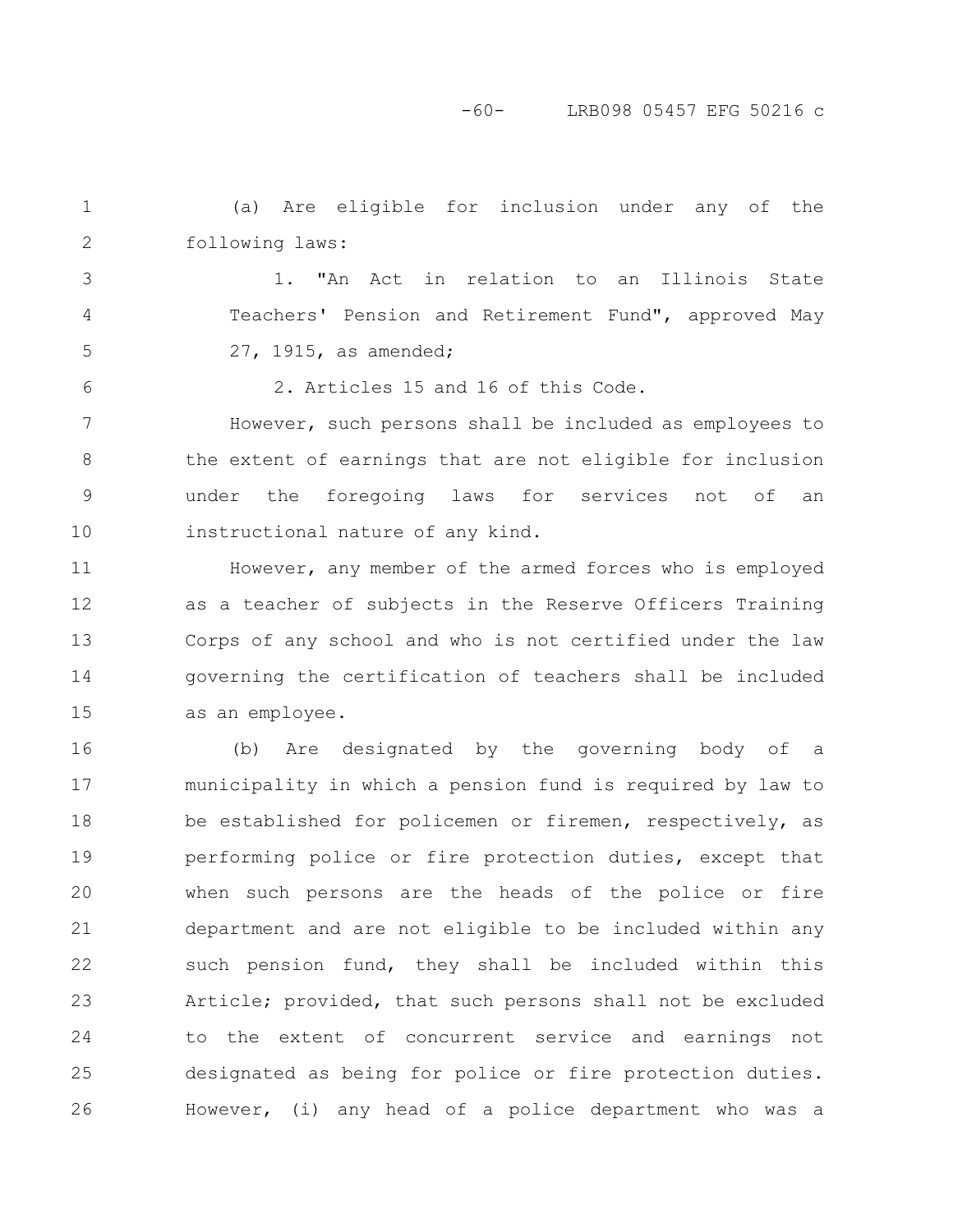-60- LRB098 05457 EFG 50216 c

(a) Are eligible for inclusion under any of the following laws: 1 2

1. "An Act in relation to an Illinois State Teachers' Pension and Retirement Fund", approved May 27, 1915, as amended; 3 5

4

6

2. Articles 15 and 16 of this Code.

However, such persons shall be included as employees to the extent of earnings that are not eligible for inclusion under the foregoing laws for services not of an instructional nature of any kind. 7 8 9 10

However, any member of the armed forces who is employed as a teacher of subjects in the Reserve Officers Training Corps of any school and who is not certified under the law governing the certification of teachers shall be included as an employee. 11 12 13 14 15

(b) Are designated by the governing body of a municipality in which a pension fund is required by law to be established for policemen or firemen, respectively, as performing police or fire protection duties, except that when such persons are the heads of the police or fire department and are not eligible to be included within any such pension fund, they shall be included within this Article; provided, that such persons shall not be excluded to the extent of concurrent service and earnings not designated as being for police or fire protection duties. However, (i) any head of a police department who was a 16 17 18 19 20 21 22 23 24 25 26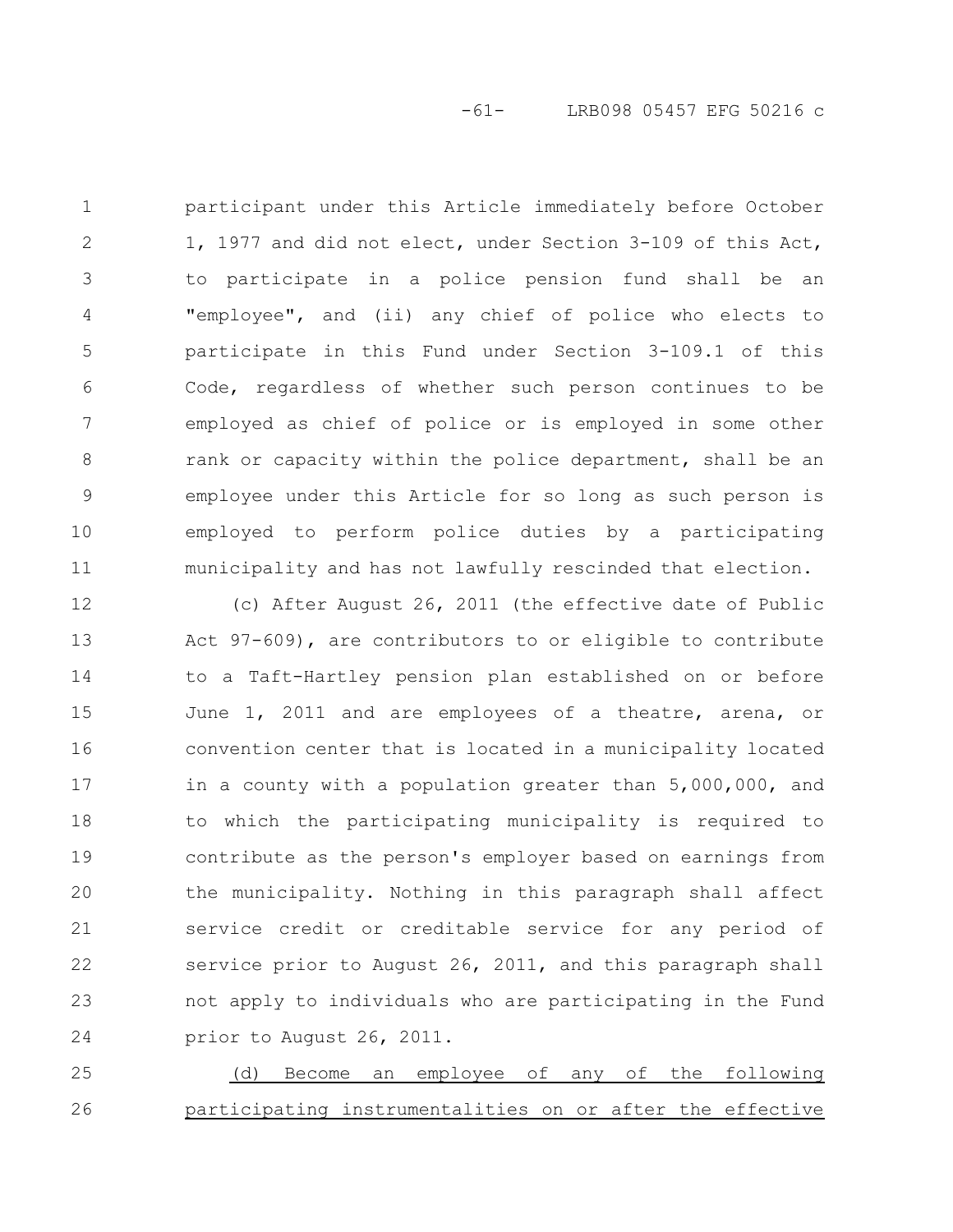participant under this Article immediately before October 1, 1977 and did not elect, under Section 3-109 of this Act, to participate in a police pension fund shall be an "employee", and (ii) any chief of police who elects to participate in this Fund under Section 3-109.1 of this Code, regardless of whether such person continues to be employed as chief of police or is employed in some other rank or capacity within the police department, shall be an employee under this Article for so long as such person is employed to perform police duties by a participating municipality and has not lawfully rescinded that election. 1 2 3 4 5 6 7 8 9 10 11

(c) After August 26, 2011 (the effective date of Public Act 97-609), are contributors to or eligible to contribute to a Taft-Hartley pension plan established on or before June 1, 2011 and are employees of a theatre, arena, or convention center that is located in a municipality located in a county with a population greater than 5,000,000, and to which the participating municipality is required to contribute as the person's employer based on earnings from the municipality. Nothing in this paragraph shall affect service credit or creditable service for any period of service prior to August 26, 2011, and this paragraph shall not apply to individuals who are participating in the Fund prior to August 26, 2011. 12 13 14 15 16 17 18 19 20 21 22 23 24

(d) Become an employee of any of the following participating instrumentalities on or after the effective 25 26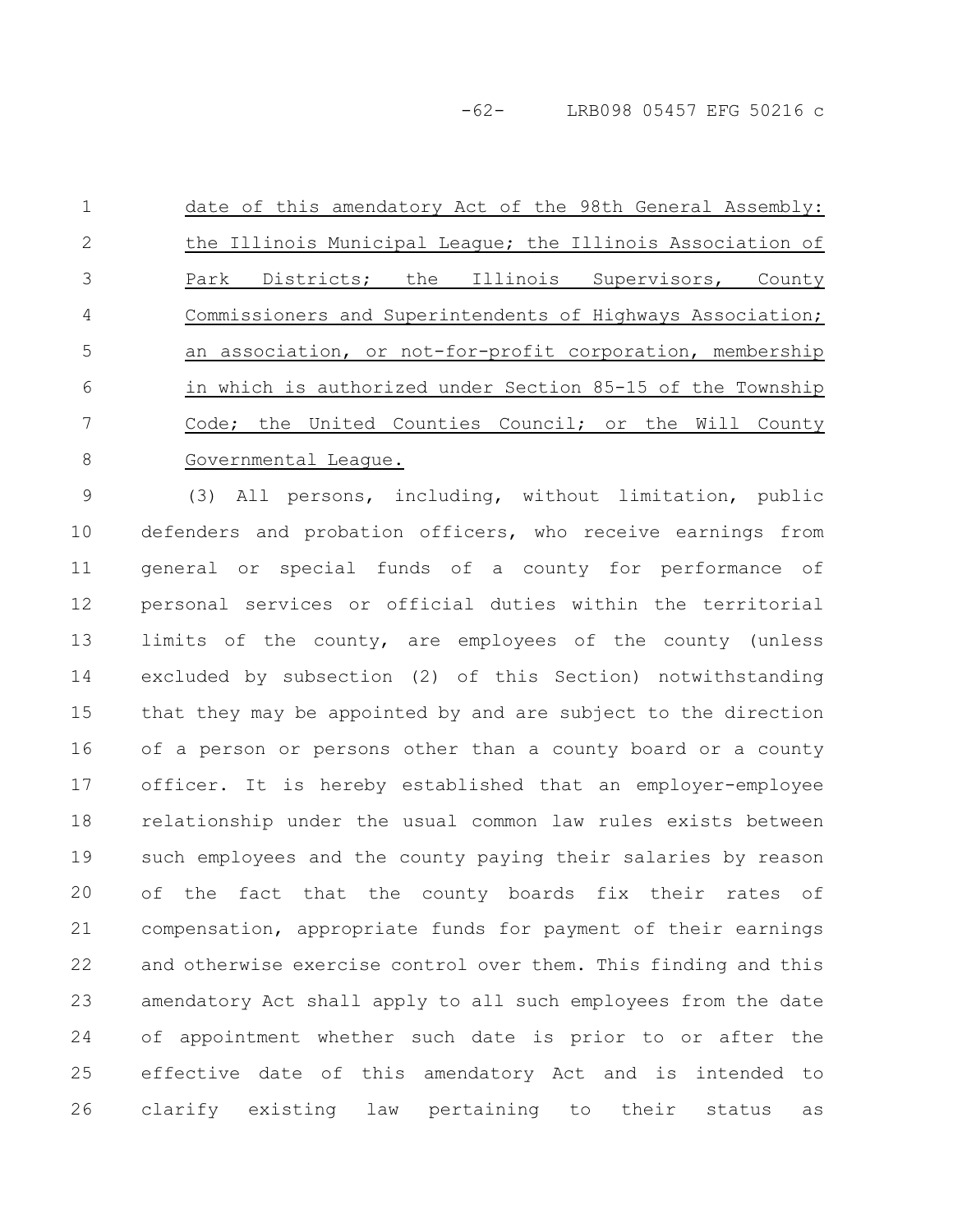-62- LRB098 05457 EFG 50216 c

date of this amendatory Act of the 98th General Assembly: the Illinois Municipal League; the Illinois Association of Park Districts; the Illinois Supervisors, County Commissioners and Superintendents of Highways Association; an association, or not-for-profit corporation, membership in which is authorized under Section 85-15 of the Township Code; the United Counties Council; or the Will County Governmental League. 1 2 3 4 5 6 7 8

(3) All persons, including, without limitation, public defenders and probation officers, who receive earnings from general or special funds of a county for performance of personal services or official duties within the territorial limits of the county, are employees of the county (unless excluded by subsection (2) of this Section) notwithstanding that they may be appointed by and are subject to the direction of a person or persons other than a county board or a county officer. It is hereby established that an employer-employee relationship under the usual common law rules exists between such employees and the county paying their salaries by reason of the fact that the county boards fix their rates of compensation, appropriate funds for payment of their earnings and otherwise exercise control over them. This finding and this amendatory Act shall apply to all such employees from the date of appointment whether such date is prior to or after the effective date of this amendatory Act and is intended to clarify existing law pertaining to their status as 9 10 11 12 13 14 15 16 17 18 19 20 21 22 23 24 25 26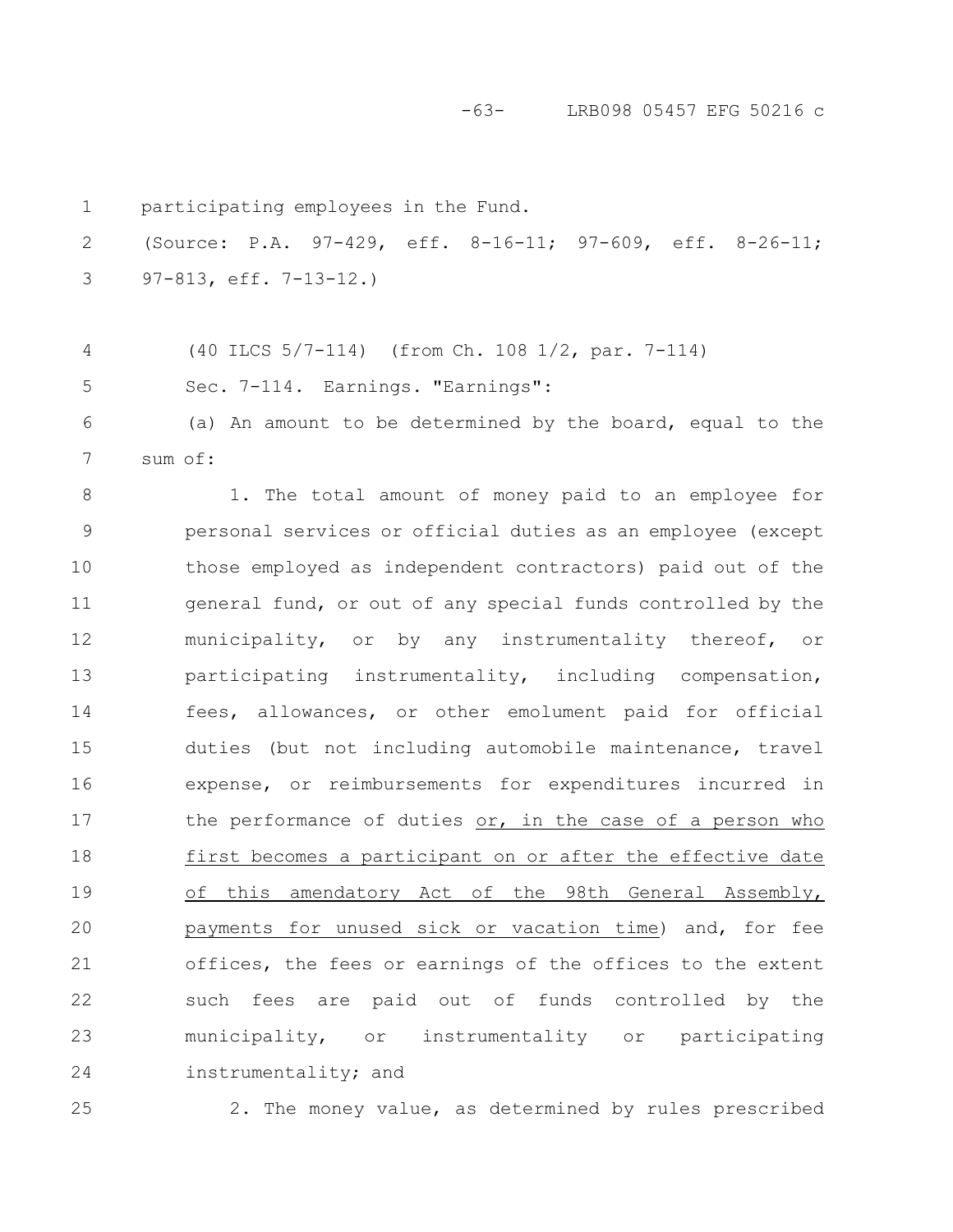-63- LRB098 05457 EFG 50216 c

participating employees in the Fund. (Source: P.A. 97-429, eff. 8-16-11; 97-609, eff. 8-26-11; 97-813, eff. 7-13-12.) (40 ILCS 5/7-114) (from Ch. 108 1/2, par. 7-114) Sec. 7-114. Earnings. "Earnings": (a) An amount to be determined by the board, equal to the sum of: 1. The total amount of money paid to an employee for personal services or official duties as an employee (except those employed as independent contractors) paid out of the general fund, or out of any special funds controlled by the municipality, or by any instrumentality thereof, or participating instrumentality, including compensation, fees, allowances, or other emolument paid for official duties (but not including automobile maintenance, travel expense, or reimbursements for expenditures incurred in the performance of duties or, in the case of a person who first becomes a participant on or after the effective date of this amendatory Act of the 98th General Assembly, payments for unused sick or vacation time) and, for fee offices, the fees or earnings of the offices to the extent such fees are paid out of funds controlled by the municipality, or instrumentality or participating instrumentality; and 1 2 3 4 5 6 7 8 9 10 11 12 13 14 15 16 17 18 19 20 21 22 23 24

25

2. The money value, as determined by rules prescribed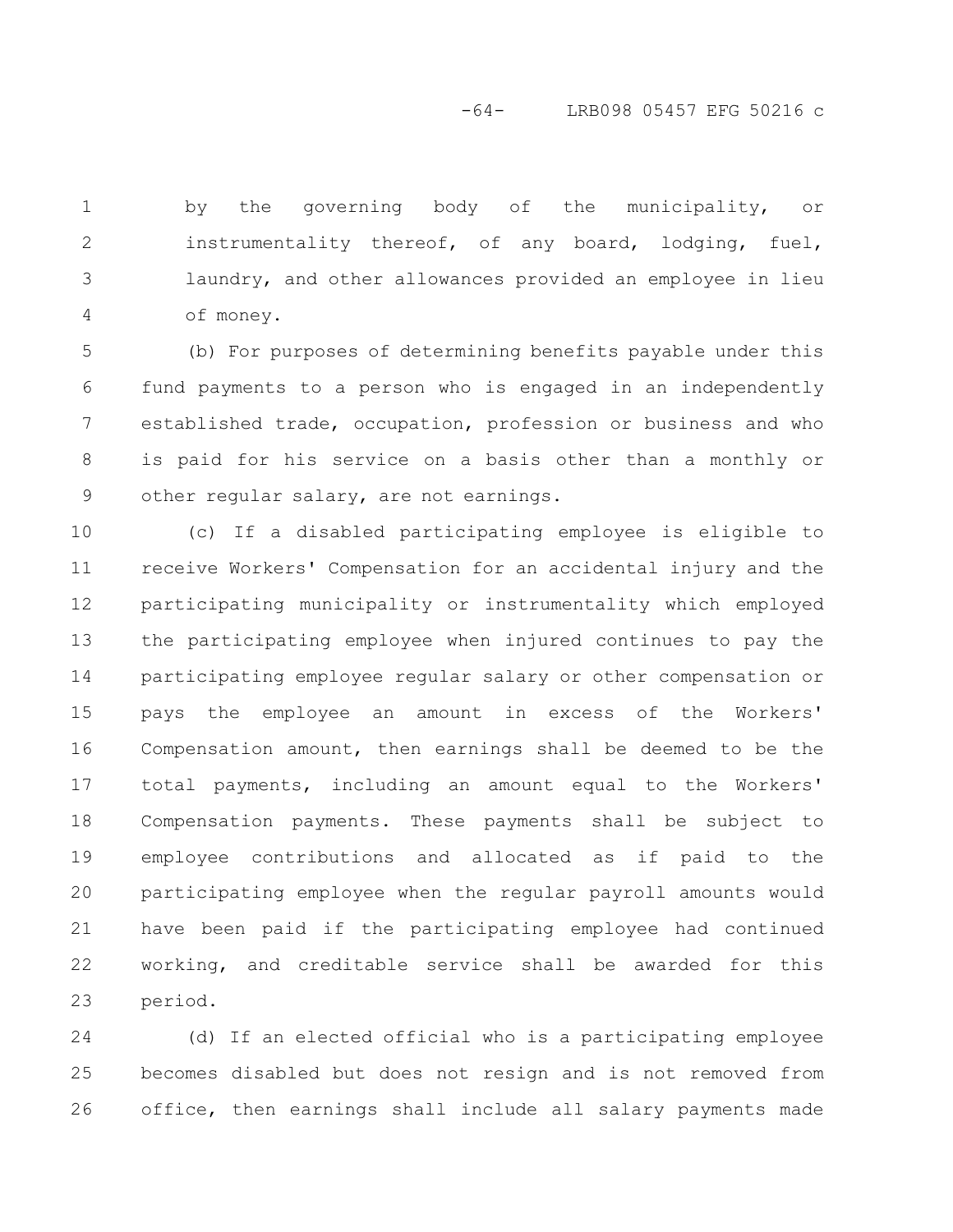-64- LRB098 05457 EFG 50216 c

by the governing body of the municipality, or instrumentality thereof, of any board, lodging, fuel, laundry, and other allowances provided an employee in lieu of money. 1 2 3 4

(b) For purposes of determining benefits payable under this fund payments to a person who is engaged in an independently established trade, occupation, profession or business and who is paid for his service on a basis other than a monthly or other regular salary, are not earnings. 5 6 7 8 9

(c) If a disabled participating employee is eligible to receive Workers' Compensation for an accidental injury and the participating municipality or instrumentality which employed the participating employee when injured continues to pay the participating employee regular salary or other compensation or pays the employee an amount in excess of the Workers' Compensation amount, then earnings shall be deemed to be the total payments, including an amount equal to the Workers' Compensation payments. These payments shall be subject to employee contributions and allocated as if paid to the participating employee when the regular payroll amounts would have been paid if the participating employee had continued working, and creditable service shall be awarded for this period. 10 11 12 13 14 15 16 17 18 19 20 21 22 23

(d) If an elected official who is a participating employee becomes disabled but does not resign and is not removed from office, then earnings shall include all salary payments made 24 25 26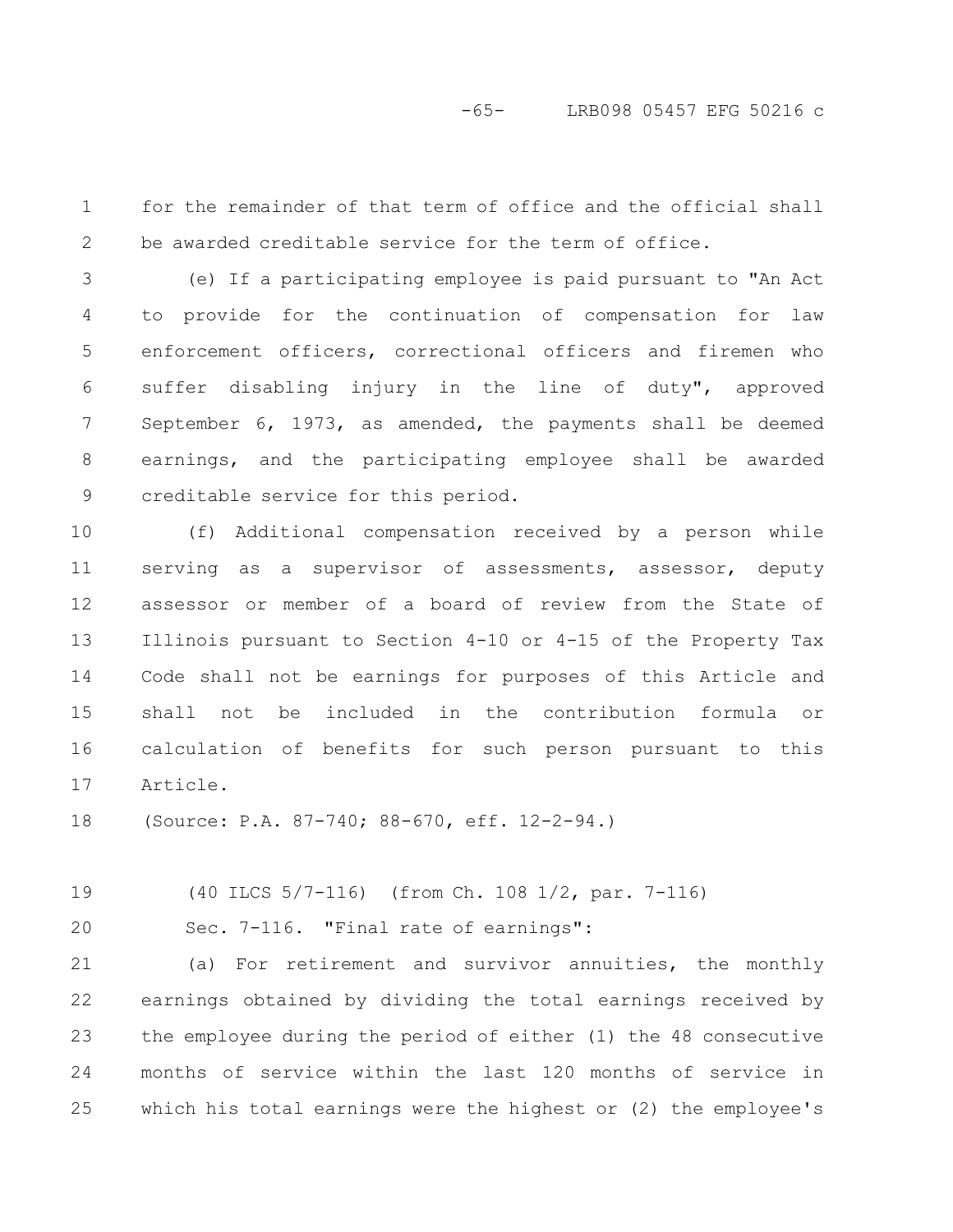-65- LRB098 05457 EFG 50216 c

for the remainder of that term of office and the official shall be awarded creditable service for the term of office. 1 2

(e) If a participating employee is paid pursuant to "An Act to provide for the continuation of compensation for law enforcement officers, correctional officers and firemen who suffer disabling injury in the line of duty", approved September 6, 1973, as amended, the payments shall be deemed earnings, and the participating employee shall be awarded creditable service for this period. 3 4 5 6 7 8 9

(f) Additional compensation received by a person while serving as a supervisor of assessments, assessor, deputy assessor or member of a board of review from the State of Illinois pursuant to Section 4-10 or 4-15 of the Property Tax Code shall not be earnings for purposes of this Article and shall not be included in the contribution formula or calculation of benefits for such person pursuant to this Article. 10 11 12 13 14 15 16 17

(Source: P.A. 87-740; 88-670, eff. 12-2-94.) 18

(40 ILCS 5/7-116) (from Ch. 108 1/2, par. 7-116) 19

20

Sec. 7-116. "Final rate of earnings":

(a) For retirement and survivor annuities, the monthly earnings obtained by dividing the total earnings received by the employee during the period of either (1) the 48 consecutive months of service within the last 120 months of service in which his total earnings were the highest or (2) the employee's 21 22 23 24 25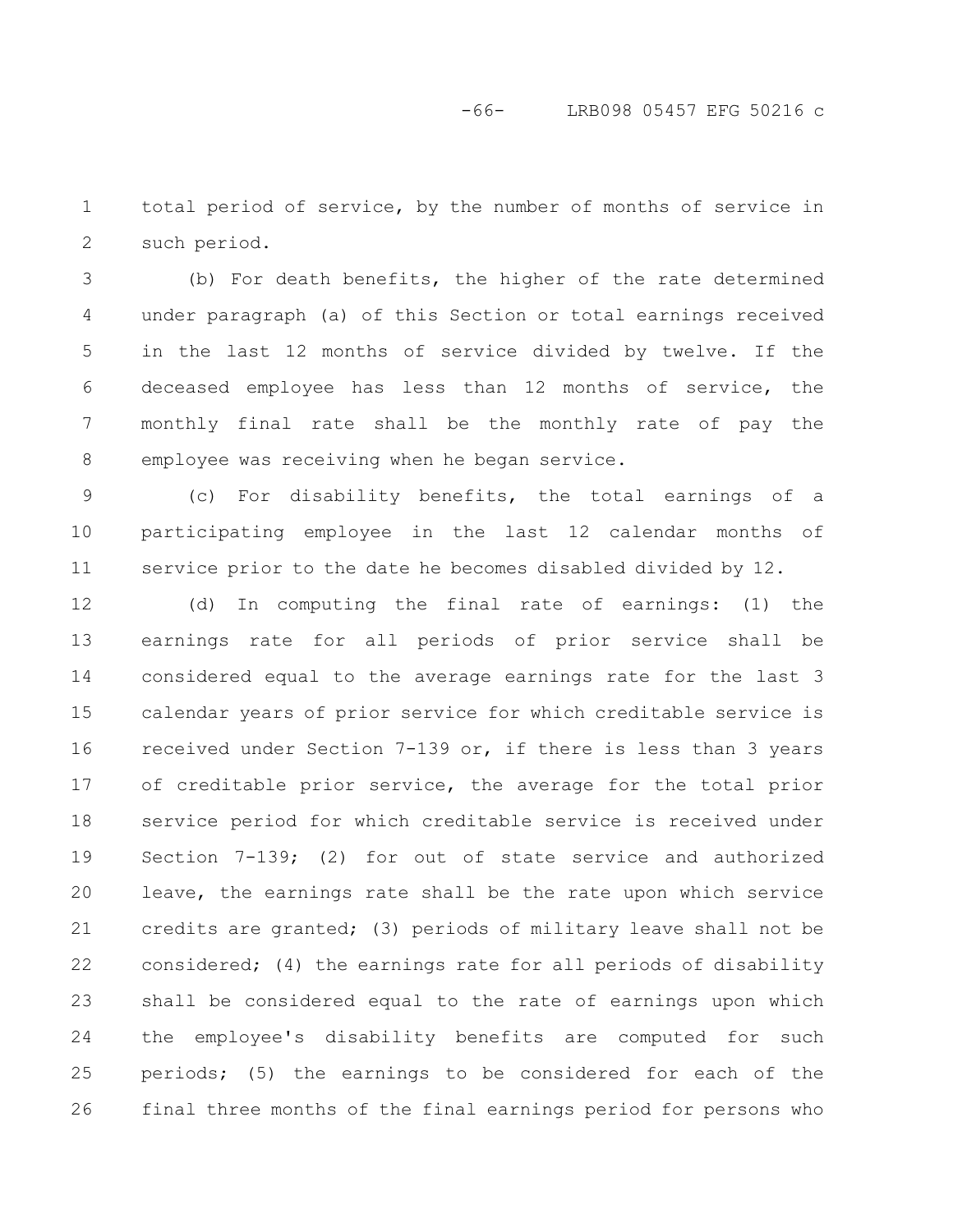total period of service, by the number of months of service in such period. 1 2

(b) For death benefits, the higher of the rate determined under paragraph (a) of this Section or total earnings received in the last 12 months of service divided by twelve. If the deceased employee has less than 12 months of service, the monthly final rate shall be the monthly rate of pay the employee was receiving when he began service. 3 4 5 6 7 8

(c) For disability benefits, the total earnings of a participating employee in the last 12 calendar months of service prior to the date he becomes disabled divided by 12. 9 10 11

(d) In computing the final rate of earnings: (1) the earnings rate for all periods of prior service shall be considered equal to the average earnings rate for the last 3 calendar years of prior service for which creditable service is received under Section 7-139 or, if there is less than 3 years of creditable prior service, the average for the total prior service period for which creditable service is received under Section 7-139; (2) for out of state service and authorized leave, the earnings rate shall be the rate upon which service credits are granted; (3) periods of military leave shall not be considered; (4) the earnings rate for all periods of disability shall be considered equal to the rate of earnings upon which the employee's disability benefits are computed for such periods; (5) the earnings to be considered for each of the final three months of the final earnings period for persons who 12 13 14 15 16 17 18 19 20 21 22 23 24 25 26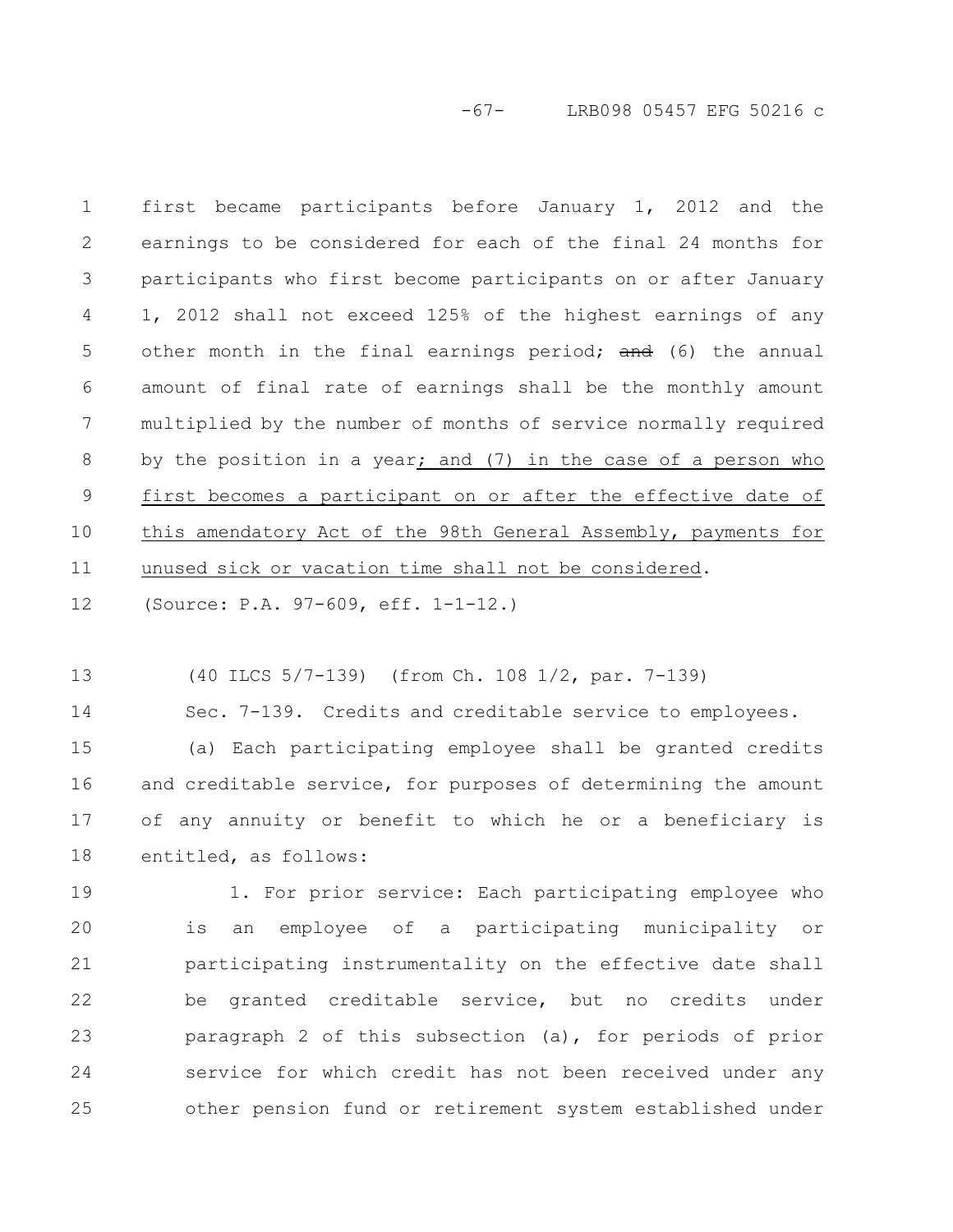-67- LRB098 05457 EFG 50216 c

first became participants before January 1, 2012 and the earnings to be considered for each of the final 24 months for participants who first become participants on or after January 1, 2012 shall not exceed 125% of the highest earnings of any other month in the final earnings period; and (6) the annual amount of final rate of earnings shall be the monthly amount multiplied by the number of months of service normally required by the position in a year; and (7) in the case of a person who first becomes a participant on or after the effective date of this amendatory Act of the 98th General Assembly, payments for unused sick or vacation time shall not be considered. 1 2 3 4 5 6 7 8 9 10 11

(Source: P.A. 97-609, eff. 1-1-12.) 12

(40 ILCS 5/7-139) (from Ch. 108 1/2, par. 7-139) 13

Sec. 7-139. Credits and creditable service to employees. 14

(a) Each participating employee shall be granted credits and creditable service, for purposes of determining the amount of any annuity or benefit to which he or a beneficiary is entitled, as follows: 15 16 17 18

1. For prior service: Each participating employee who is an employee of a participating municipality or participating instrumentality on the effective date shall be granted creditable service, but no credits under paragraph 2 of this subsection (a), for periods of prior service for which credit has not been received under any other pension fund or retirement system established under 19 20 21 22 23 24 25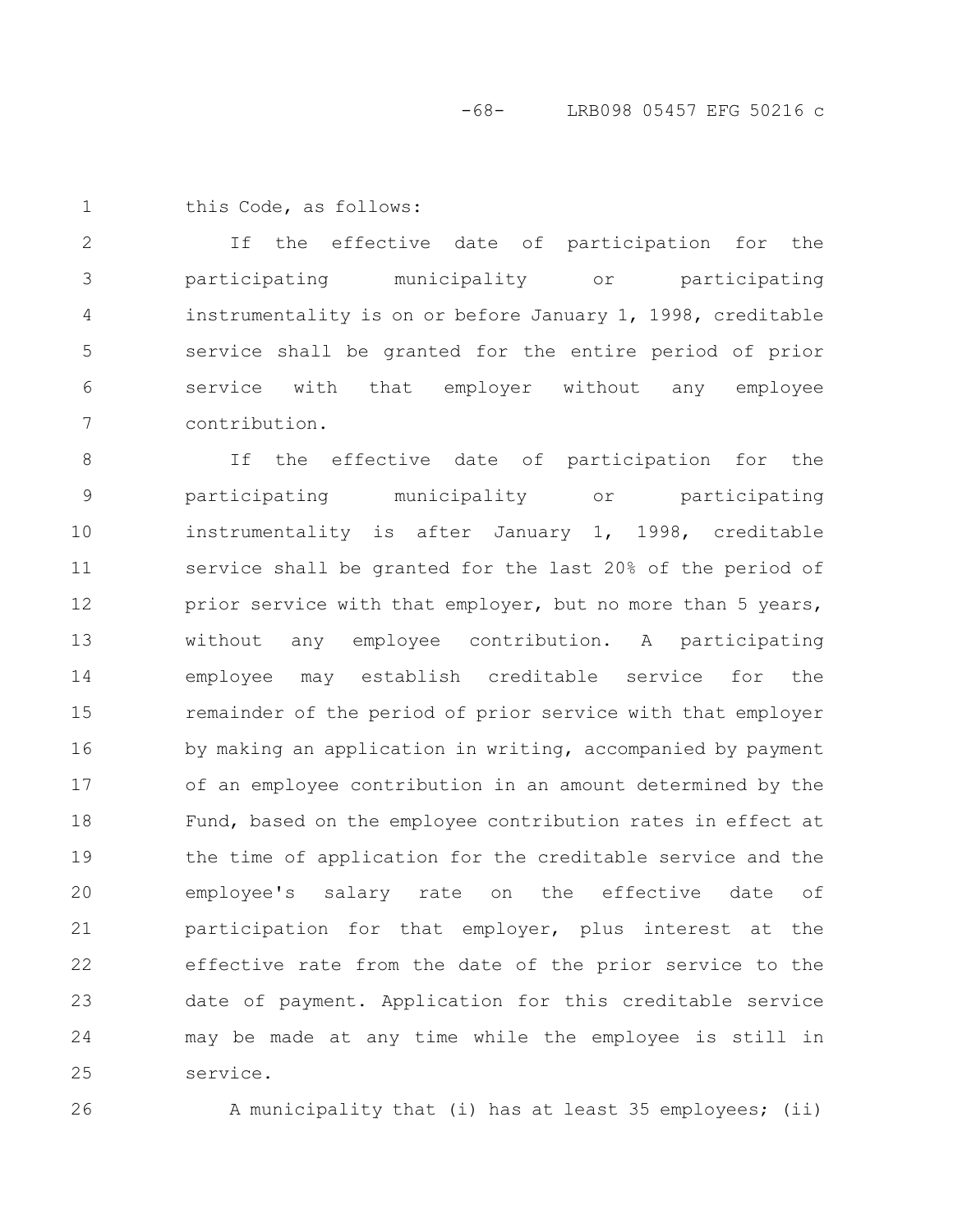1

this Code, as follows:

If the effective date of participation for the participating municipality or participating instrumentality is on or before January 1, 1998, creditable service shall be granted for the entire period of prior service with that employer without any employee contribution. 2 3 4 5 6 7

If the effective date of participation for the participating municipality or participating instrumentality is after January 1, 1998, creditable service shall be granted for the last 20% of the period of prior service with that employer, but no more than 5 years, without any employee contribution. A participating employee may establish creditable service for the remainder of the period of prior service with that employer by making an application in writing, accompanied by payment of an employee contribution in an amount determined by the Fund, based on the employee contribution rates in effect at the time of application for the creditable service and the employee's salary rate on the effective date of participation for that employer, plus interest at the effective rate from the date of the prior service to the date of payment. Application for this creditable service may be made at any time while the employee is still in service. 8 9 10 11 12 13 14 15 16 17 18 19 20 21 22 23 24 25

26

A municipality that (i) has at least 35 employees; (ii)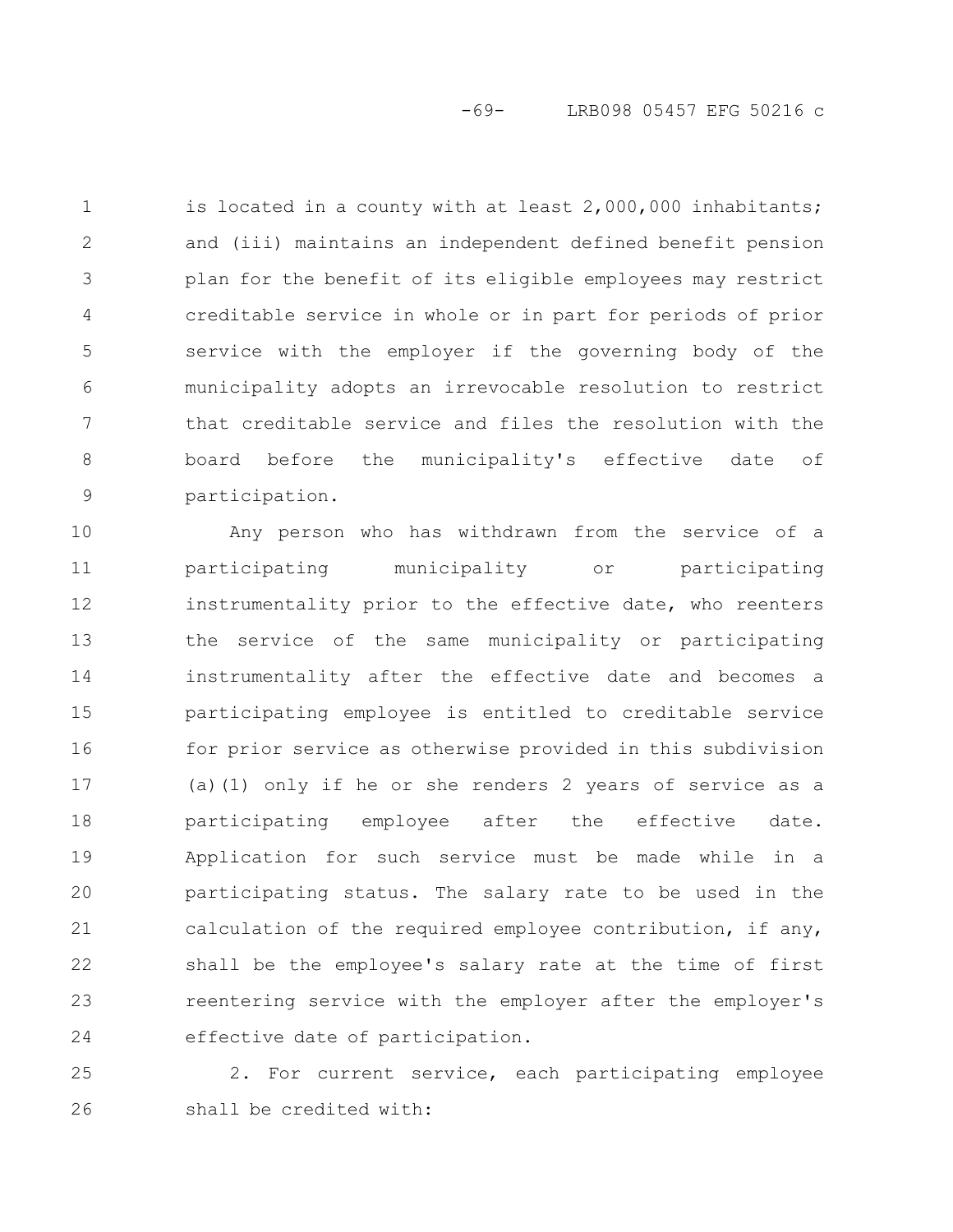is located in a county with at least 2,000,000 inhabitants; and (iii) maintains an independent defined benefit pension plan for the benefit of its eligible employees may restrict creditable service in whole or in part for periods of prior service with the employer if the governing body of the municipality adopts an irrevocable resolution to restrict that creditable service and files the resolution with the board before the municipality's effective date of participation. 1 2 3 4 5 6 7 8 9

Any person who has withdrawn from the service of a participating municipality or participating instrumentality prior to the effective date, who reenters the service of the same municipality or participating instrumentality after the effective date and becomes a participating employee is entitled to creditable service for prior service as otherwise provided in this subdivision (a)(1) only if he or she renders 2 years of service as a participating employee after the effective date. Application for such service must be made while in a participating status. The salary rate to be used in the calculation of the required employee contribution, if any, shall be the employee's salary rate at the time of first reentering service with the employer after the employer's effective date of participation. 10 11 12 13 14 15 16 17 18 19 20 21 22 23 24

2. For current service, each participating employee shall be credited with: 25 26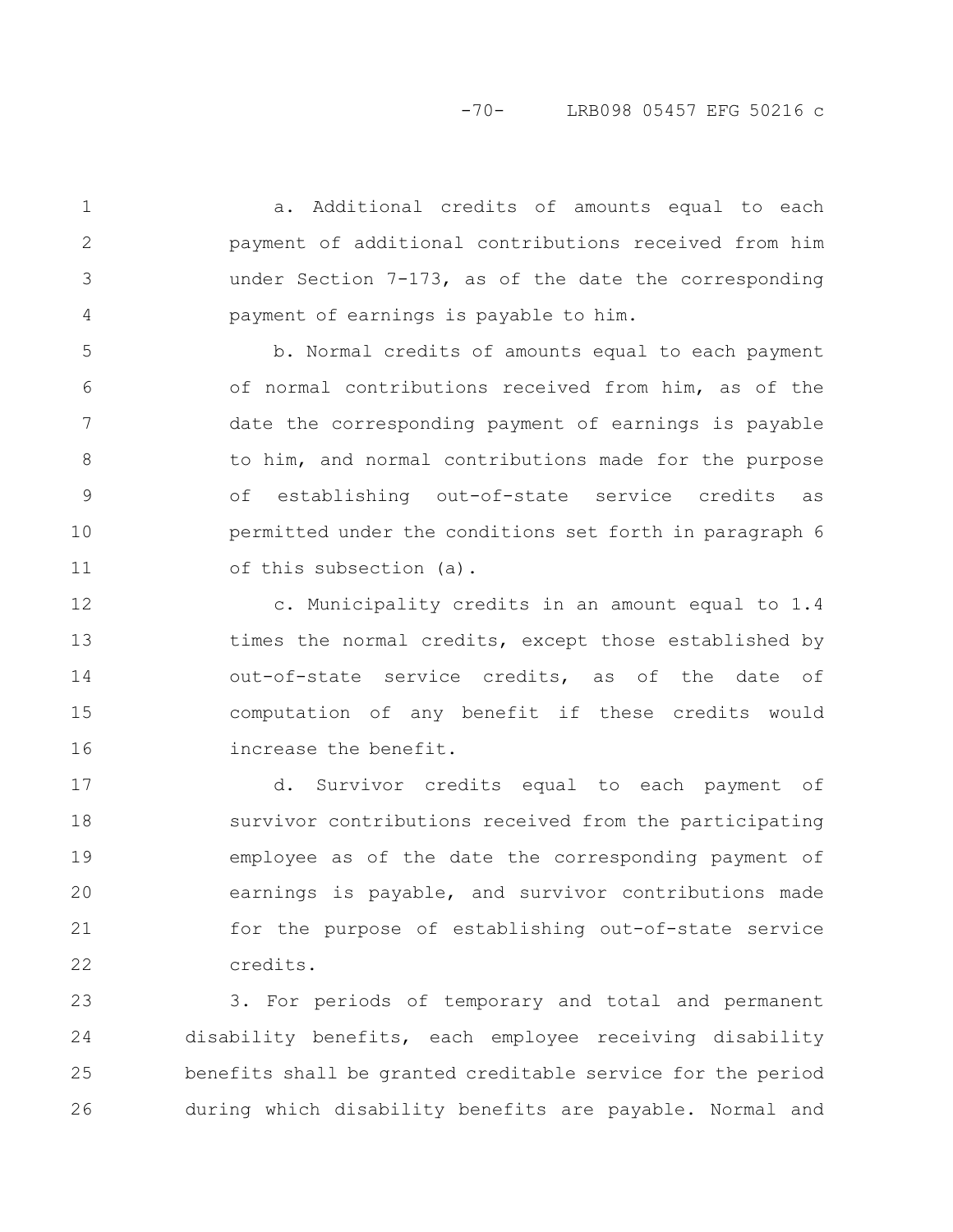a. Additional credits of amounts equal to each payment of additional contributions received from him under Section 7-173, as of the date the corresponding payment of earnings is payable to him.

1

2

3

4

b. Normal credits of amounts equal to each payment of normal contributions received from him, as of the date the corresponding payment of earnings is payable to him, and normal contributions made for the purpose of establishing out-of-state service credits as permitted under the conditions set forth in paragraph 6 of this subsection (a). 5 6 7 8 9 10 11

c. Municipality credits in an amount equal to 1.4 times the normal credits, except those established by out-of-state service credits, as of the date of computation of any benefit if these credits would increase the benefit. 12 13 14 15 16

d. Survivor credits equal to each payment of survivor contributions received from the participating employee as of the date the corresponding payment of earnings is payable, and survivor contributions made for the purpose of establishing out-of-state service credits. 17 18 19 20 21 22

3. For periods of temporary and total and permanent disability benefits, each employee receiving disability benefits shall be granted creditable service for the period during which disability benefits are payable. Normal and 23 24 25 26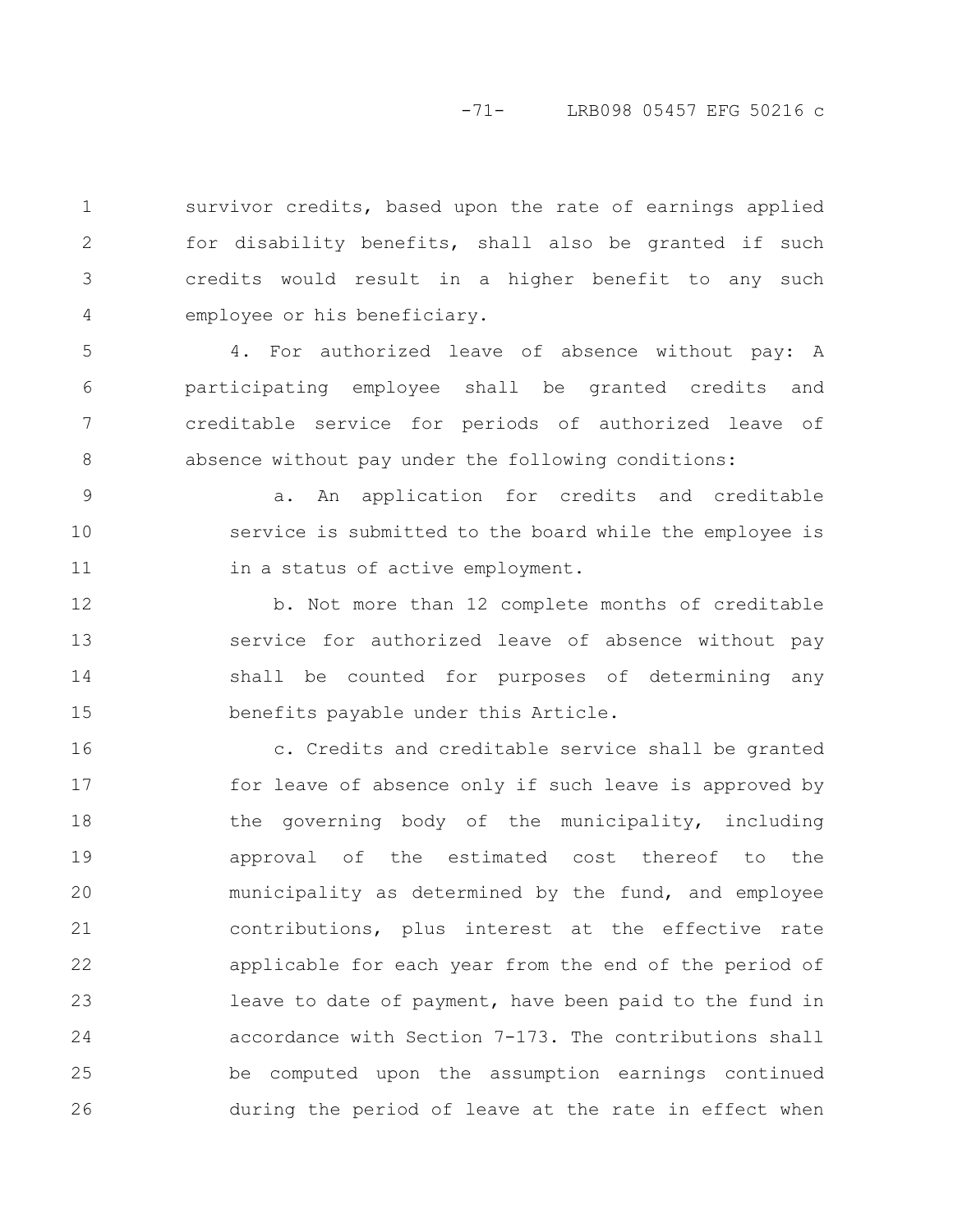## -71- LRB098 05457 EFG 50216 c

survivor credits, based upon the rate of earnings applied for disability benefits, shall also be granted if such credits would result in a higher benefit to any such employee or his beneficiary. 1 2 3 4

4. For authorized leave of absence without pay: A participating employee shall be granted credits and creditable service for periods of authorized leave of absence without pay under the following conditions: 5 6 7 8

a. An application for credits and creditable service is submitted to the board while the employee is in a status of active employment. 9 10 11

b. Not more than 12 complete months of creditable service for authorized leave of absence without pay shall be counted for purposes of determining any benefits payable under this Article. 12 13 14 15

c. Credits and creditable service shall be granted for leave of absence only if such leave is approved by the governing body of the municipality, including approval of the estimated cost thereof to the municipality as determined by the fund, and employee contributions, plus interest at the effective rate applicable for each year from the end of the period of leave to date of payment, have been paid to the fund in accordance with Section 7-173. The contributions shall be computed upon the assumption earnings continued during the period of leave at the rate in effect when 16 17 18 19 20 21 22 23 24 25 26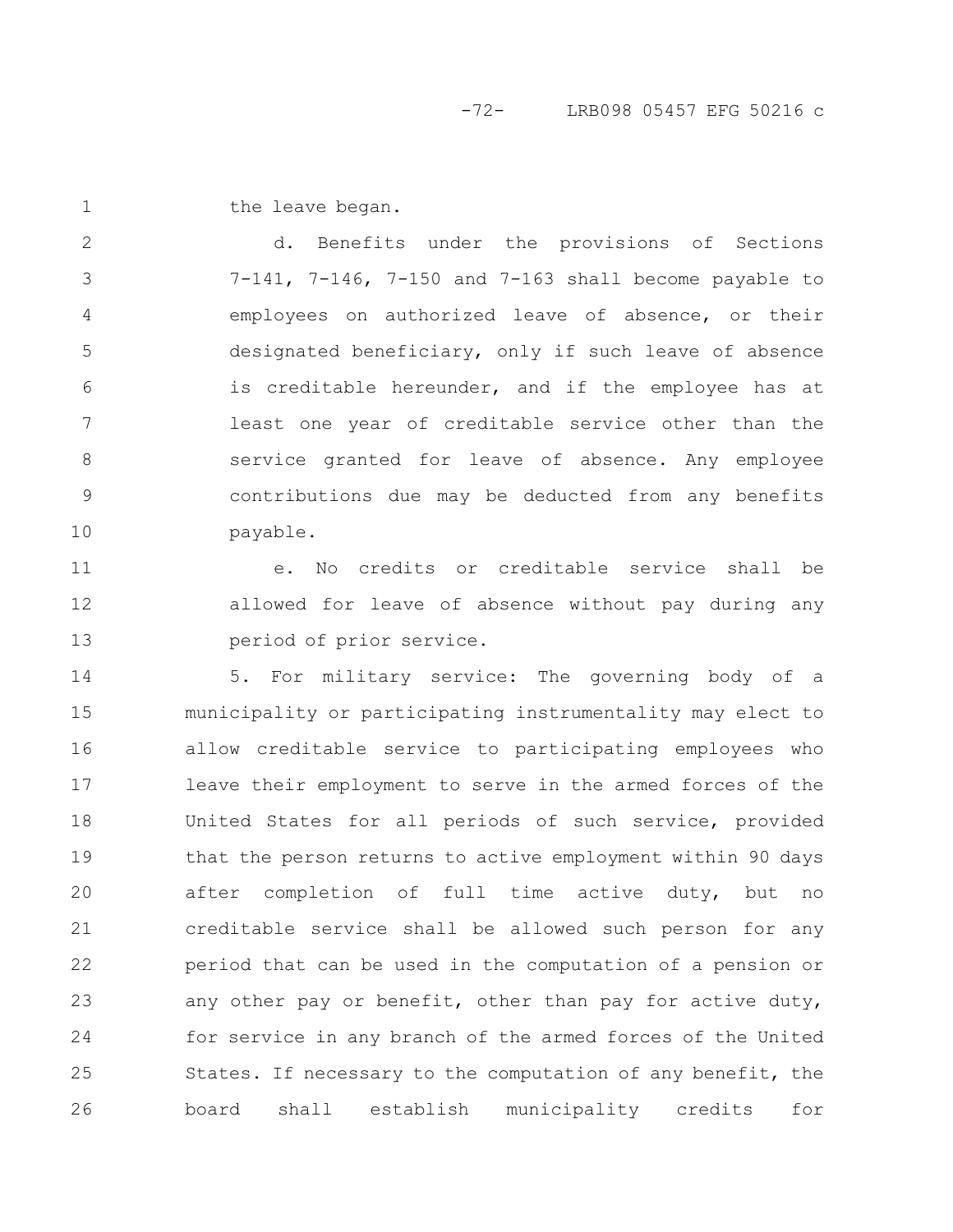the leave began. 1

2

3

4

5

6

7

8

9

10

d. Benefits under the provisions of Sections 7-141, 7-146, 7-150 and 7-163 shall become payable to employees on authorized leave of absence, or their designated beneficiary, only if such leave of absence is creditable hereunder, and if the employee has at least one year of creditable service other than the service granted for leave of absence. Any employee contributions due may be deducted from any benefits payable.

e. No credits or creditable service shall be allowed for leave of absence without pay during any period of prior service. 11 12 13

5. For military service: The governing body of a municipality or participating instrumentality may elect to allow creditable service to participating employees who leave their employment to serve in the armed forces of the United States for all periods of such service, provided that the person returns to active employment within 90 days after completion of full time active duty, but no creditable service shall be allowed such person for any period that can be used in the computation of a pension or any other pay or benefit, other than pay for active duty, for service in any branch of the armed forces of the United States. If necessary to the computation of any benefit, the board shall establish municipality credits for 14 15 16 17 18 19 20 21 22 23 24 25 26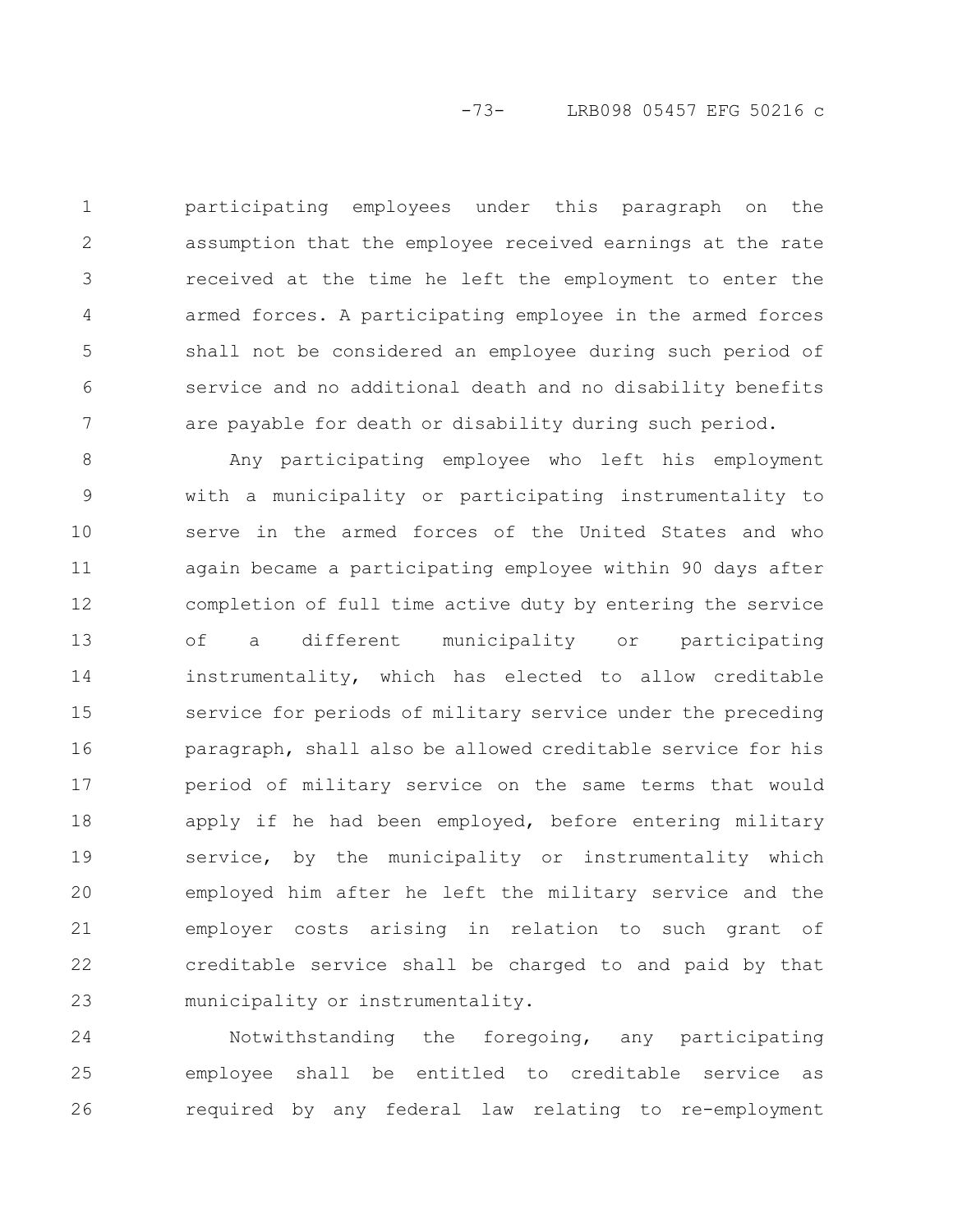participating employees under this paragraph on the assumption that the employee received earnings at the rate received at the time he left the employment to enter the armed forces. A participating employee in the armed forces shall not be considered an employee during such period of service and no additional death and no disability benefits are payable for death or disability during such period. 1 2 3 4 5 6 7

Any participating employee who left his employment with a municipality or participating instrumentality to serve in the armed forces of the United States and who again became a participating employee within 90 days after completion of full time active duty by entering the service of a different municipality or participating instrumentality, which has elected to allow creditable service for periods of military service under the preceding paragraph, shall also be allowed creditable service for his period of military service on the same terms that would apply if he had been employed, before entering military service, by the municipality or instrumentality which employed him after he left the military service and the employer costs arising in relation to such grant of creditable service shall be charged to and paid by that municipality or instrumentality. 8 9 10 11 12 13 14 15 16 17 18 19 20 21 22 23

Notwithstanding the foregoing, any participating employee shall be entitled to creditable service as required by any federal law relating to re-employment 24 25 26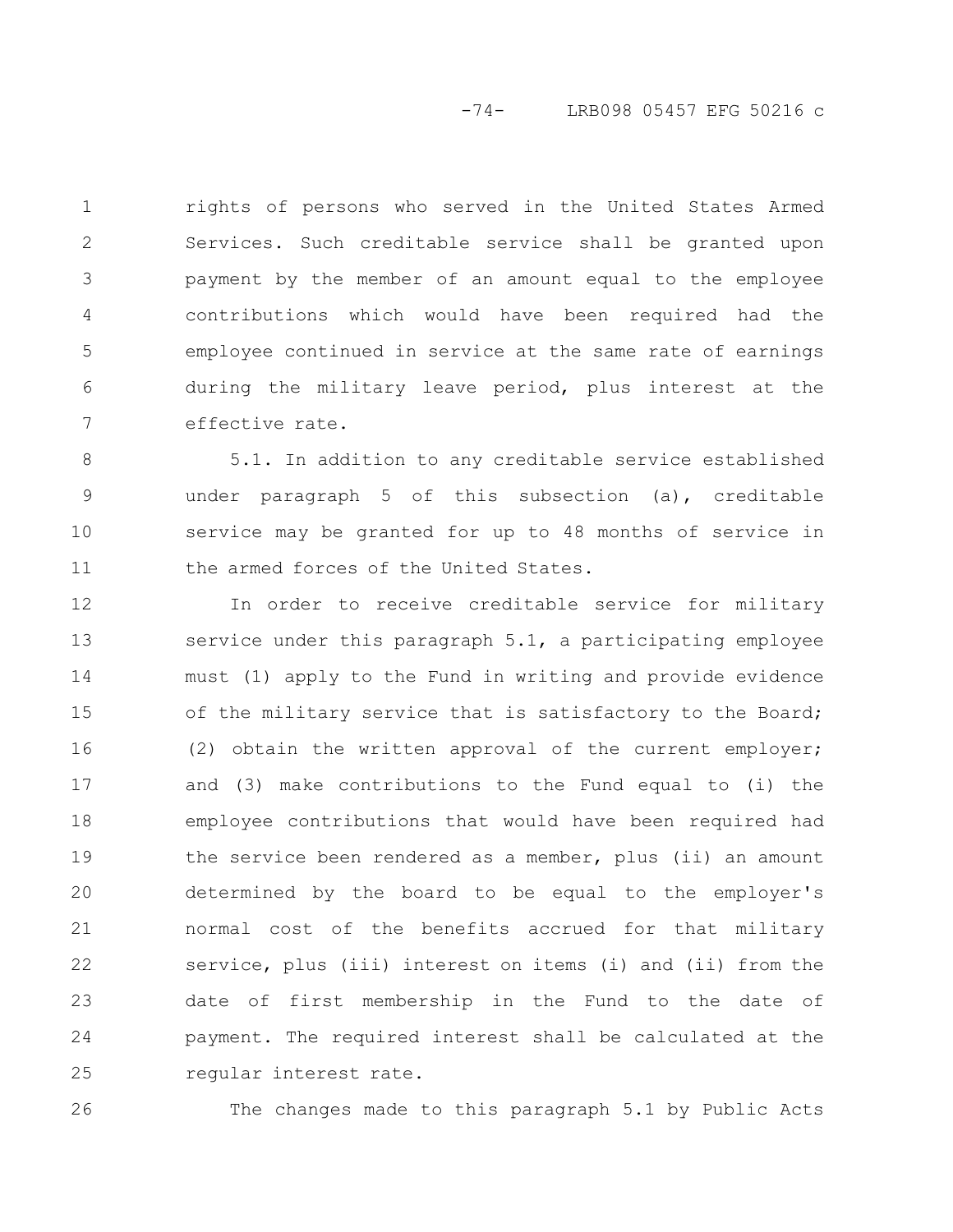rights of persons who served in the United States Armed Services. Such creditable service shall be granted upon payment by the member of an amount equal to the employee contributions which would have been required had the employee continued in service at the same rate of earnings during the military leave period, plus interest at the effective rate. 1 2 3 4 5 6 7

5.1. In addition to any creditable service established under paragraph 5 of this subsection (a), creditable service may be granted for up to 48 months of service in the armed forces of the United States. 8 9 10 11

In order to receive creditable service for military service under this paragraph 5.1, a participating employee must (1) apply to the Fund in writing and provide evidence of the military service that is satisfactory to the Board; (2) obtain the written approval of the current employer; and (3) make contributions to the Fund equal to (i) the employee contributions that would have been required had the service been rendered as a member, plus (ii) an amount determined by the board to be equal to the employer's normal cost of the benefits accrued for that military service, plus (iii) interest on items (i) and (ii) from the date of first membership in the Fund to the date of payment. The required interest shall be calculated at the regular interest rate. 12 13 14 15 16 17 18 19 20 21 22 23 24 25

26

The changes made to this paragraph 5.1 by Public Acts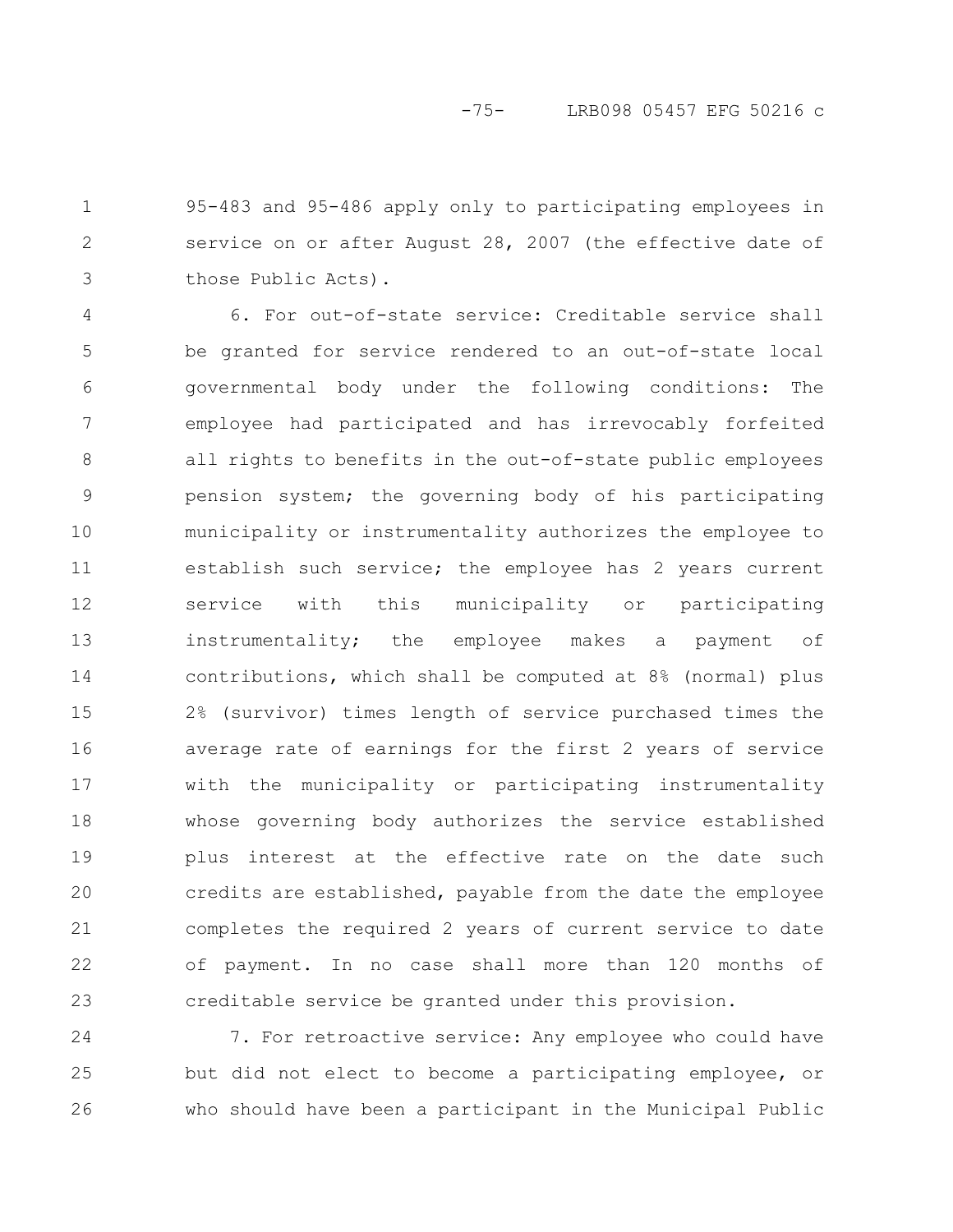95-483 and 95-486 apply only to participating employees in service on or after August 28, 2007 (the effective date of those Public Acts). 1 2 3

6. For out-of-state service: Creditable service shall be granted for service rendered to an out-of-state local governmental body under the following conditions: The employee had participated and has irrevocably forfeited all rights to benefits in the out-of-state public employees pension system; the governing body of his participating municipality or instrumentality authorizes the employee to establish such service; the employee has 2 years current service with this municipality or participating instrumentality; the employee makes a payment of contributions, which shall be computed at 8% (normal) plus 2% (survivor) times length of service purchased times the average rate of earnings for the first 2 years of service with the municipality or participating instrumentality whose governing body authorizes the service established plus interest at the effective rate on the date such credits are established, payable from the date the employee completes the required 2 years of current service to date of payment. In no case shall more than 120 months of creditable service be granted under this provision. 4 5 6 7 8 9 10 11 12 13 14 15 16 17 18 19 20 21 22 23

7. For retroactive service: Any employee who could have but did not elect to become a participating employee, or who should have been a participant in the Municipal Public 24 25 26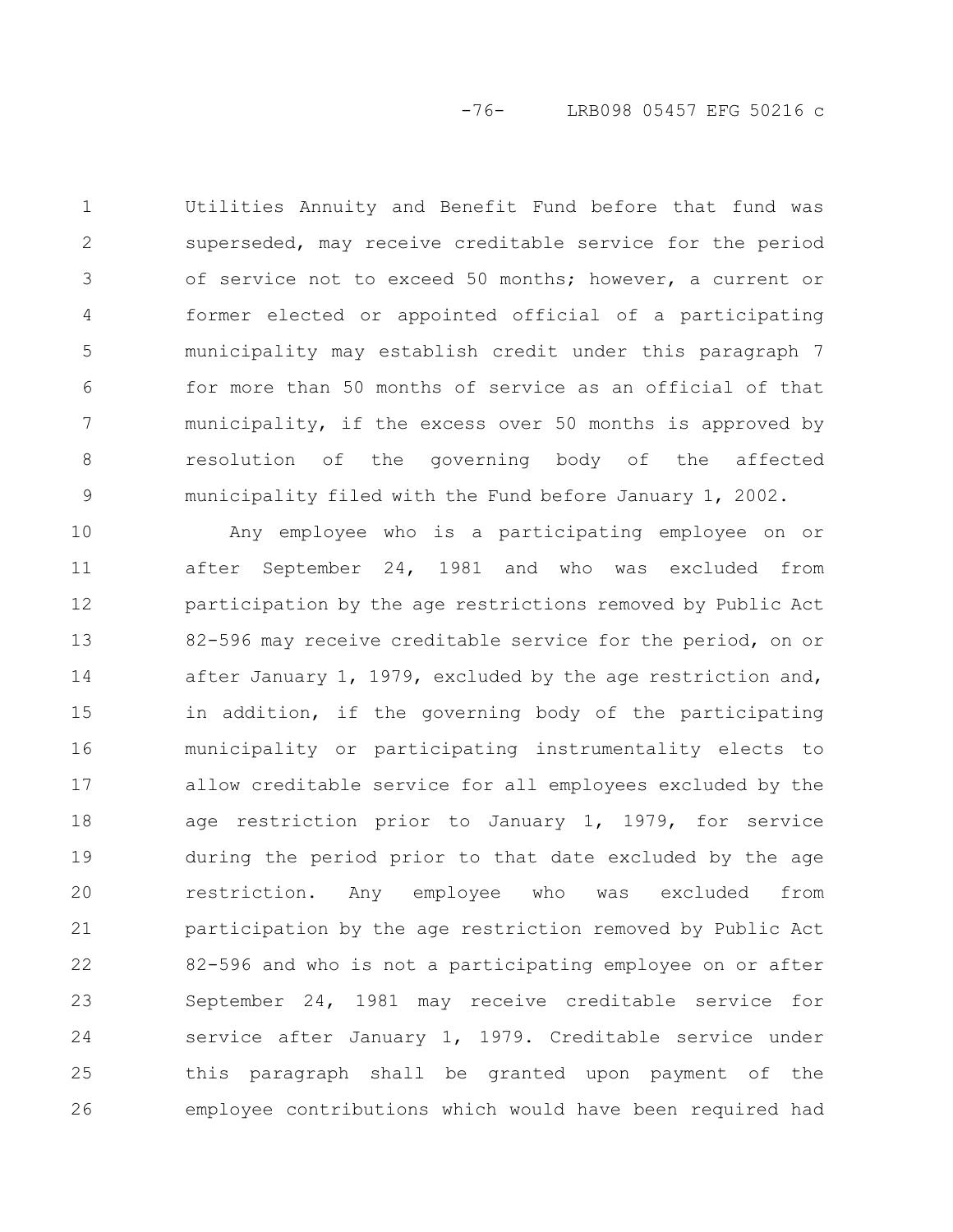Utilities Annuity and Benefit Fund before that fund was superseded, may receive creditable service for the period of service not to exceed 50 months; however, a current or former elected or appointed official of a participating municipality may establish credit under this paragraph 7 for more than 50 months of service as an official of that municipality, if the excess over 50 months is approved by resolution of the governing body of the affected municipality filed with the Fund before January 1, 2002. 1 2 3 4 5 6 7 8 9

Any employee who is a participating employee on or after September 24, 1981 and who was excluded from participation by the age restrictions removed by Public Act 82-596 may receive creditable service for the period, on or after January 1, 1979, excluded by the age restriction and, in addition, if the governing body of the participating municipality or participating instrumentality elects to allow creditable service for all employees excluded by the age restriction prior to January 1, 1979, for service during the period prior to that date excluded by the age restriction. Any employee who was excluded from participation by the age restriction removed by Public Act 82-596 and who is not a participating employee on or after September 24, 1981 may receive creditable service for service after January 1, 1979. Creditable service under this paragraph shall be granted upon payment of the employee contributions which would have been required had 10 11 12 13 14 15 16 17 18 19 20 21 22 23 24 25 26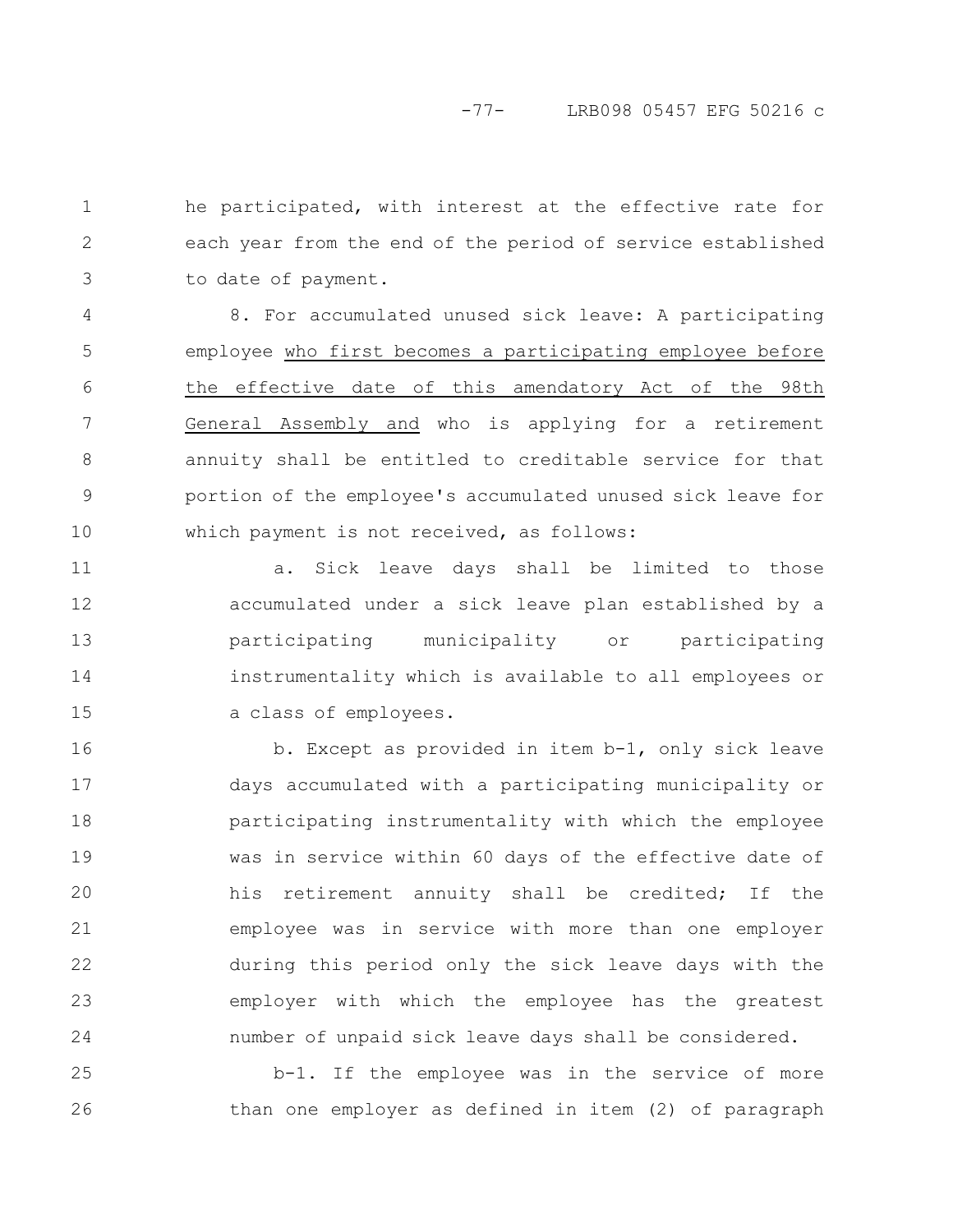he participated, with interest at the effective rate for each year from the end of the period of service established to date of payment. 1 2 3

8. For accumulated unused sick leave: A participating employee who first becomes a participating employee before the effective date of this amendatory Act of the 98th General Assembly and who is applying for a retirement annuity shall be entitled to creditable service for that portion of the employee's accumulated unused sick leave for which payment is not received, as follows: 4 5 6 7 8 9 10

a. Sick leave days shall be limited to those accumulated under a sick leave plan established by a participating municipality or participating instrumentality which is available to all employees or a class of employees. 11 12 13 14 15

b. Except as provided in item b-1, only sick leave days accumulated with a participating municipality or participating instrumentality with which the employee was in service within 60 days of the effective date of his retirement annuity shall be credited; If the employee was in service with more than one employer during this period only the sick leave days with the employer with which the employee has the greatest number of unpaid sick leave days shall be considered. 16 17 18 19 20 21 22 23 24

b-1. If the employee was in the service of more than one employer as defined in item (2) of paragraph 25 26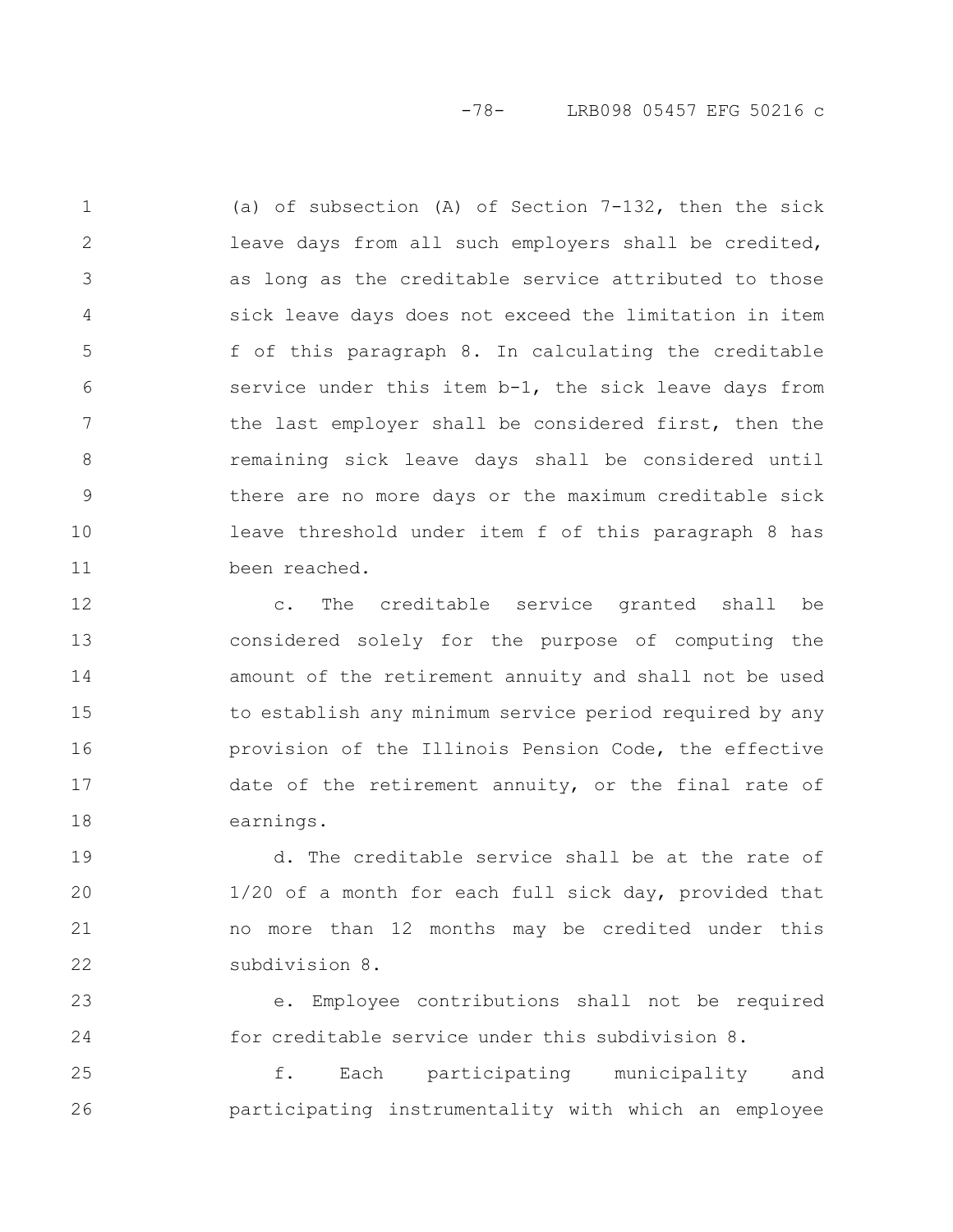-78- LRB098 05457 EFG 50216 c

(a) of subsection (A) of Section 7-132, then the sick leave days from all such employers shall be credited, as long as the creditable service attributed to those sick leave days does not exceed the limitation in item f of this paragraph 8. In calculating the creditable service under this item b-1, the sick leave days from the last employer shall be considered first, then the remaining sick leave days shall be considered until there are no more days or the maximum creditable sick leave threshold under item f of this paragraph 8 has been reached. 1 2 3 4 5 6 7 8 9 10 11

c. The creditable service granted shall be considered solely for the purpose of computing the amount of the retirement annuity and shall not be used to establish any minimum service period required by any provision of the Illinois Pension Code, the effective date of the retirement annuity, or the final rate of earnings. 12 13 14 15 16 17 18

d. The creditable service shall be at the rate of 1/20 of a month for each full sick day, provided that no more than 12 months may be credited under this subdivision 8. 19 20 21 22

e. Employee contributions shall not be required for creditable service under this subdivision 8. 23 24

f. Each participating municipality and participating instrumentality with which an employee 25 26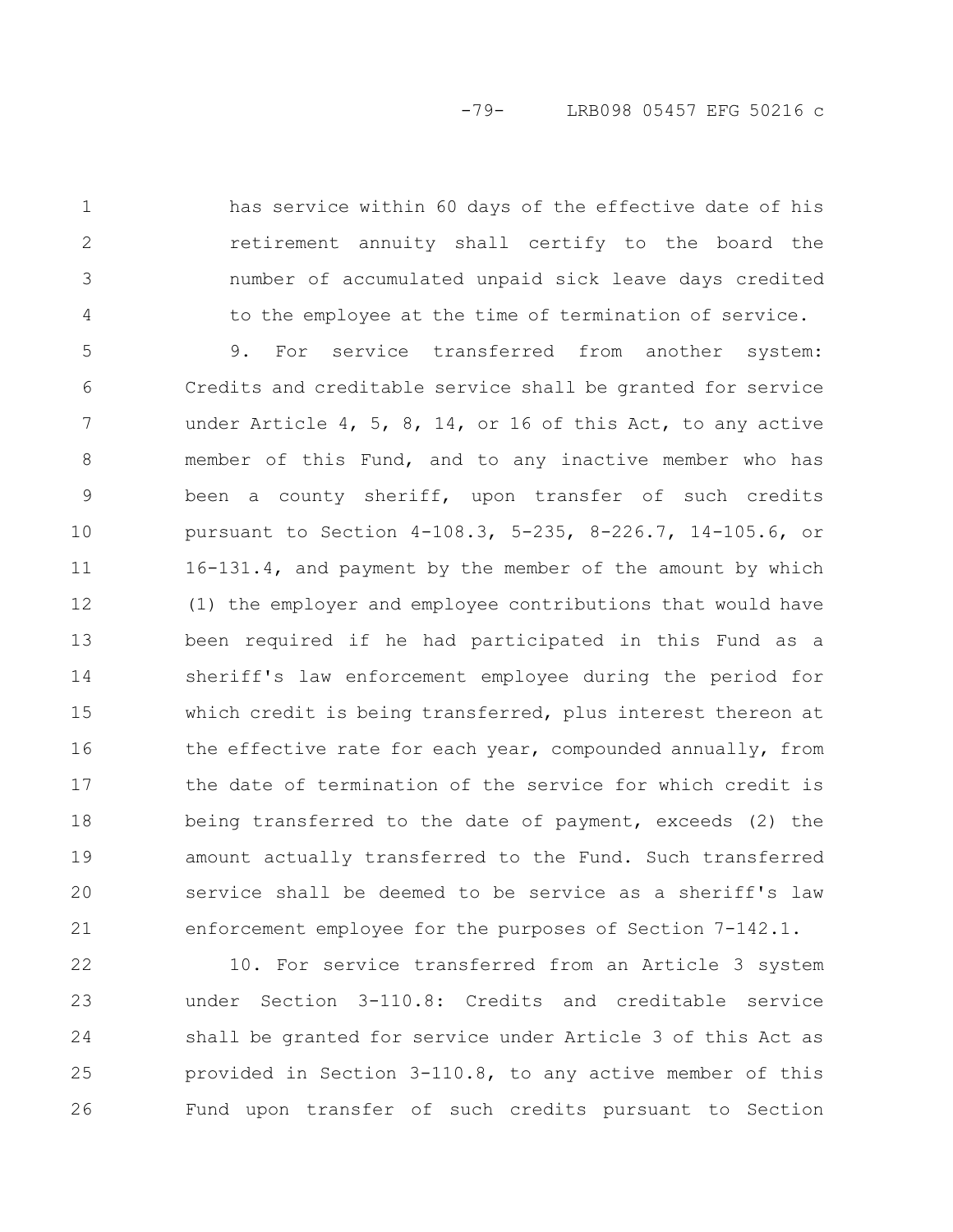has service within 60 days of the effective date of his retirement annuity shall certify to the board the number of accumulated unpaid sick leave days credited to the employee at the time of termination of service.

1

2

3

4

9. For service transferred from another system: Credits and creditable service shall be granted for service under Article 4, 5, 8, 14, or 16 of this Act, to any active member of this Fund, and to any inactive member who has been a county sheriff, upon transfer of such credits pursuant to Section 4-108.3, 5-235, 8-226.7, 14-105.6, or 16-131.4, and payment by the member of the amount by which (1) the employer and employee contributions that would have been required if he had participated in this Fund as a sheriff's law enforcement employee during the period for which credit is being transferred, plus interest thereon at the effective rate for each year, compounded annually, from the date of termination of the service for which credit is being transferred to the date of payment, exceeds (2) the amount actually transferred to the Fund. Such transferred service shall be deemed to be service as a sheriff's law enforcement employee for the purposes of Section 7-142.1. 5 6 7 8 9 10 11 12 13 14 15 16 17 18 19 20 21

10. For service transferred from an Article 3 system under Section 3-110.8: Credits and creditable service shall be granted for service under Article 3 of this Act as provided in Section 3-110.8, to any active member of this Fund upon transfer of such credits pursuant to Section 22 23 24 25 26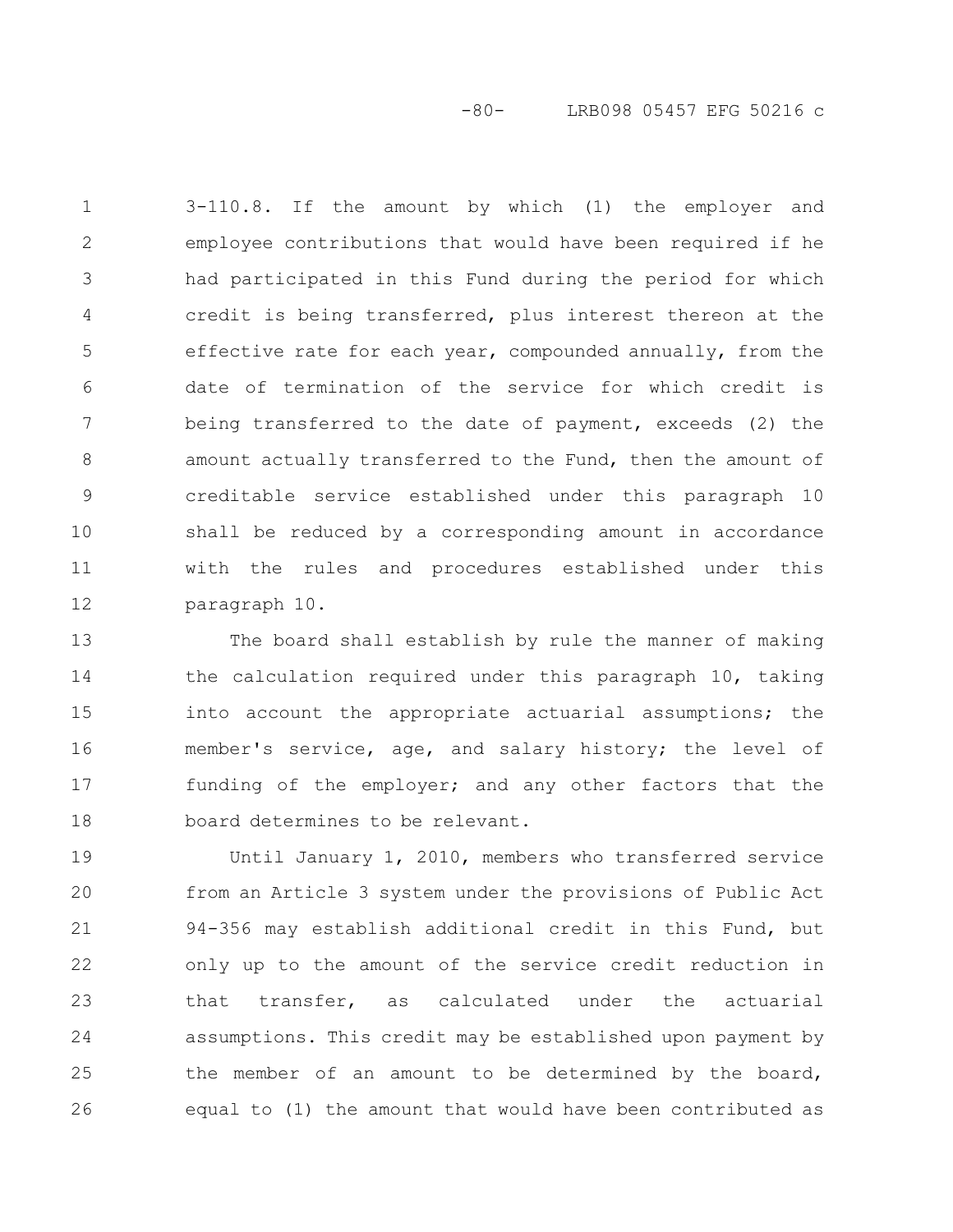-80- LRB098 05457 EFG 50216 c

3-110.8. If the amount by which (1) the employer and employee contributions that would have been required if he had participated in this Fund during the period for which credit is being transferred, plus interest thereon at the effective rate for each year, compounded annually, from the date of termination of the service for which credit is being transferred to the date of payment, exceeds (2) the amount actually transferred to the Fund, then the amount of creditable service established under this paragraph 10 shall be reduced by a corresponding amount in accordance with the rules and procedures established under this paragraph 10. 1 2 3 4 5 6 7 8 9 10 11 12

The board shall establish by rule the manner of making the calculation required under this paragraph 10, taking into account the appropriate actuarial assumptions; the member's service, age, and salary history; the level of funding of the employer; and any other factors that the board determines to be relevant. 13 14 15 16 17 18

Until January 1, 2010, members who transferred service from an Article 3 system under the provisions of Public Act 94-356 may establish additional credit in this Fund, but only up to the amount of the service credit reduction in that transfer, as calculated under the actuarial assumptions. This credit may be established upon payment by the member of an amount to be determined by the board, equal to (1) the amount that would have been contributed as 19 20 21 22 23 24 25 26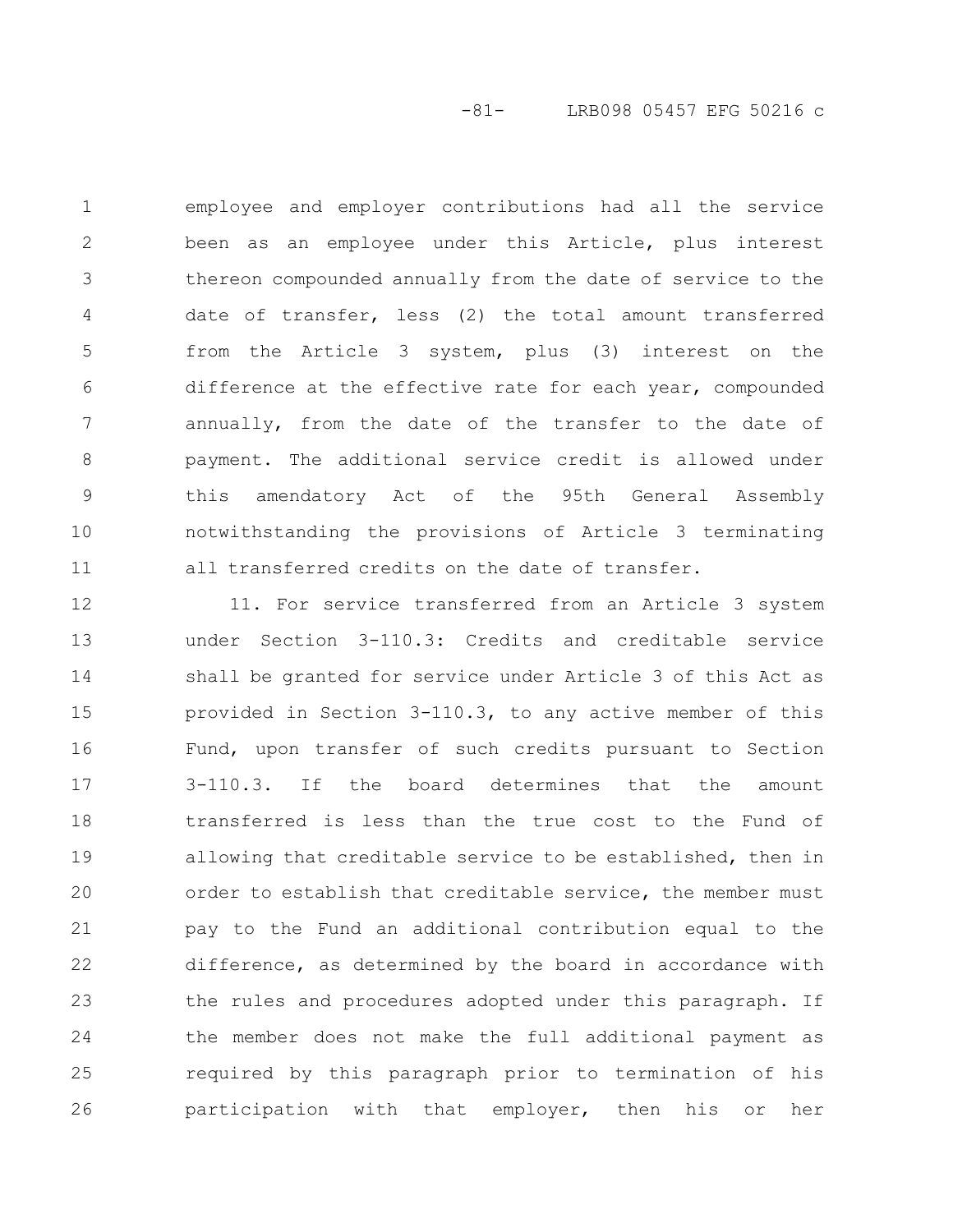-81- LRB098 05457 EFG 50216 c

employee and employer contributions had all the service been as an employee under this Article, plus interest thereon compounded annually from the date of service to the date of transfer, less (2) the total amount transferred from the Article 3 system, plus (3) interest on the difference at the effective rate for each year, compounded annually, from the date of the transfer to the date of payment. The additional service credit is allowed under this amendatory Act of the 95th General Assembly notwithstanding the provisions of Article 3 terminating all transferred credits on the date of transfer. 1 2 3 4 5 6 7 8 9 10 11

11. For service transferred from an Article 3 system under Section 3-110.3: Credits and creditable service shall be granted for service under Article 3 of this Act as provided in Section 3-110.3, to any active member of this Fund, upon transfer of such credits pursuant to Section 3-110.3. If the board determines that the amount transferred is less than the true cost to the Fund of allowing that creditable service to be established, then in order to establish that creditable service, the member must pay to the Fund an additional contribution equal to the difference, as determined by the board in accordance with the rules and procedures adopted under this paragraph. If the member does not make the full additional payment as required by this paragraph prior to termination of his participation with that employer, then his or her 12 13 14 15 16 17 18 19 20 21 22 23 24 25 26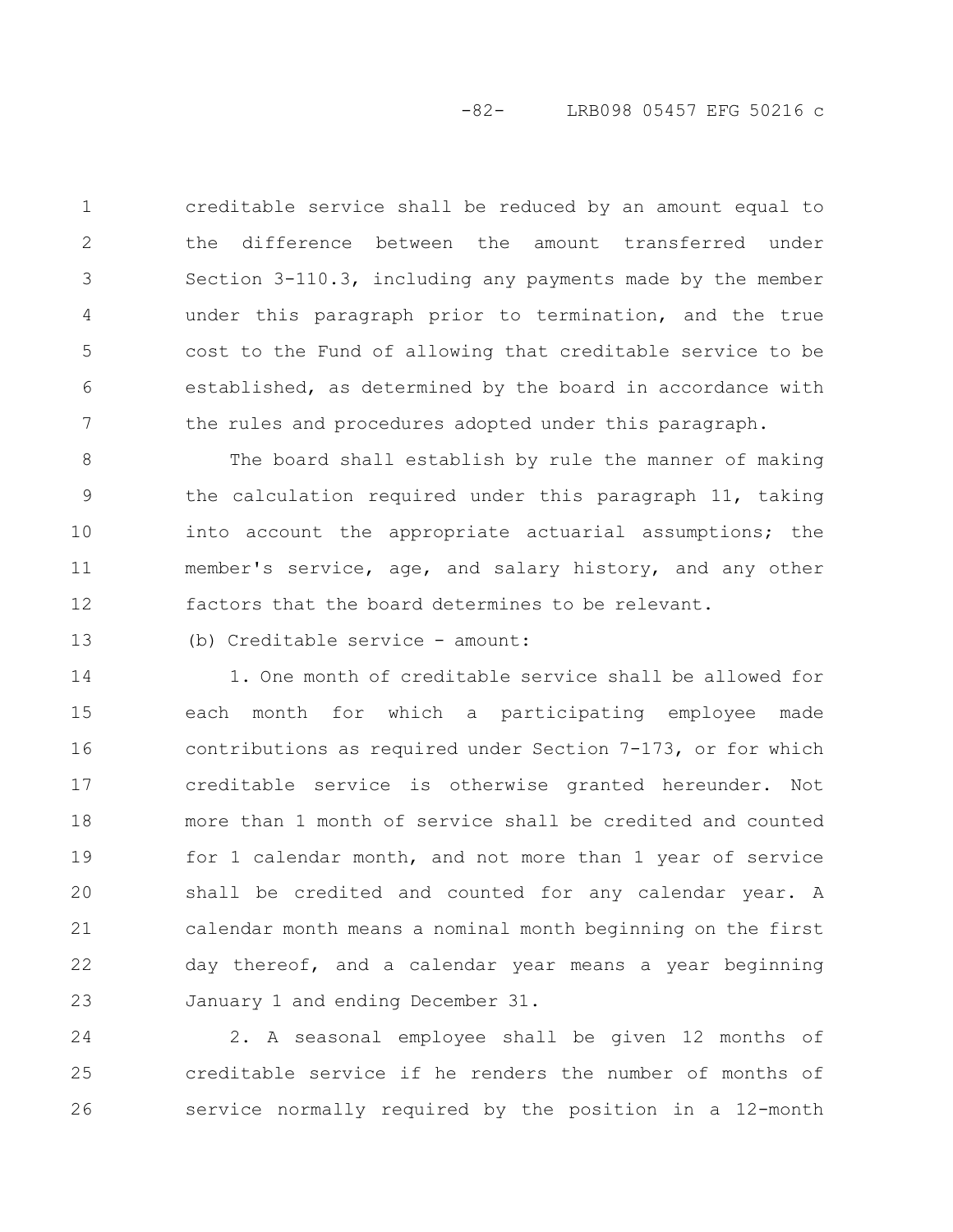creditable service shall be reduced by an amount equal to the difference between the amount transferred under Section 3-110.3, including any payments made by the member under this paragraph prior to termination, and the true cost to the Fund of allowing that creditable service to be established, as determined by the board in accordance with the rules and procedures adopted under this paragraph. 1 2 3 4 5 6 7

The board shall establish by rule the manner of making the calculation required under this paragraph 11, taking into account the appropriate actuarial assumptions; the member's service, age, and salary history, and any other factors that the board determines to be relevant. 8 9 10 11 12

13

(b) Creditable service - amount:

1. One month of creditable service shall be allowed for each month for which a participating employee made contributions as required under Section 7-173, or for which creditable service is otherwise granted hereunder. Not more than 1 month of service shall be credited and counted for 1 calendar month, and not more than 1 year of service shall be credited and counted for any calendar year. A calendar month means a nominal month beginning on the first day thereof, and a calendar year means a year beginning January 1 and ending December 31. 14 15 16 17 18 19 20 21 22 23

2. A seasonal employee shall be given 12 months of creditable service if he renders the number of months of service normally required by the position in a 12-month 24 25 26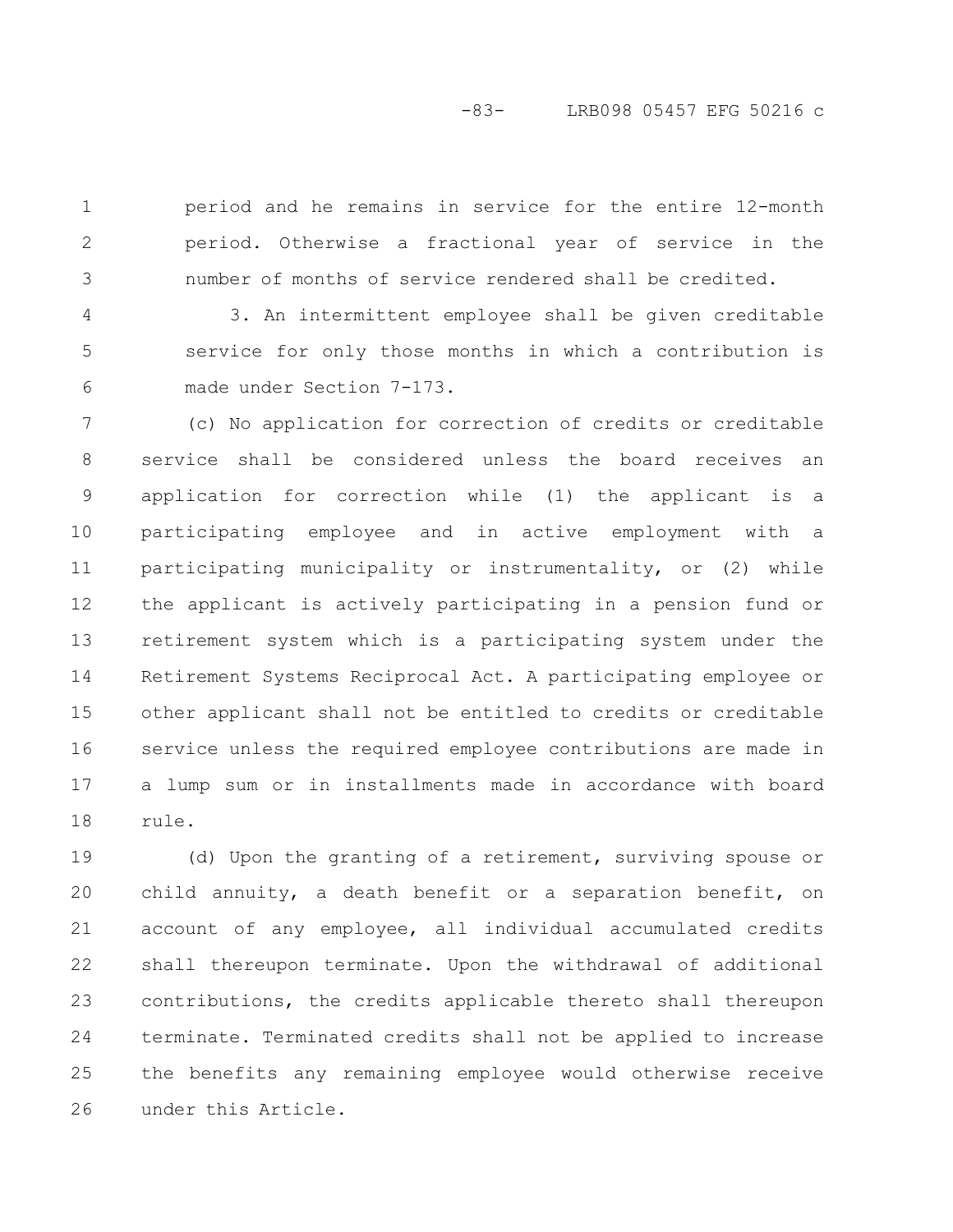period and he remains in service for the entire 12-month period. Otherwise a fractional year of service in the number of months of service rendered shall be credited. 1 2 3

3. An intermittent employee shall be given creditable service for only those months in which a contribution is made under Section 7-173. 4 5 6

(c) No application for correction of credits or creditable service shall be considered unless the board receives an application for correction while (1) the applicant is a participating employee and in active employment with a participating municipality or instrumentality, or (2) while the applicant is actively participating in a pension fund or retirement system which is a participating system under the Retirement Systems Reciprocal Act. A participating employee or other applicant shall not be entitled to credits or creditable service unless the required employee contributions are made in a lump sum or in installments made in accordance with board rule. 7 8 9 10 11 12 13 14 15 16 17 18

(d) Upon the granting of a retirement, surviving spouse or child annuity, a death benefit or a separation benefit, on account of any employee, all individual accumulated credits shall thereupon terminate. Upon the withdrawal of additional contributions, the credits applicable thereto shall thereupon terminate. Terminated credits shall not be applied to increase the benefits any remaining employee would otherwise receive under this Article. 19 20 21 22 23 24 25 26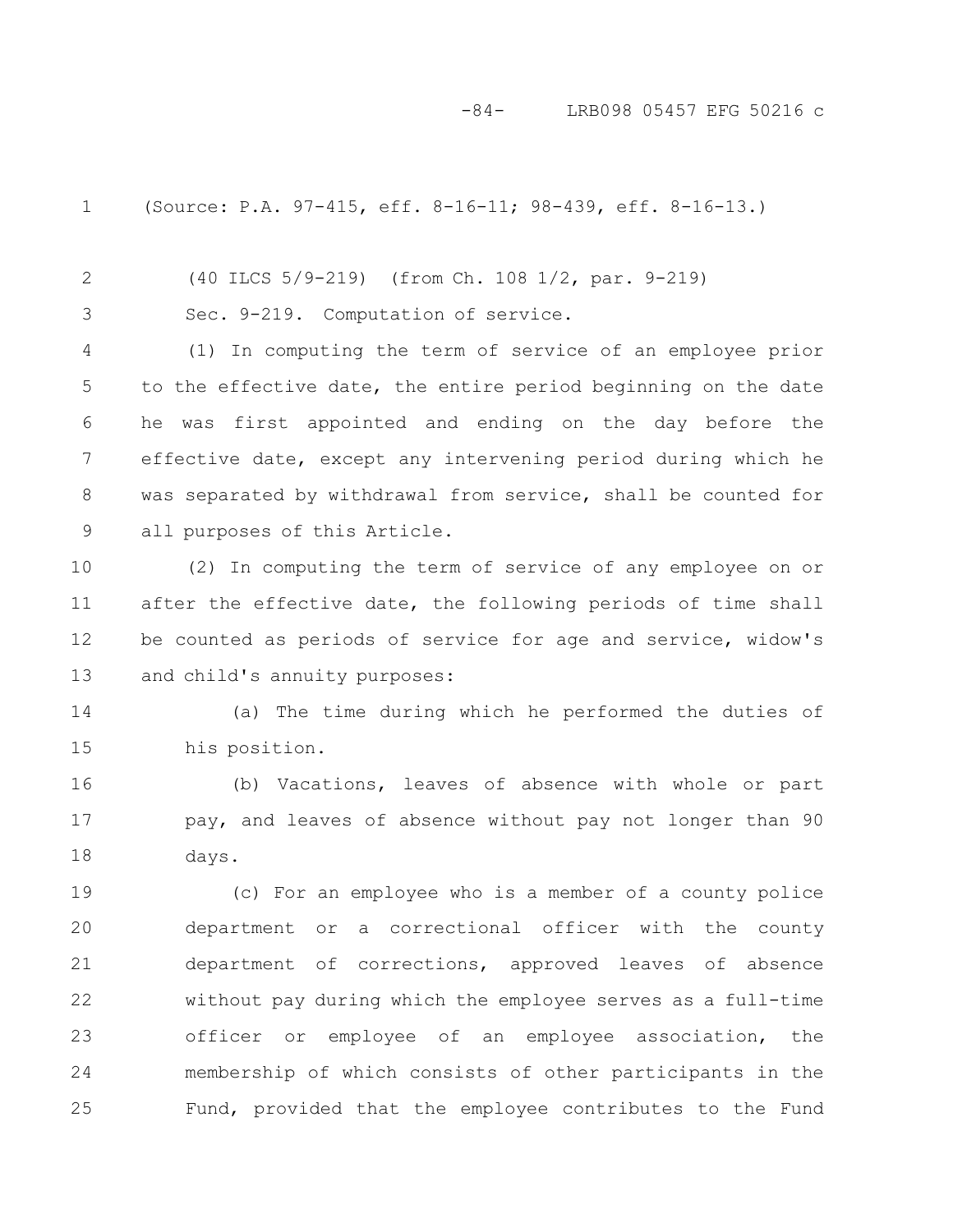-84- LRB098 05457 EFG 50216 c

1

(Source: P.A. 97-415, eff. 8-16-11; 98-439, eff. 8-16-13.)

(40 ILCS 5/9-219) (from Ch. 108 1/2, par. 9-219) 2

Sec. 9-219. Computation of service. 3

(1) In computing the term of service of an employee prior to the effective date, the entire period beginning on the date he was first appointed and ending on the day before the effective date, except any intervening period during which he was separated by withdrawal from service, shall be counted for all purposes of this Article. 4 5 6 7 8 9

(2) In computing the term of service of any employee on or after the effective date, the following periods of time shall be counted as periods of service for age and service, widow's and child's annuity purposes: 10 11 12 13

(a) The time during which he performed the duties of his position. 14 15

(b) Vacations, leaves of absence with whole or part pay, and leaves of absence without pay not longer than 90 days. 16 17 18

(c) For an employee who is a member of a county police department or a correctional officer with the county department of corrections, approved leaves of absence without pay during which the employee serves as a full-time officer or employee of an employee association, the membership of which consists of other participants in the Fund, provided that the employee contributes to the Fund 19 20 21 22 23 24 25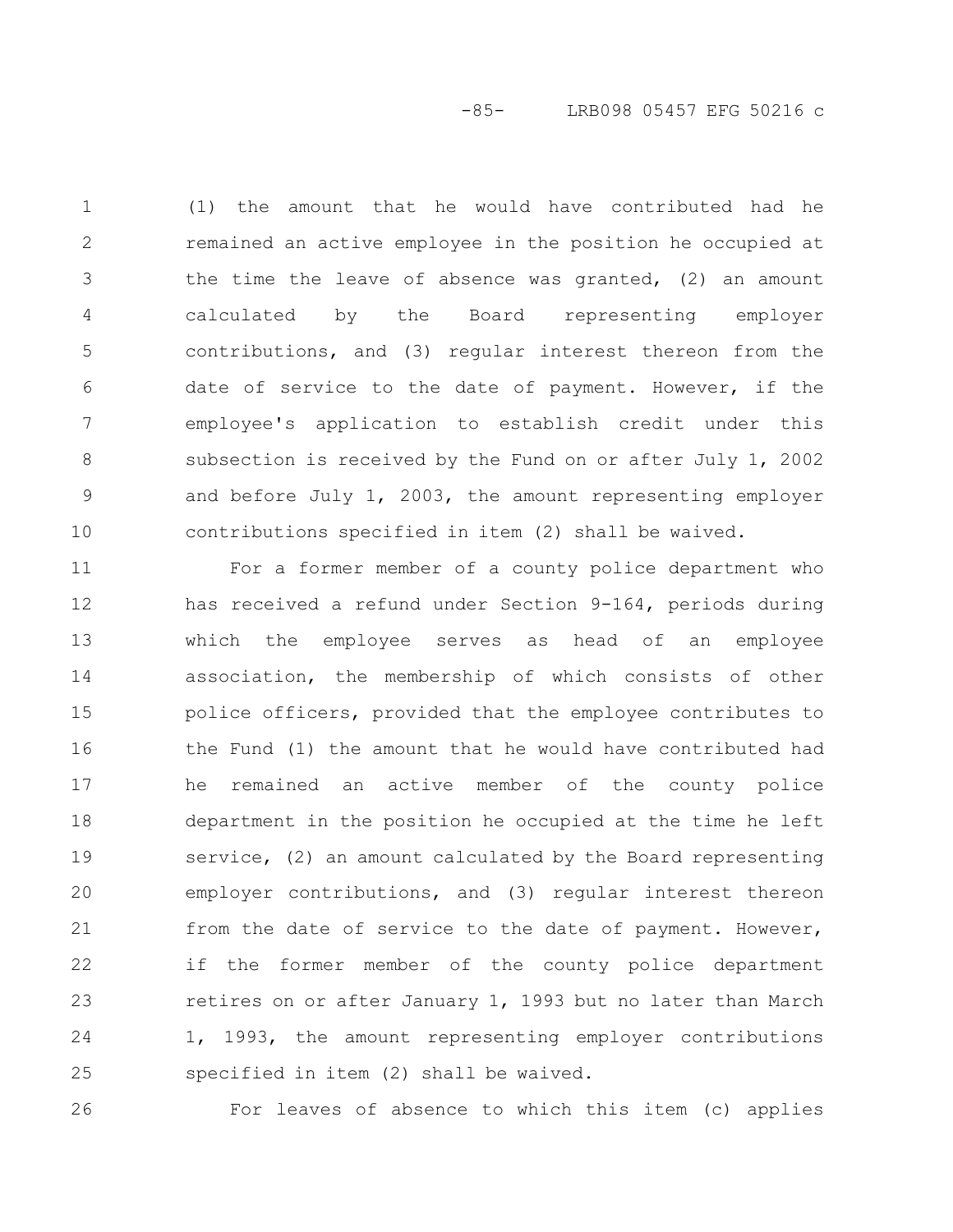# -85- LRB098 05457 EFG 50216 c

(1) the amount that he would have contributed had he remained an active employee in the position he occupied at the time the leave of absence was granted, (2) an amount calculated by the Board representing employer contributions, and (3) regular interest thereon from the date of service to the date of payment. However, if the employee's application to establish credit under this subsection is received by the Fund on or after July 1, 2002 and before July 1, 2003, the amount representing employer contributions specified in item (2) shall be waived. 1 2 3 4 5 6 7 8 9 10

For a former member of a county police department who has received a refund under Section 9-164, periods during which the employee serves as head of an employee association, the membership of which consists of other police officers, provided that the employee contributes to the Fund (1) the amount that he would have contributed had he remained an active member of the county police department in the position he occupied at the time he left service, (2) an amount calculated by the Board representing employer contributions, and (3) regular interest thereon from the date of service to the date of payment. However, if the former member of the county police department retires on or after January 1, 1993 but no later than March 1, 1993, the amount representing employer contributions specified in item (2) shall be waived. 11 12 13 14 15 16 17 18 19 20 21 22 23 24 25

26

For leaves of absence to which this item (c) applies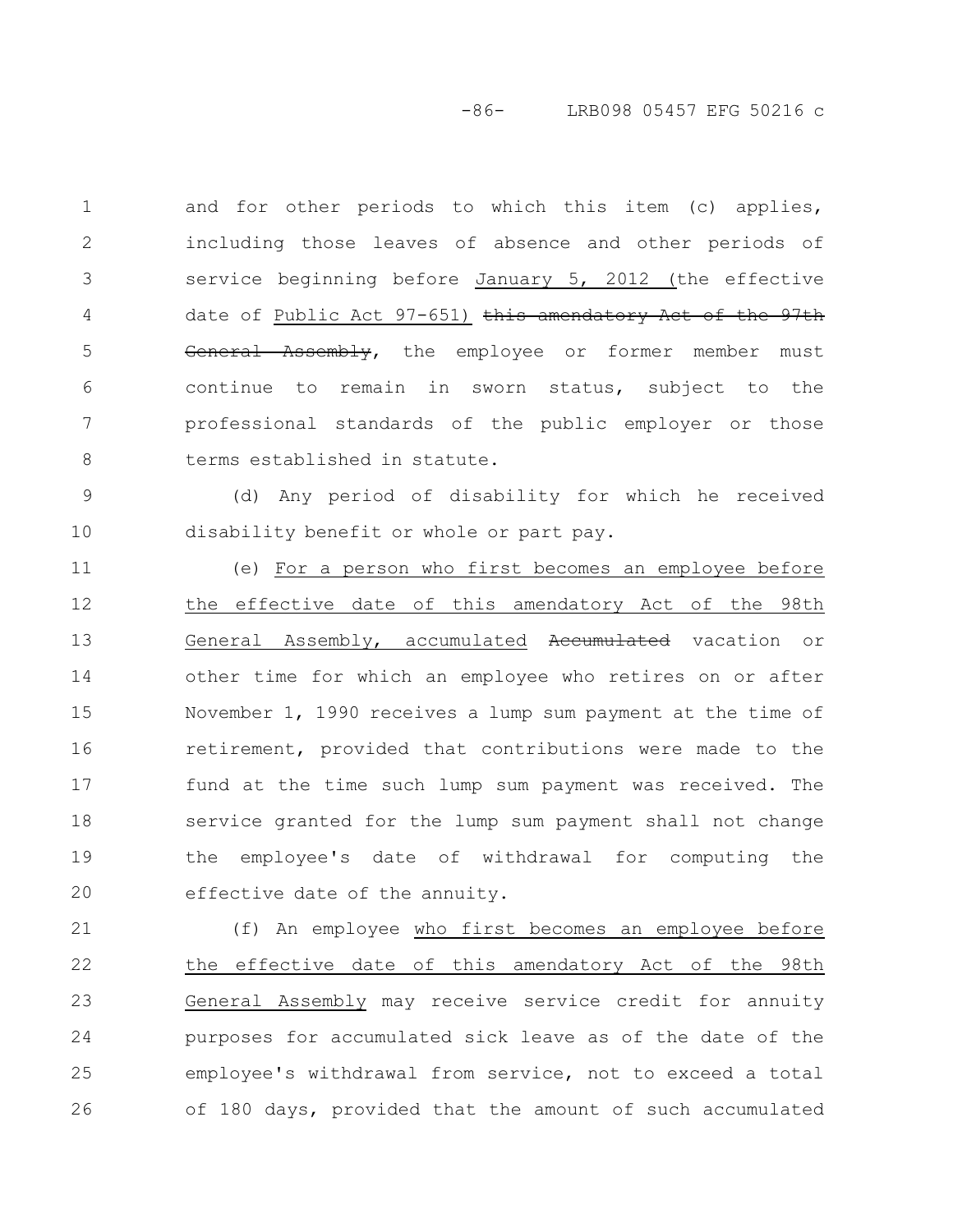-86- LRB098 05457 EFG 50216 c

and for other periods to which this item (c) applies, including those leaves of absence and other periods of service beginning before January 5, 2012 (the effective date of Public Act 97-651) this amendatory Act of the 97th General Assembly, the employee or former member must continue to remain in sworn status, subject to the professional standards of the public employer or those terms established in statute. 1 2 3 4 5 6 7 8

(d) Any period of disability for which he received disability benefit or whole or part pay. 9 10

(e) For a person who first becomes an employee before the effective date of this amendatory Act of the 98th General Assembly, accumulated Accumulated vacation or other time for which an employee who retires on or after November 1, 1990 receives a lump sum payment at the time of retirement, provided that contributions were made to the fund at the time such lump sum payment was received. The service granted for the lump sum payment shall not change the employee's date of withdrawal for computing the effective date of the annuity. 11 12 13 14 15 16 17 18 19 20

(f) An employee who first becomes an employee before the effective date of this amendatory Act of the 98th General Assembly may receive service credit for annuity purposes for accumulated sick leave as of the date of the employee's withdrawal from service, not to exceed a total of 180 days, provided that the amount of such accumulated 21 22 23 24 25 26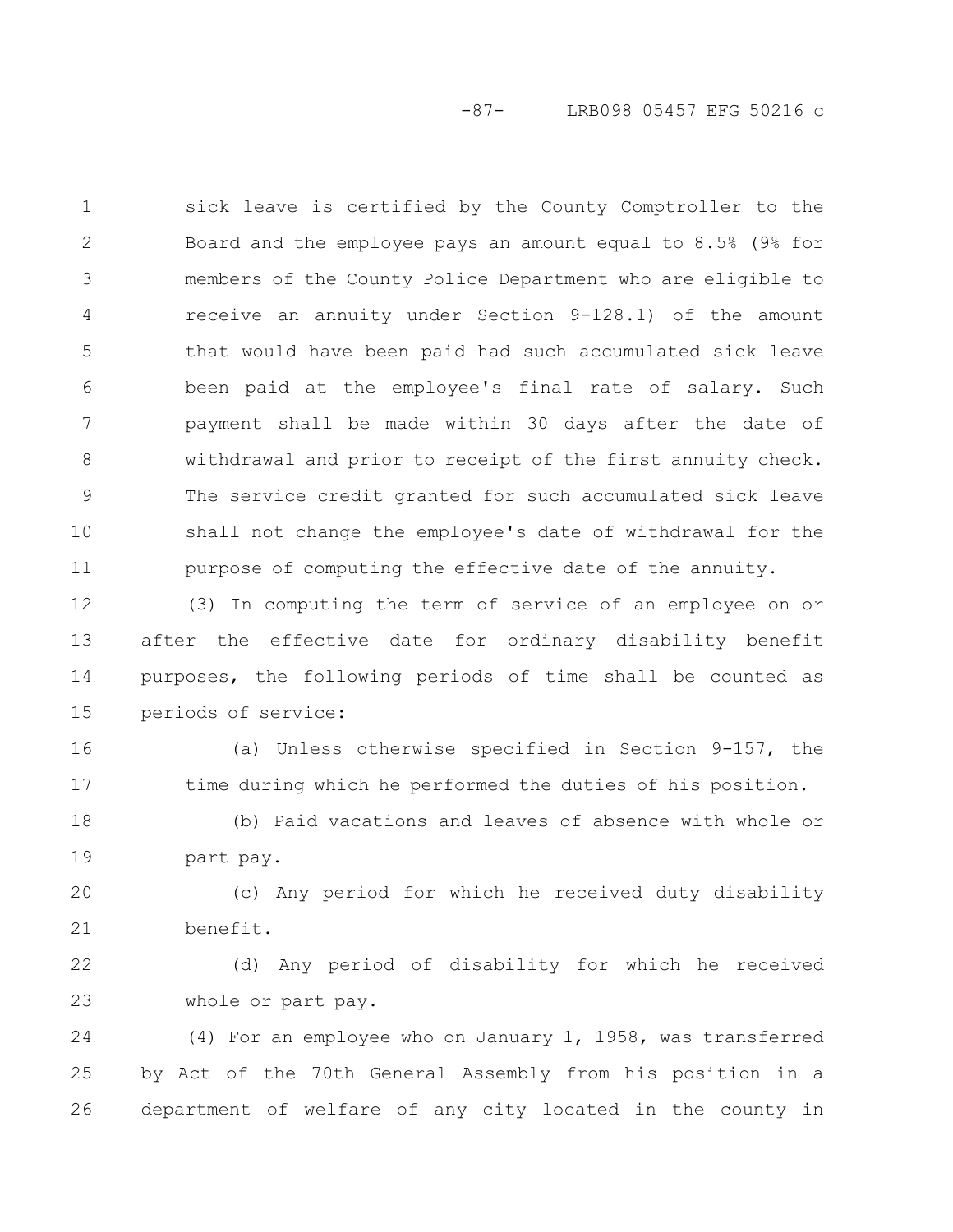-87- LRB098 05457 EFG 50216 c

sick leave is certified by the County Comptroller to the Board and the employee pays an amount equal to 8.5% (9% for members of the County Police Department who are eligible to receive an annuity under Section 9-128.1) of the amount that would have been paid had such accumulated sick leave been paid at the employee's final rate of salary. Such payment shall be made within 30 days after the date of withdrawal and prior to receipt of the first annuity check. The service credit granted for such accumulated sick leave shall not change the employee's date of withdrawal for the purpose of computing the effective date of the annuity. 1 2 3 4 5 6 7 8 9 10 11

(3) In computing the term of service of an employee on or after the effective date for ordinary disability benefit purposes, the following periods of time shall be counted as periods of service: 12 13 14 15

(a) Unless otherwise specified in Section 9-157, the time during which he performed the duties of his position. 16 17

(b) Paid vacations and leaves of absence with whole or part pay. 18 19

(c) Any period for which he received duty disability benefit. 20 21

(d) Any period of disability for which he received whole or part pay. 22 23

(4) For an employee who on January 1, 1958, was transferred by Act of the 70th General Assembly from his position in a department of welfare of any city located in the county in 24 25 26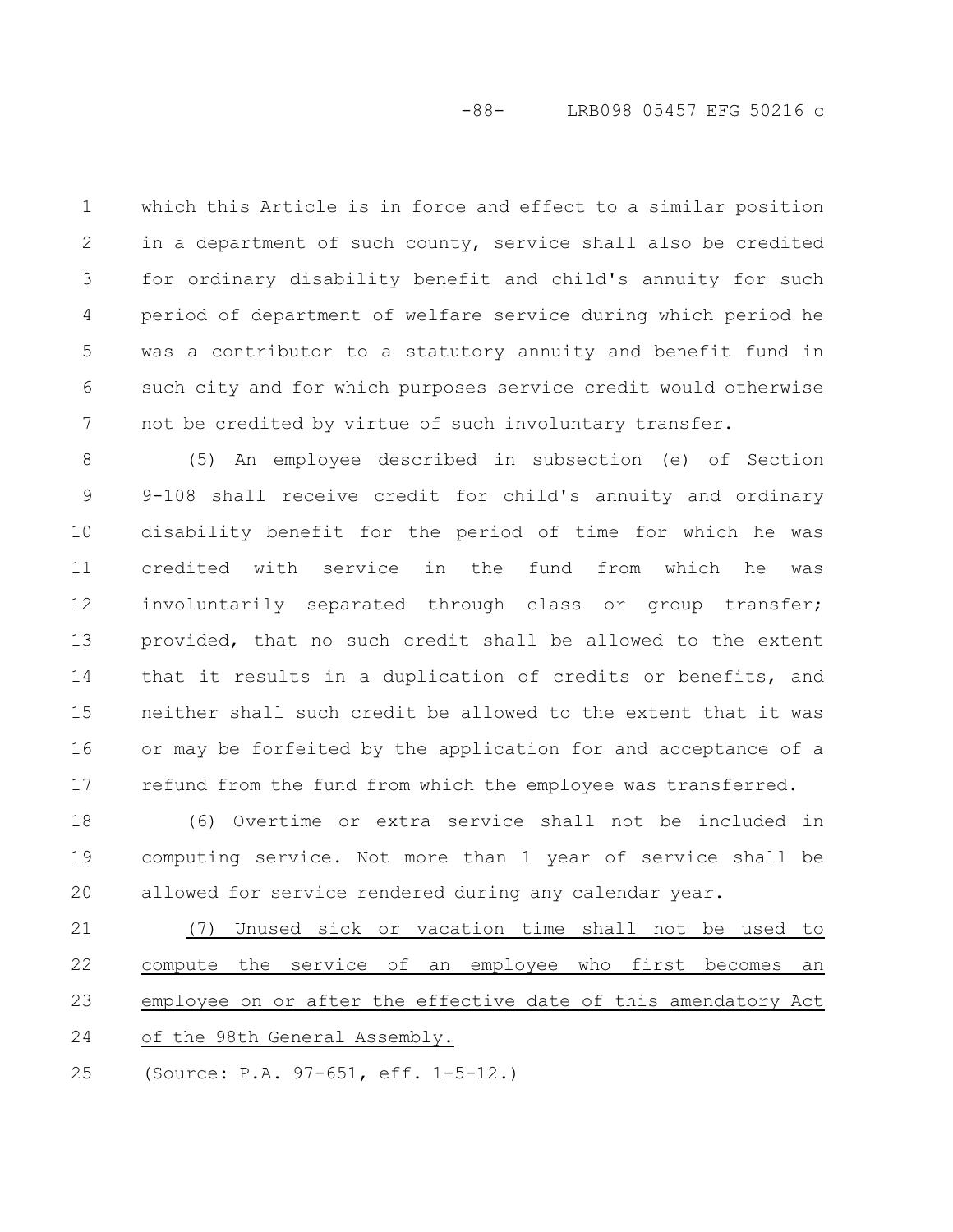which this Article is in force and effect to a similar position in a department of such county, service shall also be credited for ordinary disability benefit and child's annuity for such period of department of welfare service during which period he was a contributor to a statutory annuity and benefit fund in such city and for which purposes service credit would otherwise not be credited by virtue of such involuntary transfer. 1 2 3 4 5 6 7

(5) An employee described in subsection (e) of Section 9-108 shall receive credit for child's annuity and ordinary disability benefit for the period of time for which he was credited with service in the fund from which he was involuntarily separated through class or group transfer; provided, that no such credit shall be allowed to the extent that it results in a duplication of credits or benefits, and neither shall such credit be allowed to the extent that it was or may be forfeited by the application for and acceptance of a refund from the fund from which the employee was transferred. 8 9 10 11 12 13 14 15 16 17

(6) Overtime or extra service shall not be included in computing service. Not more than 1 year of service shall be allowed for service rendered during any calendar year. 18 19 20

(7) Unused sick or vacation time shall not be used to compute the service of an employee who first becomes an employee on or after the effective date of this amendatory Act of the 98th General Assembly. 21 22 23 24

(Source: P.A. 97-651, eff. 1-5-12.) 25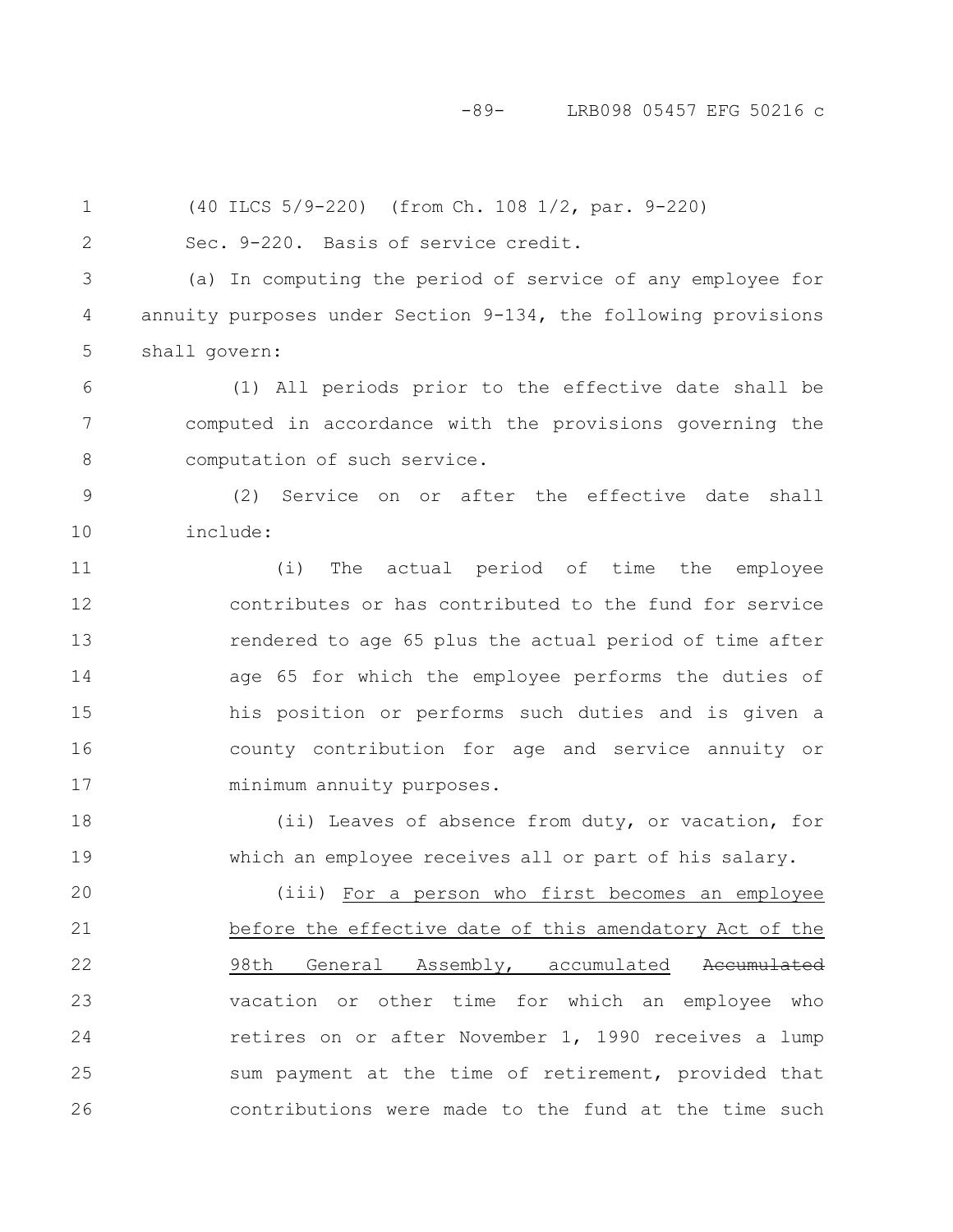#### -89- LRB098 05457 EFG 50216 c

(40 ILCS 5/9-220) (from Ch. 108 1/2, par. 9-220) Sec. 9-220. Basis of service credit. (a) In computing the period of service of any employee for annuity purposes under Section 9-134, the following provisions shall govern: (1) All periods prior to the effective date shall be computed in accordance with the provisions governing the computation of such service. (2) Service on or after the effective date shall include: (i) The actual period of time the employee contributes or has contributed to the fund for service rendered to age 65 plus the actual period of time after age 65 for which the employee performs the duties of his position or performs such duties and is given a county contribution for age and service annuity or minimum annuity purposes. (ii) Leaves of absence from duty, or vacation, for which an employee receives all or part of his salary. (iii) For a person who first becomes an employee before the effective date of this amendatory Act of the 98th General Assembly, accumulated Accumulated vacation or other time for which an employee who retires on or after November 1, 1990 receives a lump sum payment at the time of retirement, provided that 1 2 3 4 5 6 7 8 9 10 11 12 13 14 15 16 17 18 19 20 21 22 23 24 25

contributions were made to the fund at the time such

26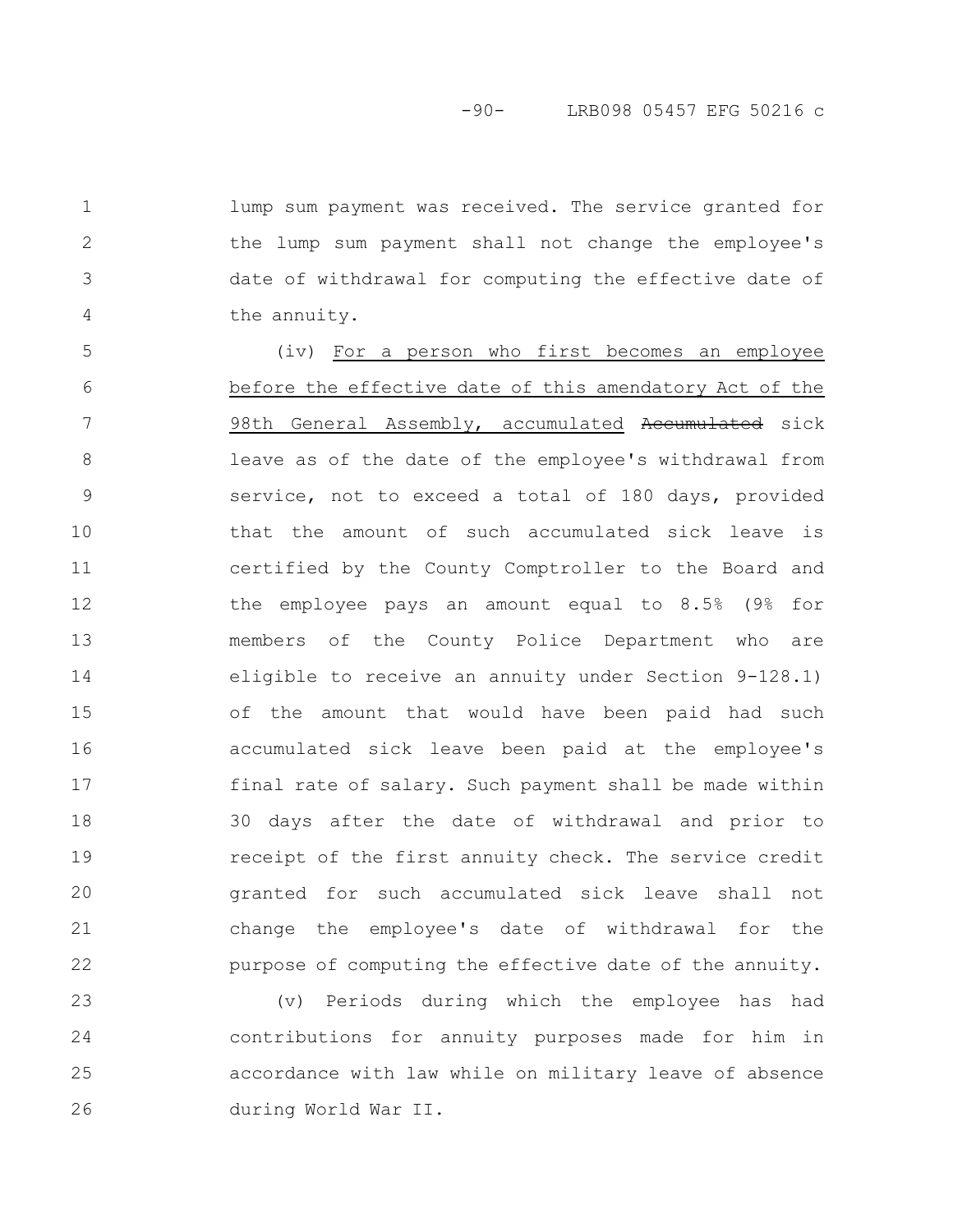lump sum payment was received. The service granted for the lump sum payment shall not change the employee's date of withdrawal for computing the effective date of the annuity.

1

2

3

4

(iv) For a person who first becomes an employee before the effective date of this amendatory Act of the 98th General Assembly, accumulated Accumulated sick leave as of the date of the employee's withdrawal from service, not to exceed a total of 180 days, provided that the amount of such accumulated sick leave is certified by the County Comptroller to the Board and the employee pays an amount equal to 8.5% (9% for members of the County Police Department who are eligible to receive an annuity under Section 9-128.1) of the amount that would have been paid had such accumulated sick leave been paid at the employee's final rate of salary. Such payment shall be made within 30 days after the date of withdrawal and prior to receipt of the first annuity check. The service credit granted for such accumulated sick leave shall not change the employee's date of withdrawal for the purpose of computing the effective date of the annuity. 5 6 7 8 9 10 11 12 13 14 15 16 17 18 19 20 21 22

(v) Periods during which the employee has had contributions for annuity purposes made for him in accordance with law while on military leave of absence during World War II. 23 24 25 26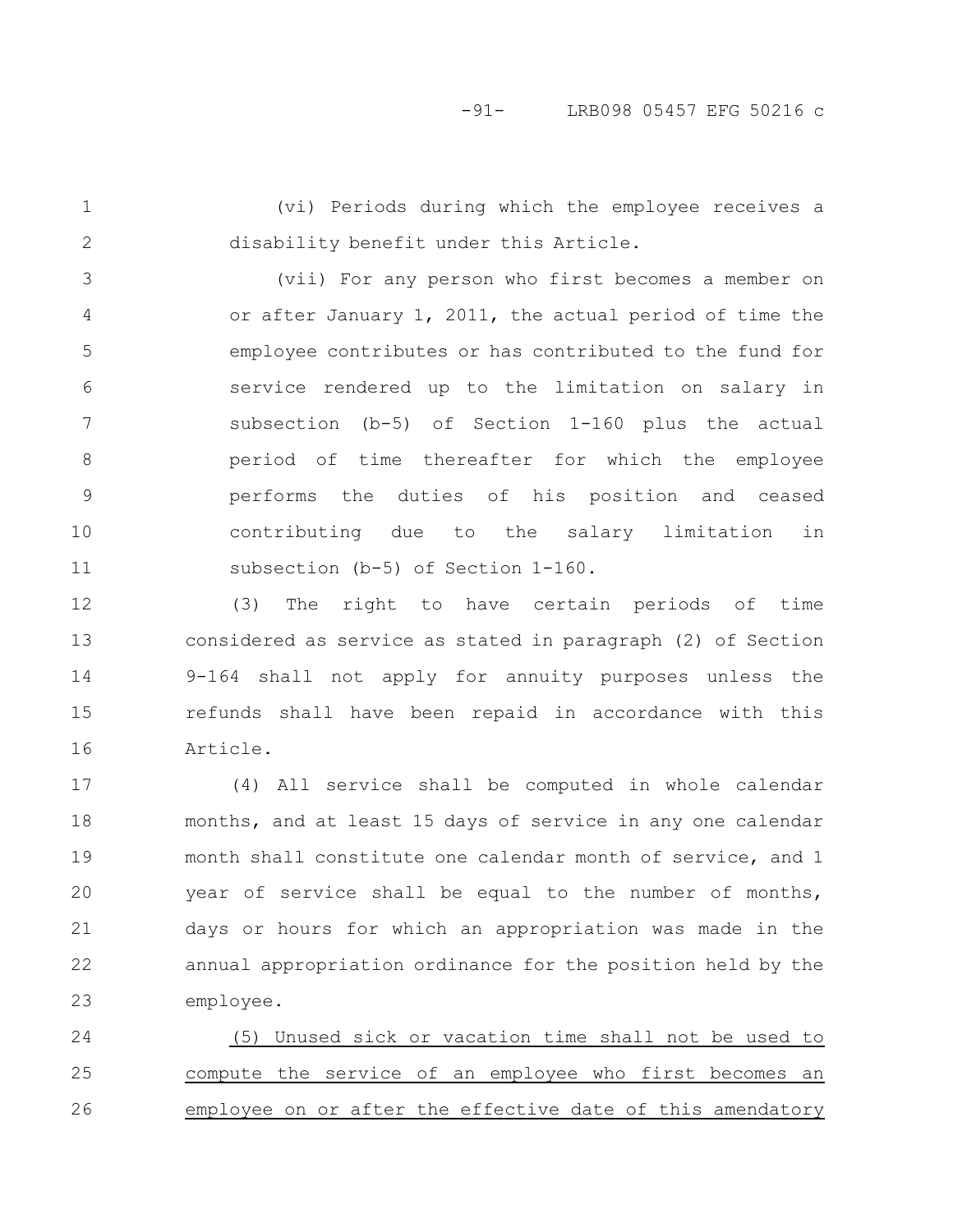1

2

(vi) Periods during which the employee receives a disability benefit under this Article.

(vii) For any person who first becomes a member on or after January 1, 2011, the actual period of time the employee contributes or has contributed to the fund for service rendered up to the limitation on salary in subsection (b-5) of Section 1-160 plus the actual period of time thereafter for which the employee performs the duties of his position and ceased contributing due to the salary limitation in subsection (b-5) of Section 1-160. 3 4 5 6 7 8 9 10 11

(3) The right to have certain periods of time considered as service as stated in paragraph (2) of Section 9-164 shall not apply for annuity purposes unless the refunds shall have been repaid in accordance with this Article. 12 13 14 15 16

(4) All service shall be computed in whole calendar months, and at least 15 days of service in any one calendar month shall constitute one calendar month of service, and 1 year of service shall be equal to the number of months, days or hours for which an appropriation was made in the annual appropriation ordinance for the position held by the employee. 17 18 19 20 21 22 23

(5) Unused sick or vacation time shall not be used to compute the service of an employee who first becomes an employee on or after the effective date of this amendatory 24 25 26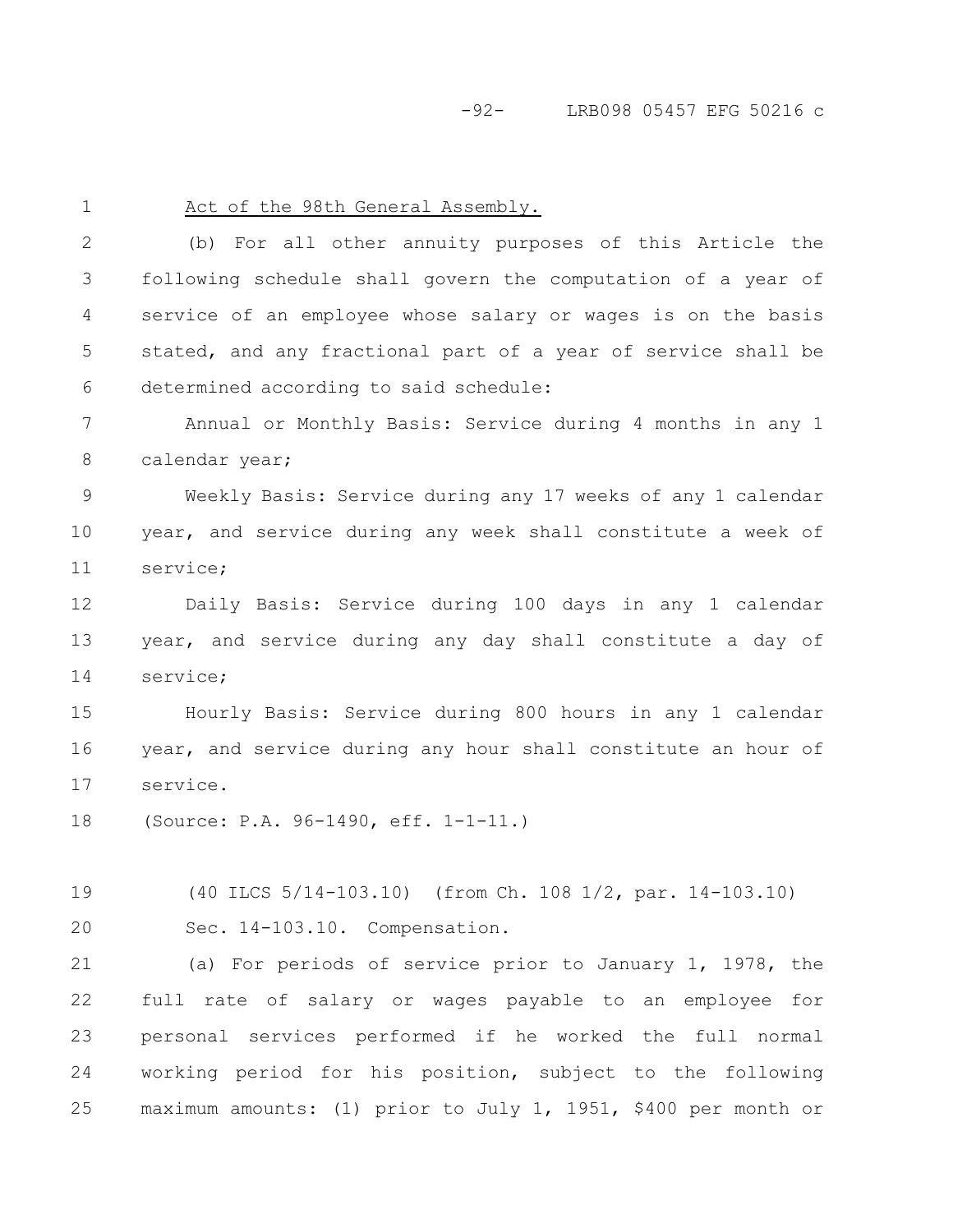-92- LRB098 05457 EFG 50216 c

1

#### Act of the 98th General Assembly.

(b) For all other annuity purposes of this Article the following schedule shall govern the computation of a year of service of an employee whose salary or wages is on the basis stated, and any fractional part of a year of service shall be determined according to said schedule: 2 3 4 5 6

Annual or Monthly Basis: Service during 4 months in any 1 calendar year; 7 8

Weekly Basis: Service during any 17 weeks of any 1 calendar year, and service during any week shall constitute a week of service; 9 10 11

Daily Basis: Service during 100 days in any 1 calendar year, and service during any day shall constitute a day of service; 12 13 14

Hourly Basis: Service during 800 hours in any 1 calendar year, and service during any hour shall constitute an hour of service. 15 16 17

(Source: P.A. 96-1490, eff. 1-1-11.) 18

(40 ILCS 5/14-103.10) (from Ch. 108 1/2, par. 14-103.10) Sec. 14-103.10. Compensation. 19 20

(a) For periods of service prior to January 1, 1978, the full rate of salary or wages payable to an employee for personal services performed if he worked the full normal working period for his position, subject to the following maximum amounts: (1) prior to July 1, 1951, \$400 per month or 21 22 23 24 25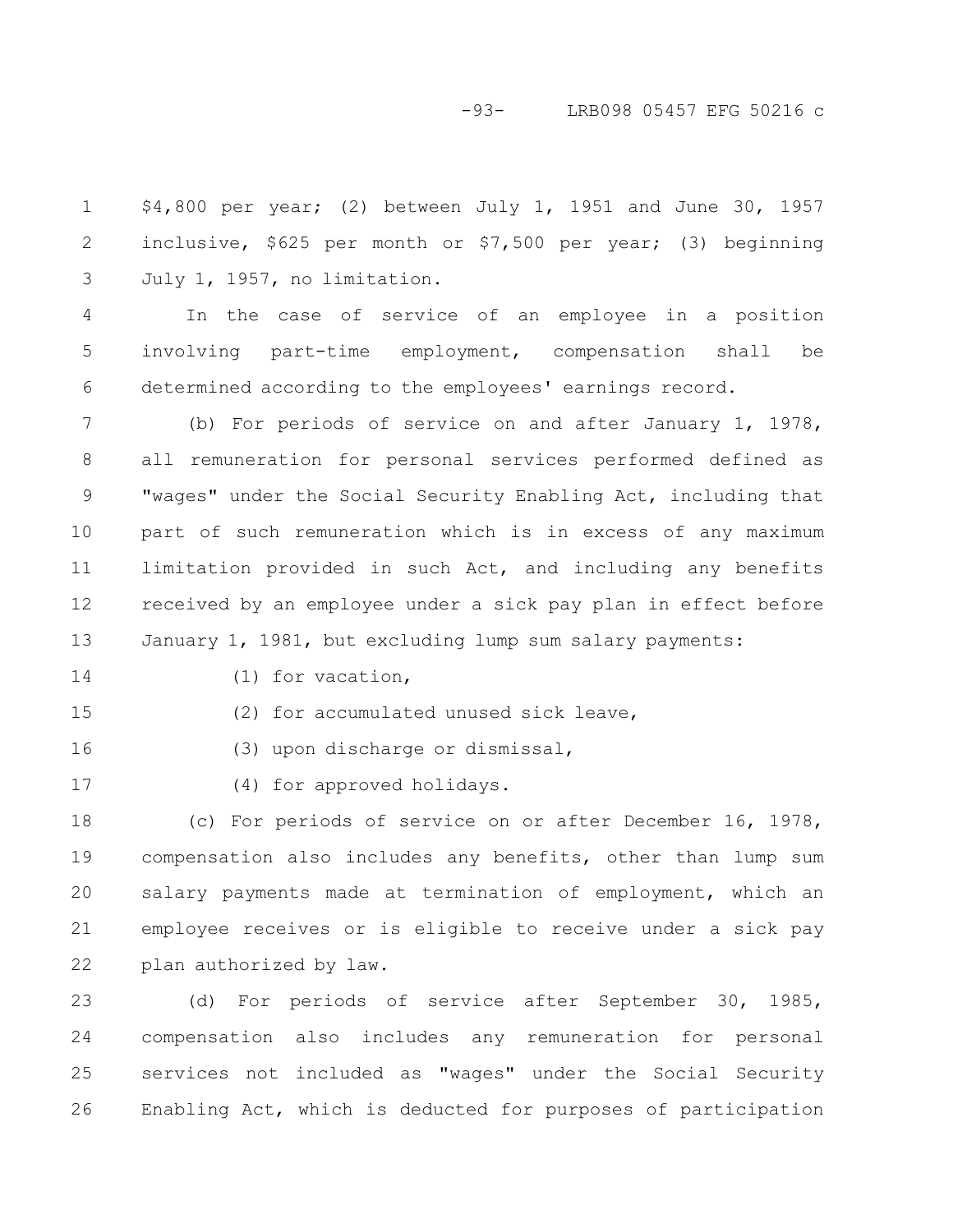### -93- LRB098 05457 EFG 50216 c

\$4,800 per year; (2) between July 1, 1951 and June 30, 1957 inclusive, \$625 per month or \$7,500 per year; (3) beginning July 1, 1957, no limitation. 1 2 3

In the case of service of an employee in a position involving part-time employment, compensation shall be determined according to the employees' earnings record. 4 5 6

(b) For periods of service on and after January 1, 1978, all remuneration for personal services performed defined as "wages" under the Social Security Enabling Act, including that part of such remuneration which is in excess of any maximum limitation provided in such Act, and including any benefits received by an employee under a sick pay plan in effect before January 1, 1981, but excluding lump sum salary payments: 7 8 9 10 11 12 13

14

(1) for vacation,

15

(2) for accumulated unused sick leave,

16

(3) upon discharge or dismissal,

17

(4) for approved holidays.

(c) For periods of service on or after December 16, 1978, compensation also includes any benefits, other than lump sum salary payments made at termination of employment, which an employee receives or is eligible to receive under a sick pay plan authorized by law. 18 19 20 21 22

(d) For periods of service after September 30, 1985, compensation also includes any remuneration for personal services not included as "wages" under the Social Security Enabling Act, which is deducted for purposes of participation 23 24 25 26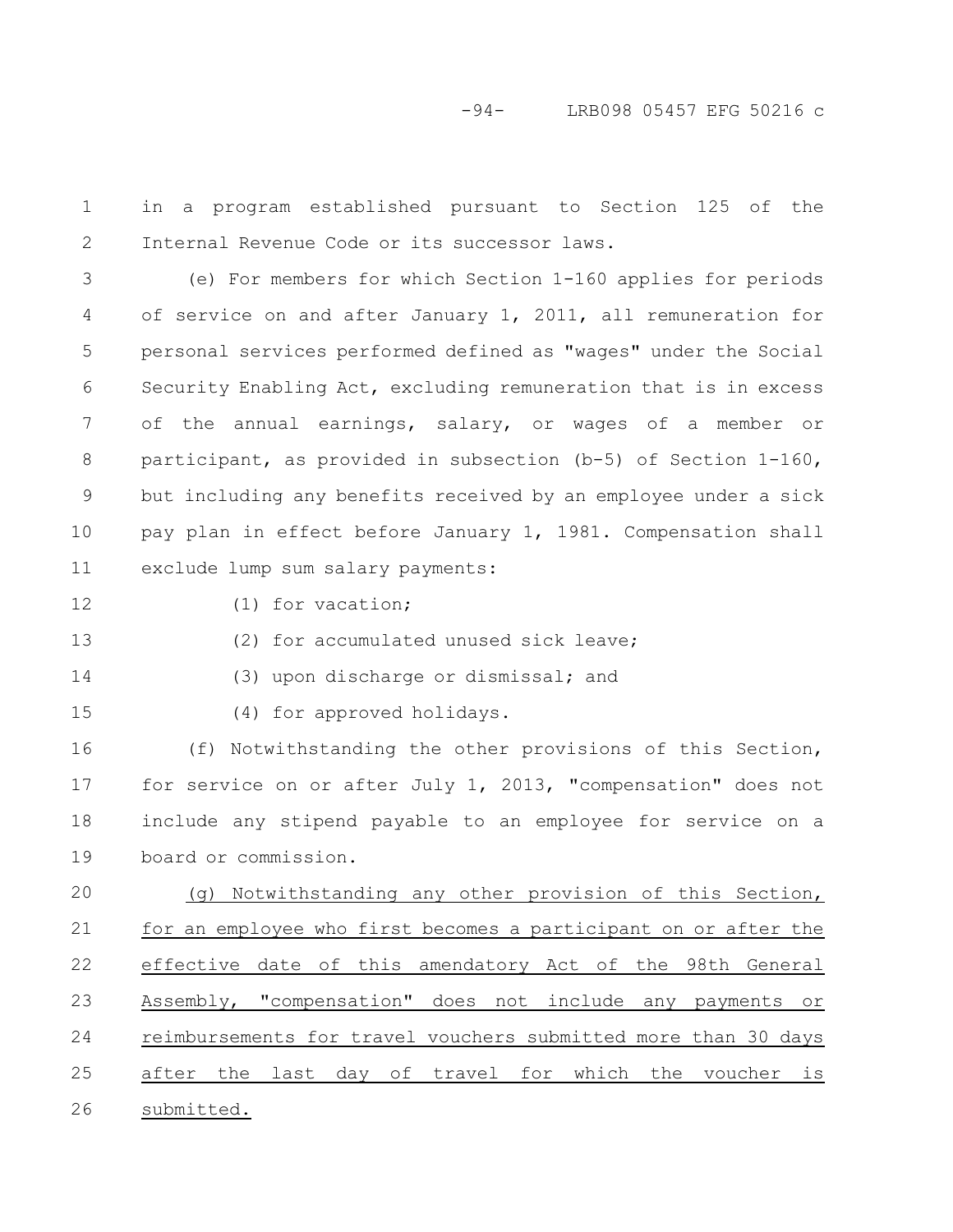in a program established pursuant to Section 125 of the Internal Revenue Code or its successor laws. 1 2

(e) For members for which Section 1-160 applies for periods of service on and after January 1, 2011, all remuneration for personal services performed defined as "wages" under the Social Security Enabling Act, excluding remuneration that is in excess of the annual earnings, salary, or wages of a member or participant, as provided in subsection (b-5) of Section 1-160, but including any benefits received by an employee under a sick pay plan in effect before January 1, 1981. Compensation shall exclude lump sum salary payments: 3 4 5 6 7 8 9 10 11

12

13

(1) for vacation;

(2) for accumulated unused sick leave;

14

15

(4) for approved holidays.

(f) Notwithstanding the other provisions of this Section, for service on or after July 1, 2013, "compensation" does not include any stipend payable to an employee for service on a board or commission. 16 17 18 19

(3) upon discharge or dismissal; and

(g) Notwithstanding any other provision of this Section, for an employee who first becomes a participant on or after the effective date of this amendatory Act of the 98th General Assembly, "compensation" does not include any payments or reimbursements for travel vouchers submitted more than 30 days after the last day of travel for which the voucher is submitted. 20 21 22 23 24 25 26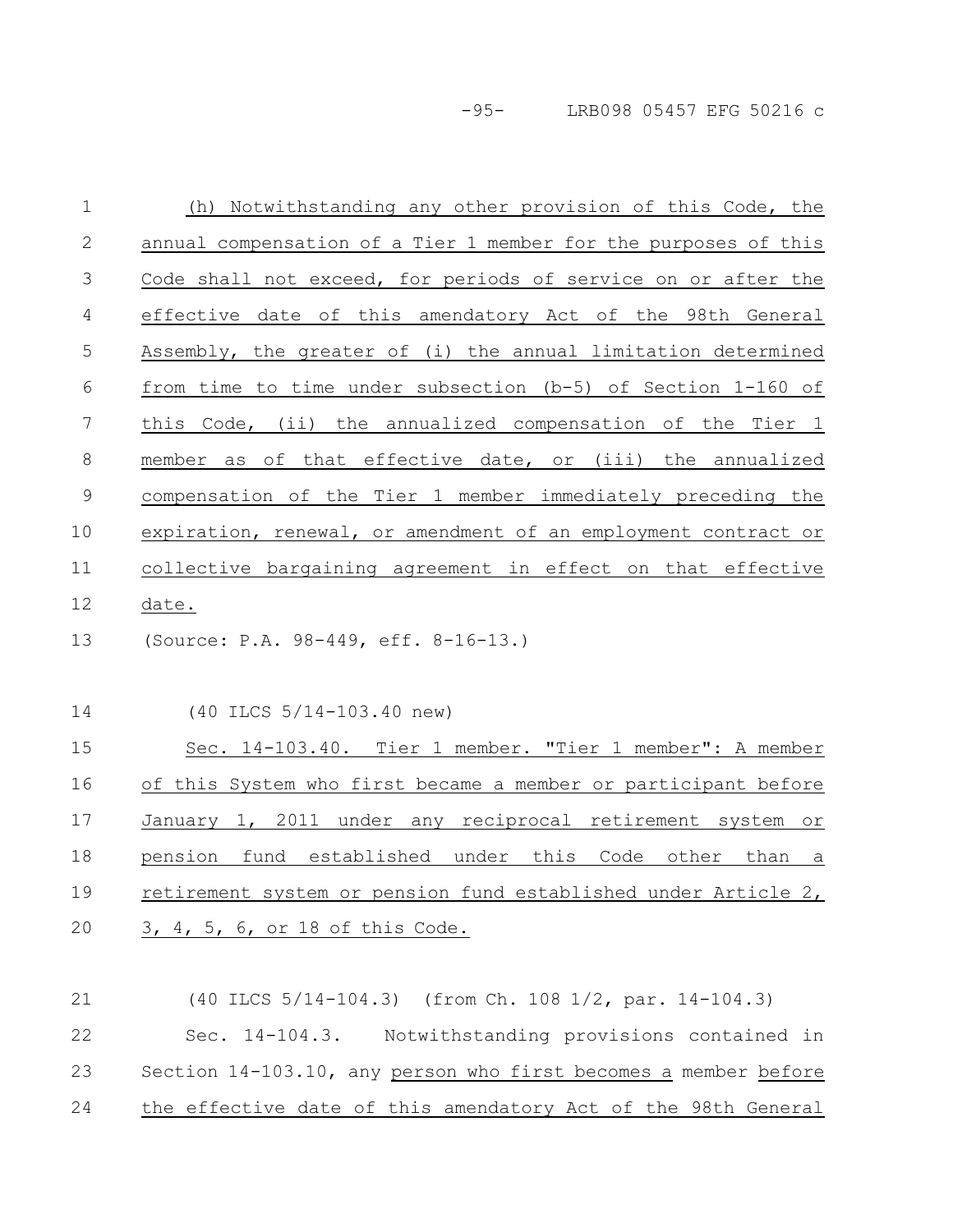-95- LRB098 05457 EFG 50216 c

| $\mathbf 1$   | (h) Notwithstanding any other provision of this Code, the       |
|---------------|-----------------------------------------------------------------|
| 2             | annual compensation of a Tier 1 member for the purposes of this |
| 3             | Code shall not exceed, for periods of service on or after the   |
| 4             | effective date of this amendatory Act of the 98th General       |
| 5             | Assembly, the greater of (i) the annual limitation determined   |
| 6             | from time to time under subsection (b-5) of Section 1-160 of    |
| 7             | this Code, (ii) the annualized compensation of the Tier 1       |
| 8             | member as of that effective date, or (iii) the annualized       |
| $\mathcal{G}$ | compensation of the Tier 1 member immediately preceding the     |
| 10            | expiration, renewal, or amendment of an employment contract or  |
| 11            | collective bargaining agreement in effect on that effective     |
| 12            | date.                                                           |
| 13            | (Source: P.A. 98-449, eff. 8-16-13.)                            |
| 14            | $(40$ ILCS $5/14-103.40$ new)                                   |
| 15            | Sec. 14-103.40. Tier 1 member. "Tier 1 member": A member        |
| 16            | of this System who first became a member or participant before  |
| 17            | January 1, 2011 under any reciprocal retirement system or       |
| 18            | pension fund established under this Code other than a           |
| 19            | retirement system or pension fund established under Article 2,  |
| 20            | 3, 4, 5, 6, or 18 of this Code.                                 |
|               |                                                                 |

Sec. 14-104.3. Notwithstanding provisions contained in Section 14-103.10, any person who first becomes a member before the effective date of this amendatory Act of the 98th General 22 23 24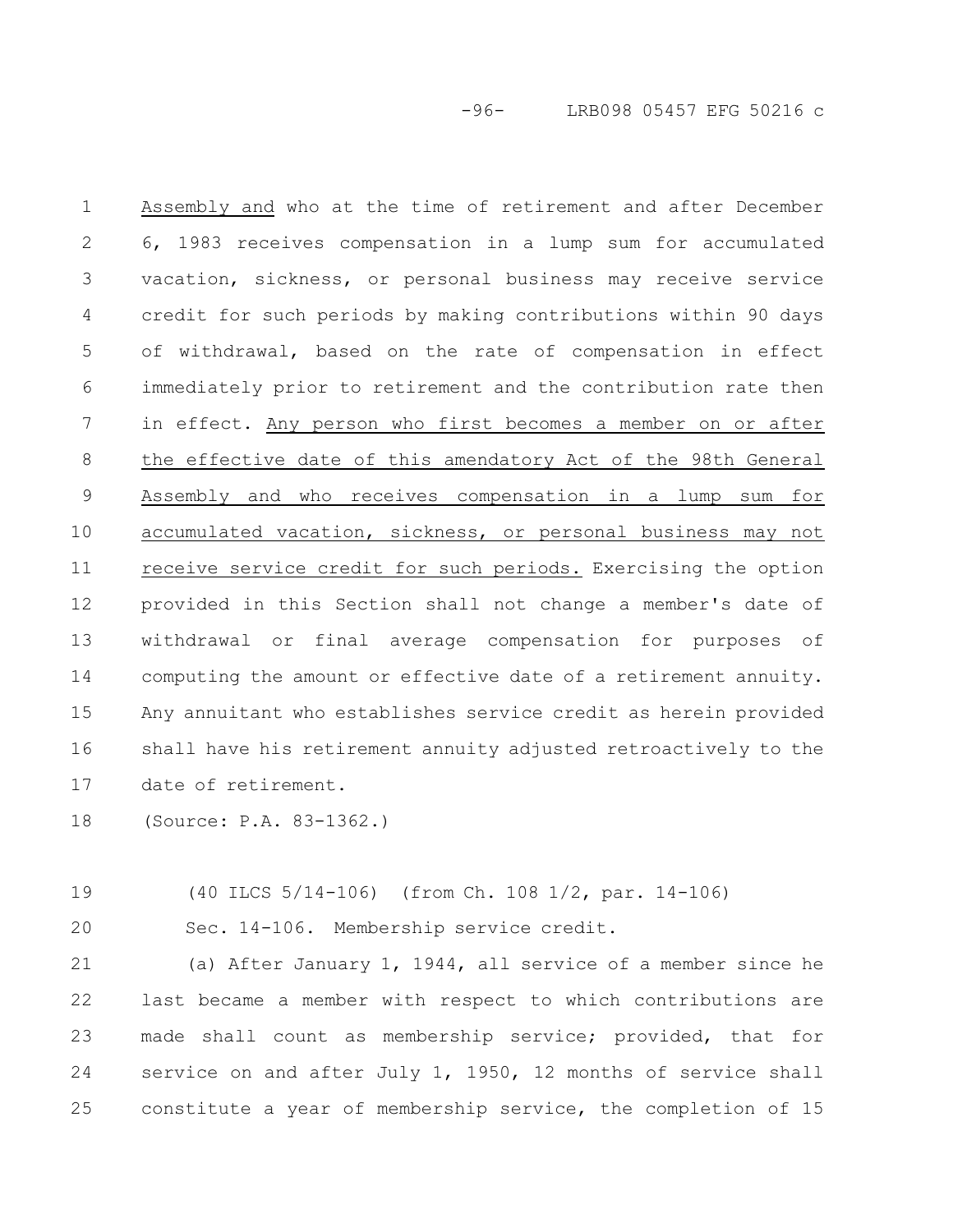-96- LRB098 05457 EFG 50216 c

Assembly and who at the time of retirement and after December 6, 1983 receives compensation in a lump sum for accumulated vacation, sickness, or personal business may receive service credit for such periods by making contributions within 90 days of withdrawal, based on the rate of compensation in effect immediately prior to retirement and the contribution rate then in effect. Any person who first becomes a member on or after the effective date of this amendatory Act of the 98th General Assembly and who receives compensation in a lump sum for accumulated vacation, sickness, or personal business may not receive service credit for such periods. Exercising the option provided in this Section shall not change a member's date of withdrawal or final average compensation for purposes of computing the amount or effective date of a retirement annuity. Any annuitant who establishes service credit as herein provided shall have his retirement annuity adjusted retroactively to the date of retirement. 1 2 3 4 5 6 7 8 9 10 11 12 13 14 15 16 17

(Source: P.A. 83-1362.) 18

(40 ILCS 5/14-106) (from Ch. 108 1/2, par. 14-106) 19

Sec. 14-106. Membership service credit. 20

(a) After January 1, 1944, all service of a member since he last became a member with respect to which contributions are made shall count as membership service; provided, that for service on and after July 1, 1950, 12 months of service shall constitute a year of membership service, the completion of 15 21 22 23 24 25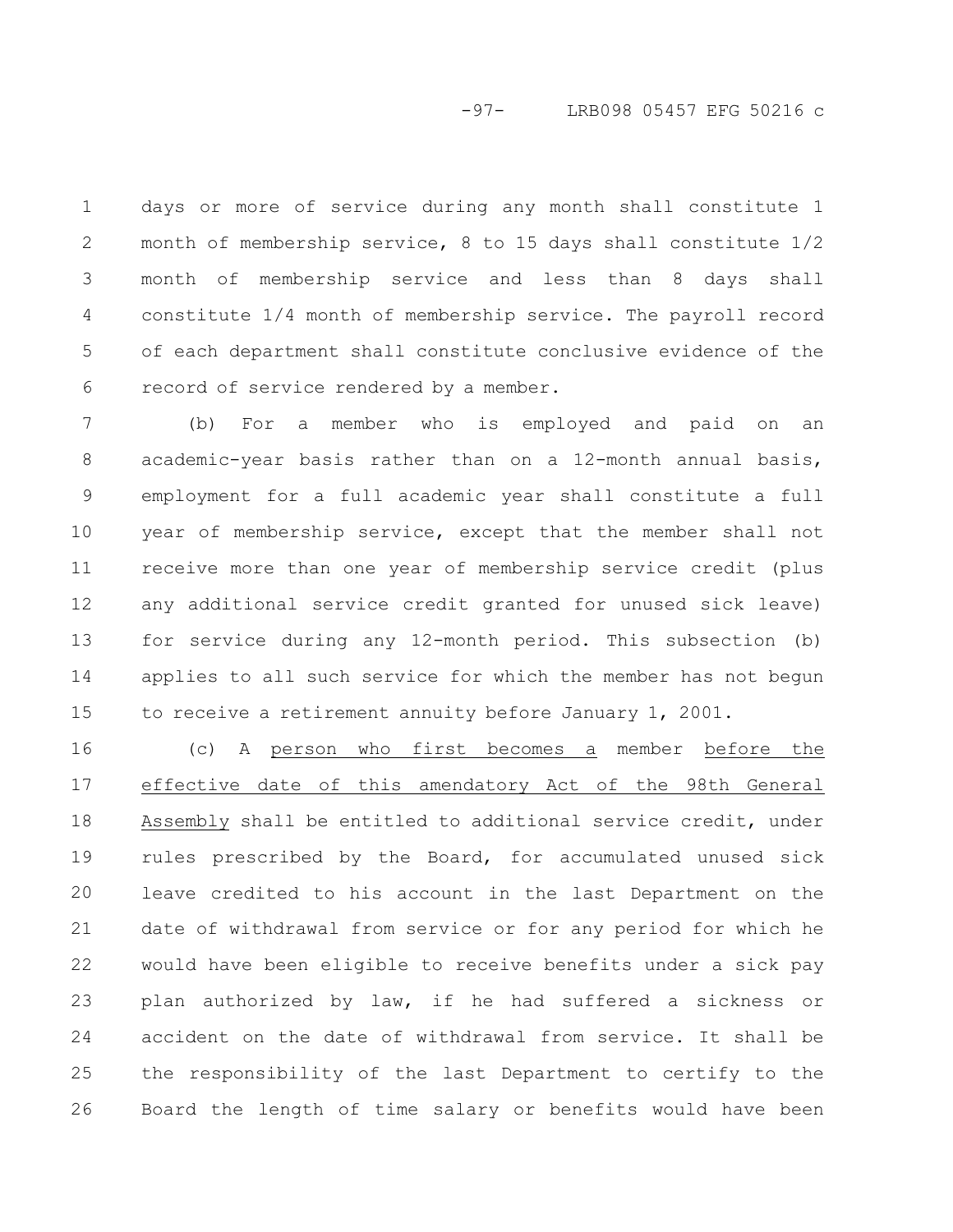-97- LRB098 05457 EFG 50216 c

days or more of service during any month shall constitute 1 month of membership service, 8 to 15 days shall constitute 1/2 month of membership service and less than 8 days shall constitute 1/4 month of membership service. The payroll record of each department shall constitute conclusive evidence of the record of service rendered by a member. 1 2 3 4 5 6

(b) For a member who is employed and paid on an academic-year basis rather than on a 12-month annual basis, employment for a full academic year shall constitute a full year of membership service, except that the member shall not receive more than one year of membership service credit (plus any additional service credit granted for unused sick leave) for service during any 12-month period. This subsection (b) applies to all such service for which the member has not begun to receive a retirement annuity before January 1, 2001. 7 8 9 10 11 12 13 14 15

(c) A person who first becomes a member before the effective date of this amendatory Act of the 98th General Assembly shall be entitled to additional service credit, under rules prescribed by the Board, for accumulated unused sick leave credited to his account in the last Department on the date of withdrawal from service or for any period for which he would have been eligible to receive benefits under a sick pay plan authorized by law, if he had suffered a sickness or accident on the date of withdrawal from service. It shall be the responsibility of the last Department to certify to the Board the length of time salary or benefits would have been 16 17 18 19 20 21 22 23 24 25 26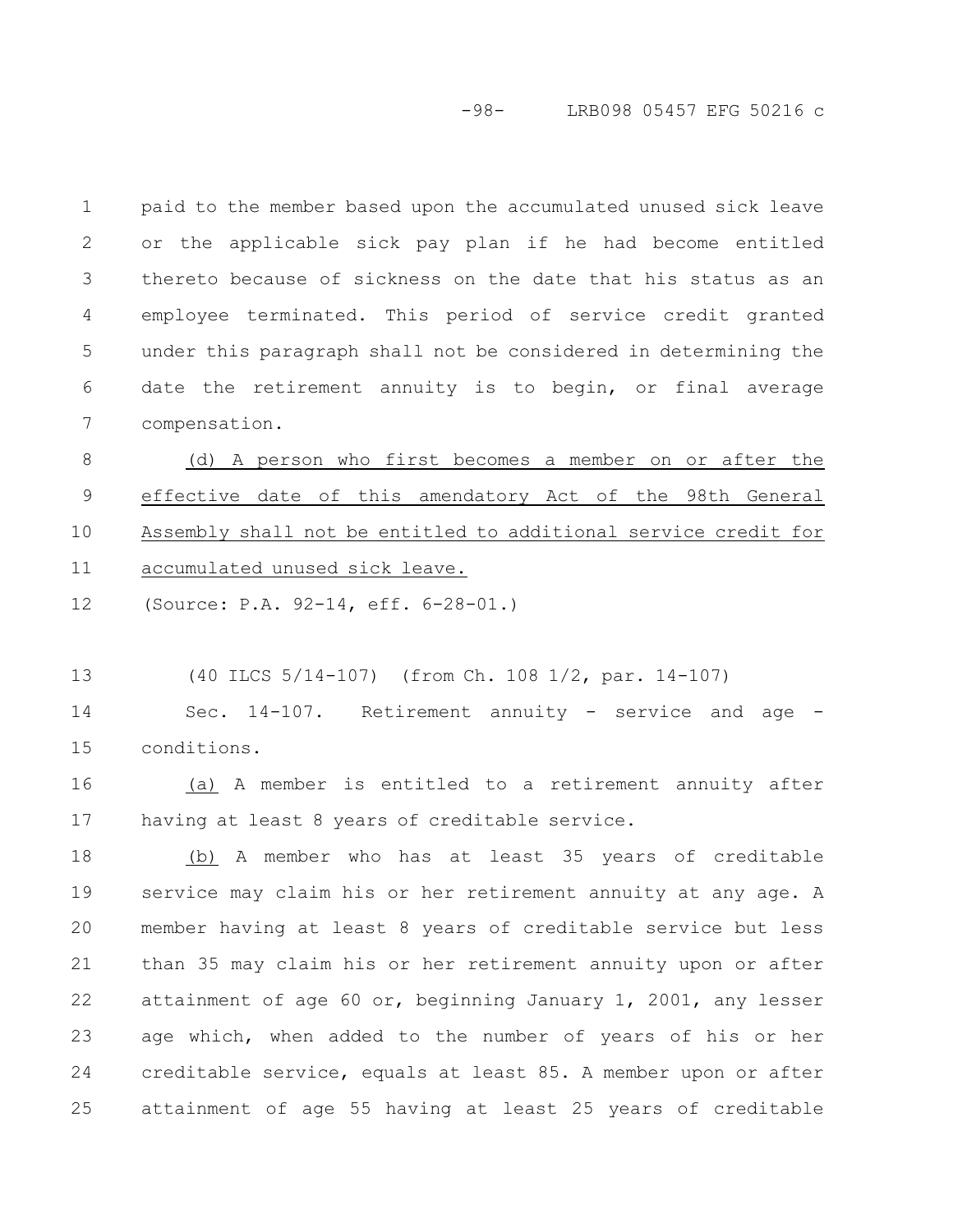-98- LRB098 05457 EFG 50216 c

paid to the member based upon the accumulated unused sick leave or the applicable sick pay plan if he had become entitled thereto because of sickness on the date that his status as an employee terminated. This period of service credit granted under this paragraph shall not be considered in determining the date the retirement annuity is to begin, or final average compensation. 1 2 3 4 5 6 7

(d) A person who first becomes a member on or after the effective date of this amendatory Act of the 98th General Assembly shall not be entitled to additional service credit for accumulated unused sick leave. 8 9 10 11

(Source: P.A. 92-14, eff. 6-28-01.) 12

(40 ILCS 5/14-107) (from Ch. 108 1/2, par. 14-107) 13

Sec. 14-107. Retirement annuity - service and age conditions. 14 15

(a) A member is entitled to a retirement annuity after having at least 8 years of creditable service. 16 17

(b) A member who has at least 35 years of creditable service may claim his or her retirement annuity at any age. A member having at least 8 years of creditable service but less than 35 may claim his or her retirement annuity upon or after attainment of age 60 or, beginning January 1, 2001, any lesser age which, when added to the number of years of his or her creditable service, equals at least 85. A member upon or after attainment of age 55 having at least 25 years of creditable 18 19 20 21 22 23 24 25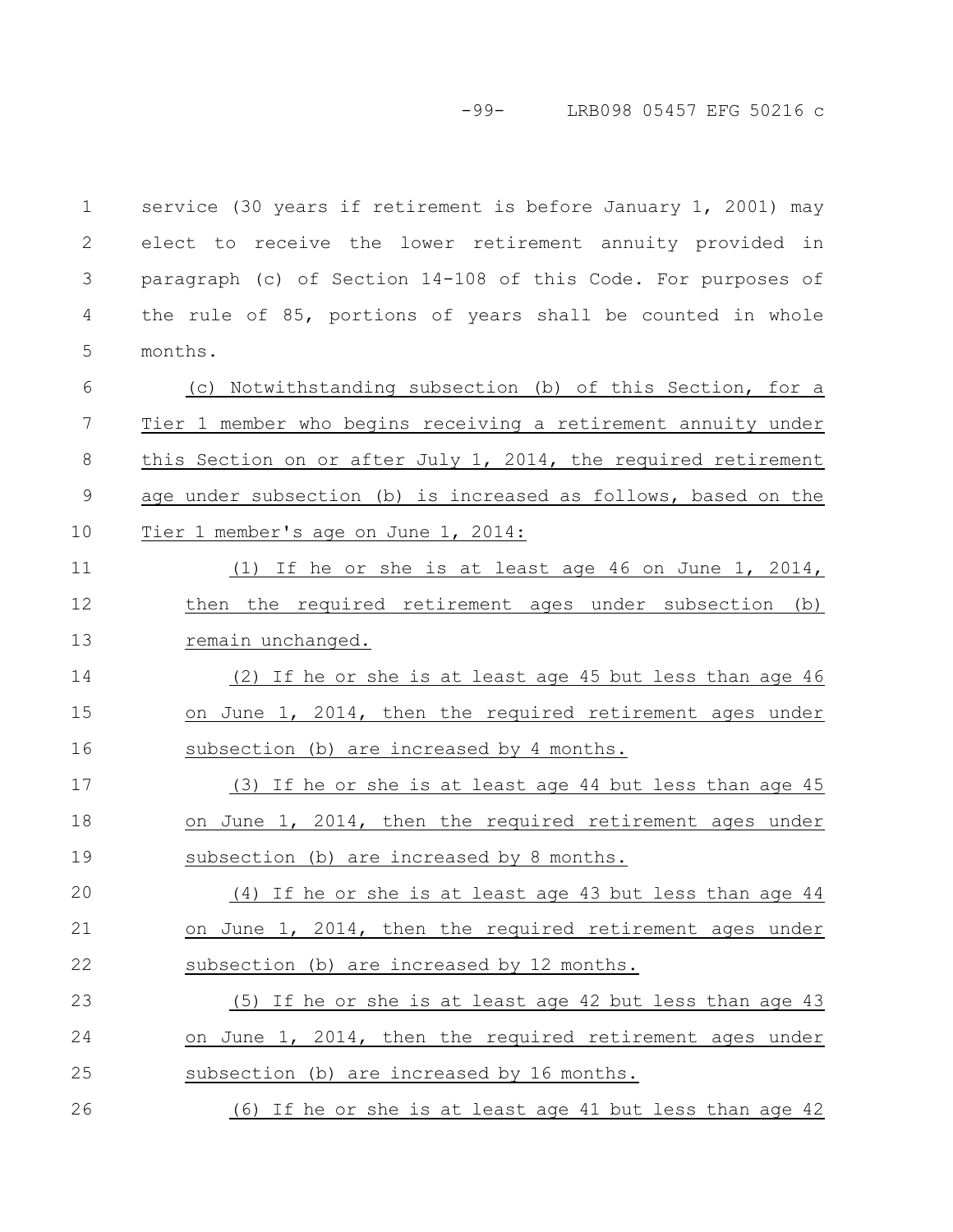-99- LRB098 05457 EFG 50216 c

service (30 years if retirement is before January 1, 2001) may elect to receive the lower retirement annuity provided in paragraph (c) of Section 14-108 of this Code. For purposes of the rule of 85, portions of years shall be counted in whole months. 1 2 3 4 5

(c) Notwithstanding subsection (b) of this Section, for a Tier 1 member who begins receiving a retirement annuity under this Section on or after July 1, 2014, the required retirement age under subsection (b) is increased as follows, based on the Tier 1 member's age on June 1, 2014: 6 7 8 9 10

(1) If he or she is at least age 46 on June 1, 2014, then the required retirement ages under subsection (b) remain unchanged. 11 12 13

(2) If he or she is at least age 45 but less than age 46 on June 1, 2014, then the required retirement ages under subsection (b) are increased by 4 months. 14 15 16

(3) If he or she is at least age 44 but less than age 45 on June 1, 2014, then the required retirement ages under subsection (b) are increased by 8 months. 17 18 19

(4) If he or she is at least age 43 but less than age 44 on June 1, 2014, then the required retirement ages under subsection (b) are increased by 12 months. 20 21 22

(5) If he or she is at least age 42 but less than age 43 on June 1, 2014, then the required retirement ages under subsection (b) are increased by 16 months. 23 24 25

(6) If he or she is at least age 41 but less than age 42 26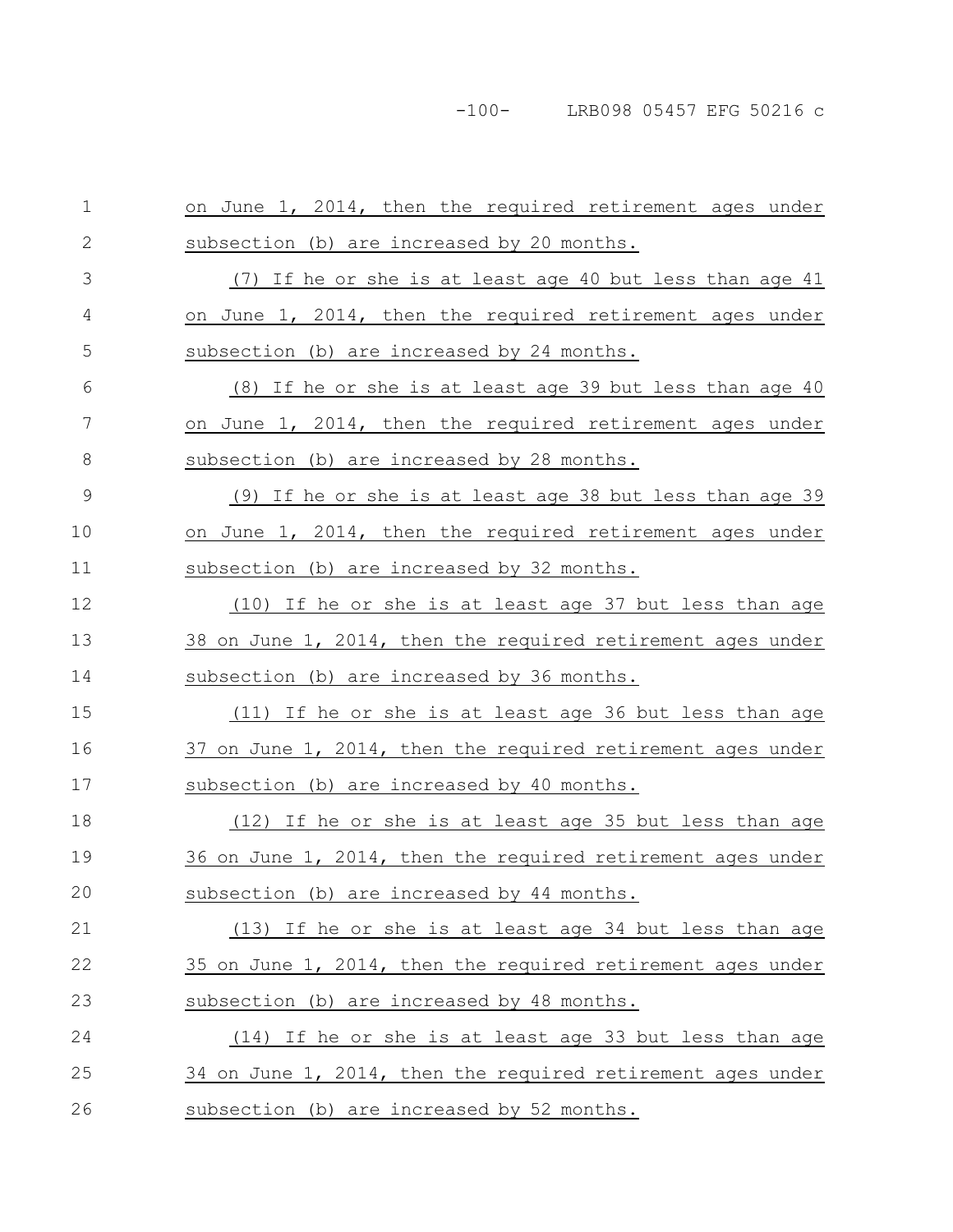| $1\,$        | on June 1, 2014, then the required retirement ages under    |
|--------------|-------------------------------------------------------------|
| $\mathbf{2}$ | subsection (b) are increased by 20 months.                  |
| 3            | (7) If he or she is at least age 40 but less than age 41    |
| 4            | on June 1, 2014, then the required retirement ages under    |
| 5            | subsection (b) are increased by 24 months.                  |
| 6            | (8) If he or she is at least age 39 but less than age 40    |
| 7            | on June 1, 2014, then the required retirement ages under    |
| 8            | subsection (b) are increased by 28 months.                  |
| $\mathsf 9$  | (9) If he or she is at least age 38 but less than age 39    |
| 10           | on June 1, 2014, then the required retirement ages under    |
| 11           | subsection (b) are increased by 32 months.                  |
| 12           | (10) If he or she is at least age 37 but less than age      |
| 13           | 38 on June 1, 2014, then the required retirement ages under |
| 14           | subsection (b) are increased by 36 months.                  |
| 15           | (11) If he or she is at least age 36 but less than age      |
| 16           | 37 on June 1, 2014, then the required retirement ages under |
| 17           | subsection (b) are increased by 40 months.                  |
| 18           | (12) If he or she is at least age 35 but less than age      |
| 19           | 36 on June 1, 2014, then the required retirement ages under |
| 20           |                                                             |
|              | subsection (b) are increased by 44 months.                  |
| 21           | (13) If he or she is at least age 34 but less than age      |
| 22           | 35 on June 1, 2014, then the required retirement ages under |
| 23           | subsection (b) are increased by 48 months.                  |
| 24           | (14) If he or she is at least age 33 but less than age      |
| 25           | 34 on June 1, 2014, then the required retirement ages under |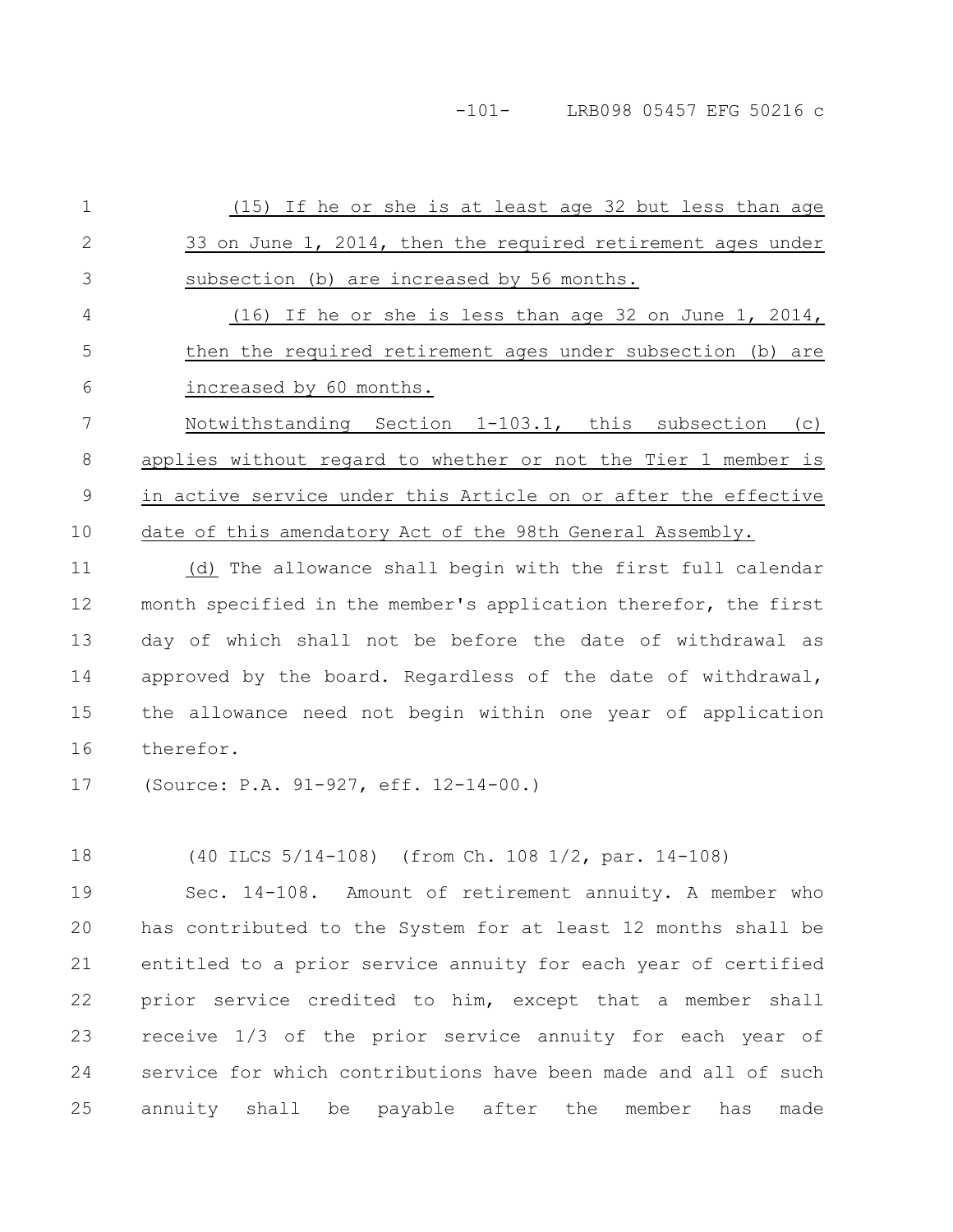-101- LRB098 05457 EFG 50216 c

(15) If he or she is at least age 32 but less than age 33 on June 1, 2014, then the required retirement ages under subsection (b) are increased by 56 months. (16) If he or she is less than age 32 on June 1, 2014, then the required retirement ages under subsection (b) are increased by 60 months. Notwithstanding Section 1-103.1, this subsection (c) applies without regard to whether or not the Tier 1 member is in active service under this Article on or after the effective date of this amendatory Act of the 98th General Assembly. 1 2 3 4 5 6 7 8 9 10

(d) The allowance shall begin with the first full calendar month specified in the member's application therefor, the first day of which shall not be before the date of withdrawal as approved by the board. Regardless of the date of withdrawal, the allowance need not begin within one year of application therefor. 11 12 13 14 15 16

(Source: P.A. 91-927, eff. 12-14-00.) 17

(40 ILCS 5/14-108) (from Ch. 108 1/2, par. 14-108) 18

Sec. 14-108. Amount of retirement annuity. A member who has contributed to the System for at least 12 months shall be entitled to a prior service annuity for each year of certified prior service credited to him, except that a member shall receive 1/3 of the prior service annuity for each year of service for which contributions have been made and all of such annuity shall be payable after the member has made 19 20 21 22 23 24 25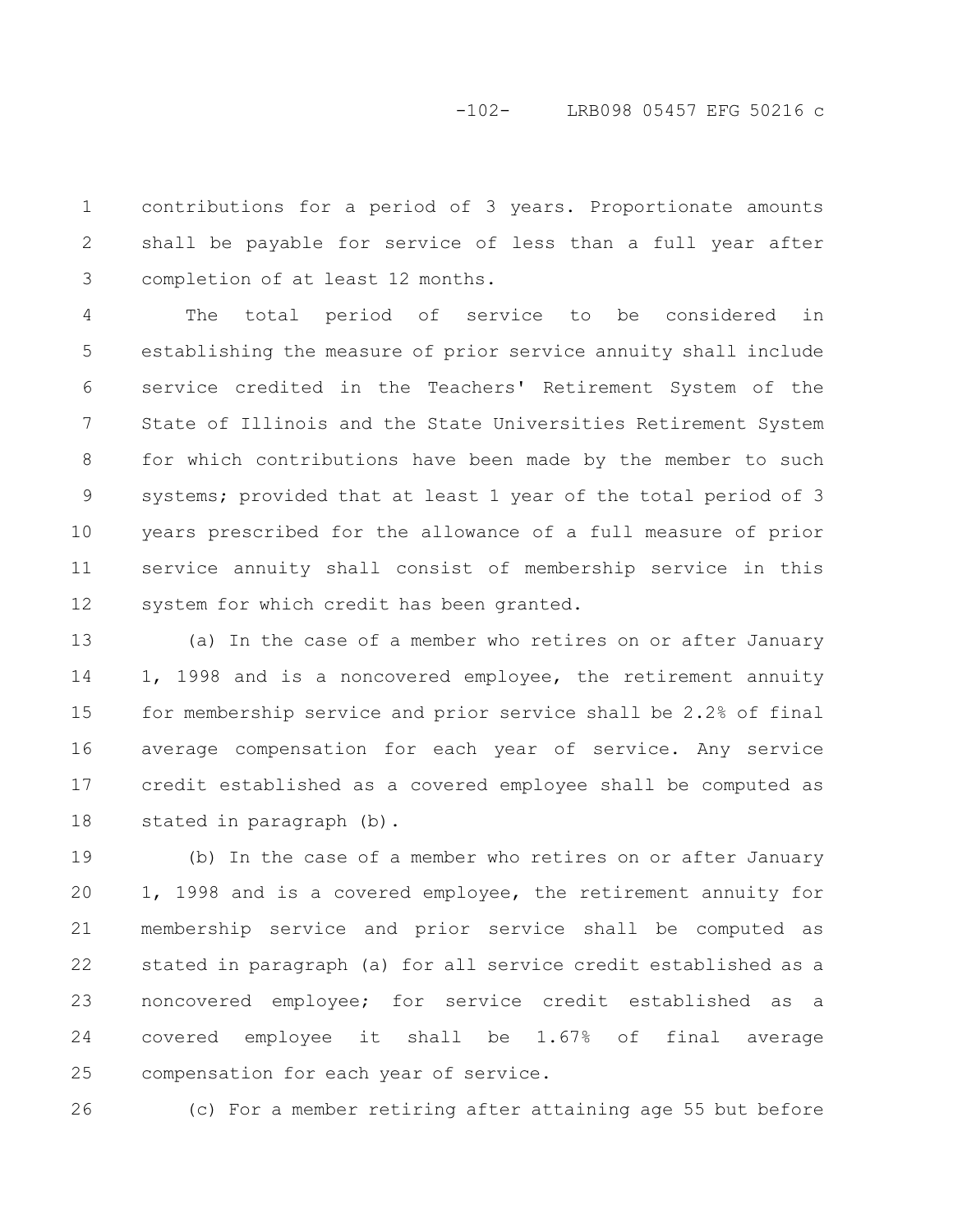# -102- LRB098 05457 EFG 50216 c

contributions for a period of 3 years. Proportionate amounts shall be payable for service of less than a full year after completion of at least 12 months. 1 2 3

The total period of service to be considered in establishing the measure of prior service annuity shall include service credited in the Teachers' Retirement System of the State of Illinois and the State Universities Retirement System for which contributions have been made by the member to such systems; provided that at least 1 year of the total period of 3 years prescribed for the allowance of a full measure of prior service annuity shall consist of membership service in this system for which credit has been granted. 4 5 6 7 8 9 10 11 12

(a) In the case of a member who retires on or after January 1, 1998 and is a noncovered employee, the retirement annuity for membership service and prior service shall be 2.2% of final average compensation for each year of service. Any service credit established as a covered employee shall be computed as stated in paragraph (b). 13 14 15 16 17 18

(b) In the case of a member who retires on or after January 1, 1998 and is a covered employee, the retirement annuity for membership service and prior service shall be computed as stated in paragraph (a) for all service credit established as a noncovered employee; for service credit established as a covered employee it shall be 1.67% of final average compensation for each year of service. 19 20 21 22 23 24 25

(c) For a member retiring after attaining age 55 but before 26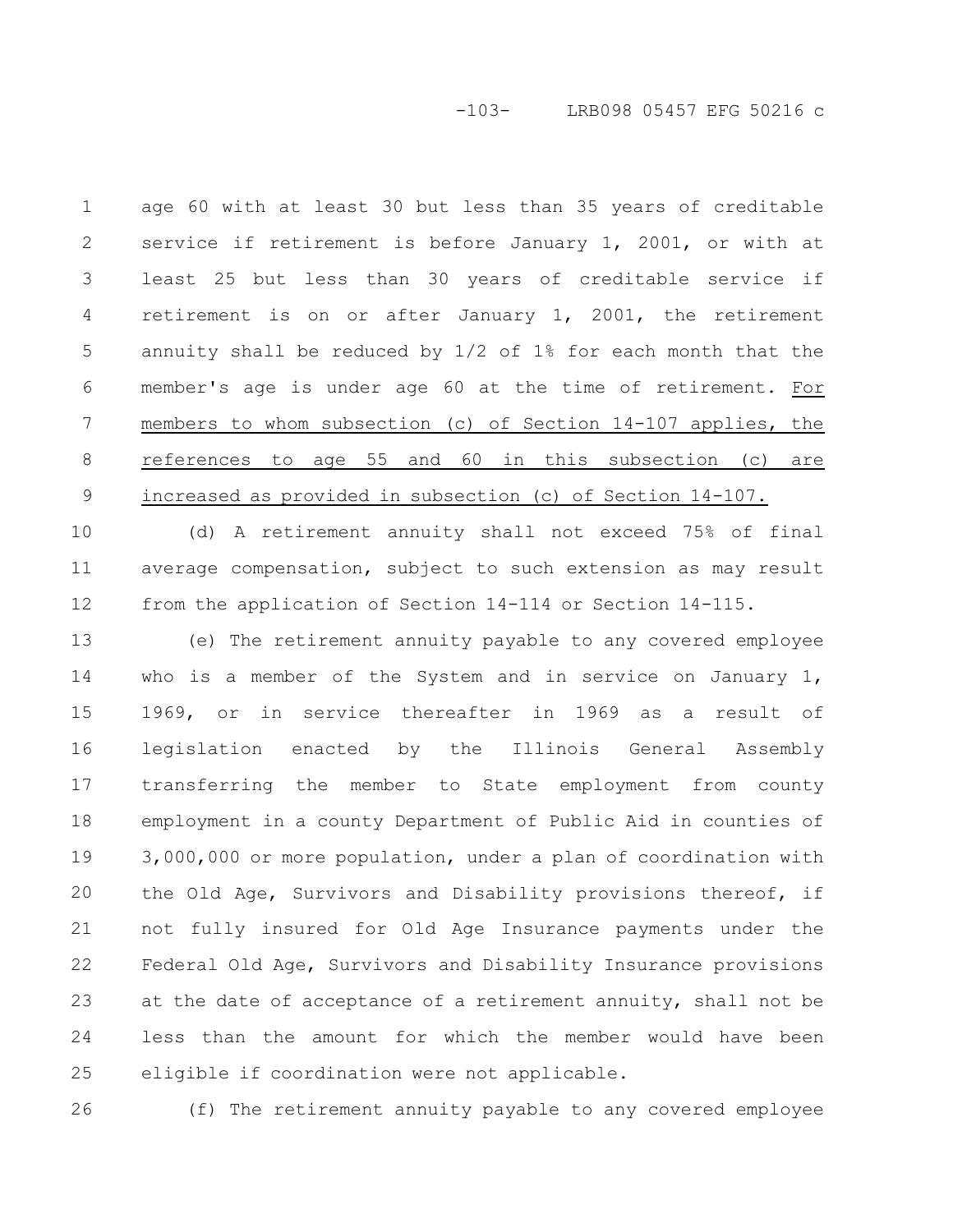## -103- LRB098 05457 EFG 50216 c

age 60 with at least 30 but less than 35 years of creditable service if retirement is before January 1, 2001, or with at least 25 but less than 30 years of creditable service if retirement is on or after January 1, 2001, the retirement annuity shall be reduced by 1/2 of 1% for each month that the member's age is under age 60 at the time of retirement. For members to whom subsection (c) of Section 14-107 applies, the references to age 55 and 60 in this subsection (c) are increased as provided in subsection (c) of Section 14-107. 1 2 3 4 5 6 7 8 9

(d) A retirement annuity shall not exceed 75% of final average compensation, subject to such extension as may result from the application of Section 14-114 or Section 14-115. 10 11 12

(e) The retirement annuity payable to any covered employee who is a member of the System and in service on January 1, 1969, or in service thereafter in 1969 as a result of legislation enacted by the Illinois General Assembly transferring the member to State employment from county employment in a county Department of Public Aid in counties of 3,000,000 or more population, under a plan of coordination with the Old Age, Survivors and Disability provisions thereof, if not fully insured for Old Age Insurance payments under the Federal Old Age, Survivors and Disability Insurance provisions at the date of acceptance of a retirement annuity, shall not be less than the amount for which the member would have been eligible if coordination were not applicable. 13 14 15 16 17 18 19 20 21 22 23 24 25

26

(f) The retirement annuity payable to any covered employee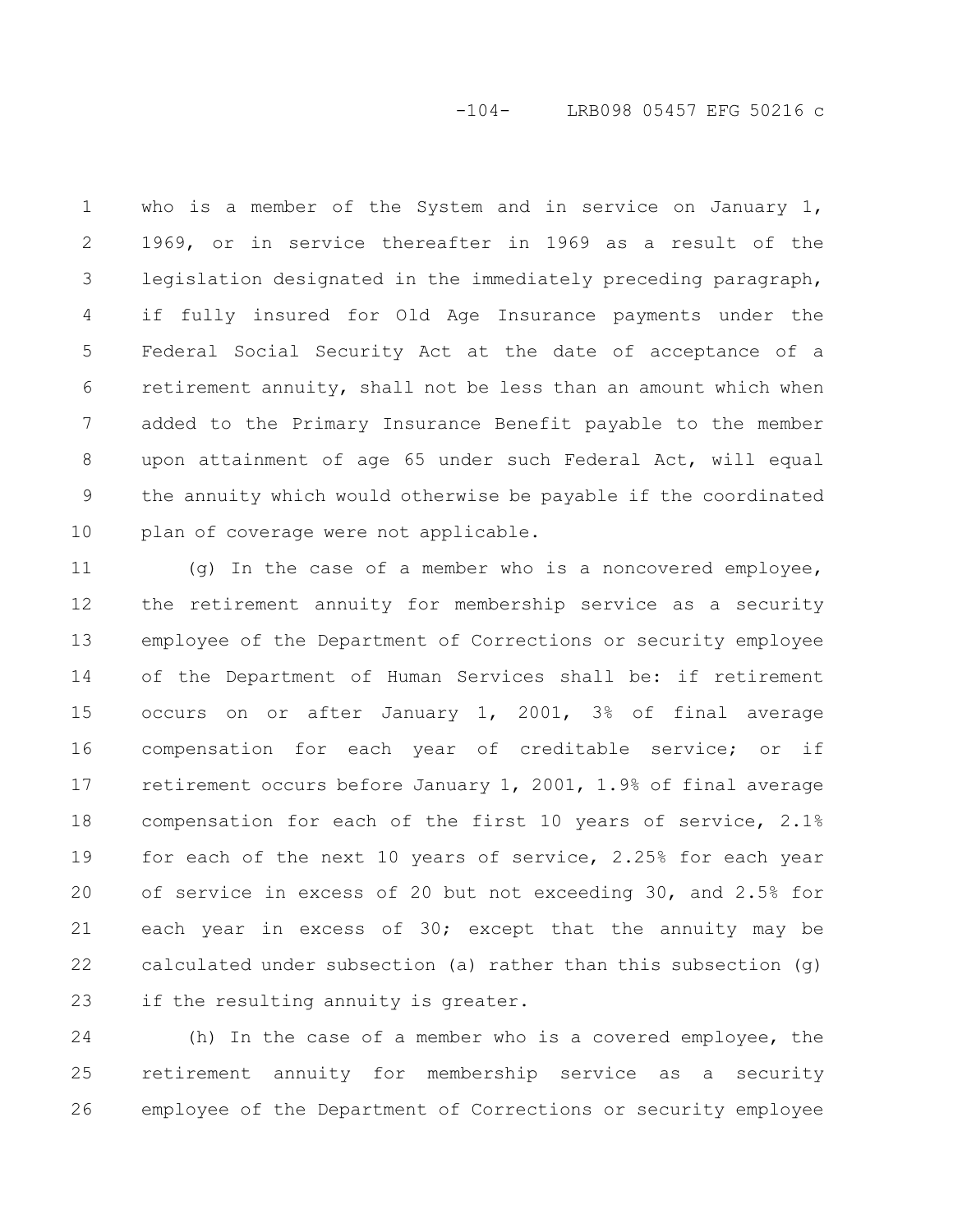## -104- LRB098 05457 EFG 50216 c

who is a member of the System and in service on January 1, 1969, or in service thereafter in 1969 as a result of the legislation designated in the immediately preceding paragraph, if fully insured for Old Age Insurance payments under the Federal Social Security Act at the date of acceptance of a retirement annuity, shall not be less than an amount which when added to the Primary Insurance Benefit payable to the member upon attainment of age 65 under such Federal Act, will equal the annuity which would otherwise be payable if the coordinated plan of coverage were not applicable. 1 2 3 4 5 6 7 8 9 10

(g) In the case of a member who is a noncovered employee, the retirement annuity for membership service as a security employee of the Department of Corrections or security employee of the Department of Human Services shall be: if retirement occurs on or after January 1, 2001, 3% of final average compensation for each year of creditable service; or if retirement occurs before January 1, 2001, 1.9% of final average compensation for each of the first 10 years of service, 2.1% for each of the next 10 years of service, 2.25% for each year of service in excess of 20 but not exceeding 30, and 2.5% for each year in excess of 30; except that the annuity may be calculated under subsection (a) rather than this subsection  $(q)$ if the resulting annuity is greater. 11 12 13 14 15 16 17 18 19 20 21 22 23

(h) In the case of a member who is a covered employee, the retirement annuity for membership service as a security employee of the Department of Corrections or security employee 24 25 26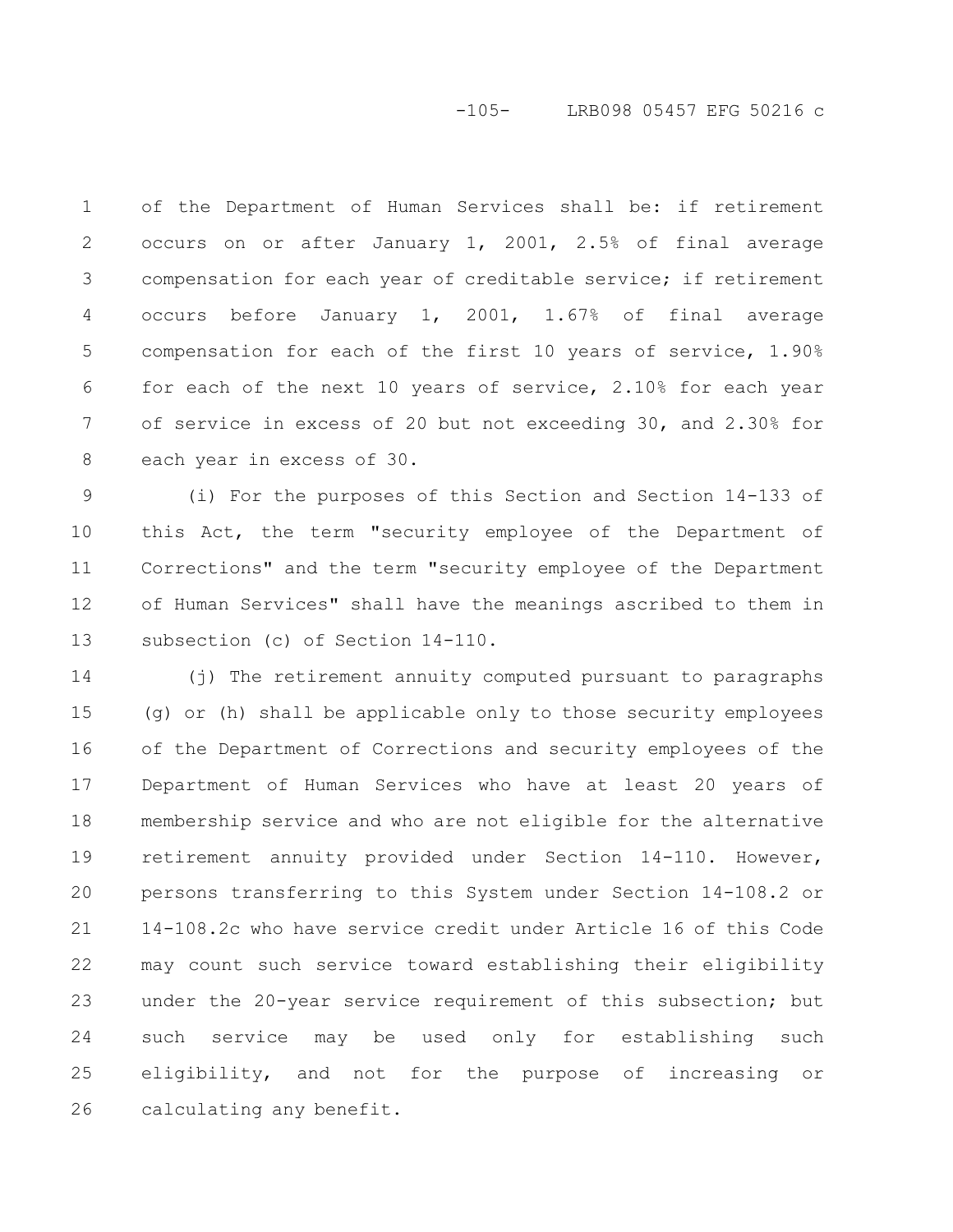# -105- LRB098 05457 EFG 50216 c

of the Department of Human Services shall be: if retirement occurs on or after January 1, 2001, 2.5% of final average compensation for each year of creditable service; if retirement occurs before January 1, 2001, 1.67% of final average compensation for each of the first 10 years of service, 1.90% for each of the next 10 years of service, 2.10% for each year of service in excess of 20 but not exceeding 30, and 2.30% for each year in excess of 30. 1 2 3 4 5 6 7 8

(i) For the purposes of this Section and Section 14-133 of this Act, the term "security employee of the Department of Corrections" and the term "security employee of the Department of Human Services" shall have the meanings ascribed to them in subsection (c) of Section 14-110. 9 10 11 12 13

(j) The retirement annuity computed pursuant to paragraphs (g) or (h) shall be applicable only to those security employees of the Department of Corrections and security employees of the Department of Human Services who have at least 20 years of membership service and who are not eligible for the alternative retirement annuity provided under Section 14-110. However, persons transferring to this System under Section 14-108.2 or 14-108.2c who have service credit under Article 16 of this Code may count such service toward establishing their eligibility under the 20-year service requirement of this subsection; but such service may be used only for establishing such eligibility, and not for the purpose of increasing or calculating any benefit. 14 15 16 17 18 19 20 21 22 23 24 25 26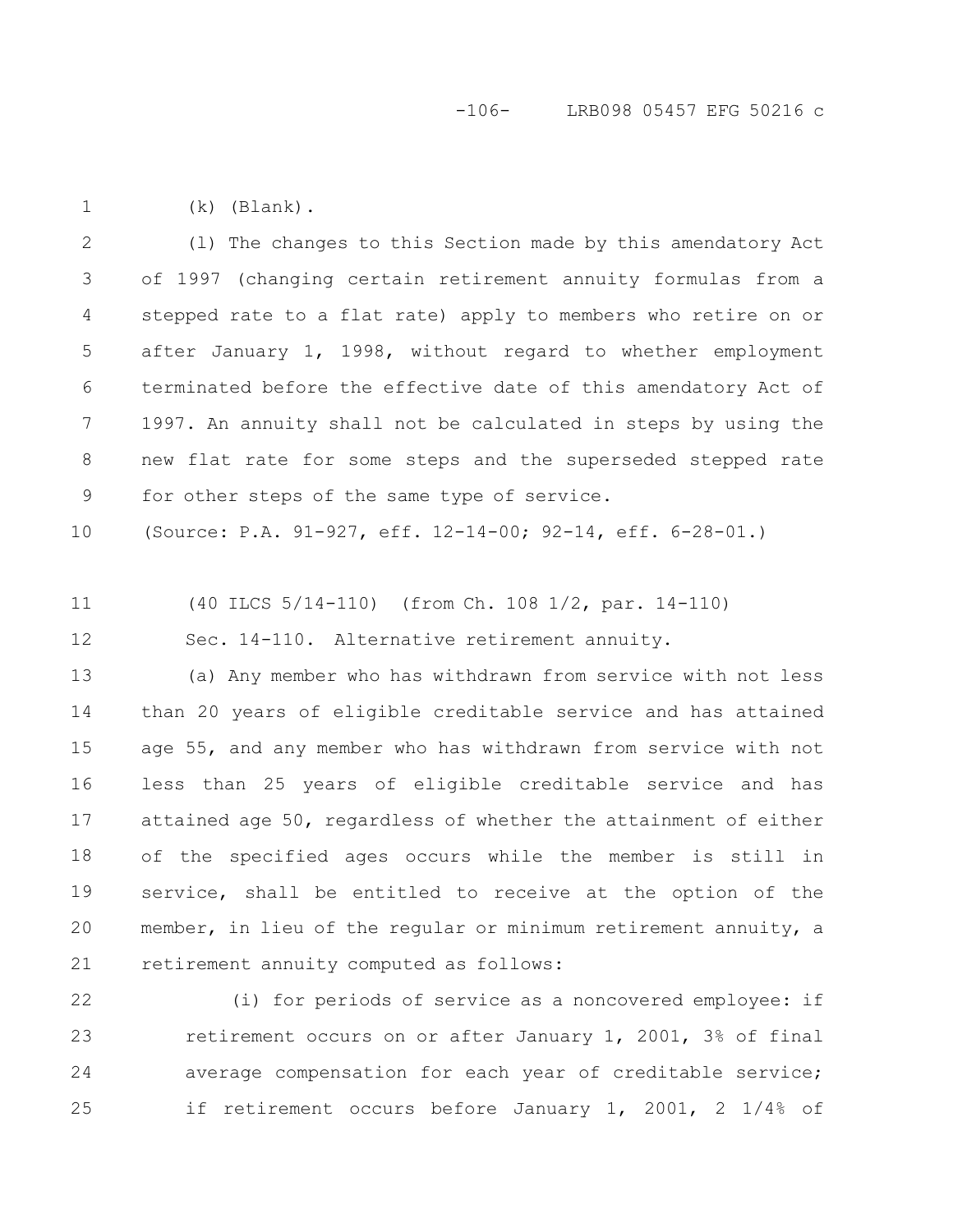(k) (Blank). 1

(l) The changes to this Section made by this amendatory Act of 1997 (changing certain retirement annuity formulas from a stepped rate to a flat rate) apply to members who retire on or after January 1, 1998, without regard to whether employment terminated before the effective date of this amendatory Act of 1997. An annuity shall not be calculated in steps by using the new flat rate for some steps and the superseded stepped rate for other steps of the same type of service. 2 3 4 5 6 7 8 9

(Source: P.A. 91-927, eff. 12-14-00; 92-14, eff. 6-28-01.) 10

(40 ILCS 5/14-110) (from Ch. 108 1/2, par. 14-110) 11

Sec. 14-110. Alternative retirement annuity. 12

(a) Any member who has withdrawn from service with not less than 20 years of eligible creditable service and has attained age 55, and any member who has withdrawn from service with not less than 25 years of eligible creditable service and has attained age 50, regardless of whether the attainment of either of the specified ages occurs while the member is still in service, shall be entitled to receive at the option of the member, in lieu of the regular or minimum retirement annuity, a retirement annuity computed as follows: 13 14 15 16 17 18 19 20 21

(i) for periods of service as a noncovered employee: if retirement occurs on or after January 1, 2001, 3% of final average compensation for each year of creditable service; if retirement occurs before January 1, 2001, 2 1/4% of 22 23 24 25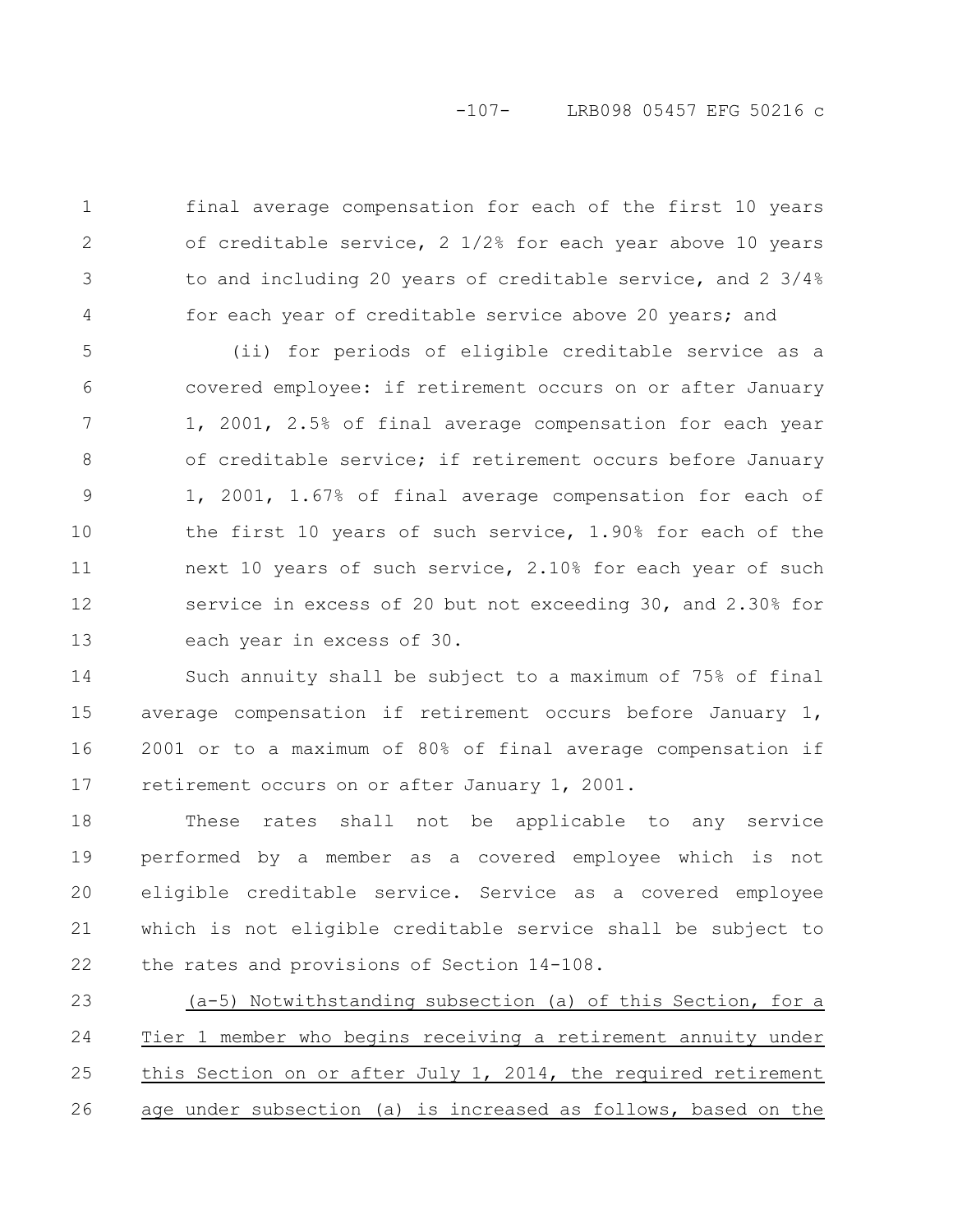## -107- LRB098 05457 EFG 50216 c

final average compensation for each of the first 10 years of creditable service,  $2 \frac{1}{2\%}$  for each year above 10 years to and including 20 years of creditable service, and 2 3/4% for each year of creditable service above 20 years; and 1 2 3 4

(ii) for periods of eligible creditable service as a covered employee: if retirement occurs on or after January 1, 2001, 2.5% of final average compensation for each year of creditable service; if retirement occurs before January 1, 2001, 1.67% of final average compensation for each of the first 10 years of such service, 1.90% for each of the next 10 years of such service, 2.10% for each year of such service in excess of 20 but not exceeding 30, and 2.30% for each year in excess of 30. 5 6 7 8 9 10 11 12 13

Such annuity shall be subject to a maximum of 75% of final average compensation if retirement occurs before January 1, 2001 or to a maximum of 80% of final average compensation if retirement occurs on or after January 1, 2001. 14 15 16 17

These rates shall not be applicable to any service performed by a member as a covered employee which is not eligible creditable service. Service as a covered employee which is not eligible creditable service shall be subject to the rates and provisions of Section 14-108. 18 19 20 21 22

(a-5) Notwithstanding subsection (a) of this Section, for a Tier 1 member who begins receiving a retirement annuity under this Section on or after July 1, 2014, the required retirement age under subsection (a) is increased as follows, based on the 23 24 25 26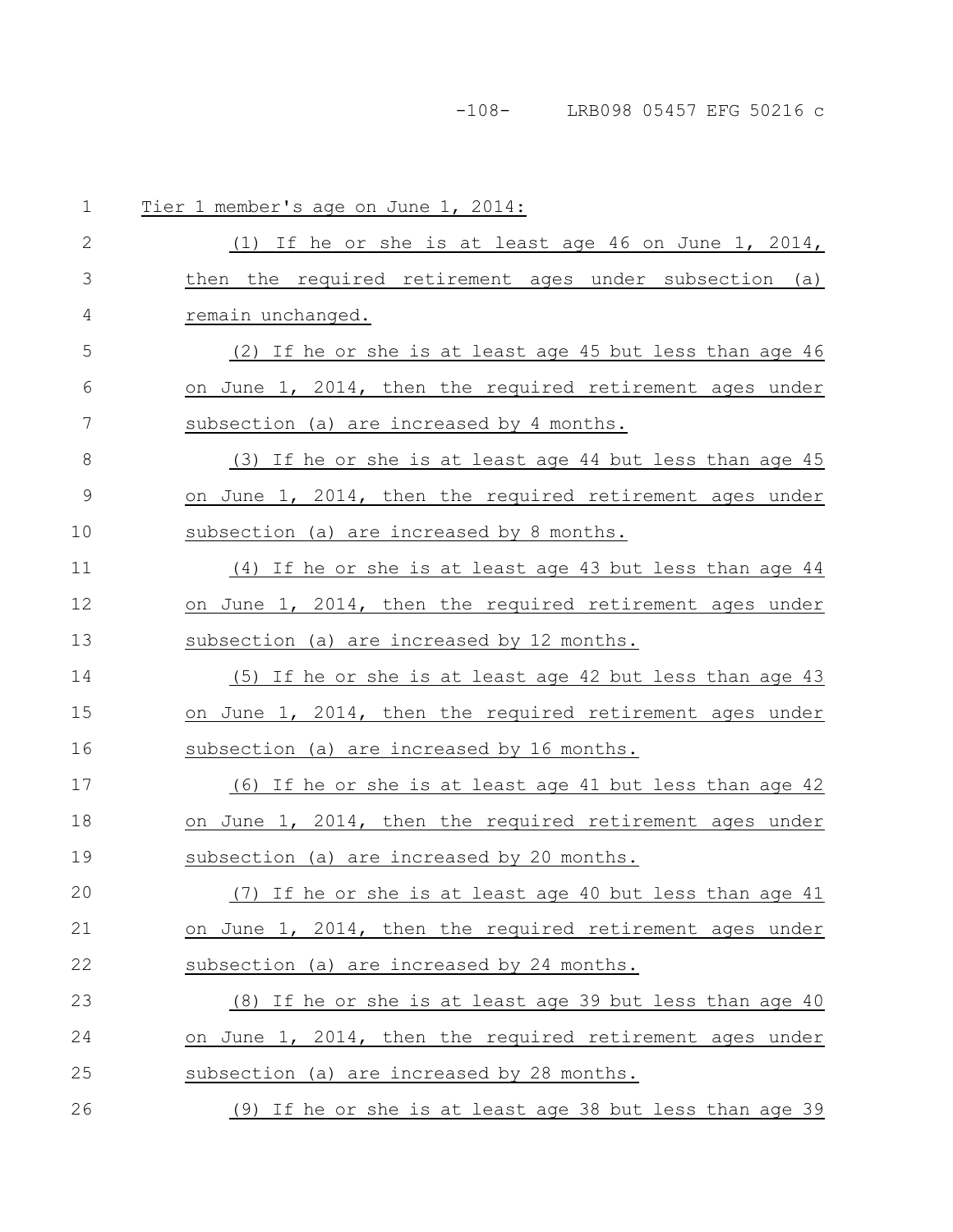-108- LRB098 05457 EFG 50216 c

| $\mathbf 1$   | Tier 1 member's age on June 1, 2014:                     |
|---------------|----------------------------------------------------------|
| $\mathbf{2}$  | (1) If he or she is at least age 46 on June 1, 2014,     |
| 3             | then the required retirement ages under subsection (a)   |
| 4             | remain unchanged.                                        |
| 5             | (2) If he or she is at least age 45 but less than age 46 |
| 6             | on June 1, 2014, then the required retirement ages under |
| 7             | subsection (a) are increased by 4 months.                |
| $8\,$         | (3) If he or she is at least age 44 but less than age 45 |
| $\mathcal{G}$ | on June 1, 2014, then the required retirement ages under |
| 10            | subsection (a) are increased by 8 months.                |
| 11            | (4) If he or she is at least age 43 but less than age 44 |
| 12            | on June 1, 2014, then the required retirement ages under |
| 13            | subsection (a) are increased by 12 months.               |
| 14            | (5) If he or she is at least age 42 but less than age 43 |
| 15            | on June 1, 2014, then the required retirement ages under |
| 16            | subsection (a) are increased by 16 months.               |
| 17            | (6) If he or she is at least age 41 but less than age 42 |
| 18            | on June 1, 2014, then the required retirement ages under |
| 19            | subsection (a) are increased by 20 months.               |
| 20            | (7) If he or she is at least age 40 but less than age 41 |
| 21            | on June 1, 2014, then the required retirement ages under |
| 22            | subsection (a) are increased by 24 months.               |
| 23            | (8) If he or she is at least age 39 but less than age 40 |
| 24            | on June 1, 2014, then the required retirement ages under |
| 25            | subsection (a) are increased by 28 months.               |
| 26            | (9) If he or she is at least age 38 but less than age 39 |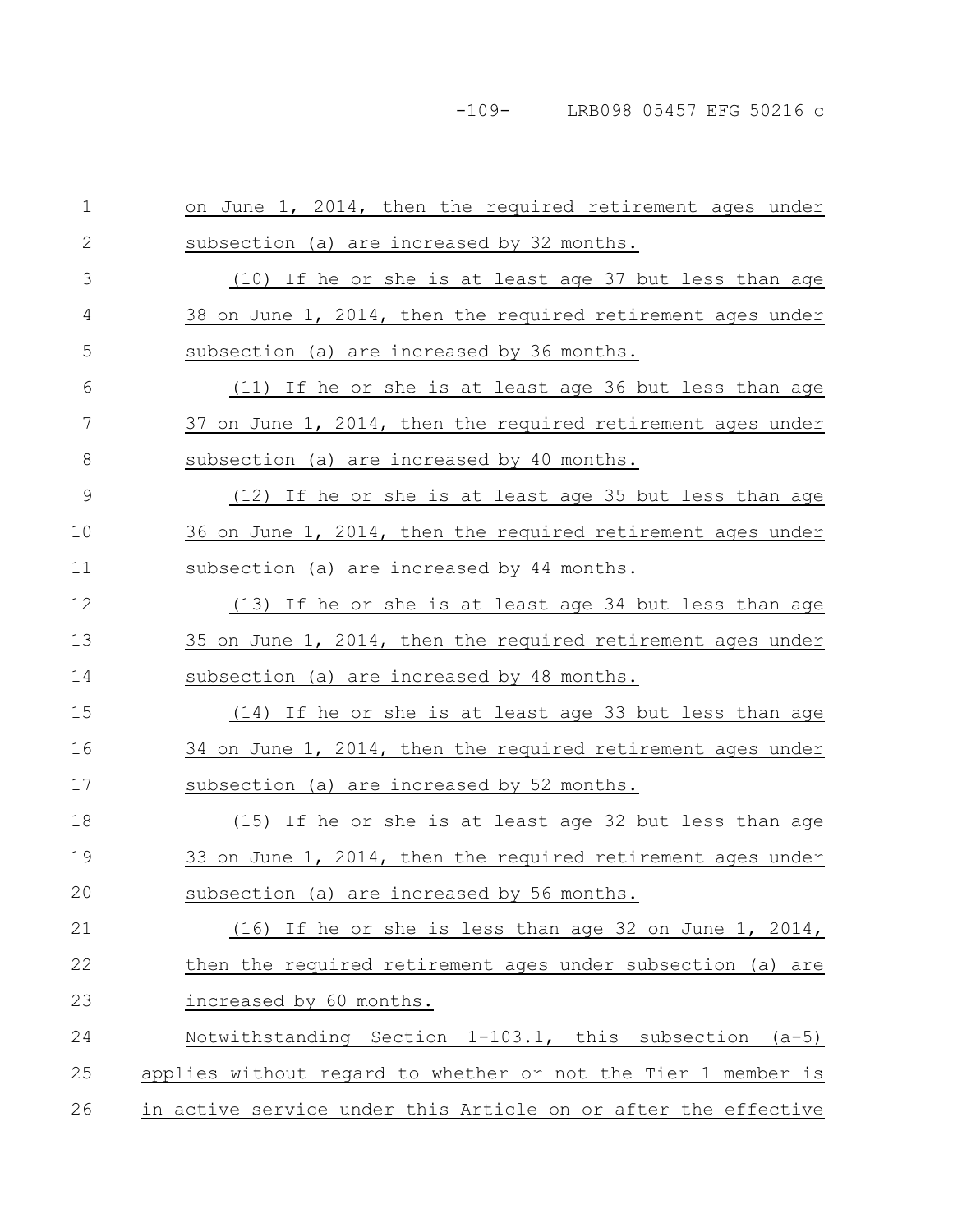| $\mathbf 1$  | on June 1, 2014, then the required retirement ages under       |
|--------------|----------------------------------------------------------------|
| $\mathbf{2}$ | subsection (a) are increased by 32 months.                     |
| 3            | (10) If he or she is at least age 37 but less than age         |
| 4            | 38 on June 1, 2014, then the required retirement ages under    |
| 5            | subsection (a) are increased by 36 months.                     |
| 6            | (11) If he or she is at least age 36 but less than age         |
| 7            | 37 on June 1, 2014, then the required retirement ages under    |
| 8            | subsection (a) are increased by 40 months.                     |
| 9            | (12) If he or she is at least age 35 but less than age         |
| 10           | 36 on June 1, 2014, then the required retirement ages under    |
| 11           | subsection (a) are increased by 44 months.                     |
| 12           | (13) If he or she is at least age 34 but less than age         |
| 13           | 35 on June 1, 2014, then the required retirement ages under    |
| 14           | subsection (a) are increased by 48 months.                     |
| 15           | (14) If he or she is at least age 33 but less than age         |
| 16           | 34 on June 1, 2014, then the required retirement ages under    |
| 17           | subsection (a) are increased by 52 months.                     |
| 18           | (15) If he or she is at least age 32 but less than age         |
| 19           | 33 on June 1, 2014, then the required retirement ages under    |
| 20           | subsection (a) are increased by 56 months.                     |
| 21           | (16) If he or she is less than age 32 on June 1, 2014,         |
| 22           | then the required retirement ages under subsection (a) are     |
| 23           | increased by 60 months.                                        |
| 24           | Notwithstanding Section 1-103.1, this subsection (a-5)         |
| 25           | applies without regard to whether or not the Tier 1 member is  |
| 26           | in active service under this Article on or after the effective |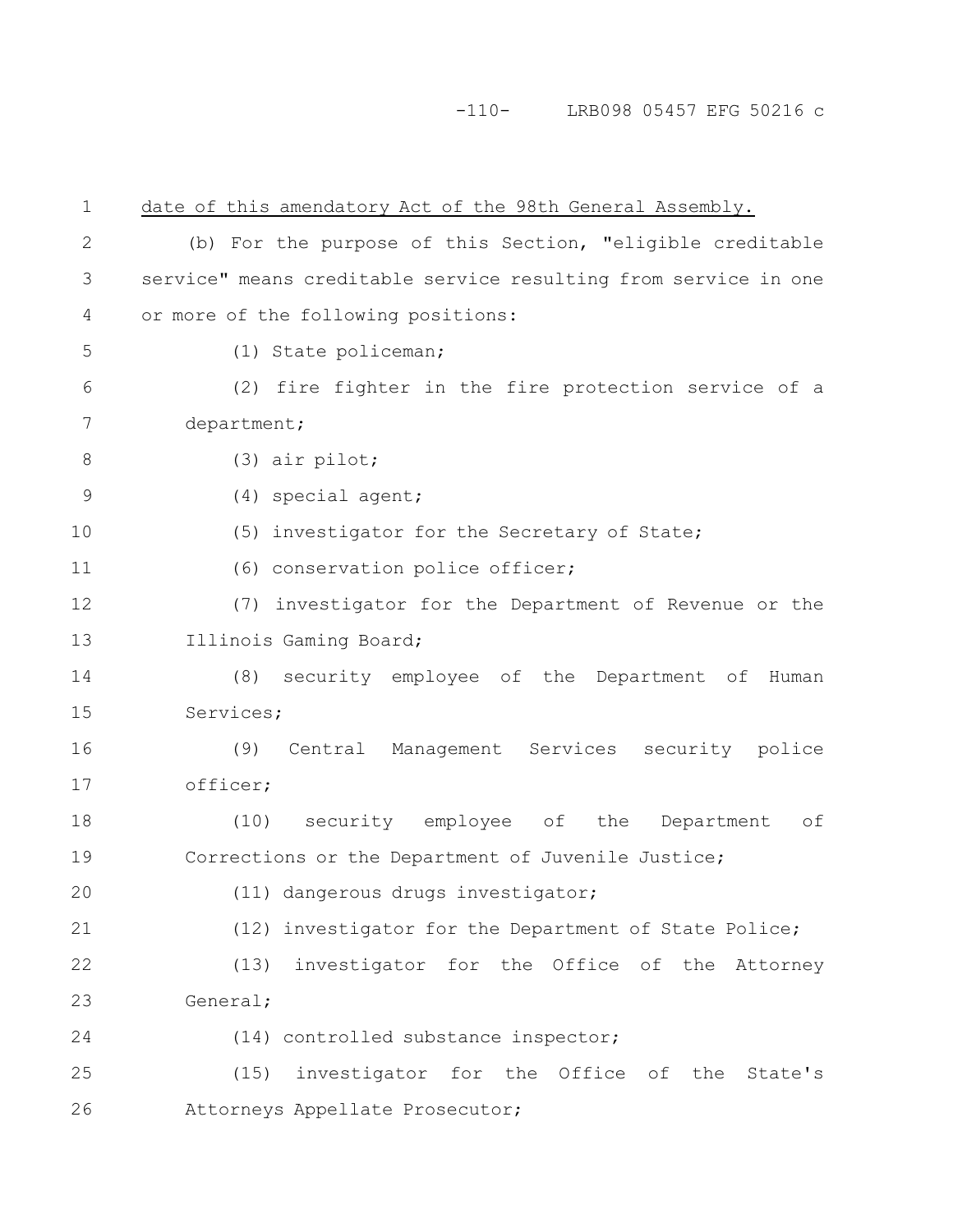# -110- LRB098 05457 EFG 50216 c

| $\mathbf 1$  | date of this amendatory Act of the 98th General Assembly.       |
|--------------|-----------------------------------------------------------------|
| $\mathbf{2}$ | (b) For the purpose of this Section, "eligible creditable       |
| 3            | service" means creditable service resulting from service in one |
| 4            | or more of the following positions:                             |
| 5            | (1) State policeman;                                            |
| 6            | (2) fire fighter in the fire protection service of a            |
| 7            | department;                                                     |
| $8\,$        | $(3)$ air pilot;                                                |
| 9            | (4) special agent;                                              |
| 10           | (5) investigator for the Secretary of State;                    |
| 11           | (6) conservation police officer;                                |
| 12           | (7) investigator for the Department of Revenue or the           |
| 13           | Illinois Gaming Board;                                          |
| 14           | security employee of the Department of Human<br>(8)             |
| 15           | Services;                                                       |
| 16           | Central Management Services security police<br>(9)              |
| 17           | officer;                                                        |
| 18           | (10) security employee of the Department<br>оf                  |
| 19           | Corrections or the Department of Juvenile Justice;              |
| 20           | (11) dangerous drugs investigator;                              |
| 21           | (12) investigator for the Department of State Police;           |
| 22           | investigator for the Office of the Attorney<br>(13)             |
| 23           | General;                                                        |
| 24           | (14) controlled substance inspector;                            |
| 25           | (15) investigator for the Office of the State's                 |
| 26           | Attorneys Appellate Prosecutor;                                 |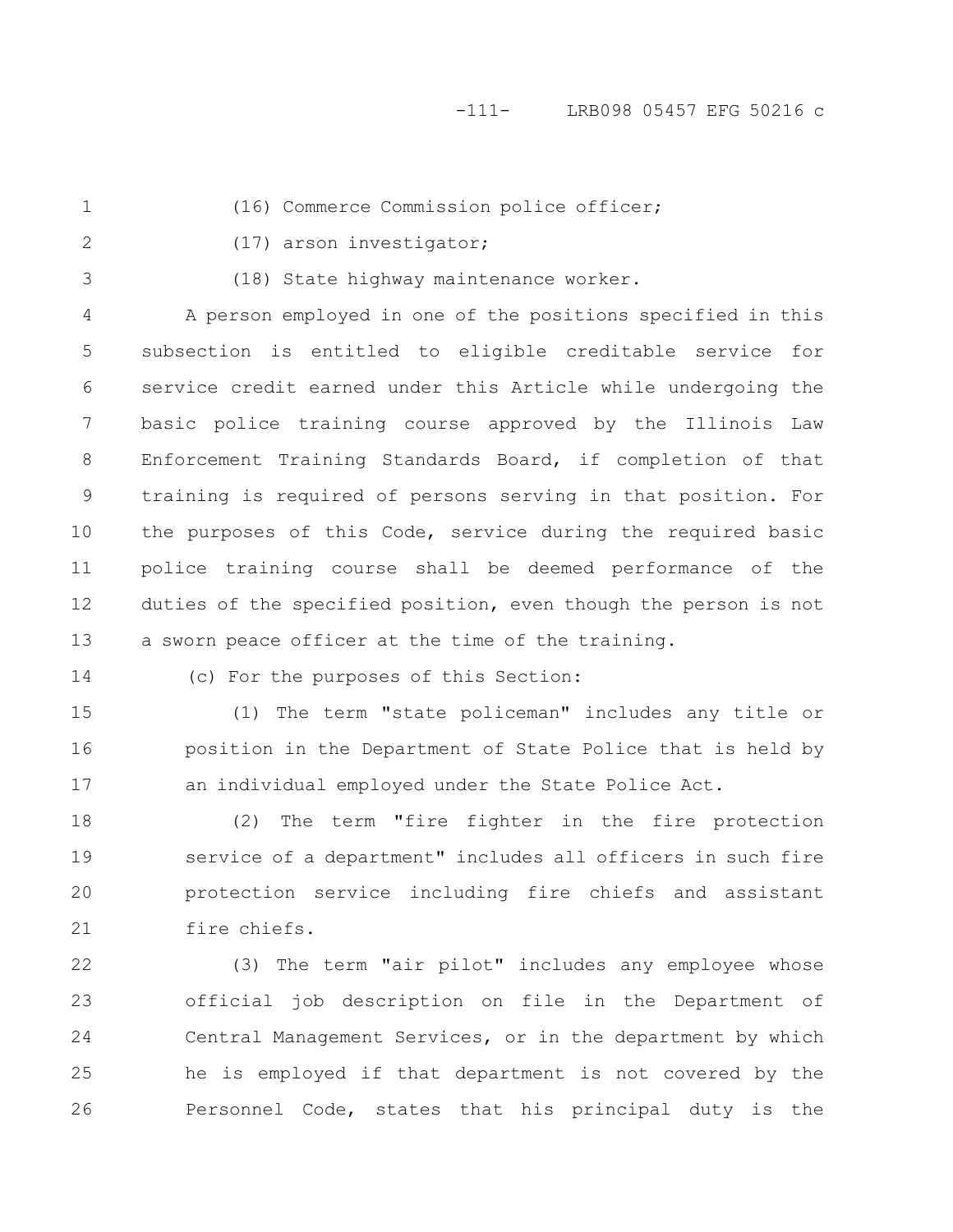1

(16) Commerce Commission police officer;

2

(17) arson investigator;

3

(18) State highway maintenance worker.

A person employed in one of the positions specified in this subsection is entitled to eligible creditable service for service credit earned under this Article while undergoing the basic police training course approved by the Illinois Law Enforcement Training Standards Board, if completion of that training is required of persons serving in that position. For the purposes of this Code, service during the required basic police training course shall be deemed performance of the duties of the specified position, even though the person is not a sworn peace officer at the time of the training. 4 5 6 7 8 9 10 11 12 13

14

(c) For the purposes of this Section:

(1) The term "state policeman" includes any title or position in the Department of State Police that is held by an individual employed under the State Police Act. 15 16 17

(2) The term "fire fighter in the fire protection service of a department" includes all officers in such fire protection service including fire chiefs and assistant fire chiefs. 18 19 20 21

(3) The term "air pilot" includes any employee whose official job description on file in the Department of Central Management Services, or in the department by which he is employed if that department is not covered by the Personnel Code, states that his principal duty is the 22 23 24 25 26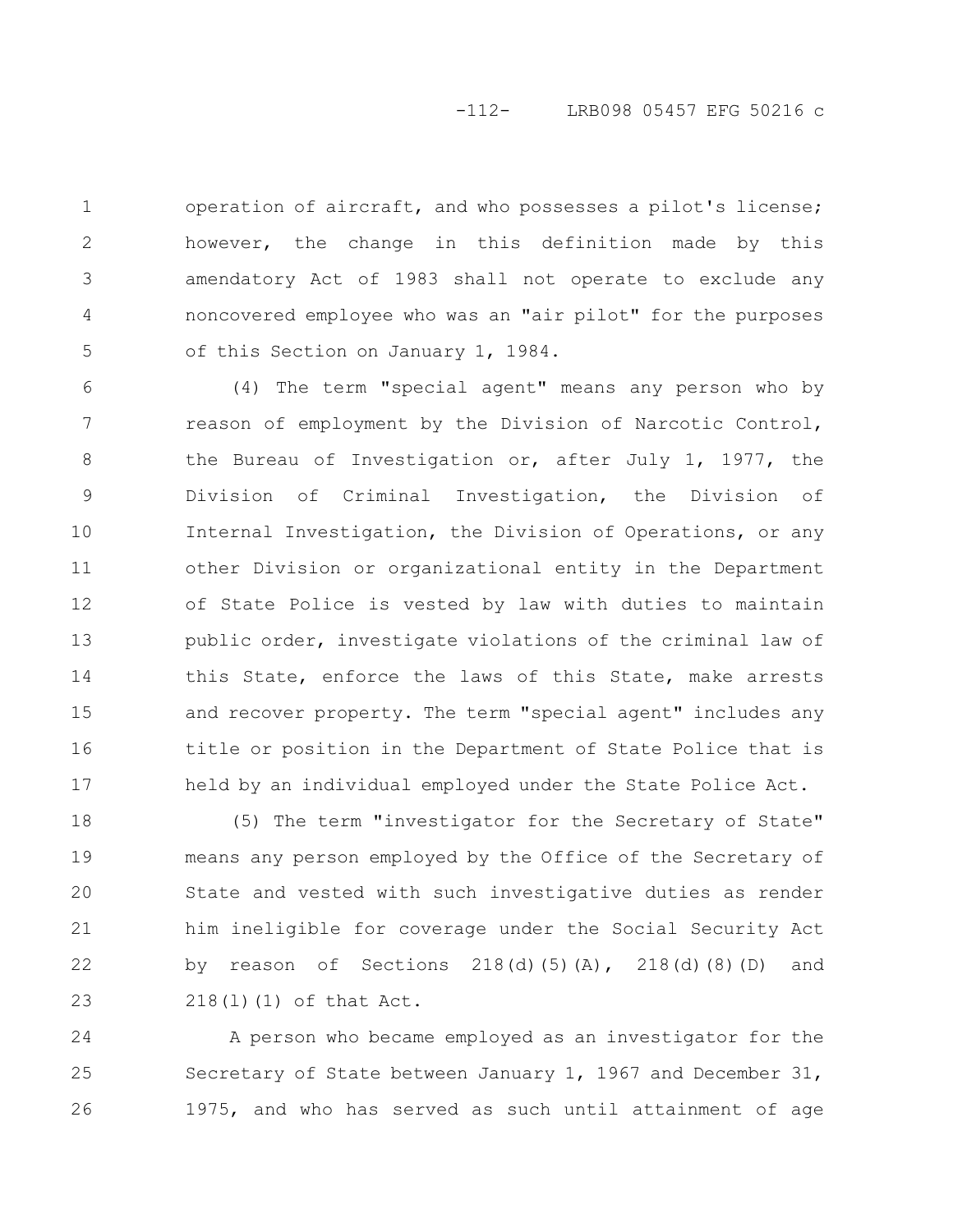## -112- LRB098 05457 EFG 50216 c

operation of aircraft, and who possesses a pilot's license; however, the change in this definition made by this amendatory Act of 1983 shall not operate to exclude any noncovered employee who was an "air pilot" for the purposes of this Section on January 1, 1984. 1 2 3 4 5

(4) The term "special agent" means any person who by reason of employment by the Division of Narcotic Control, the Bureau of Investigation or, after July 1, 1977, the Division of Criminal Investigation, the Division of Internal Investigation, the Division of Operations, or any other Division or organizational entity in the Department of State Police is vested by law with duties to maintain public order, investigate violations of the criminal law of this State, enforce the laws of this State, make arrests and recover property. The term "special agent" includes any title or position in the Department of State Police that is held by an individual employed under the State Police Act. 6 7 8 9 10 11 12 13 14 15 16 17

(5) The term "investigator for the Secretary of State" means any person employed by the Office of the Secretary of State and vested with such investigative duties as render him ineligible for coverage under the Social Security Act by reason of Sections  $218(d)(5)(A)$ ,  $218(d)(8)(D)$  and 218(l)(1) of that Act. 18 19 20 21 22 23

A person who became employed as an investigator for the Secretary of State between January 1, 1967 and December 31, 1975, and who has served as such until attainment of age 24 25 26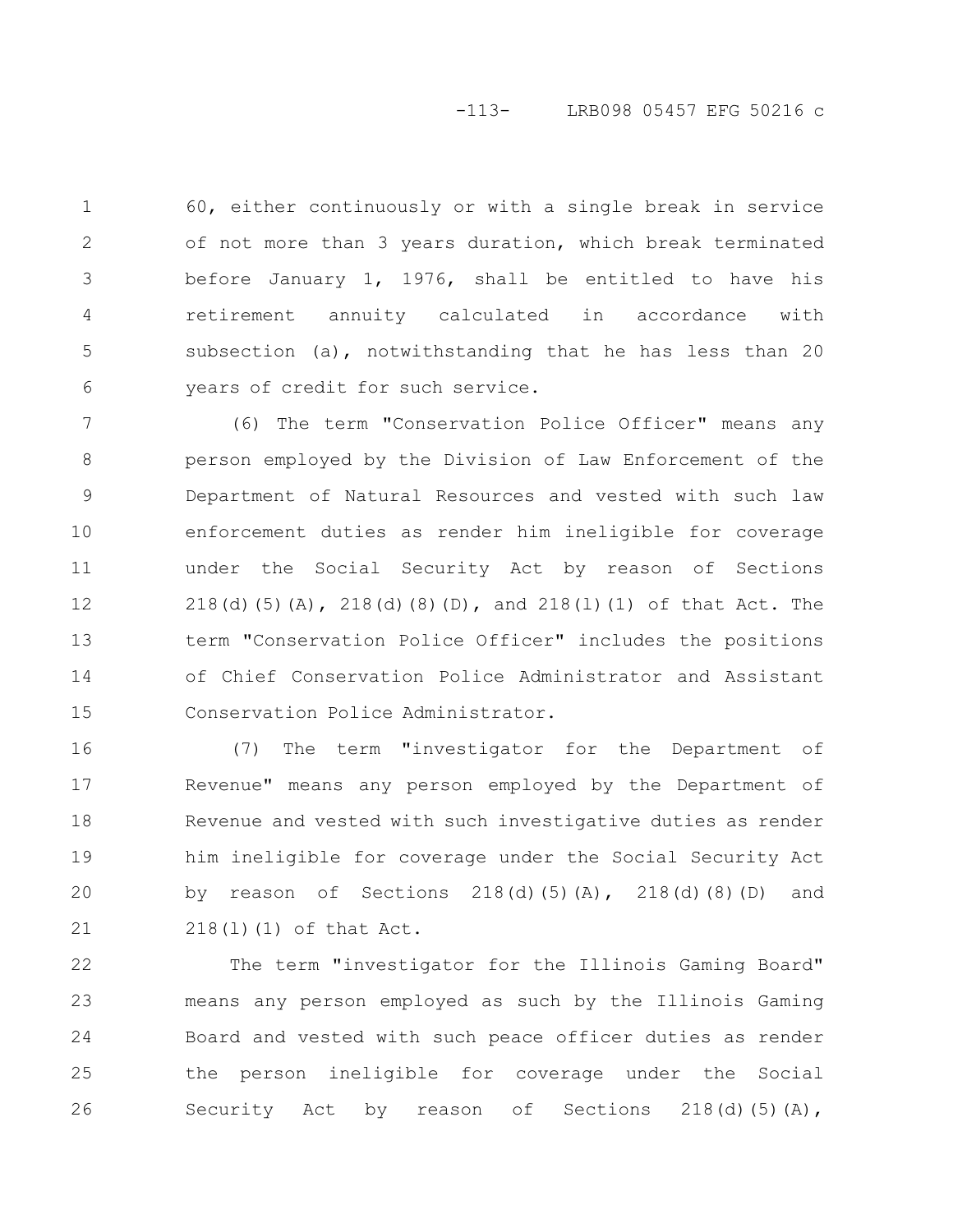## -113- LRB098 05457 EFG 50216 c

60, either continuously or with a single break in service of not more than 3 years duration, which break terminated before January 1, 1976, shall be entitled to have his retirement annuity calculated in accordance with subsection (a), notwithstanding that he has less than 20 years of credit for such service. 1 2 3 4 5 6

(6) The term "Conservation Police Officer" means any person employed by the Division of Law Enforcement of the Department of Natural Resources and vested with such law enforcement duties as render him ineligible for coverage under the Social Security Act by reason of Sections 218(d)(5)(A), 218(d)(8)(D), and 218(l)(1) of that Act. The term "Conservation Police Officer" includes the positions of Chief Conservation Police Administrator and Assistant Conservation Police Administrator. 7 8 9 10 11 12 13 14 15

(7) The term "investigator for the Department of Revenue" means any person employed by the Department of Revenue and vested with such investigative duties as render him ineligible for coverage under the Social Security Act by reason of Sections  $218(d)(5)(A)$ ,  $218(d)(8)(D)$  and 218(l)(1) of that Act. 16 17 18 19 20 21

The term "investigator for the Illinois Gaming Board" means any person employed as such by the Illinois Gaming Board and vested with such peace officer duties as render the person ineligible for coverage under the Social Security Act by reason of Sections  $218(d)(5)(A)$ , 22 23 24 25 26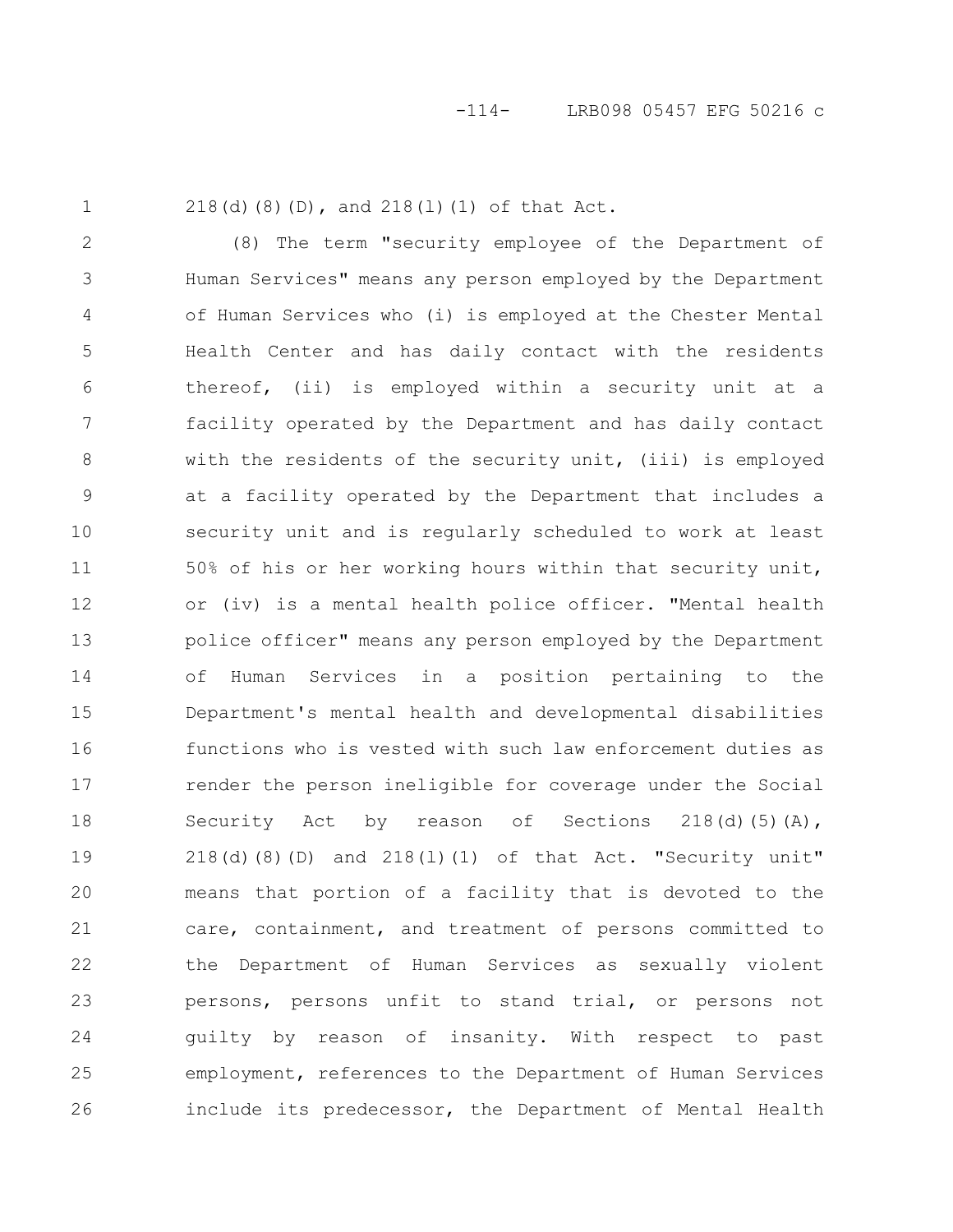1

218(d)(8)(D), and 218(l)(1) of that Act.

(8) The term "security employee of the Department of Human Services" means any person employed by the Department of Human Services who (i) is employed at the Chester Mental Health Center and has daily contact with the residents thereof, (ii) is employed within a security unit at a facility operated by the Department and has daily contact with the residents of the security unit, (iii) is employed at a facility operated by the Department that includes a security unit and is regularly scheduled to work at least 50% of his or her working hours within that security unit, or (iv) is a mental health police officer. "Mental health police officer" means any person employed by the Department of Human Services in a position pertaining to the Department's mental health and developmental disabilities functions who is vested with such law enforcement duties as render the person ineligible for coverage under the Social Security Act by reason of Sections  $218(d)(5)(A)$ ,  $218(d)(8)(D)$  and  $218(1)(1)$  of that Act. "Security unit" means that portion of a facility that is devoted to the care, containment, and treatment of persons committed to the Department of Human Services as sexually violent persons, persons unfit to stand trial, or persons not guilty by reason of insanity. With respect to past employment, references to the Department of Human Services include its predecessor, the Department of Mental Health 2 3 4 5 6 7 8 9 10 11 12 13 14 15 16 17 18 19 20 21 22 23 24 25 26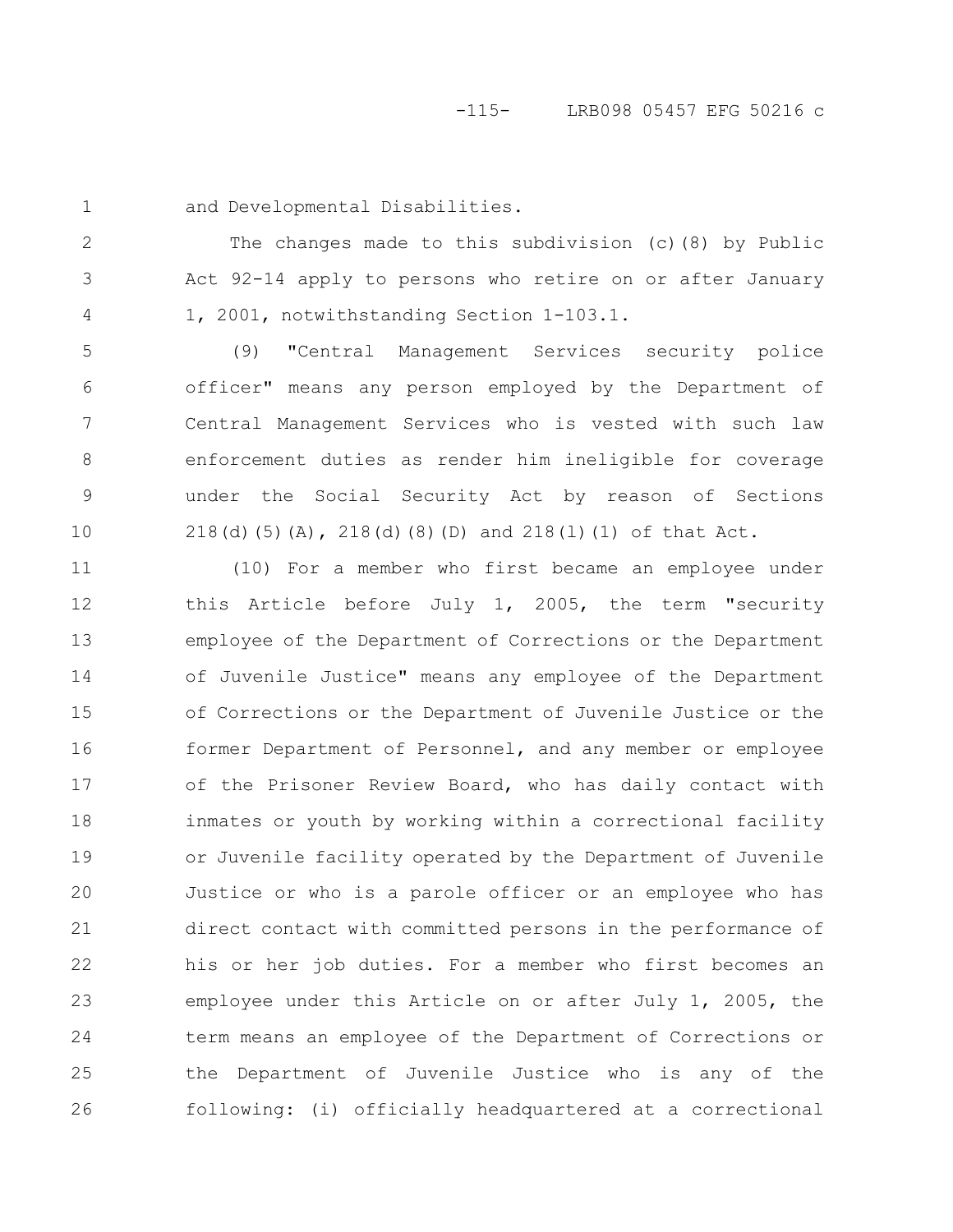#### -115- LRB098 05457 EFG 50216 c

1

2

3

4

and Developmental Disabilities.

The changes made to this subdivision (c)(8) by Public Act 92-14 apply to persons who retire on or after January 1, 2001, notwithstanding Section 1-103.1.

(9) "Central Management Services security police officer" means any person employed by the Department of Central Management Services who is vested with such law enforcement duties as render him ineligible for coverage under the Social Security Act by reason of Sections 218(d)(5)(A), 218(d)(8)(D) and 218(l)(1) of that Act. 5 6 7 8 9 10

(10) For a member who first became an employee under this Article before July 1, 2005, the term "security employee of the Department of Corrections or the Department of Juvenile Justice" means any employee of the Department of Corrections or the Department of Juvenile Justice or the former Department of Personnel, and any member or employee of the Prisoner Review Board, who has daily contact with inmates or youth by working within a correctional facility or Juvenile facility operated by the Department of Juvenile Justice or who is a parole officer or an employee who has direct contact with committed persons in the performance of his or her job duties. For a member who first becomes an employee under this Article on or after July 1, 2005, the term means an employee of the Department of Corrections or the Department of Juvenile Justice who is any of the following: (i) officially headquartered at a correctional 11 12 13 14 15 16 17 18 19 20 21 22 23 24 25 26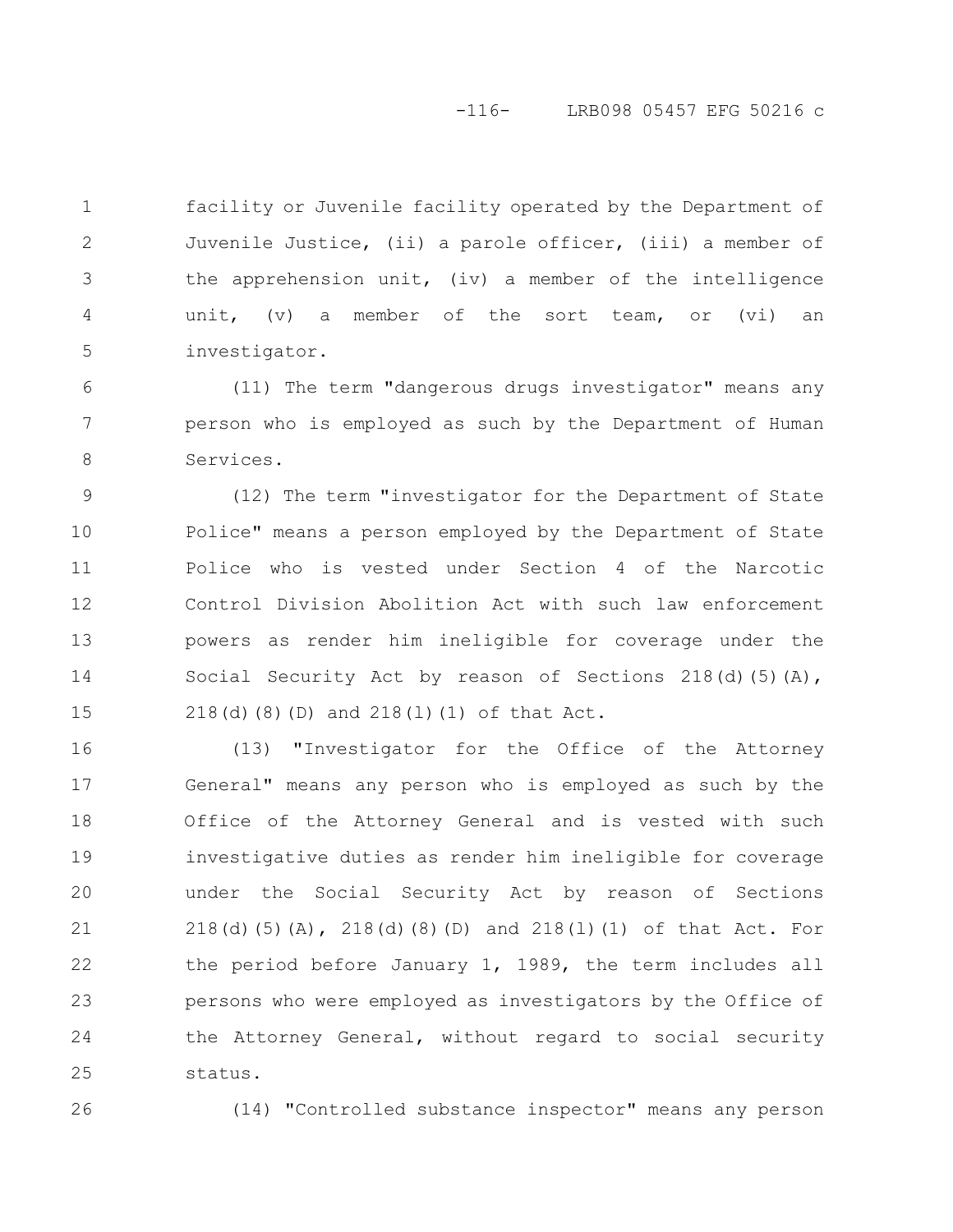## -116- LRB098 05457 EFG 50216 c

facility or Juvenile facility operated by the Department of Juvenile Justice, (ii) a parole officer, (iii) a member of the apprehension unit, (iv) a member of the intelligence unit, (v) a member of the sort team, or (vi) an investigator. 1 2 3 4 5

(11) The term "dangerous drugs investigator" means any person who is employed as such by the Department of Human Services. 6 7 8

(12) The term "investigator for the Department of State Police" means a person employed by the Department of State Police who is vested under Section 4 of the Narcotic Control Division Abolition Act with such law enforcement powers as render him ineligible for coverage under the Social Security Act by reason of Sections 218(d)(5)(A), 218(d)(8)(D) and 218(l)(1) of that Act. 9 10 11 12 13 14 15

(13) "Investigator for the Office of the Attorney General" means any person who is employed as such by the Office of the Attorney General and is vested with such investigative duties as render him ineligible for coverage under the Social Security Act by reason of Sections 218(d)(5)(A), 218(d)(8)(D) and 218(l)(1) of that Act. For the period before January 1, 1989, the term includes all persons who were employed as investigators by the Office of the Attorney General, without regard to social security status. 16 17 18 19 20 21 22 23 24 25

26

(14) "Controlled substance inspector" means any person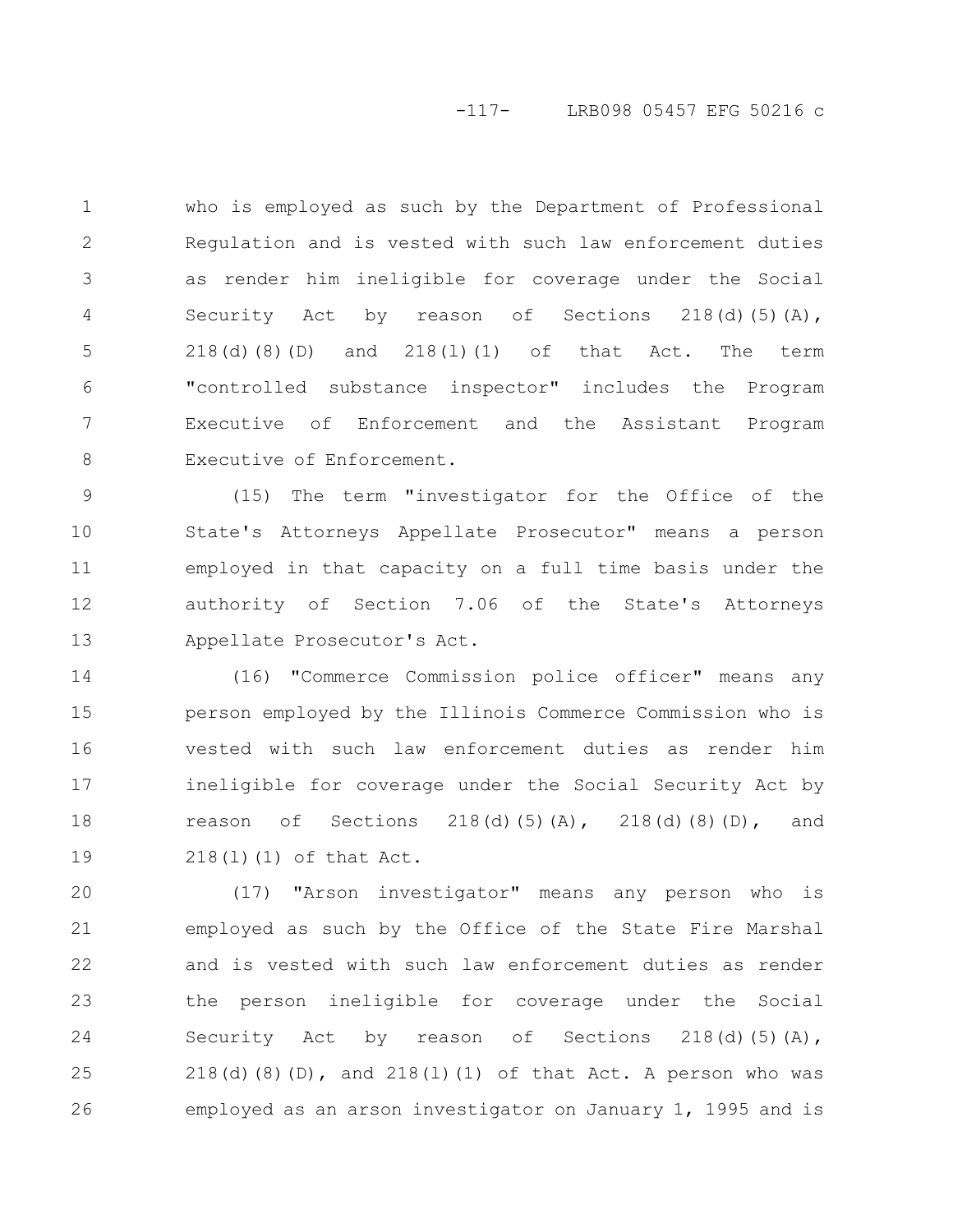## -117- LRB098 05457 EFG 50216 c

who is employed as such by the Department of Professional Regulation and is vested with such law enforcement duties as render him ineligible for coverage under the Social Security Act by reason of Sections  $218(d)(5)(A)$ , 218(d)(8)(D) and 218(l)(1) of that Act. The term "controlled substance inspector" includes the Program Executive of Enforcement and the Assistant Program Executive of Enforcement. 1 2 3 4 5 6 7 8

(15) The term "investigator for the Office of the State's Attorneys Appellate Prosecutor" means a person employed in that capacity on a full time basis under the authority of Section 7.06 of the State's Attorneys Appellate Prosecutor's Act. 9 10 11 12 13

(16) "Commerce Commission police officer" means any person employed by the Illinois Commerce Commission who is vested with such law enforcement duties as render him ineligible for coverage under the Social Security Act by reason of Sections 218(d)(5)(A), 218(d)(8)(D), and 218(l)(1) of that Act. 14 15 16 17 18 19

(17) "Arson investigator" means any person who is employed as such by the Office of the State Fire Marshal and is vested with such law enforcement duties as render the person ineligible for coverage under the Social Security Act by reason of Sections  $218(d)(5)(A)$ , 218(d)(8)(D), and 218(1)(1) of that Act. A person who was employed as an arson investigator on January 1, 1995 and is 20 21 22 23 24 25 26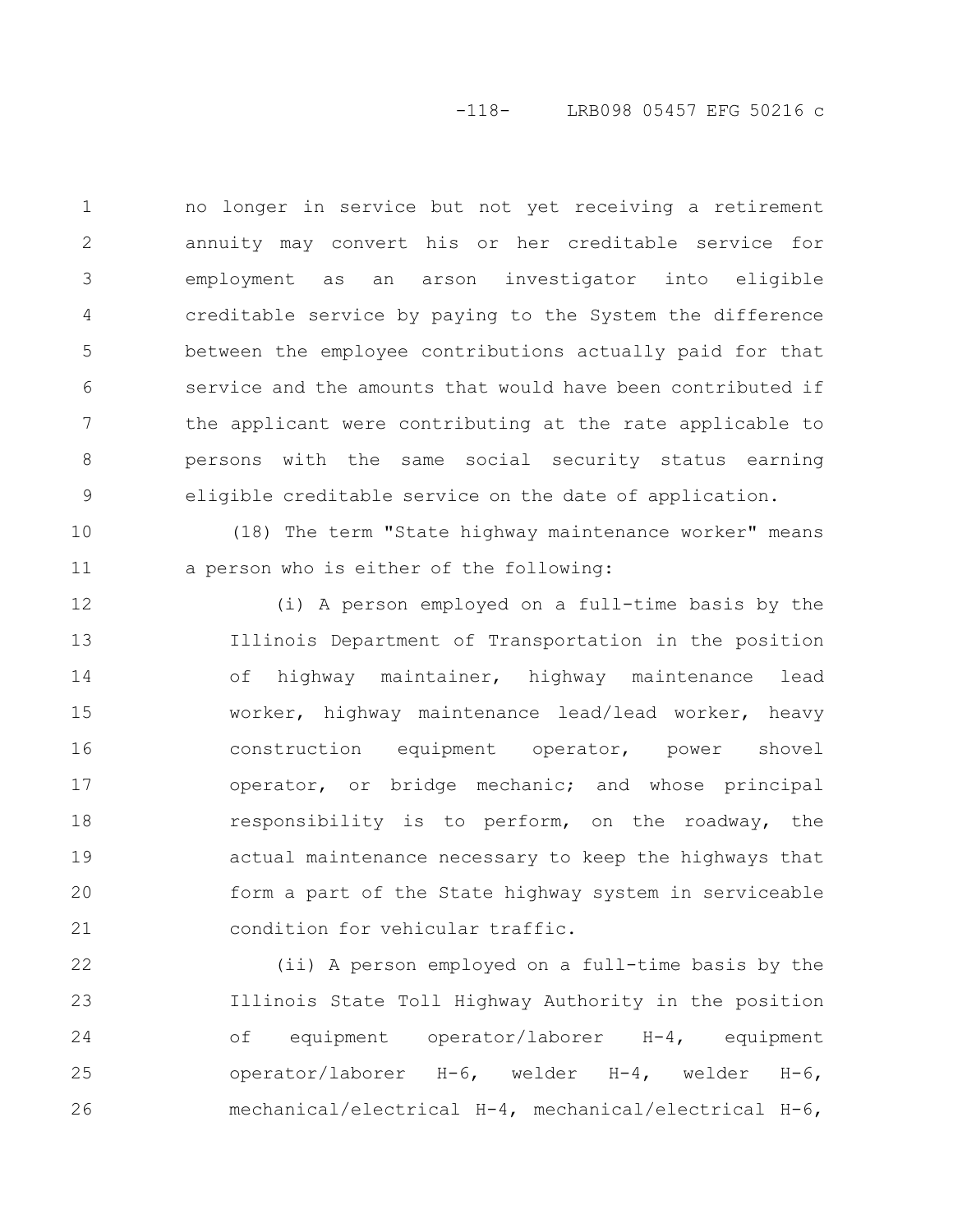## -118- LRB098 05457 EFG 50216 c

no longer in service but not yet receiving a retirement annuity may convert his or her creditable service for employment as an arson investigator into eligible creditable service by paying to the System the difference between the employee contributions actually paid for that service and the amounts that would have been contributed if the applicant were contributing at the rate applicable to persons with the same social security status earning eligible creditable service on the date of application. 1 2 3 4 5 6 7 8 9

(18) The term "State highway maintenance worker" means a person who is either of the following: 10 11

(i) A person employed on a full-time basis by the Illinois Department of Transportation in the position of highway maintainer, highway maintenance lead worker, highway maintenance lead/lead worker, heavy construction equipment operator, power shovel operator, or bridge mechanic; and whose principal responsibility is to perform, on the roadway, the actual maintenance necessary to keep the highways that form a part of the State highway system in serviceable condition for vehicular traffic. 12 13 14 15 16 17 18 19 20 21

(ii) A person employed on a full-time basis by the Illinois State Toll Highway Authority in the position of equipment operator/laborer H-4, equipment operator/laborer H-6, welder H-4, welder H-6, mechanical/electrical H-4, mechanical/electrical H-6, 22 23 24 25 26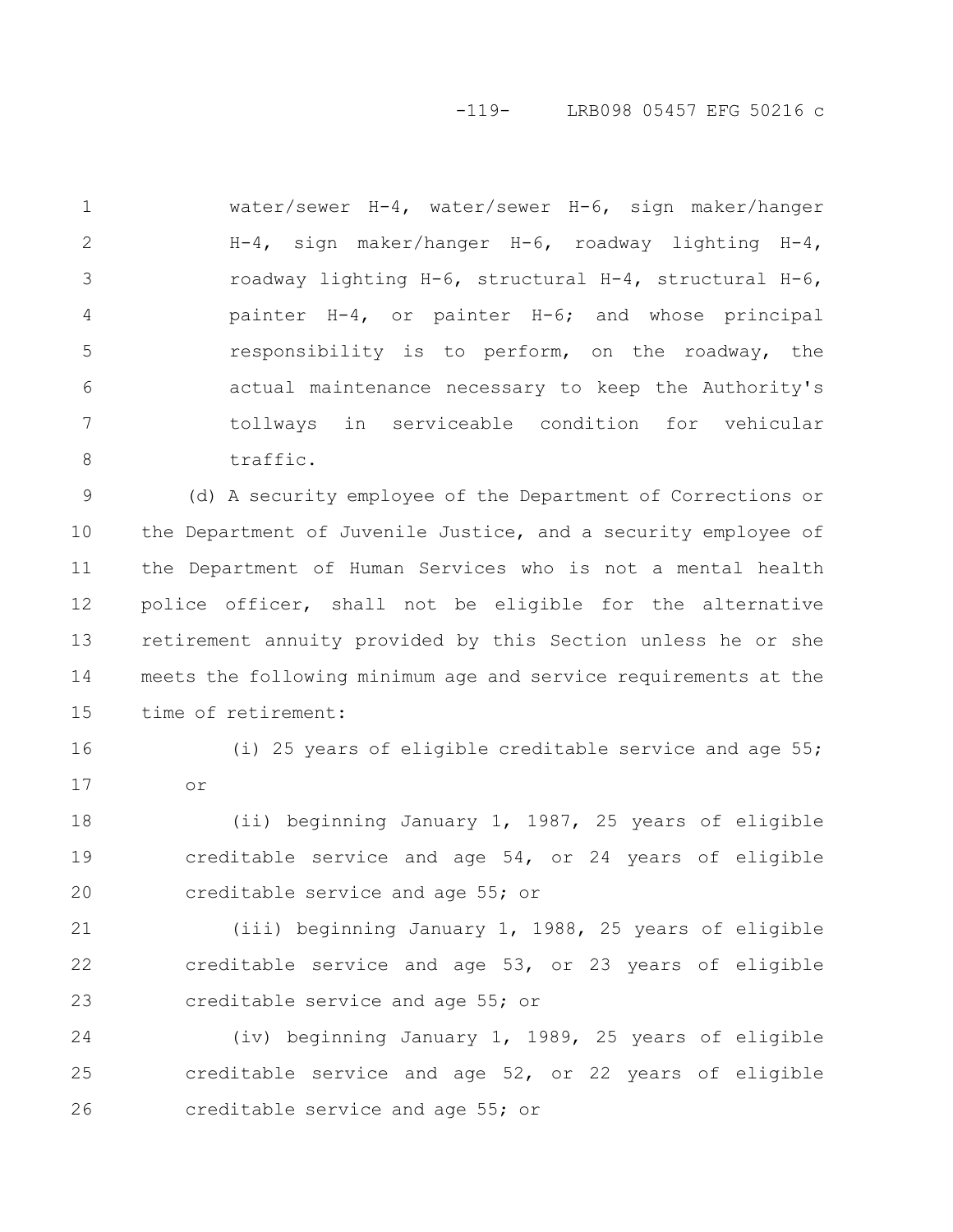## -119- LRB098 05457 EFG 50216 c

water/sewer H-4, water/sewer H-6, sign maker/hanger H-4, sign maker/hanger H-6, roadway lighting H-4, roadway lighting H-6, structural H-4, structural H-6, painter H-4, or painter H-6; and whose principal responsibility is to perform, on the roadway, the actual maintenance necessary to keep the Authority's tollways in serviceable condition for vehicular traffic. 1 2 3 4 5 6 7 8

(d) A security employee of the Department of Corrections or the Department of Juvenile Justice, and a security employee of the Department of Human Services who is not a mental health police officer, shall not be eligible for the alternative retirement annuity provided by this Section unless he or she meets the following minimum age and service requirements at the time of retirement: 9 10 11 12 13 14 15

16

(i) 25 years of eligible creditable service and age 55; or 17

(ii) beginning January 1, 1987, 25 years of eligible creditable service and age 54, or 24 years of eligible creditable service and age 55; or 18 19 20

(iii) beginning January 1, 1988, 25 years of eligible creditable service and age 53, or 23 years of eligible creditable service and age 55; or 21 22 23

(iv) beginning January 1, 1989, 25 years of eligible creditable service and age 52, or 22 years of eligible creditable service and age 55; or 24 25 26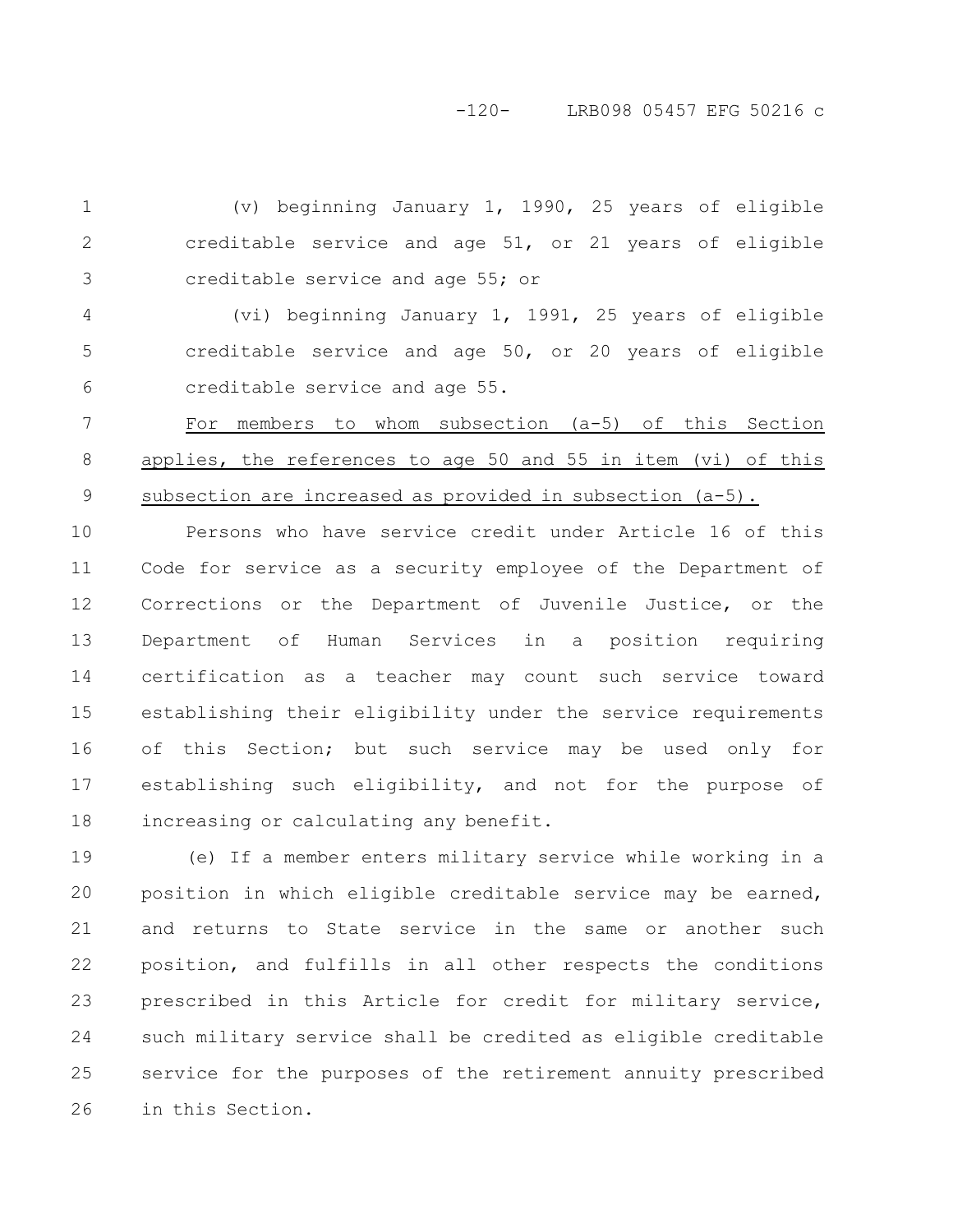-120- LRB098 05457 EFG 50216 c

(v) beginning January 1, 1990, 25 years of eligible creditable service and age 51, or 21 years of eligible creditable service and age 55; or 1 2 3

(vi) beginning January 1, 1991, 25 years of eligible creditable service and age 50, or 20 years of eligible creditable service and age 55. 4 5 6

For members to whom subsection (a-5) of this Section applies, the references to age 50 and 55 in item (vi) of this subsection are increased as provided in subsection (a-5). 7 8 9

Persons who have service credit under Article 16 of this Code for service as a security employee of the Department of Corrections or the Department of Juvenile Justice, or the Department of Human Services in a position requiring certification as a teacher may count such service toward establishing their eligibility under the service requirements of this Section; but such service may be used only for establishing such eligibility, and not for the purpose of increasing or calculating any benefit. 10 11 12 13 14 15 16 17 18

(e) If a member enters military service while working in a position in which eligible creditable service may be earned, and returns to State service in the same or another such position, and fulfills in all other respects the conditions prescribed in this Article for credit for military service, such military service shall be credited as eligible creditable service for the purposes of the retirement annuity prescribed in this Section. 19 20 21 22 23 24 25 26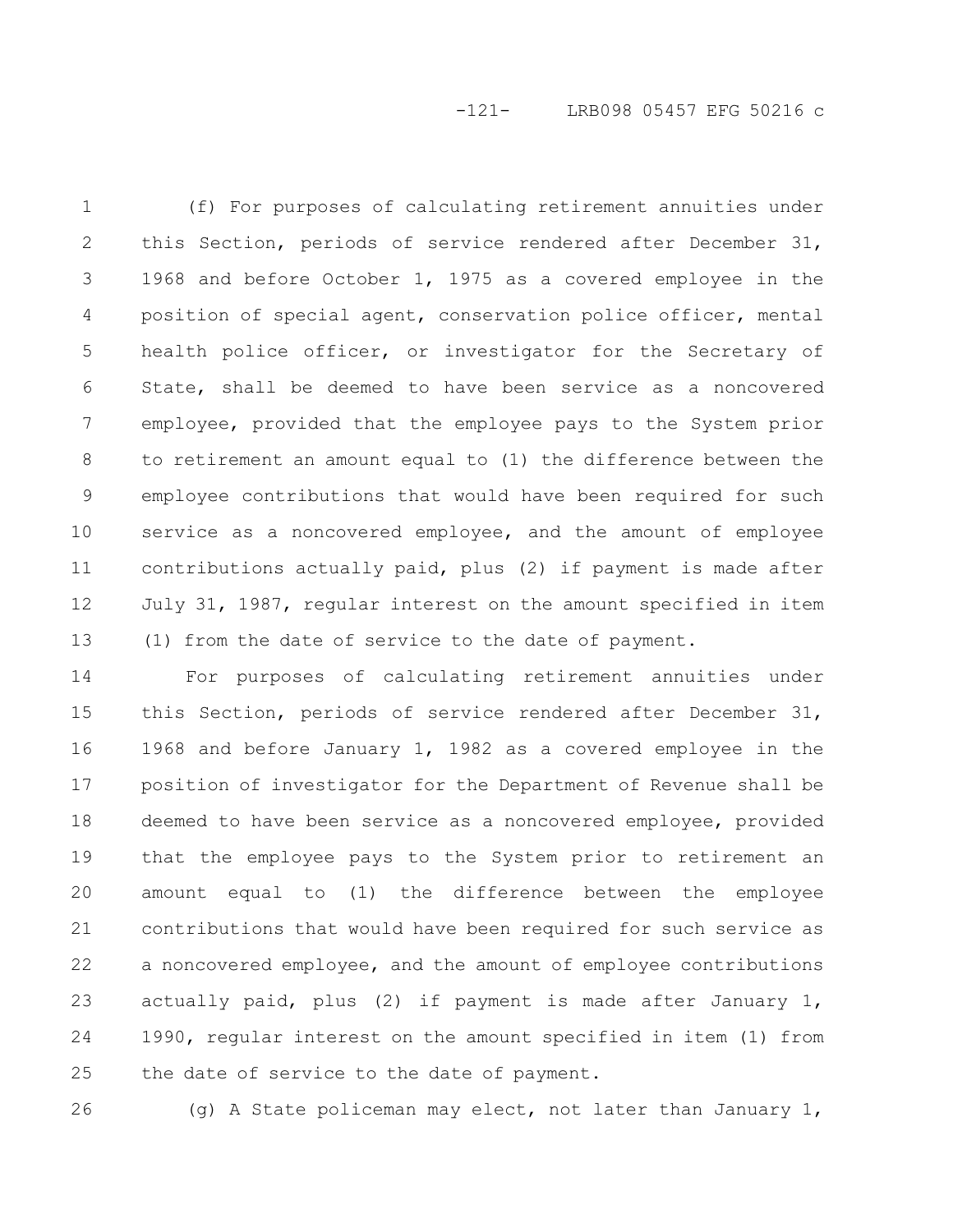-121- LRB098 05457 EFG 50216 c

(f) For purposes of calculating retirement annuities under this Section, periods of service rendered after December 31, 1968 and before October 1, 1975 as a covered employee in the position of special agent, conservation police officer, mental health police officer, or investigator for the Secretary of State, shall be deemed to have been service as a noncovered employee, provided that the employee pays to the System prior to retirement an amount equal to (1) the difference between the employee contributions that would have been required for such service as a noncovered employee, and the amount of employee contributions actually paid, plus (2) if payment is made after July 31, 1987, regular interest on the amount specified in item (1) from the date of service to the date of payment. 1 2 3 4 5 6 7 8 9 10 11 12 13

For purposes of calculating retirement annuities under this Section, periods of service rendered after December 31, 1968 and before January 1, 1982 as a covered employee in the position of investigator for the Department of Revenue shall be deemed to have been service as a noncovered employee, provided that the employee pays to the System prior to retirement an amount equal to (1) the difference between the employee contributions that would have been required for such service as a noncovered employee, and the amount of employee contributions actually paid, plus (2) if payment is made after January 1, 1990, regular interest on the amount specified in item (1) from the date of service to the date of payment. 14 15 16 17 18 19 20 21 22 23 24 25

26

(g) A State policeman may elect, not later than January 1,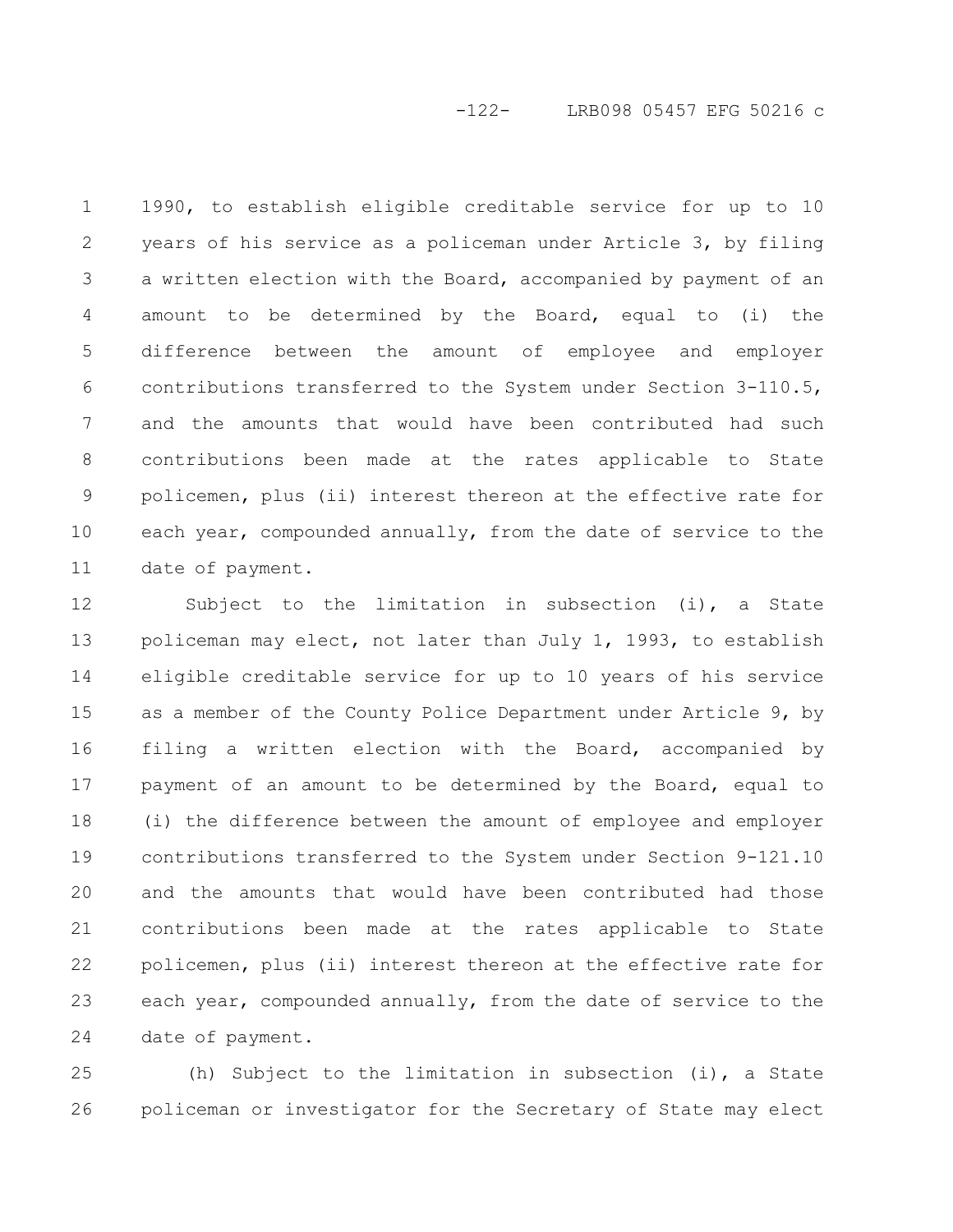-122- LRB098 05457 EFG 50216 c

1990, to establish eligible creditable service for up to 10 years of his service as a policeman under Article 3, by filing a written election with the Board, accompanied by payment of an amount to be determined by the Board, equal to (i) the difference between the amount of employee and employer contributions transferred to the System under Section 3-110.5, and the amounts that would have been contributed had such contributions been made at the rates applicable to State policemen, plus (ii) interest thereon at the effective rate for each year, compounded annually, from the date of service to the date of payment. 1 2 3 4 5 6 7 8 9 10 11

Subject to the limitation in subsection (i), a State policeman may elect, not later than July 1, 1993, to establish eligible creditable service for up to 10 years of his service as a member of the County Police Department under Article 9, by filing a written election with the Board, accompanied by payment of an amount to be determined by the Board, equal to (i) the difference between the amount of employee and employer contributions transferred to the System under Section 9-121.10 and the amounts that would have been contributed had those contributions been made at the rates applicable to State policemen, plus (ii) interest thereon at the effective rate for each year, compounded annually, from the date of service to the date of payment. 12 13 14 15 16 17 18 19 20 21 22 23 24

(h) Subject to the limitation in subsection (i), a State policeman or investigator for the Secretary of State may elect 25 26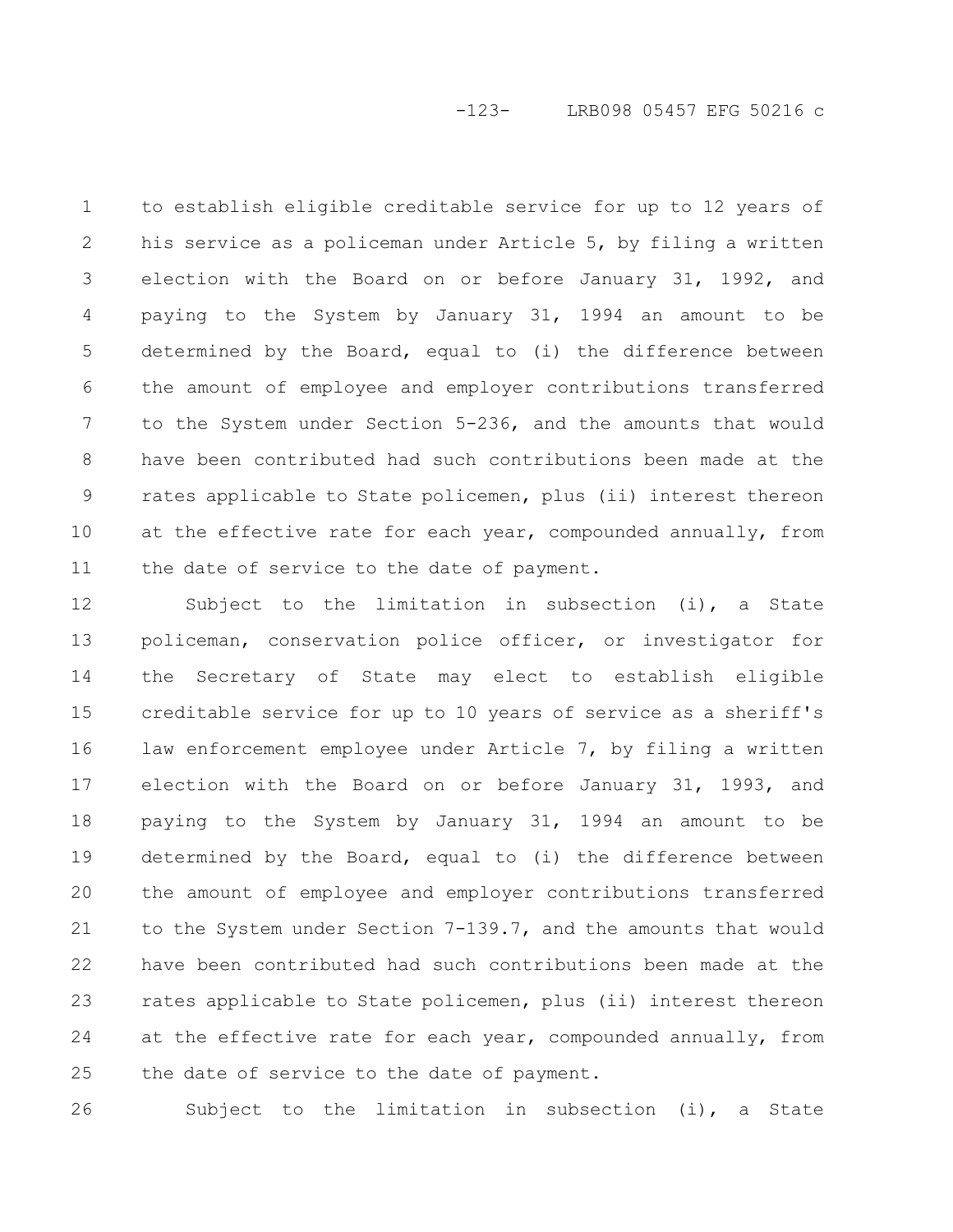to establish eligible creditable service for up to 12 years of his service as a policeman under Article 5, by filing a written election with the Board on or before January 31, 1992, and paying to the System by January 31, 1994 an amount to be determined by the Board, equal to (i) the difference between the amount of employee and employer contributions transferred to the System under Section 5-236, and the amounts that would have been contributed had such contributions been made at the rates applicable to State policemen, plus (ii) interest thereon at the effective rate for each year, compounded annually, from the date of service to the date of payment. 1 2 3 4 5 6 7 8 9 10 11

Subject to the limitation in subsection (i), a State policeman, conservation police officer, or investigator for the Secretary of State may elect to establish eligible creditable service for up to 10 years of service as a sheriff's law enforcement employee under Article 7, by filing a written election with the Board on or before January 31, 1993, and paying to the System by January 31, 1994 an amount to be determined by the Board, equal to (i) the difference between the amount of employee and employer contributions transferred to the System under Section 7-139.7, and the amounts that would have been contributed had such contributions been made at the rates applicable to State policemen, plus (ii) interest thereon at the effective rate for each year, compounded annually, from the date of service to the date of payment. 12 13 14 15 16 17 18 19 20 21 22 23 24 25

26

Subject to the limitation in subsection (i), a State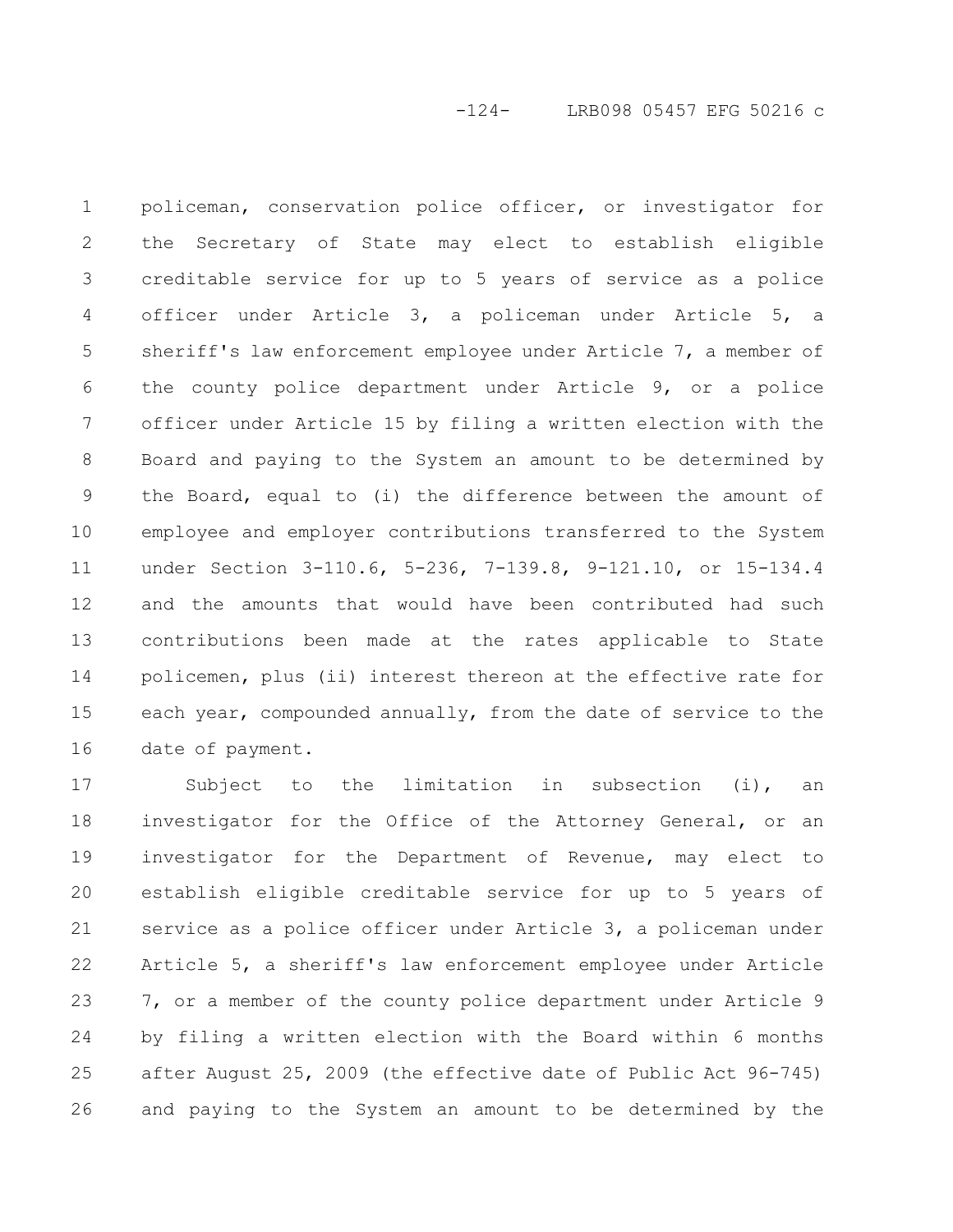-124- LRB098 05457 EFG 50216 c

policeman, conservation police officer, or investigator for the Secretary of State may elect to establish eligible creditable service for up to 5 years of service as a police officer under Article 3, a policeman under Article 5, a sheriff's law enforcement employee under Article 7, a member of the county police department under Article 9, or a police officer under Article 15 by filing a written election with the Board and paying to the System an amount to be determined by the Board, equal to (i) the difference between the amount of employee and employer contributions transferred to the System under Section 3-110.6, 5-236, 7-139.8, 9-121.10, or 15-134.4 and the amounts that would have been contributed had such contributions been made at the rates applicable to State policemen, plus (ii) interest thereon at the effective rate for each year, compounded annually, from the date of service to the date of payment. 1 2 3 4 5 6 7 8 9 10 11 12 13 14 15 16

Subject to the limitation in subsection (i), an investigator for the Office of the Attorney General, or an investigator for the Department of Revenue, may elect to establish eligible creditable service for up to 5 years of service as a police officer under Article 3, a policeman under Article 5, a sheriff's law enforcement employee under Article 7, or a member of the county police department under Article 9 by filing a written election with the Board within 6 months after August 25, 2009 (the effective date of Public Act 96-745) and paying to the System an amount to be determined by the 17 18 19 20 21 22 23 24 25 26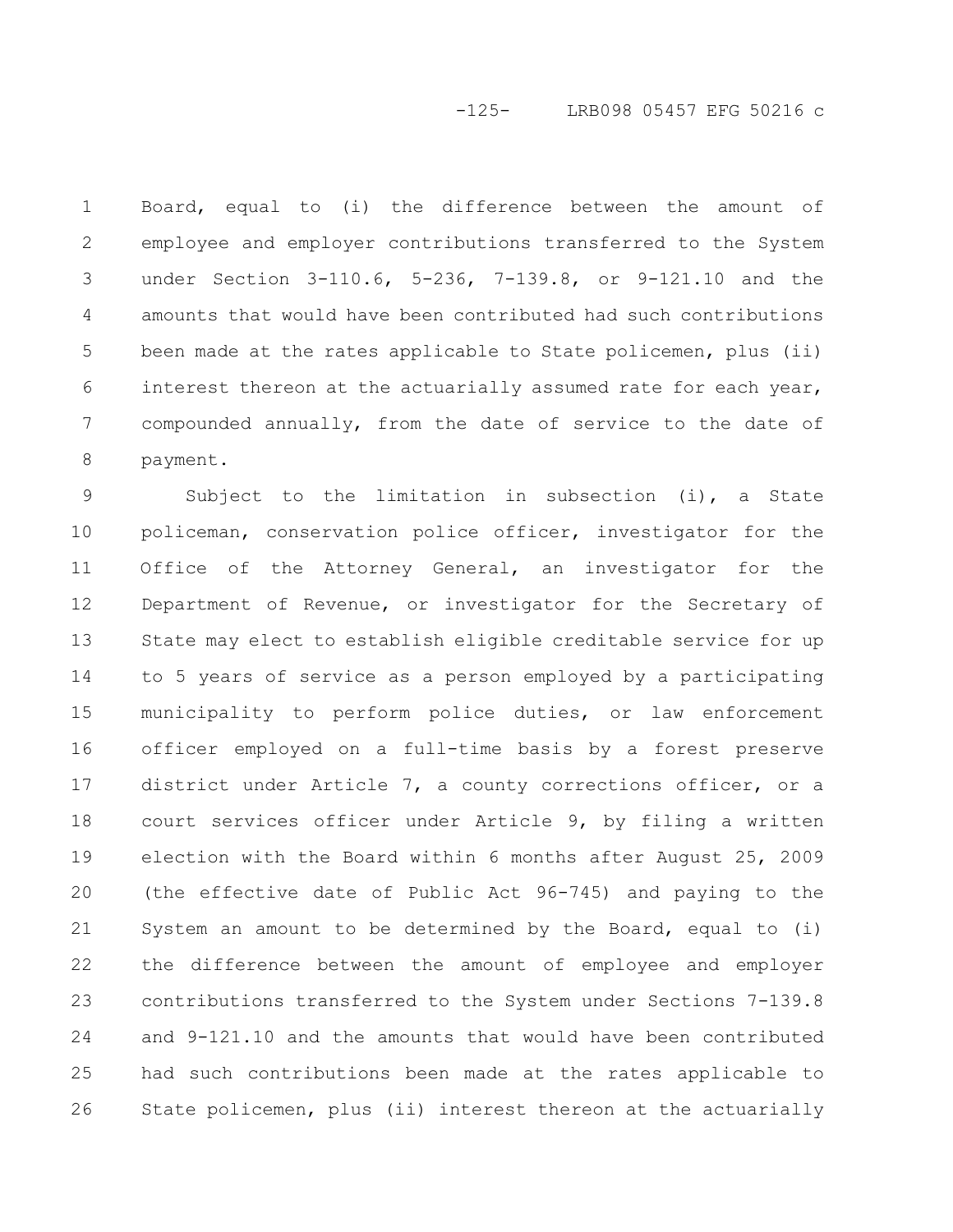#### -125- LRB098 05457 EFG 50216 c

Board, equal to (i) the difference between the amount of employee and employer contributions transferred to the System under Section 3-110.6, 5-236, 7-139.8, or 9-121.10 and the amounts that would have been contributed had such contributions been made at the rates applicable to State policemen, plus (ii) interest thereon at the actuarially assumed rate for each year, compounded annually, from the date of service to the date of payment. 1 2 3 4 5 6 7 8

Subject to the limitation in subsection (i), a State policeman, conservation police officer, investigator for the Office of the Attorney General, an investigator for the Department of Revenue, or investigator for the Secretary of State may elect to establish eligible creditable service for up to 5 years of service as a person employed by a participating municipality to perform police duties, or law enforcement officer employed on a full-time basis by a forest preserve district under Article 7, a county corrections officer, or a court services officer under Article 9, by filing a written election with the Board within 6 months after August 25, 2009 (the effective date of Public Act 96-745) and paying to the System an amount to be determined by the Board, equal to (i) the difference between the amount of employee and employer contributions transferred to the System under Sections 7-139.8 and 9-121.10 and the amounts that would have been contributed had such contributions been made at the rates applicable to State policemen, plus (ii) interest thereon at the actuarially 9 10 11 12 13 14 15 16 17 18 19 20 21 22 23 24 25 26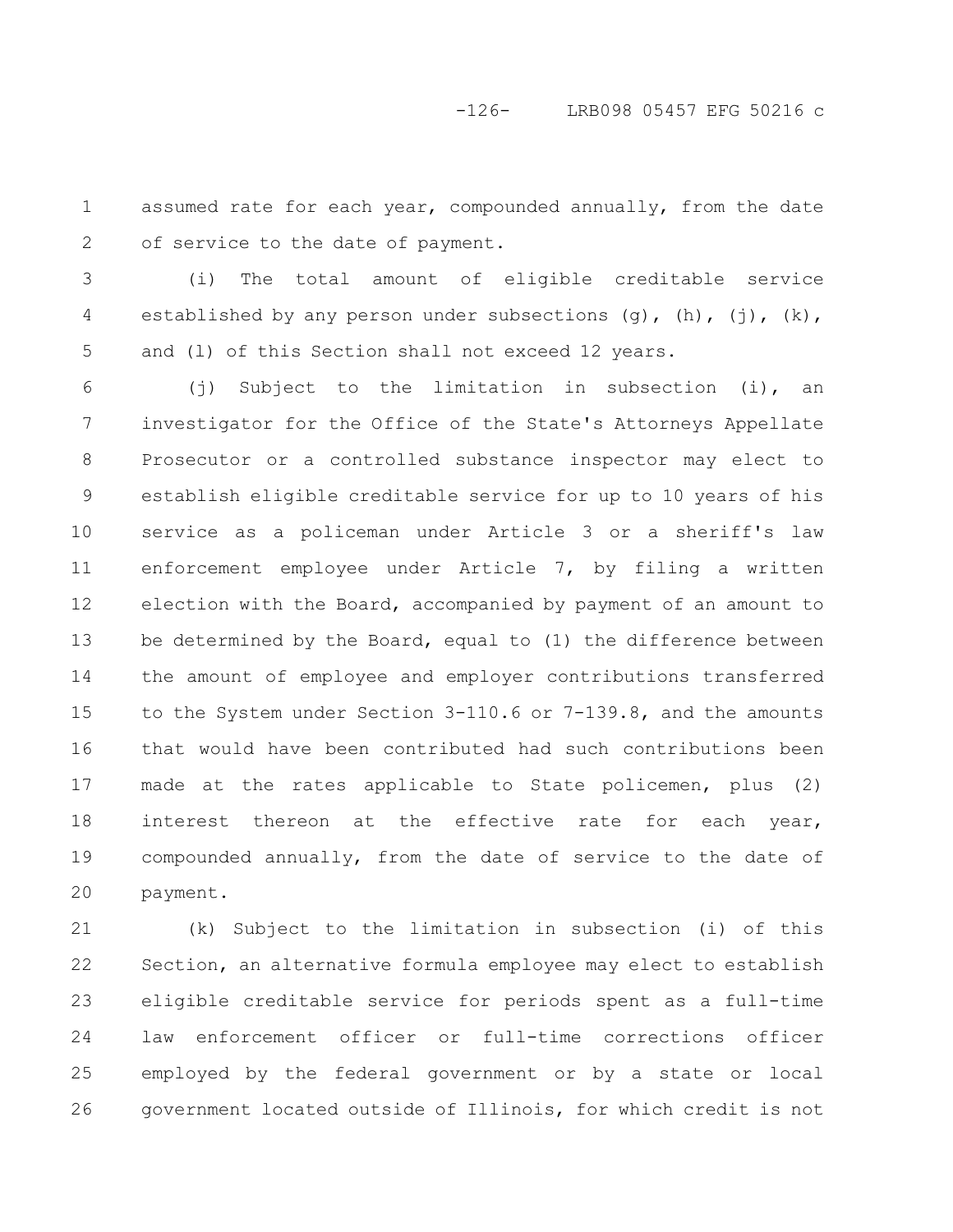assumed rate for each year, compounded annually, from the date of service to the date of payment. 1 2

(i) The total amount of eligible creditable service established by any person under subsections  $(g)$ ,  $(h)$ ,  $(j)$ ,  $(k)$ , and (l) of this Section shall not exceed 12 years. 3 4 5

(j) Subject to the limitation in subsection (i), an investigator for the Office of the State's Attorneys Appellate Prosecutor or a controlled substance inspector may elect to establish eligible creditable service for up to 10 years of his service as a policeman under Article 3 or a sheriff's law enforcement employee under Article 7, by filing a written election with the Board, accompanied by payment of an amount to be determined by the Board, equal to (1) the difference between the amount of employee and employer contributions transferred to the System under Section 3-110.6 or 7-139.8, and the amounts that would have been contributed had such contributions been made at the rates applicable to State policemen, plus (2) interest thereon at the effective rate for each year, compounded annually, from the date of service to the date of payment. 6 7 8 9 10 11 12 13 14 15 16 17 18 19 20

(k) Subject to the limitation in subsection (i) of this Section, an alternative formula employee may elect to establish eligible creditable service for periods spent as a full-time law enforcement officer or full-time corrections officer employed by the federal government or by a state or local government located outside of Illinois, for which credit is not 21 22 23 24 25 26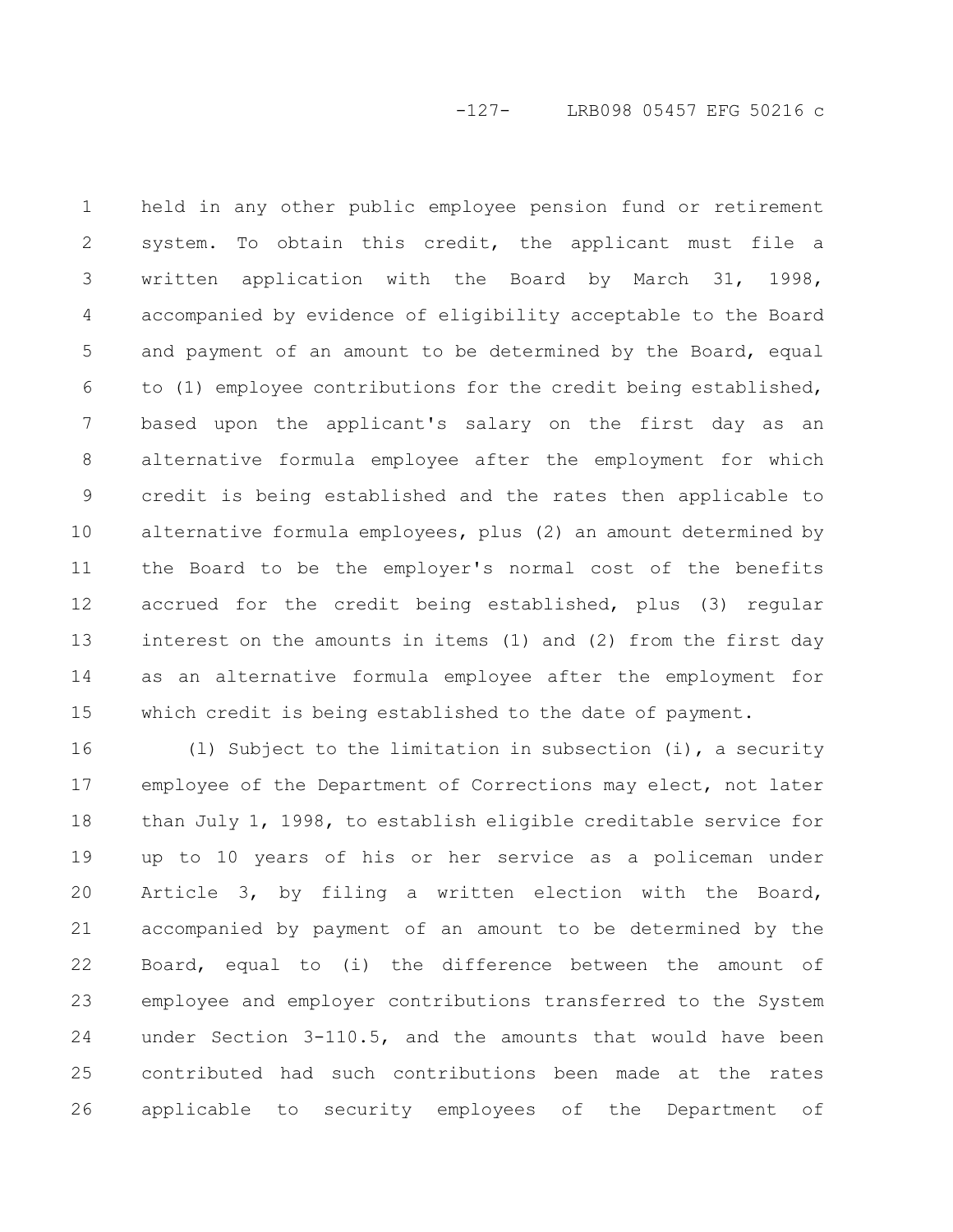-127- LRB098 05457 EFG 50216 c

held in any other public employee pension fund or retirement system. To obtain this credit, the applicant must file a written application with the Board by March 31, 1998, accompanied by evidence of eligibility acceptable to the Board and payment of an amount to be determined by the Board, equal to (1) employee contributions for the credit being established, based upon the applicant's salary on the first day as an alternative formula employee after the employment for which credit is being established and the rates then applicable to alternative formula employees, plus (2) an amount determined by the Board to be the employer's normal cost of the benefits accrued for the credit being established, plus (3) regular interest on the amounts in items (1) and (2) from the first day as an alternative formula employee after the employment for which credit is being established to the date of payment. 1 2 3 4 5 6 7 8 9 10 11 12 13 14 15

(l) Subject to the limitation in subsection (i), a security employee of the Department of Corrections may elect, not later than July 1, 1998, to establish eligible creditable service for up to 10 years of his or her service as a policeman under Article 3, by filing a written election with the Board, accompanied by payment of an amount to be determined by the Board, equal to (i) the difference between the amount of employee and employer contributions transferred to the System under Section 3-110.5, and the amounts that would have been contributed had such contributions been made at the rates applicable to security employees of the Department of 16 17 18 19 20 21 22 23 24 25 26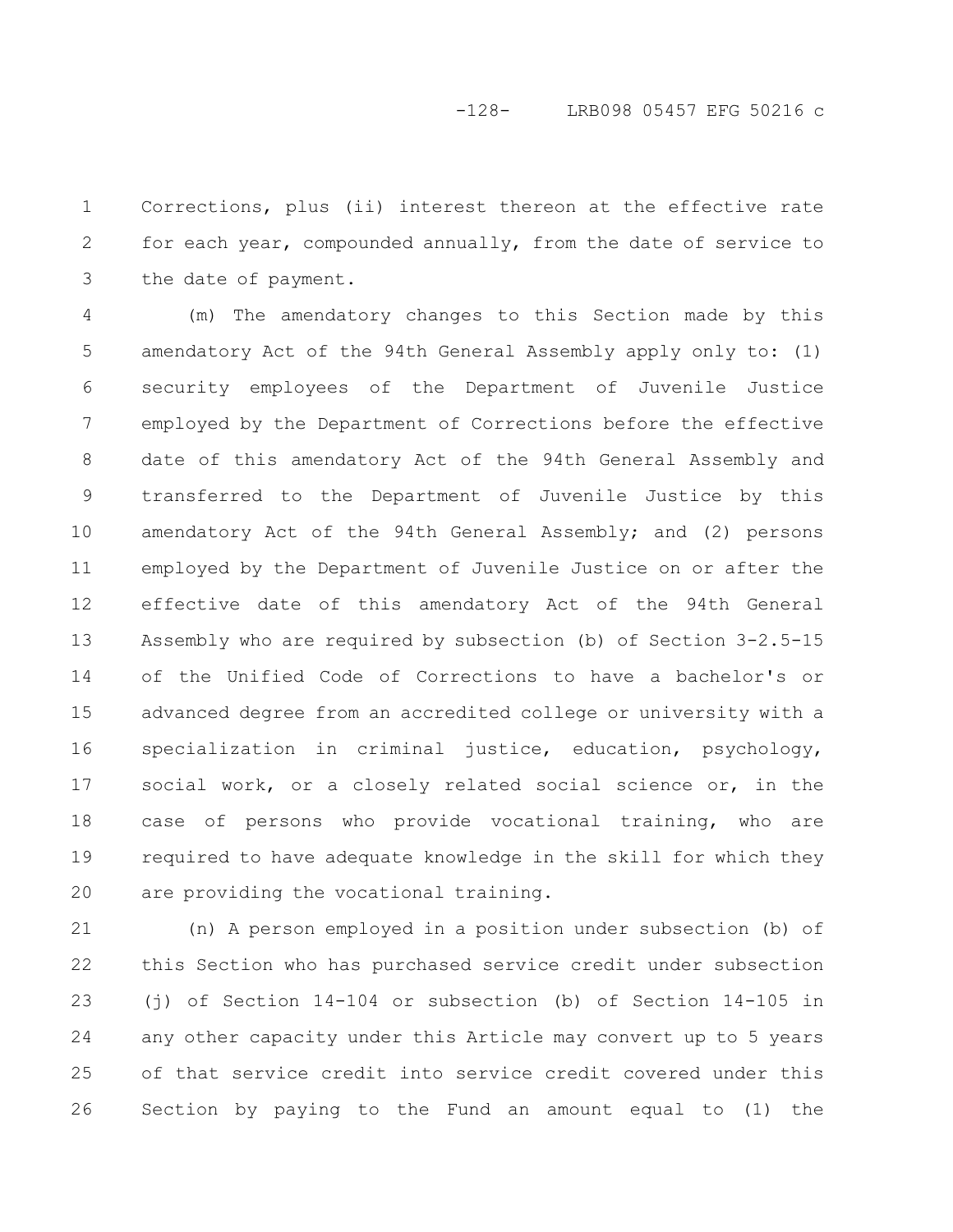Corrections, plus (ii) interest thereon at the effective rate for each year, compounded annually, from the date of service to the date of payment. 1 2 3

(m) The amendatory changes to this Section made by this amendatory Act of the 94th General Assembly apply only to: (1) security employees of the Department of Juvenile Justice employed by the Department of Corrections before the effective date of this amendatory Act of the 94th General Assembly and transferred to the Department of Juvenile Justice by this amendatory Act of the 94th General Assembly; and (2) persons employed by the Department of Juvenile Justice on or after the effective date of this amendatory Act of the 94th General Assembly who are required by subsection (b) of Section 3-2.5-15 of the Unified Code of Corrections to have a bachelor's or advanced degree from an accredited college or university with a specialization in criminal justice, education, psychology, social work, or a closely related social science or, in the case of persons who provide vocational training, who are required to have adequate knowledge in the skill for which they are providing the vocational training. 4 5 6 7 8 9 10 11 12 13 14 15 16 17 18 19 20

(n) A person employed in a position under subsection (b) of this Section who has purchased service credit under subsection (j) of Section 14-104 or subsection (b) of Section 14-105 in any other capacity under this Article may convert up to 5 years of that service credit into service credit covered under this Section by paying to the Fund an amount equal to (1) the 21 22 23 24 25 26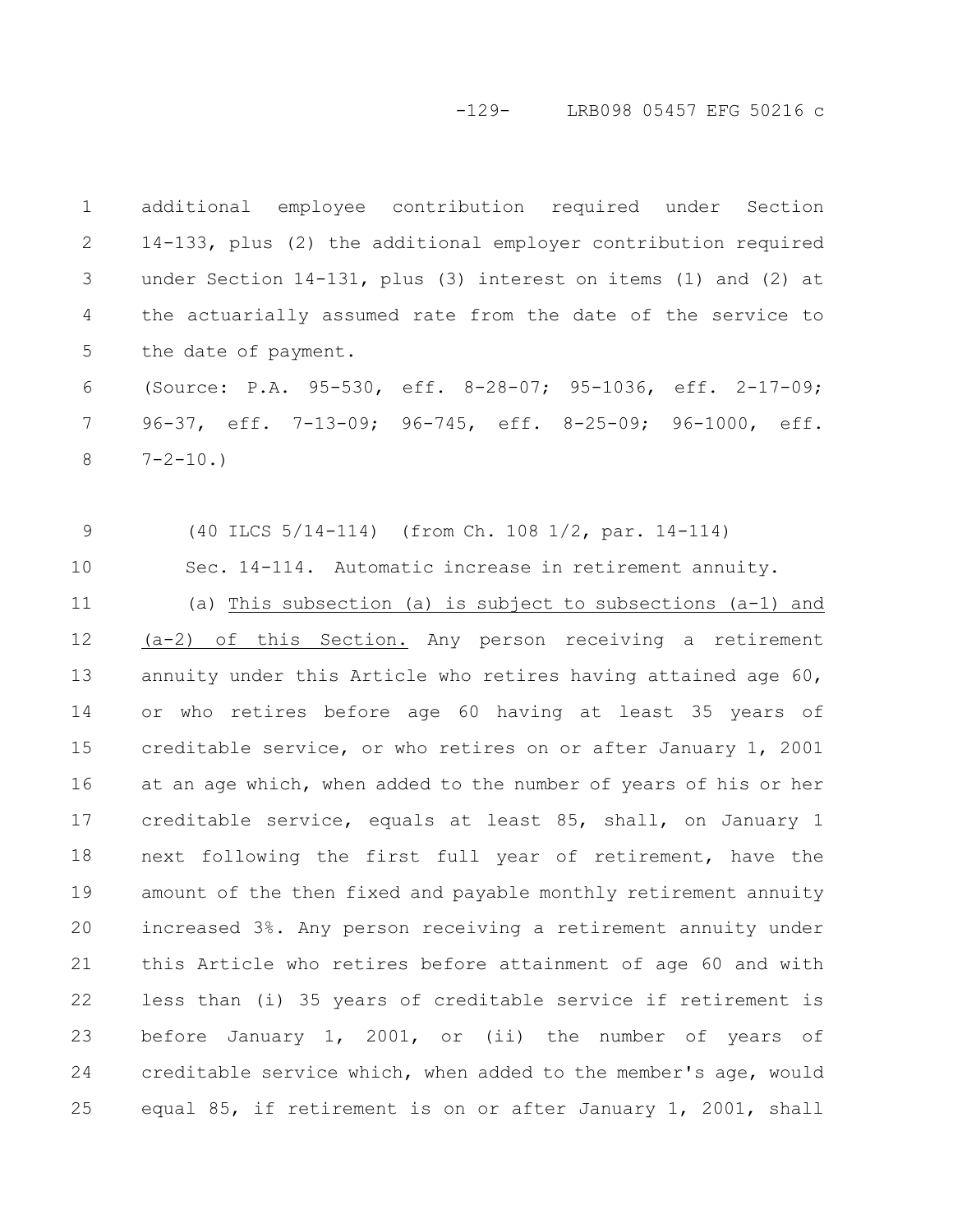-129- LRB098 05457 EFG 50216 c

additional employee contribution required under Section 14-133, plus (2) the additional employer contribution required under Section 14-131, plus (3) interest on items (1) and (2) at the actuarially assumed rate from the date of the service to the date of payment. 1 2 3 4 5

(Source: P.A. 95-530, eff. 8-28-07; 95-1036, eff. 2-17-09; 96-37, eff. 7-13-09; 96-745, eff. 8-25-09; 96-1000, eff.  $7 - 2 - 10.$ 6 7 8

9

10

(40 ILCS 5/14-114) (from Ch. 108 1/2, par. 14-114)

Sec. 14-114. Automatic increase in retirement annuity.

(a) This subsection (a) is subject to subsections (a-1) and (a-2) of this Section. Any person receiving a retirement annuity under this Article who retires having attained age 60, or who retires before age 60 having at least 35 years of creditable service, or who retires on or after January 1, 2001 at an age which, when added to the number of years of his or her creditable service, equals at least 85, shall, on January 1 next following the first full year of retirement, have the amount of the then fixed and payable monthly retirement annuity increased 3%. Any person receiving a retirement annuity under this Article who retires before attainment of age 60 and with less than (i) 35 years of creditable service if retirement is before January 1, 2001, or (ii) the number of years of creditable service which, when added to the member's age, would equal 85, if retirement is on or after January 1, 2001, shall 11 12 13 14 15 16 17 18 19 20 21 22 23 24 25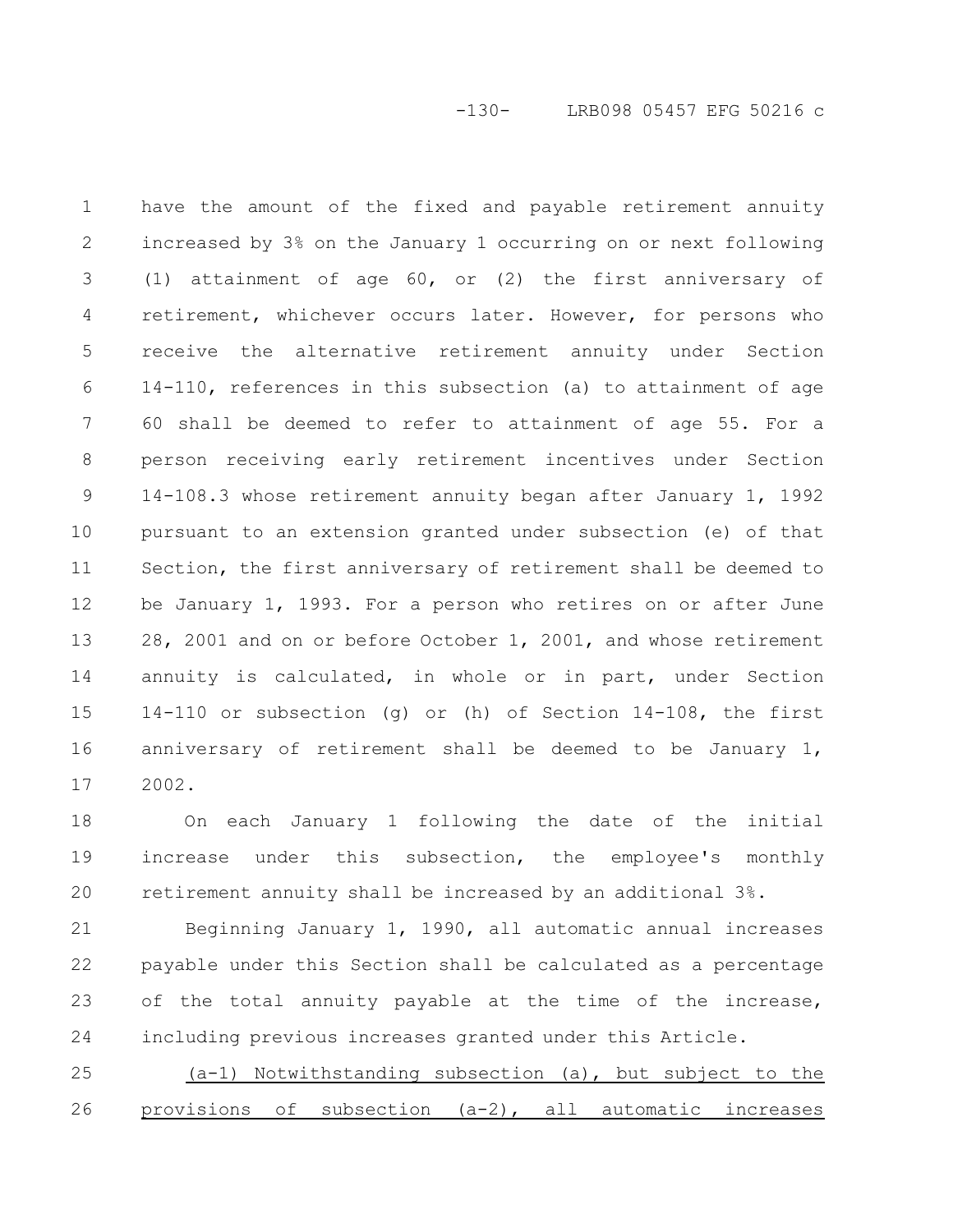-130- LRB098 05457 EFG 50216 c

have the amount of the fixed and payable retirement annuity increased by 3% on the January 1 occurring on or next following (1) attainment of age 60, or (2) the first anniversary of retirement, whichever occurs later. However, for persons who receive the alternative retirement annuity under Section 14-110, references in this subsection (a) to attainment of age 60 shall be deemed to refer to attainment of age 55. For a person receiving early retirement incentives under Section 14-108.3 whose retirement annuity began after January 1, 1992 pursuant to an extension granted under subsection (e) of that Section, the first anniversary of retirement shall be deemed to be January 1, 1993. For a person who retires on or after June 28, 2001 and on or before October 1, 2001, and whose retirement annuity is calculated, in whole or in part, under Section 14-110 or subsection (g) or (h) of Section 14-108, the first anniversary of retirement shall be deemed to be January 1, 2002. 1 2 3 4 5 6 7 8 9 10 11 12 13 14 15 16 17

On each January 1 following the date of the initial increase under this subsection, the employee's monthly retirement annuity shall be increased by an additional 3%. 18 19 20

Beginning January 1, 1990, all automatic annual increases payable under this Section shall be calculated as a percentage of the total annuity payable at the time of the increase, including previous increases granted under this Article. 21 22 23 24

(a-1) Notwithstanding subsection (a), but subject to the provisions of subsection (a-2), all automatic increases 25 26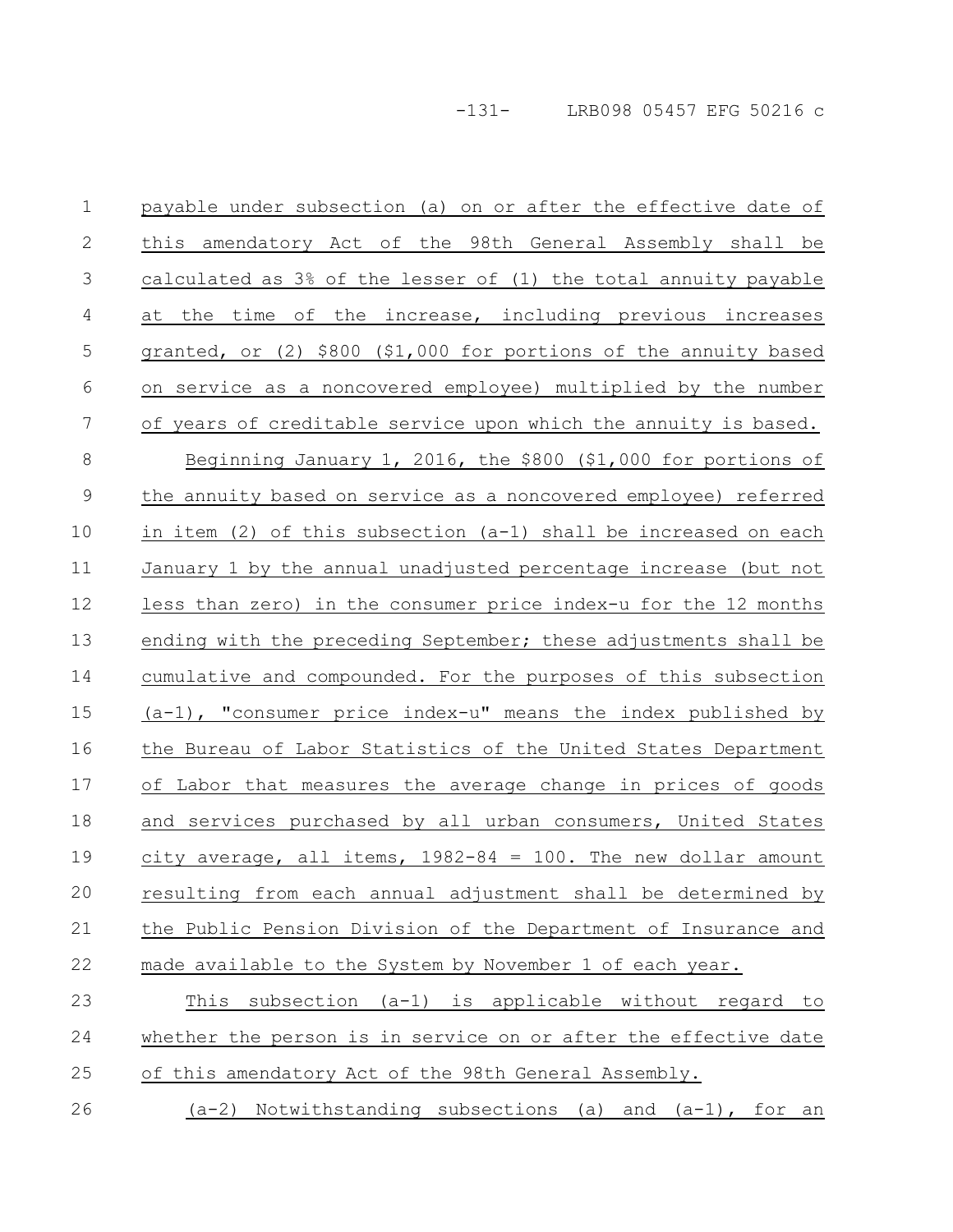payable under subsection (a) on or after the effective date of this amendatory Act of the 98th General Assembly shall be calculated as 3% of the lesser of (1) the total annuity payable at the time of the increase, including previous increases granted, or (2) \$800 (\$1,000 for portions of the annuity based on service as a noncovered employee) multiplied by the number of years of creditable service upon which the annuity is based. Beginning January 1, 2016, the \$800 (\$1,000 for portions of the annuity based on service as a noncovered employee) referred in item (2) of this subsection (a-1) shall be increased on each January 1 by the annual unadjusted percentage increase (but not less than zero) in the consumer price index-u for the 12 months ending with the preceding September; these adjustments shall be cumulative and compounded. For the purposes of this subsection (a-1), "consumer price index-u" means the index published by the Bureau of Labor Statistics of the United States Department of Labor that measures the average change in prices of goods and services purchased by all urban consumers, United States city average, all items,  $1982-84 = 100$ . The new dollar amount resulting from each annual adjustment shall be determined by the Public Pension Division of the Department of Insurance and made available to the System by November 1 of each year. This subsection (a-1) is applicable without regard to 1 2 3 4 5 6 7 8 9 10 11 12 13 14 15 16 17 18 19 20 21 22 23

whether the person is in service on or after the effective date 24

of this amendatory Act of the 98th General Assembly. 25

 $(a-2)$  Notwithstanding subsections (a) and  $(a-1)$ , for an 26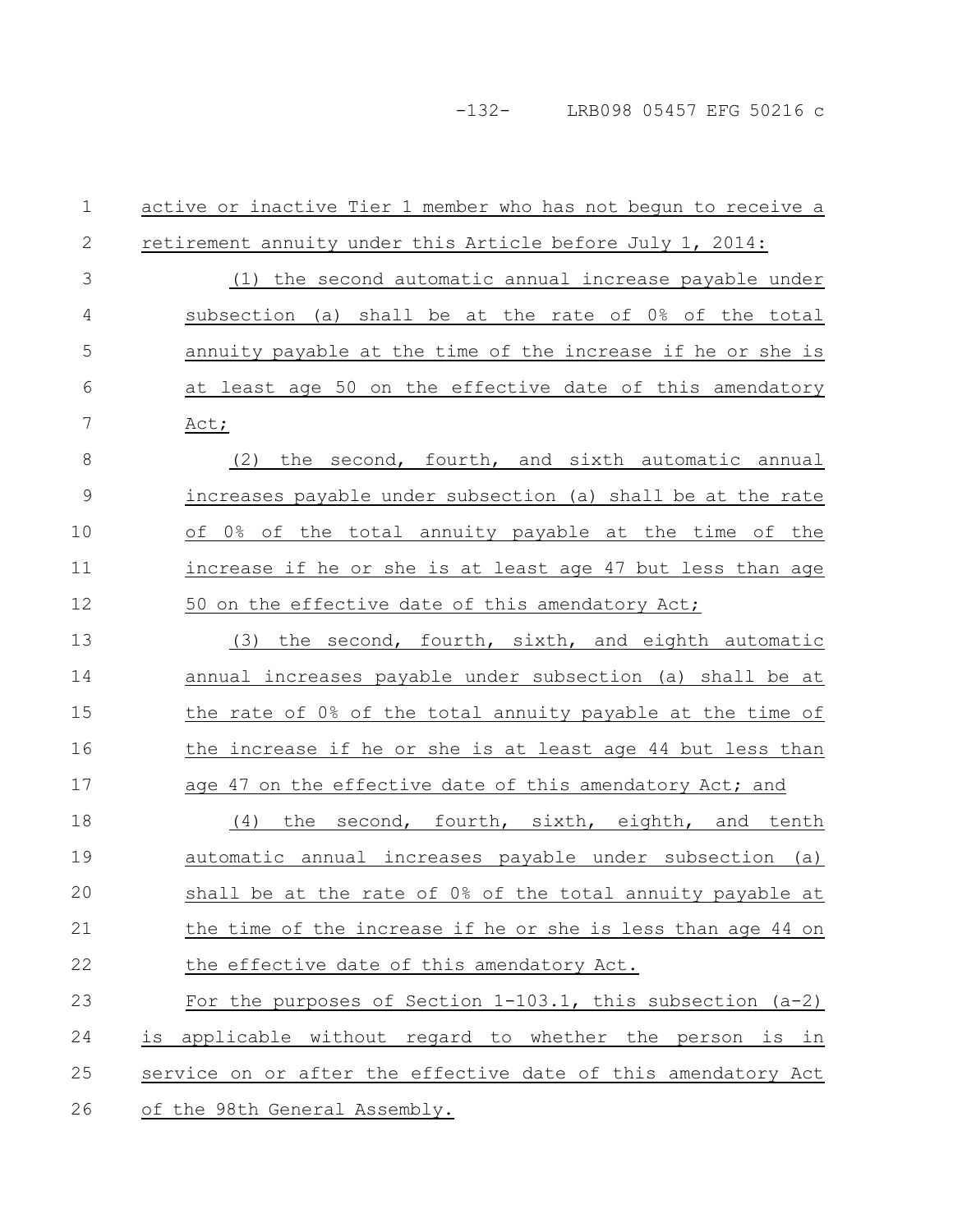| $\mathbf 1$ | active or inactive Tier 1 member who has not begun to receive a |
|-------------|-----------------------------------------------------------------|
| 2           | retirement annuity under this Article before July 1, 2014:      |
| 3           | (1) the second automatic annual increase payable under          |
| 4           | subsection (a) shall be at the rate of 0% of the total          |
| 5           | annuity payable at the time of the increase if he or she is     |
| 6           | at least age 50 on the effective date of this amendatory        |
| 7           | Act;                                                            |
| 8           | the second, fourth, and sixth automatic annual<br>(2)           |
| $\mathsf 9$ | increases payable under subsection (a) shall be at the rate     |
| 10          | of 0% of the total annuity payable at the time of the           |
| 11          | increase if he or she is at least age 47 but less than age      |
| 12          | 50 on the effective date of this amendatory Act;                |
| 13          | (3) the second, fourth, sixth, and eighth automatic             |
| 14          | annual increases payable under subsection (a) shall be at       |
| 15          | the rate of 0% of the total annuity payable at the time of      |
| 16          | the increase if he or she is at least age 44 but less than      |
| 17          | age 47 on the effective date of this amendatory Act; and        |
| 18          | the second, fourth, sixth, eighth, and tenth<br>(4)             |
| 19          | automatic annual increases payable under subsection (a)         |
| 20          | shall be at the rate of 0% of the total annuity payable at      |
| 21          | the time of the increase if he or she is less than age 44 on    |
| 22          | the effective date of this amendatory Act.                      |
| 23          | For the purposes of Section $1-103.1$ , this subsection $(a-2)$ |
| 24          | applicable without regard to whether the person is in<br>is     |
| 25          | service on or after the effective date of this amendatory Act   |
| 26          | of the 98th General Assembly.                                   |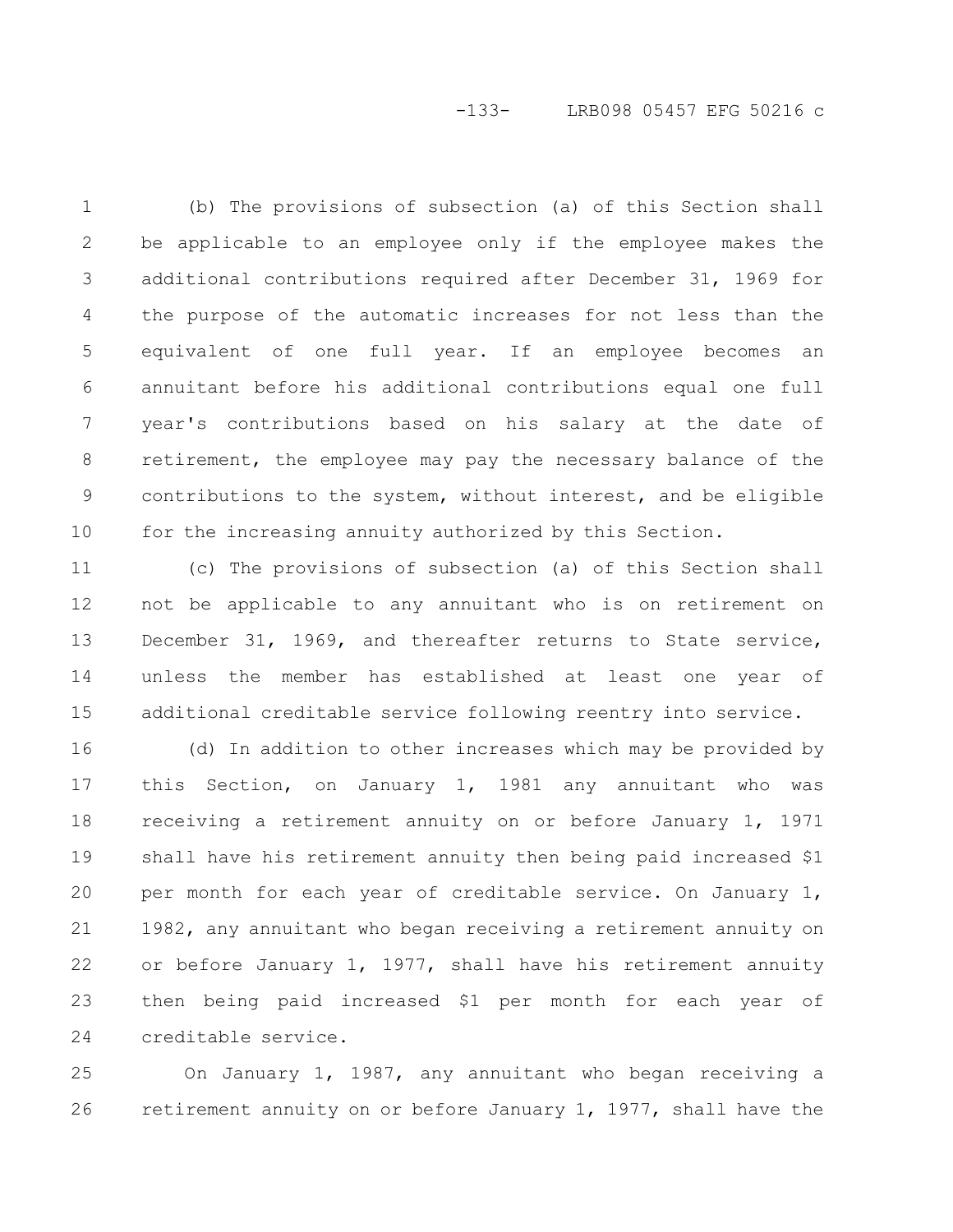## -133- LRB098 05457 EFG 50216 c

(b) The provisions of subsection (a) of this Section shall be applicable to an employee only if the employee makes the additional contributions required after December 31, 1969 for the purpose of the automatic increases for not less than the equivalent of one full year. If an employee becomes an annuitant before his additional contributions equal one full year's contributions based on his salary at the date of retirement, the employee may pay the necessary balance of the contributions to the system, without interest, and be eligible for the increasing annuity authorized by this Section. 1 2 3 4 5 6 7 8 9 10

(c) The provisions of subsection (a) of this Section shall not be applicable to any annuitant who is on retirement on December 31, 1969, and thereafter returns to State service, unless the member has established at least one year of additional creditable service following reentry into service. 11 12 13 14 15

(d) In addition to other increases which may be provided by this Section, on January 1, 1981 any annuitant who was receiving a retirement annuity on or before January 1, 1971 shall have his retirement annuity then being paid increased \$1 per month for each year of creditable service. On January 1, 1982, any annuitant who began receiving a retirement annuity on or before January 1, 1977, shall have his retirement annuity then being paid increased \$1 per month for each year of creditable service. 16 17 18 19 20 21 22 23 24

On January 1, 1987, any annuitant who began receiving a retirement annuity on or before January 1, 1977, shall have the 25 26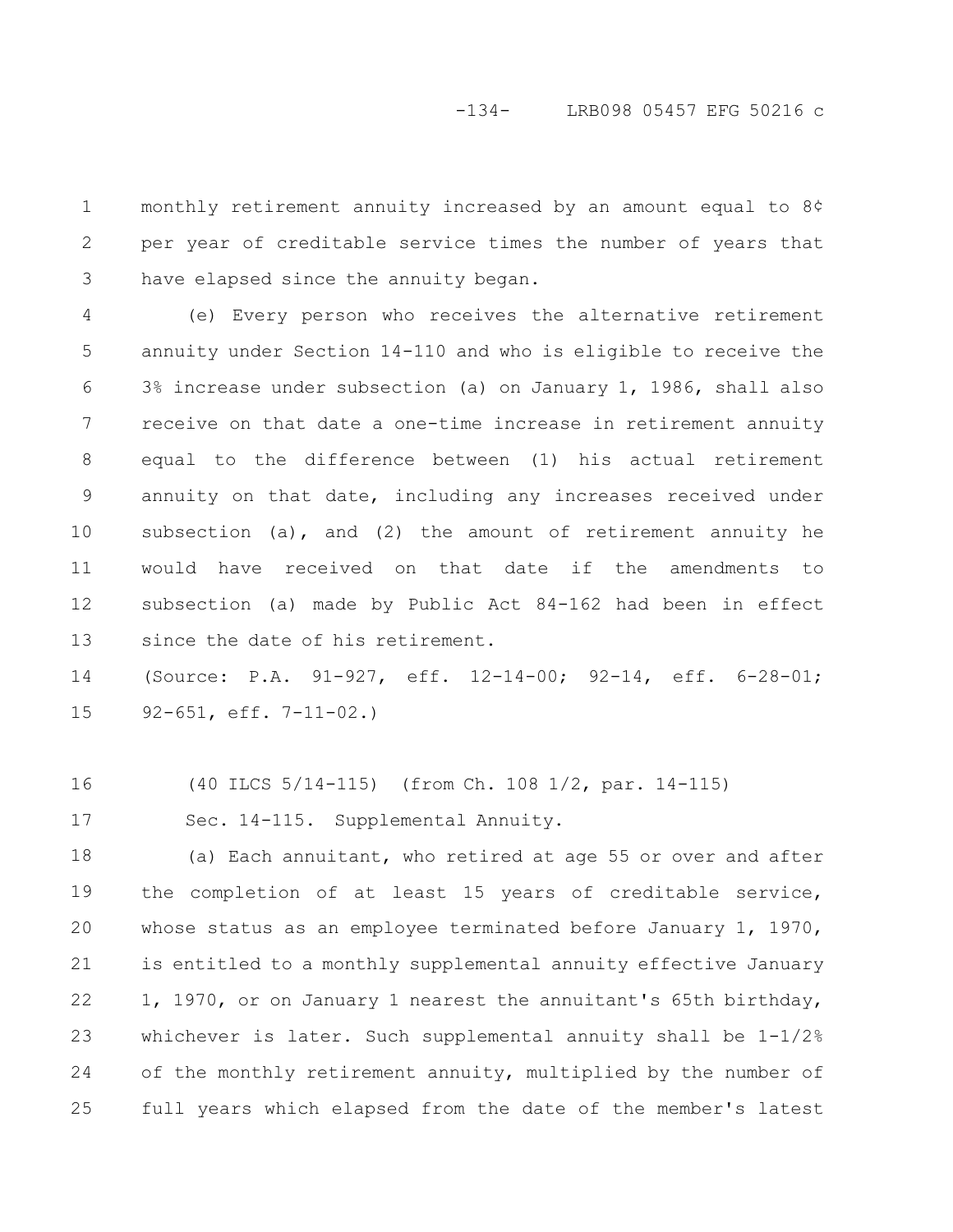monthly retirement annuity increased by an amount equal to 8¢ per year of creditable service times the number of years that have elapsed since the annuity began. 1 2 3

(e) Every person who receives the alternative retirement annuity under Section 14-110 and who is eligible to receive the 3% increase under subsection (a) on January 1, 1986, shall also receive on that date a one-time increase in retirement annuity equal to the difference between (1) his actual retirement annuity on that date, including any increases received under subsection (a), and (2) the amount of retirement annuity he would have received on that date if the amendments to subsection (a) made by Public Act 84-162 had been in effect since the date of his retirement. 4 5 6 7 8 9 10 11 12 13

(Source: P.A. 91-927, eff. 12-14-00; 92-14, eff. 6-28-01; 92-651, eff. 7-11-02.) 14 15

(40 ILCS 5/14-115) (from Ch. 108 1/2, par. 14-115) 16

Sec. 14-115. Supplemental Annuity. 17

(a) Each annuitant, who retired at age 55 or over and after the completion of at least 15 years of creditable service, whose status as an employee terminated before January 1, 1970, is entitled to a monthly supplemental annuity effective January 1, 1970, or on January 1 nearest the annuitant's 65th birthday, whichever is later. Such supplemental annuity shall be  $1-1/2\%$ of the monthly retirement annuity, multiplied by the number of full years which elapsed from the date of the member's latest 18 19 20 21 22 23 24 25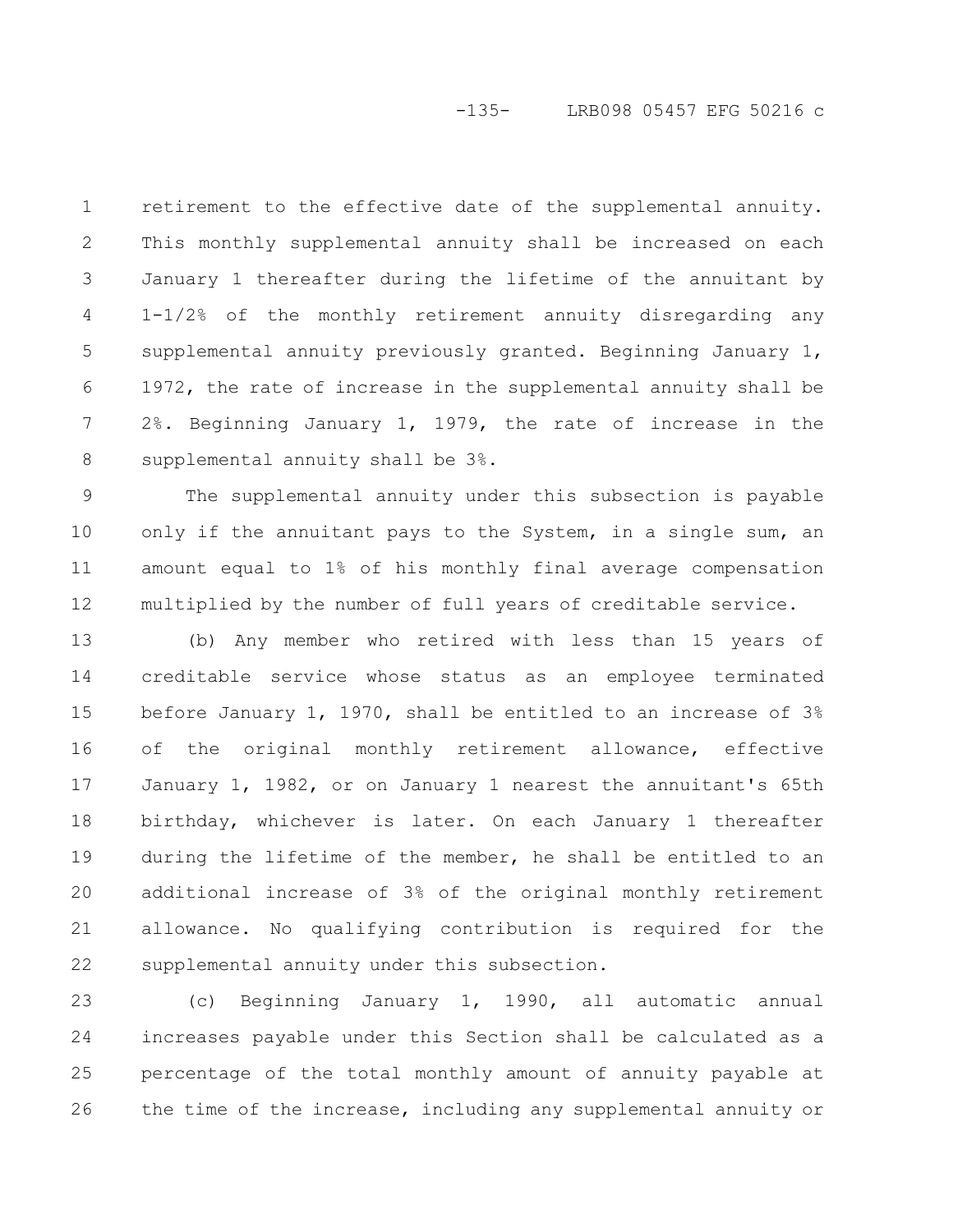retirement to the effective date of the supplemental annuity. This monthly supplemental annuity shall be increased on each January 1 thereafter during the lifetime of the annuitant by 1-1/2% of the monthly retirement annuity disregarding any supplemental annuity previously granted. Beginning January 1, 1972, the rate of increase in the supplemental annuity shall be 2%. Beginning January 1, 1979, the rate of increase in the supplemental annuity shall be 3%. 1 2 3 4 5 6 7 8

The supplemental annuity under this subsection is payable only if the annuitant pays to the System, in a single sum, an amount equal to 1% of his monthly final average compensation multiplied by the number of full years of creditable service. 9 10 11 12

(b) Any member who retired with less than 15 years of creditable service whose status as an employee terminated before January 1, 1970, shall be entitled to an increase of 3% of the original monthly retirement allowance, effective January 1, 1982, or on January 1 nearest the annuitant's 65th birthday, whichever is later. On each January 1 thereafter during the lifetime of the member, he shall be entitled to an additional increase of 3% of the original monthly retirement allowance. No qualifying contribution is required for the supplemental annuity under this subsection. 13 14 15 16 17 18 19 20 21 22

(c) Beginning January 1, 1990, all automatic annual increases payable under this Section shall be calculated as a percentage of the total monthly amount of annuity payable at the time of the increase, including any supplemental annuity or 23 24 25 26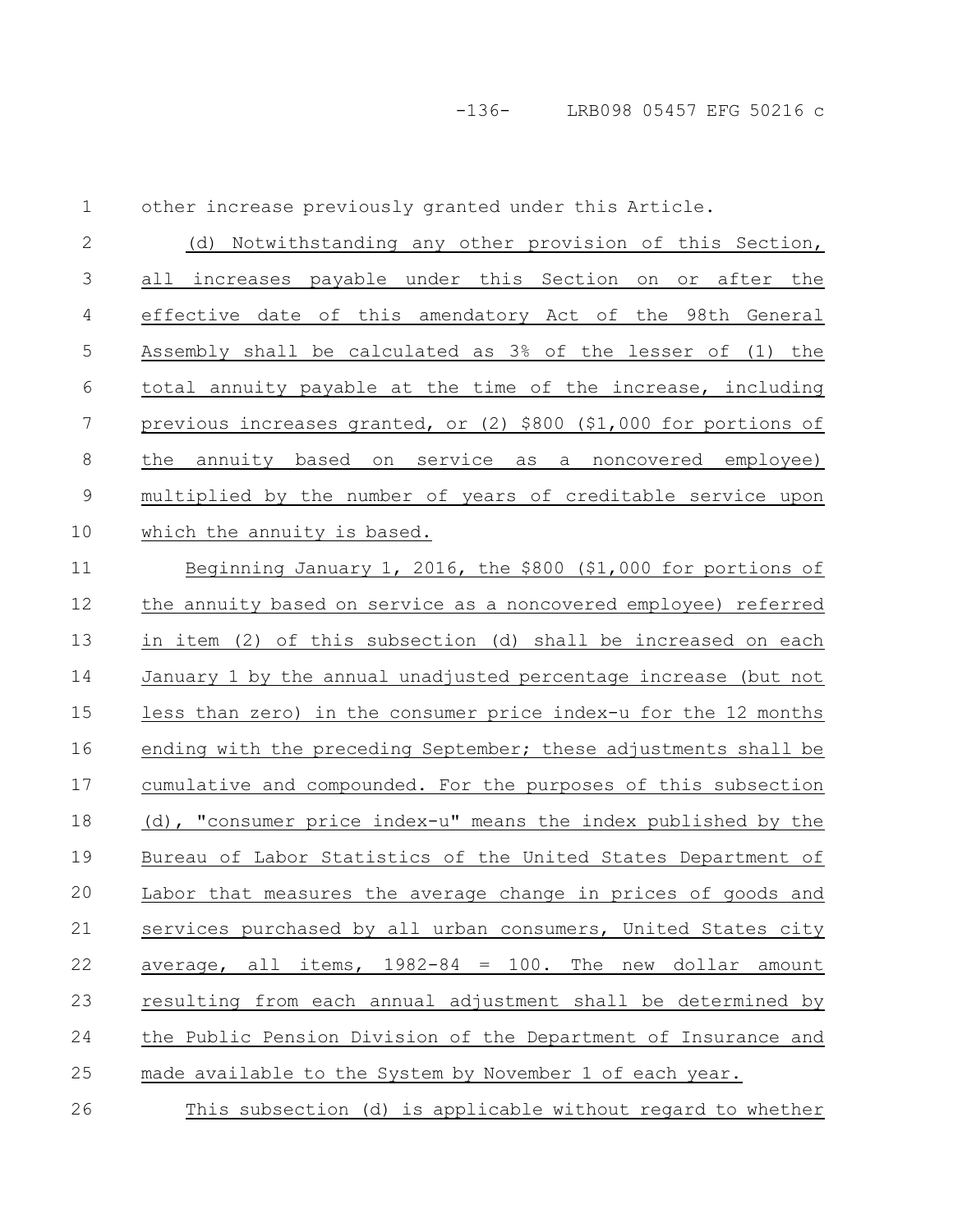other increase previously granted under this Article.

| ┸  | orner increase breviously dianted under this Arcicle.             |
|----|-------------------------------------------------------------------|
| 2  | (d) Notwithstanding any other provision of this Section,          |
| 3  | increases payable under this Section on or after the<br>all       |
| 4  | effective date of this amendatory Act of the 98th General         |
| 5  | Assembly shall be calculated as 3% of the lesser of (1) the       |
| 6  | total annuity payable at the time of the increase, including      |
| 7  | previous increases granted, or (2) \$800 (\$1,000 for portions of |
| 8  | the annuity based on service as a noncovered employee)            |
| 9  | multiplied by the number of years of creditable service upon      |
| 10 | which the annuity is based.                                       |
| 11 | Beginning January 1, 2016, the \$800 (\$1,000 for portions of     |
| 12 | the annuity based on service as a noncovered employee) referred   |

 $\overline{1}$ 

the annuity based on service as a noncovered employee) referred in item (2) of this subsection (d) shall be increased on each January 1 by the annual unadjusted percentage increase (but not less than zero) in the consumer price index-u for the 12 months ending with the preceding September; these adjustments shall be cumulative and compounded. For the purposes of this subsection (d), "consumer price index-u" means the index published by the Bureau of Labor Statistics of the United States Department of Labor that measures the average change in prices of goods and services purchased by all urban consumers, United States city average, all items,  $1982-84 = 100$ . The new dollar amount resulting from each annual adjustment shall be determined by the Public Pension Division of the Department of Insurance and made available to the System by November 1 of each year. 12 13 14 15 16 17 18 19 20 21 22 23 24 25

This subsection (d) is applicable without regard to whether 26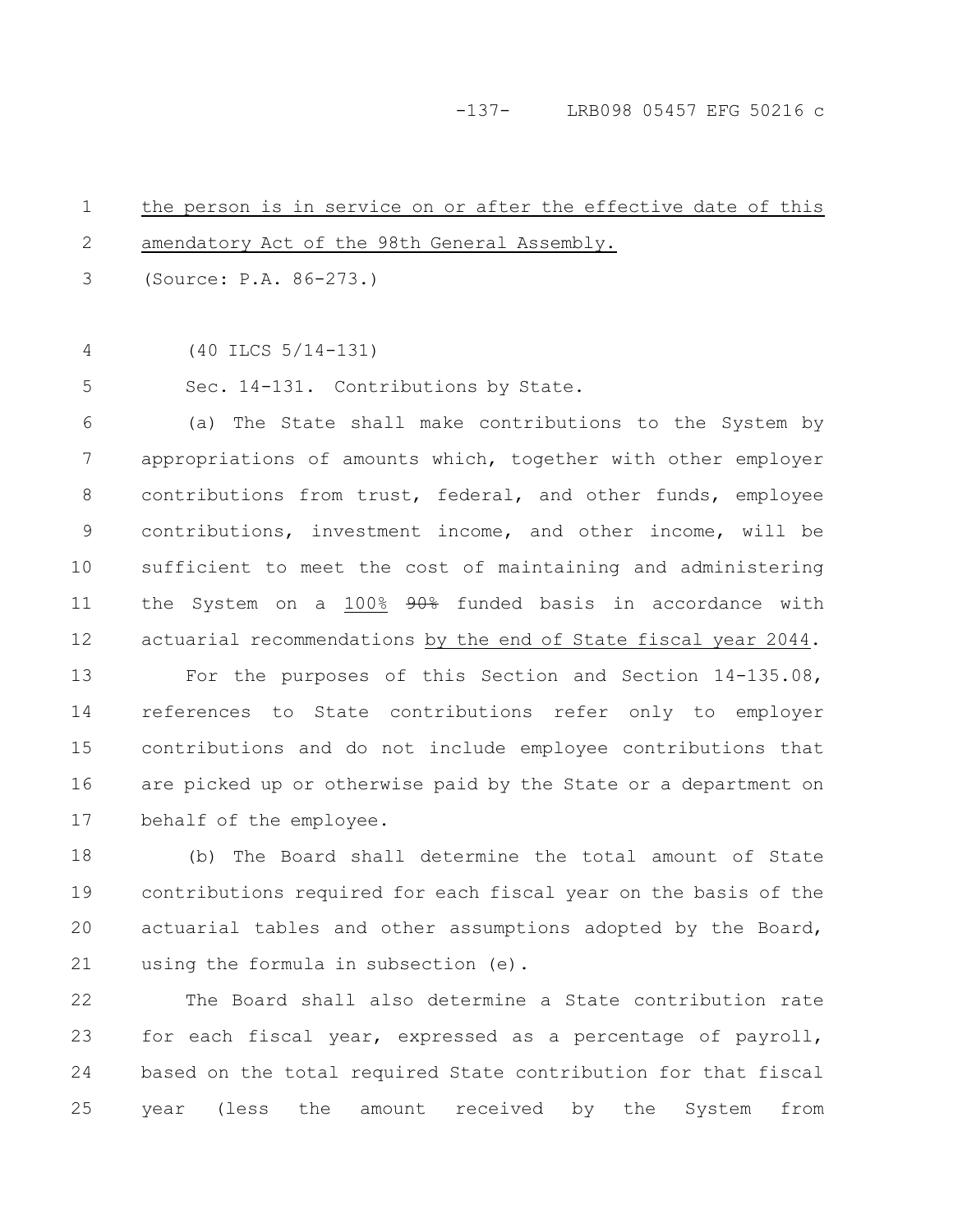#### -137- LRB098 05457 EFG 50216 c

the person is in service on or after the effective date of this amendatory Act of the 98th General Assembly. 1 2

(Source: P.A. 86-273.) 3

4

(40 ILCS 5/14-131)

Sec. 14-131. Contributions by State. 5

(a) The State shall make contributions to the System by appropriations of amounts which, together with other employer contributions from trust, federal, and other funds, employee contributions, investment income, and other income, will be sufficient to meet the cost of maintaining and administering the System on a 100% 90% funded basis in accordance with actuarial recommendations by the end of State fiscal year 2044. 6 7 8 9 10 11 12

For the purposes of this Section and Section 14-135.08, references to State contributions refer only to employer contributions and do not include employee contributions that are picked up or otherwise paid by the State or a department on behalf of the employee. 13 14 15 16 17

(b) The Board shall determine the total amount of State contributions required for each fiscal year on the basis of the actuarial tables and other assumptions adopted by the Board, using the formula in subsection (e). 18 19 20 21

The Board shall also determine a State contribution rate for each fiscal year, expressed as a percentage of payroll, based on the total required State contribution for that fiscal year (less the amount received by the System from 22 23 24 25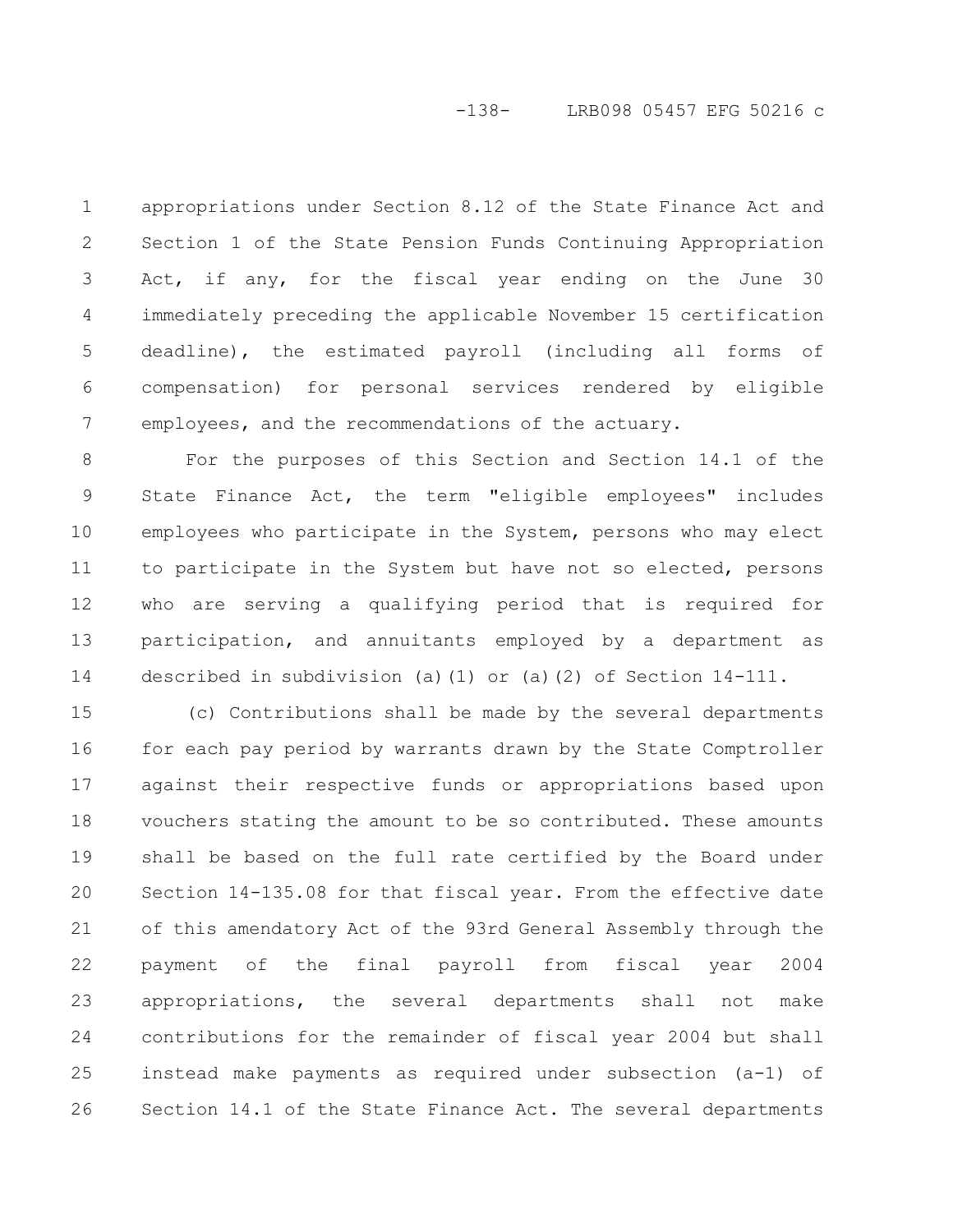## -138- LRB098 05457 EFG 50216 c

appropriations under Section 8.12 of the State Finance Act and Section 1 of the State Pension Funds Continuing Appropriation Act, if any, for the fiscal year ending on the June 30 immediately preceding the applicable November 15 certification deadline), the estimated payroll (including all forms of compensation) for personal services rendered by eligible employees, and the recommendations of the actuary. 1 2 3 4 5 6 7

For the purposes of this Section and Section 14.1 of the State Finance Act, the term "eligible employees" includes employees who participate in the System, persons who may elect to participate in the System but have not so elected, persons who are serving a qualifying period that is required for participation, and annuitants employed by a department as described in subdivision (a)(1) or (a)(2) of Section 14-111. 8 9 10 11 12 13 14

(c) Contributions shall be made by the several departments for each pay period by warrants drawn by the State Comptroller against their respective funds or appropriations based upon vouchers stating the amount to be so contributed. These amounts shall be based on the full rate certified by the Board under Section 14-135.08 for that fiscal year. From the effective date of this amendatory Act of the 93rd General Assembly through the payment of the final payroll from fiscal year 2004 appropriations, the several departments shall not make contributions for the remainder of fiscal year 2004 but shall instead make payments as required under subsection (a-1) of Section 14.1 of the State Finance Act. The several departments 15 16 17 18 19 20 21 22 23 24 25 26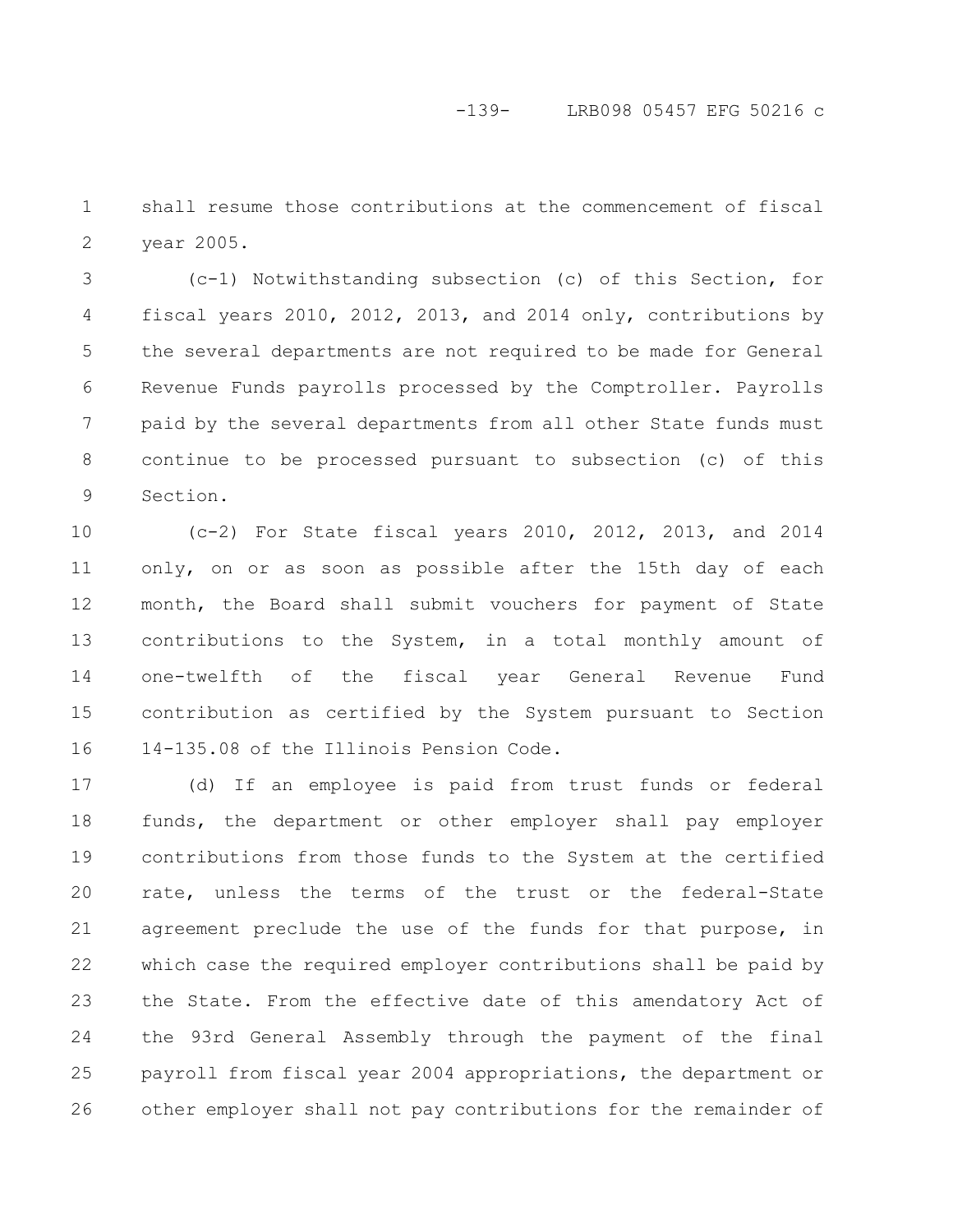shall resume those contributions at the commencement of fiscal year 2005. 1 2

(c-1) Notwithstanding subsection (c) of this Section, for fiscal years 2010, 2012, 2013, and 2014 only, contributions by the several departments are not required to be made for General Revenue Funds payrolls processed by the Comptroller. Payrolls paid by the several departments from all other State funds must continue to be processed pursuant to subsection (c) of this Section. 3 4 5 6 7 8 9

(c-2) For State fiscal years 2010, 2012, 2013, and 2014 only, on or as soon as possible after the 15th day of each month, the Board shall submit vouchers for payment of State contributions to the System, in a total monthly amount of one-twelfth of the fiscal year General Revenue Fund contribution as certified by the System pursuant to Section 14-135.08 of the Illinois Pension Code. 10 11 12 13 14 15 16

(d) If an employee is paid from trust funds or federal funds, the department or other employer shall pay employer contributions from those funds to the System at the certified rate, unless the terms of the trust or the federal-State agreement preclude the use of the funds for that purpose, in which case the required employer contributions shall be paid by the State. From the effective date of this amendatory Act of the 93rd General Assembly through the payment of the final payroll from fiscal year 2004 appropriations, the department or other employer shall not pay contributions for the remainder of 17 18 19 20 21 22 23 24 25 26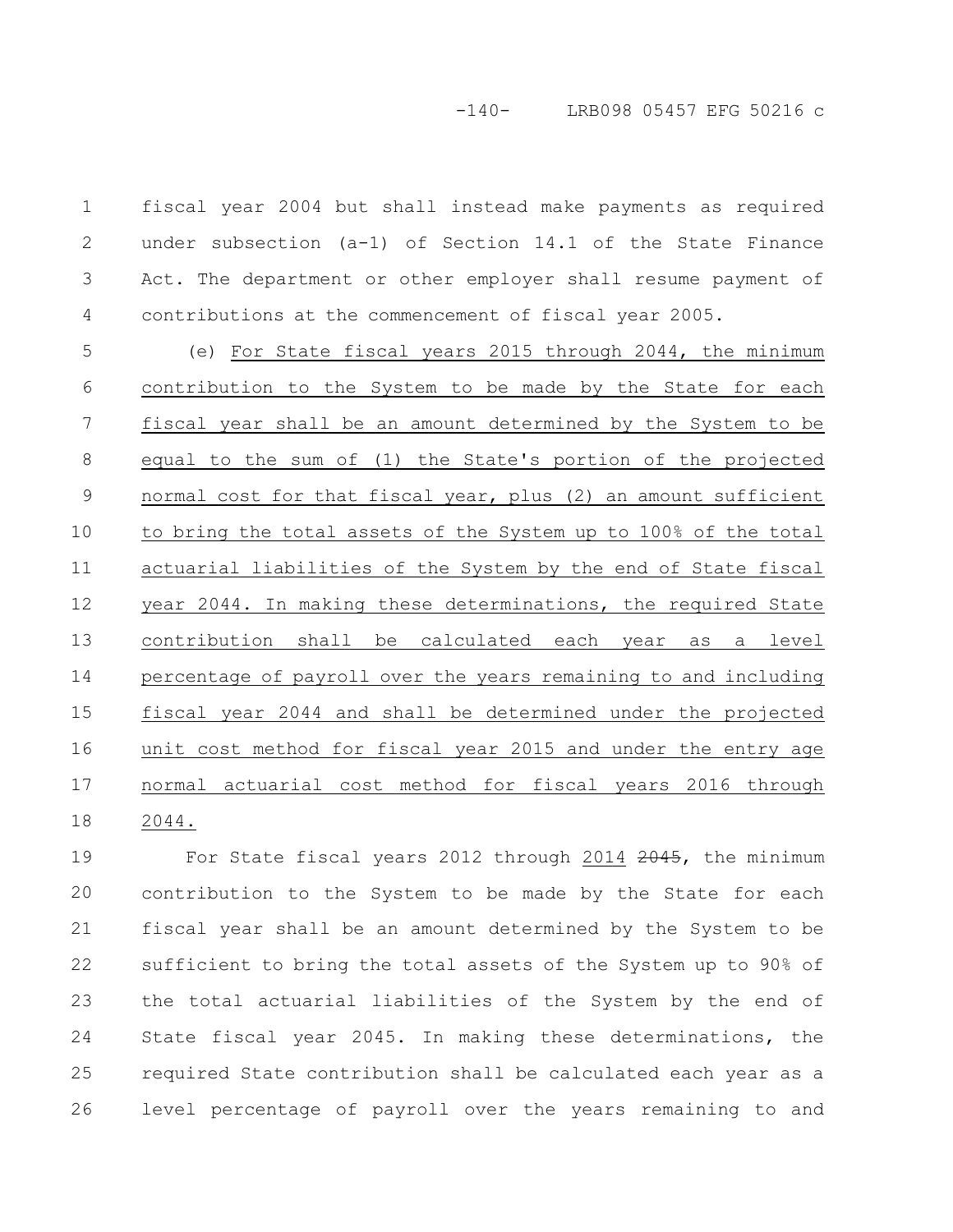fiscal year 2004 but shall instead make payments as required under subsection (a-1) of Section 14.1 of the State Finance Act. The department or other employer shall resume payment of contributions at the commencement of fiscal year 2005. 1 2 3 4

(e) For State fiscal years 2015 through 2044, the minimum contribution to the System to be made by the State for each fiscal year shall be an amount determined by the System to be equal to the sum of (1) the State's portion of the projected normal cost for that fiscal year, plus (2) an amount sufficient to bring the total assets of the System up to 100% of the total actuarial liabilities of the System by the end of State fiscal year 2044. In making these determinations, the required State contribution shall be calculated each year as a level percentage of payroll over the years remaining to and including fiscal year 2044 and shall be determined under the projected unit cost method for fiscal year 2015 and under the entry age normal actuarial cost method for fiscal years 2016 through 2044. 5 6 7 8 9 10 11 12 13 14 15 16 17 18

For State fiscal years 2012 through 2014 2045, the minimum contribution to the System to be made by the State for each fiscal year shall be an amount determined by the System to be sufficient to bring the total assets of the System up to 90% of the total actuarial liabilities of the System by the end of State fiscal year 2045. In making these determinations, the required State contribution shall be calculated each year as a level percentage of payroll over the years remaining to and 19 20 21 22 23 24 25 26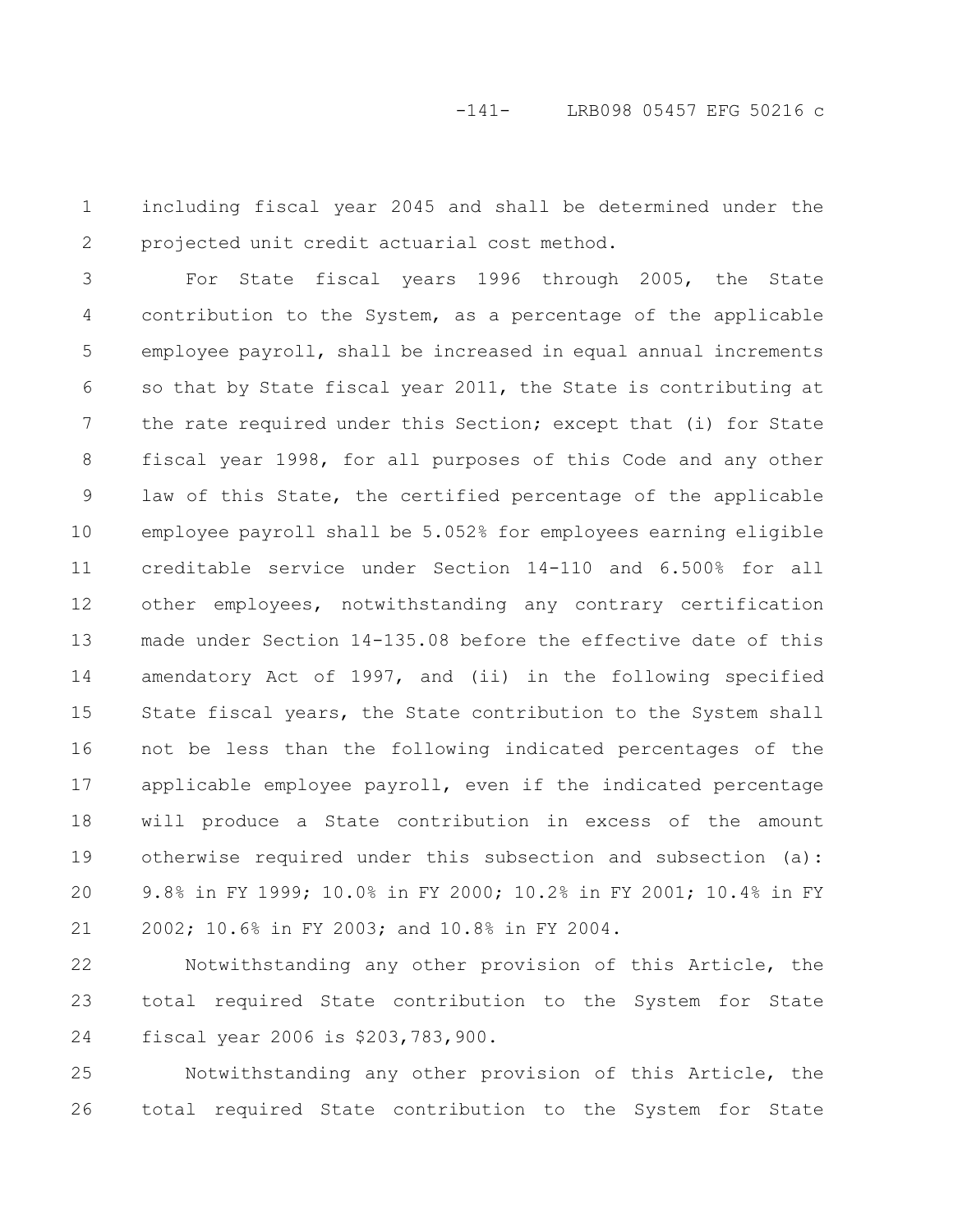including fiscal year 2045 and shall be determined under the projected unit credit actuarial cost method. 1 2

For State fiscal years 1996 through 2005, the State contribution to the System, as a percentage of the applicable employee payroll, shall be increased in equal annual increments so that by State fiscal year 2011, the State is contributing at the rate required under this Section; except that (i) for State fiscal year 1998, for all purposes of this Code and any other law of this State, the certified percentage of the applicable employee payroll shall be 5.052% for employees earning eligible creditable service under Section 14-110 and 6.500% for all other employees, notwithstanding any contrary certification made under Section 14-135.08 before the effective date of this amendatory Act of 1997, and (ii) in the following specified State fiscal years, the State contribution to the System shall not be less than the following indicated percentages of the applicable employee payroll, even if the indicated percentage will produce a State contribution in excess of the amount otherwise required under this subsection and subsection (a): 9.8% in FY 1999; 10.0% in FY 2000; 10.2% in FY 2001; 10.4% in FY 2002; 10.6% in FY 2003; and 10.8% in FY 2004. 3 4 5 6 7 8 9 10 11 12 13 14 15 16 17 18 19 20 21

Notwithstanding any other provision of this Article, the total required State contribution to the System for State fiscal year 2006 is \$203,783,900. 22 23 24

Notwithstanding any other provision of this Article, the total required State contribution to the System for State 25 26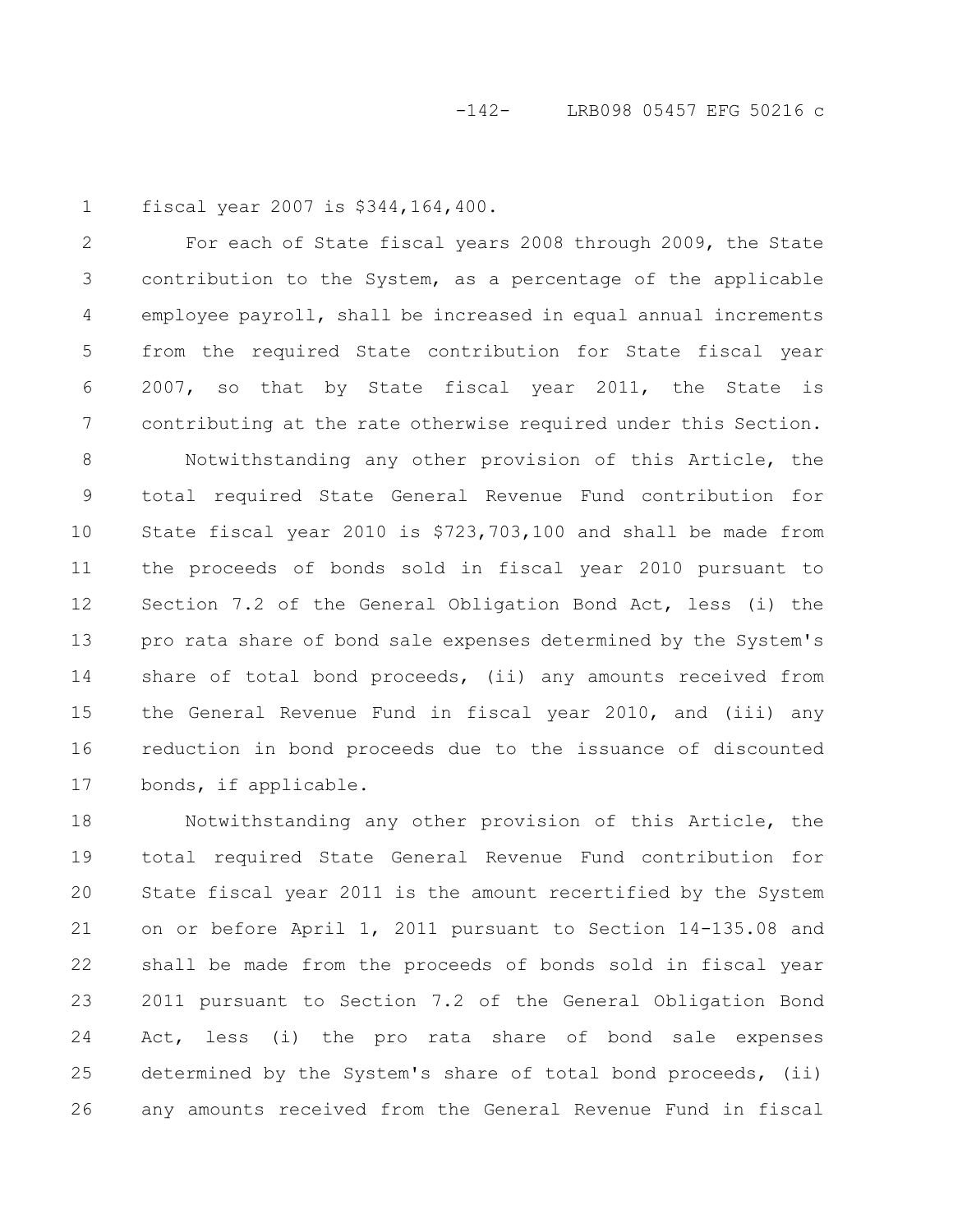fiscal year 2007 is \$344,164,400. 1

For each of State fiscal years 2008 through 2009, the State contribution to the System, as a percentage of the applicable employee payroll, shall be increased in equal annual increments from the required State contribution for State fiscal year 2007, so that by State fiscal year 2011, the State is contributing at the rate otherwise required under this Section. 2 3 4 5 6 7

Notwithstanding any other provision of this Article, the total required State General Revenue Fund contribution for State fiscal year 2010 is \$723,703,100 and shall be made from the proceeds of bonds sold in fiscal year 2010 pursuant to Section 7.2 of the General Obligation Bond Act, less (i) the pro rata share of bond sale expenses determined by the System's share of total bond proceeds, (ii) any amounts received from the General Revenue Fund in fiscal year 2010, and (iii) any reduction in bond proceeds due to the issuance of discounted bonds, if applicable. 8 9 10 11 12 13 14 15 16 17

Notwithstanding any other provision of this Article, the total required State General Revenue Fund contribution for State fiscal year 2011 is the amount recertified by the System on or before April 1, 2011 pursuant to Section 14-135.08 and shall be made from the proceeds of bonds sold in fiscal year 2011 pursuant to Section 7.2 of the General Obligation Bond Act, less (i) the pro rata share of bond sale expenses determined by the System's share of total bond proceeds, (ii) any amounts received from the General Revenue Fund in fiscal 18 19 20 21 22 23 24 25 26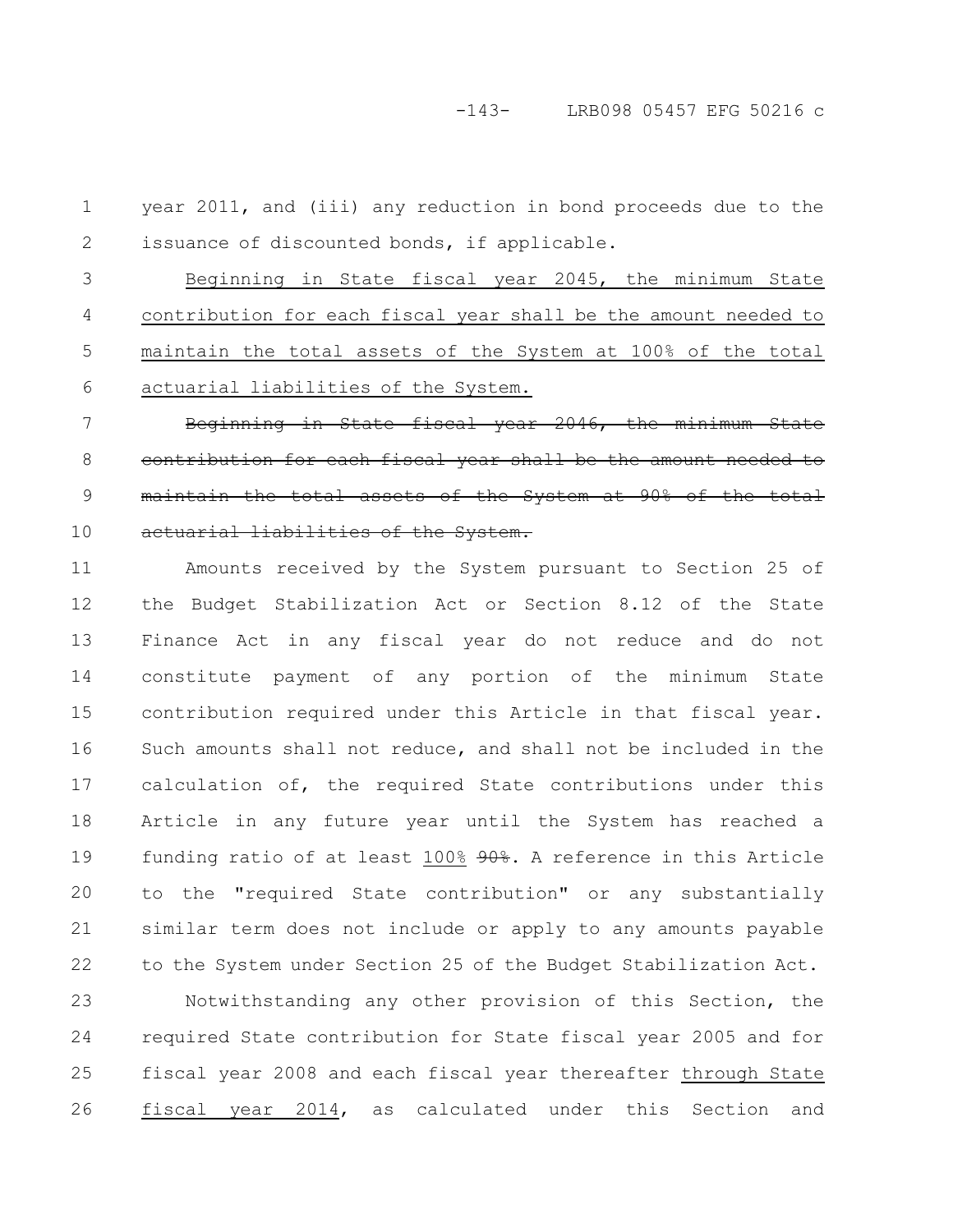year 2011, and (iii) any reduction in bond proceeds due to the issuance of discounted bonds, if applicable. 1 2

Beginning in State fiscal year 2045, the minimum State contribution for each fiscal year shall be the amount needed to maintain the total assets of the System at 100% of the total actuarial liabilities of the System. 3 4 5 6

Beginning in State fiscal year 2046, the minimum State contribution for each fiscal year shall be the amount needed maintain the total assets of the System at 90% of actuarial liabilities of the System. 7 8 9 10

Amounts received by the System pursuant to Section 25 of the Budget Stabilization Act or Section 8.12 of the State Finance Act in any fiscal year do not reduce and do not constitute payment of any portion of the minimum State contribution required under this Article in that fiscal year. Such amounts shall not reduce, and shall not be included in the calculation of, the required State contributions under this Article in any future year until the System has reached a funding ratio of at least 100% 90%. A reference in this Article to the "required State contribution" or any substantially similar term does not include or apply to any amounts payable to the System under Section 25 of the Budget Stabilization Act. 11 12 13 14 15 16 17 18 19 20 21 22

Notwithstanding any other provision of this Section, the required State contribution for State fiscal year 2005 and for fiscal year 2008 and each fiscal year thereafter through State fiscal year 2014, as calculated under this Section and 23 24 25 26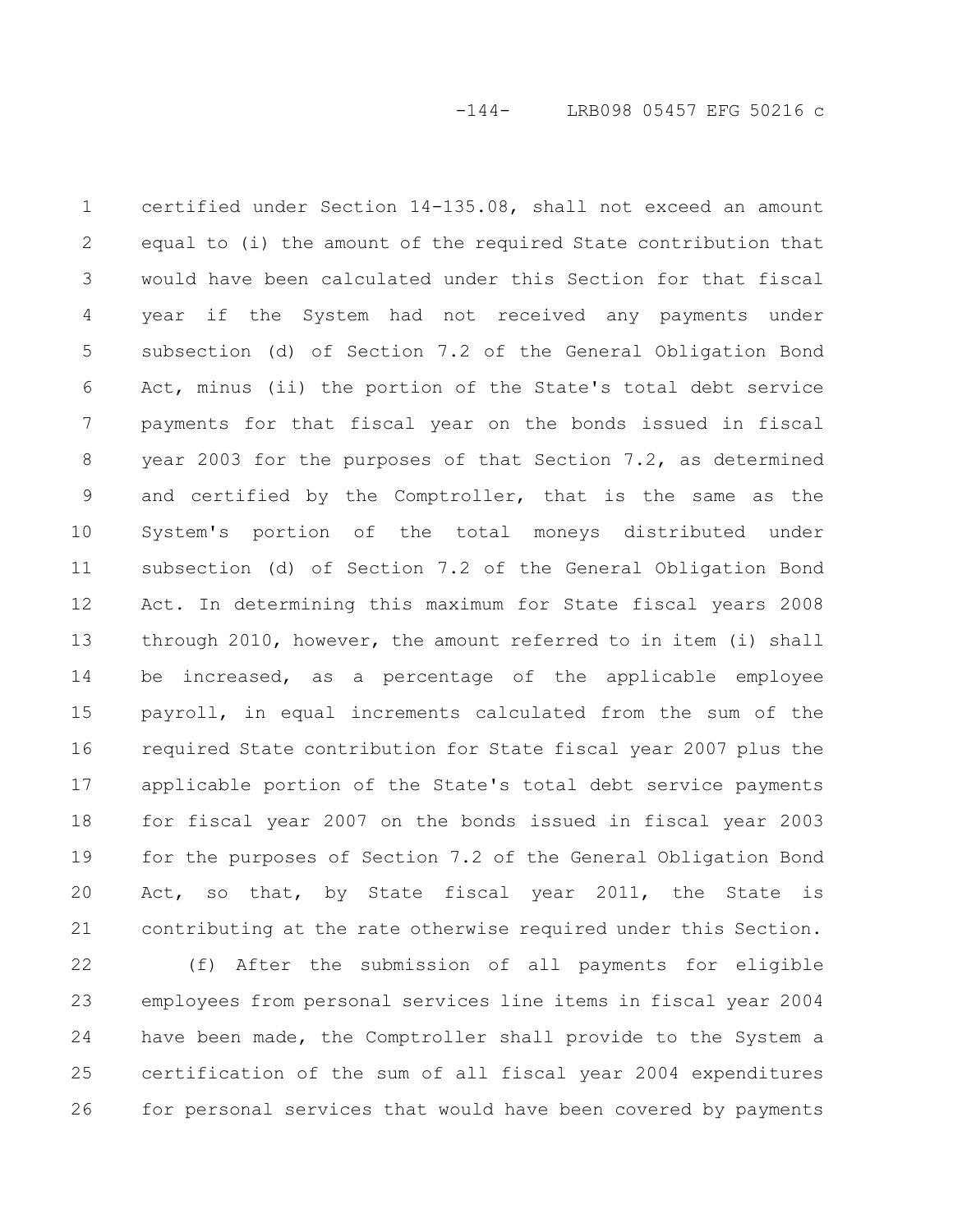certified under Section 14-135.08, shall not exceed an amount equal to (i) the amount of the required State contribution that would have been calculated under this Section for that fiscal year if the System had not received any payments under subsection (d) of Section 7.2 of the General Obligation Bond Act, minus (ii) the portion of the State's total debt service payments for that fiscal year on the bonds issued in fiscal year 2003 for the purposes of that Section 7.2, as determined and certified by the Comptroller, that is the same as the System's portion of the total moneys distributed under subsection (d) of Section 7.2 of the General Obligation Bond Act. In determining this maximum for State fiscal years 2008 through 2010, however, the amount referred to in item (i) shall be increased, as a percentage of the applicable employee payroll, in equal increments calculated from the sum of the required State contribution for State fiscal year 2007 plus the applicable portion of the State's total debt service payments for fiscal year 2007 on the bonds issued in fiscal year 2003 for the purposes of Section 7.2 of the General Obligation Bond Act, so that, by State fiscal year 2011, the State is contributing at the rate otherwise required under this Section. 1 2 3 4 5 6 7 8 9 10 11 12 13 14 15 16 17 18 19 20 21

(f) After the submission of all payments for eligible employees from personal services line items in fiscal year 2004 have been made, the Comptroller shall provide to the System a certification of the sum of all fiscal year 2004 expenditures for personal services that would have been covered by payments 22 23 24 25 26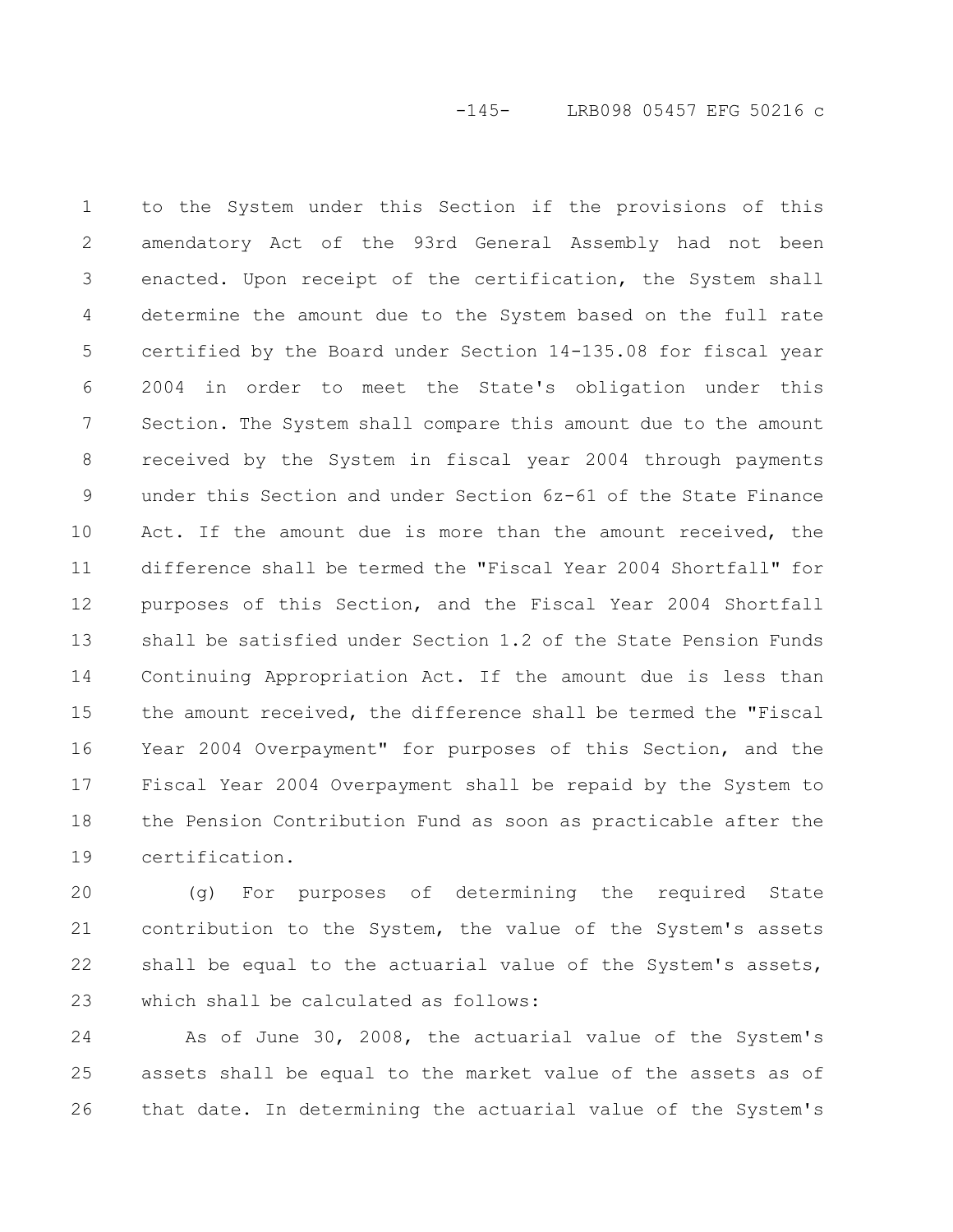to the System under this Section if the provisions of this amendatory Act of the 93rd General Assembly had not been enacted. Upon receipt of the certification, the System shall determine the amount due to the System based on the full rate certified by the Board under Section 14-135.08 for fiscal year 2004 in order to meet the State's obligation under this Section. The System shall compare this amount due to the amount received by the System in fiscal year 2004 through payments under this Section and under Section 6z-61 of the State Finance Act. If the amount due is more than the amount received, the difference shall be termed the "Fiscal Year 2004 Shortfall" for purposes of this Section, and the Fiscal Year 2004 Shortfall shall be satisfied under Section 1.2 of the State Pension Funds Continuing Appropriation Act. If the amount due is less than the amount received, the difference shall be termed the "Fiscal Year 2004 Overpayment" for purposes of this Section, and the Fiscal Year 2004 Overpayment shall be repaid by the System to the Pension Contribution Fund as soon as practicable after the certification. 1 2 3 4 5 6 7 8 9 10 11 12 13 14 15 16 17 18 19

(g) For purposes of determining the required State contribution to the System, the value of the System's assets shall be equal to the actuarial value of the System's assets, which shall be calculated as follows: 20 21 22 23

As of June 30, 2008, the actuarial value of the System's assets shall be equal to the market value of the assets as of that date. In determining the actuarial value of the System's 24 25 26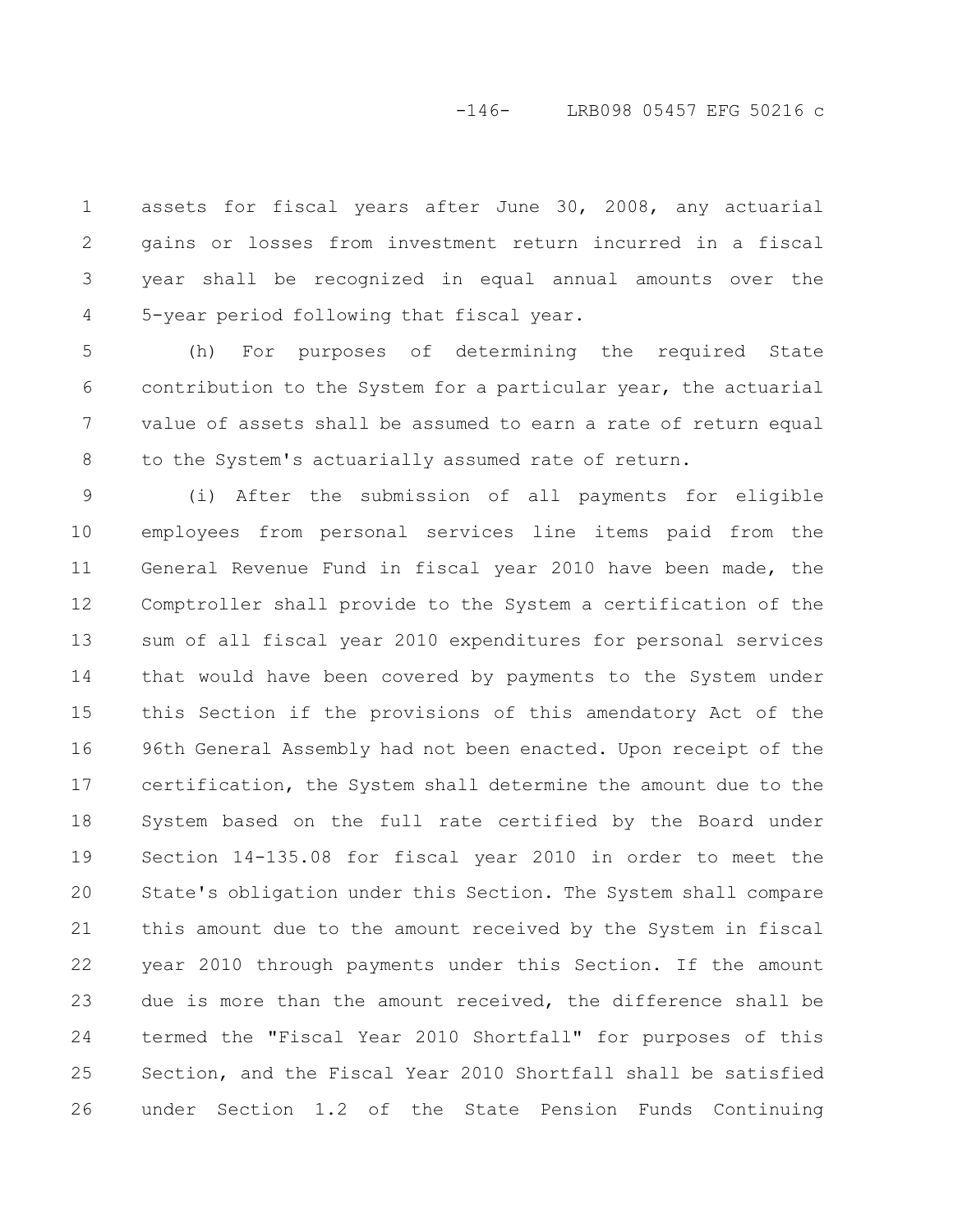### -146- LRB098 05457 EFG 50216 c

assets for fiscal years after June 30, 2008, any actuarial gains or losses from investment return incurred in a fiscal year shall be recognized in equal annual amounts over the 5-year period following that fiscal year. 1 2 3 4

(h) For purposes of determining the required State contribution to the System for a particular year, the actuarial value of assets shall be assumed to earn a rate of return equal to the System's actuarially assumed rate of return. 5 6 7 8

(i) After the submission of all payments for eligible employees from personal services line items paid from the General Revenue Fund in fiscal year 2010 have been made, the Comptroller shall provide to the System a certification of the sum of all fiscal year 2010 expenditures for personal services that would have been covered by payments to the System under this Section if the provisions of this amendatory Act of the 96th General Assembly had not been enacted. Upon receipt of the certification, the System shall determine the amount due to the System based on the full rate certified by the Board under Section 14-135.08 for fiscal year 2010 in order to meet the State's obligation under this Section. The System shall compare this amount due to the amount received by the System in fiscal year 2010 through payments under this Section. If the amount due is more than the amount received, the difference shall be termed the "Fiscal Year 2010 Shortfall" for purposes of this Section, and the Fiscal Year 2010 Shortfall shall be satisfied under Section 1.2 of the State Pension Funds Continuing 9 10 11 12 13 14 15 16 17 18 19 20 21 22 23 24 25 26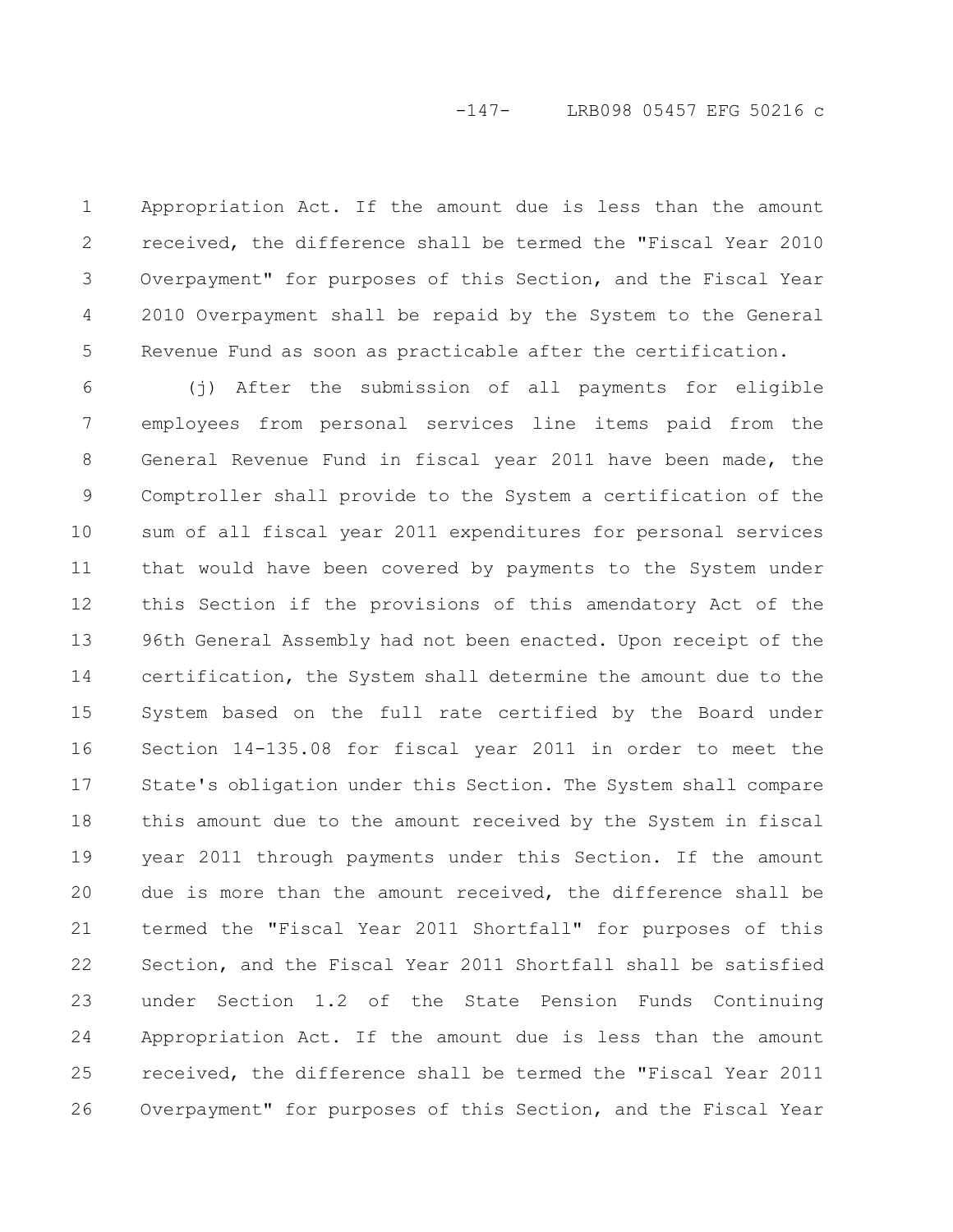Appropriation Act. If the amount due is less than the amount received, the difference shall be termed the "Fiscal Year 2010 Overpayment" for purposes of this Section, and the Fiscal Year 2010 Overpayment shall be repaid by the System to the General Revenue Fund as soon as practicable after the certification. 1 2 3 4 5

(j) After the submission of all payments for eligible employees from personal services line items paid from the General Revenue Fund in fiscal year 2011 have been made, the Comptroller shall provide to the System a certification of the sum of all fiscal year 2011 expenditures for personal services that would have been covered by payments to the System under this Section if the provisions of this amendatory Act of the 96th General Assembly had not been enacted. Upon receipt of the certification, the System shall determine the amount due to the System based on the full rate certified by the Board under Section 14-135.08 for fiscal year 2011 in order to meet the State's obligation under this Section. The System shall compare this amount due to the amount received by the System in fiscal year 2011 through payments under this Section. If the amount due is more than the amount received, the difference shall be termed the "Fiscal Year 2011 Shortfall" for purposes of this Section, and the Fiscal Year 2011 Shortfall shall be satisfied under Section 1.2 of the State Pension Funds Continuing Appropriation Act. If the amount due is less than the amount received, the difference shall be termed the "Fiscal Year 2011 Overpayment" for purposes of this Section, and the Fiscal Year 6 7 8 9 10 11 12 13 14 15 16 17 18 19 20 21 22 23 24 25 26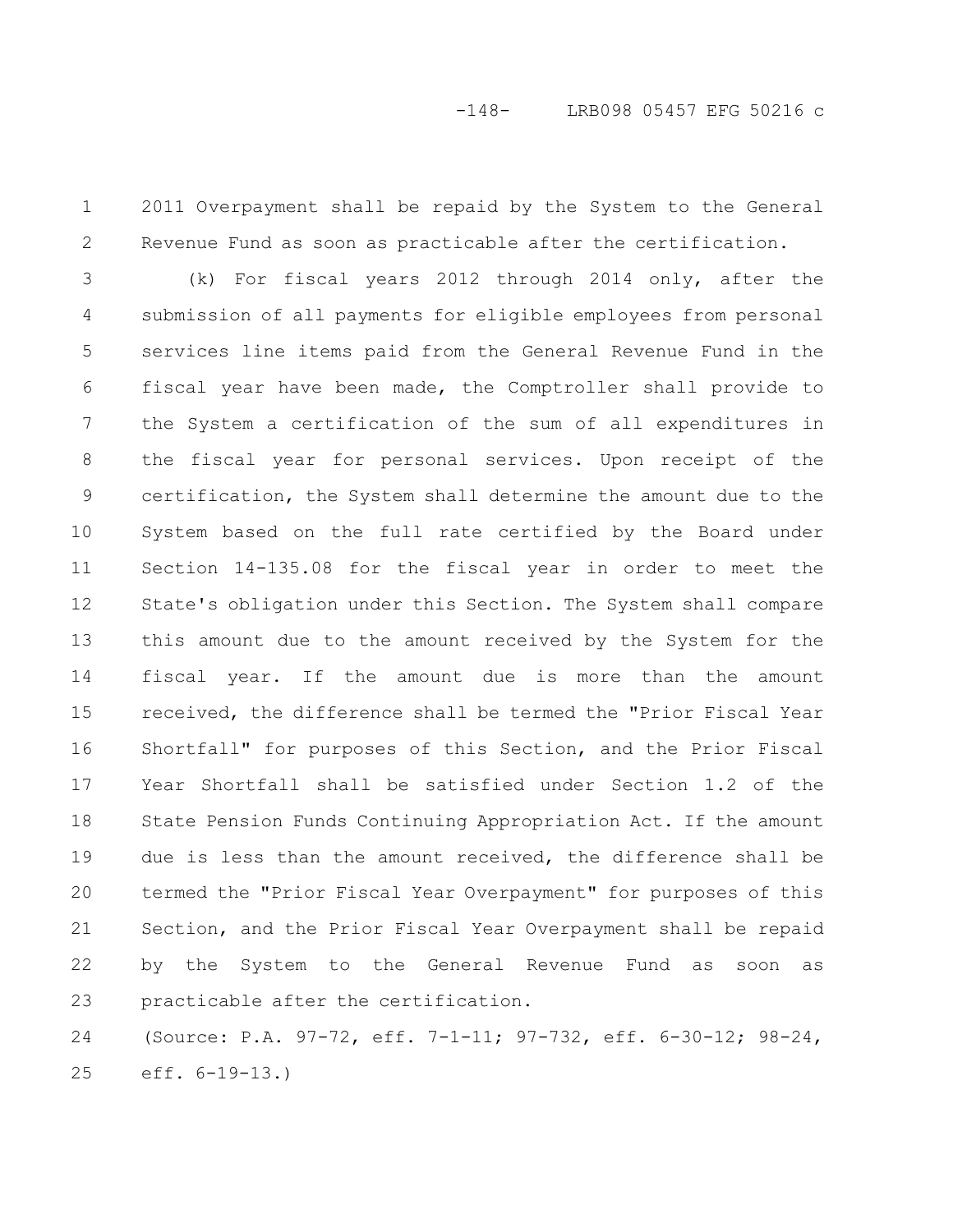2011 Overpayment shall be repaid by the System to the General Revenue Fund as soon as practicable after the certification. 1 2

(k) For fiscal years 2012 through 2014 only, after the submission of all payments for eligible employees from personal services line items paid from the General Revenue Fund in the fiscal year have been made, the Comptroller shall provide to the System a certification of the sum of all expenditures in the fiscal year for personal services. Upon receipt of the certification, the System shall determine the amount due to the System based on the full rate certified by the Board under Section 14-135.08 for the fiscal year in order to meet the State's obligation under this Section. The System shall compare this amount due to the amount received by the System for the fiscal year. If the amount due is more than the amount received, the difference shall be termed the "Prior Fiscal Year Shortfall" for purposes of this Section, and the Prior Fiscal Year Shortfall shall be satisfied under Section 1.2 of the State Pension Funds Continuing Appropriation Act. If the amount due is less than the amount received, the difference shall be termed the "Prior Fiscal Year Overpayment" for purposes of this Section, and the Prior Fiscal Year Overpayment shall be repaid by the System to the General Revenue Fund as soon as practicable after the certification. 3 4 5 6 7 8 9 10 11 12 13 14 15 16 17 18 19 20 21 22 23

(Source: P.A. 97-72, eff. 7-1-11; 97-732, eff. 6-30-12; 98-24, eff. 6-19-13.) 24 25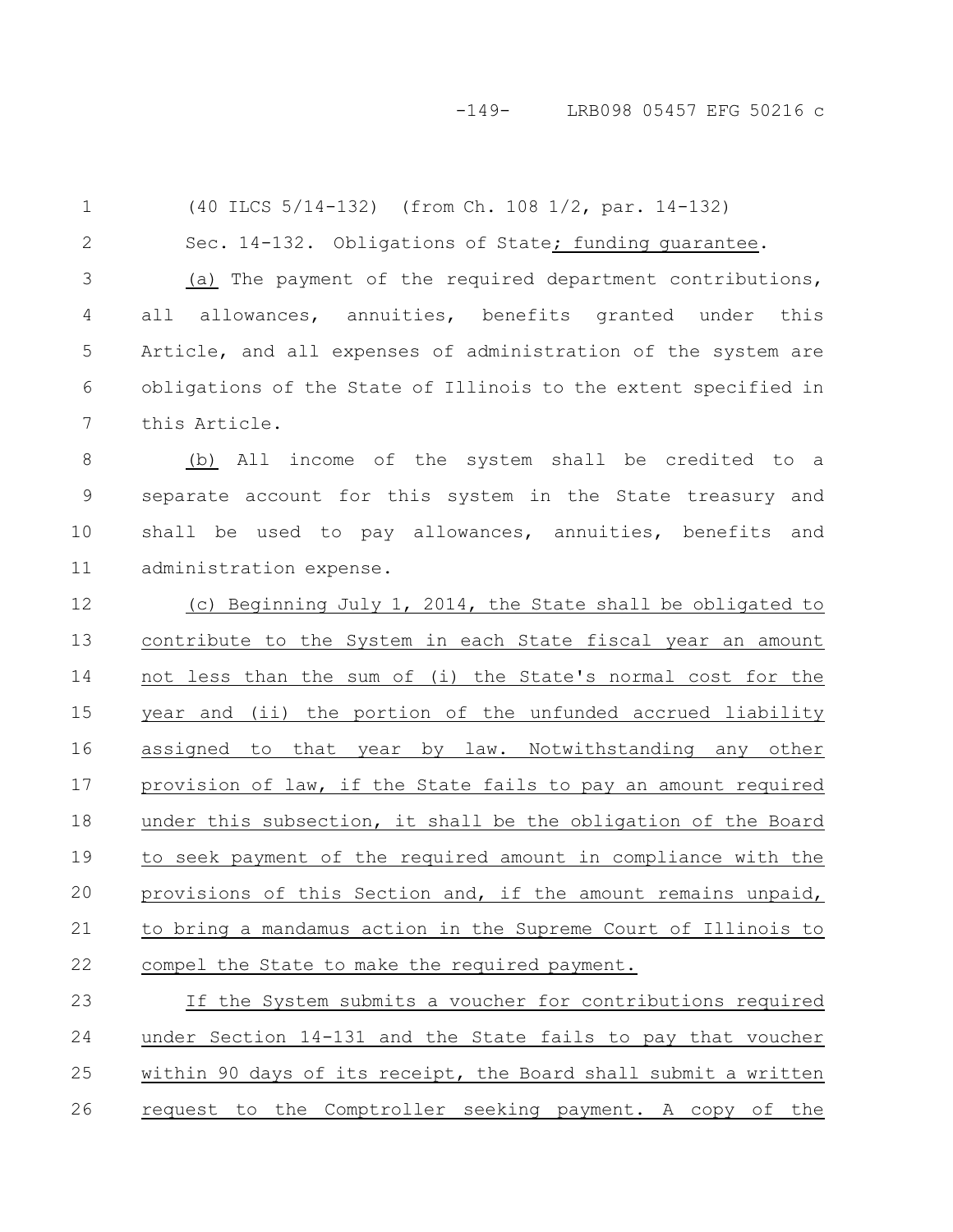#### -149- LRB098 05457 EFG 50216 c

(40 ILCS 5/14-132) (from Ch. 108 1/2, par. 14-132) Sec. 14-132. Obligations of State; funding quarantee. (a) The payment of the required department contributions, all allowances, annuities, benefits granted under this Article, and all expenses of administration of the system are obligations of the State of Illinois to the extent specified in this Article. (b) All income of the system shall be credited to a separate account for this system in the State treasury and shall be used to pay allowances, annuities, benefits and administration expense. (c) Beginning July 1, 2014, the State shall be obligated to contribute to the System in each State fiscal year an amount not less than the sum of (i) the State's normal cost for the year and (ii) the portion of the unfunded accrued liability assigned to that year by law. Notwithstanding any other provision of law, if the State fails to pay an amount required under this subsection, it shall be the obligation of the Board to seek payment of the required amount in compliance with the provisions of this Section and, if the amount remains unpaid, to bring a mandamus action in the Supreme Court of Illinois to compel the State to make the required payment. If the System submits a voucher for contributions required 1 2 3 4 5 6 7 8 9 10 11 12 13 14 15 16 17 18 19 20 21 22 23

under Section 14-131 and the State fails to pay that voucher within 90 days of its receipt, the Board shall submit a written request to the Comptroller seeking payment. A copy of the 24 25 26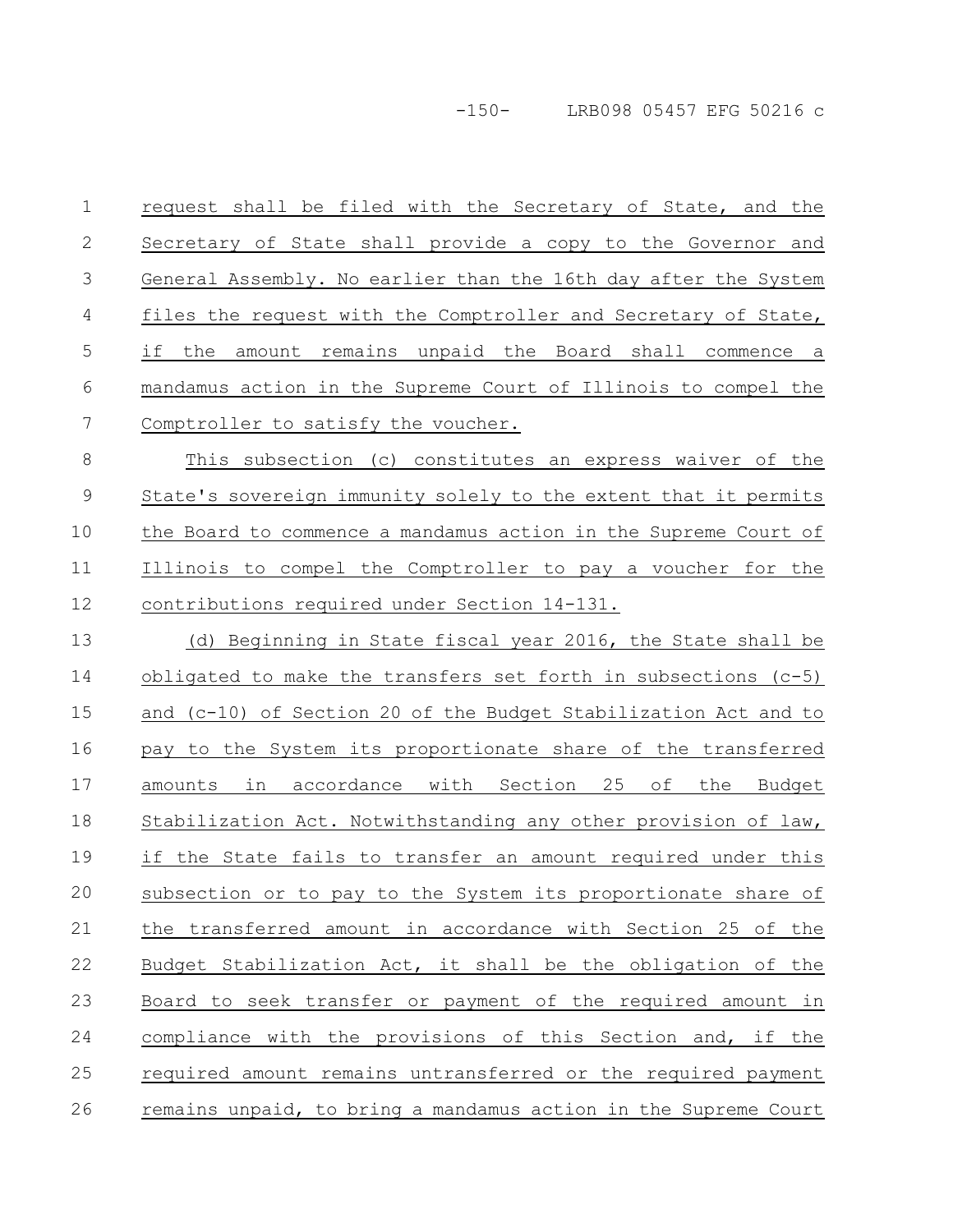-150- LRB098 05457 EFG 50216 c

| $\mathbf 1$    | request shall be filed with the Secretary of State, and the     |
|----------------|-----------------------------------------------------------------|
| $\mathbf 2$    | Secretary of State shall provide a copy to the Governor and     |
| $\mathfrak{Z}$ | General Assembly. No earlier than the 16th day after the System |
| 4              | files the request with the Comptroller and Secretary of State,  |
| 5              | the amount remains unpaid the Board shall commence a<br>if      |
| 6              | mandamus action in the Supreme Court of Illinois to compel the  |
| 7              | Comptroller to satisfy the voucher.                             |
| $\,8\,$        | This subsection (c) constitutes an express waiver of the        |
| $\mathcal{G}$  | State's sovereign immunity solely to the extent that it permits |
| 10             | the Board to commence a mandamus action in the Supreme Court of |
| 11             | Illinois to compel the Comptroller to pay a voucher for the     |
| 12             | contributions required under Section 14-131.                    |
| 13             | (d) Beginning in State fiscal year 2016, the State shall be     |
| 14             | obligated to make the transfers set forth in subsections (c-5)  |
| 15             | and (c-10) of Section 20 of the Budget Stabilization Act and to |
| 16             | pay to the System its proportionate share of the transferred    |
| 17             | amounts in accordance with Section 25 of the Budget             |
| 18             | Stabilization Act. Notwithstanding any other provision of law,  |
| 19             | if the State fails to transfer an amount required under this    |
| 20             | subsection or to pay to the System its proportionate share of   |
| 21             | the transferred amount in accordance with Section 25 of the     |
| 22             | Budget Stabilization Act, it shall be the obligation of the     |
| 23             | Board to seek transfer or payment of the required amount in     |
| 24             | compliance with the provisions of this Section and, if the      |
| 25             | required amount remains untransferred or the required payment   |
| 26             | remains unpaid, to bring a mandamus action in the Supreme Court |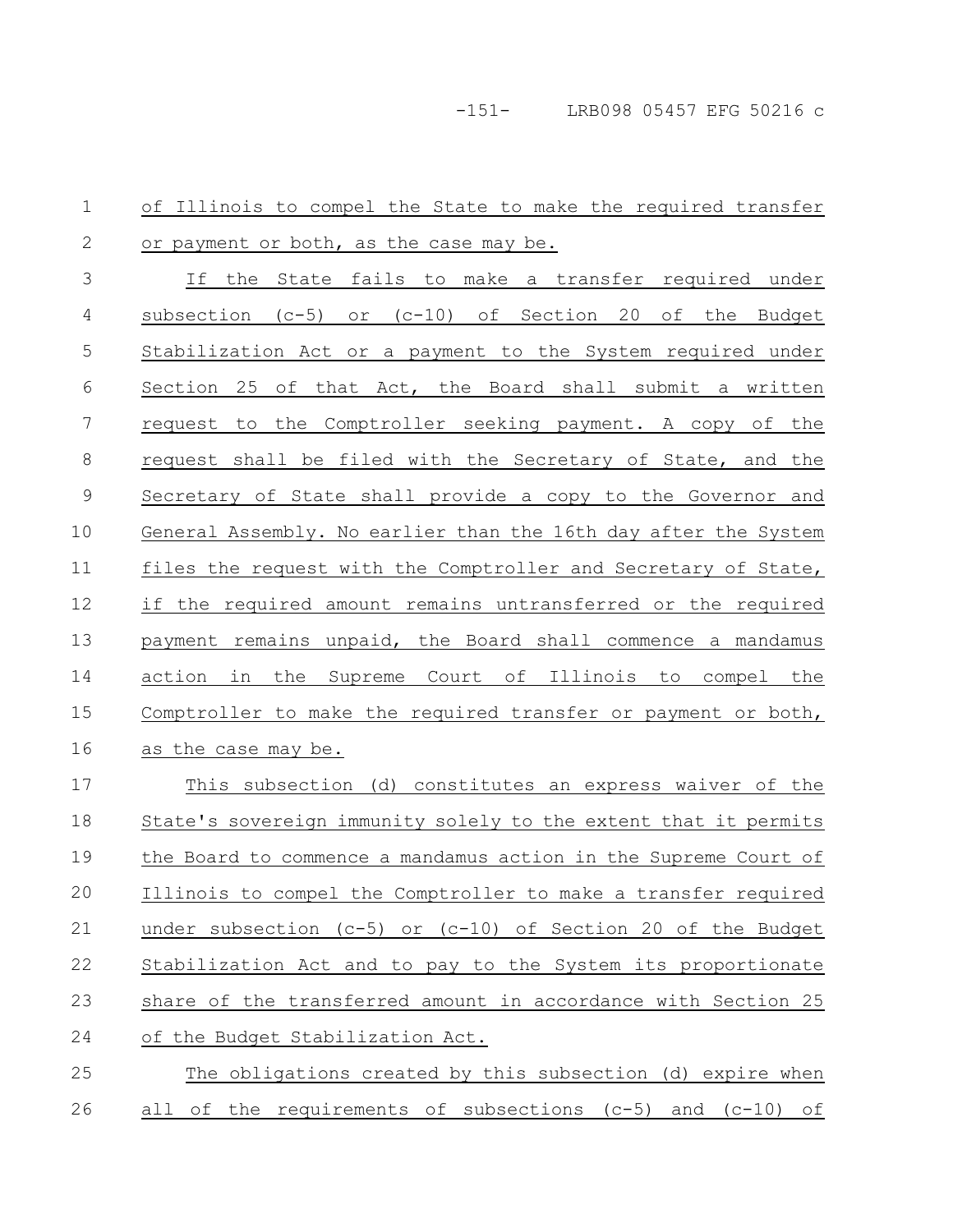| 1             | of Illinois to compel the State to make the required transfer               |
|---------------|-----------------------------------------------------------------------------|
| 2             | or payment or both, as the case may be.                                     |
| 3             | If the State fails to make a transfer required under                        |
| 4             | subsection (c-5) or (c-10) of Section 20 of the Budget                      |
| 5             | Stabilization Act or a payment to the System required under                 |
| 6             | Section 25 of that Act, the Board shall submit a written                    |
| 7             | request to the Comptroller seeking payment. A copy of the                   |
| $8\,$         | request shall be filed with the Secretary of State, and the                 |
| $\mathcal{G}$ | Secretary of State shall provide a copy to the Governor and                 |
| 10            | General Assembly. No earlier than the 16th day after the System             |
| 11            | files the request with the Comptroller and Secretary of State,              |
| 12            | if the required amount remains untransferred or the required                |
| 13            | payment remains unpaid, the Board shall commence a mandamus                 |
| 14            | the Supreme Court of Illinois to compel the<br>action in                    |
| 15            | Comptroller to make the required transfer or payment or both,               |
| 16            | as the case may be.                                                         |
| 17            | This subsection (d) constitutes an express waiver of the                    |
| 18            | State's sovereign immunity solely to the extent that it permits             |
| 19            | the Board to commence a mandamus action in the Supreme Court of             |
| 20            | Illinois to compel the Comptroller to make a transfer required              |
| 21            | under subsection ( $c-5$ ) or ( $c-10$ ) of Section 20 of the Budget        |
| 22            | Stabilization Act and to pay to the System its proportionate                |
| 23            | share of the transferred amount in accordance with Section 25               |
| 24            | of the Budget Stabilization Act.                                            |
| 25            | The obligations created by this subsection (d) expire when                  |
| 26            | of the requirements of subsections $(c-5)$ and $(c-10)$<br>all<br><u>of</u> |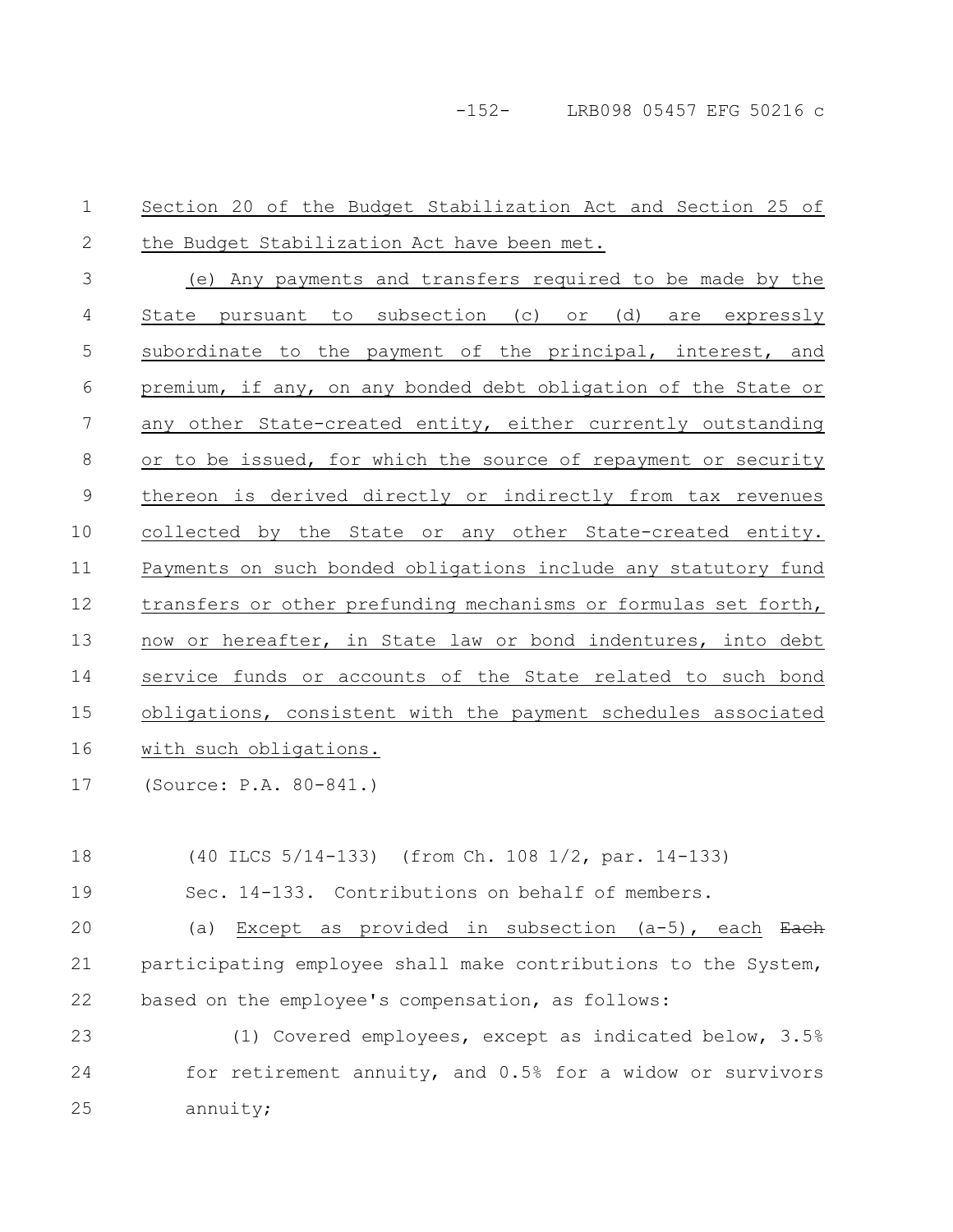-152- LRB098 05457 EFG 50216 c

Section 20 of the Budget Stabilization Act and Section 25 of the Budget Stabilization Act have been met. (e) Any payments and transfers required to be made by the State pursuant to subsection (c) or (d) are expressly subordinate to the payment of the principal, interest, and premium, if any, on any bonded debt obligation of the State or any other State-created entity, either currently outstanding or to be issued, for which the source of repayment or security thereon is derived directly or indirectly from tax revenues collected by the State or any other State-created entity. Payments on such bonded obligations include any statutory fund transfers or other prefunding mechanisms or formulas set forth, now or hereafter, in State law or bond indentures, into debt service funds or accounts of the State related to such bond obligations, consistent with the payment schedules associated with such obligations. (Source: P.A. 80-841.) 1 2 3 4 5 6 7 8 9 10 11 12 13 14 15 16 17

(40 ILCS 5/14-133) (from Ch. 108 1/2, par. 14-133) Sec. 14-133. Contributions on behalf of members. (a) Except as provided in subsection  $(a-5)$ , each Each participating employee shall make contributions to the System, based on the employee's compensation, as follows: 18 19 20 21 22

(1) Covered employees, except as indicated below, 3.5% for retirement annuity, and 0.5% for a widow or survivors annuity; 23 24 25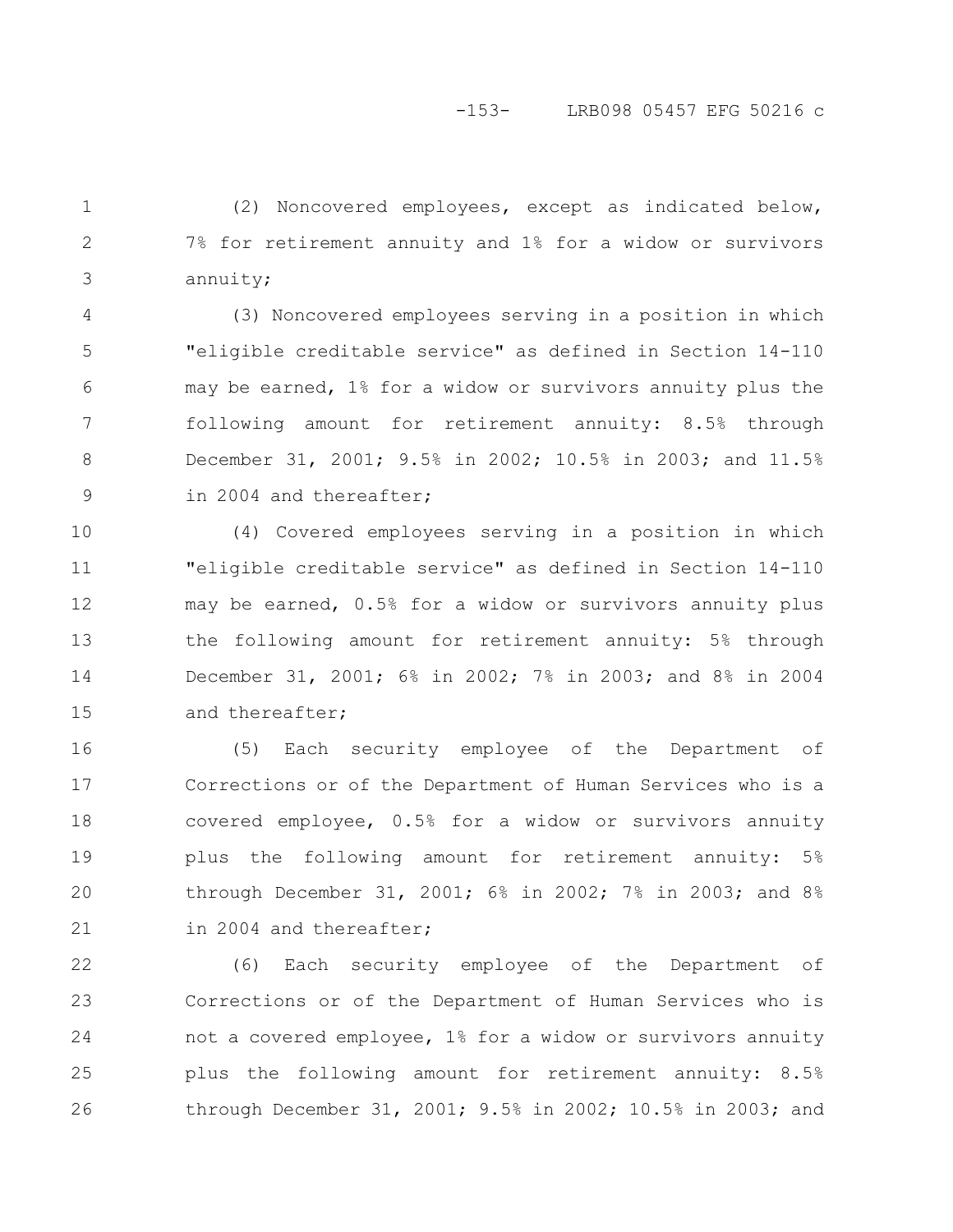(2) Noncovered employees, except as indicated below, 7% for retirement annuity and 1% for a widow or survivors annuity; 1 2 3

(3) Noncovered employees serving in a position in which "eligible creditable service" as defined in Section 14-110 may be earned, 1% for a widow or survivors annuity plus the following amount for retirement annuity: 8.5% through December 31, 2001; 9.5% in 2002; 10.5% in 2003; and 11.5% in 2004 and thereafter; 4 5 6 7 8 9

(4) Covered employees serving in a position in which "eligible creditable service" as defined in Section 14-110 may be earned, 0.5% for a widow or survivors annuity plus the following amount for retirement annuity: 5% through December 31, 2001; 6% in 2002; 7% in 2003; and 8% in 2004 and thereafter; 10 11 12 13 14 15

(5) Each security employee of the Department of Corrections or of the Department of Human Services who is a covered employee, 0.5% for a widow or survivors annuity plus the following amount for retirement annuity: 5% through December 31, 2001; 6% in 2002; 7% in 2003; and 8% in 2004 and thereafter; 16 17 18 19 20 21

(6) Each security employee of the Department of Corrections or of the Department of Human Services who is not a covered employee, 1% for a widow or survivors annuity plus the following amount for retirement annuity: 8.5% through December 31, 2001; 9.5% in 2002; 10.5% in 2003; and 22 23 24 25 26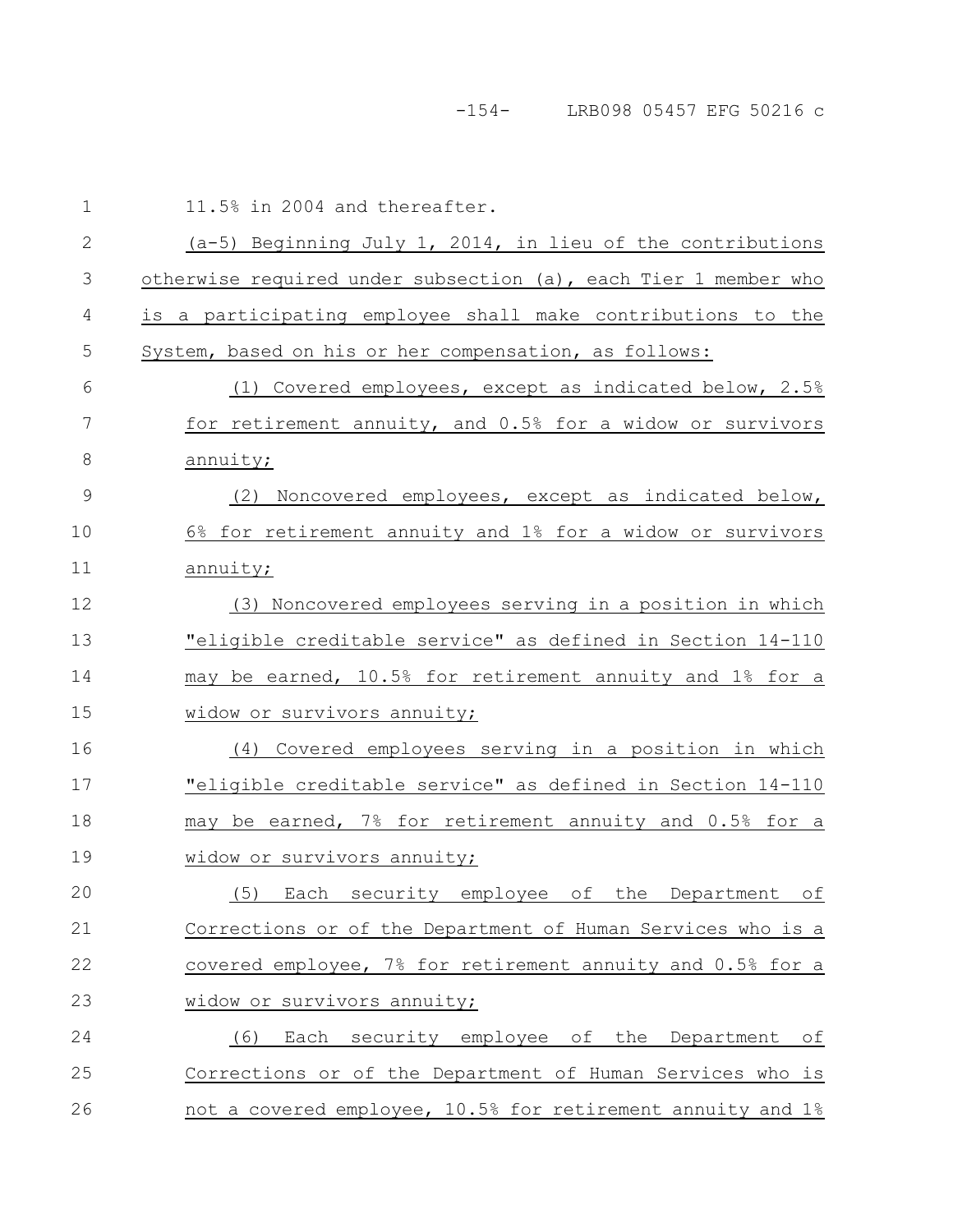-154- LRB098 05457 EFG 50216 c

| $\mathbf 1$  | 11.5% in 2004 and thereafter.                                   |
|--------------|-----------------------------------------------------------------|
| $\mathbf{2}$ | (a-5) Beginning July 1, 2014, in lieu of the contributions      |
| 3            | otherwise required under subsection (a), each Tier 1 member who |
| 4            | is a participating employee shall make contributions to the     |
| 5            | System, based on his or her compensation, as follows:           |
| 6            | (1) Covered employees, except as indicated below, 2.5%          |
| 7            | for retirement annuity, and 0.5% for a widow or survivors       |
| 8            | annuity;                                                        |
| 9            | (2) Noncovered employees, except as indicated below,            |
| 10           | 6% for retirement annuity and 1% for a widow or survivors       |
| 11           | annuity;                                                        |
| 12           | (3) Noncovered employees serving in a position in which         |
| 13           | "eligible creditable service" as defined in Section 14-110      |
| 14           | may be earned, 10.5% for retirement annuity and 1% for a        |
| 15           | widow or survivors annuity;                                     |
| 16           | (4) Covered employees serving in a position in which            |
| 17           | "eligible creditable service" as defined in Section 14-110      |
| 18           | may be earned, 7% for retirement annuity and 0.5% for a         |
| 19           | widow or survivors annuity;                                     |
| 20           | (5)<br>security employee<br>of<br>the Department<br>Each<br>оf  |
| 21           | Corrections or of the Department of Human Services who is a     |
| 22           | covered employee, 7% for retirement annuity and 0.5% for a      |
| 23           | widow or survivors annuity;                                     |
| 24           | Each security employee of the Department<br>(6)<br>оf           |
| 25           | Corrections or of the Department of Human Services who is       |
| 26           | not a covered employee, 10.5% for retirement annuity and 1%     |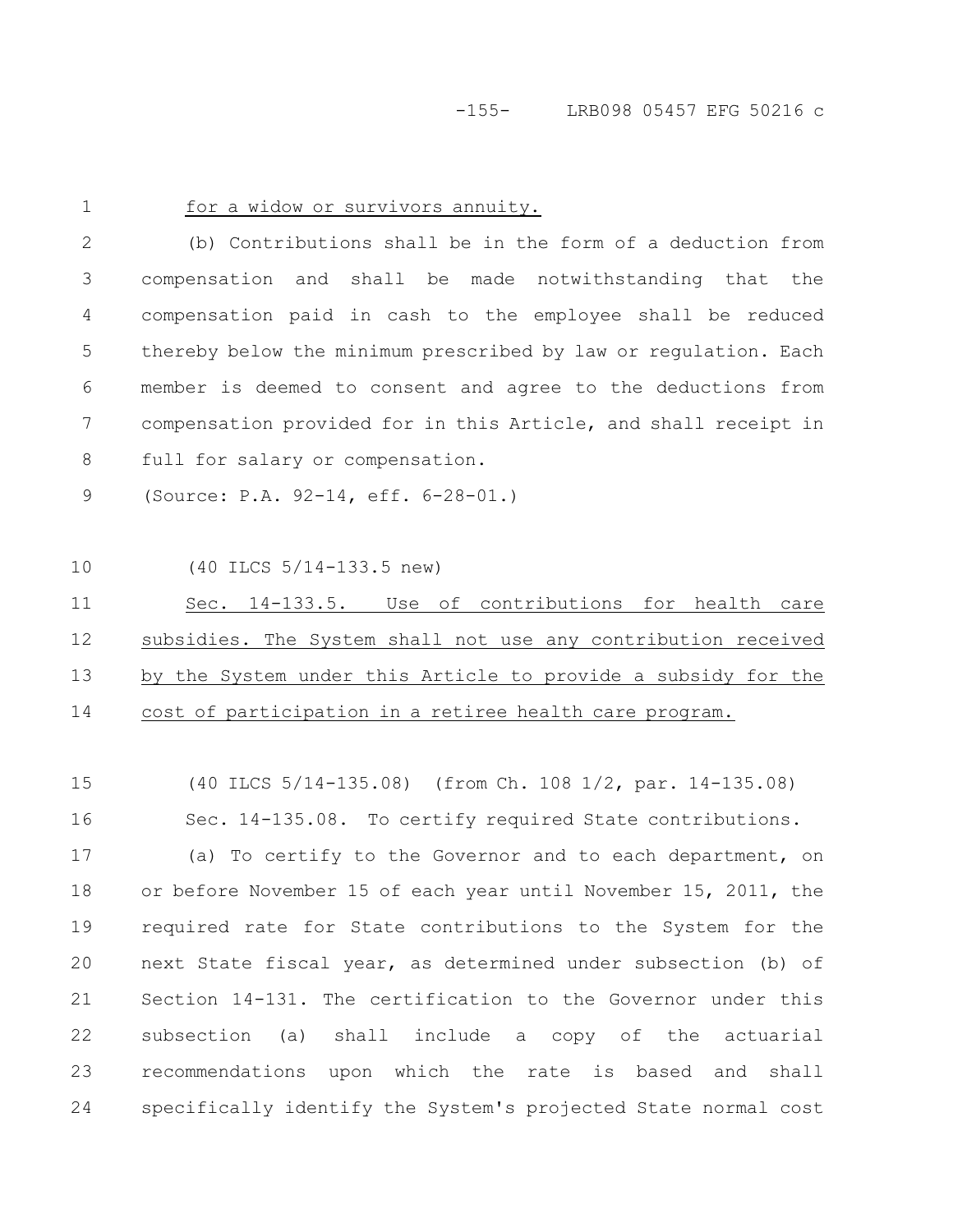-155- LRB098 05457 EFG 50216 c

1

# for a widow or survivors annuity.

(b) Contributions shall be in the form of a deduction from compensation and shall be made notwithstanding that the compensation paid in cash to the employee shall be reduced thereby below the minimum prescribed by law or regulation. Each member is deemed to consent and agree to the deductions from compensation provided for in this Article, and shall receipt in full for salary or compensation. 2 3 4 5 6 7 8

(Source: P.A. 92-14, eff. 6-28-01.) 9

(40 ILCS 5/14-133.5 new) 10

Sec. 14-133.5. Use of contributions for health care subsidies. The System shall not use any contribution received by the System under this Article to provide a subsidy for the cost of participation in a retiree health care program. 11 12 13 14

(40 ILCS 5/14-135.08) (from Ch. 108 1/2, par. 14-135.08) Sec. 14-135.08. To certify required State contributions. 15 16

(a) To certify to the Governor and to each department, on or before November 15 of each year until November 15, 2011, the required rate for State contributions to the System for the next State fiscal year, as determined under subsection (b) of Section 14-131. The certification to the Governor under this subsection (a) shall include a copy of the actuarial recommendations upon which the rate is based and shall specifically identify the System's projected State normal cost 17 18 19 20 21 22 23 24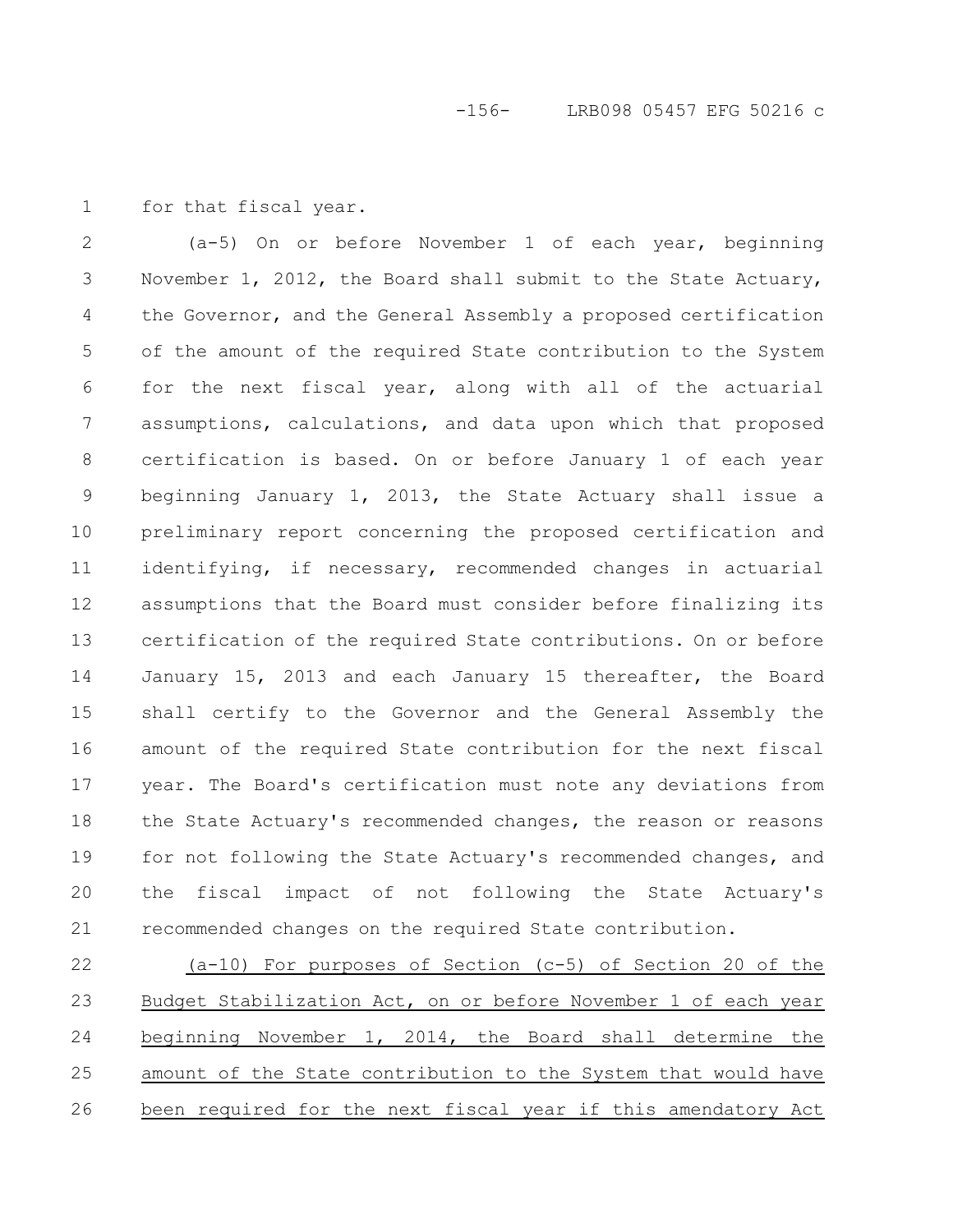for that fiscal year. 1

(a-5) On or before November 1 of each year, beginning November 1, 2012, the Board shall submit to the State Actuary, the Governor, and the General Assembly a proposed certification of the amount of the required State contribution to the System for the next fiscal year, along with all of the actuarial assumptions, calculations, and data upon which that proposed certification is based. On or before January 1 of each year beginning January 1, 2013, the State Actuary shall issue a preliminary report concerning the proposed certification and identifying, if necessary, recommended changes in actuarial assumptions that the Board must consider before finalizing its certification of the required State contributions. On or before January 15, 2013 and each January 15 thereafter, the Board shall certify to the Governor and the General Assembly the amount of the required State contribution for the next fiscal year. The Board's certification must note any deviations from the State Actuary's recommended changes, the reason or reasons for not following the State Actuary's recommended changes, and the fiscal impact of not following the State Actuary's recommended changes on the required State contribution. 2 3 4 5 6 7 8 9 10 11 12 13 14 15 16 17 18 19 20 21

(a-10) For purposes of Section (c-5) of Section 20 of the Budget Stabilization Act, on or before November 1 of each year beginning November 1, 2014, the Board shall determine the amount of the State contribution to the System that would have been required for the next fiscal year if this amendatory Act 22 23 24 25 26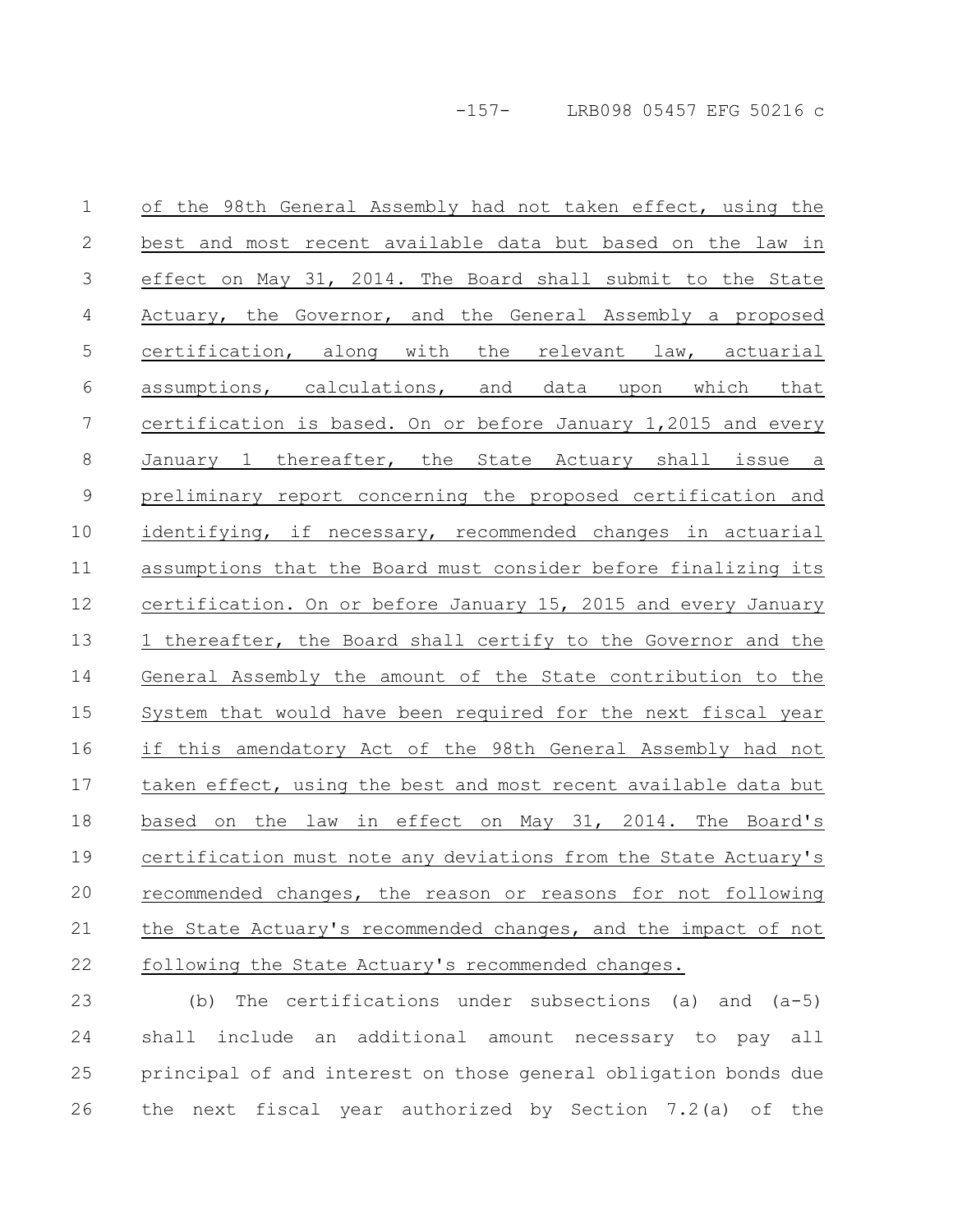of the 98th General Assembly had not taken effect, using the best and most recent available data but based on the law in effect on May 31, 2014. The Board shall submit to the State Actuary, the Governor, and the General Assembly a proposed certification, along with the relevant law, actuarial assumptions, calculations, and data upon which that certification is based. On or before January 1,2015 and every January 1 thereafter, the State Actuary shall issue a preliminary report concerning the proposed certification and identifying, if necessary, recommended changes in actuarial assumptions that the Board must consider before finalizing its certification. On or before January 15, 2015 and every January 1 thereafter, the Board shall certify to the Governor and the General Assembly the amount of the State contribution to the System that would have been required for the next fiscal year if this amendatory Act of the 98th General Assembly had not taken effect, using the best and most recent available data but based on the law in effect on May 31, 2014. The Board's certification must note any deviations from the State Actuary's recommended changes, the reason or reasons for not following the State Actuary's recommended changes, and the impact of not following the State Actuary's recommended changes. 1 2 3 4 5 6 7 8 9 10 11 12 13 14 15 16 17 18 19 20 21 22

(b) The certifications under subsections (a) and (a-5) shall include an additional amount necessary to pay all principal of and interest on those general obligation bonds due the next fiscal year authorized by Section 7.2(a) of the 23 24 25 26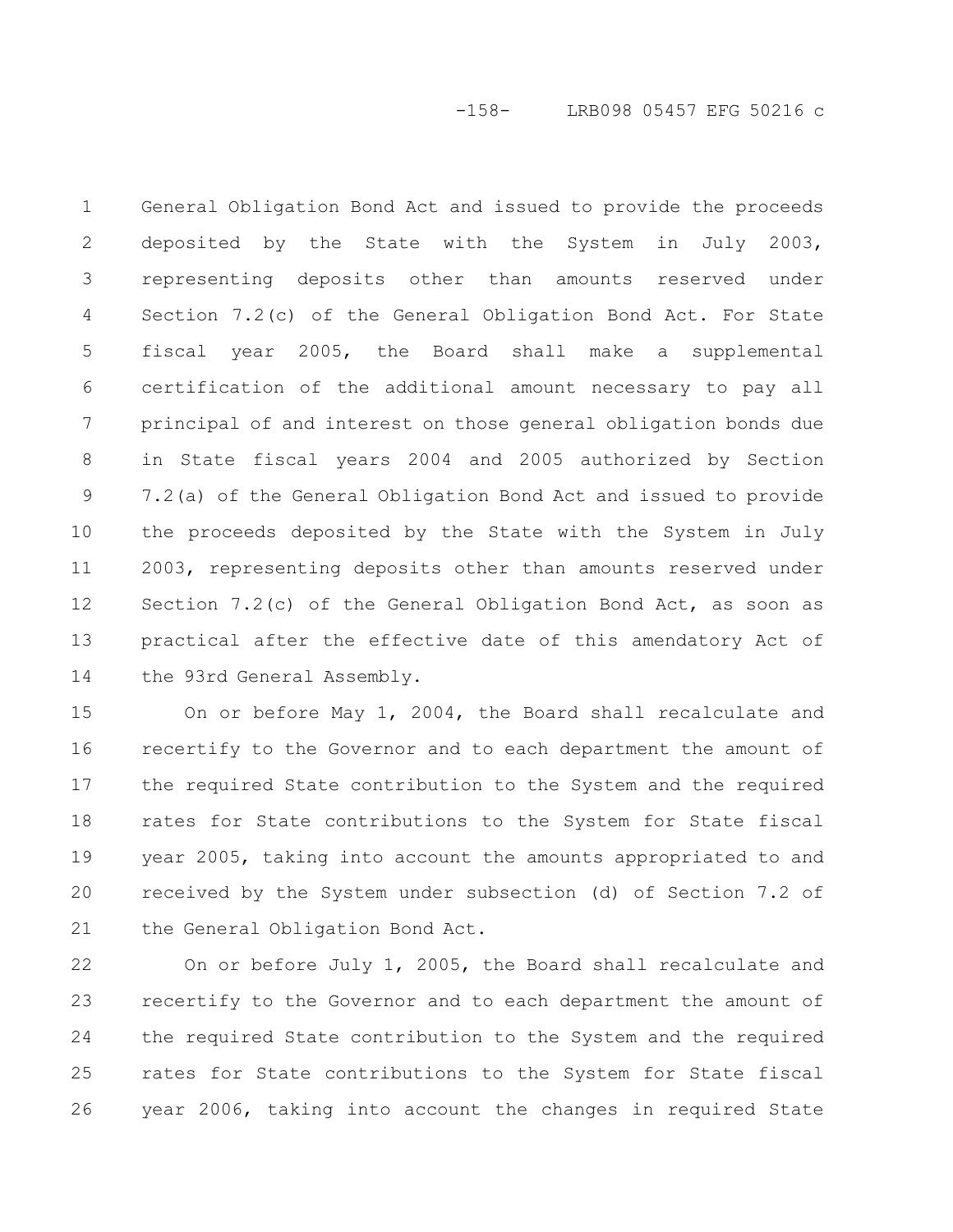-158- LRB098 05457 EFG 50216 c

General Obligation Bond Act and issued to provide the proceeds deposited by the State with the System in July 2003, representing deposits other than amounts reserved under Section 7.2(c) of the General Obligation Bond Act. For State fiscal year 2005, the Board shall make a supplemental certification of the additional amount necessary to pay all principal of and interest on those general obligation bonds due in State fiscal years 2004 and 2005 authorized by Section 7.2(a) of the General Obligation Bond Act and issued to provide the proceeds deposited by the State with the System in July 2003, representing deposits other than amounts reserved under Section 7.2(c) of the General Obligation Bond Act, as soon as practical after the effective date of this amendatory Act of the 93rd General Assembly. 1 2 3 4 5 6 7 8 9 10 11 12 13 14

On or before May 1, 2004, the Board shall recalculate and recertify to the Governor and to each department the amount of the required State contribution to the System and the required rates for State contributions to the System for State fiscal year 2005, taking into account the amounts appropriated to and received by the System under subsection (d) of Section 7.2 of the General Obligation Bond Act. 15 16 17 18 19 20 21

On or before July 1, 2005, the Board shall recalculate and recertify to the Governor and to each department the amount of the required State contribution to the System and the required rates for State contributions to the System for State fiscal year 2006, taking into account the changes in required State 22 23 24 25 26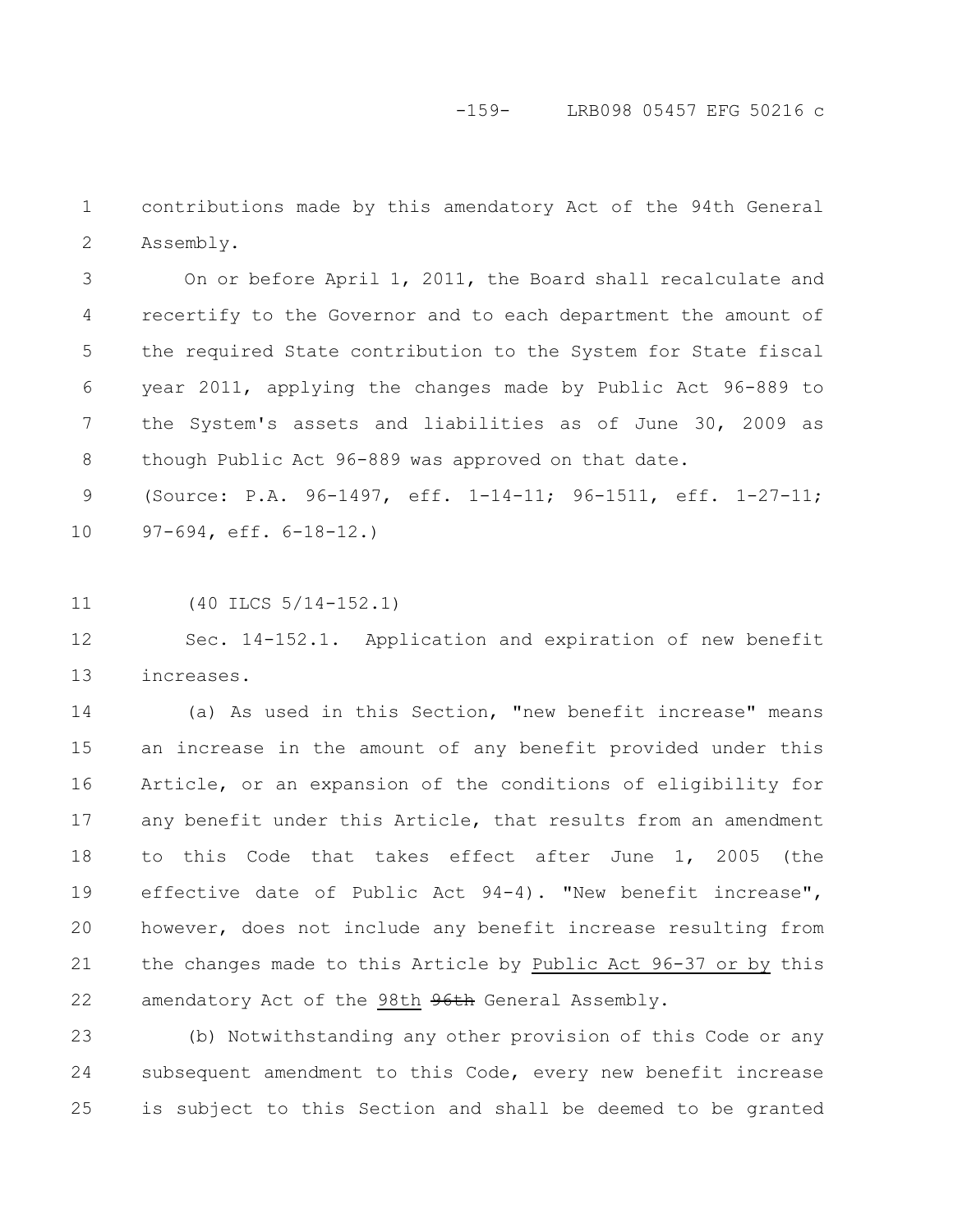### -159- LRB098 05457 EFG 50216 c

contributions made by this amendatory Act of the 94th General Assembly. 1 2

On or before April 1, 2011, the Board shall recalculate and recertify to the Governor and to each department the amount of the required State contribution to the System for State fiscal year 2011, applying the changes made by Public Act 96-889 to the System's assets and liabilities as of June 30, 2009 as though Public Act 96-889 was approved on that date. 3 4 5 6 7 8

(Source: P.A. 96-1497, eff. 1-14-11; 96-1511, eff. 1-27-11; 97-694, eff. 6-18-12.) 9 10

(40 ILCS 5/14-152.1) 11

Sec. 14-152.1. Application and expiration of new benefit increases. 12 13

(a) As used in this Section, "new benefit increase" means an increase in the amount of any benefit provided under this Article, or an expansion of the conditions of eligibility for any benefit under this Article, that results from an amendment to this Code that takes effect after June 1, 2005 (the effective date of Public Act 94-4). "New benefit increase", however, does not include any benefit increase resulting from the changes made to this Article by Public Act 96-37 or by this amendatory Act of the 98th 96th General Assembly. 14 15 16 17 18 19 20 21 22

(b) Notwithstanding any other provision of this Code or any subsequent amendment to this Code, every new benefit increase is subject to this Section and shall be deemed to be granted 23 24 25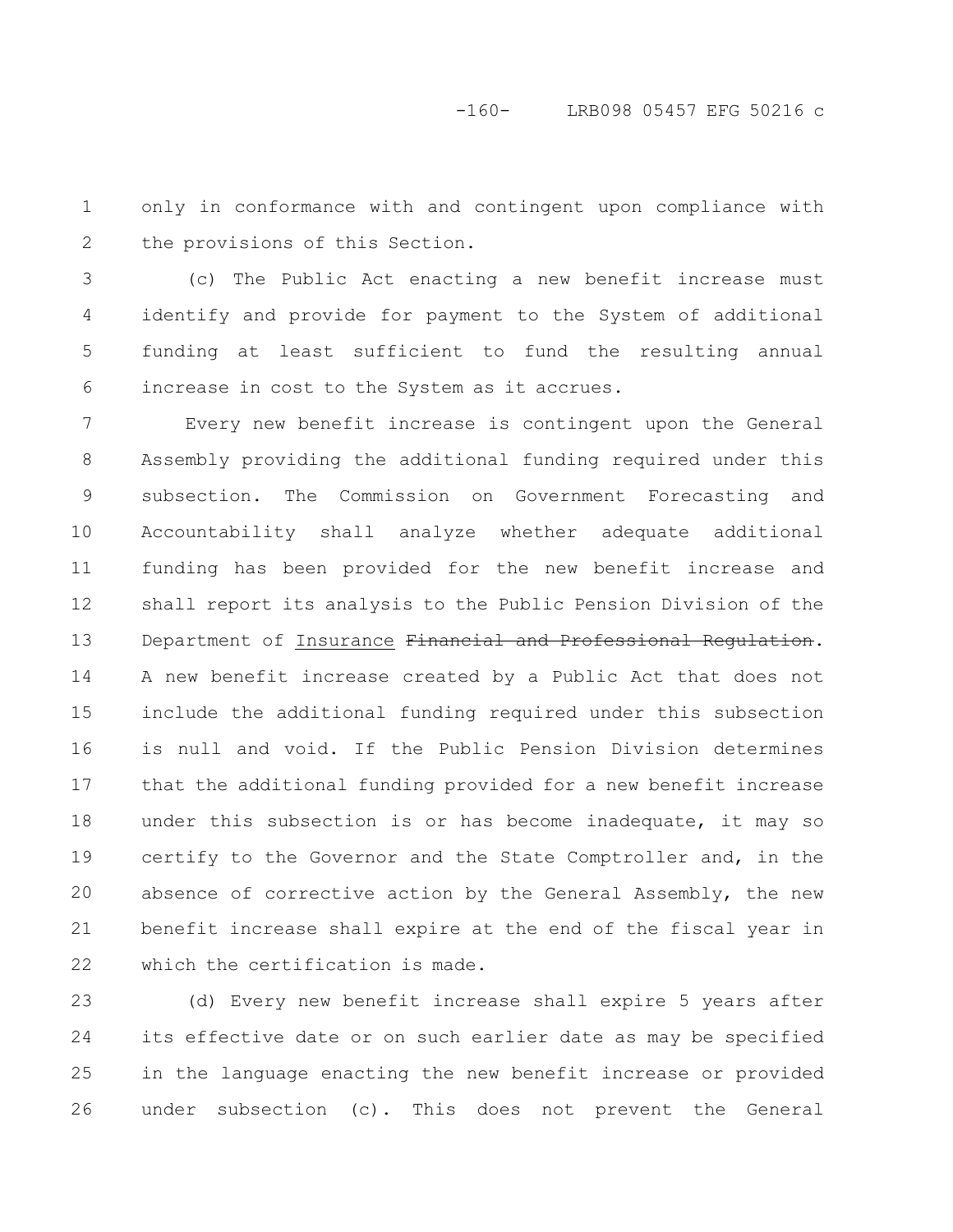only in conformance with and contingent upon compliance with the provisions of this Section. 1 2

(c) The Public Act enacting a new benefit increase must identify and provide for payment to the System of additional funding at least sufficient to fund the resulting annual increase in cost to the System as it accrues. 3 4 5 6

Every new benefit increase is contingent upon the General Assembly providing the additional funding required under this subsection. The Commission on Government Forecasting and Accountability shall analyze whether adequate additional funding has been provided for the new benefit increase and shall report its analysis to the Public Pension Division of the Department of Insurance Financial and Professional Regulation. A new benefit increase created by a Public Act that does not include the additional funding required under this subsection is null and void. If the Public Pension Division determines that the additional funding provided for a new benefit increase under this subsection is or has become inadequate, it may so certify to the Governor and the State Comptroller and, in the absence of corrective action by the General Assembly, the new benefit increase shall expire at the end of the fiscal year in which the certification is made. 7 8 9 10 11 12 13 14 15 16 17 18 19 20 21 22

(d) Every new benefit increase shall expire 5 years after its effective date or on such earlier date as may be specified in the language enacting the new benefit increase or provided under subsection (c). This does not prevent the General 23 24 25 26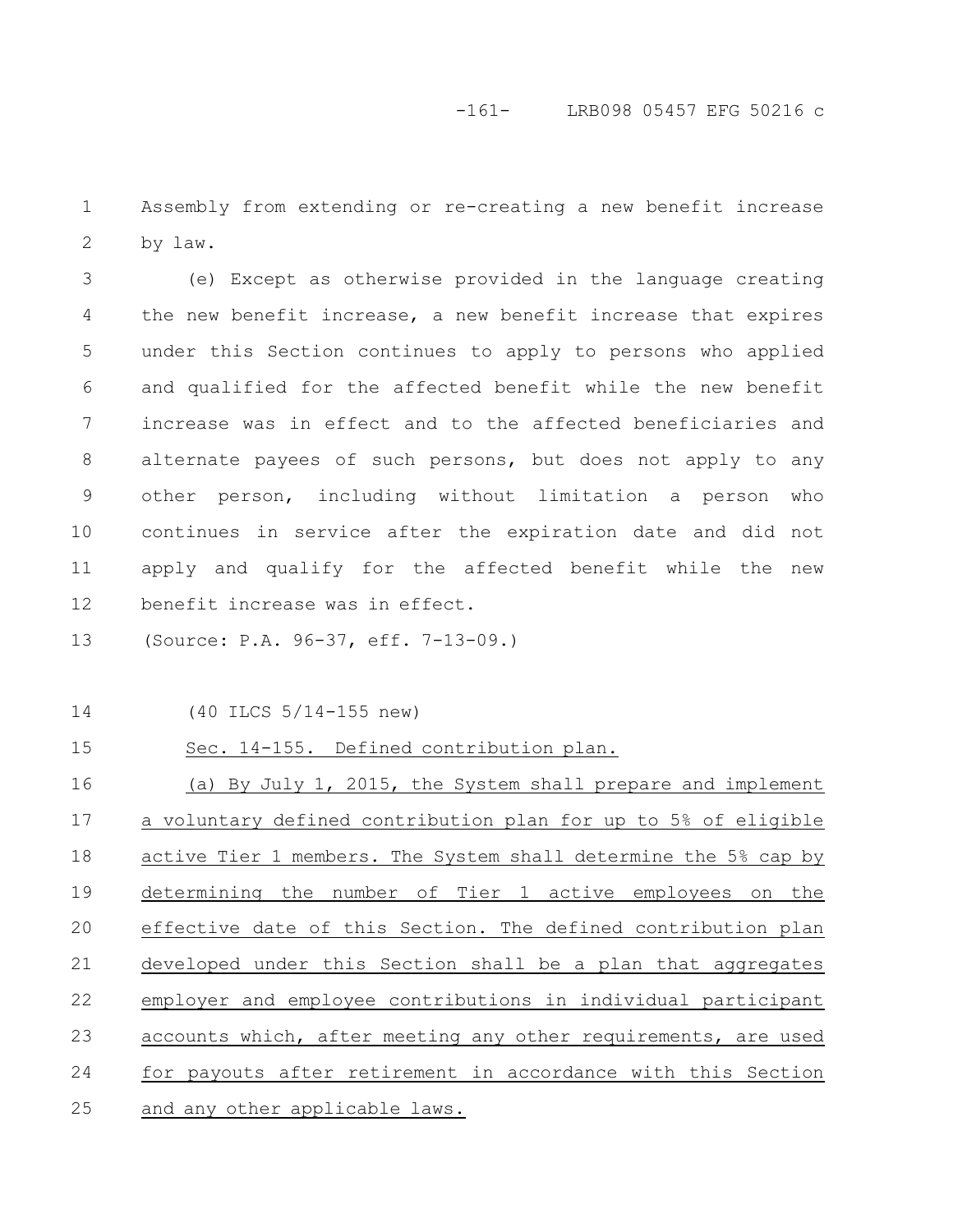Assembly from extending or re-creating a new benefit increase by law. 1 2

(e) Except as otherwise provided in the language creating the new benefit increase, a new benefit increase that expires under this Section continues to apply to persons who applied and qualified for the affected benefit while the new benefit increase was in effect and to the affected beneficiaries and alternate payees of such persons, but does not apply to any other person, including without limitation a person who continues in service after the expiration date and did not apply and qualify for the affected benefit while the new benefit increase was in effect. 3 4 5 6 7 8 9 10 11 12

(Source: P.A. 96-37, eff. 7-13-09.) 13

(40 ILCS 5/14-155 new) 14

#### Sec. 14-155. Defined contribution plan. 15

(a) By July 1, 2015, the System shall prepare and implement a voluntary defined contribution plan for up to 5% of eligible active Tier 1 members. The System shall determine the 5% cap by determining the number of Tier 1 active employees on the effective date of this Section. The defined contribution plan developed under this Section shall be a plan that aggregates employer and employee contributions in individual participant accounts which, after meeting any other requirements, are used for payouts after retirement in accordance with this Section and any other applicable laws. 16 17 18 19 20 21 22 23 24 25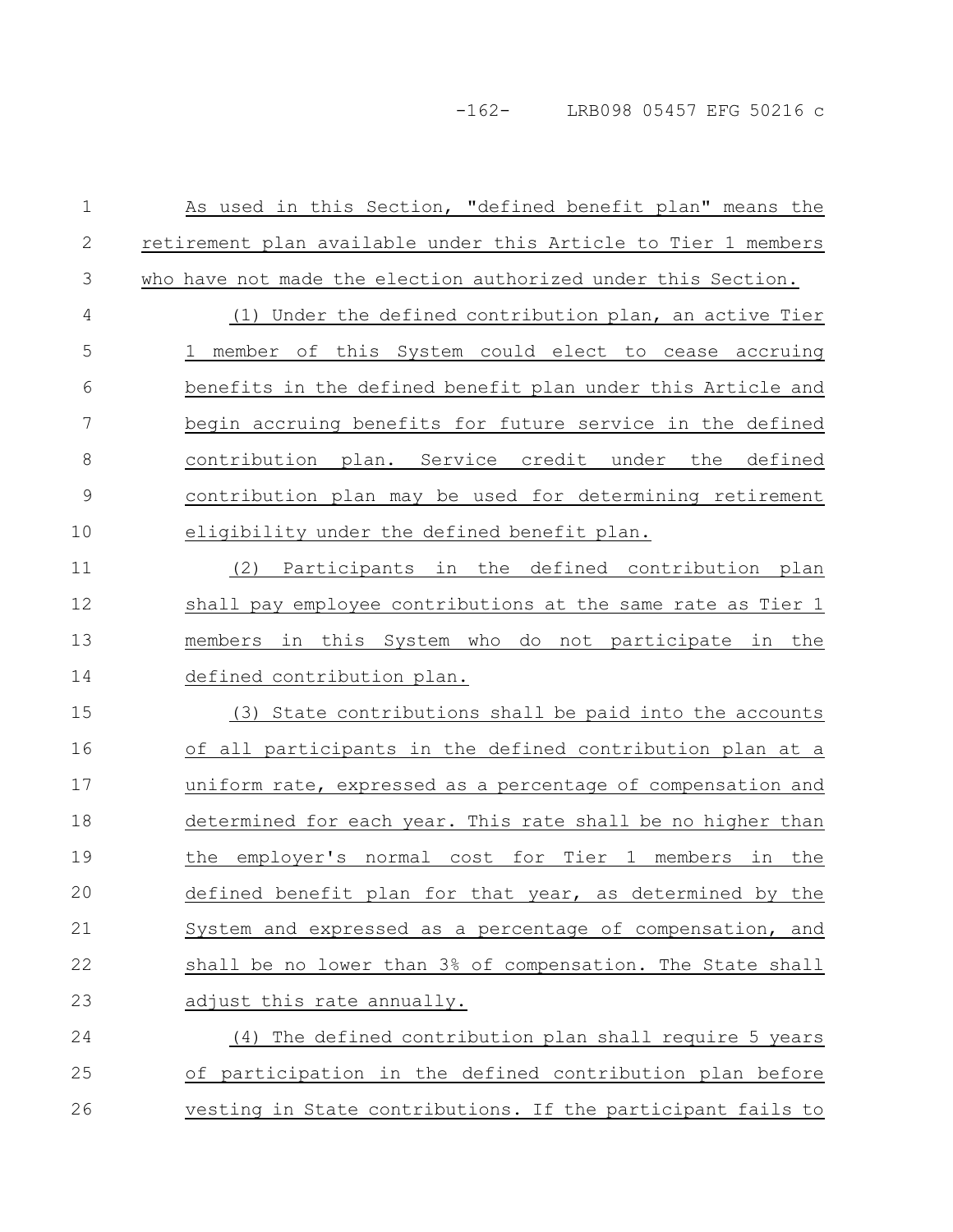As used in this Section, "defined benefit plan" means the retirement plan available under this Article to Tier 1 members who have not made the election authorized under this Section. (1) Under the defined contribution plan, an active Tier 1 member of this System could elect to cease accruing benefits in the defined benefit plan under this Article and begin accruing benefits for future service in the defined contribution plan. Service credit under the defined contribution plan may be used for determining retirement eligibility under the defined benefit plan. (2) Participants in the defined contribution plan shall pay employee contributions at the same rate as Tier 1 members in this System who do not participate in the defined contribution plan. (3) State contributions shall be paid into the accounts of all participants in the defined contribution plan at a uniform rate, expressed as a percentage of compensation and determined for each year. This rate shall be no higher than the employer's normal cost for Tier 1 members in the defined benefit plan for that year, as determined by the System and expressed as a percentage of compensation, and shall be no lower than 3% of compensation. The State shall adjust this rate annually. (4) The defined contribution plan shall require 5 years of participation in the defined contribution plan before vesting in State contributions. If the participant fails to 1 2 3 4 5 6 7 8 9 10 11 12 13 14 15 16 17 18 19 20 21 22 23 24 25 26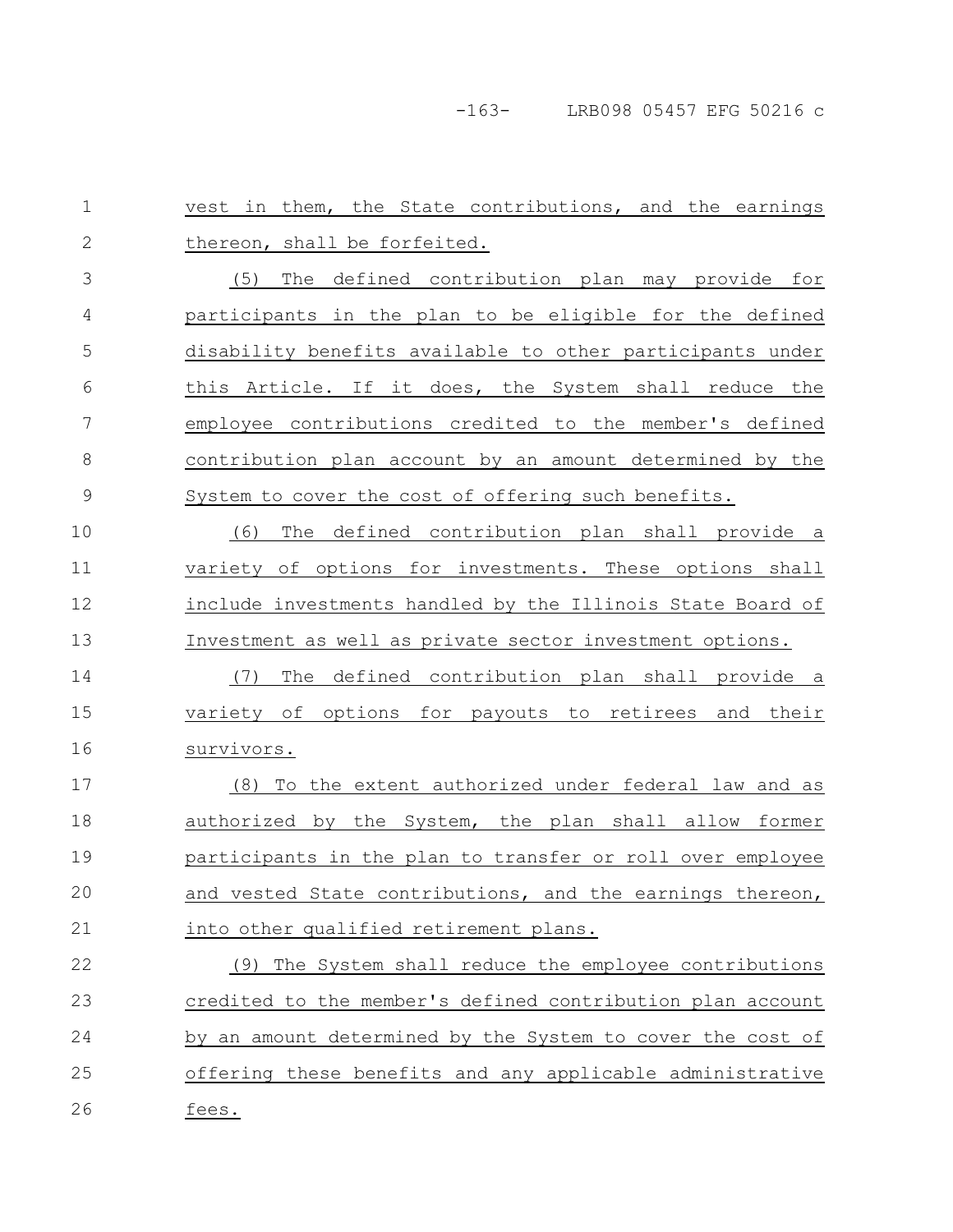-163- LRB098 05457 EFG 50216 c

vest in them, the State contributions, and the earnings thereon, shall be forfeited. (5) The defined contribution plan may provide for participants in the plan to be eligible for the defined disability benefits available to other participants under this Article. If it does, the System shall reduce the employee contributions credited to the member's defined contribution plan account by an amount determined by the System to cover the cost of offering such benefits. (6) The defined contribution plan shall provide a variety of options for investments. These options shall include investments handled by the Illinois State Board of Investment as well as private sector investment options. (7) The defined contribution plan shall provide a variety of options for payouts to retirees and their survivors. (8) To the extent authorized under federal law and as authorized by the System, the plan shall allow former participants in the plan to transfer or roll over employee and vested State contributions, and the earnings thereon, into other qualified retirement plans. (9) The System shall reduce the employee contributions credited to the member's defined contribution plan account by an amount determined by the System to cover the cost of offering these benefits and any applicable administrative fees. 1 2 3 4 5 6 7 8 9 10 11 12 13 14 15 16 17 18 19 20 21 22 23 24 25 26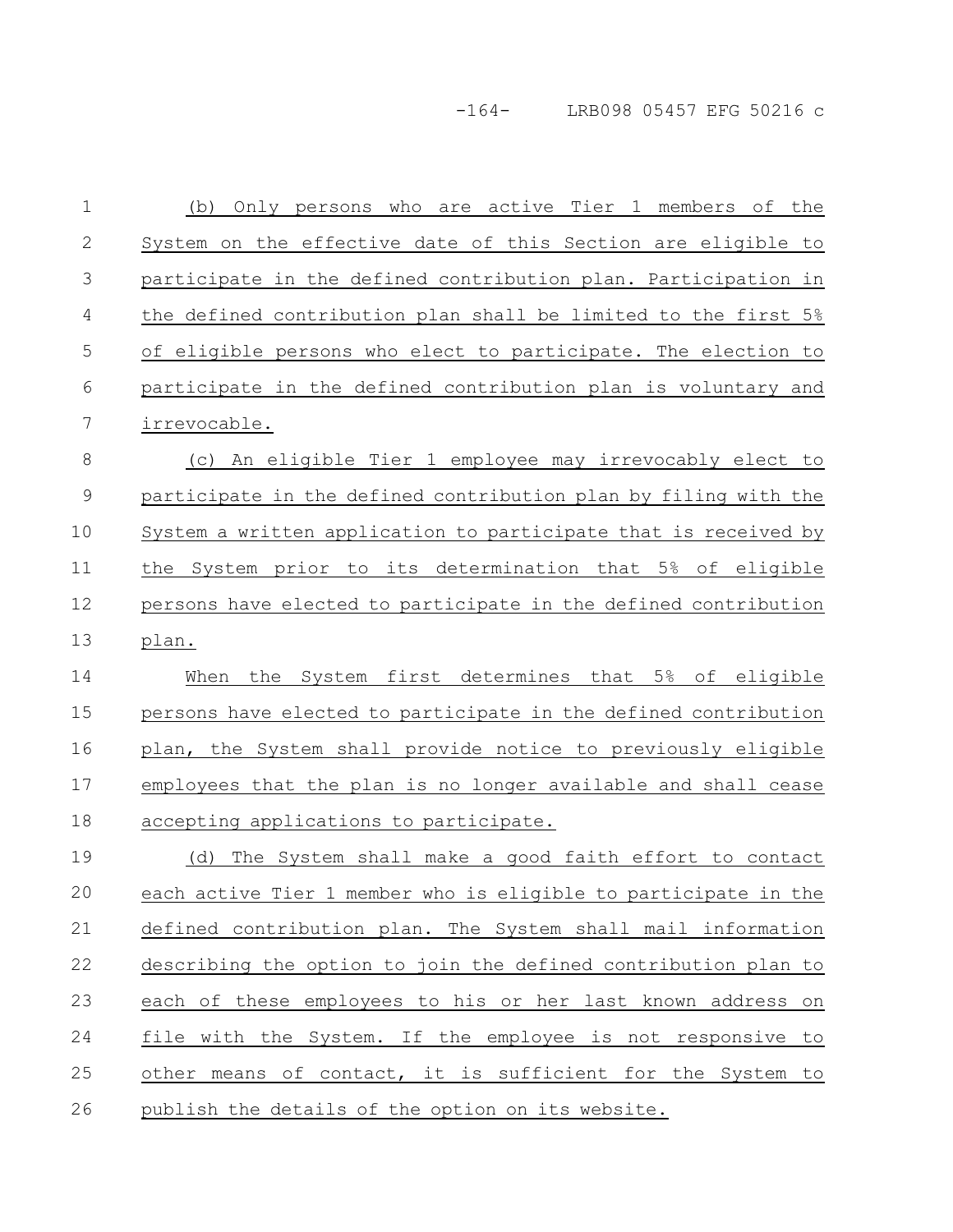# -164- LRB098 05457 EFG 50216 c

| $\mathbf 1$ | Only persons who are active Tier 1 members of the<br>(b)        |
|-------------|-----------------------------------------------------------------|
| 2           | System on the effective date of this Section are eligible to    |
| 3           | participate in the defined contribution plan. Participation in  |
| 4           | the defined contribution plan shall be limited to the first 5%  |
| 5           | of eligible persons who elect to participate. The election to   |
| 6           | participate in the defined contribution plan is voluntary and   |
| 7           | irrevocable.                                                    |
| $\,8\,$     | (c) An eligible Tier 1 employee may irrevocably elect to        |
| 9           | participate in the defined contribution plan by filing with the |
| 10          | System a written application to participate that is received by |
| 11          | the System prior to its determination that 5% of eligible       |
| 12          | persons have elected to participate in the defined contribution |
| 13          | plan.                                                           |
| 14          | the System first determines that 5% of eligible<br>When         |
| 15          | persons have elected to participate in the defined contribution |
| 16          | plan, the System shall provide notice to previously eligible    |
| 17          | employees that the plan is no longer available and shall cease  |
| 18          | accepting applications to participate.                          |
| 19          | The System shall make a good faith effort to contact<br>(d)     |
| 20          | each active Tier 1 member who is eligible to participate in the |
| 21          | defined contribution plan. The System shall mail information    |
| 22          | describing the option to join the defined contribution plan to  |
| 23          | each of these employees to his or her last known address on     |
| 24          | file with the System. If the employee is not responsive to      |
| 25          | other means of contact, it is sufficient for the System to      |
| 26          | publish the details of the option on its website.               |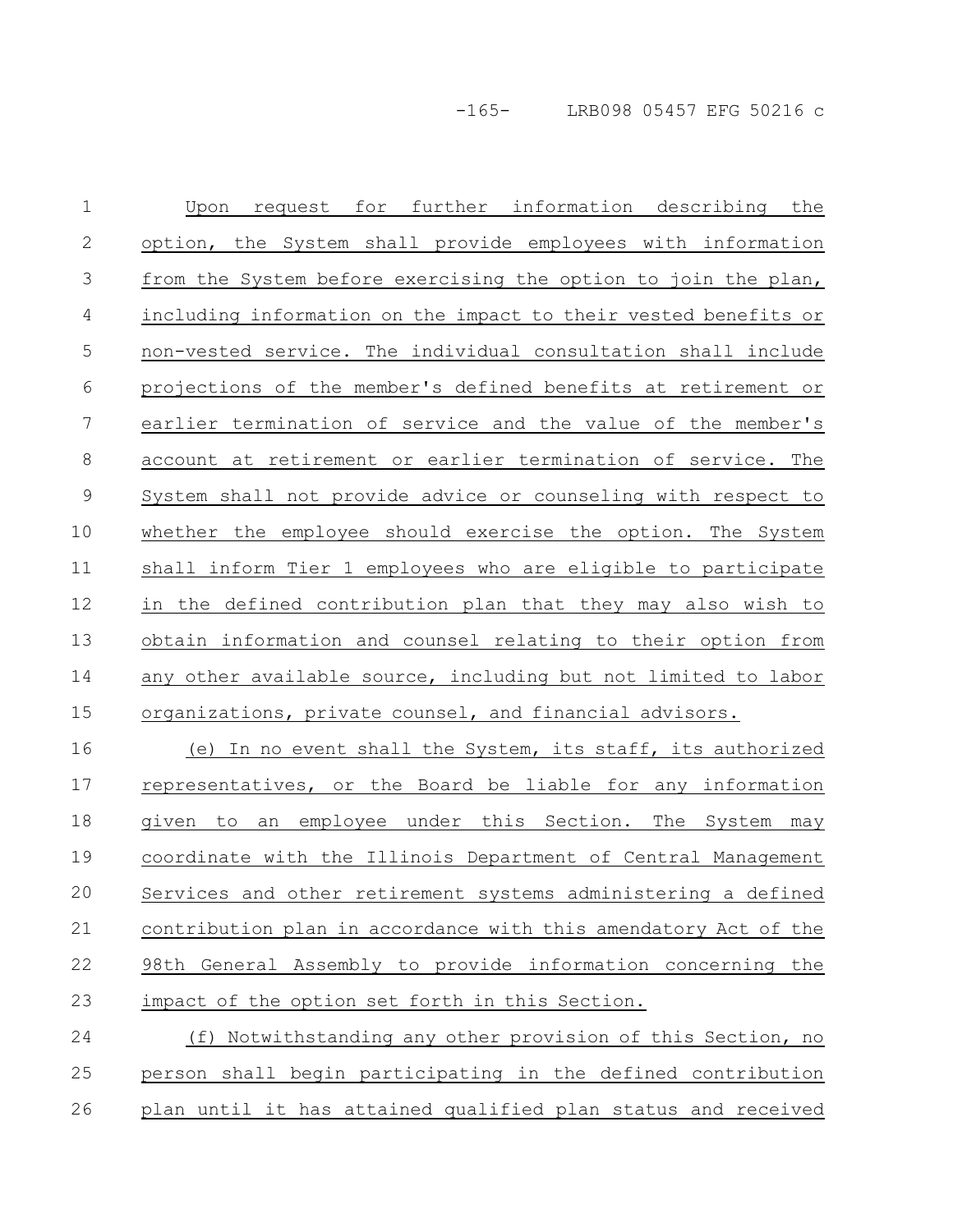-165- LRB098 05457 EFG 50216 c

Upon request for further information describing the option, the System shall provide employees with information from the System before exercising the option to join the plan, including information on the impact to their vested benefits or non-vested service. The individual consultation shall include projections of the member's defined benefits at retirement or earlier termination of service and the value of the member's account at retirement or earlier termination of service. The System shall not provide advice or counseling with respect to whether the employee should exercise the option. The System shall inform Tier 1 employees who are eligible to participate in the defined contribution plan that they may also wish to obtain information and counsel relating to their option from any other available source, including but not limited to labor organizations, private counsel, and financial advisors. 1 2 3 4 5 6 7 8 9 10 11 12 13 14 15

(e) In no event shall the System, its staff, its authorized representatives, or the Board be liable for any information given to an employee under this Section. The System may coordinate with the Illinois Department of Central Management Services and other retirement systems administering a defined contribution plan in accordance with this amendatory Act of the 98th General Assembly to provide information concerning the impact of the option set forth in this Section. 16 17 18 19 20 21 22 23

(f) Notwithstanding any other provision of this Section, no person shall begin participating in the defined contribution plan until it has attained qualified plan status and received 24 25 26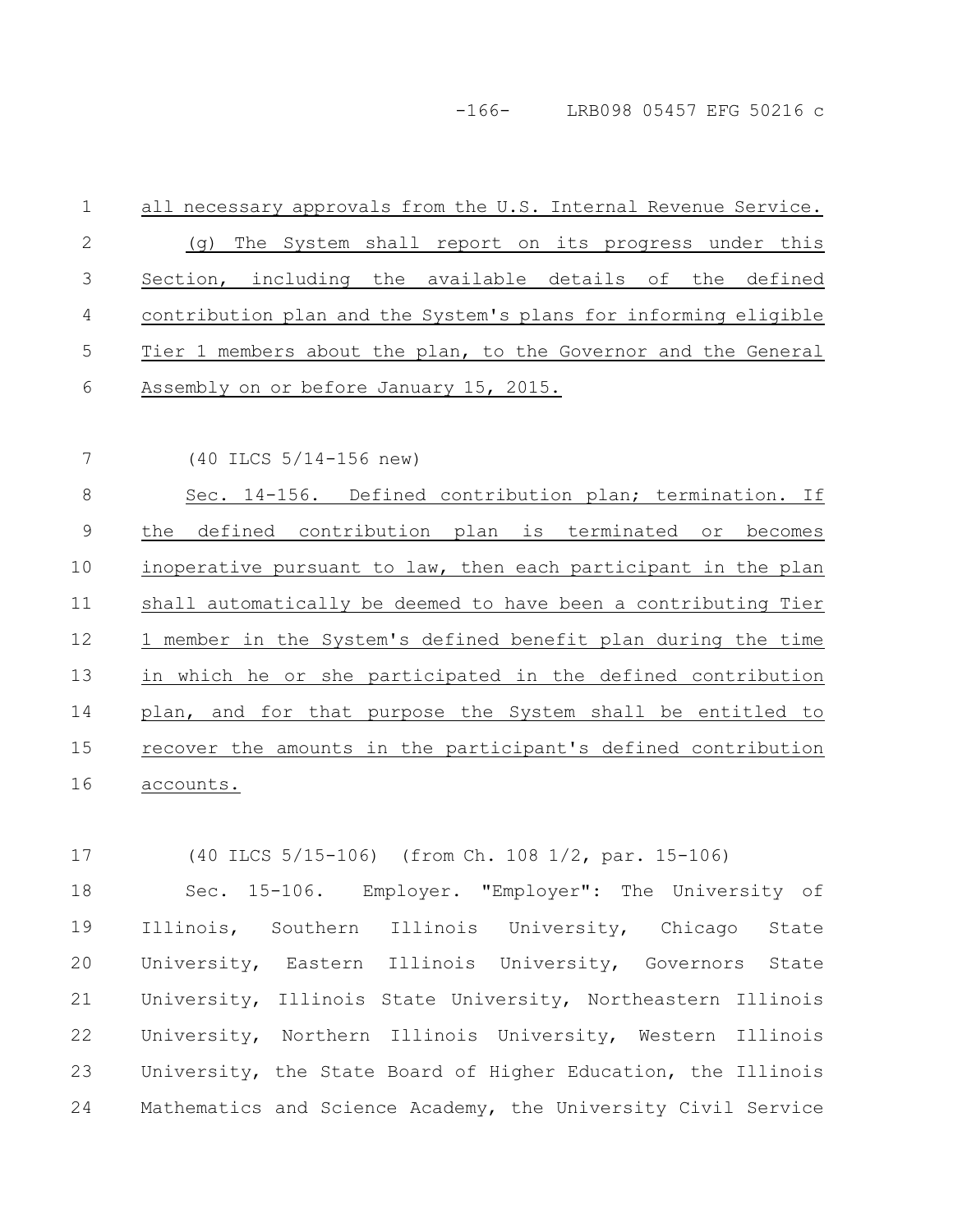-166- LRB098 05457 EFG 50216 c

- all necessary approvals from the U.S. Internal Revenue Service. (g) The System shall report on its progress under this Section, including the available details of the defined contribution plan and the System's plans for informing eligible Tier 1 members about the plan, to the Governor and the General Assembly on or before January 15, 2015. 1 2 3 4 5 6
- 7

(40 ILCS 5/14-156 new)

Sec. 14-156. Defined contribution plan; termination. If the defined contribution plan is terminated or becomes inoperative pursuant to law, then each participant in the plan shall automatically be deemed to have been a contributing Tier 1 member in the System's defined benefit plan during the time in which he or she participated in the defined contribution plan, and for that purpose the System shall be entitled to recover the amounts in the participant's defined contribution accounts. 8 9 10 11 12 13 14 15 16

(40 ILCS 5/15-106) (from Ch. 108 1/2, par. 15-106) 17

Sec. 15-106. Employer. "Employer": The University of Illinois, Southern Illinois University, Chicago State University, Eastern Illinois University, Governors State University, Illinois State University, Northeastern Illinois University, Northern Illinois University, Western Illinois University, the State Board of Higher Education, the Illinois Mathematics and Science Academy, the University Civil Service 18 19 20 21 22 23 24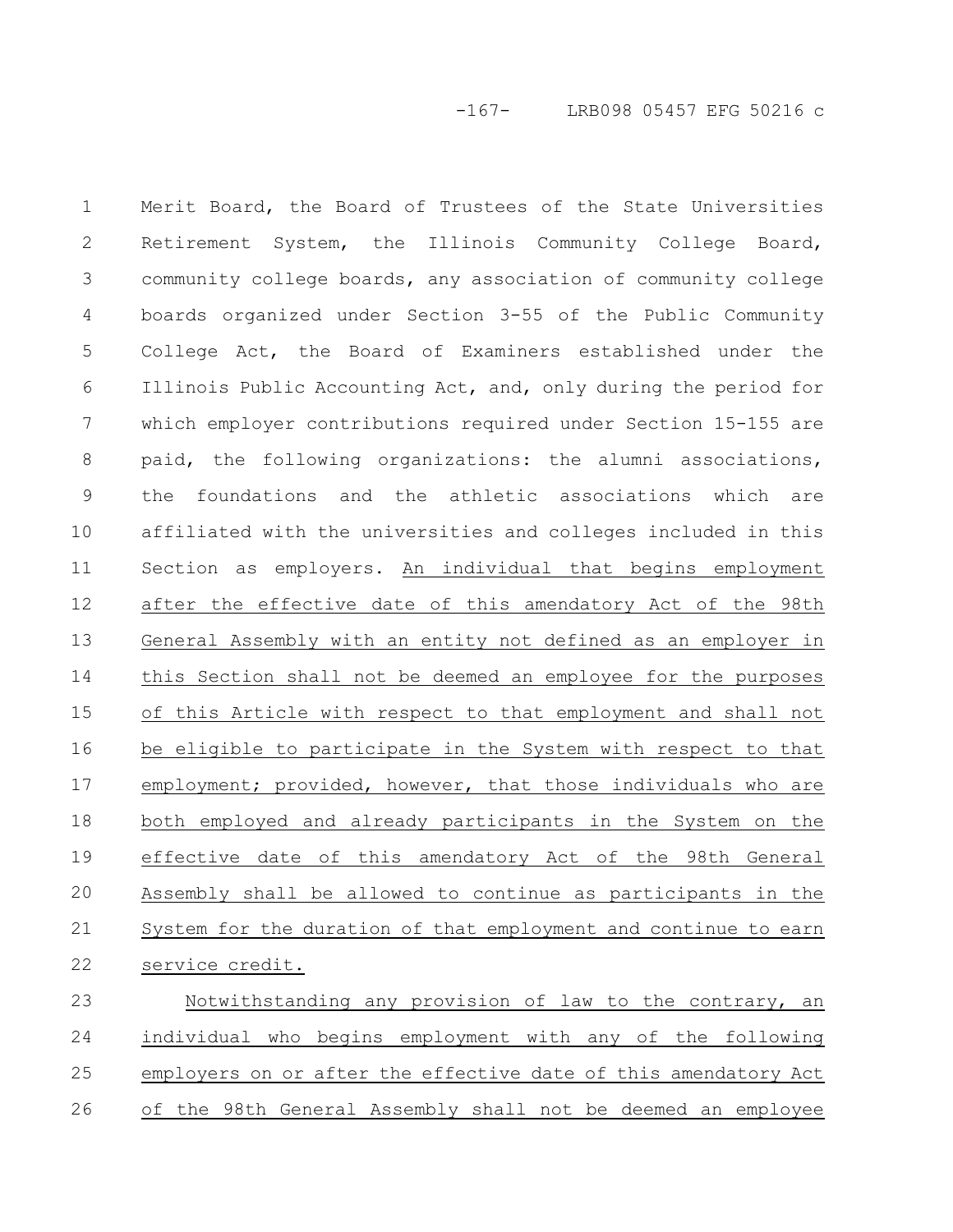-167- LRB098 05457 EFG 50216 c

Merit Board, the Board of Trustees of the State Universities Retirement System, the Illinois Community College Board, community college boards, any association of community college boards organized under Section 3-55 of the Public Community College Act, the Board of Examiners established under the Illinois Public Accounting Act, and, only during the period for which employer contributions required under Section 15-155 are paid, the following organizations: the alumni associations, the foundations and the athletic associations which are affiliated with the universities and colleges included in this Section as employers. An individual that begins employment after the effective date of this amendatory Act of the 98th General Assembly with an entity not defined as an employer in this Section shall not be deemed an employee for the purposes of this Article with respect to that employment and shall not be eligible to participate in the System with respect to that employment; provided, however, that those individuals who are both employed and already participants in the System on the effective date of this amendatory Act of the 98th General Assembly shall be allowed to continue as participants in the System for the duration of that employment and continue to earn service credit. 1 2 3 4 5 6 7 8 9 10 11 12 13 14 15 16 17 18 19 20 21 22

Notwithstanding any provision of law to the contrary, an individual who begins employment with any of the following employers on or after the effective date of this amendatory Act of the 98th General Assembly shall not be deemed an employee 23 24 25 26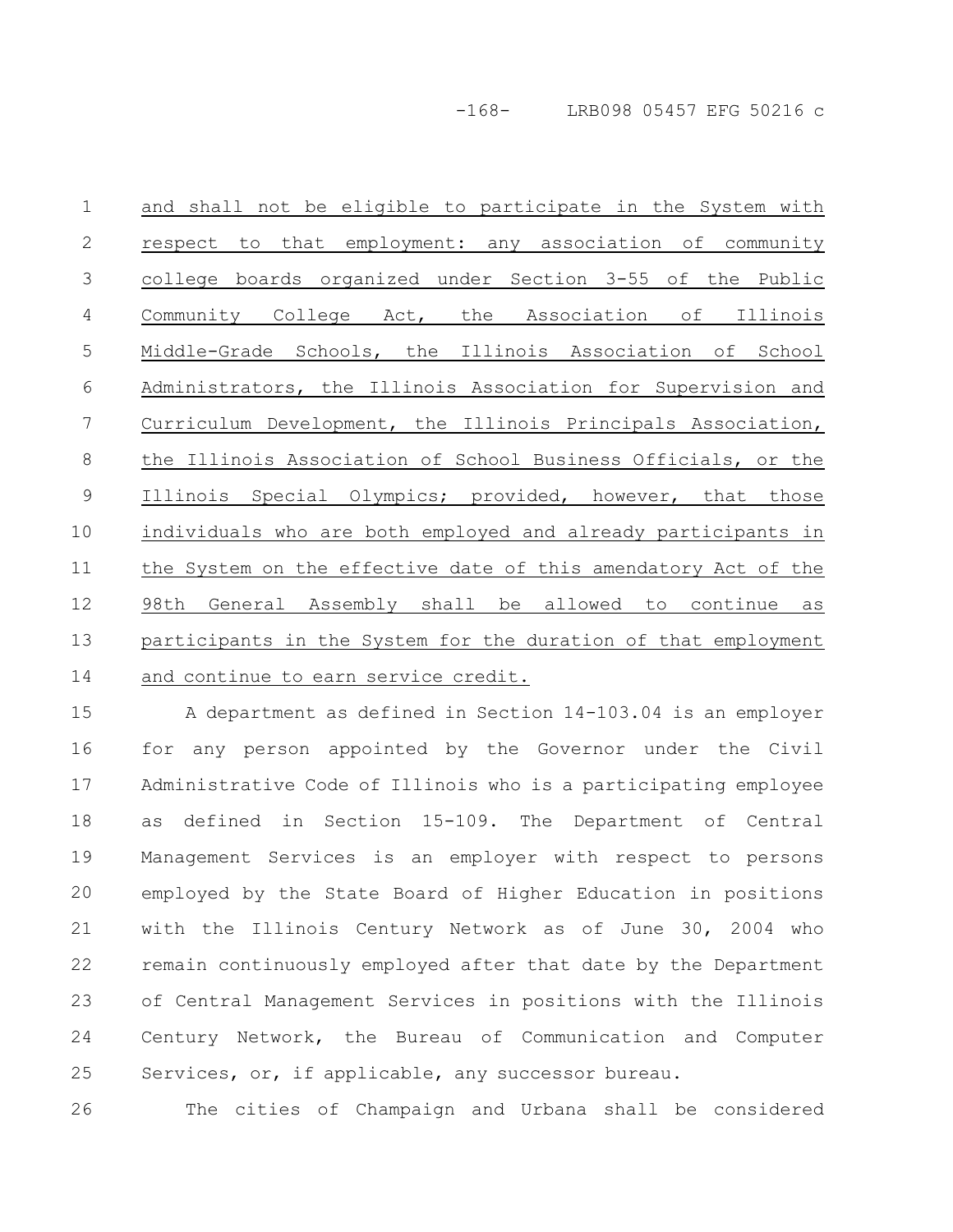and shall not be eligible to participate in the System with respect to that employment: any association of community college boards organized under Section 3-55 of the Public Community College Act, the Association of Illinois Middle-Grade Schools, the Illinois Association of School Administrators, the Illinois Association for Supervision and Curriculum Development, the Illinois Principals Association, the Illinois Association of School Business Officials, or the Illinois Special Olympics; provided, however, that those individuals who are both employed and already participants in the System on the effective date of this amendatory Act of the 98th General Assembly shall be allowed to continue as participants in the System for the duration of that employment and continue to earn service credit. 1 2 3 4 5 6 7 8 9 10 11 12 13 14

A department as defined in Section 14-103.04 is an employer for any person appointed by the Governor under the Civil Administrative Code of Illinois who is a participating employee as defined in Section 15-109. The Department of Central Management Services is an employer with respect to persons employed by the State Board of Higher Education in positions with the Illinois Century Network as of June 30, 2004 who remain continuously employed after that date by the Department of Central Management Services in positions with the Illinois Century Network, the Bureau of Communication and Computer Services, or, if applicable, any successor bureau. 15 16 17 18 19 20 21 22 23 24 25

The cities of Champaign and Urbana shall be considered 26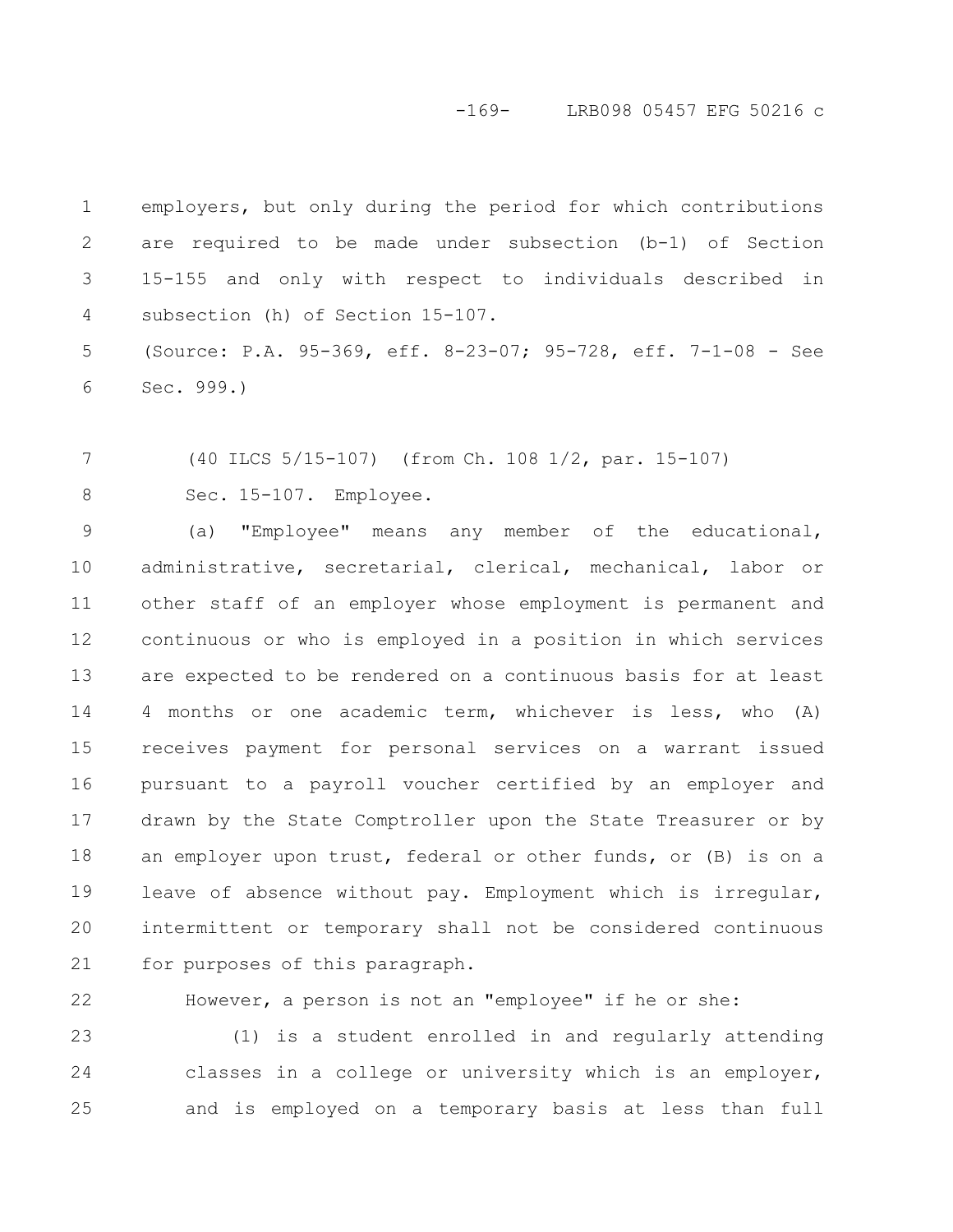#### -169- LRB098 05457 EFG 50216 c

employers, but only during the period for which contributions are required to be made under subsection (b-1) of Section 15-155 and only with respect to individuals described in subsection (h) of Section 15-107. 1 2 3 4

(Source: P.A. 95-369, eff. 8-23-07; 95-728, eff. 7-1-08 - See Sec. 999.) 5 6

(40 ILCS 5/15-107) (from Ch. 108 1/2, par. 15-107) Sec. 15-107. Employee. 7 8

(a) "Employee" means any member of the educational, administrative, secretarial, clerical, mechanical, labor or other staff of an employer whose employment is permanent and continuous or who is employed in a position in which services are expected to be rendered on a continuous basis for at least 4 months or one academic term, whichever is less, who (A) receives payment for personal services on a warrant issued pursuant to a payroll voucher certified by an employer and drawn by the State Comptroller upon the State Treasurer or by an employer upon trust, federal or other funds, or (B) is on a leave of absence without pay. Employment which is irregular, intermittent or temporary shall not be considered continuous for purposes of this paragraph. 9 10 11 12 13 14 15 16 17 18 19 20 21

However, a person is not an "employee" if he or she: 22

(1) is a student enrolled in and regularly attending classes in a college or university which is an employer, and is employed on a temporary basis at less than full 23 24 25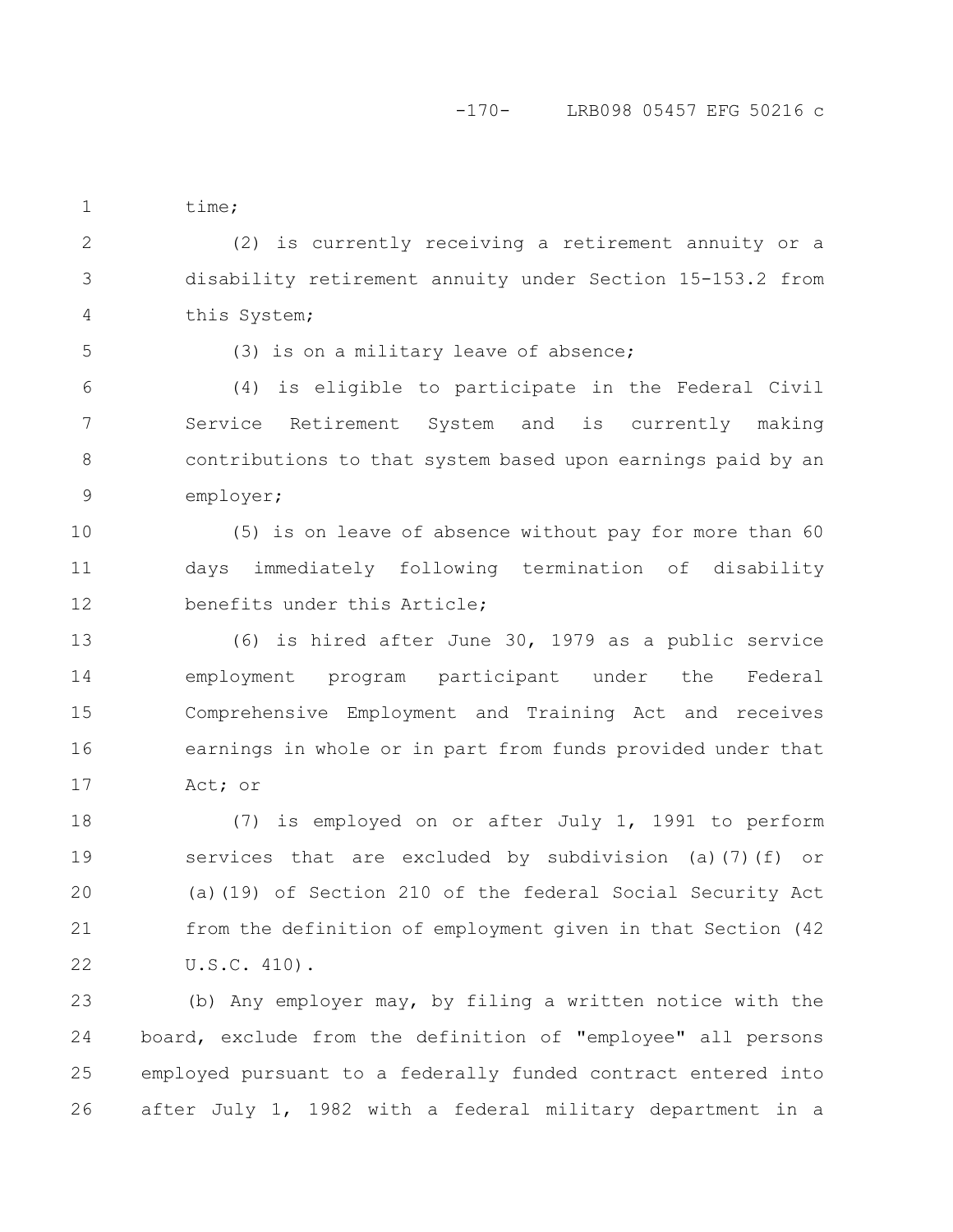### -170- LRB098 05457 EFG 50216 c

time; 1

(2) is currently receiving a retirement annuity or a disability retirement annuity under Section 15-153.2 from this System; 2 3 4

5

(3) is on a military leave of absence;

(4) is eligible to participate in the Federal Civil Service Retirement System and is currently making contributions to that system based upon earnings paid by an employer; 6 7 8 9

(5) is on leave of absence without pay for more than 60 days immediately following termination of disability benefits under this Article; 10 11 12

(6) is hired after June 30, 1979 as a public service employment program participant under the Federal Comprehensive Employment and Training Act and receives earnings in whole or in part from funds provided under that Act; or 13 14 15 16 17

(7) is employed on or after July 1, 1991 to perform services that are excluded by subdivision (a)(7)(f) or (a)(19) of Section 210 of the federal Social Security Act from the definition of employment given in that Section (42 U.S.C. 410). 18 19 20 21 22

(b) Any employer may, by filing a written notice with the board, exclude from the definition of "employee" all persons employed pursuant to a federally funded contract entered into after July 1, 1982 with a federal military department in a 23 24 25 26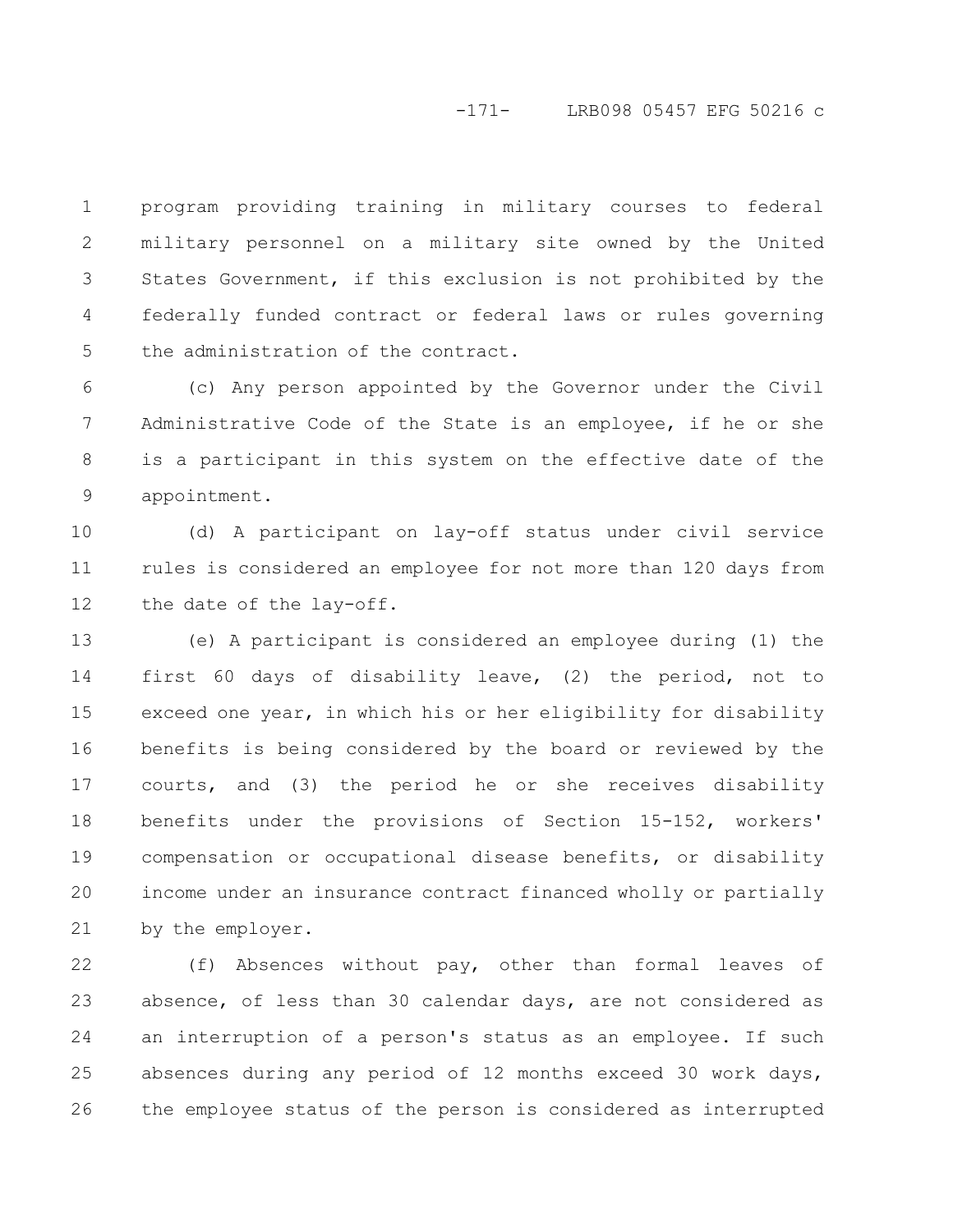#### -171- LRB098 05457 EFG 50216 c

program providing training in military courses to federal military personnel on a military site owned by the United States Government, if this exclusion is not prohibited by the federally funded contract or federal laws or rules governing the administration of the contract. 1 2 3 4 5

(c) Any person appointed by the Governor under the Civil Administrative Code of the State is an employee, if he or she is a participant in this system on the effective date of the appointment. 6 7 8 9

(d) A participant on lay-off status under civil service rules is considered an employee for not more than 120 days from the date of the lay-off. 10 11 12

(e) A participant is considered an employee during (1) the first 60 days of disability leave, (2) the period, not to exceed one year, in which his or her eligibility for disability benefits is being considered by the board or reviewed by the courts, and (3) the period he or she receives disability benefits under the provisions of Section 15-152, workers' compensation or occupational disease benefits, or disability income under an insurance contract financed wholly or partially by the employer. 13 14 15 16 17 18 19 20 21

(f) Absences without pay, other than formal leaves of absence, of less than 30 calendar days, are not considered as an interruption of a person's status as an employee. If such absences during any period of 12 months exceed 30 work days, the employee status of the person is considered as interrupted 22 23 24 25 26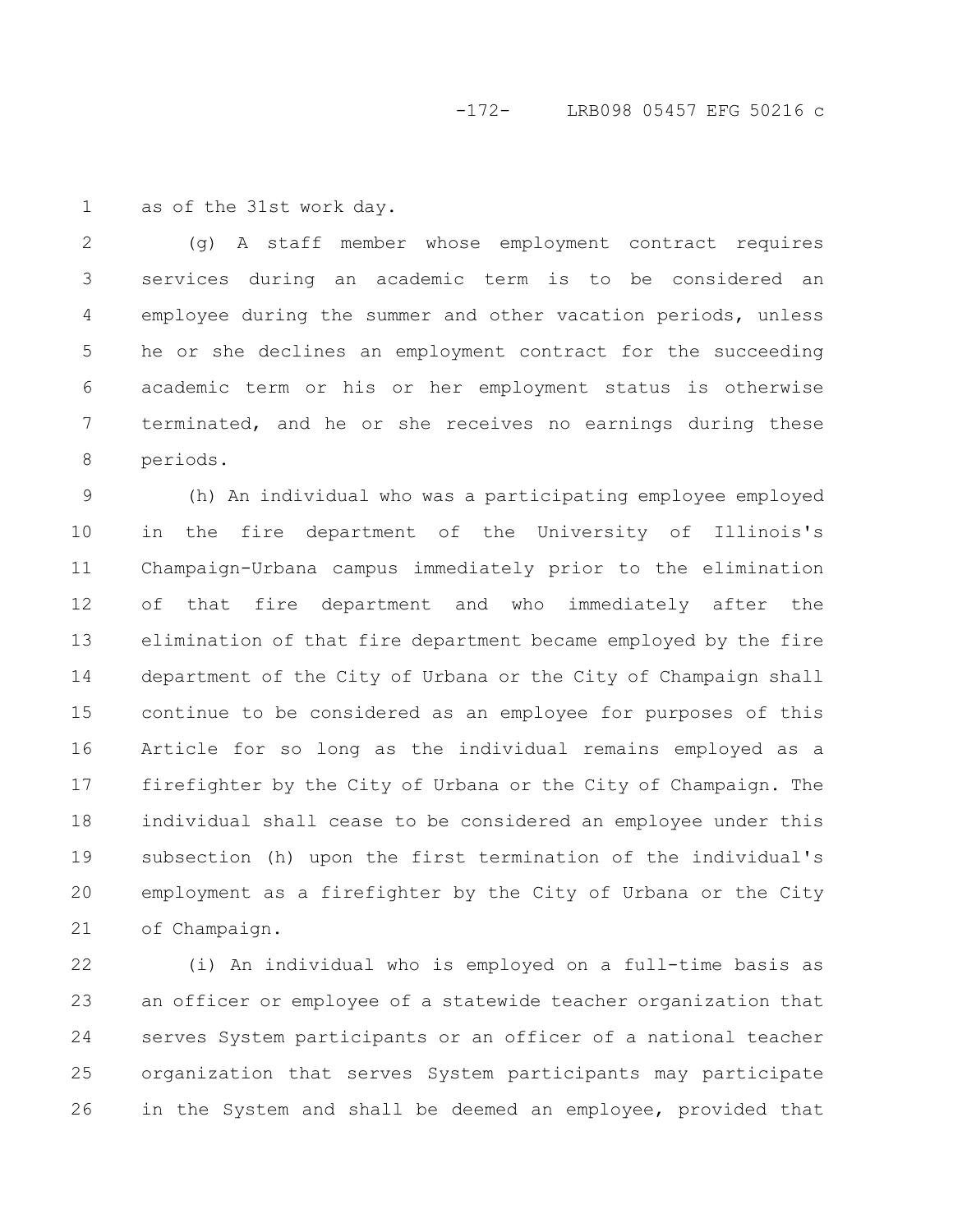as of the 31st work day. 1

(g) A staff member whose employment contract requires services during an academic term is to be considered an employee during the summer and other vacation periods, unless he or she declines an employment contract for the succeeding academic term or his or her employment status is otherwise terminated, and he or she receives no earnings during these periods. 2 3 4 5 6 7 8

(h) An individual who was a participating employee employed in the fire department of the University of Illinois's Champaign-Urbana campus immediately prior to the elimination of that fire department and who immediately after the elimination of that fire department became employed by the fire department of the City of Urbana or the City of Champaign shall continue to be considered as an employee for purposes of this Article for so long as the individual remains employed as a firefighter by the City of Urbana or the City of Champaign. The individual shall cease to be considered an employee under this subsection (h) upon the first termination of the individual's employment as a firefighter by the City of Urbana or the City of Champaign. 9 10 11 12 13 14 15 16 17 18 19 20 21

(i) An individual who is employed on a full-time basis as an officer or employee of a statewide teacher organization that serves System participants or an officer of a national teacher organization that serves System participants may participate in the System and shall be deemed an employee, provided that 22 23 24 25 26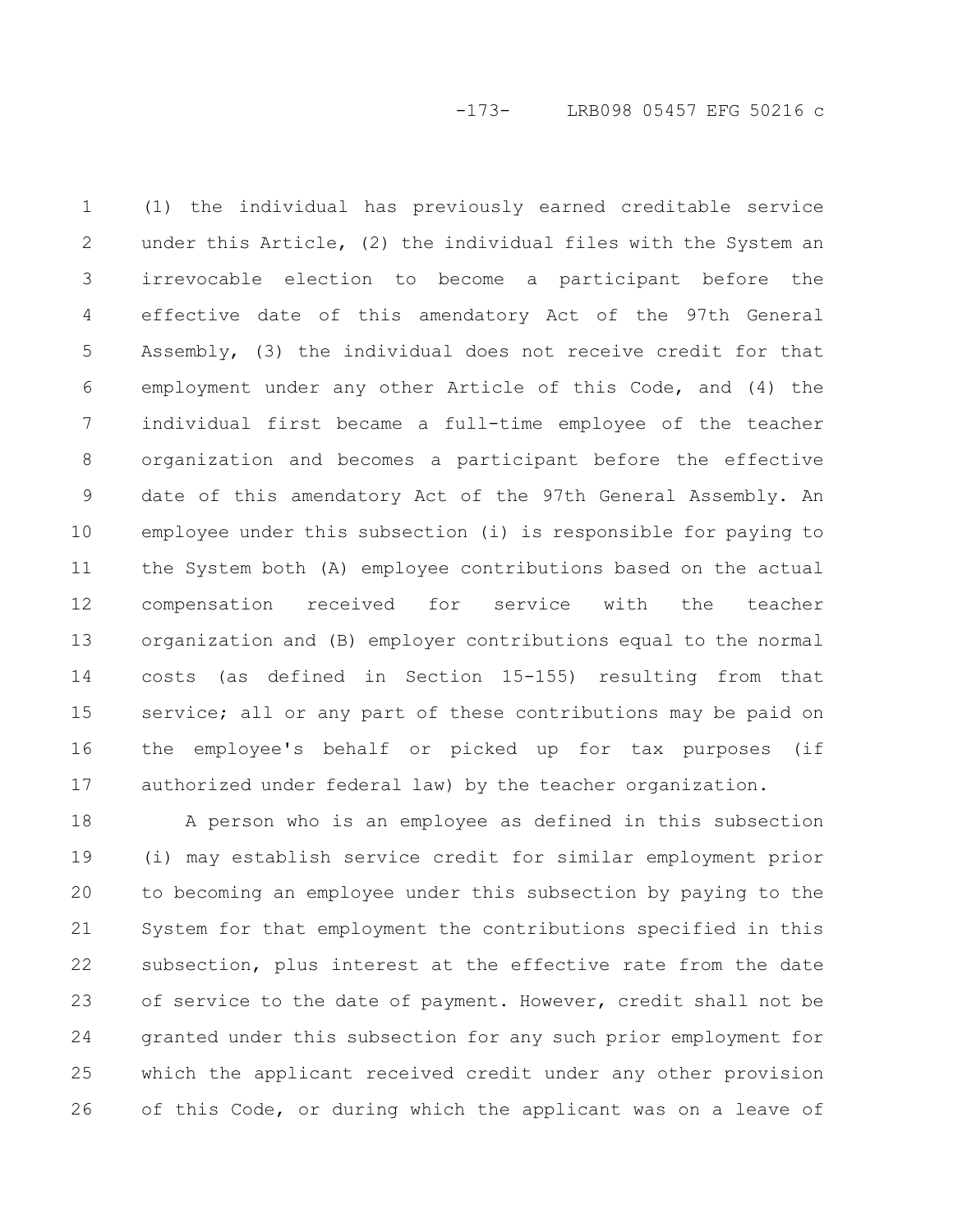(1) the individual has previously earned creditable service under this Article, (2) the individual files with the System an irrevocable election to become a participant before the effective date of this amendatory Act of the 97th General Assembly, (3) the individual does not receive credit for that employment under any other Article of this Code, and (4) the individual first became a full-time employee of the teacher organization and becomes a participant before the effective date of this amendatory Act of the 97th General Assembly. An employee under this subsection (i) is responsible for paying to the System both (A) employee contributions based on the actual compensation received for service with the teacher organization and (B) employer contributions equal to the normal costs (as defined in Section 15-155) resulting from that service; all or any part of these contributions may be paid on the employee's behalf or picked up for tax purposes (if authorized under federal law) by the teacher organization. 1 2 3 4 5 6 7 8 9 10 11 12 13 14 15 16 17

A person who is an employee as defined in this subsection (i) may establish service credit for similar employment prior to becoming an employee under this subsection by paying to the System for that employment the contributions specified in this subsection, plus interest at the effective rate from the date of service to the date of payment. However, credit shall not be granted under this subsection for any such prior employment for which the applicant received credit under any other provision of this Code, or during which the applicant was on a leave of 18 19 20 21 22 23 24 25 26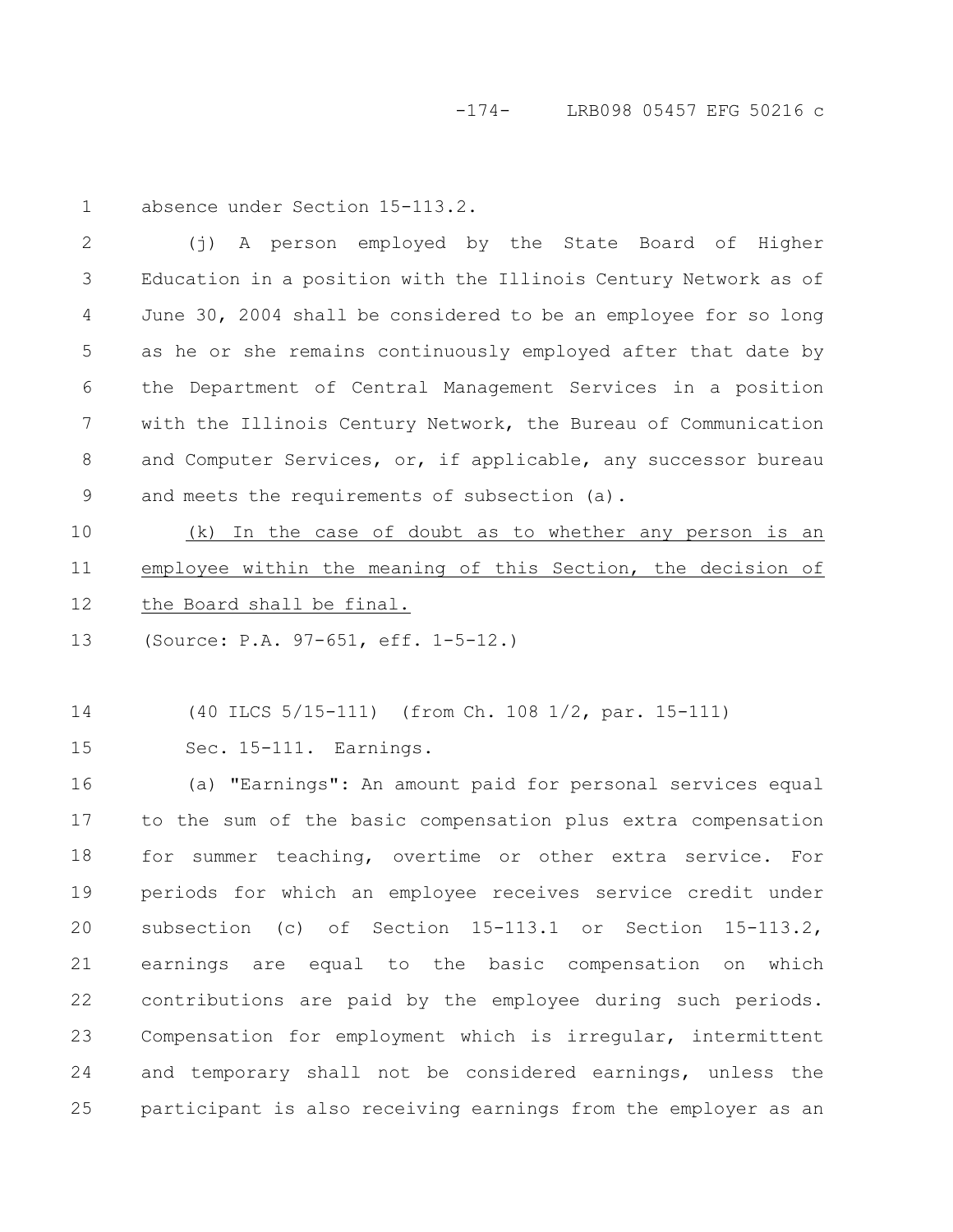-174- LRB098 05457 EFG 50216 c

1

absence under Section 15-113.2.

(j) A person employed by the State Board of Higher Education in a position with the Illinois Century Network as of June 30, 2004 shall be considered to be an employee for so long as he or she remains continuously employed after that date by the Department of Central Management Services in a position with the Illinois Century Network, the Bureau of Communication and Computer Services, or, if applicable, any successor bureau and meets the requirements of subsection (a). 2 3 4 5 6 7 8 9

(k) In the case of doubt as to whether any person is an employee within the meaning of this Section, the decision of the Board shall be final. 10 11 12

(Source: P.A. 97-651, eff. 1-5-12.) 13

(40 ILCS 5/15-111) (from Ch. 108 1/2, par. 15-111) 14

Sec. 15-111. Earnings. 15

(a) "Earnings": An amount paid for personal services equal to the sum of the basic compensation plus extra compensation for summer teaching, overtime or other extra service. For periods for which an employee receives service credit under subsection (c) of Section 15-113.1 or Section 15-113.2, earnings are equal to the basic compensation on which contributions are paid by the employee during such periods. Compensation for employment which is irregular, intermittent and temporary shall not be considered earnings, unless the participant is also receiving earnings from the employer as an 16 17 18 19 20 21 22 23 24 25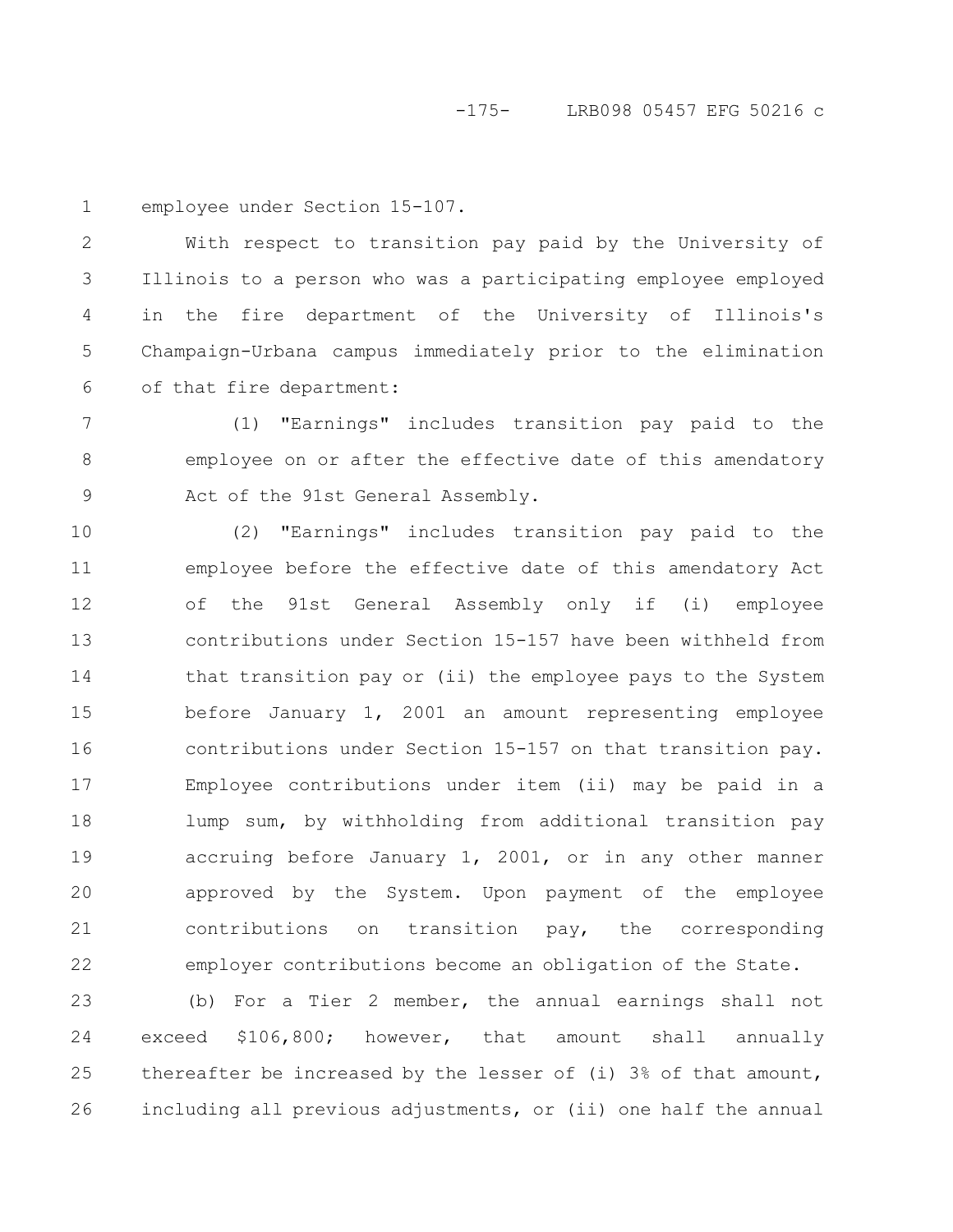employee under Section 15-107. 1

With respect to transition pay paid by the University of Illinois to a person who was a participating employee employed in the fire department of the University of Illinois's Champaign-Urbana campus immediately prior to the elimination of that fire department: 2 3 4 5 6

(1) "Earnings" includes transition pay paid to the employee on or after the effective date of this amendatory Act of the 91st General Assembly. 7 8 9

(2) "Earnings" includes transition pay paid to the employee before the effective date of this amendatory Act of the 91st General Assembly only if (i) employee contributions under Section 15-157 have been withheld from that transition pay or (ii) the employee pays to the System before January 1, 2001 an amount representing employee contributions under Section 15-157 on that transition pay. Employee contributions under item (ii) may be paid in a lump sum, by withholding from additional transition pay accruing before January 1, 2001, or in any other manner approved by the System. Upon payment of the employee contributions on transition pay, the corresponding employer contributions become an obligation of the State. 10 11 12 13 14 15 16 17 18 19 20 21 22

(b) For a Tier 2 member, the annual earnings shall not exceed \$106,800; however, that amount shall annually thereafter be increased by the lesser of (i) 3% of that amount, including all previous adjustments, or (ii) one half the annual 23 24 25 26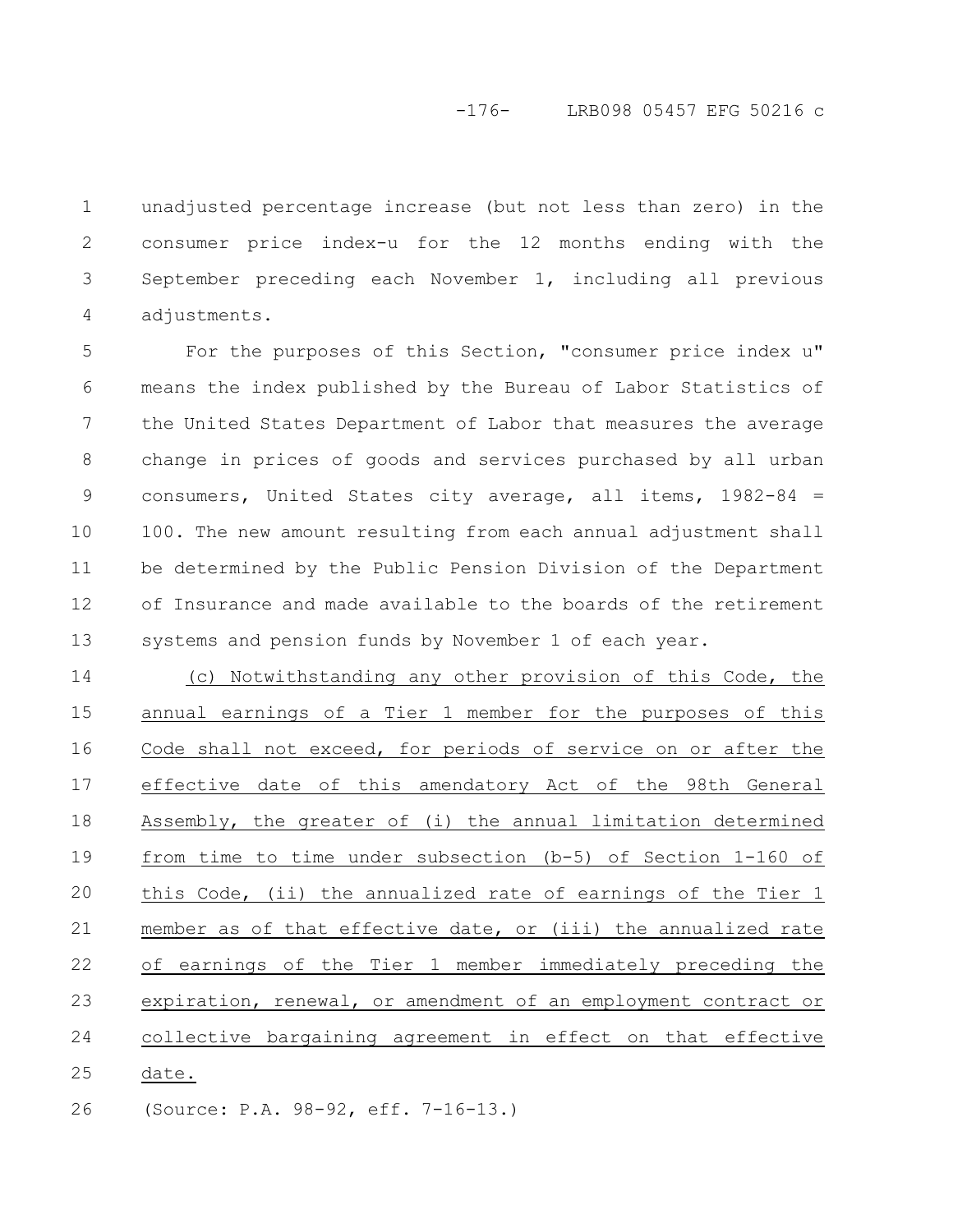# -176- LRB098 05457 EFG 50216 c

unadjusted percentage increase (but not less than zero) in the consumer price index-u for the 12 months ending with the September preceding each November 1, including all previous adjustments. 1 2 3 4

For the purposes of this Section, "consumer price index u" means the index published by the Bureau of Labor Statistics of the United States Department of Labor that measures the average change in prices of goods and services purchased by all urban consumers, United States city average, all items, 1982-84 = 100. The new amount resulting from each annual adjustment shall be determined by the Public Pension Division of the Department of Insurance and made available to the boards of the retirement systems and pension funds by November 1 of each year. 5 6 7 8 9 10 11 12 13

(c) Notwithstanding any other provision of this Code, the annual earnings of a Tier 1 member for the purposes of this Code shall not exceed, for periods of service on or after the effective date of this amendatory Act of the 98th General Assembly, the greater of (i) the annual limitation determined from time to time under subsection (b-5) of Section 1-160 of this Code, (ii) the annualized rate of earnings of the Tier 1 member as of that effective date, or (iii) the annualized rate of earnings of the Tier 1 member immediately preceding the expiration, renewal, or amendment of an employment contract or collective bargaining agreement in effect on that effective date. 14 15 16 17 18 19 20 21 22 23 24 25

(Source: P.A. 98-92, eff. 7-16-13.) 26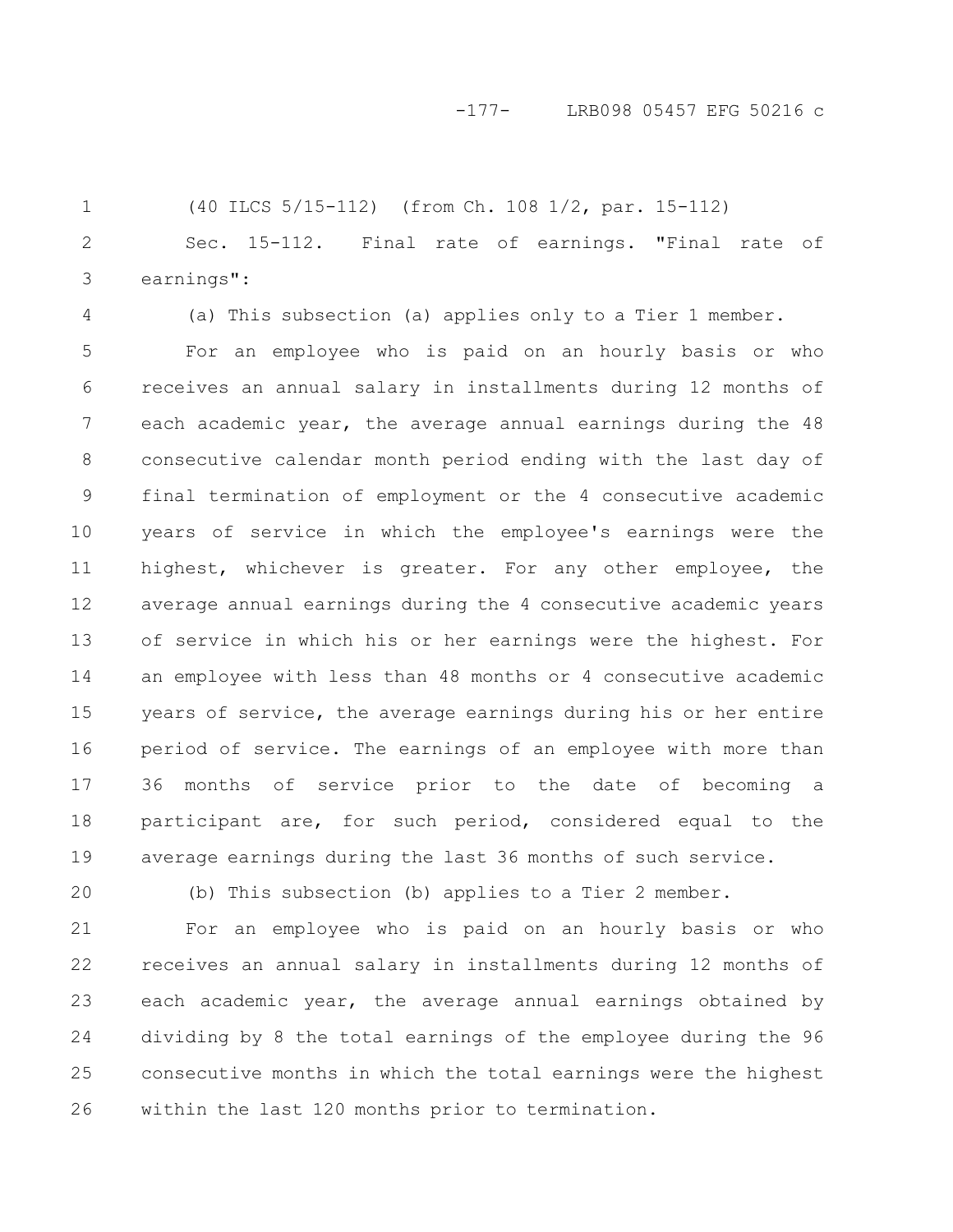### -177- LRB098 05457 EFG 50216 c

(40 ILCS 5/15-112) (from Ch. 108 1/2, par. 15-112) Sec. 15-112. Final rate of earnings. "Final rate of earnings": 1 2 3

(a) This subsection (a) applies only to a Tier 1 member.

For an employee who is paid on an hourly basis or who receives an annual salary in installments during 12 months of each academic year, the average annual earnings during the 48 consecutive calendar month period ending with the last day of final termination of employment or the 4 consecutive academic years of service in which the employee's earnings were the highest, whichever is greater. For any other employee, the average annual earnings during the 4 consecutive academic years of service in which his or her earnings were the highest. For an employee with less than 48 months or 4 consecutive academic years of service, the average earnings during his or her entire period of service. The earnings of an employee with more than 36 months of service prior to the date of becoming a participant are, for such period, considered equal to the average earnings during the last 36 months of such service. 5 6 7 8 9 10 11 12 13 14 15 16 17 18 19

20

4

(b) This subsection (b) applies to a Tier 2 member.

For an employee who is paid on an hourly basis or who receives an annual salary in installments during 12 months of each academic year, the average annual earnings obtained by dividing by 8 the total earnings of the employee during the 96 consecutive months in which the total earnings were the highest within the last 120 months prior to termination. 21 22 23 24 25 26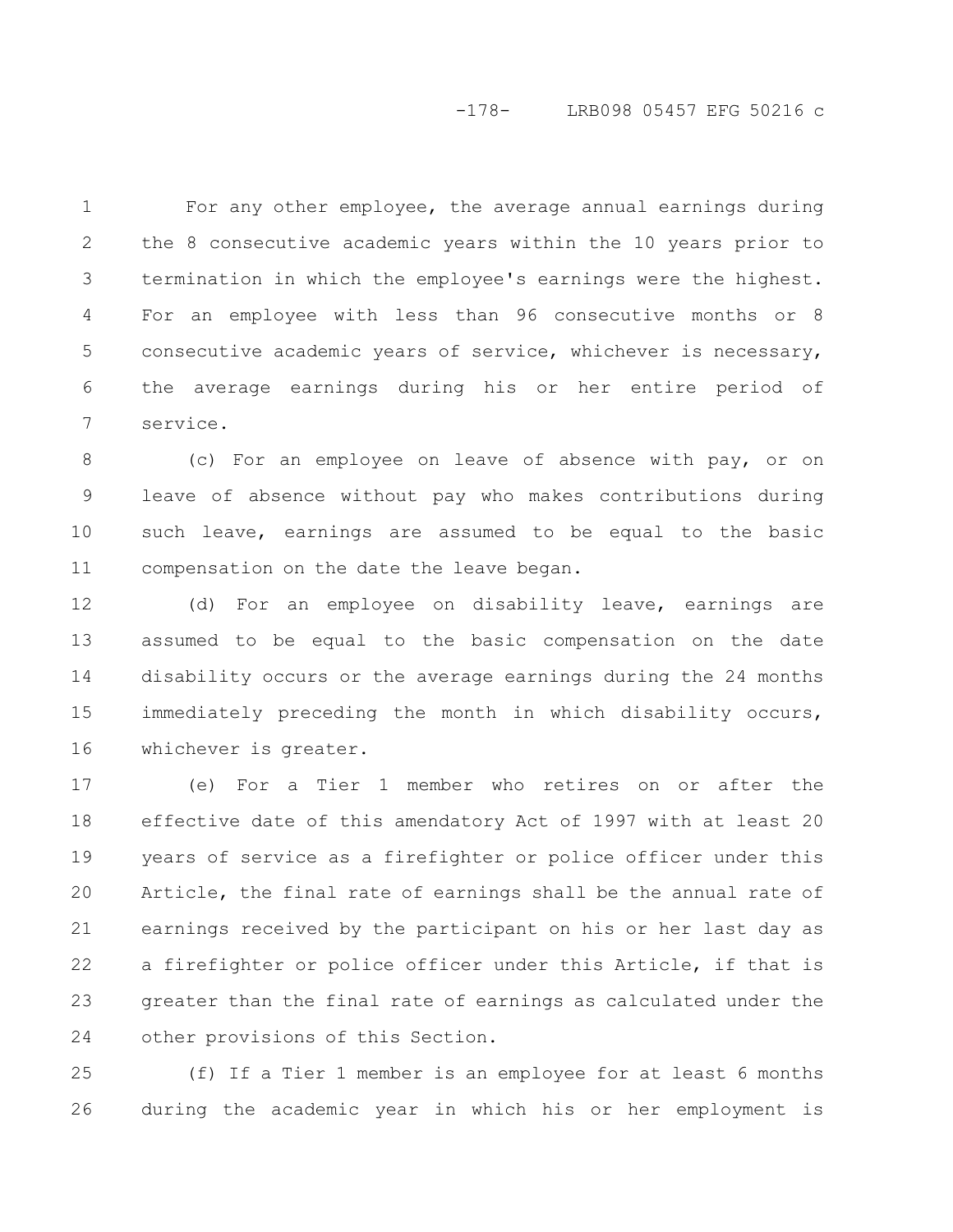### -178- LRB098 05457 EFG 50216 c

For any other employee, the average annual earnings during the 8 consecutive academic years within the 10 years prior to termination in which the employee's earnings were the highest. For an employee with less than 96 consecutive months or 8 consecutive academic years of service, whichever is necessary, the average earnings during his or her entire period of service. 1 2 3 4 5 6 7

(c) For an employee on leave of absence with pay, or on leave of absence without pay who makes contributions during such leave, earnings are assumed to be equal to the basic compensation on the date the leave began. 8 9 10 11

(d) For an employee on disability leave, earnings are assumed to be equal to the basic compensation on the date disability occurs or the average earnings during the 24 months immediately preceding the month in which disability occurs, whichever is greater. 12 13 14 15 16

(e) For a Tier 1 member who retires on or after the effective date of this amendatory Act of 1997 with at least 20 years of service as a firefighter or police officer under this Article, the final rate of earnings shall be the annual rate of earnings received by the participant on his or her last day as a firefighter or police officer under this Article, if that is greater than the final rate of earnings as calculated under the other provisions of this Section. 17 18 19 20 21 22 23 24

(f) If a Tier 1 member is an employee for at least 6 months during the academic year in which his or her employment is 25 26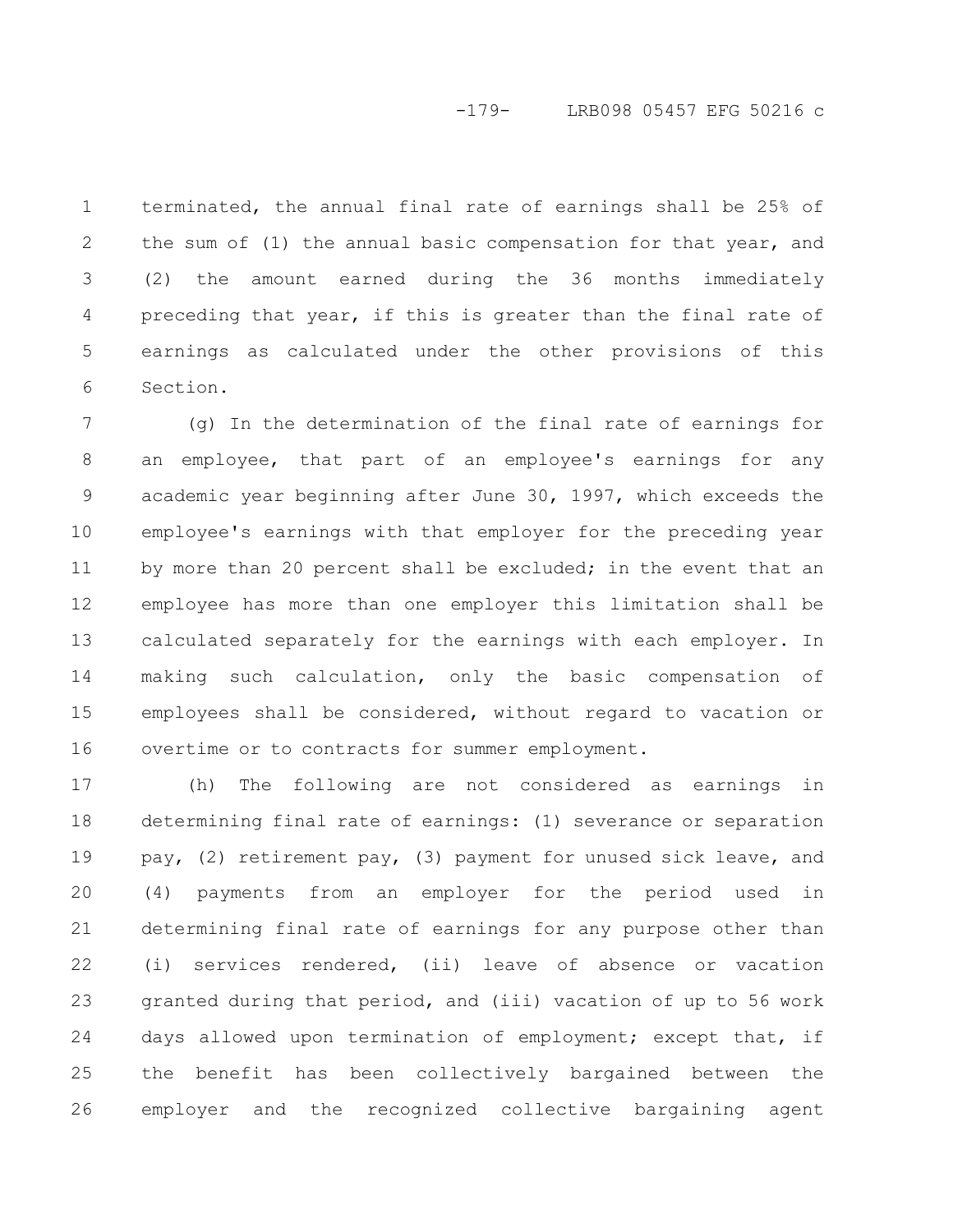# -179- LRB098 05457 EFG 50216 c

terminated, the annual final rate of earnings shall be 25% of the sum of (1) the annual basic compensation for that year, and (2) the amount earned during the 36 months immediately preceding that year, if this is greater than the final rate of earnings as calculated under the other provisions of this Section. 1 2 3 4 5 6

(g) In the determination of the final rate of earnings for an employee, that part of an employee's earnings for any academic year beginning after June 30, 1997, which exceeds the employee's earnings with that employer for the preceding year by more than 20 percent shall be excluded; in the event that an employee has more than one employer this limitation shall be calculated separately for the earnings with each employer. In making such calculation, only the basic compensation of employees shall be considered, without regard to vacation or overtime or to contracts for summer employment. 7 8 9 10 11 12 13 14 15 16

(h) The following are not considered as earnings in determining final rate of earnings: (1) severance or separation pay, (2) retirement pay, (3) payment for unused sick leave, and (4) payments from an employer for the period used in determining final rate of earnings for any purpose other than (i) services rendered, (ii) leave of absence or vacation granted during that period, and (iii) vacation of up to 56 work days allowed upon termination of employment; except that, if the benefit has been collectively bargained between the employer and the recognized collective bargaining agent 17 18 19 20 21 22 23 24 25 26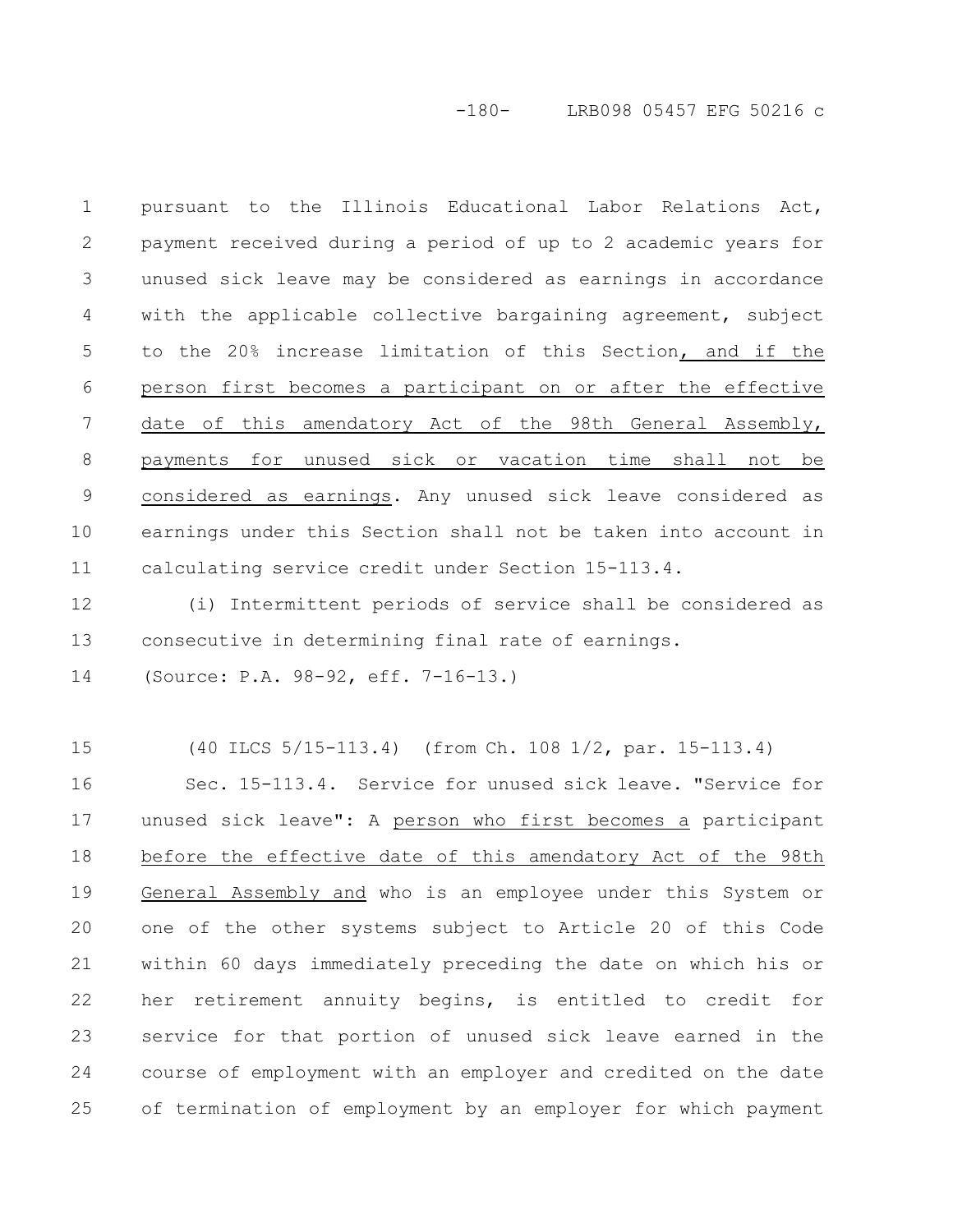-180- LRB098 05457 EFG 50216 c

pursuant to the Illinois Educational Labor Relations Act, payment received during a period of up to 2 academic years for unused sick leave may be considered as earnings in accordance with the applicable collective bargaining agreement, subject to the 20% increase limitation of this Section, and if the person first becomes a participant on or after the effective date of this amendatory Act of the 98th General Assembly, payments for unused sick or vacation time shall not be considered as earnings. Any unused sick leave considered as earnings under this Section shall not be taken into account in calculating service credit under Section 15-113.4. 1 2 3 4 5 6 7 8 9 10 11

(i) Intermittent periods of service shall be considered as consecutive in determining final rate of earnings. 12 13

(Source: P.A. 98-92, eff. 7-16-13.) 14

(40 ILCS 5/15-113.4) (from Ch. 108 1/2, par. 15-113.4) 15

Sec. 15-113.4. Service for unused sick leave. "Service for unused sick leave": A person who first becomes a participant before the effective date of this amendatory Act of the 98th General Assembly and who is an employee under this System or one of the other systems subject to Article 20 of this Code within 60 days immediately preceding the date on which his or her retirement annuity begins, is entitled to credit for service for that portion of unused sick leave earned in the course of employment with an employer and credited on the date of termination of employment by an employer for which payment 16 17 18 19 20 21 22 23 24 25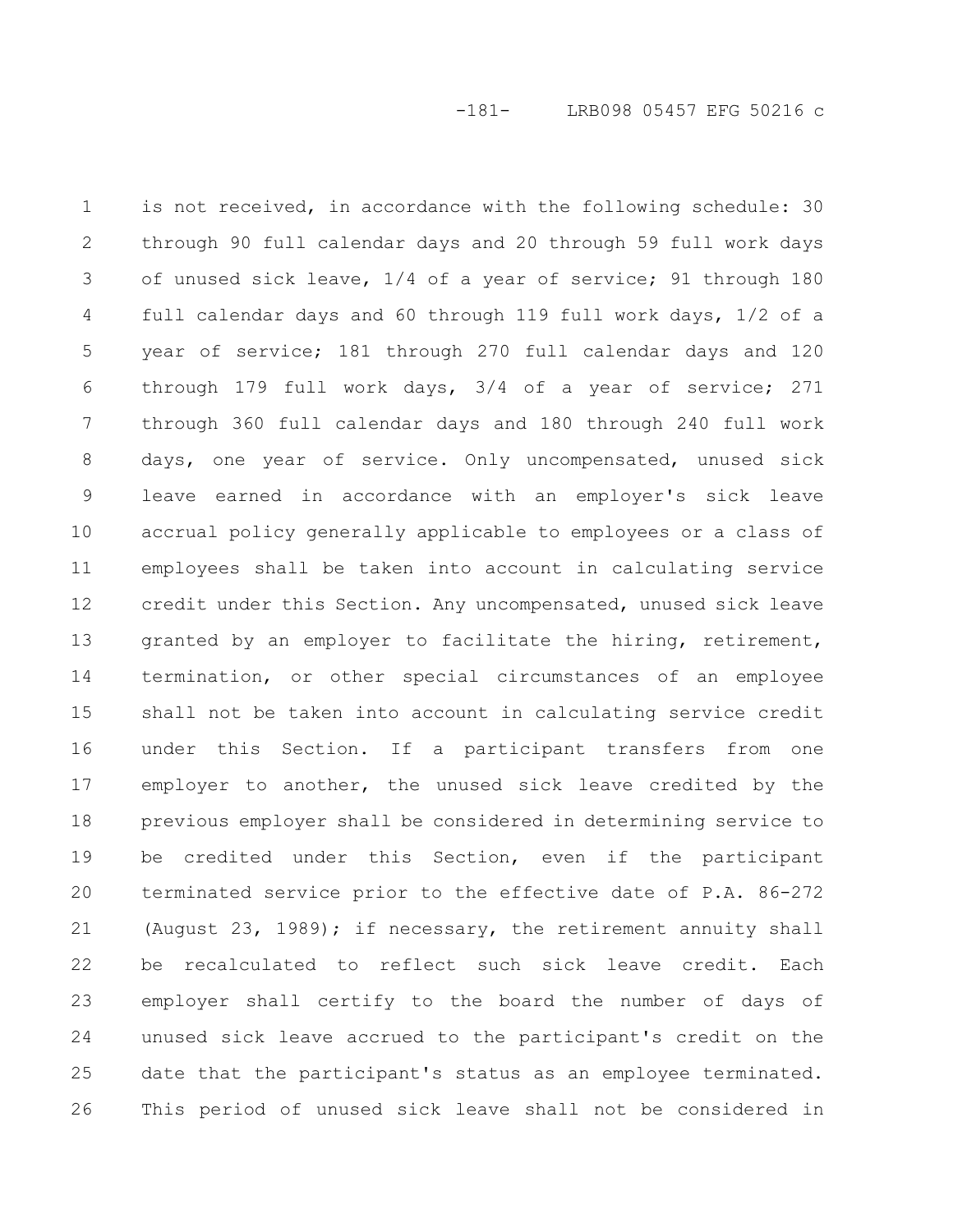is not received, in accordance with the following schedule: 30 through 90 full calendar days and 20 through 59 full work days of unused sick leave, 1/4 of a year of service; 91 through 180 full calendar days and 60 through 119 full work days, 1/2 of a year of service; 181 through 270 full calendar days and 120 through 179 full work days, 3/4 of a year of service; 271 through 360 full calendar days and 180 through 240 full work days, one year of service. Only uncompensated, unused sick leave earned in accordance with an employer's sick leave accrual policy generally applicable to employees or a class of employees shall be taken into account in calculating service credit under this Section. Any uncompensated, unused sick leave granted by an employer to facilitate the hiring, retirement, termination, or other special circumstances of an employee shall not be taken into account in calculating service credit under this Section. If a participant transfers from one employer to another, the unused sick leave credited by the previous employer shall be considered in determining service to be credited under this Section, even if the participant terminated service prior to the effective date of P.A. 86-272 (August 23, 1989); if necessary, the retirement annuity shall be recalculated to reflect such sick leave credit. Each employer shall certify to the board the number of days of unused sick leave accrued to the participant's credit on the date that the participant's status as an employee terminated. This period of unused sick leave shall not be considered in 1 2 3 4 5 6 7 8 9 10 11 12 13 14 15 16 17 18 19 20 21 22 23 24 25 26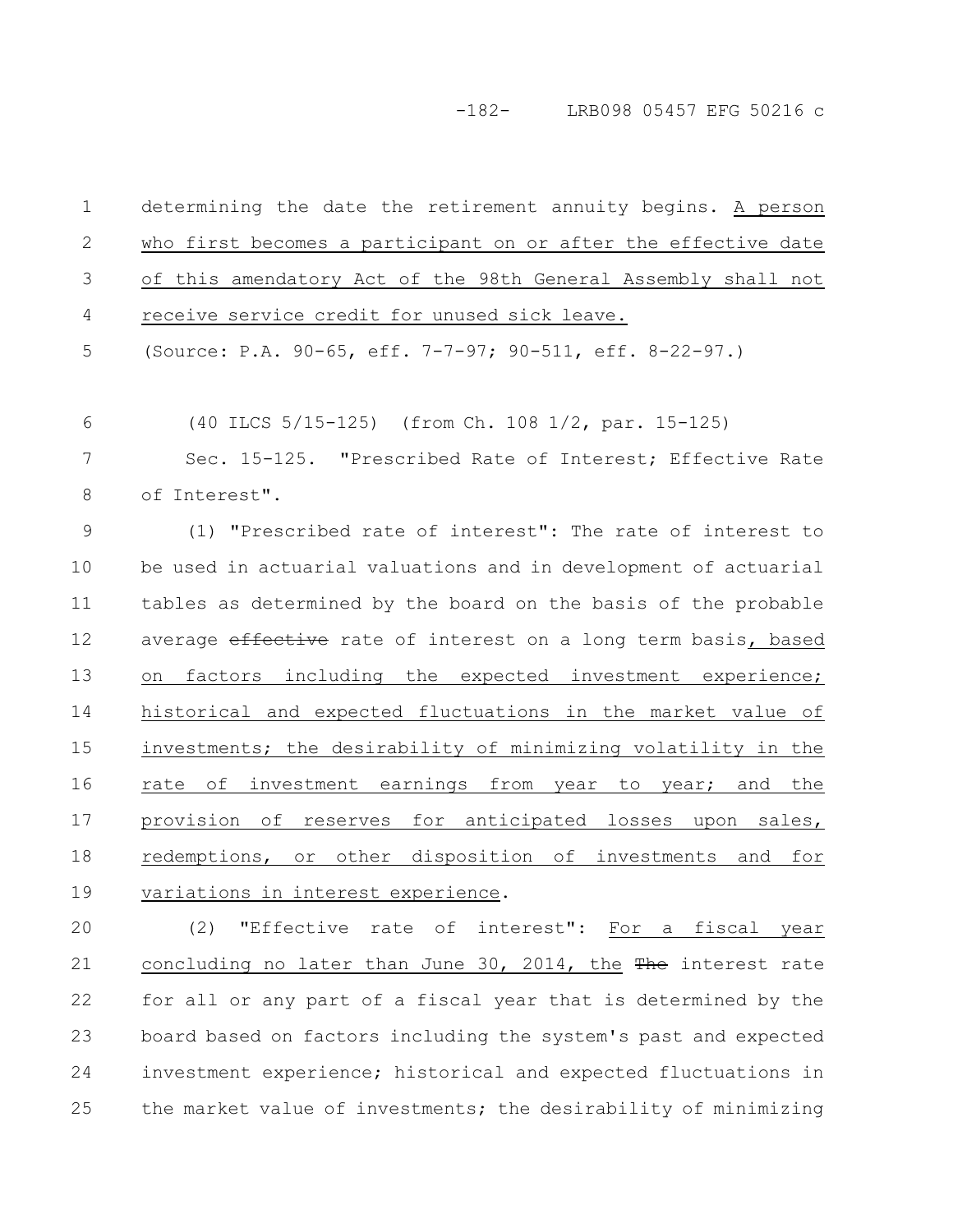# -182- LRB098 05457 EFG 50216 c

| 1             | determining the date the retirement annuity begins. A person    |
|---------------|-----------------------------------------------------------------|
| $\mathbf{2}$  | who first becomes a participant on or after the effective date  |
| 3             | of this amendatory Act of the 98th General Assembly shall not   |
| 4             | receive service credit for unused sick leave.                   |
| 5             | (Source: P.A. 90-65, eff. 7-7-97; 90-511, eff. 8-22-97.)        |
| 6             | (40 ILCS 5/15-125) (from Ch. 108 1/2, par. 15-125)              |
| 7             | Sec. 15-125. "Prescribed Rate of Interest; Effective Rate       |
| $8\,$         | of Interest".                                                   |
| $\mathcal{G}$ | (1) "Prescribed rate of interest": The rate of interest to      |
| 10            | be used in actuarial valuations and in development of actuarial |
| 11            | tables as determined by the board on the basis of the probable  |
| 12            | average effective rate of interest on a long term basis, based  |
| 13            | factors including the expected investment experience;<br>on     |
| 14            | historical and expected fluctuations in the market value of     |
| 15            | investments; the desirability of minimizing volatility in the   |
| 16            | rate of investment earnings from year to year; and the          |
| 17            | provision of reserves for anticipated losses upon sales,        |
| 18            | redemptions, or other disposition of investments and for        |
| 19            | variations in interest experience.                              |
| 20            | "Effective rate of interest": For a fiscal year<br>(2)          |
| 21            | concluding no later than June 30, 2014, the The interest rate   |
| 22            | for all or any part of a fiscal year that is determined by the  |
| 23            | board based on factors including the system's past and expected |
| 24            | investment experience; historical and expected fluctuations in  |
| 25            | the market value of investments; the desirability of minimizing |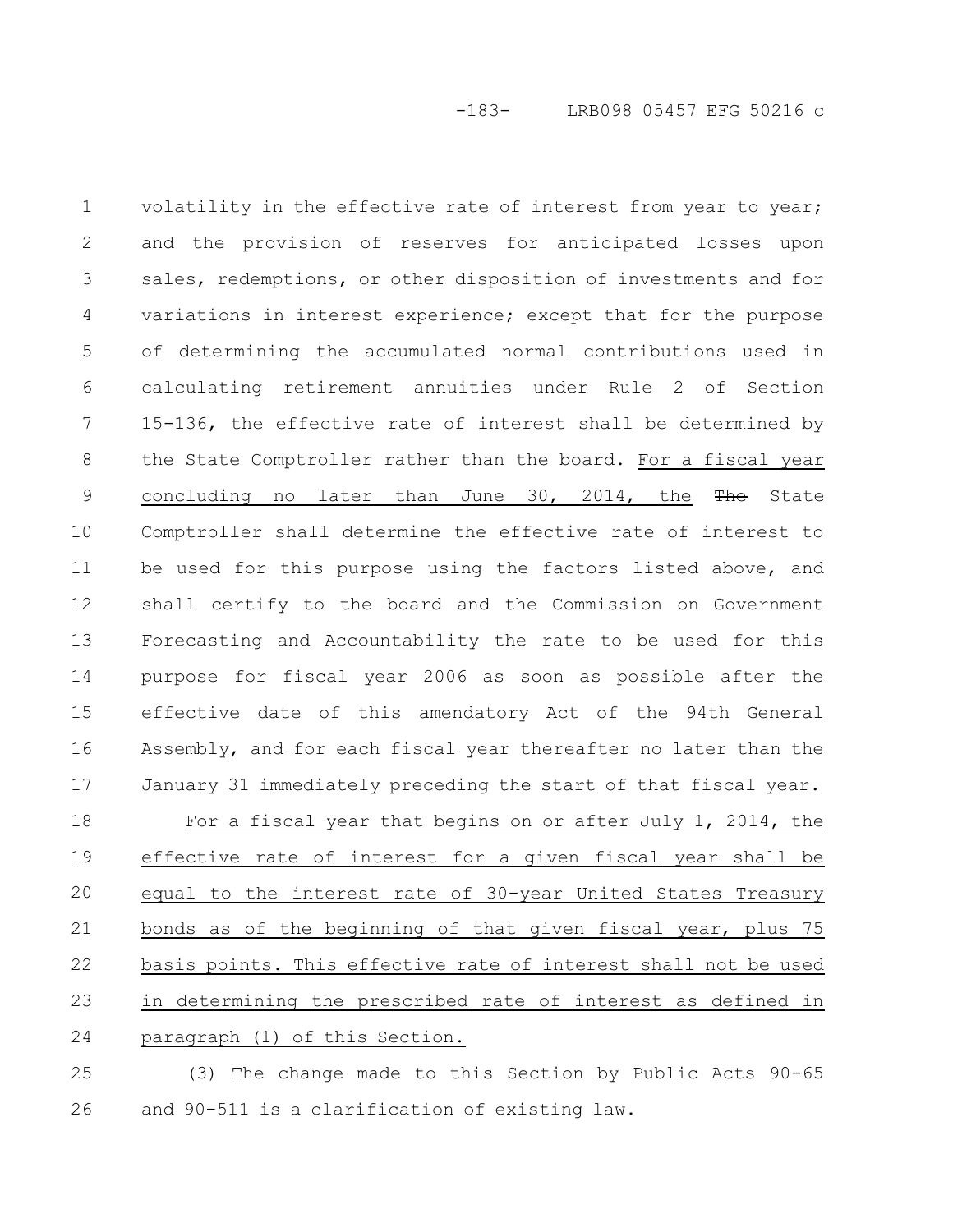volatility in the effective rate of interest from year to year; and the provision of reserves for anticipated losses upon sales, redemptions, or other disposition of investments and for variations in interest experience; except that for the purpose of determining the accumulated normal contributions used in calculating retirement annuities under Rule 2 of Section 15-136, the effective rate of interest shall be determined by the State Comptroller rather than the board. For a fiscal year concluding no later than June 30, 2014, the The State Comptroller shall determine the effective rate of interest to be used for this purpose using the factors listed above, and shall certify to the board and the Commission on Government Forecasting and Accountability the rate to be used for this purpose for fiscal year 2006 as soon as possible after the effective date of this amendatory Act of the 94th General Assembly, and for each fiscal year thereafter no later than the January 31 immediately preceding the start of that fiscal year. For a fiscal year that begins on or after July 1, 2014, the effective rate of interest for a given fiscal year shall be equal to the interest rate of 30-year United States Treasury bonds as of the beginning of that given fiscal year, plus 75 basis points. This effective rate of interest shall not be used in determining the prescribed rate of interest as defined in 1 2 3 4 5 6 7 8 9 10 11 12 13 14 15 16 17 18 19 20 21 22 23

paragraph (1) of this Section. 24

(3) The change made to this Section by Public Acts 90-65 and 90-511 is a clarification of existing law. 25 26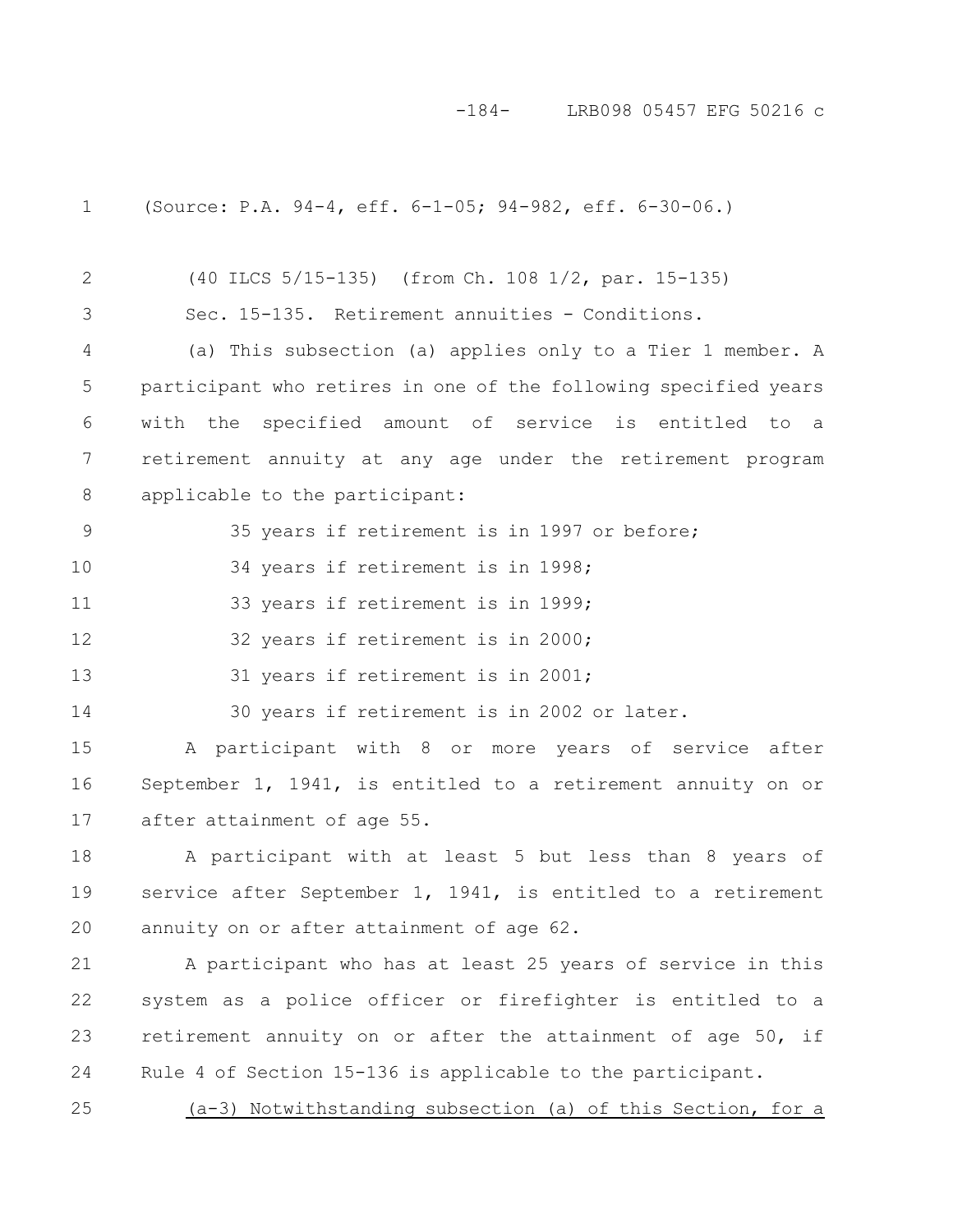-184- LRB098 05457 EFG 50216 c

(Source: P.A. 94-4, eff. 6-1-05; 94-982, eff. 6-30-06.) (40 ILCS 5/15-135) (from Ch. 108 1/2, par. 15-135) Sec. 15-135. Retirement annuities - Conditions. (a) This subsection (a) applies only to a Tier 1 member. A participant who retires in one of the following specified years with the specified amount of service is entitled to a retirement annuity at any age under the retirement program applicable to the participant: 35 years if retirement is in 1997 or before; 34 years if retirement is in 1998; 33 years if retirement is in 1999; 32 years if retirement is in 2000; 31 years if retirement is in 2001; 30 years if retirement is in 2002 or later. A participant with 8 or more years of service after 1 2 3 4 5 6 7 8 9 10 11 12 13 14 15

September 1, 1941, is entitled to a retirement annuity on or after attainment of age 55. 16 17

A participant with at least 5 but less than 8 years of service after September 1, 1941, is entitled to a retirement annuity on or after attainment of age 62. 18 19 20

A participant who has at least 25 years of service in this system as a police officer or firefighter is entitled to a retirement annuity on or after the attainment of age 50, if Rule 4 of Section 15-136 is applicable to the participant. 21 22 23 24

(a-3) Notwithstanding subsection (a) of this Section, for a 25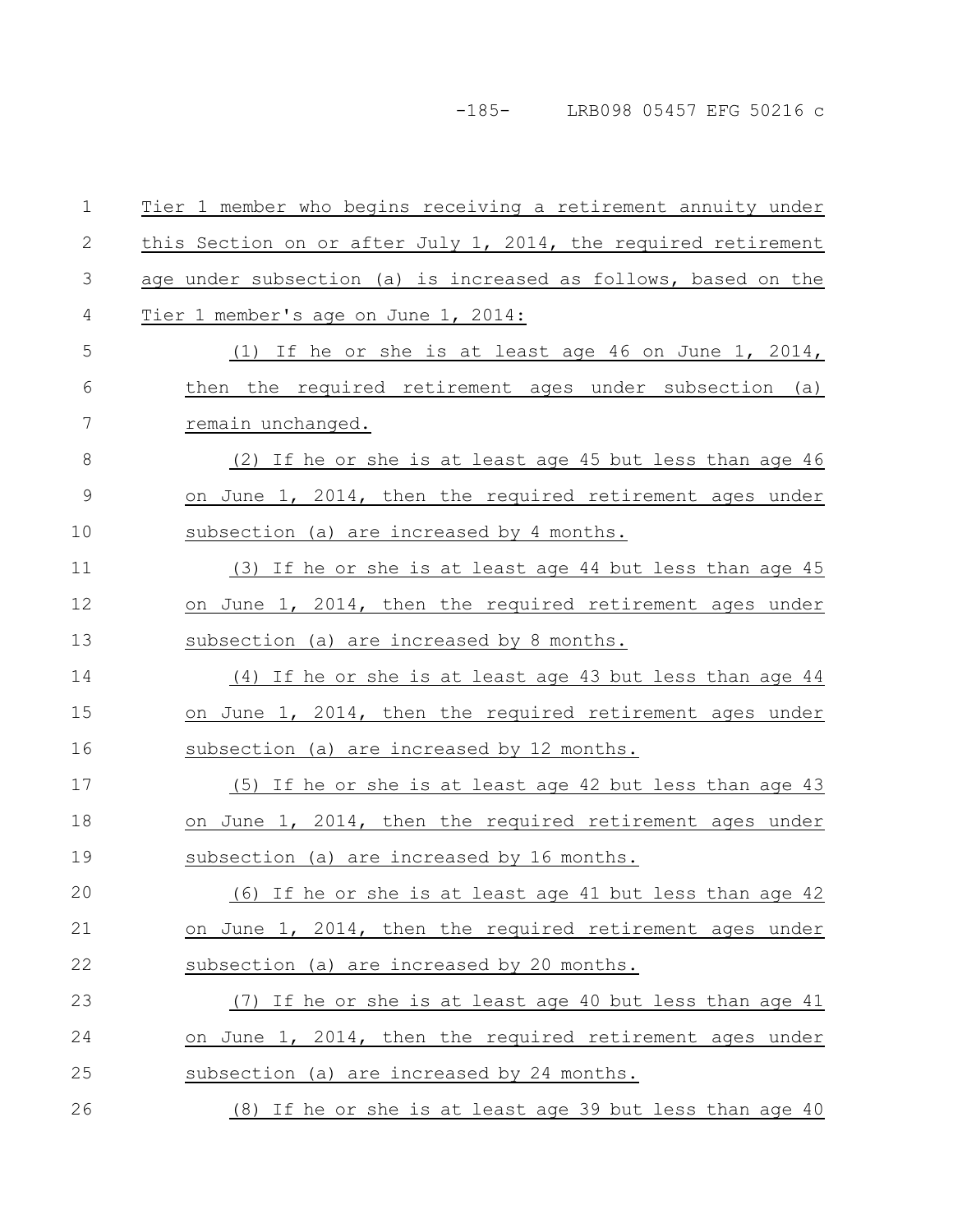-185- LRB098 05457 EFG 50216 c

| $\mathbf 1$  | Tier 1 member who begins receiving a retirement annuity under  |
|--------------|----------------------------------------------------------------|
| $\mathbf{2}$ | this Section on or after July 1, 2014, the required retirement |
| 3            | age under subsection (a) is increased as follows, based on the |
| 4            | Tier 1 member's age on June 1, 2014:                           |
| 5            | (1) If he or she is at least age 46 on June 1, 2014,           |
| 6            | then the required retirement ages under subsection (a)         |
| 7            | remain unchanged.                                              |
| 8            | (2) If he or she is at least age 45 but less than age 46       |
| 9            | on June 1, 2014, then the required retirement ages under       |
| 10           | subsection (a) are increased by 4 months.                      |
| 11           | (3) If he or she is at least age 44 but less than age 45       |
| 12           | on June 1, 2014, then the required retirement ages under       |
| 13           | subsection (a) are increased by 8 months.                      |
| 14           | $(4)$ If he or she is at least age 43 but less than age 44     |
| 15           | on June 1, 2014, then the required retirement ages under       |
| 16           | subsection (a) are increased by 12 months.                     |
| 17           | (5) If he or she is at least age 42 but less than age 43       |
| 18           | on June 1, 2014, then the required retirement ages under       |
| 19           | subsection (a) are increased by 16 months.                     |
| 20           | (6) If he or she is at least age 41 but less than age 42       |
| 21           | on June 1, 2014, then the required retirement ages under       |
| 22           | subsection (a) are increased by 20 months.                     |
| 23           | (7) If he or she is at least age 40 but less than age 41       |
| 24           | on June 1, 2014, then the required retirement ages under       |
| 25           | subsection (a) are increased by 24 months.                     |
| 26           | (8) If he or she is at least age 39 but less than age 40       |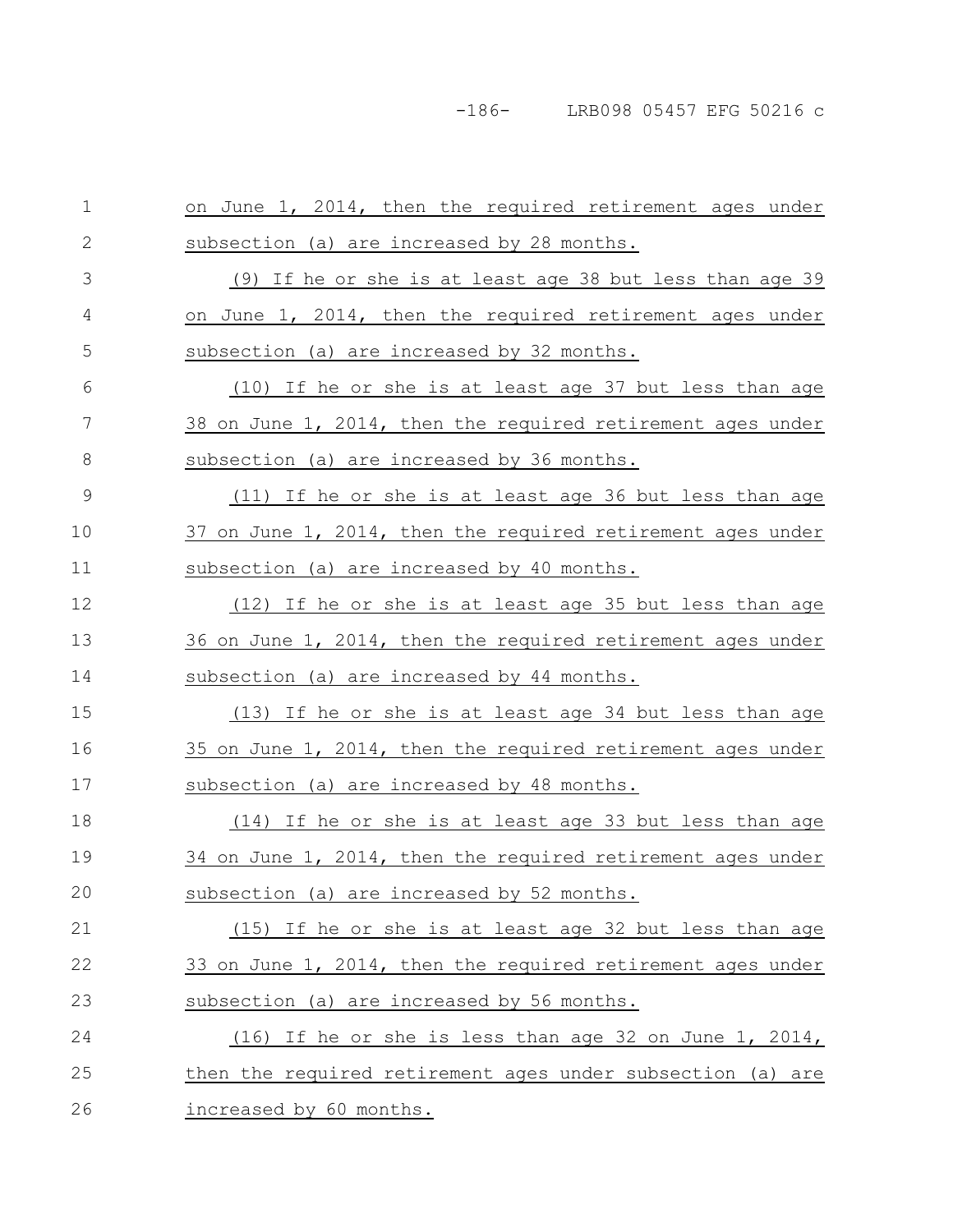| 1            | on June 1, 2014, then the required retirement ages under    |
|--------------|-------------------------------------------------------------|
| $\mathbf{2}$ | subsection (a) are increased by 28 months.                  |
| 3            | (9) If he or she is at least age 38 but less than age 39    |
| 4            | on June 1, 2014, then the required retirement ages under    |
| 5            | subsection (a) are increased by 32 months.                  |
| 6            | (10) If he or she is at least age 37 but less than age      |
| 7            | 38 on June 1, 2014, then the required retirement ages under |
| 8            | subsection (a) are increased by 36 months.                  |
| 9            | (11) If he or she is at least age 36 but less than age      |
| 10           | 37 on June 1, 2014, then the required retirement ages under |
| 11           | subsection (a) are increased by 40 months.                  |
| 12           | (12) If he or she is at least age 35 but less than age      |
| 13           | 36 on June 1, 2014, then the required retirement ages under |
| 14           | subsection (a) are increased by 44 months.                  |
| 15           | (13) If he or she is at least age 34 but less than age      |
| 16           | 35 on June 1, 2014, then the required retirement ages under |
| 17           | subsection (a) are increased by 48 months.                  |
| 18           | (14) If he or she is at least age 33 but less than age      |
| 19           | 34 on June 1, 2014, then the required retirement ages under |
| 20           | subsection (a) are increased by 52 months.                  |
| 21           | (15) If he or she is at least age 32 but less than age      |
| 22           | 33 on June 1, 2014, then the required retirement ages under |
| 23           | subsection (a) are increased by 56 months.                  |
| 24           | $(16)$ If he or she is less than age 32 on June 1, 2014,    |
| 25           | then the required retirement ages under subsection (a) are  |
| 26           | increased by 60 months.                                     |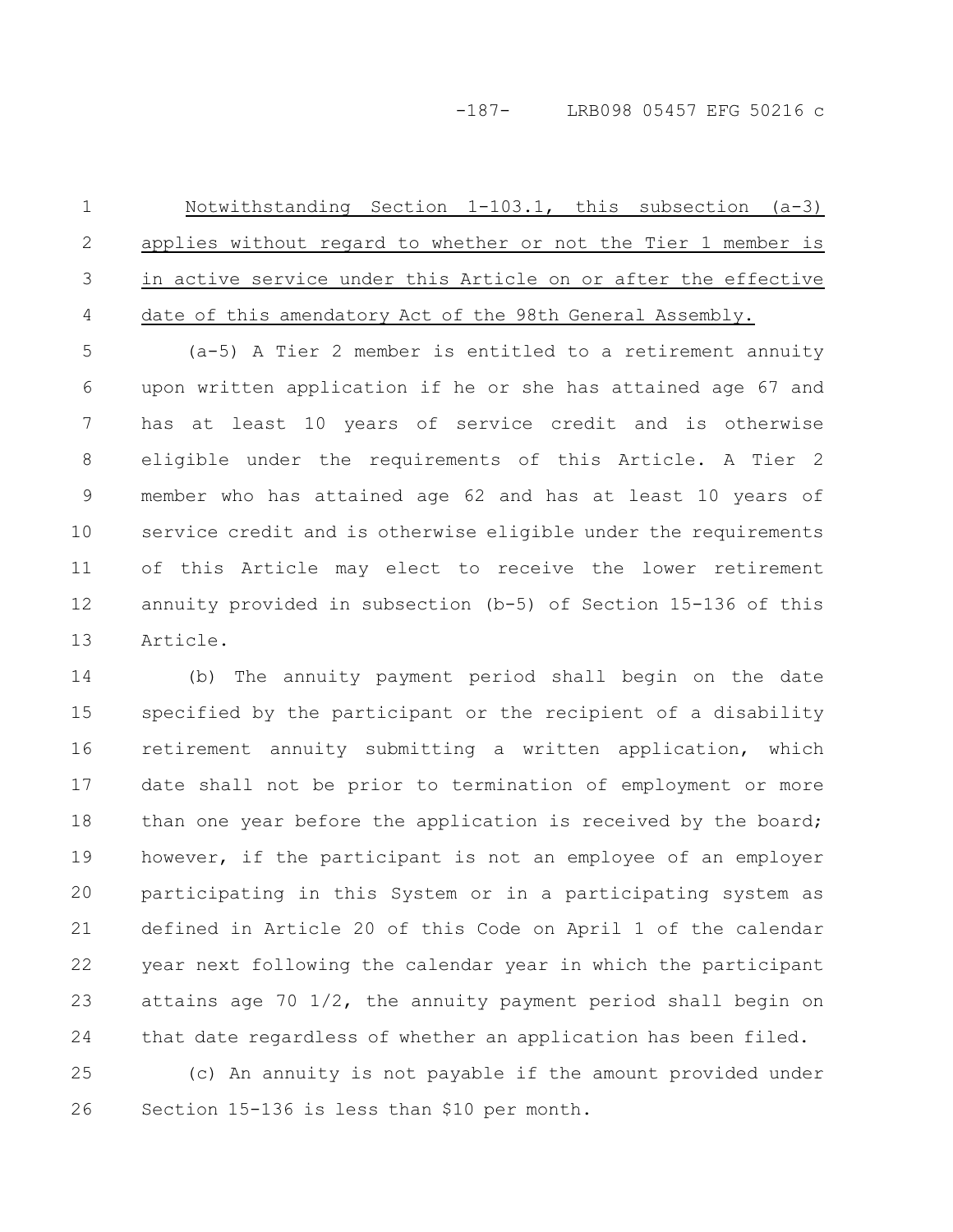### -187- LRB098 05457 EFG 50216 c

Notwithstanding Section 1-103.1, this subsection (a-3) applies without regard to whether or not the Tier 1 member is in active service under this Article on or after the effective date of this amendatory Act of the 98th General Assembly. 1 2 3 4

(a-5) A Tier 2 member is entitled to a retirement annuity upon written application if he or she has attained age 67 and has at least 10 years of service credit and is otherwise eligible under the requirements of this Article. A Tier 2 member who has attained age 62 and has at least 10 years of service credit and is otherwise eligible under the requirements of this Article may elect to receive the lower retirement annuity provided in subsection (b-5) of Section 15-136 of this Article. 5 6 7 8 9 10 11 12 13

(b) The annuity payment period shall begin on the date specified by the participant or the recipient of a disability retirement annuity submitting a written application, which date shall not be prior to termination of employment or more than one year before the application is received by the board; however, if the participant is not an employee of an employer participating in this System or in a participating system as defined in Article 20 of this Code on April 1 of the calendar year next following the calendar year in which the participant attains age 70 1/2, the annuity payment period shall begin on that date regardless of whether an application has been filed. 14 15 16 17 18 19 20 21 22 23 24

(c) An annuity is not payable if the amount provided under Section 15-136 is less than \$10 per month. 25 26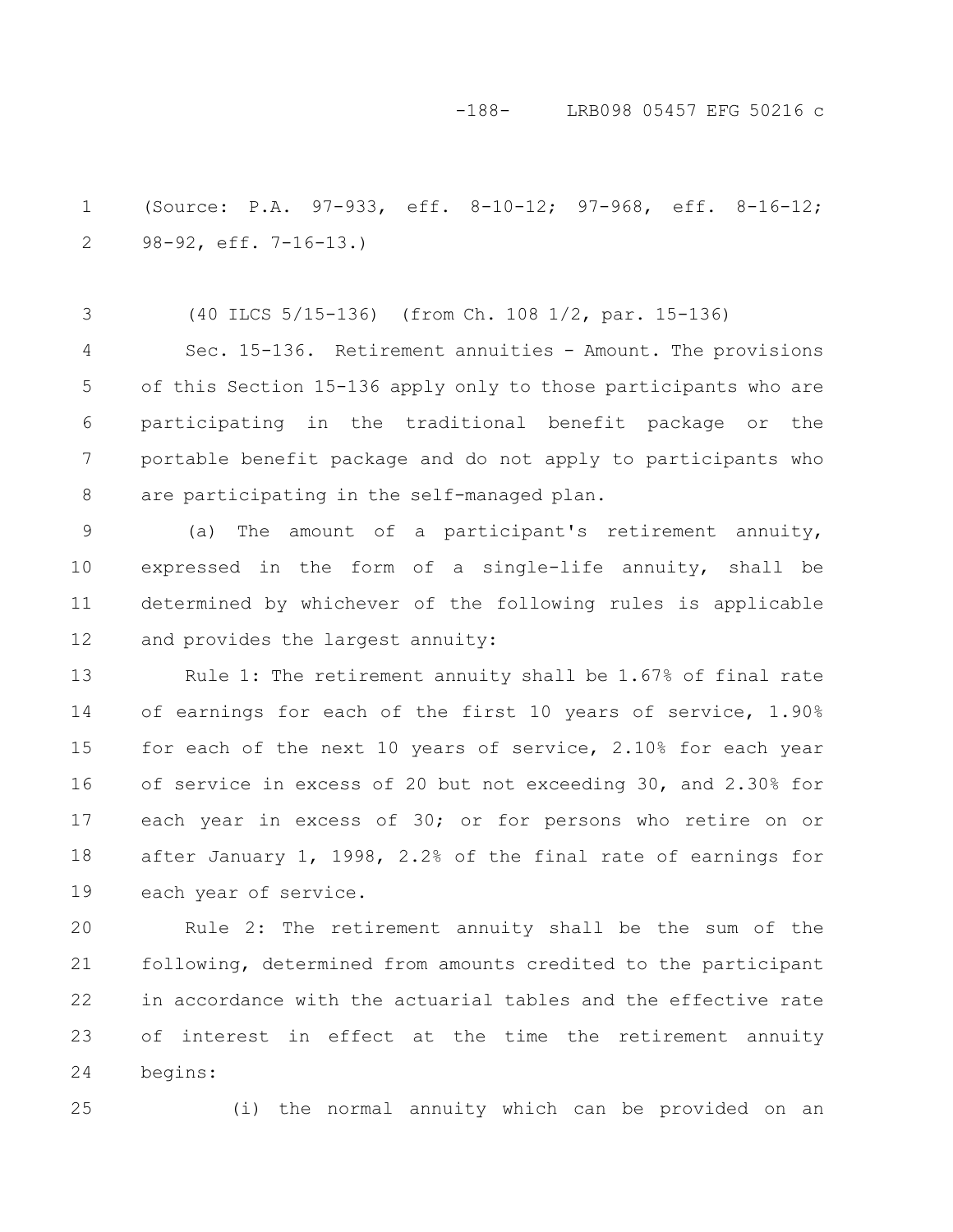### -188- LRB098 05457 EFG 50216 c

(Source: P.A. 97-933, eff. 8-10-12; 97-968, eff. 8-16-12; 98-92, eff. 7-16-13.) 1 2

(40 ILCS 5/15-136) (from Ch. 108 1/2, par. 15-136) Sec. 15-136. Retirement annuities - Amount. The provisions of this Section 15-136 apply only to those participants who are participating in the traditional benefit package or the portable benefit package and do not apply to participants who are participating in the self-managed plan. 3 4 5 6 7 8

(a) The amount of a participant's retirement annuity, expressed in the form of a single-life annuity, shall be determined by whichever of the following rules is applicable and provides the largest annuity: 9 10 11 12

Rule 1: The retirement annuity shall be 1.67% of final rate of earnings for each of the first 10 years of service, 1.90% for each of the next 10 years of service, 2.10% for each year of service in excess of 20 but not exceeding 30, and 2.30% for each year in excess of 30; or for persons who retire on or after January 1, 1998, 2.2% of the final rate of earnings for each year of service. 13 14 15 16 17 18 19

Rule 2: The retirement annuity shall be the sum of the following, determined from amounts credited to the participant in accordance with the actuarial tables and the effective rate of interest in effect at the time the retirement annuity begins: 20 21 22 23 24

25

(i) the normal annuity which can be provided on an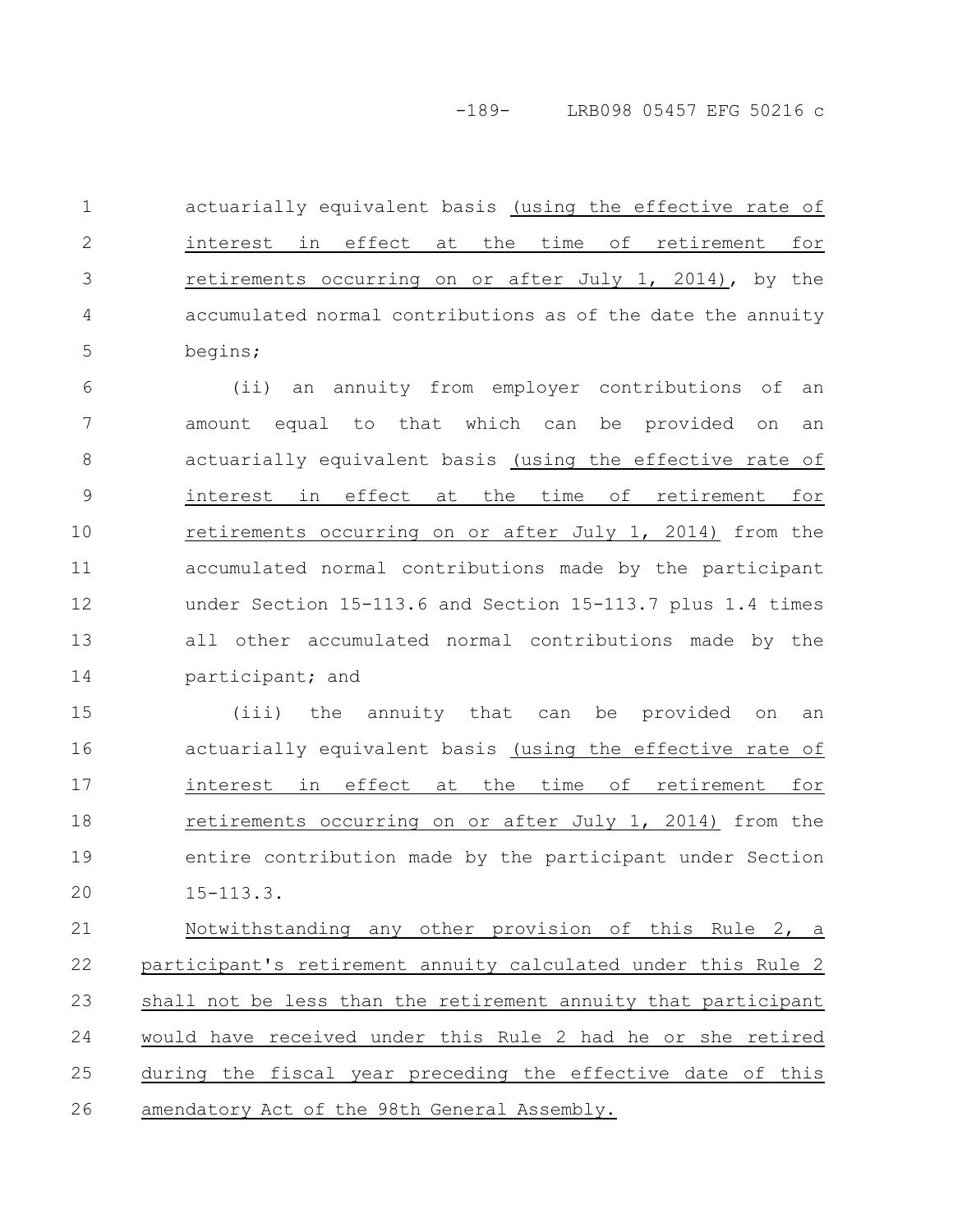-189- LRB098 05457 EFG 50216 c

actuarially equivalent basis (using the effective rate of interest in effect at the time of retirement for retirements occurring on or after July 1, 2014), by the accumulated normal contributions as of the date the annuity begins; 1 2 3 4 5

(ii) an annuity from employer contributions of an amount equal to that which can be provided on an actuarially equivalent basis (using the effective rate of interest in effect at the time of retirement for retirements occurring on or after July 1, 2014) from the accumulated normal contributions made by the participant under Section 15-113.6 and Section 15-113.7 plus 1.4 times all other accumulated normal contributions made by the participant; and 6 7 8 9 10 11 12 13 14

(iii) the annuity that can be provided on an actuarially equivalent basis (using the effective rate of interest in effect at the time of retirement for retirements occurring on or after July 1, 2014) from the entire contribution made by the participant under Section 15-113.3. 15 16 17 18 19 20

Notwithstanding any other provision of this Rule 2, a participant's retirement annuity calculated under this Rule 2 shall not be less than the retirement annuity that participant would have received under this Rule 2 had he or she retired during the fiscal year preceding the effective date of this amendatory Act of the 98th General Assembly. 21 22 23 24 25 26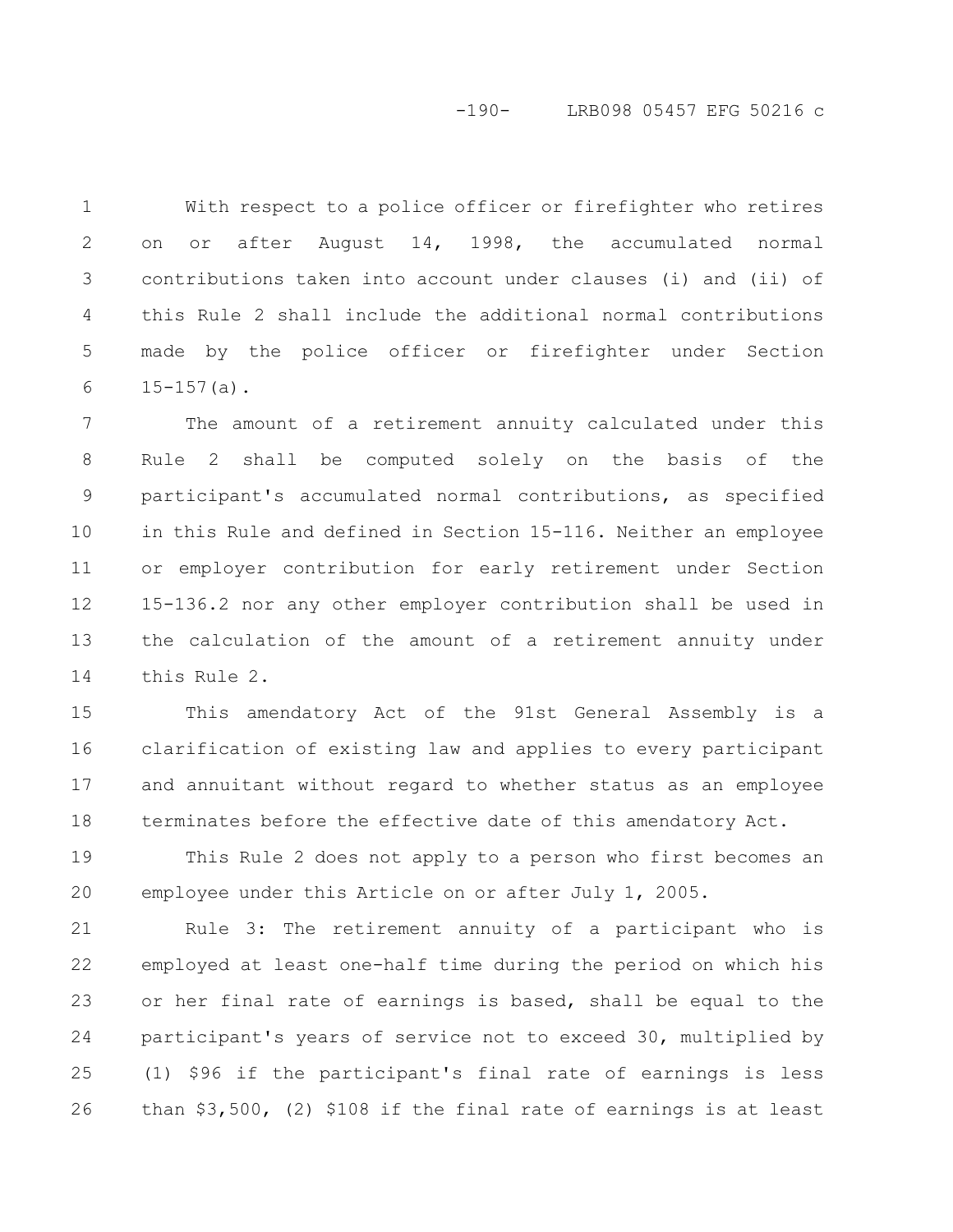### -190- LRB098 05457 EFG 50216 c

With respect to a police officer or firefighter who retires on or after August 14, 1998, the accumulated normal contributions taken into account under clauses (i) and (ii) of this Rule 2 shall include the additional normal contributions made by the police officer or firefighter under Section  $15-157(a)$ . 1 2 3 4 5 6

The amount of a retirement annuity calculated under this Rule 2 shall be computed solely on the basis of the participant's accumulated normal contributions, as specified in this Rule and defined in Section 15-116. Neither an employee or employer contribution for early retirement under Section 15-136.2 nor any other employer contribution shall be used in the calculation of the amount of a retirement annuity under this Rule 2. 7 8 9 10 11 12 13 14

This amendatory Act of the 91st General Assembly is a clarification of existing law and applies to every participant and annuitant without regard to whether status as an employee terminates before the effective date of this amendatory Act. 15 16 17 18

This Rule 2 does not apply to a person who first becomes an employee under this Article on or after July 1, 2005. 19 20

Rule 3: The retirement annuity of a participant who is employed at least one-half time during the period on which his or her final rate of earnings is based, shall be equal to the participant's years of service not to exceed 30, multiplied by (1) \$96 if the participant's final rate of earnings is less than \$3,500, (2) \$108 if the final rate of earnings is at least 21 22 23 24 25 26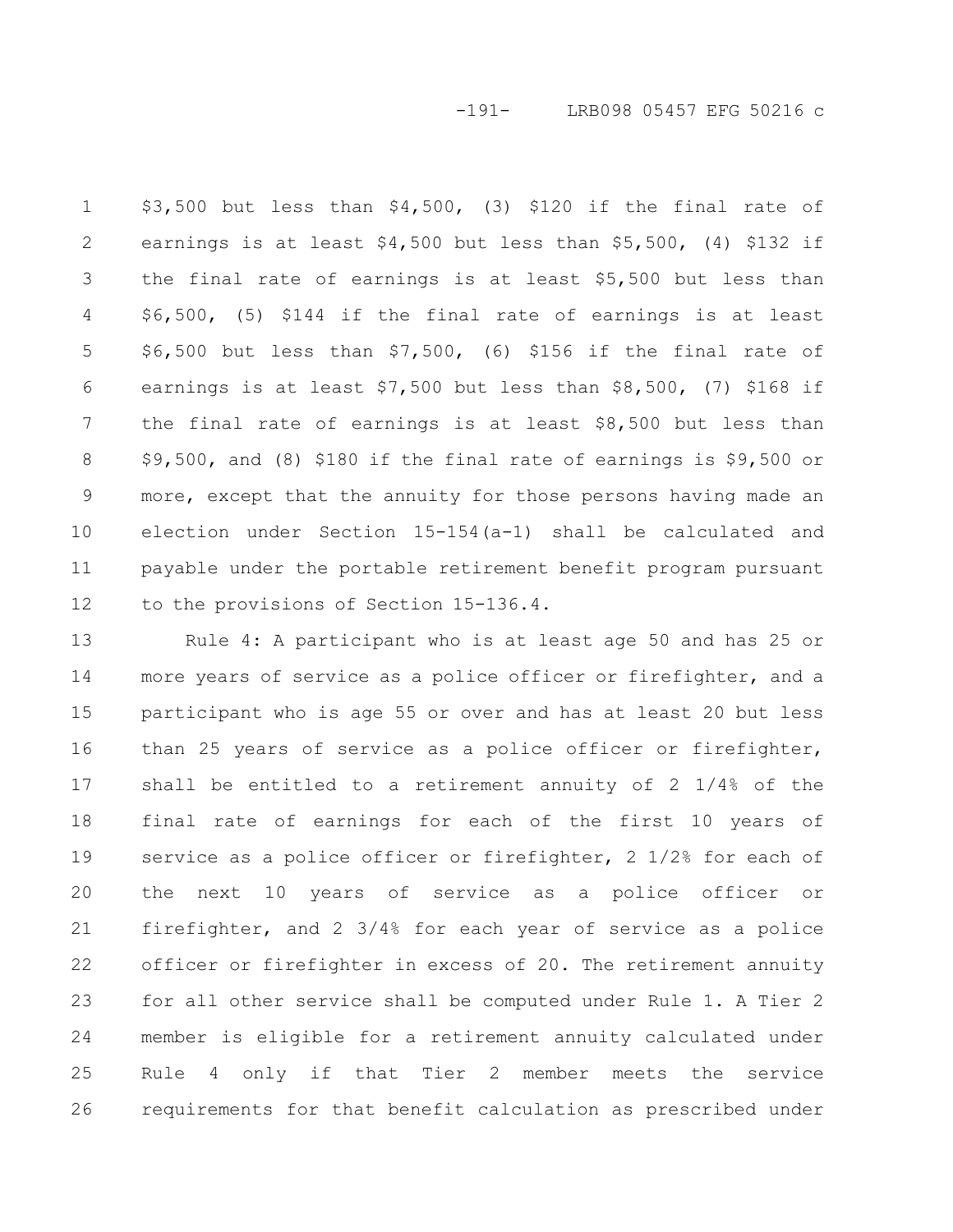-191- LRB098 05457 EFG 50216 c

\$3,500 but less than \$4,500, (3) \$120 if the final rate of earnings is at least \$4,500 but less than \$5,500, (4) \$132 if the final rate of earnings is at least \$5,500 but less than \$6,500, (5) \$144 if the final rate of earnings is at least \$6,500 but less than \$7,500, (6) \$156 if the final rate of earnings is at least \$7,500 but less than \$8,500, (7) \$168 if the final rate of earnings is at least \$8,500 but less than \$9,500, and (8) \$180 if the final rate of earnings is \$9,500 or more, except that the annuity for those persons having made an election under Section 15-154(a-1) shall be calculated and payable under the portable retirement benefit program pursuant to the provisions of Section 15-136.4. 1 2 3 4 5 6 7 8 9 10 11 12

Rule 4: A participant who is at least age 50 and has 25 or more years of service as a police officer or firefighter, and a participant who is age 55 or over and has at least 20 but less than 25 years of service as a police officer or firefighter, shall be entitled to a retirement annuity of 2 1/4% of the final rate of earnings for each of the first 10 years of service as a police officer or firefighter, 2 1/2% for each of the next 10 years of service as a police officer or firefighter, and 2 3/4% for each year of service as a police officer or firefighter in excess of 20. The retirement annuity for all other service shall be computed under Rule 1. A Tier 2 member is eligible for a retirement annuity calculated under Rule 4 only if that Tier 2 member meets the service requirements for that benefit calculation as prescribed under 13 14 15 16 17 18 19 20 21 22 23 24 25 26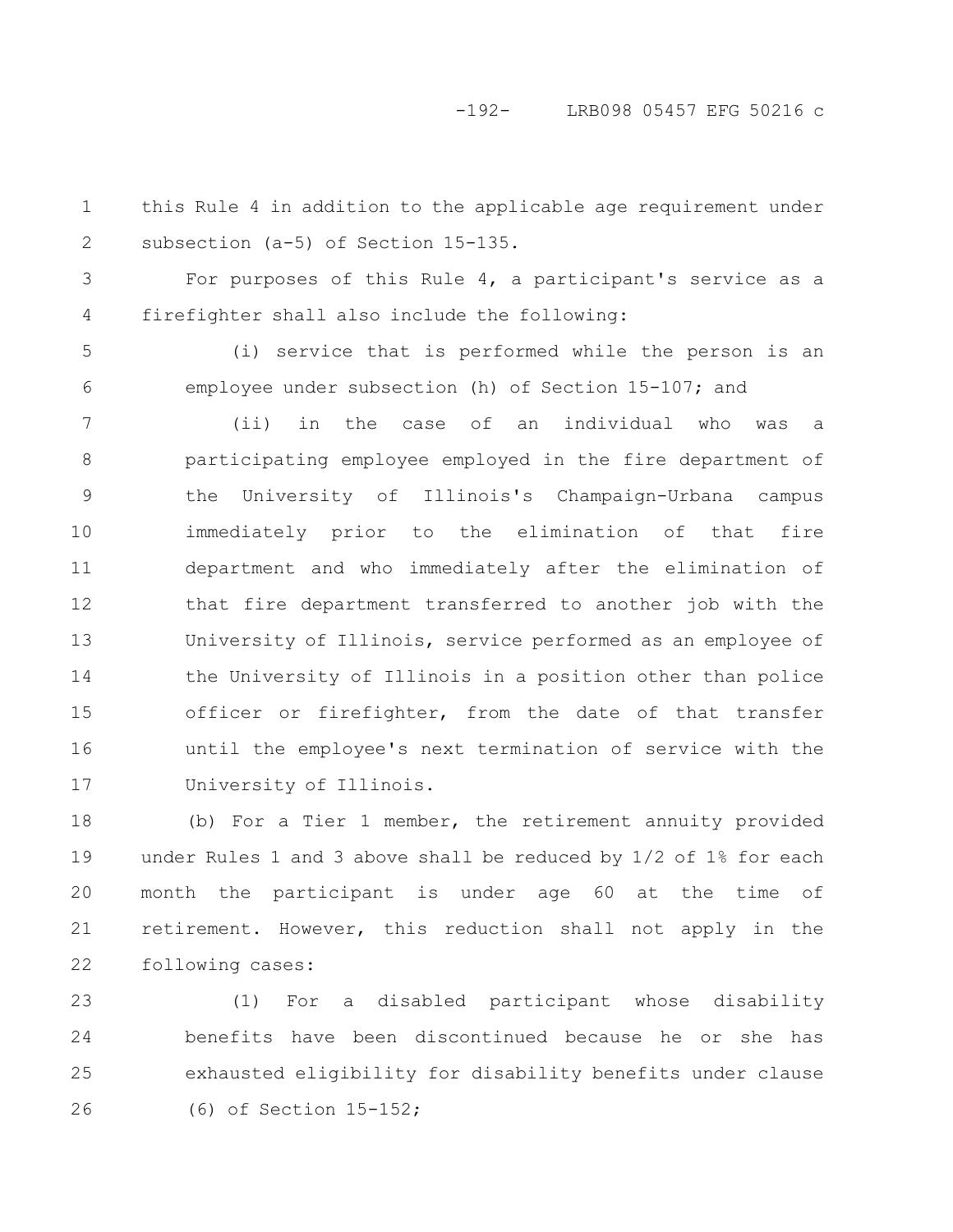-192- LRB098 05457 EFG 50216 c

this Rule 4 in addition to the applicable age requirement under subsection (a-5) of Section 15-135. 1 2

For purposes of this Rule 4, a participant's service as a firefighter shall also include the following: 3 4

(i) service that is performed while the person is an employee under subsection (h) of Section 15-107; and 5 6

(ii) in the case of an individual who was a participating employee employed in the fire department of the University of Illinois's Champaign-Urbana campus immediately prior to the elimination of that fire department and who immediately after the elimination of that fire department transferred to another job with the University of Illinois, service performed as an employee of the University of Illinois in a position other than police officer or firefighter, from the date of that transfer until the employee's next termination of service with the University of Illinois. 7 8 9 10 11 12 13 14 15 16 17

(b) For a Tier 1 member, the retirement annuity provided under Rules 1 and 3 above shall be reduced by 1/2 of 1% for each month the participant is under age 60 at the time of retirement. However, this reduction shall not apply in the following cases: 18 19 20 21 22

(1) For a disabled participant whose disability benefits have been discontinued because he or she has exhausted eligibility for disability benefits under clause (6) of Section 15-152; 23 24 25 26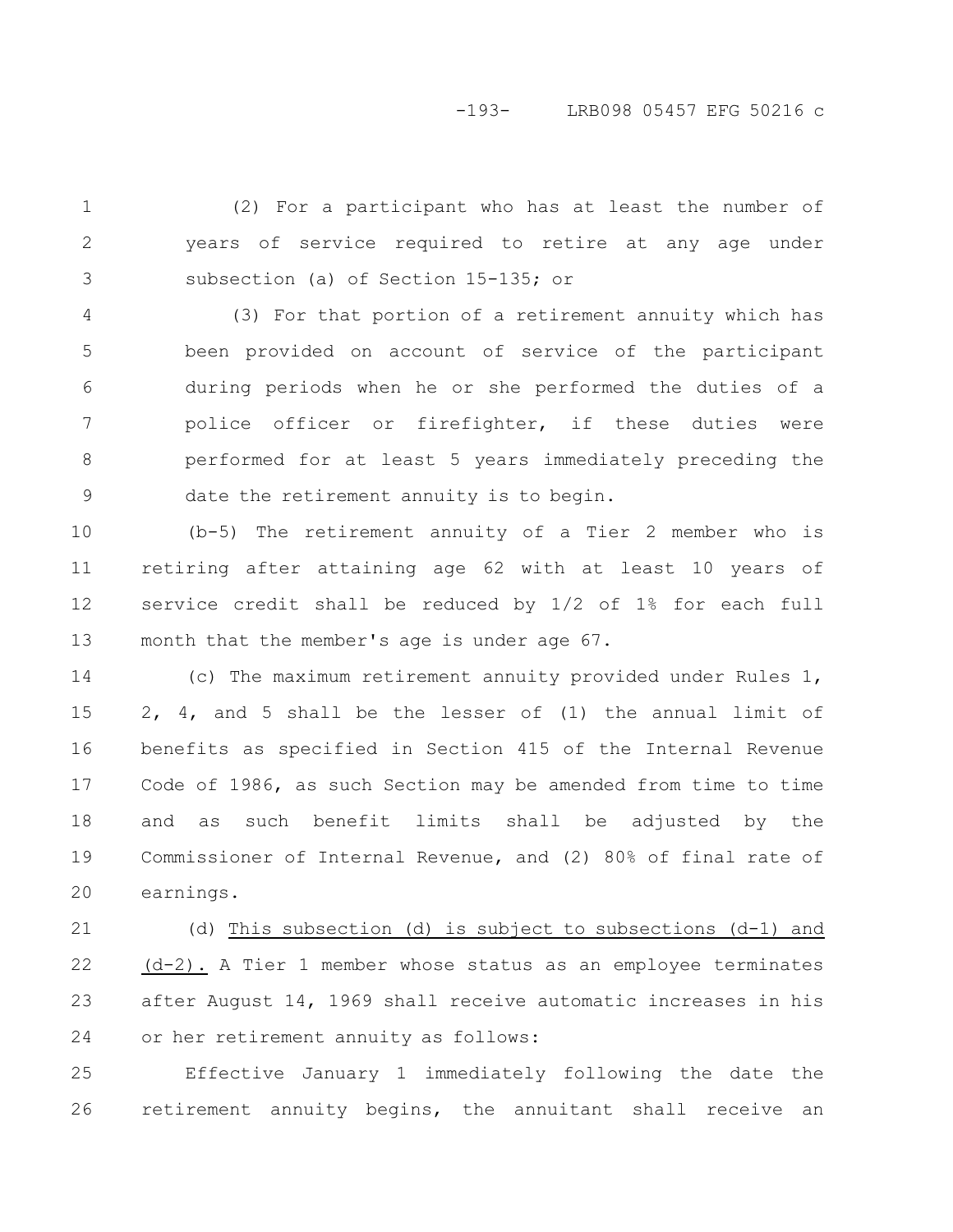# -193- LRB098 05457 EFG 50216 c

(2) For a participant who has at least the number of years of service required to retire at any age under subsection (a) of Section 15-135; or 1 2 3

(3) For that portion of a retirement annuity which has been provided on account of service of the participant during periods when he or she performed the duties of a police officer or firefighter, if these duties were performed for at least 5 years immediately preceding the date the retirement annuity is to begin. 4 5 6 7 8 9

(b-5) The retirement annuity of a Tier 2 member who is retiring after attaining age 62 with at least 10 years of service credit shall be reduced by 1/2 of 1% for each full month that the member's age is under age 67. 10 11 12 13

(c) The maximum retirement annuity provided under Rules 1, 2, 4, and 5 shall be the lesser of (1) the annual limit of benefits as specified in Section 415 of the Internal Revenue Code of 1986, as such Section may be amended from time to time and as such benefit limits shall be adjusted by the Commissioner of Internal Revenue, and (2) 80% of final rate of earnings. 14 15 16 17 18 19 20

(d) This subsection (d) is subject to subsections (d-1) and (d-2). A Tier 1 member whose status as an employee terminates after August 14, 1969 shall receive automatic increases in his or her retirement annuity as follows: 21 22 23 24

Effective January 1 immediately following the date the retirement annuity begins, the annuitant shall receive an 25 26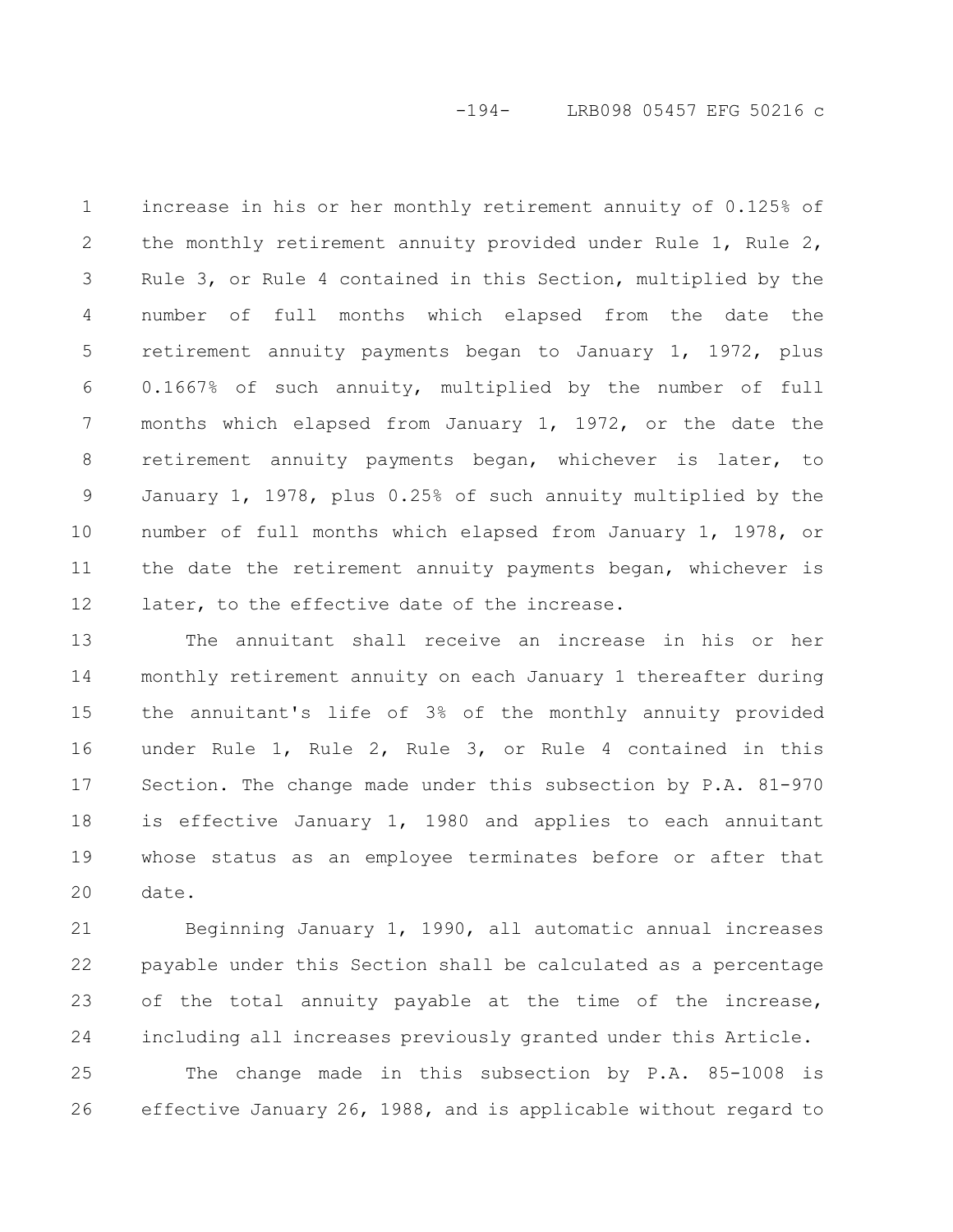-194- LRB098 05457 EFG 50216 c

increase in his or her monthly retirement annuity of 0.125% of the monthly retirement annuity provided under Rule 1, Rule 2, Rule 3, or Rule 4 contained in this Section, multiplied by the number of full months which elapsed from the date the retirement annuity payments began to January 1, 1972, plus 0.1667% of such annuity, multiplied by the number of full months which elapsed from January 1, 1972, or the date the retirement annuity payments began, whichever is later, to January 1, 1978, plus 0.25% of such annuity multiplied by the number of full months which elapsed from January 1, 1978, or the date the retirement annuity payments began, whichever is later, to the effective date of the increase. 1 2 3 4 5 6 7 8 9 10 11 12

The annuitant shall receive an increase in his or her monthly retirement annuity on each January 1 thereafter during the annuitant's life of 3% of the monthly annuity provided under Rule 1, Rule 2, Rule 3, or Rule 4 contained in this Section. The change made under this subsection by P.A. 81-970 is effective January 1, 1980 and applies to each annuitant whose status as an employee terminates before or after that date. 13 14 15 16 17 18 19 20

Beginning January 1, 1990, all automatic annual increases payable under this Section shall be calculated as a percentage of the total annuity payable at the time of the increase, including all increases previously granted under this Article. 21 22 23 24

The change made in this subsection by P.A. 85-1008 is effective January 26, 1988, and is applicable without regard to 25 26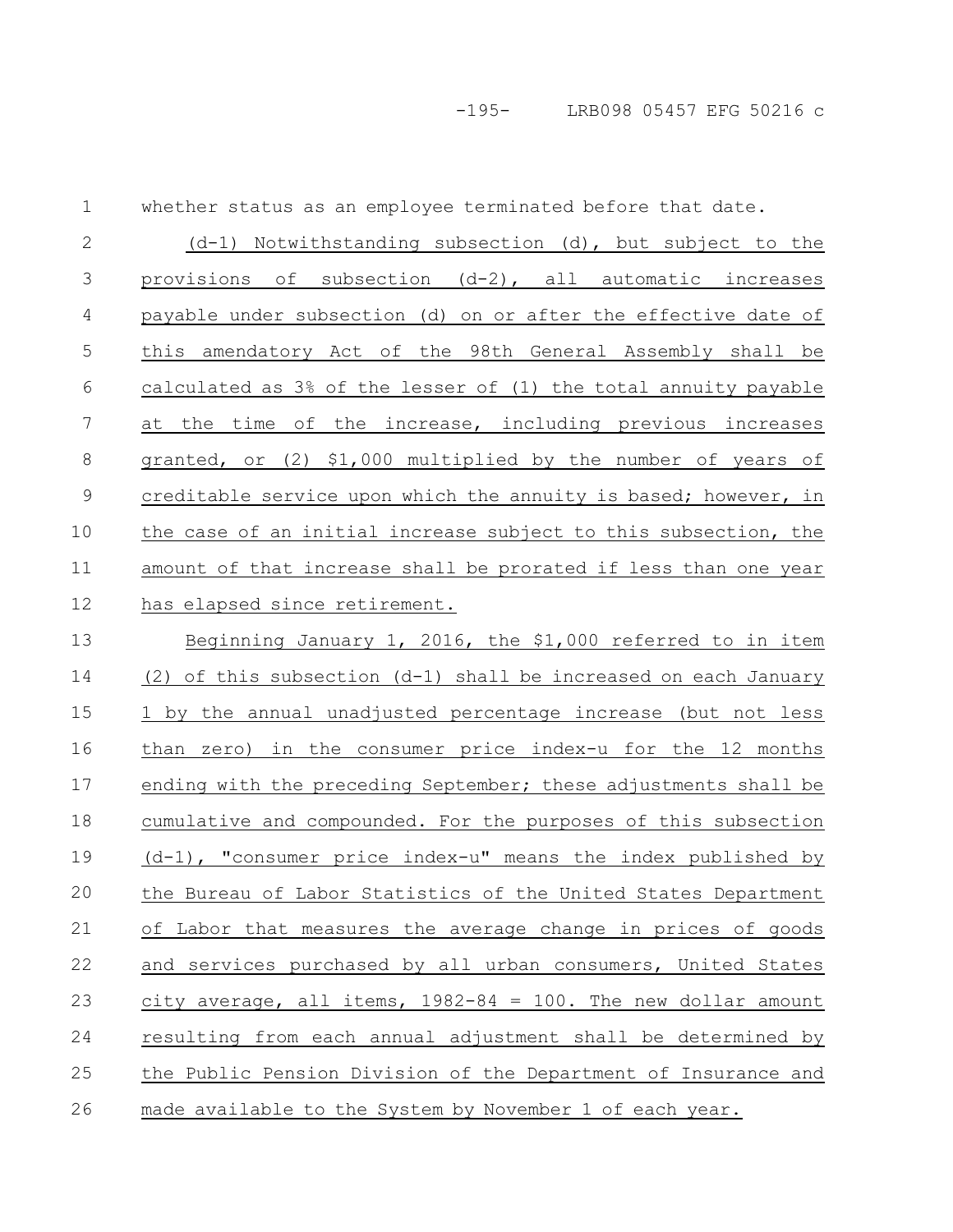whether status as an employee terminated before that date. 1

(d-1) Notwithstanding subsection (d), but subject to the provisions of subsection (d-2), all automatic increases payable under subsection (d) on or after the effective date of this amendatory Act of the 98th General Assembly shall be calculated as 3% of the lesser of (1) the total annuity payable at the time of the increase, including previous increases granted, or (2) \$1,000 multiplied by the number of years of creditable service upon which the annuity is based; however, in the case of an initial increase subject to this subsection, the amount of that increase shall be prorated if less than one year has elapsed since retirement. 2 3 4 5 6 7 8 9 10 11 12

Beginning January 1, 2016, the \$1,000 referred to in item (2) of this subsection (d-1) shall be increased on each January 1 by the annual unadjusted percentage increase (but not less than zero) in the consumer price index-u for the 12 months ending with the preceding September; these adjustments shall be cumulative and compounded. For the purposes of this subsection (d-1), "consumer price index-u" means the index published by the Bureau of Labor Statistics of the United States Department of Labor that measures the average change in prices of goods and services purchased by all urban consumers, United States city average, all items,  $1982-84 = 100$ . The new dollar amount resulting from each annual adjustment shall be determined by the Public Pension Division of the Department of Insurance and made available to the System by November 1 of each year. 13 14 15 16 17 18 19 20 21 22 23 24 25 26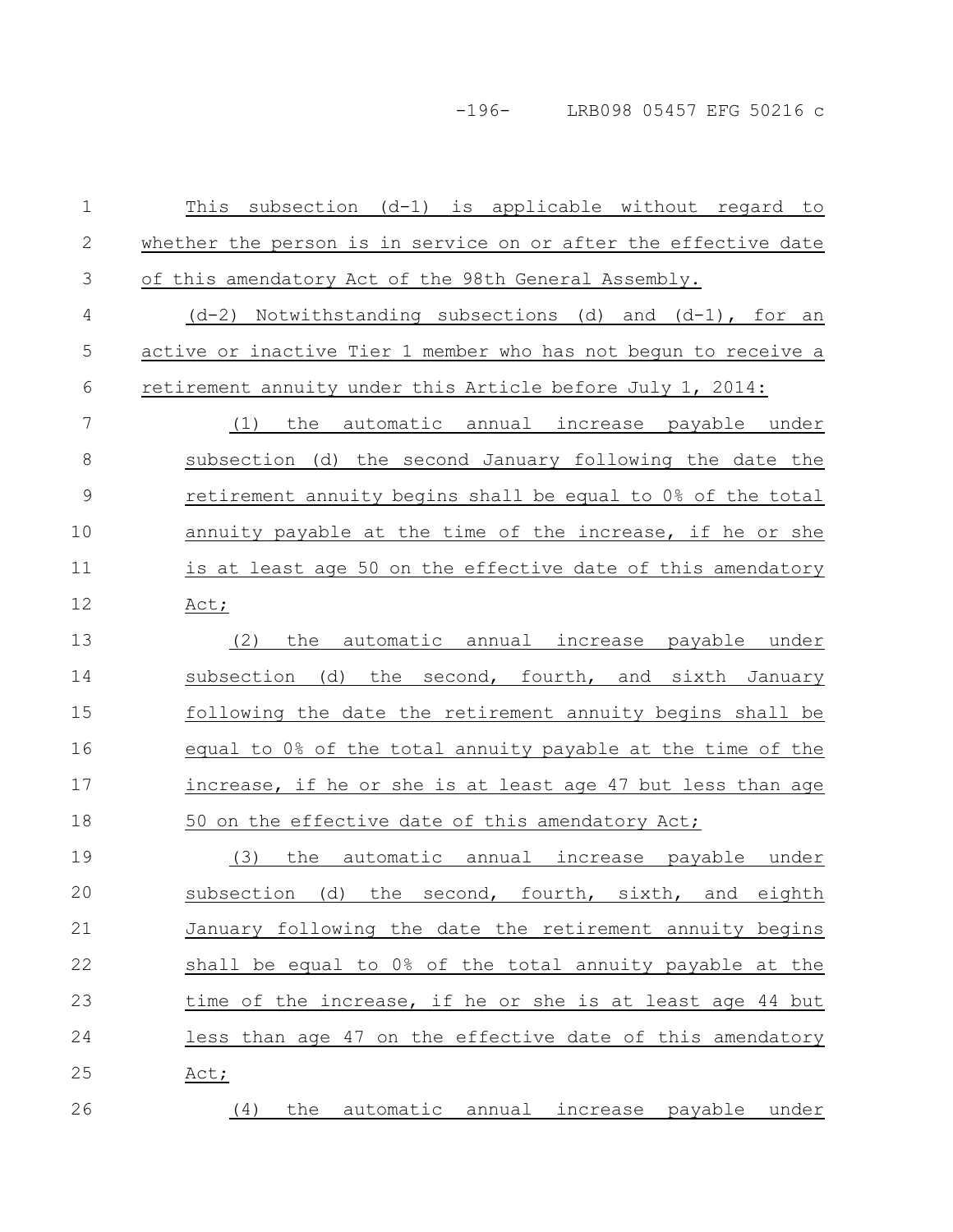-196- LRB098 05457 EFG 50216 c

This subsection  $(d-1)$  is applicable without regard to whether the person is in service on or after the effective date of this amendatory Act of the 98th General Assembly.  $(d-2)$  Notwithstanding subsections  $(d)$  and  $(d-1)$ , for an active or inactive Tier 1 member who has not begun to receive a retirement annuity under this Article before July 1, 2014: (1) the automatic annual increase payable under subsection (d) the second January following the date the retirement annuity begins shall be equal to 0% of the total annuity payable at the time of the increase, if he or she is at least age 50 on the effective date of this amendatory Act; (2) the automatic annual increase payable under subsection (d) the second, fourth, and sixth January following the date the retirement annuity begins shall be equal to 0% of the total annuity payable at the time of the increase, if he or she is at least age 47 but less than age 50 on the effective date of this amendatory Act; (3) the automatic annual increase payable under subsection (d) the second, fourth, sixth, and eighth January following the date the retirement annuity begins shall be equal to 0% of the total annuity payable at the time of the increase, if he or she is at least age 44 but less than age 47 on the effective date of this amendatory Act; (4) the automatic annual increase payable under 1 2 3 4 5 6 7 8 9 10 11 12 13 14 15 16 17 18 19 20 21 22 23 24 25 26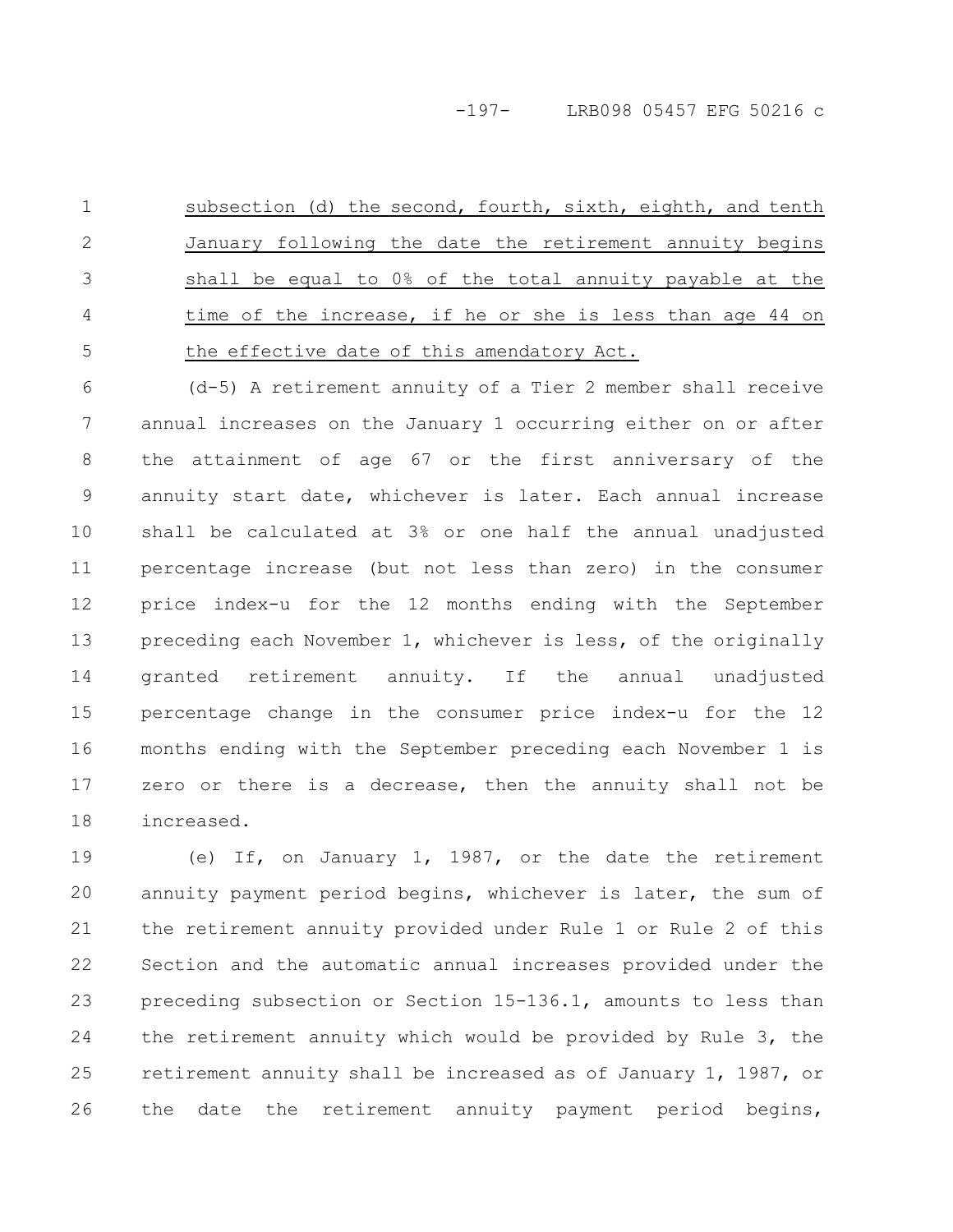subsection (d) the second, fourth, sixth, eighth, and tenth January following the date the retirement annuity begins shall be equal to 0% of the total annuity payable at the time of the increase, if he or she is less than age 44 on the effective date of this amendatory Act. 1 2 3 4 5

(d-5) A retirement annuity of a Tier 2 member shall receive annual increases on the January 1 occurring either on or after the attainment of age 67 or the first anniversary of the annuity start date, whichever is later. Each annual increase shall be calculated at 3% or one half the annual unadjusted percentage increase (but not less than zero) in the consumer price index-u for the 12 months ending with the September preceding each November 1, whichever is less, of the originally granted retirement annuity. If the annual unadjusted percentage change in the consumer price index-u for the 12 months ending with the September preceding each November 1 is zero or there is a decrease, then the annuity shall not be increased. 6 7 8 9 10 11 12 13 14 15 16 17 18

(e) If, on January 1, 1987, or the date the retirement annuity payment period begins, whichever is later, the sum of the retirement annuity provided under Rule 1 or Rule 2 of this Section and the automatic annual increases provided under the preceding subsection or Section 15-136.1, amounts to less than the retirement annuity which would be provided by Rule 3, the retirement annuity shall be increased as of January 1, 1987, or the date the retirement annuity payment period begins, 19 20 21 22 23 24 25 26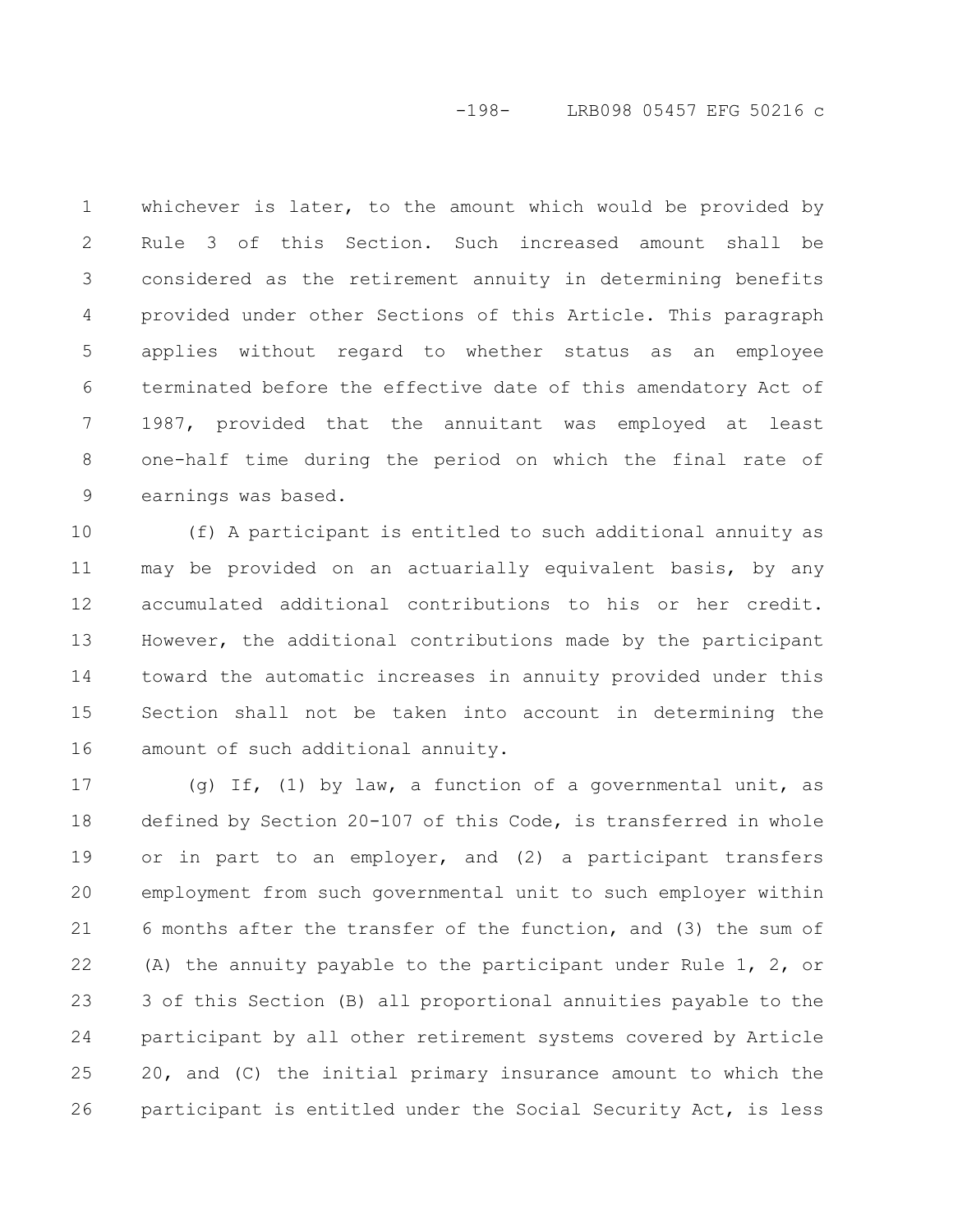# -198- LRB098 05457 EFG 50216 c

whichever is later, to the amount which would be provided by Rule 3 of this Section. Such increased amount shall be considered as the retirement annuity in determining benefits provided under other Sections of this Article. This paragraph applies without regard to whether status as an employee terminated before the effective date of this amendatory Act of 1987, provided that the annuitant was employed at least one-half time during the period on which the final rate of earnings was based. 1 2 3 4 5 6 7 8 9

(f) A participant is entitled to such additional annuity as may be provided on an actuarially equivalent basis, by any accumulated additional contributions to his or her credit. However, the additional contributions made by the participant toward the automatic increases in annuity provided under this Section shall not be taken into account in determining the amount of such additional annuity. 10 11 12 13 14 15 16

(g) If, (1) by law, a function of a governmental unit, as defined by Section 20-107 of this Code, is transferred in whole or in part to an employer, and (2) a participant transfers employment from such governmental unit to such employer within 6 months after the transfer of the function, and (3) the sum of (A) the annuity payable to the participant under Rule 1, 2, or 3 of this Section (B) all proportional annuities payable to the participant by all other retirement systems covered by Article 20, and (C) the initial primary insurance amount to which the participant is entitled under the Social Security Act, is less 17 18 19 20 21 22 23 24 25 26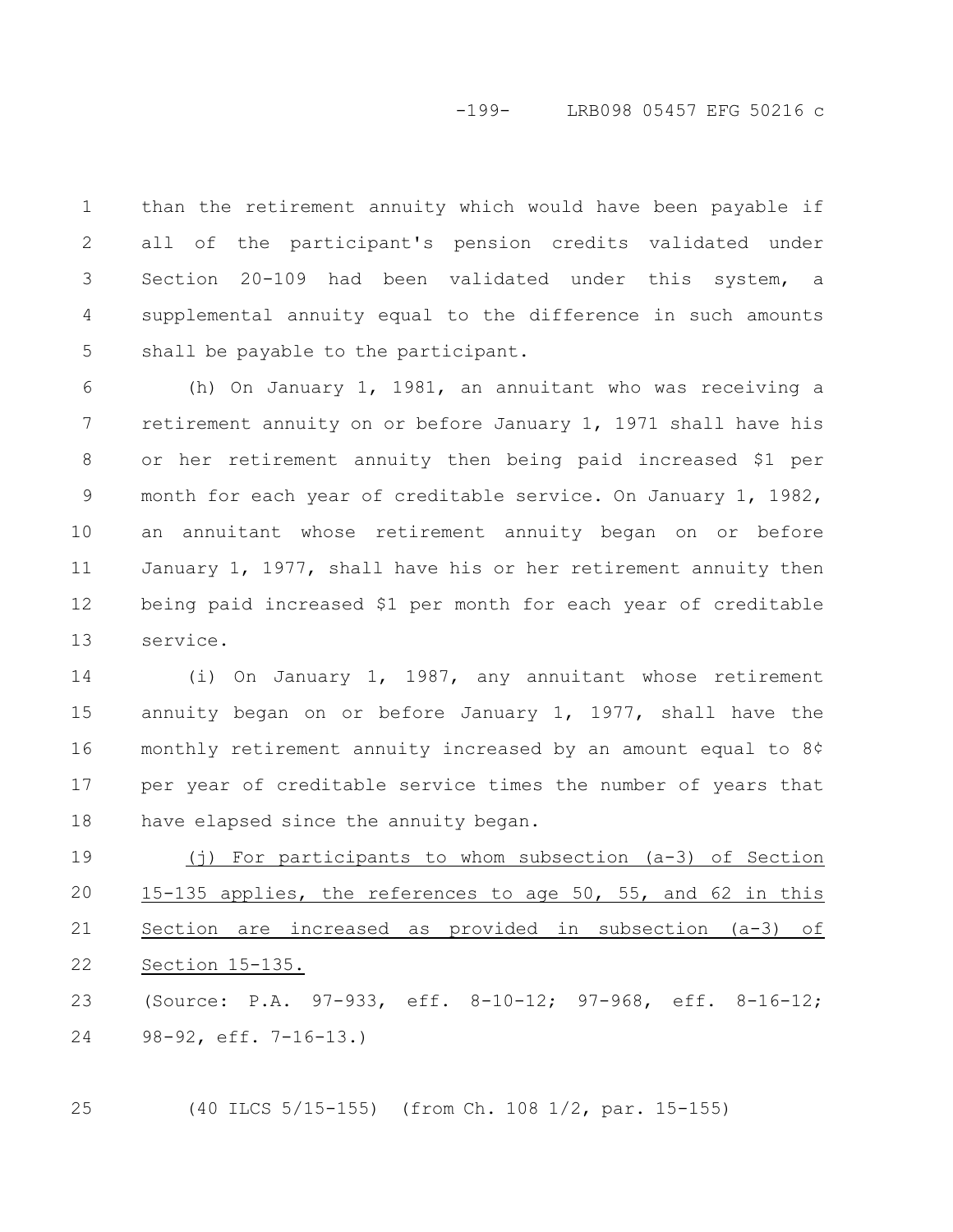than the retirement annuity which would have been payable if all of the participant's pension credits validated under Section 20-109 had been validated under this system, a supplemental annuity equal to the difference in such amounts shall be payable to the participant. 1 2 3 4 5

(h) On January 1, 1981, an annuitant who was receiving a retirement annuity on or before January 1, 1971 shall have his or her retirement annuity then being paid increased \$1 per month for each year of creditable service. On January 1, 1982, an annuitant whose retirement annuity began on or before January 1, 1977, shall have his or her retirement annuity then being paid increased \$1 per month for each year of creditable service. 6 7 8 9 10 11 12 13

(i) On January 1, 1987, any annuitant whose retirement annuity began on or before January 1, 1977, shall have the monthly retirement annuity increased by an amount equal to 8¢ per year of creditable service times the number of years that have elapsed since the annuity began. 14 15 16 17 18

(j) For participants to whom subsection (a-3) of Section 15-135 applies, the references to age 50, 55, and 62 in this Section are increased as provided in subsection (a-3) of Section 15-135. 19 20 21 22

(Source: P.A. 97-933, eff. 8-10-12; 97-968, eff. 8-16-12; 98-92, eff. 7-16-13.) 23 24

(40 ILCS 5/15-155) (from Ch. 108 1/2, par. 15-155) 25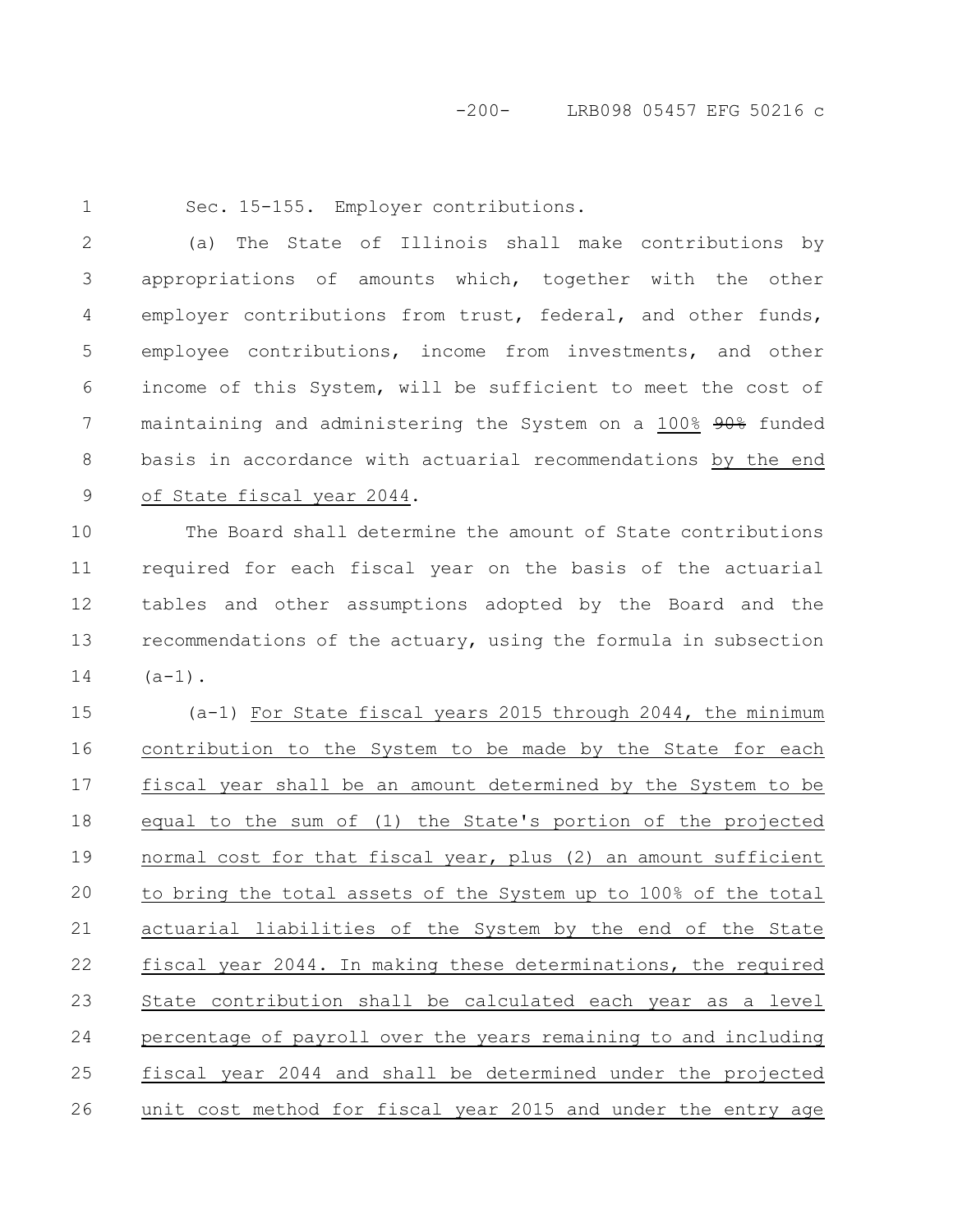1

Sec. 15-155. Employer contributions.

(a) The State of Illinois shall make contributions by appropriations of amounts which, together with the other employer contributions from trust, federal, and other funds, employee contributions, income from investments, and other income of this System, will be sufficient to meet the cost of maintaining and administering the System on a 100% 90% funded basis in accordance with actuarial recommendations by the end of State fiscal year 2044. 2 3 4 5 6 7 8 9

The Board shall determine the amount of State contributions required for each fiscal year on the basis of the actuarial tables and other assumptions adopted by the Board and the recommendations of the actuary, using the formula in subsection  $(a-1)$ . 10 11 12 13 14

(a-1) For State fiscal years 2015 through 2044, the minimum contribution to the System to be made by the State for each fiscal year shall be an amount determined by the System to be equal to the sum of (1) the State's portion of the projected normal cost for that fiscal year, plus (2) an amount sufficient to bring the total assets of the System up to 100% of the total actuarial liabilities of the System by the end of the State fiscal year 2044. In making these determinations, the required State contribution shall be calculated each year as a level percentage of payroll over the years remaining to and including fiscal year 2044 and shall be determined under the projected unit cost method for fiscal year 2015 and under the entry age 15 16 17 18 19 20 21 22 23 24 25 26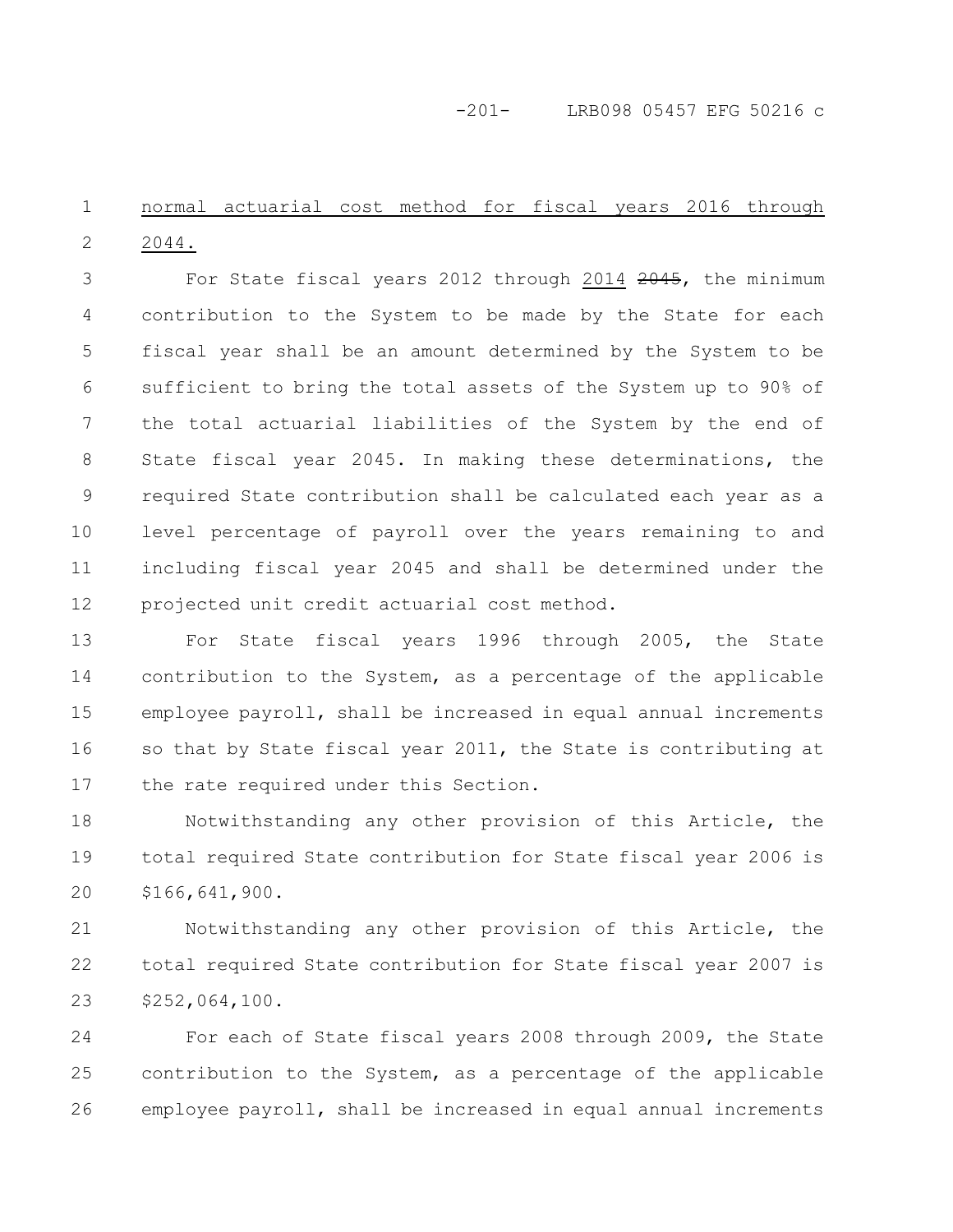### -201- LRB098 05457 EFG 50216 c

#### normal actuarial cost method for fiscal years 2016 through 2044. 1 2

For State fiscal years 2012 through 2014 2045, the minimum contribution to the System to be made by the State for each fiscal year shall be an amount determined by the System to be sufficient to bring the total assets of the System up to 90% of the total actuarial liabilities of the System by the end of State fiscal year 2045. In making these determinations, the required State contribution shall be calculated each year as a level percentage of payroll over the years remaining to and including fiscal year 2045 and shall be determined under the projected unit credit actuarial cost method. 3 4 5 6 7 8 9 10 11 12

For State fiscal years 1996 through 2005, the State contribution to the System, as a percentage of the applicable employee payroll, shall be increased in equal annual increments so that by State fiscal year 2011, the State is contributing at the rate required under this Section. 13 14 15 16 17

Notwithstanding any other provision of this Article, the total required State contribution for State fiscal year 2006 is \$166,641,900. 18 19 20

Notwithstanding any other provision of this Article, the total required State contribution for State fiscal year 2007 is \$252,064,100. 21 22 23

For each of State fiscal years 2008 through 2009, the State contribution to the System, as a percentage of the applicable employee payroll, shall be increased in equal annual increments 24 25 26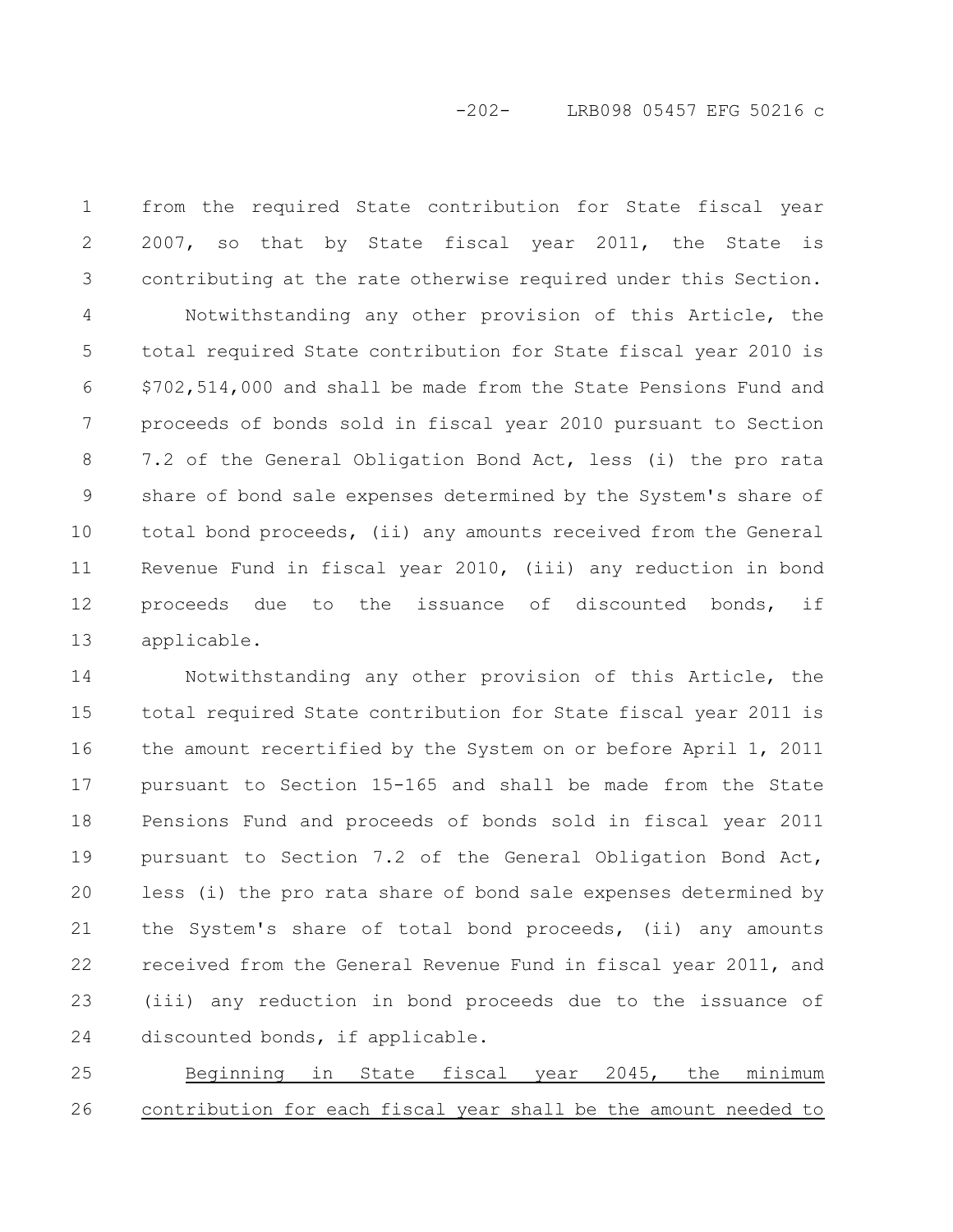# -202- LRB098 05457 EFG 50216 c

from the required State contribution for State fiscal year 2007, so that by State fiscal year 2011, the State is contributing at the rate otherwise required under this Section. Notwithstanding any other provision of this Article, the total required State contribution for State fiscal year 2010 is \$702,514,000 and shall be made from the State Pensions Fund and proceeds of bonds sold in fiscal year 2010 pursuant to Section 7.2 of the General Obligation Bond Act, less (i) the pro rata share of bond sale expenses determined by the System's share of total bond proceeds, (ii) any amounts received from the General Revenue Fund in fiscal year 2010, (iii) any reduction in bond proceeds due to the issuance of discounted bonds, if applicable. 1 2 3 4 5 6 7 8 9 10 11 12 13

Notwithstanding any other provision of this Article, the total required State contribution for State fiscal year 2011 is the amount recertified by the System on or before April 1, 2011 pursuant to Section 15-165 and shall be made from the State Pensions Fund and proceeds of bonds sold in fiscal year 2011 pursuant to Section 7.2 of the General Obligation Bond Act, less (i) the pro rata share of bond sale expenses determined by the System's share of total bond proceeds, (ii) any amounts received from the General Revenue Fund in fiscal year 2011, and (iii) any reduction in bond proceeds due to the issuance of discounted bonds, if applicable. 14 15 16 17 18 19 20 21 22 23 24

Beginning in State fiscal year 2045, the minimum contribution for each fiscal year shall be the amount needed to 25 26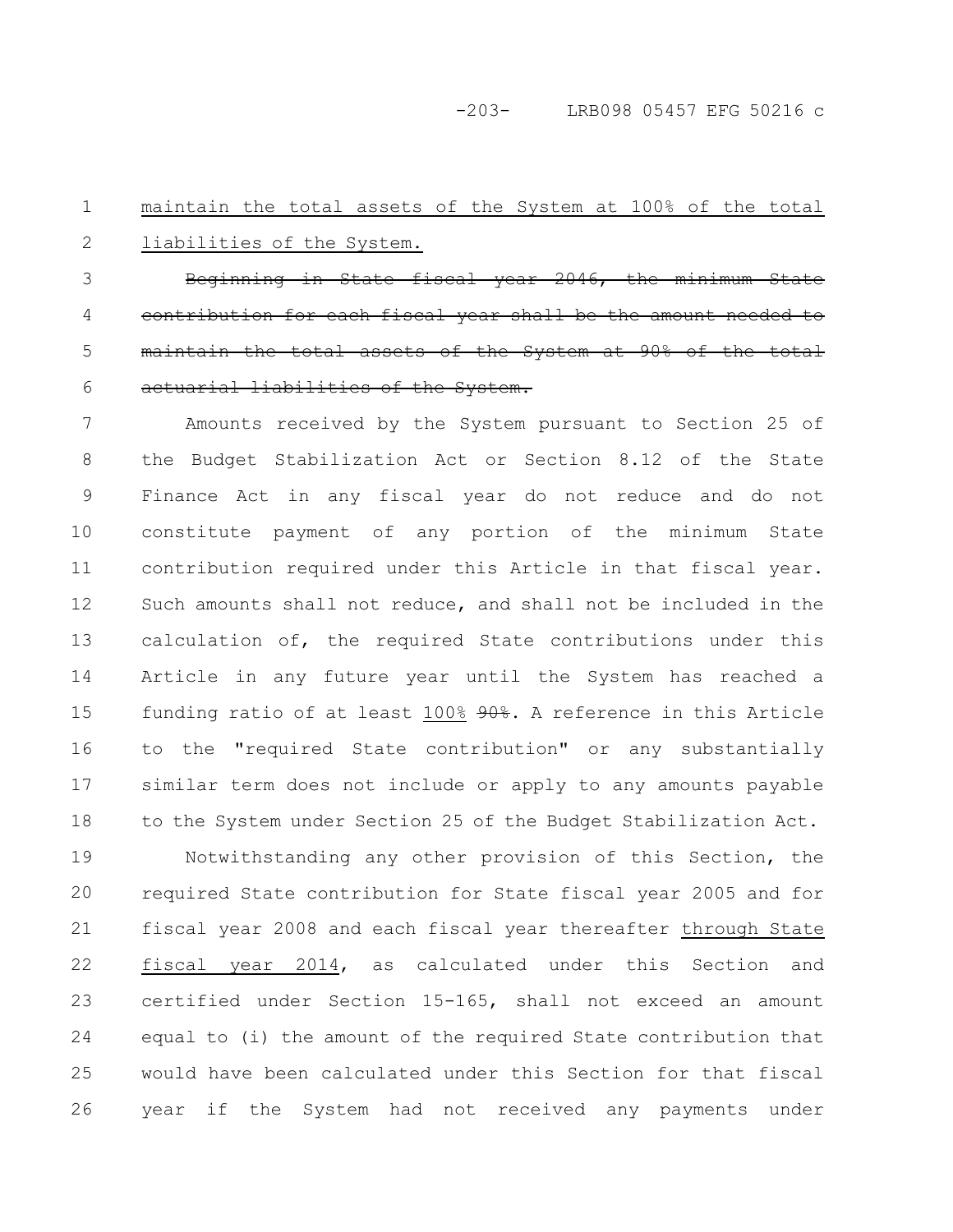-203- LRB098 05457 EFG 50216 c

#### maintain the total assets of the System at 100% of the total liabilities of the System. 1 2

Beginning in State fiscal year  $2046$ , the contribution for each fiscal year shall be the amount maintain the total assets of the System at 90% actuarial liabilities of the System. 3 4 5 6

Amounts received by the System pursuant to Section 25 of the Budget Stabilization Act or Section 8.12 of the State Finance Act in any fiscal year do not reduce and do not constitute payment of any portion of the minimum State contribution required under this Article in that fiscal year. Such amounts shall not reduce, and shall not be included in the calculation of, the required State contributions under this Article in any future year until the System has reached a funding ratio of at least 100% 90%. A reference in this Article to the "required State contribution" or any substantially similar term does not include or apply to any amounts payable to the System under Section 25 of the Budget Stabilization Act. 7 8 9 10 11 12 13 14 15 16 17 18

Notwithstanding any other provision of this Section, the required State contribution for State fiscal year 2005 and for fiscal year 2008 and each fiscal year thereafter through State fiscal year 2014, as calculated under this Section and certified under Section 15-165, shall not exceed an amount equal to (i) the amount of the required State contribution that would have been calculated under this Section for that fiscal year if the System had not received any payments under 19 20 21 22 23 24 25 26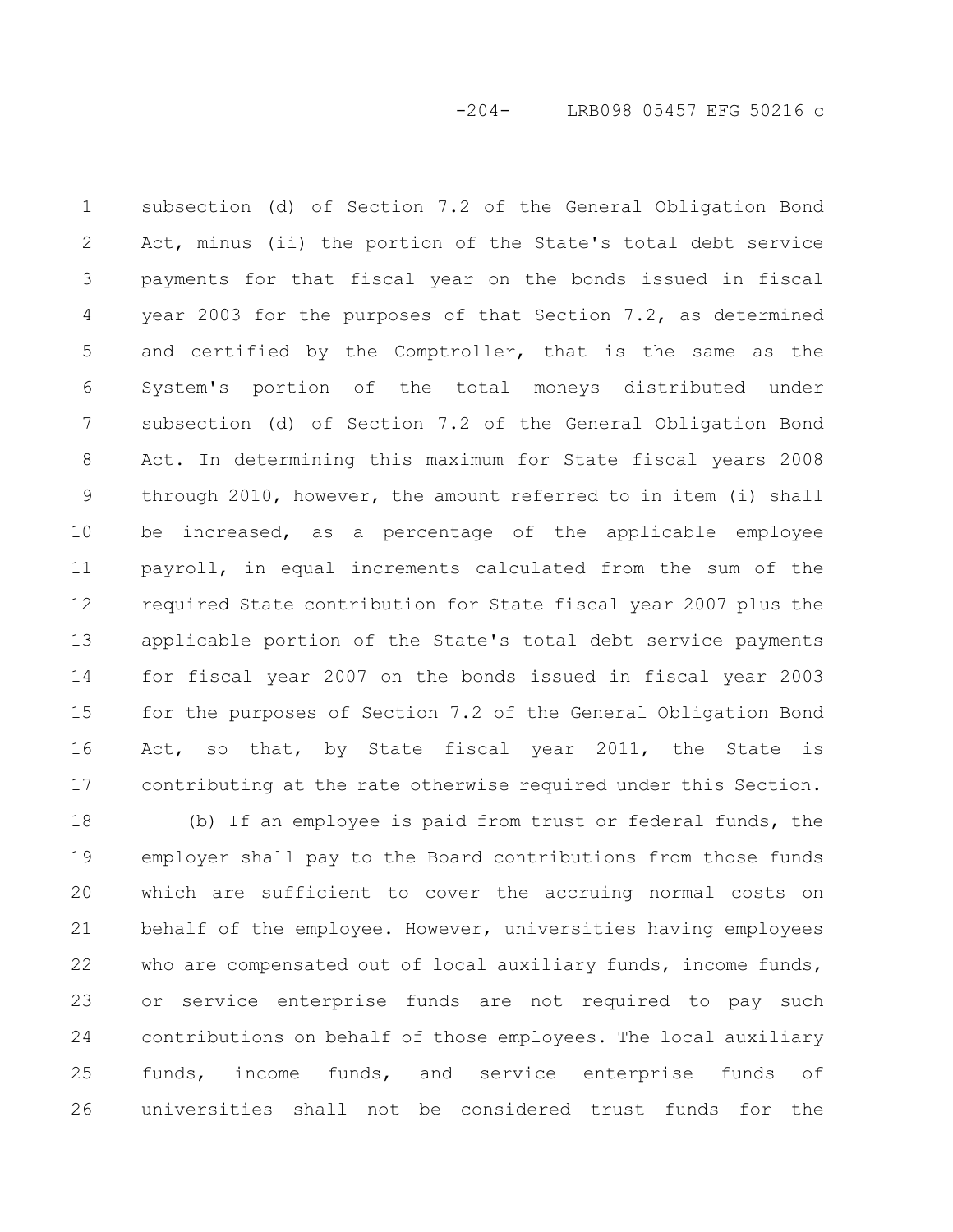subsection (d) of Section 7.2 of the General Obligation Bond Act, minus (ii) the portion of the State's total debt service payments for that fiscal year on the bonds issued in fiscal year 2003 for the purposes of that Section 7.2, as determined and certified by the Comptroller, that is the same as the System's portion of the total moneys distributed under subsection (d) of Section 7.2 of the General Obligation Bond Act. In determining this maximum for State fiscal years 2008 through 2010, however, the amount referred to in item (i) shall be increased, as a percentage of the applicable employee payroll, in equal increments calculated from the sum of the required State contribution for State fiscal year 2007 plus the applicable portion of the State's total debt service payments for fiscal year 2007 on the bonds issued in fiscal year 2003 for the purposes of Section 7.2 of the General Obligation Bond Act, so that, by State fiscal year 2011, the State is contributing at the rate otherwise required under this Section. 1 2 3 4 5 6 7 8 9 10 11 12 13 14 15 16 17

(b) If an employee is paid from trust or federal funds, the employer shall pay to the Board contributions from those funds which are sufficient to cover the accruing normal costs on behalf of the employee. However, universities having employees who are compensated out of local auxiliary funds, income funds, or service enterprise funds are not required to pay such contributions on behalf of those employees. The local auxiliary funds, income funds, and service enterprise funds of universities shall not be considered trust funds for the 18 19 20 21 22 23 24 25 26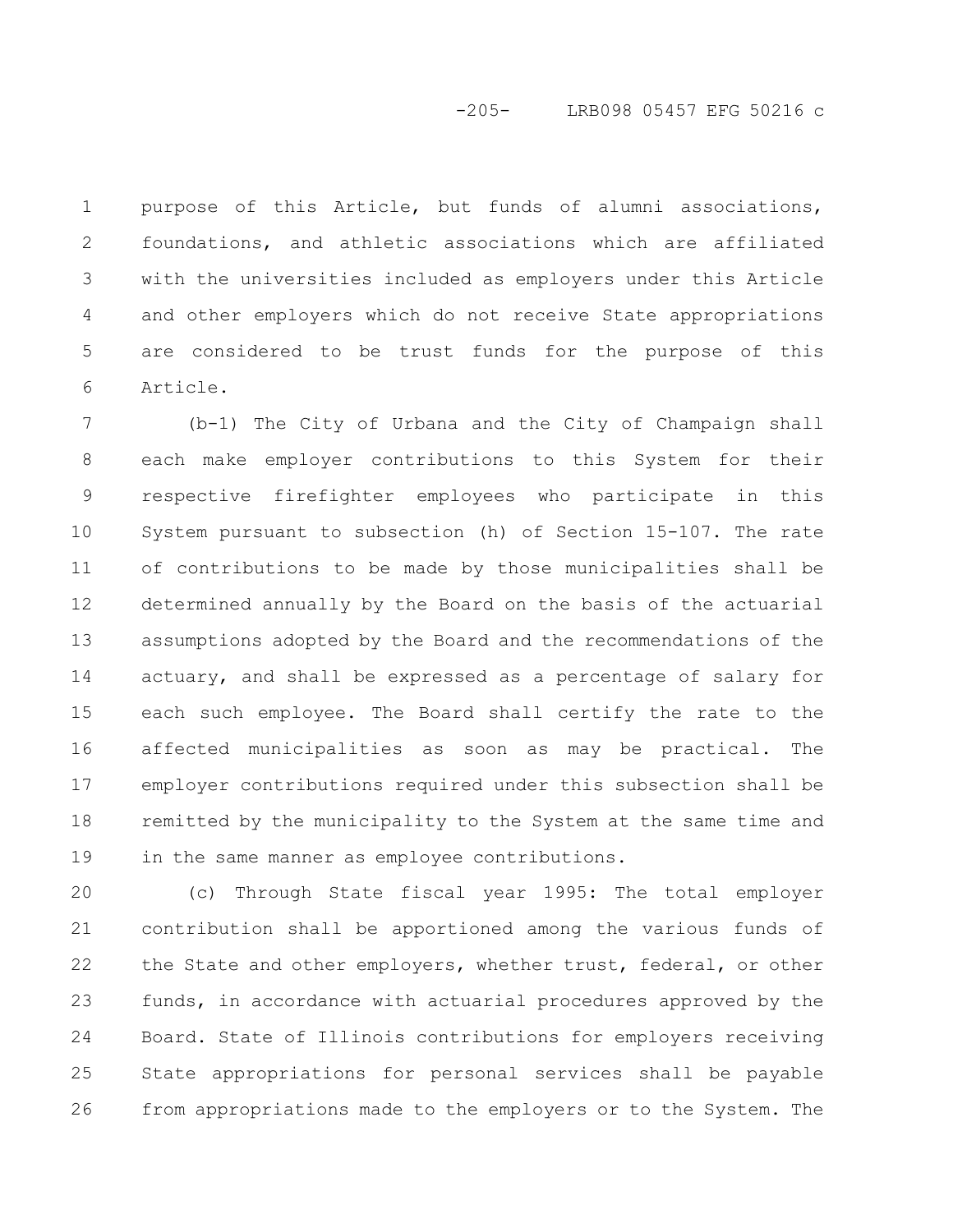# -205- LRB098 05457 EFG 50216 c

purpose of this Article, but funds of alumni associations, foundations, and athletic associations which are affiliated with the universities included as employers under this Article and other employers which do not receive State appropriations are considered to be trust funds for the purpose of this Article. 1 2 3 4 5 6

(b-1) The City of Urbana and the City of Champaign shall each make employer contributions to this System for their respective firefighter employees who participate in this System pursuant to subsection (h) of Section 15-107. The rate of contributions to be made by those municipalities shall be determined annually by the Board on the basis of the actuarial assumptions adopted by the Board and the recommendations of the actuary, and shall be expressed as a percentage of salary for each such employee. The Board shall certify the rate to the affected municipalities as soon as may be practical. The employer contributions required under this subsection shall be remitted by the municipality to the System at the same time and in the same manner as employee contributions. 7 8 9 10 11 12 13 14 15 16 17 18 19

(c) Through State fiscal year 1995: The total employer contribution shall be apportioned among the various funds of the State and other employers, whether trust, federal, or other funds, in accordance with actuarial procedures approved by the Board. State of Illinois contributions for employers receiving State appropriations for personal services shall be payable from appropriations made to the employers or to the System. The 20 21 22 23 24 25 26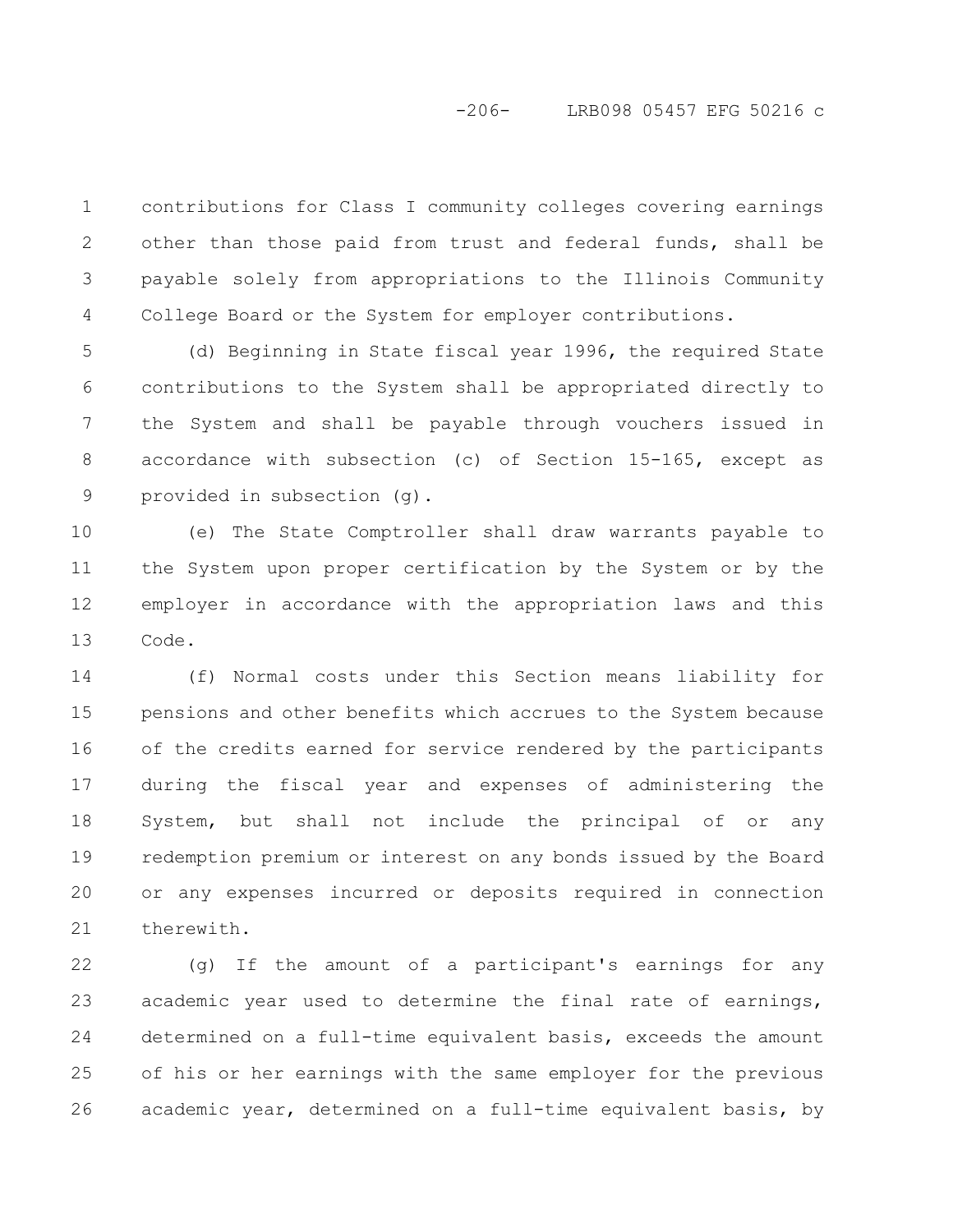# -206- LRB098 05457 EFG 50216 c

contributions for Class I community colleges covering earnings other than those paid from trust and federal funds, shall be payable solely from appropriations to the Illinois Community College Board or the System for employer contributions. 1 2 3 4

(d) Beginning in State fiscal year 1996, the required State contributions to the System shall be appropriated directly to the System and shall be payable through vouchers issued in accordance with subsection (c) of Section 15-165, except as provided in subsection (g). 5 6 7 8 9

(e) The State Comptroller shall draw warrants payable to the System upon proper certification by the System or by the employer in accordance with the appropriation laws and this Code. 10 11 12 13

(f) Normal costs under this Section means liability for pensions and other benefits which accrues to the System because of the credits earned for service rendered by the participants during the fiscal year and expenses of administering the System, but shall not include the principal of or any redemption premium or interest on any bonds issued by the Board or any expenses incurred or deposits required in connection therewith. 14 15 16 17 18 19 20 21

(g) If the amount of a participant's earnings for any academic year used to determine the final rate of earnings, determined on a full-time equivalent basis, exceeds the amount of his or her earnings with the same employer for the previous academic year, determined on a full-time equivalent basis, by 22 23 24 25 26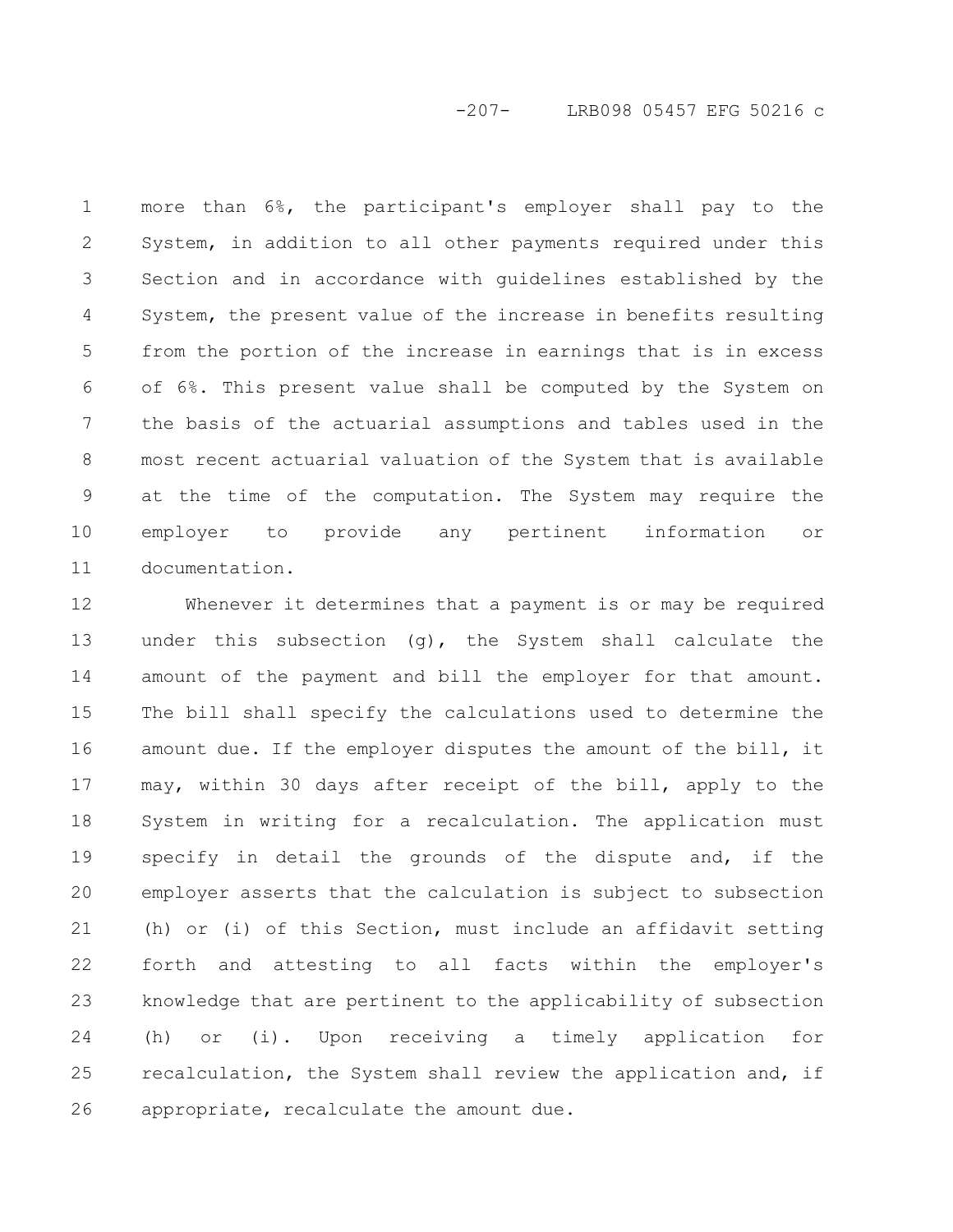# -207- LRB098 05457 EFG 50216 c

more than 6%, the participant's employer shall pay to the System, in addition to all other payments required under this Section and in accordance with guidelines established by the System, the present value of the increase in benefits resulting from the portion of the increase in earnings that is in excess of 6%. This present value shall be computed by the System on the basis of the actuarial assumptions and tables used in the most recent actuarial valuation of the System that is available at the time of the computation. The System may require the employer to provide any pertinent information or documentation. 1 2 3 4 5 6 7 8 9 10 11

Whenever it determines that a payment is or may be required under this subsection (g), the System shall calculate the amount of the payment and bill the employer for that amount. The bill shall specify the calculations used to determine the amount due. If the employer disputes the amount of the bill, it may, within 30 days after receipt of the bill, apply to the System in writing for a recalculation. The application must specify in detail the grounds of the dispute and, if the employer asserts that the calculation is subject to subsection (h) or (i) of this Section, must include an affidavit setting forth and attesting to all facts within the employer's knowledge that are pertinent to the applicability of subsection (h) or (i). Upon receiving a timely application for recalculation, the System shall review the application and, if appropriate, recalculate the amount due. 12 13 14 15 16 17 18 19 20 21 22 23 24 25 26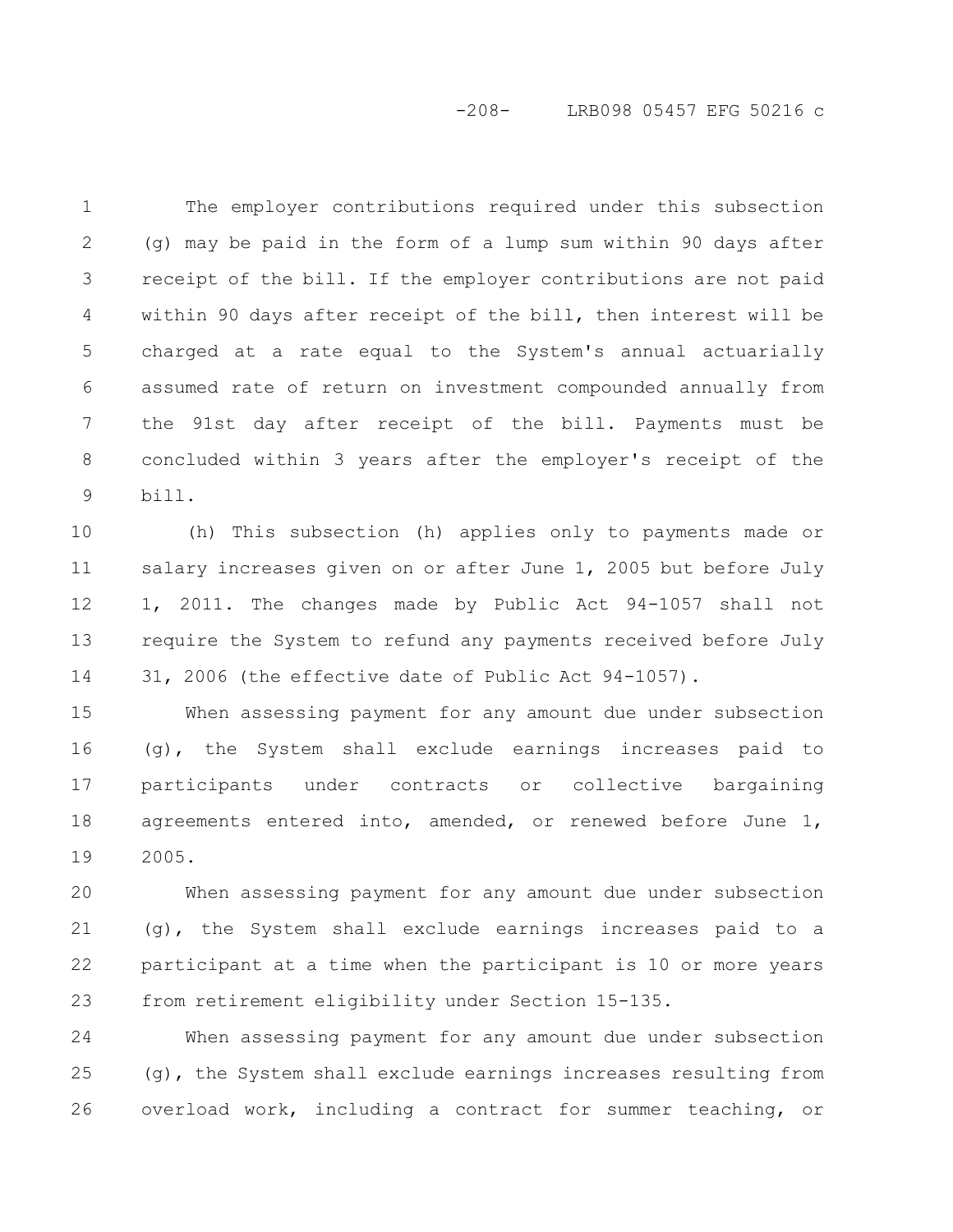# -208- LRB098 05457 EFG 50216 c

The employer contributions required under this subsection (g) may be paid in the form of a lump sum within 90 days after receipt of the bill. If the employer contributions are not paid within 90 days after receipt of the bill, then interest will be charged at a rate equal to the System's annual actuarially assumed rate of return on investment compounded annually from the 91st day after receipt of the bill. Payments must be concluded within 3 years after the employer's receipt of the bill. 1 2 3 4 5 6 7 8 9

(h) This subsection (h) applies only to payments made or salary increases given on or after June 1, 2005 but before July 1, 2011. The changes made by Public Act 94-1057 shall not require the System to refund any payments received before July 31, 2006 (the effective date of Public Act 94-1057). 10 11 12 13 14

When assessing payment for any amount due under subsection (g), the System shall exclude earnings increases paid to participants under contracts or collective bargaining agreements entered into, amended, or renewed before June 1, 2005. 15 16 17 18 19

When assessing payment for any amount due under subsection (g), the System shall exclude earnings increases paid to a participant at a time when the participant is 10 or more years from retirement eligibility under Section 15-135. 20 21 22 23

When assessing payment for any amount due under subsection (g), the System shall exclude earnings increases resulting from overload work, including a contract for summer teaching, or 24 25 26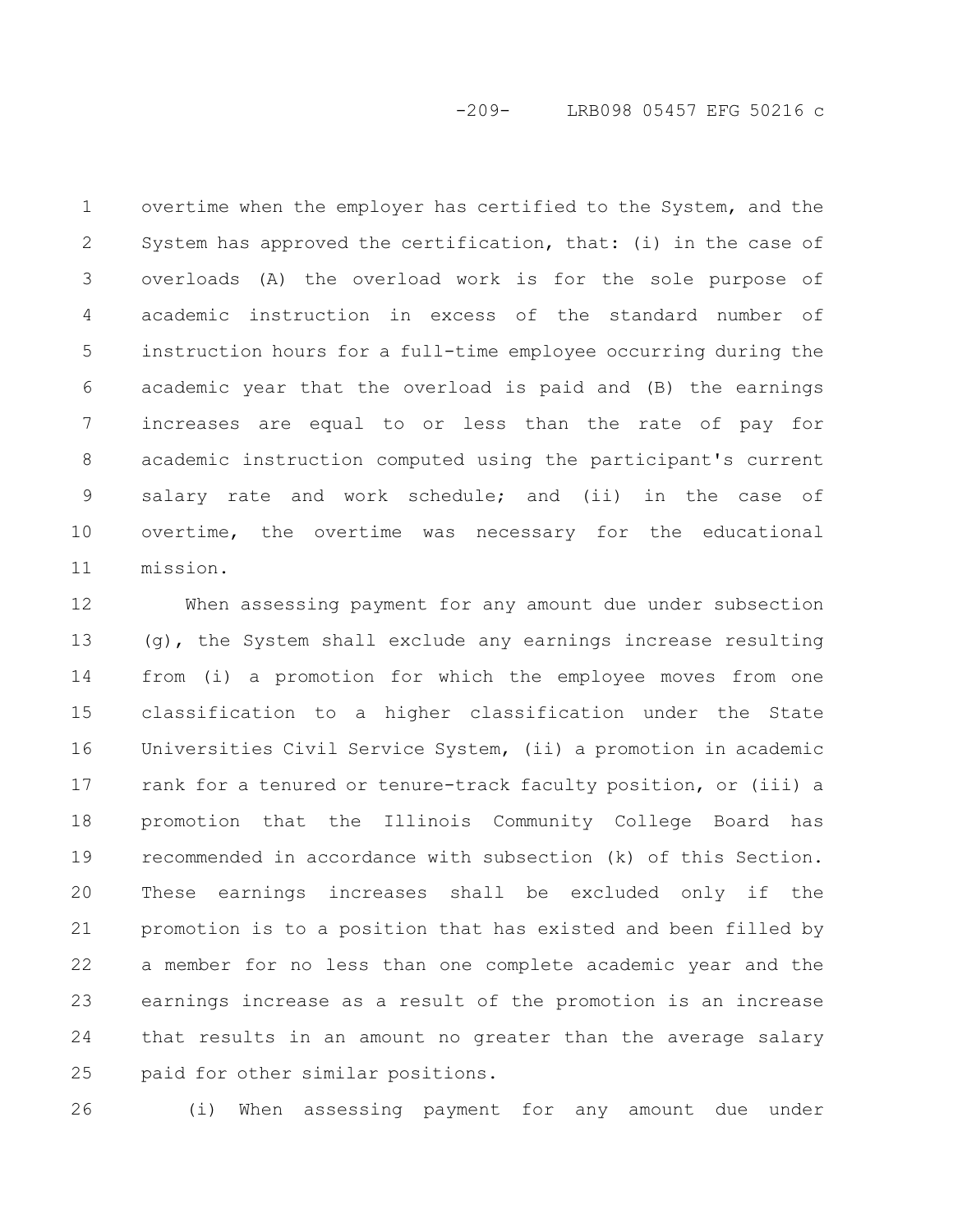-209- LRB098 05457 EFG 50216 c

overtime when the employer has certified to the System, and the System has approved the certification, that: (i) in the case of overloads (A) the overload work is for the sole purpose of academic instruction in excess of the standard number of instruction hours for a full-time employee occurring during the academic year that the overload is paid and (B) the earnings increases are equal to or less than the rate of pay for academic instruction computed using the participant's current salary rate and work schedule; and (ii) in the case of overtime, the overtime was necessary for the educational mission. 1 2 3 4 5 6 7 8 9 10 11

When assessing payment for any amount due under subsection (g), the System shall exclude any earnings increase resulting from (i) a promotion for which the employee moves from one classification to a higher classification under the State Universities Civil Service System, (ii) a promotion in academic rank for a tenured or tenure-track faculty position, or (iii) a promotion that the Illinois Community College Board has recommended in accordance with subsection (k) of this Section. These earnings increases shall be excluded only if the promotion is to a position that has existed and been filled by a member for no less than one complete academic year and the earnings increase as a result of the promotion is an increase that results in an amount no greater than the average salary paid for other similar positions. 12 13 14 15 16 17 18 19 20 21 22 23 24 25

(i) When assessing payment for any amount due under 26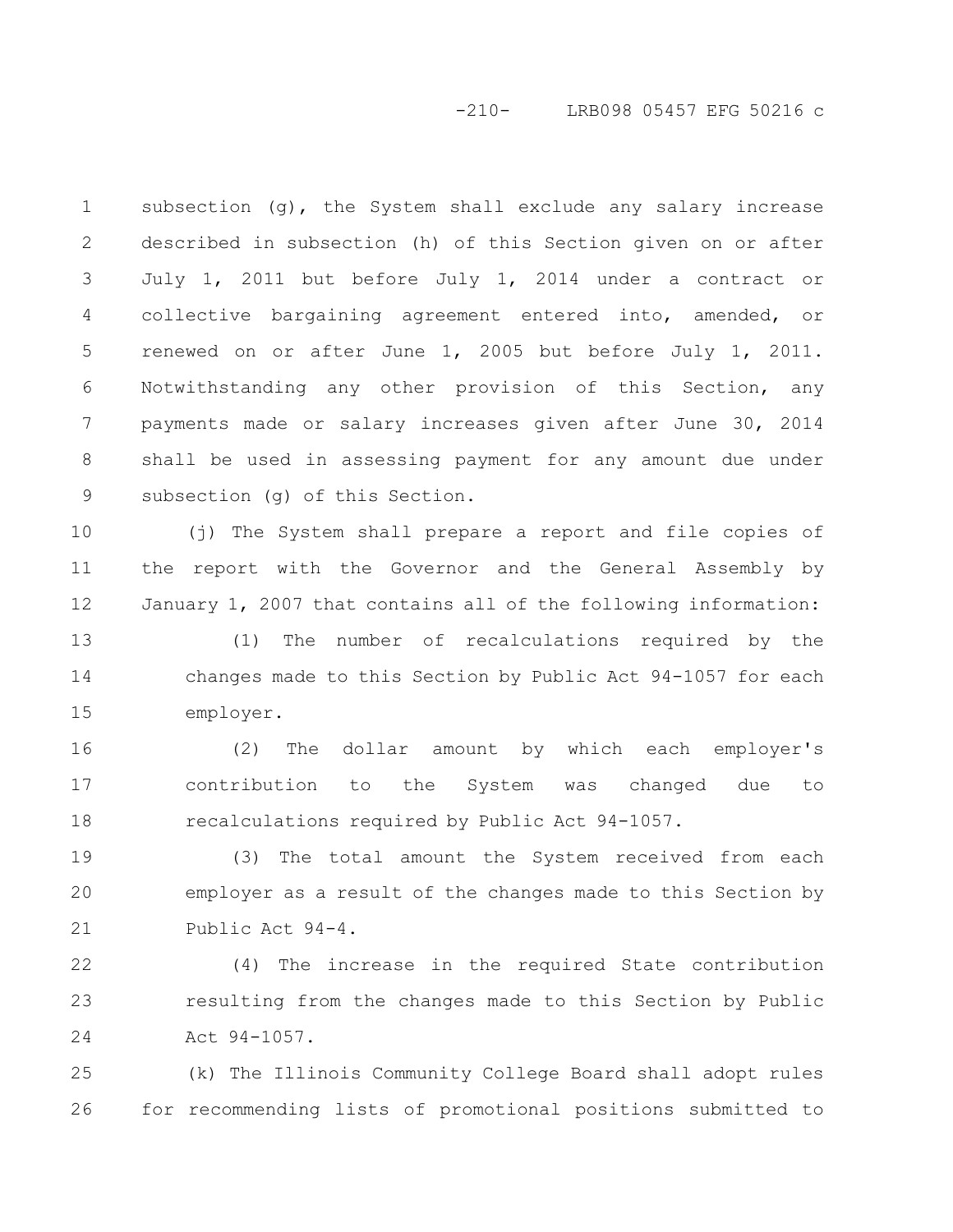# -210- LRB098 05457 EFG 50216 c

subsection  $(q)$ , the System shall exclude any salary increase described in subsection (h) of this Section given on or after July 1, 2011 but before July 1, 2014 under a contract or collective bargaining agreement entered into, amended, or renewed on or after June 1, 2005 but before July 1, 2011. Notwithstanding any other provision of this Section, any payments made or salary increases given after June 30, 2014 shall be used in assessing payment for any amount due under subsection (g) of this Section. 1 2 3 4 5 6 7 8 9

(j) The System shall prepare a report and file copies of the report with the Governor and the General Assembly by January 1, 2007 that contains all of the following information: 10 11 12

(1) The number of recalculations required by the changes made to this Section by Public Act 94-1057 for each employer. 13 14 15

(2) The dollar amount by which each employer's contribution to the System was changed due to recalculations required by Public Act 94-1057. 16 17 18

(3) The total amount the System received from each employer as a result of the changes made to this Section by Public Act 94-4. 19 20 21

(4) The increase in the required State contribution resulting from the changes made to this Section by Public Act 94-1057. 22 23 24

(k) The Illinois Community College Board shall adopt rules for recommending lists of promotional positions submitted to 25 26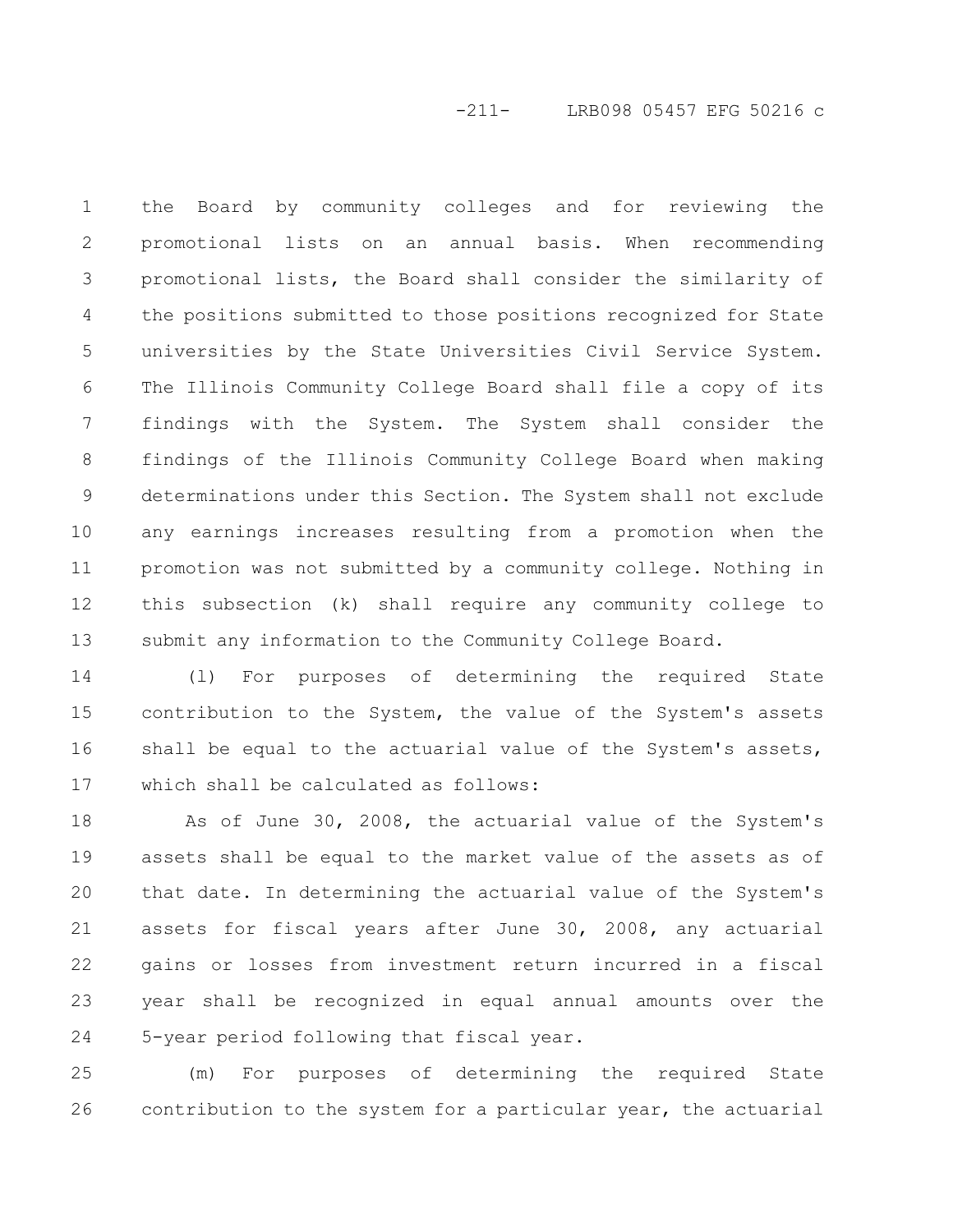# -211- LRB098 05457 EFG 50216 c

the Board by community colleges and for reviewing the promotional lists on an annual basis. When recommending promotional lists, the Board shall consider the similarity of the positions submitted to those positions recognized for State universities by the State Universities Civil Service System. The Illinois Community College Board shall file a copy of its findings with the System. The System shall consider the findings of the Illinois Community College Board when making determinations under this Section. The System shall not exclude any earnings increases resulting from a promotion when the promotion was not submitted by a community college. Nothing in this subsection (k) shall require any community college to submit any information to the Community College Board. 1 2 3 4 5 6 7 8 9 10 11 12 13

(l) For purposes of determining the required State contribution to the System, the value of the System's assets shall be equal to the actuarial value of the System's assets, which shall be calculated as follows: 14 15 16 17

As of June 30, 2008, the actuarial value of the System's assets shall be equal to the market value of the assets as of that date. In determining the actuarial value of the System's assets for fiscal years after June 30, 2008, any actuarial gains or losses from investment return incurred in a fiscal year shall be recognized in equal annual amounts over the 5-year period following that fiscal year. 18 19 20 21 22 23 24

(m) For purposes of determining the required State contribution to the system for a particular year, the actuarial 25 26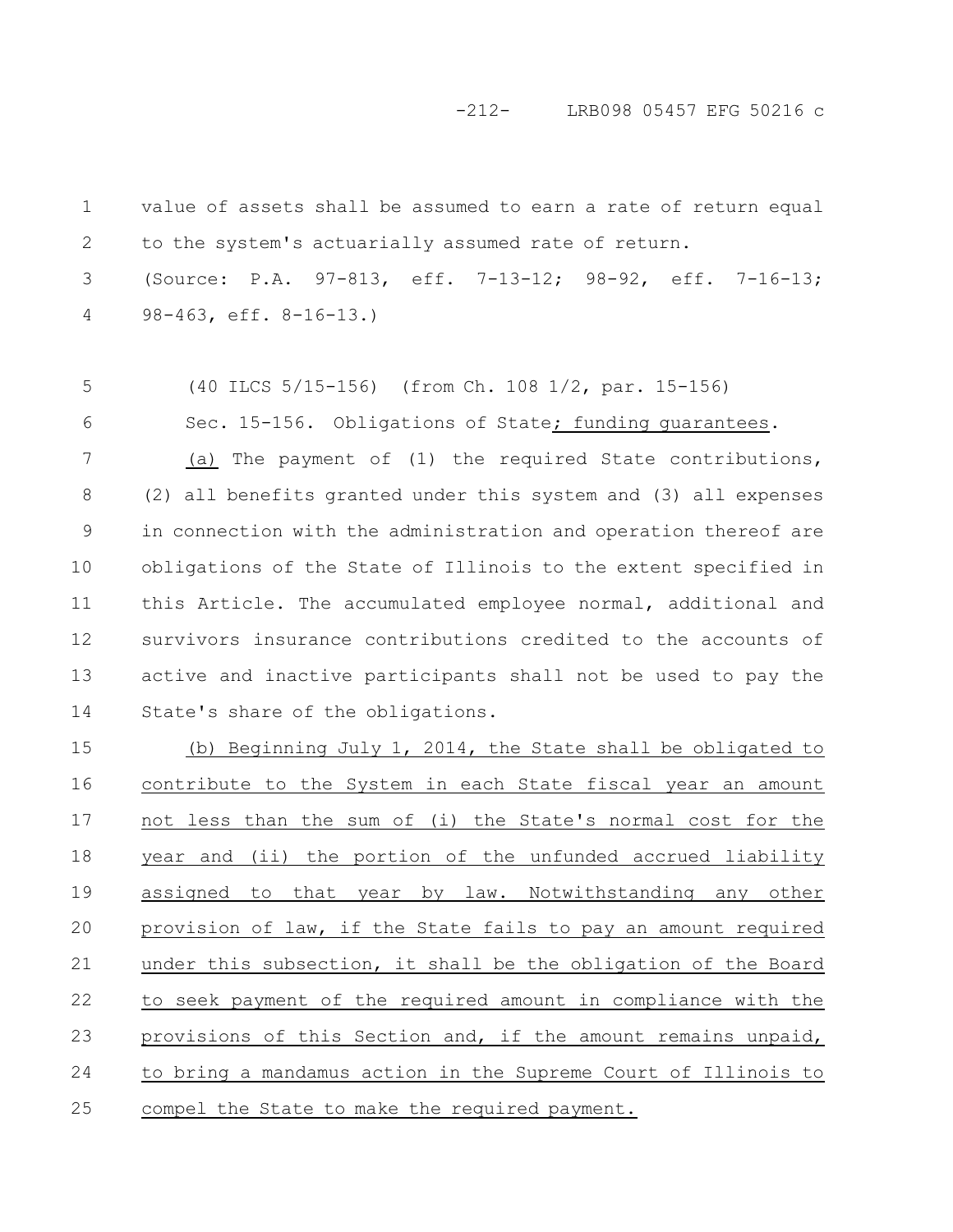-212- LRB098 05457 EFG 50216 c

value of assets shall be assumed to earn a rate of return equal to the system's actuarially assumed rate of return. 1 2

(Source: P.A. 97-813, eff. 7-13-12; 98-92, eff. 7-16-13; 98-463, eff. 8-16-13.) 3 4

(40 ILCS 5/15-156) (from Ch. 108 1/2, par. 15-156) 5

6

Sec. 15-156. Obligations of State; funding quarantees.

(a) The payment of (1) the required State contributions, (2) all benefits granted under this system and (3) all expenses in connection with the administration and operation thereof are obligations of the State of Illinois to the extent specified in this Article. The accumulated employee normal, additional and survivors insurance contributions credited to the accounts of active and inactive participants shall not be used to pay the State's share of the obligations. 7 8 9 10 11 12 13 14

(b) Beginning July 1, 2014, the State shall be obligated to contribute to the System in each State fiscal year an amount not less than the sum of (i) the State's normal cost for the year and (ii) the portion of the unfunded accrued liability assigned to that year by law. Notwithstanding any other provision of law, if the State fails to pay an amount required under this subsection, it shall be the obligation of the Board to seek payment of the required amount in compliance with the provisions of this Section and, if the amount remains unpaid, to bring a mandamus action in the Supreme Court of Illinois to compel the State to make the required payment. 15 16 17 18 19 20 21 22 23 24 25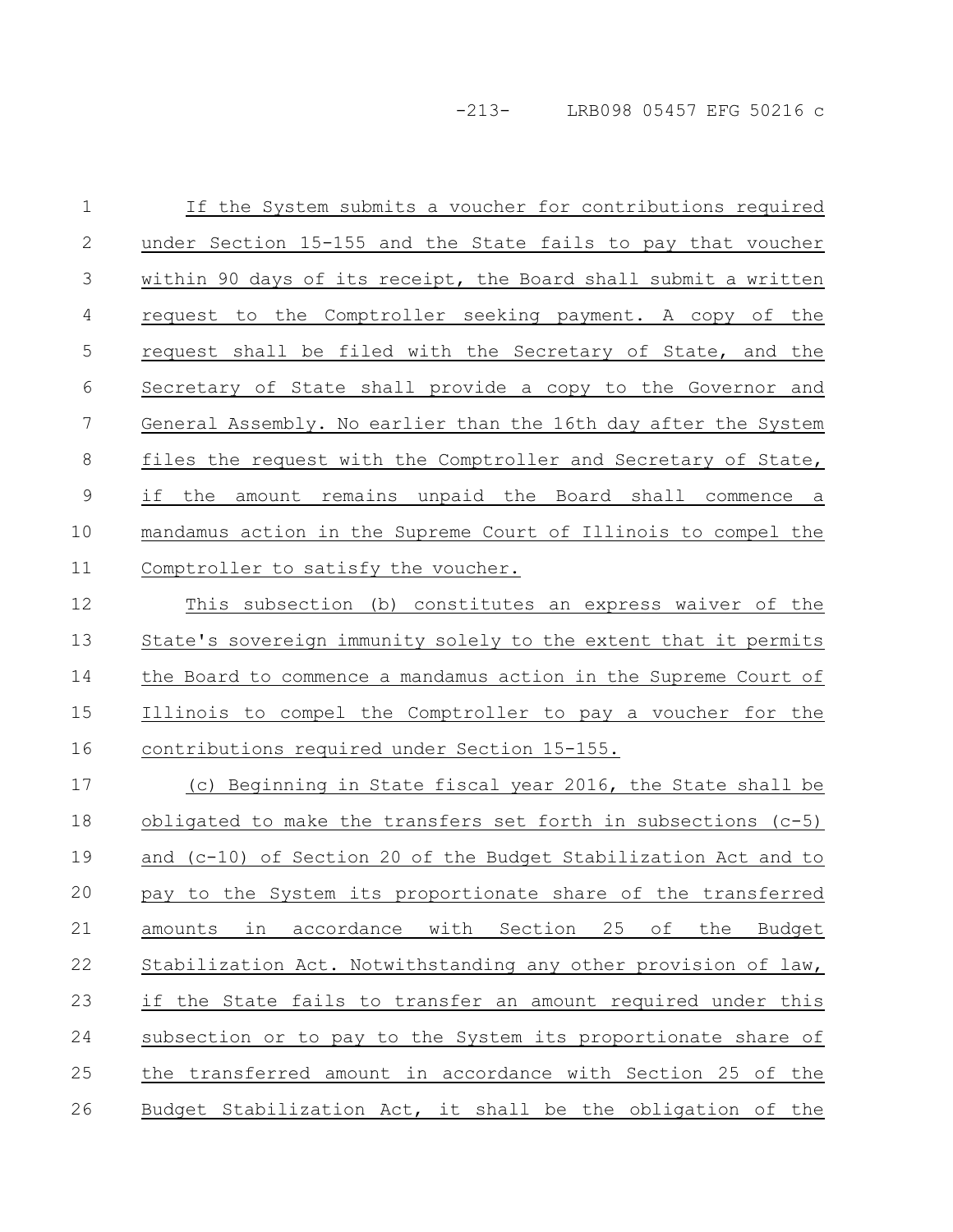If the System submits a voucher for contributions required under Section 15-155 and the State fails to pay that voucher within 90 days of its receipt, the Board shall submit a written request to the Comptroller seeking payment. A copy of the request shall be filed with the Secretary of State, and the Secretary of State shall provide a copy to the Governor and General Assembly. No earlier than the 16th day after the System files the request with the Comptroller and Secretary of State, if the amount remains unpaid the Board shall commence a mandamus action in the Supreme Court of Illinois to compel the Comptroller to satisfy the voucher. This subsection (b) constitutes an express waiver of the 1 2 3 4 5 6 7 8 9 10 11 12

State's sovereign immunity solely to the extent that it permits the Board to commence a mandamus action in the Supreme Court of Illinois to compel the Comptroller to pay a voucher for the contributions required under Section 15-155. 13 14 15 16

(c) Beginning in State fiscal year 2016, the State shall be obligated to make the transfers set forth in subsections (c-5) and (c-10) of Section 20 of the Budget Stabilization Act and to pay to the System its proportionate share of the transferred amounts in accordance with Section 25 of the Budget Stabilization Act. Notwithstanding any other provision of law, if the State fails to transfer an amount required under this subsection or to pay to the System its proportionate share of the transferred amount in accordance with Section 25 of the Budget Stabilization Act, it shall be the obligation of the 17 18 19 20 21 22 23 24 25 26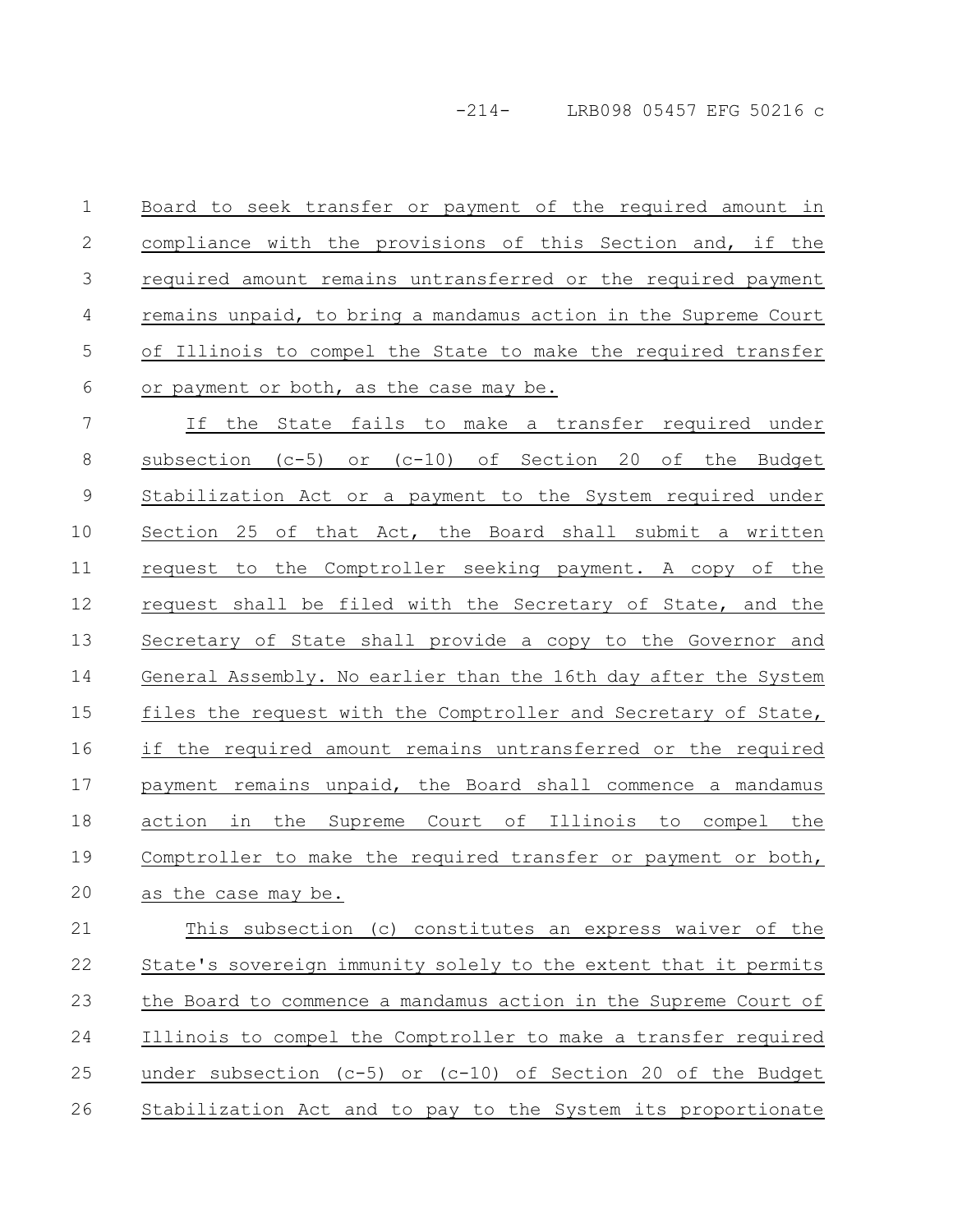Board to seek transfer or payment of the required amount in compliance with the provisions of this Section and, if the required amount remains untransferred or the required payment remains unpaid, to bring a mandamus action in the Supreme Court of Illinois to compel the State to make the required transfer or payment or both, as the case may be. 1 2 3 4 5 6

If the State fails to make a transfer required under subsection (c-5) or (c-10) of Section 20 of the Budget Stabilization Act or a payment to the System required under Section 25 of that Act, the Board shall submit a written request to the Comptroller seeking payment. A copy of the request shall be filed with the Secretary of State, and the Secretary of State shall provide a copy to the Governor and General Assembly. No earlier than the 16th day after the System files the request with the Comptroller and Secretary of State, if the required amount remains untransferred or the required payment remains unpaid, the Board shall commence a mandamus action in the Supreme Court of Illinois to compel the Comptroller to make the required transfer or payment or both, as the case may be. 7 8 9 10 11 12 13 14 15 16 17 18 19 20

This subsection (c) constitutes an express waiver of the State's sovereign immunity solely to the extent that it permits the Board to commence a mandamus action in the Supreme Court of Illinois to compel the Comptroller to make a transfer required under subsection (c-5) or (c-10) of Section 20 of the Budget Stabilization Act and to pay to the System its proportionate 21 22 23 24 25 26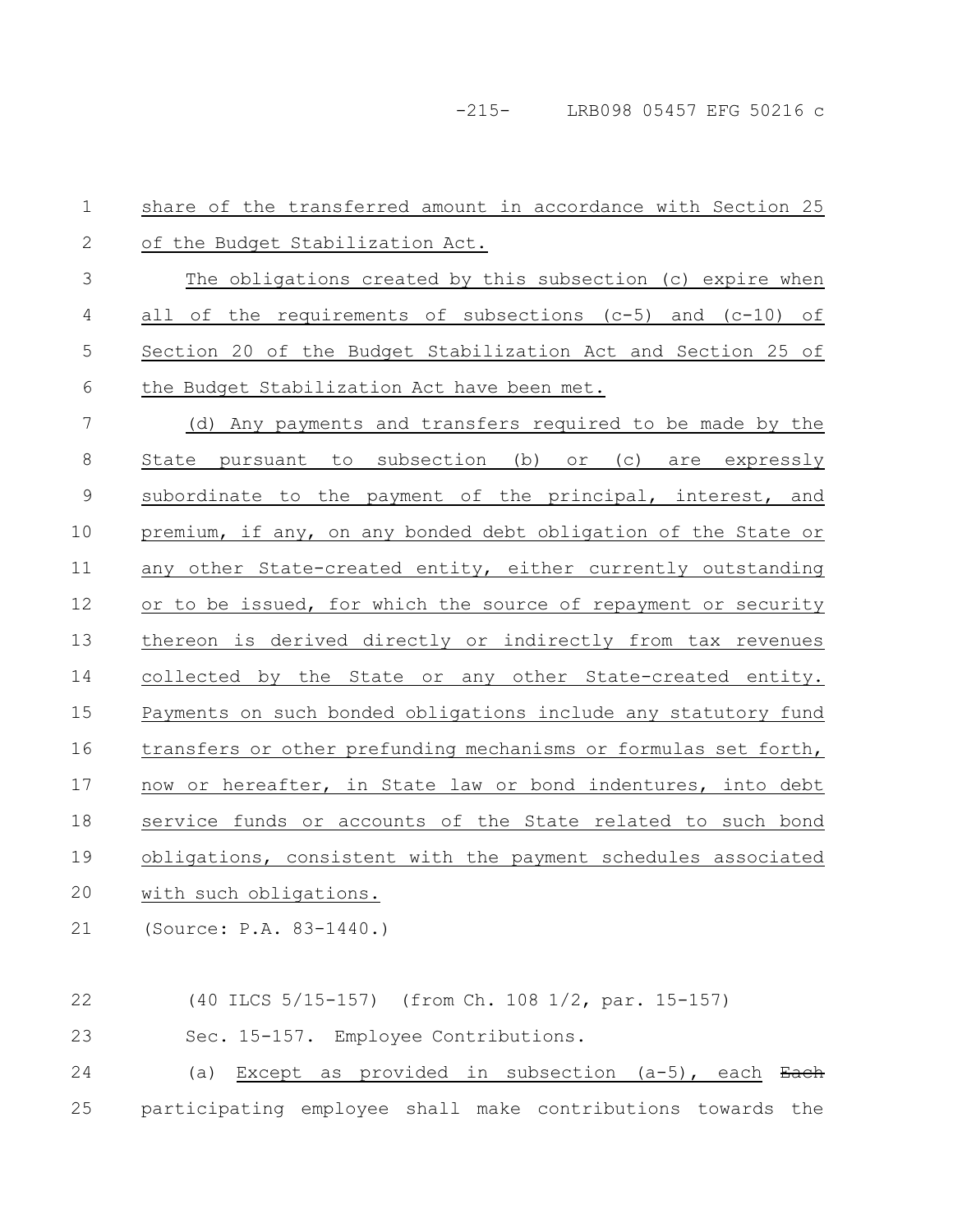-215- LRB098 05457 EFG 50216 c

share of the transferred amount in accordance with Section 25 of the Budget Stabilization Act. The obligations created by this subsection (c) expire when all of the requirements of subsections  $(c-5)$  and  $(c-10)$  of Section 20 of the Budget Stabilization Act and Section 25 of the Budget Stabilization Act have been met. (d) Any payments and transfers required to be made by the State pursuant to subsection (b) or (c) are expressly subordinate to the payment of the principal, interest, and premium, if any, on any bonded debt obligation of the State or any other State-created entity, either currently outstanding or to be issued, for which the source of repayment or security thereon is derived directly or indirectly from tax revenues collected by the State or any other State-created entity. Payments on such bonded obligations include any statutory fund transfers or other prefunding mechanisms or formulas set forth, now or hereafter, in State law or bond indentures, into debt service funds or accounts of the State related to such bond obligations, consistent with the payment schedules associated with such obligations. (Source: P.A. 83-1440.) (40 ILCS 5/15-157) (from Ch. 108 1/2, par. 15-157) 1 2 3 4 5 6 7 8 9 10 11 12 13 14 15 16 17 18 19 20 21 22

(a) Except as provided in subsection  $(a-5)$ , each Each participating employee shall make contributions towards the 24 25

Sec. 15-157. Employee Contributions.

23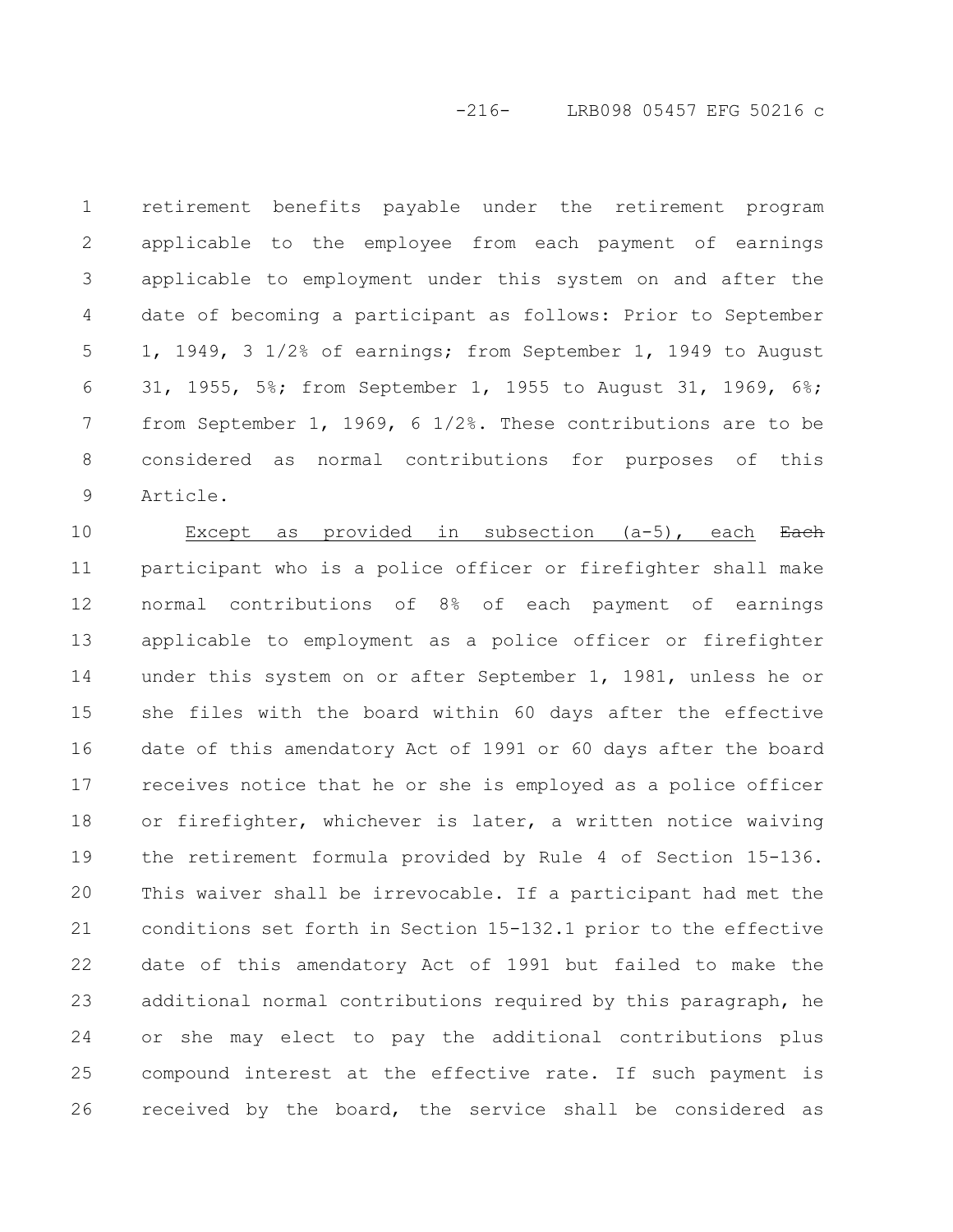# -216- LRB098 05457 EFG 50216 c

retirement benefits payable under the retirement program applicable to the employee from each payment of earnings applicable to employment under this system on and after the date of becoming a participant as follows: Prior to September 1, 1949, 3 1/2% of earnings; from September 1, 1949 to August 31, 1955, 5%; from September 1, 1955 to August 31, 1969, 6%; from September 1, 1969, 6 1/2%. These contributions are to be considered as normal contributions for purposes of this Article. 1 2 3 4 5 6 7 8 9

Except as provided in subsection  $(a-5)$ , each Each participant who is a police officer or firefighter shall make normal contributions of 8% of each payment of earnings applicable to employment as a police officer or firefighter under this system on or after September 1, 1981, unless he or she files with the board within 60 days after the effective date of this amendatory Act of 1991 or 60 days after the board receives notice that he or she is employed as a police officer or firefighter, whichever is later, a written notice waiving the retirement formula provided by Rule 4 of Section 15-136. This waiver shall be irrevocable. If a participant had met the conditions set forth in Section 15-132.1 prior to the effective date of this amendatory Act of 1991 but failed to make the additional normal contributions required by this paragraph, he or she may elect to pay the additional contributions plus compound interest at the effective rate. If such payment is received by the board, the service shall be considered as 10 11 12 13 14 15 16 17 18 19 20 21 22 23 24 25 26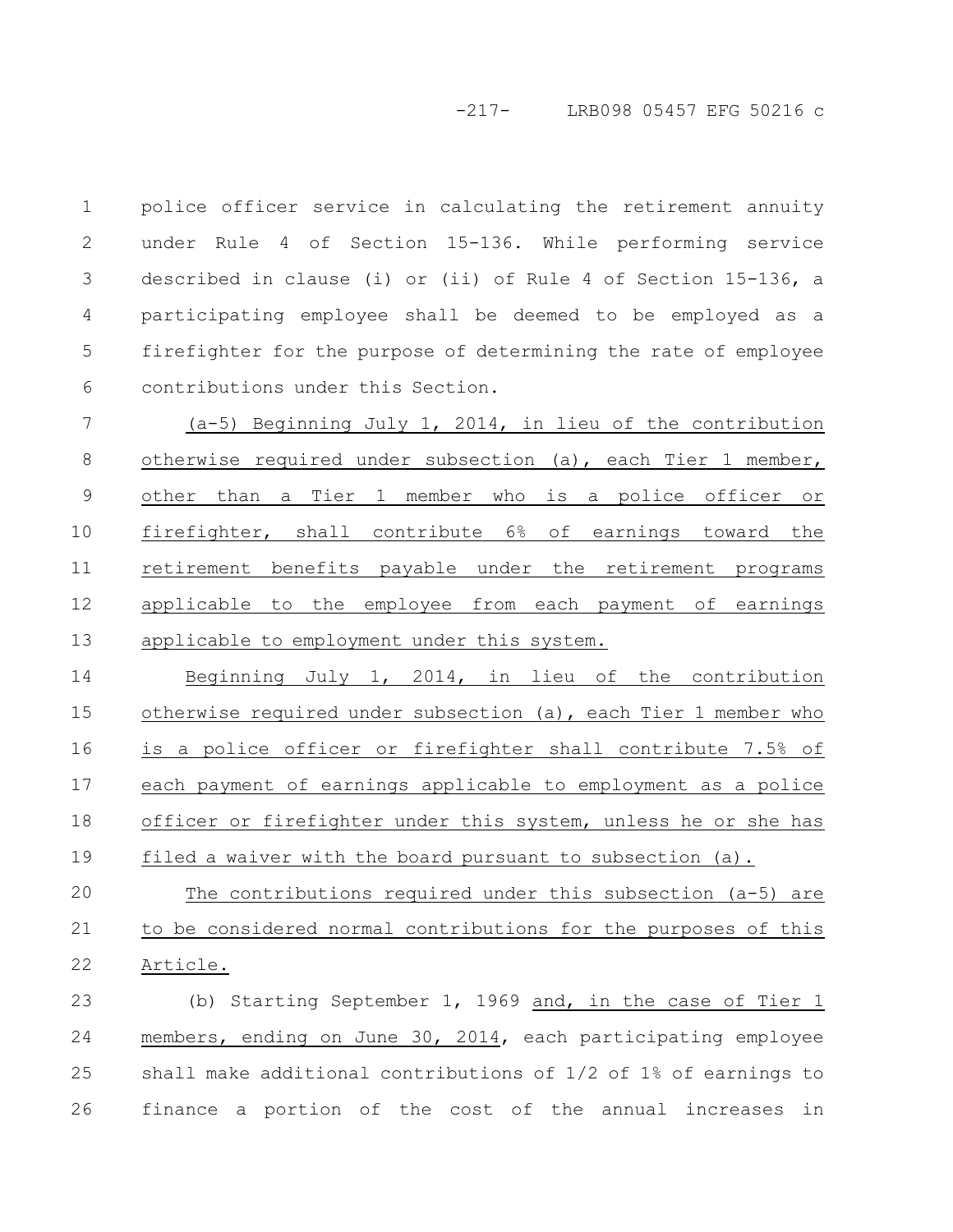## -217- LRB098 05457 EFG 50216 c

police officer service in calculating the retirement annuity under Rule 4 of Section 15-136. While performing service described in clause (i) or (ii) of Rule 4 of Section 15-136, a participating employee shall be deemed to be employed as a firefighter for the purpose of determining the rate of employee contributions under this Section. 1 2 3 4 5 6

(a-5) Beginning July 1, 2014, in lieu of the contribution otherwise required under subsection (a), each Tier 1 member, other than a Tier 1 member who is a police officer or firefighter, shall contribute 6% of earnings toward the retirement benefits payable under the retirement programs applicable to the employee from each payment of earnings applicable to employment under this system. 7 8 9 10 11 12 13

Beginning July 1, 2014, in lieu of the contribution otherwise required under subsection (a), each Tier 1 member who is a police officer or firefighter shall contribute 7.5% of each payment of earnings applicable to employment as a police officer or firefighter under this system, unless he or she has filed a waiver with the board pursuant to subsection (a). 14 15 16 17 18 19

The contributions required under this subsection (a-5) are to be considered normal contributions for the purposes of this Article. 20 21 22

(b) Starting September 1, 1969 and, in the case of Tier 1 members, ending on June 30, 2014, each participating employee shall make additional contributions of 1/2 of 1% of earnings to finance a portion of the cost of the annual increases in 23 24 25 26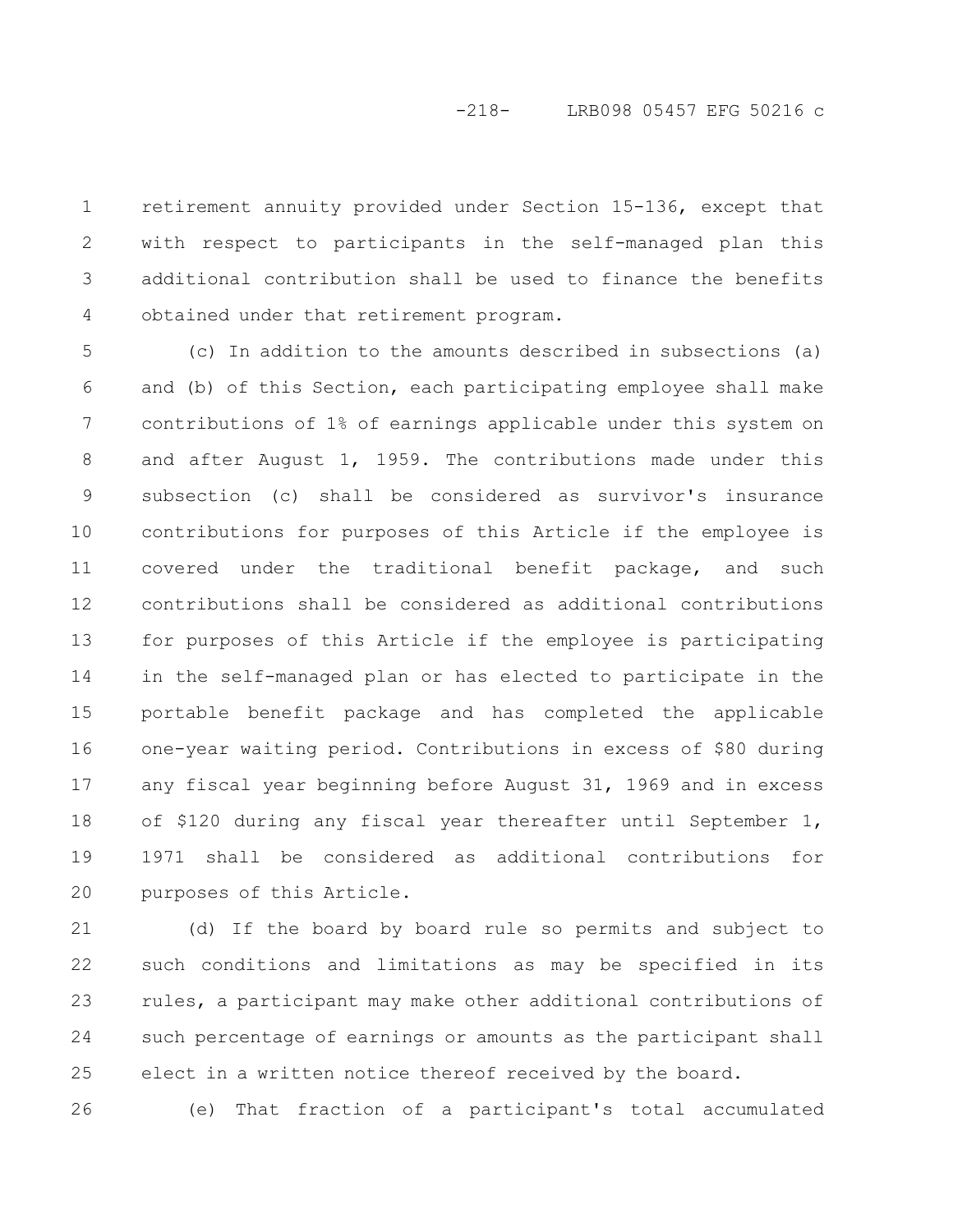# -218- LRB098 05457 EFG 50216 c

retirement annuity provided under Section 15-136, except that with respect to participants in the self-managed plan this additional contribution shall be used to finance the benefits obtained under that retirement program. 1 2 3 4

(c) In addition to the amounts described in subsections (a) and (b) of this Section, each participating employee shall make contributions of 1% of earnings applicable under this system on and after August 1, 1959. The contributions made under this subsection (c) shall be considered as survivor's insurance contributions for purposes of this Article if the employee is covered under the traditional benefit package, and such contributions shall be considered as additional contributions for purposes of this Article if the employee is participating in the self-managed plan or has elected to participate in the portable benefit package and has completed the applicable one-year waiting period. Contributions in excess of \$80 during any fiscal year beginning before August 31, 1969 and in excess of \$120 during any fiscal year thereafter until September 1, 1971 shall be considered as additional contributions for purposes of this Article. 5 6 7 8 9 10 11 12 13 14 15 16 17 18 19 20

(d) If the board by board rule so permits and subject to such conditions and limitations as may be specified in its rules, a participant may make other additional contributions of such percentage of earnings or amounts as the participant shall elect in a written notice thereof received by the board. 21 22 23 24 25

26

(e) That fraction of a participant's total accumulated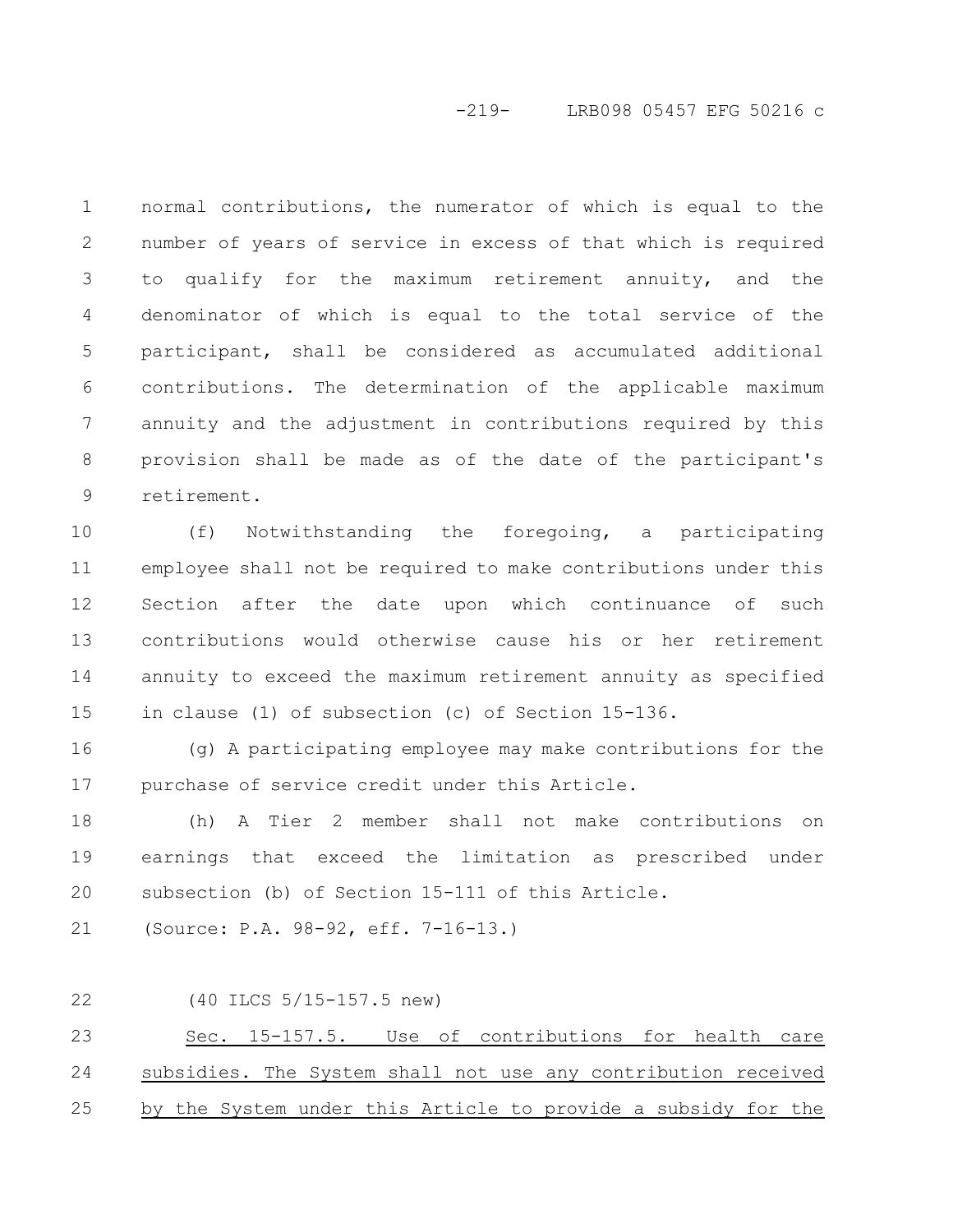# -219- LRB098 05457 EFG 50216 c

normal contributions, the numerator of which is equal to the number of years of service in excess of that which is required to qualify for the maximum retirement annuity, and the denominator of which is equal to the total service of the participant, shall be considered as accumulated additional contributions. The determination of the applicable maximum annuity and the adjustment in contributions required by this provision shall be made as of the date of the participant's retirement. 1 2 3 4 5 6 7 8 9

(f) Notwithstanding the foregoing, a participating employee shall not be required to make contributions under this Section after the date upon which continuance of such contributions would otherwise cause his or her retirement annuity to exceed the maximum retirement annuity as specified in clause (1) of subsection (c) of Section 15-136. 10 11 12 13 14 15

(g) A participating employee may make contributions for the purchase of service credit under this Article. 16 17

(h) A Tier 2 member shall not make contributions on earnings that exceed the limitation as prescribed under subsection (b) of Section 15-111 of this Article. 18 19 20

(Source: P.A. 98-92, eff. 7-16-13.) 21

(40 ILCS 5/15-157.5 new) 22

Sec. 15-157.5. Use of contributions for health care subsidies. The System shall not use any contribution received by the System under this Article to provide a subsidy for the 23 24 25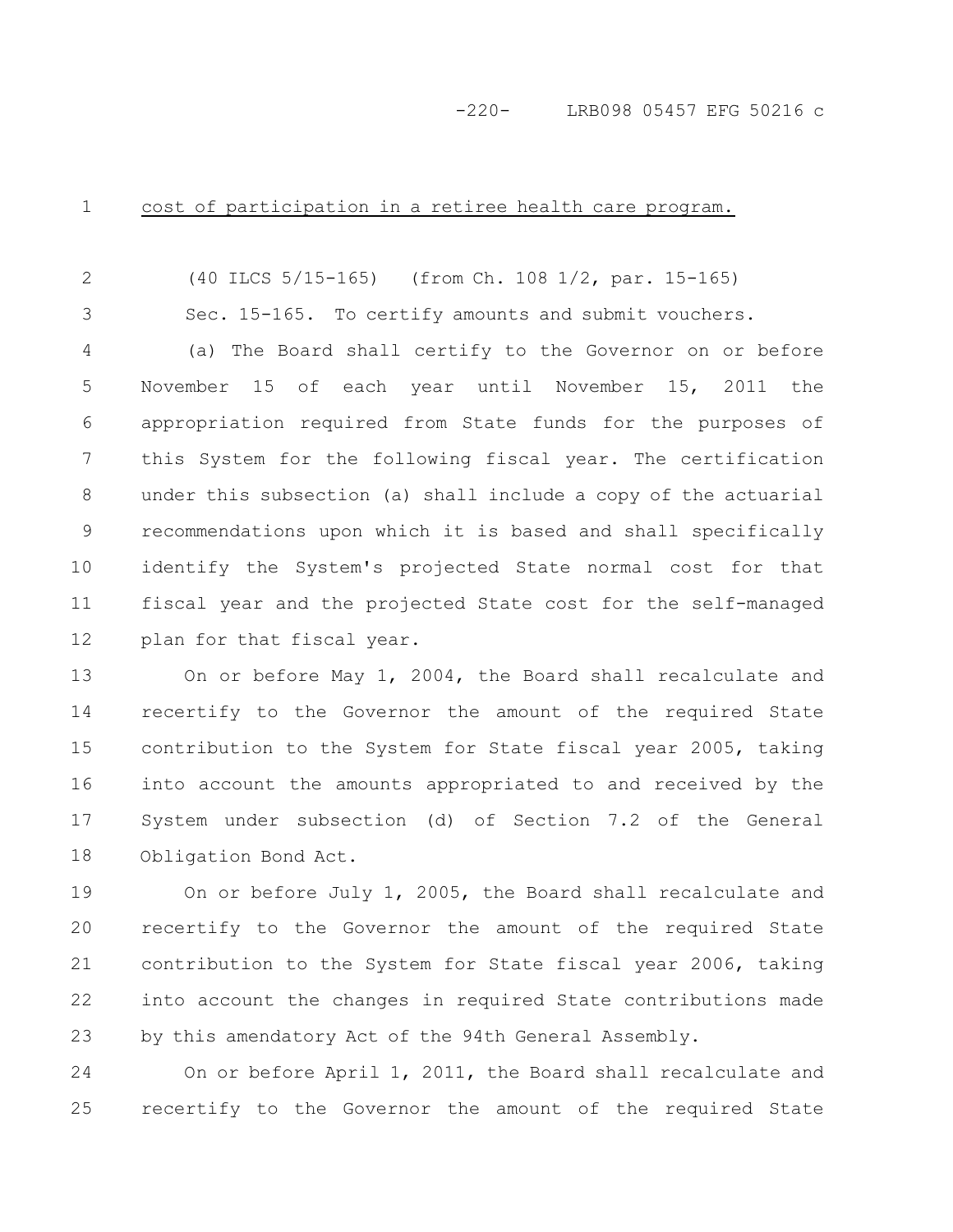# -220- LRB098 05457 EFG 50216 c

cost of participation in a retiree health care program. 1

3

(40 ILCS 5/15-165) (from Ch. 108 1/2, par. 15-165) 2

Sec. 15-165. To certify amounts and submit vouchers.

(a) The Board shall certify to the Governor on or before November 15 of each year until November 15, 2011 the appropriation required from State funds for the purposes of this System for the following fiscal year. The certification under this subsection (a) shall include a copy of the actuarial recommendations upon which it is based and shall specifically identify the System's projected State normal cost for that fiscal year and the projected State cost for the self-managed plan for that fiscal year. 4 5 6 7 8 9 10 11 12

On or before May 1, 2004, the Board shall recalculate and recertify to the Governor the amount of the required State contribution to the System for State fiscal year 2005, taking into account the amounts appropriated to and received by the System under subsection (d) of Section 7.2 of the General Obligation Bond Act. 13 14 15 16 17 18

On or before July 1, 2005, the Board shall recalculate and recertify to the Governor the amount of the required State contribution to the System for State fiscal year 2006, taking into account the changes in required State contributions made by this amendatory Act of the 94th General Assembly. 19 20 21 22 23

On or before April 1, 2011, the Board shall recalculate and recertify to the Governor the amount of the required State 24 25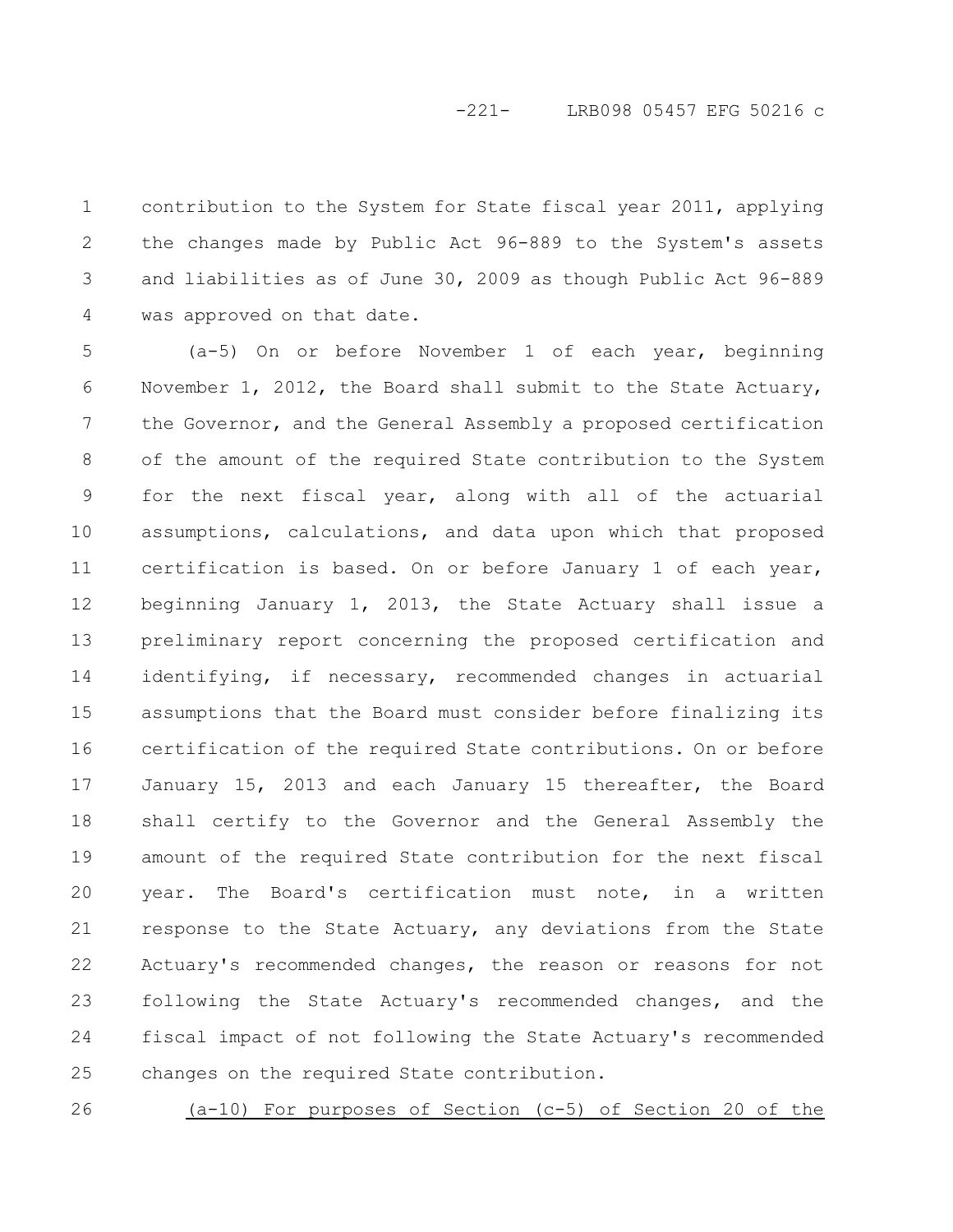# -221- LRB098 05457 EFG 50216 c

contribution to the System for State fiscal year 2011, applying the changes made by Public Act 96-889 to the System's assets and liabilities as of June 30, 2009 as though Public Act 96-889 was approved on that date. 1 2 3 4

(a-5) On or before November 1 of each year, beginning November 1, 2012, the Board shall submit to the State Actuary, the Governor, and the General Assembly a proposed certification of the amount of the required State contribution to the System for the next fiscal year, along with all of the actuarial assumptions, calculations, and data upon which that proposed certification is based. On or before January 1 of each year, beginning January 1, 2013, the State Actuary shall issue a preliminary report concerning the proposed certification and identifying, if necessary, recommended changes in actuarial assumptions that the Board must consider before finalizing its certification of the required State contributions. On or before January 15, 2013 and each January 15 thereafter, the Board shall certify to the Governor and the General Assembly the amount of the required State contribution for the next fiscal year. The Board's certification must note, in a written response to the State Actuary, any deviations from the State Actuary's recommended changes, the reason or reasons for not following the State Actuary's recommended changes, and the fiscal impact of not following the State Actuary's recommended changes on the required State contribution. 5 6 7 8 9 10 11 12 13 14 15 16 17 18 19 20 21 22 23 24 25

26

(a-10) For purposes of Section (c-5) of Section 20 of the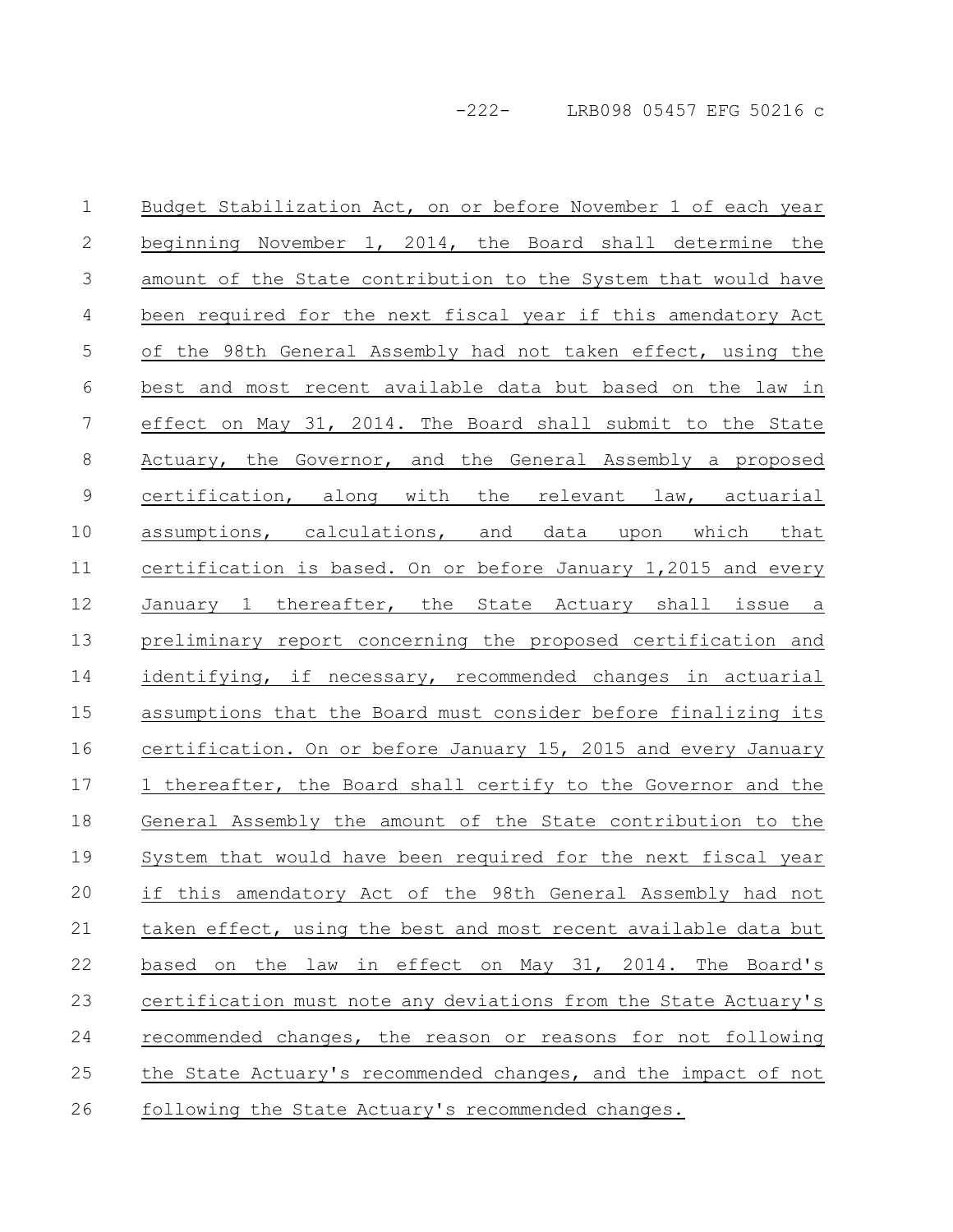Budget Stabilization Act, on or before November 1 of each year beginning November 1, 2014, the Board shall determine the amount of the State contribution to the System that would have been required for the next fiscal year if this amendatory Act of the 98th General Assembly had not taken effect, using the best and most recent available data but based on the law in effect on May 31, 2014. The Board shall submit to the State Actuary, the Governor, and the General Assembly a proposed certification, along with the relevant law, actuarial assumptions, calculations, and data upon which that certification is based. On or before January 1,2015 and every January 1 thereafter, the State Actuary shall issue a preliminary report concerning the proposed certification and identifying, if necessary, recommended changes in actuarial assumptions that the Board must consider before finalizing its certification. On or before January 15, 2015 and every January 1 thereafter, the Board shall certify to the Governor and the General Assembly the amount of the State contribution to the System that would have been required for the next fiscal year if this amendatory Act of the 98th General Assembly had not taken effect, using the best and most recent available data but based on the law in effect on May 31, 2014. The Board's certification must note any deviations from the State Actuary's recommended changes, the reason or reasons for not following the State Actuary's recommended changes, and the impact of not following the State Actuary's recommended changes. 1 2 3 4 5 6 7 8 9 10 11 12 13 14 15 16 17 18 19 20 21 22 23 24 25 26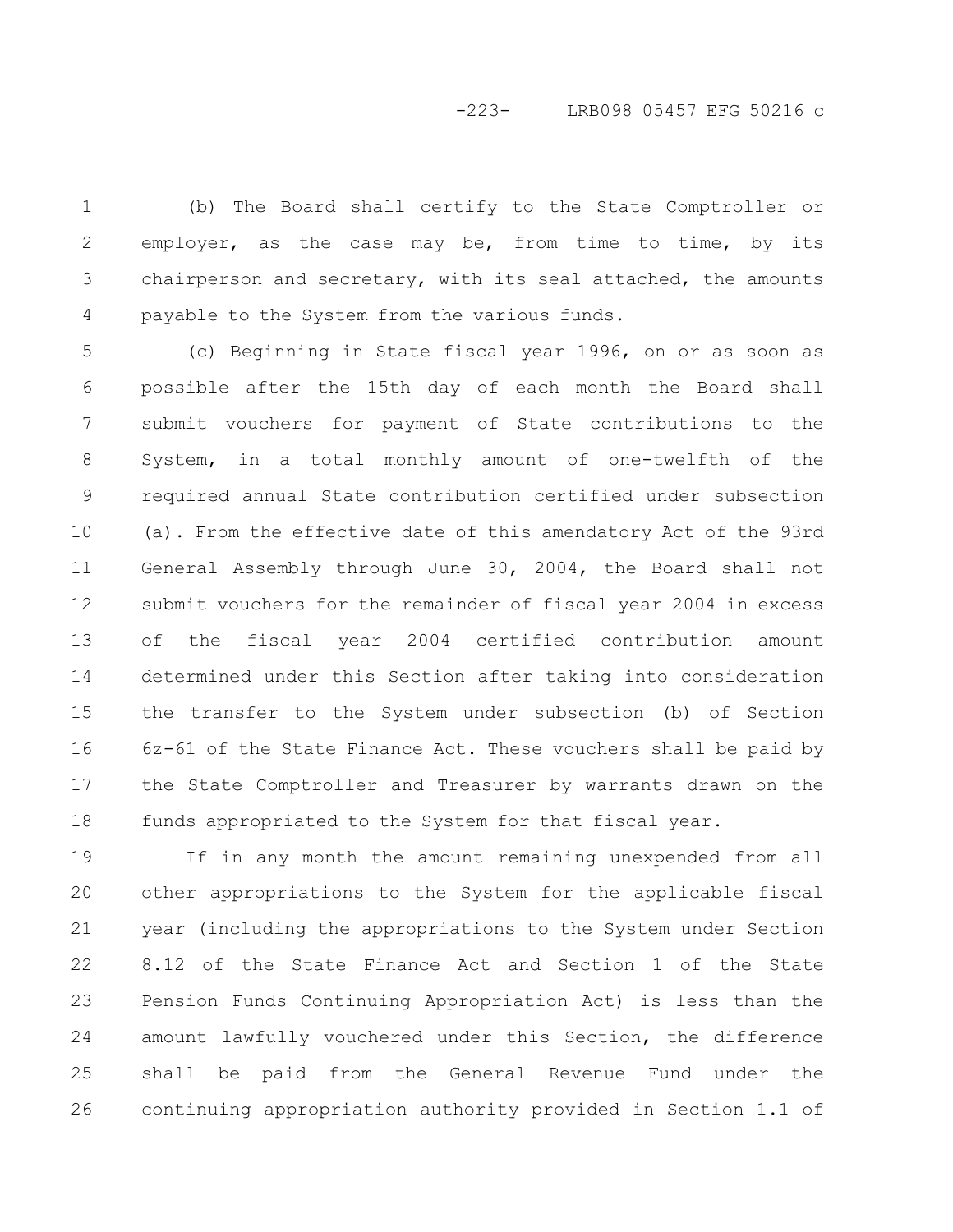# -223- LRB098 05457 EFG 50216 c

(b) The Board shall certify to the State Comptroller or employer, as the case may be, from time to time, by its chairperson and secretary, with its seal attached, the amounts payable to the System from the various funds. 1 2 3 4

(c) Beginning in State fiscal year 1996, on or as soon as possible after the 15th day of each month the Board shall submit vouchers for payment of State contributions to the System, in a total monthly amount of one-twelfth of the required annual State contribution certified under subsection (a). From the effective date of this amendatory Act of the 93rd General Assembly through June 30, 2004, the Board shall not submit vouchers for the remainder of fiscal year 2004 in excess of the fiscal year 2004 certified contribution amount determined under this Section after taking into consideration the transfer to the System under subsection (b) of Section 6z-61 of the State Finance Act. These vouchers shall be paid by the State Comptroller and Treasurer by warrants drawn on the funds appropriated to the System for that fiscal year. 5 6 7 8 9 10 11 12 13 14 15 16 17 18

If in any month the amount remaining unexpended from all other appropriations to the System for the applicable fiscal year (including the appropriations to the System under Section 8.12 of the State Finance Act and Section 1 of the State Pension Funds Continuing Appropriation Act) is less than the amount lawfully vouchered under this Section, the difference shall be paid from the General Revenue Fund under the continuing appropriation authority provided in Section 1.1 of 19 20 21 22 23 24 25 26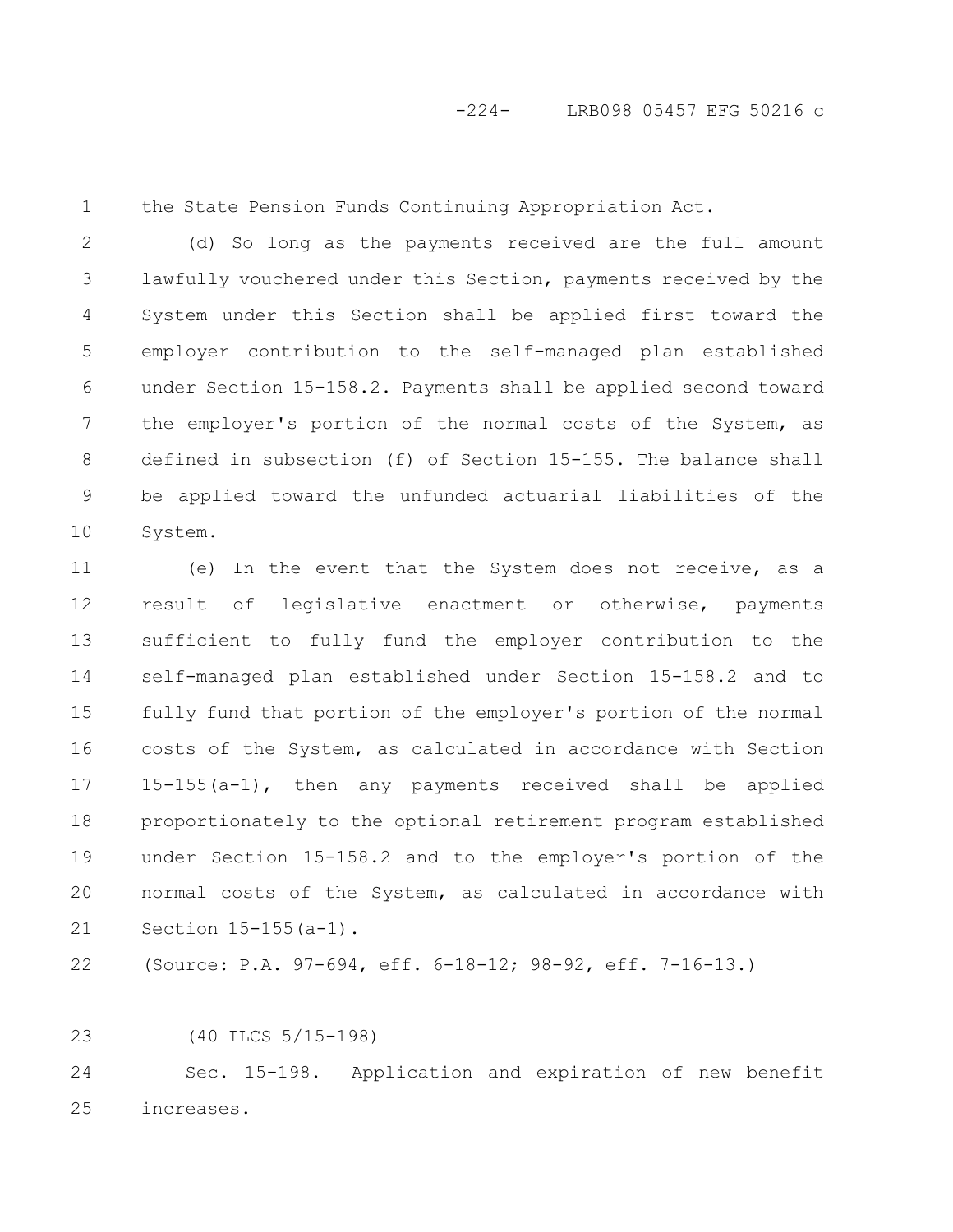1

the State Pension Funds Continuing Appropriation Act.

(d) So long as the payments received are the full amount lawfully vouchered under this Section, payments received by the System under this Section shall be applied first toward the employer contribution to the self-managed plan established under Section 15-158.2. Payments shall be applied second toward the employer's portion of the normal costs of the System, as defined in subsection (f) of Section 15-155. The balance shall be applied toward the unfunded actuarial liabilities of the System. 2 3 4 5 6 7 8 9 10

(e) In the event that the System does not receive, as a result of legislative enactment or otherwise, payments sufficient to fully fund the employer contribution to the self-managed plan established under Section 15-158.2 and to fully fund that portion of the employer's portion of the normal costs of the System, as calculated in accordance with Section 15-155(a-1), then any payments received shall be applied proportionately to the optional retirement program established under Section 15-158.2 and to the employer's portion of the normal costs of the System, as calculated in accordance with Section 15-155(a-1). 11 12 13 14 15 16 17 18 19 20 21

(Source: P.A. 97-694, eff. 6-18-12; 98-92, eff. 7-16-13.) 22

(40 ILCS 5/15-198) 23

Sec. 15-198. Application and expiration of new benefit increases. 24 25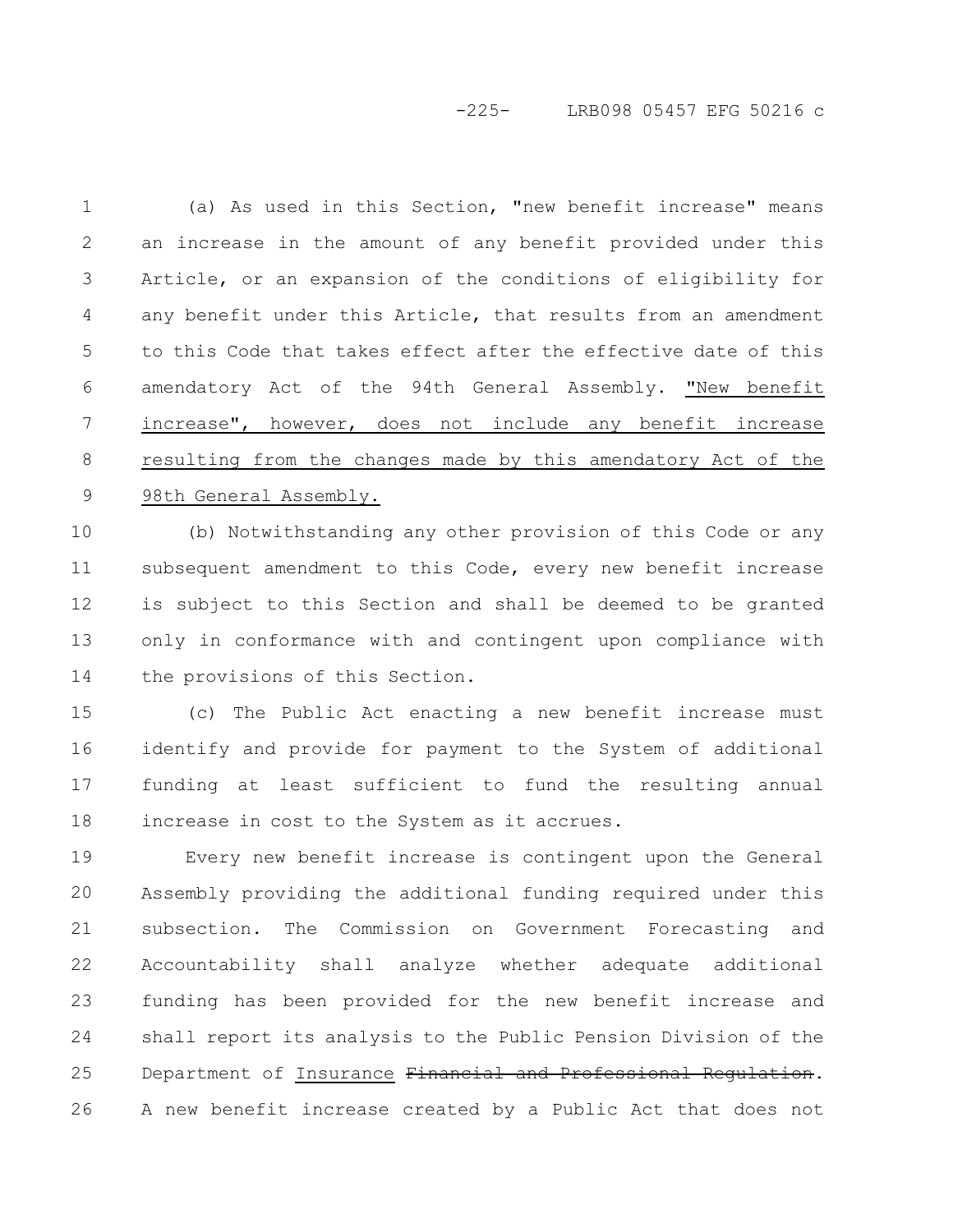# -225- LRB098 05457 EFG 50216 c

| $\mathbf 1$      | (a) As used in this Section, "new benefit increase" means       |
|------------------|-----------------------------------------------------------------|
| 2                | an increase in the amount of any benefit provided under this    |
| 3                | Article, or an expansion of the conditions of eligibility for   |
| 4                | any benefit under this Article, that results from an amendment  |
| 5                | to this Code that takes effect after the effective date of this |
| 6                | amendatory Act of the 94th General Assembly. "New benefit       |
| $\boldsymbol{7}$ | increase", however, does not include any benefit increase       |
| 8                | resulting from the changes made by this amendatory Act of the   |
| 9                | 98th General Assembly.                                          |
| 10               | (b) Notwithstanding any other provision of this Code or any     |
| 11               | subsequent amendment to this Code, every new benefit increase   |
| 12               | is subject to this Section and shall be deemed to be granted    |
| 13               | only in conformance with and contingent upon compliance with    |
| 14               | the provisions of this Section.                                 |
| 15               | (c) The Public Act enacting a new benefit increase must         |
| 16               | identify and provide for payment to the System of additional    |
| 17               | funding at least sufficient to fund the resulting annual        |
| 18               | increase in cost to the System as it accrues.                   |
| 19               | Every new benefit increase is contingent upon the General       |
| 20               | Assembly providing the additional funding required under this   |
| 21               | subsection. The Commission on Government Forecasting and        |
| 22               | Accountability shall analyze whether adequate additional        |
| 23               | funding has been provided for the new benefit increase and      |

shall report its analysis to the Public Pension Division of the Department of Insurance Financial and Professional Regulation. A new benefit increase created by a Public Act that does not 24 25 26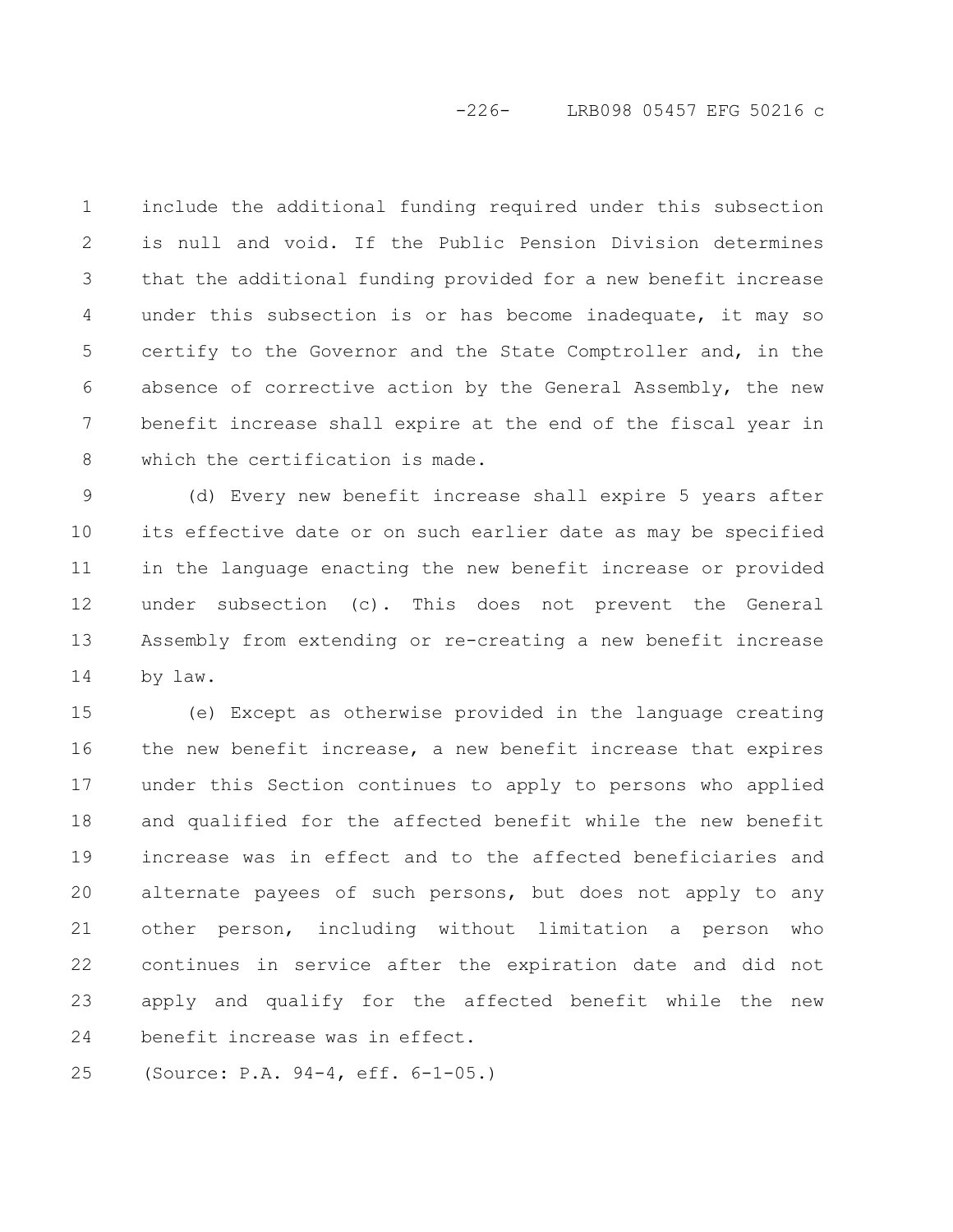# -226- LRB098 05457 EFG 50216 c

include the additional funding required under this subsection is null and void. If the Public Pension Division determines that the additional funding provided for a new benefit increase under this subsection is or has become inadequate, it may so certify to the Governor and the State Comptroller and, in the absence of corrective action by the General Assembly, the new benefit increase shall expire at the end of the fiscal year in which the certification is made. 1 2 3 4 5 6 7 8

(d) Every new benefit increase shall expire 5 years after its effective date or on such earlier date as may be specified in the language enacting the new benefit increase or provided under subsection (c). This does not prevent the General Assembly from extending or re-creating a new benefit increase by law. 9 10 11 12 13 14

(e) Except as otherwise provided in the language creating the new benefit increase, a new benefit increase that expires under this Section continues to apply to persons who applied and qualified for the affected benefit while the new benefit increase was in effect and to the affected beneficiaries and alternate payees of such persons, but does not apply to any other person, including without limitation a person who continues in service after the expiration date and did not apply and qualify for the affected benefit while the new benefit increase was in effect. 15 16 17 18 19 20 21 22 23 24

(Source: P.A. 94-4, eff. 6-1-05.) 25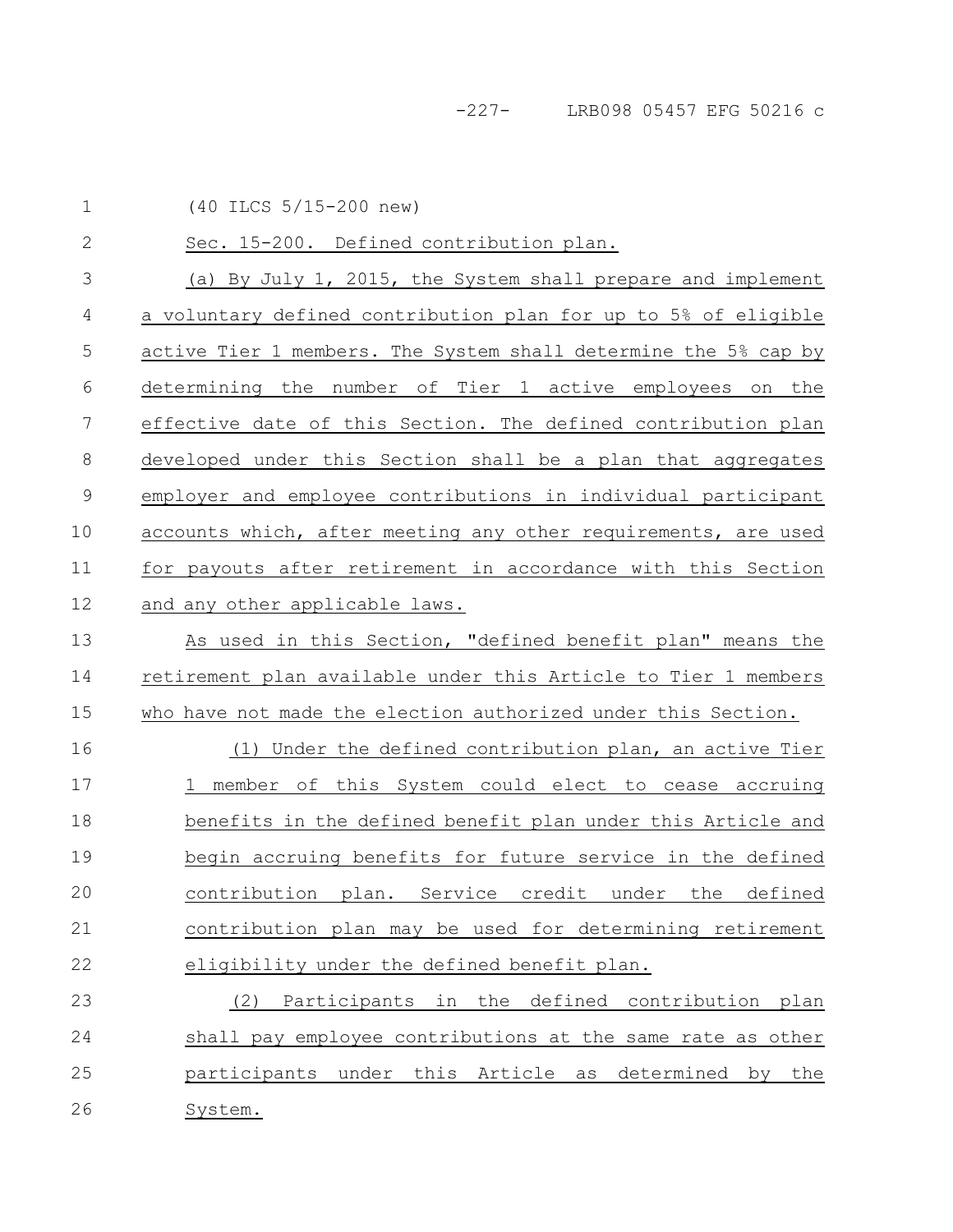(40 ILCS 5/15-200 new) 1

Sec. 15-200. Defined contribution plan. (a) By July 1, 2015, the System shall prepare and implement a voluntary defined contribution plan for up to 5% of eligible active Tier 1 members. The System shall determine the 5% cap by determining the number of Tier 1 active employees on the effective date of this Section. The defined contribution plan developed under this Section shall be a plan that aggregates employer and employee contributions in individual participant accounts which, after meeting any other requirements, are used for payouts after retirement in accordance with this Section and any other applicable laws. As used in this Section, "defined benefit plan" means the retirement plan available under this Article to Tier 1 members who have not made the election authorized under this Section. (1) Under the defined contribution plan, an active Tier 1 member of this System could elect to cease accruing benefits in the defined benefit plan under this Article and begin accruing benefits for future service in the defined contribution plan. Service credit under the defined contribution plan may be used for determining retirement eligibility under the defined benefit plan. (2) Participants in the defined contribution plan shall pay employee contributions at the same rate as other participants under this Article as determined by the 2 3 4 5 6 7 8 9 10 11 12 13 14 15 16 17 18 19 20 21 22 23 24 25

System. 26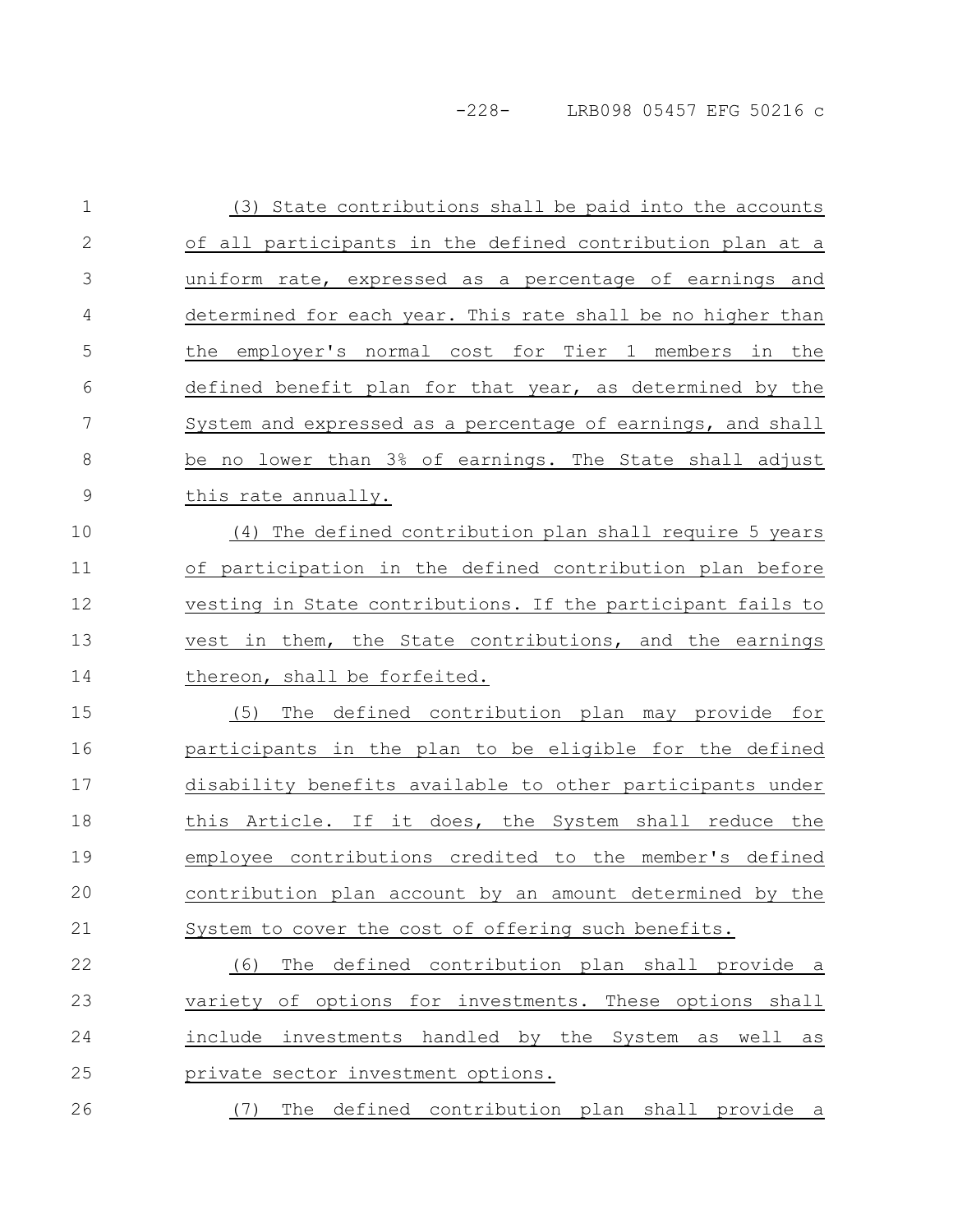-228- LRB098 05457 EFG 50216 c

| $\mathbf 1$   | (3) State contributions shall be paid into the accounts     |
|---------------|-------------------------------------------------------------|
| $\mathbf{2}$  | of all participants in the defined contribution plan at a   |
| 3             | uniform rate, expressed as a percentage of earnings and     |
| 4             | determined for each year. This rate shall be no higher than |
| 5             | the employer's normal cost for Tier 1 members in the        |
| 6             | defined benefit plan for that year, as determined by the    |
| 7             | System and expressed as a percentage of earnings, and shall |
| 8             | be no lower than 3% of earnings. The State shall adjust     |
| $\mathcal{G}$ | this rate annually.                                         |
| 10            | (4) The defined contribution plan shall require 5 years     |
| 11            | of participation in the defined contribution plan before    |
| 12            | vesting in State contributions. If the participant fails to |
| 13            | vest in them, the State contributions, and the earnings     |
| 14            | thereon, shall be forfeited.                                |
| 15            | The defined contribution plan may provide for<br>(5)        |
| 16            | participants in the plan to be eligible for the defined     |
| 17            | disability benefits available to other participants under   |
| 18            | this Article. If it does, the System shall reduce the       |
| 19            | employee contributions credited to the member's defined     |
| 20            | contribution plan account by an amount determined by the    |
| 21            | System to cover the cost of offering such benefits.         |
| 22            | The defined contribution plan shall provide a<br>(6)        |
| 23            | variety of options for investments. These options shall     |
| 24            | include investments handled by the System as well<br>as     |
| 25            | private sector investment options.                          |
| 26            | The defined contribution plan shall provide a<br>(7)        |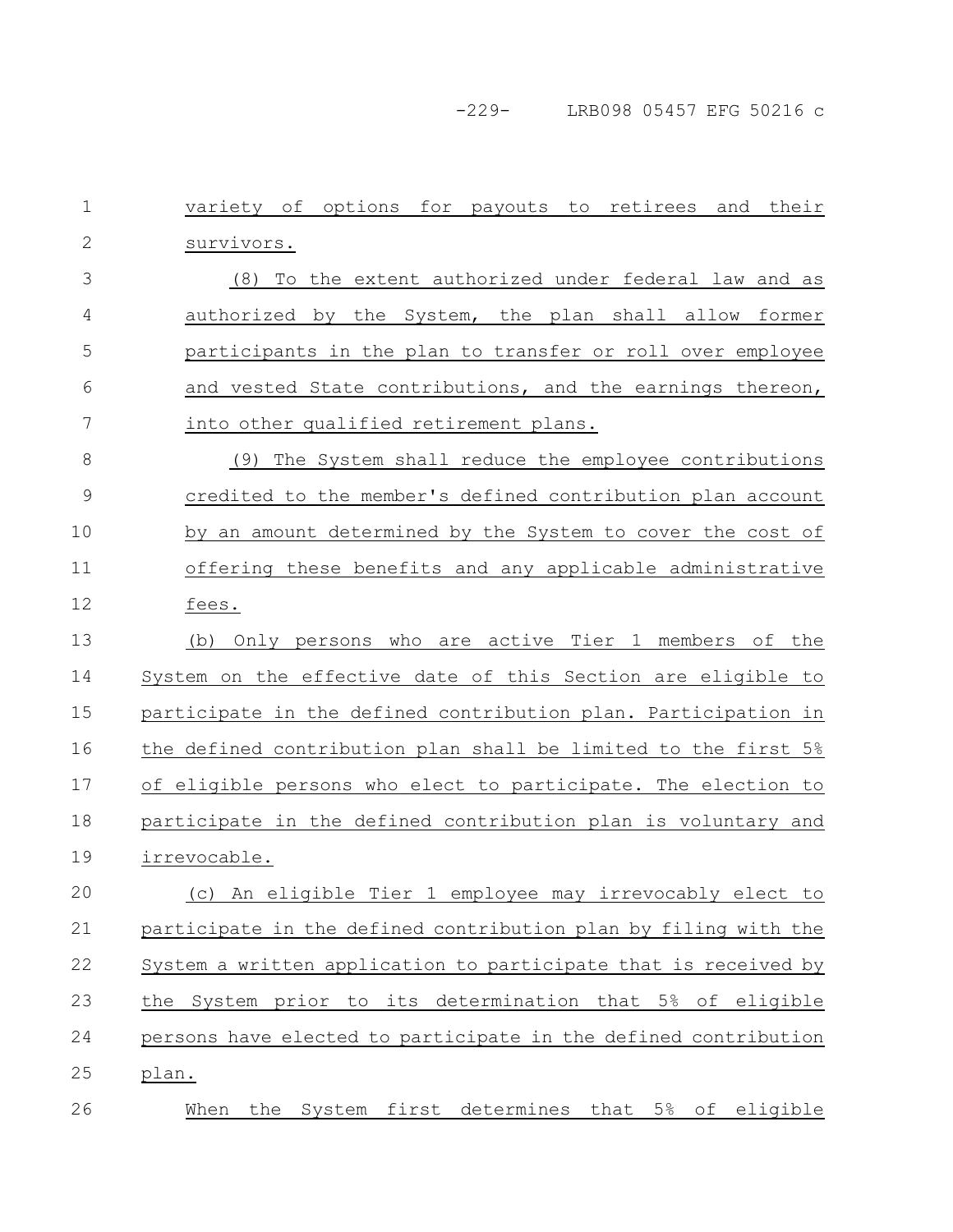-229- LRB098 05457 EFG 50216 c

variety of options for payouts to retirees and their survivors. (8) To the extent authorized under federal law and as authorized by the System, the plan shall allow former participants in the plan to transfer or roll over employee and vested State contributions, and the earnings thereon, into other qualified retirement plans. (9) The System shall reduce the employee contributions credited to the member's defined contribution plan account by an amount determined by the System to cover the cost of offering these benefits and any applicable administrative fees. (b) Only persons who are active Tier 1 members of the System on the effective date of this Section are eligible to participate in the defined contribution plan. Participation in the defined contribution plan shall be limited to the first 5% of eligible persons who elect to participate. The election to participate in the defined contribution plan is voluntary and irrevocable. (c) An eligible Tier 1 employee may irrevocably elect to participate in the defined contribution plan by filing with the System a written application to participate that is received by the System prior to its determination that 5% of eligible persons have elected to participate in the defined contribution plan. When the System first determines that 5% of eligible 1 2 3 4 5 6 7 8 9 10 11 12 13 14 15 16 17 18 19 20 21 22 23 24 25 26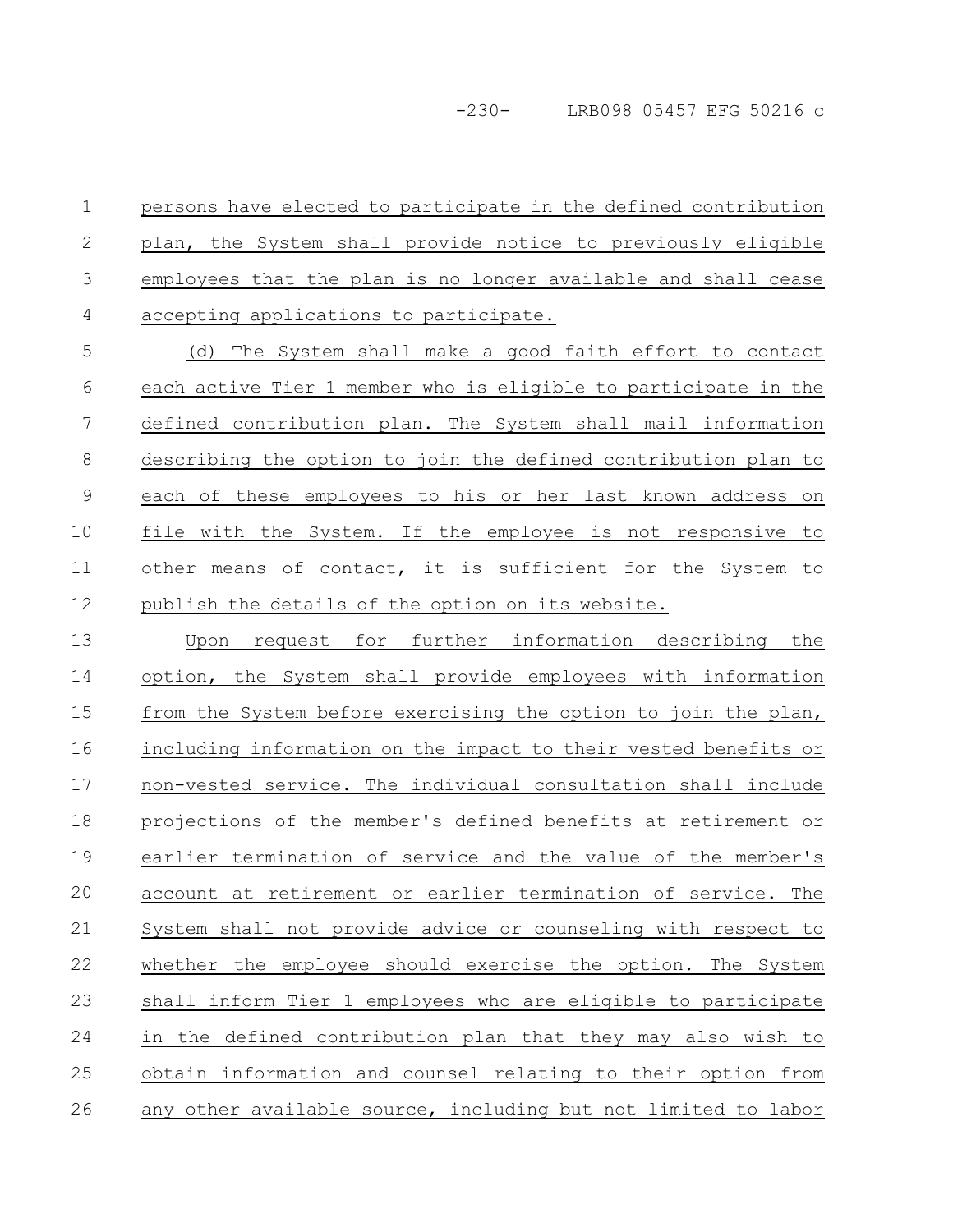persons have elected to participate in the defined contribution plan, the System shall provide notice to previously eligible employees that the plan is no longer available and shall cease accepting applications to participate. 1 2 3 4

(d) The System shall make a good faith effort to contact each active Tier 1 member who is eligible to participate in the defined contribution plan. The System shall mail information describing the option to join the defined contribution plan to each of these employees to his or her last known address on file with the System. If the employee is not responsive to other means of contact, it is sufficient for the System to publish the details of the option on its website. 5 6 7 8 9 10 11 12

Upon request for further information describing the option, the System shall provide employees with information from the System before exercising the option to join the plan, including information on the impact to their vested benefits or non-vested service. The individual consultation shall include projections of the member's defined benefits at retirement or earlier termination of service and the value of the member's account at retirement or earlier termination of service. The System shall not provide advice or counseling with respect to whether the employee should exercise the option. The System shall inform Tier 1 employees who are eligible to participate in the defined contribution plan that they may also wish to obtain information and counsel relating to their option from any other available source, including but not limited to labor 13 14 15 16 17 18 19 20 21 22 23 24 25 26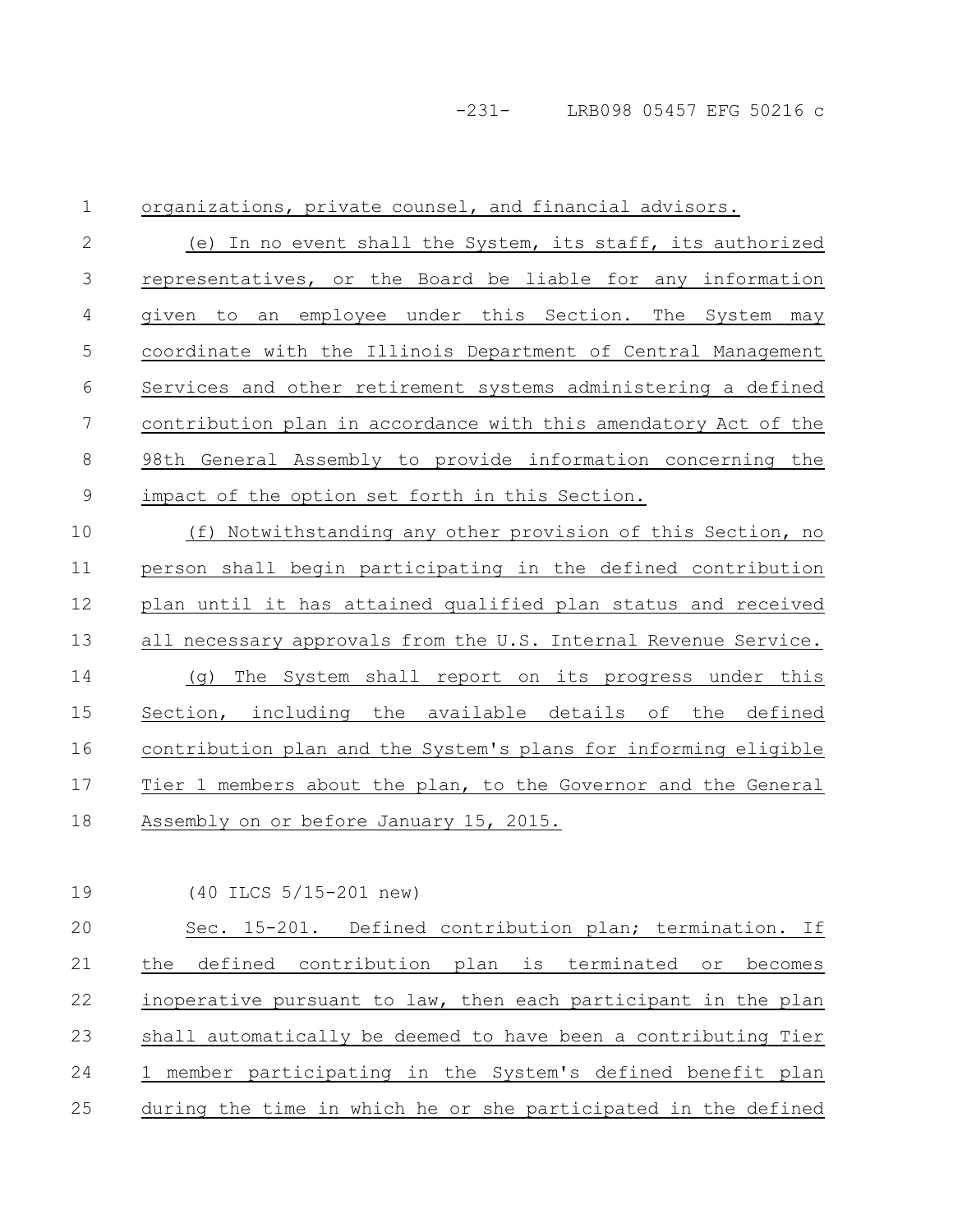organizations, private counsel, and financial advisors. (e) In no event shall the System, its staff, its authorized representatives, or the Board be liable for any information given to an employee under this Section. The System may coordinate with the Illinois Department of Central Management Services and other retirement systems administering a defined contribution plan in accordance with this amendatory Act of the 98th General Assembly to provide information concerning the impact of the option set forth in this Section. (f) Notwithstanding any other provision of this Section, no person shall begin participating in the defined contribution plan until it has attained qualified plan status and received all necessary approvals from the U.S. Internal Revenue Service. (g) The System shall report on its progress under this Section, including the available details of the defined contribution plan and the System's plans for informing eligible Tier 1 members about the plan, to the Governor and the General Assembly on or before January 15, 2015. 1 2 3 4 5 6 7 8 9 10 11 12 13 14 15 16 17 18

19

(40 ILCS 5/15-201 new)

Sec. 15-201. Defined contribution plan; termination. If the defined contribution plan is terminated or becomes inoperative pursuant to law, then each participant in the plan shall automatically be deemed to have been a contributing Tier 1 member participating in the System's defined benefit plan during the time in which he or she participated in the defined 20 21 22 23 24 25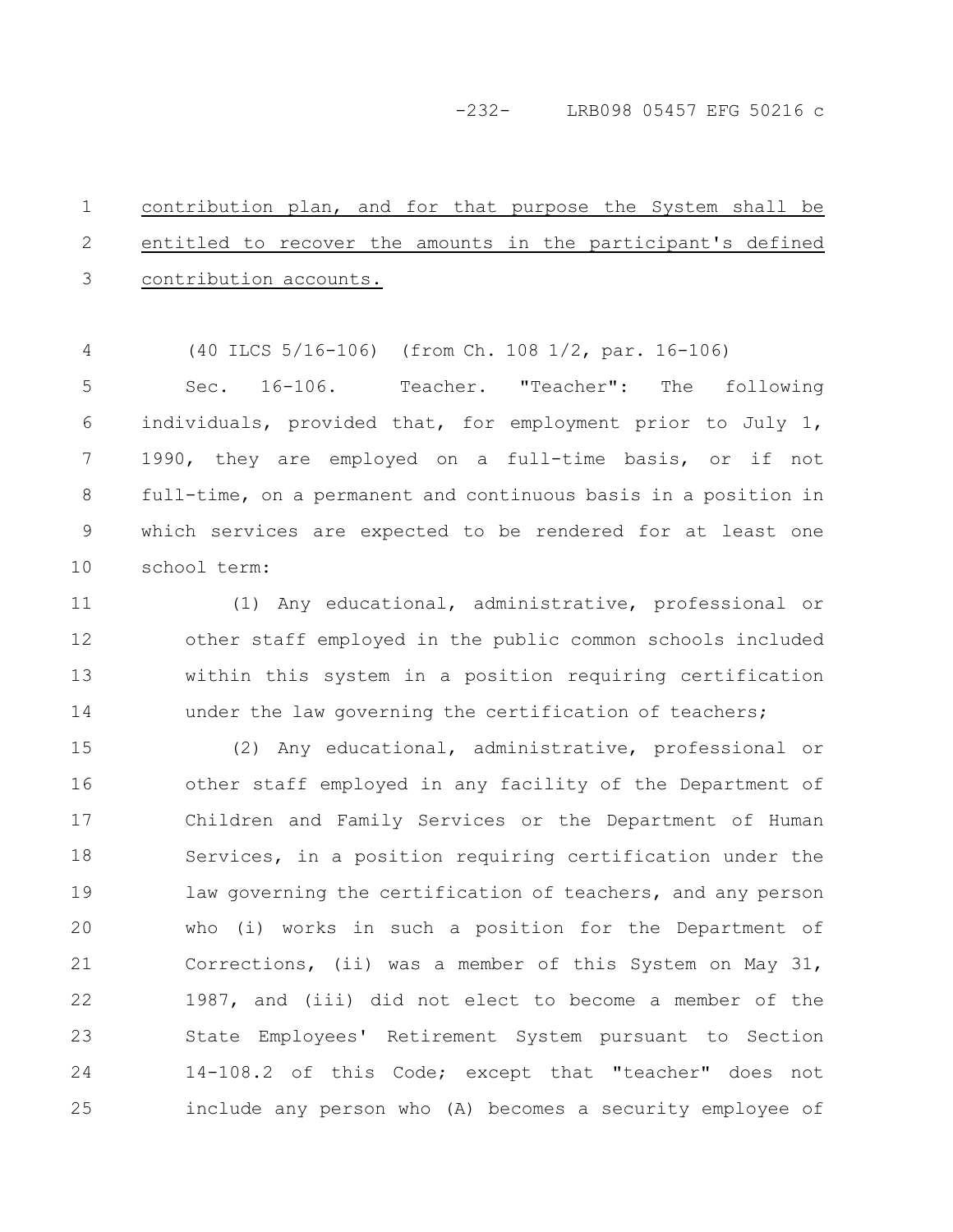# -232- LRB098 05457 EFG 50216 c

contribution plan, and for that purpose the System shall be entitled to recover the amounts in the participant's defined contribution accounts. 1 2 3

(40 ILCS 5/16-106) (from Ch. 108 1/2, par. 16-106) 4

Sec. 16-106. Teacher. "Teacher": The following individuals, provided that, for employment prior to July 1, 1990, they are employed on a full-time basis, or if not full-time, on a permanent and continuous basis in a position in which services are expected to be rendered for at least one school term: 5 6 7 8 9 10

(1) Any educational, administrative, professional or other staff employed in the public common schools included within this system in a position requiring certification under the law governing the certification of teachers; 11 12 13 14

(2) Any educational, administrative, professional or other staff employed in any facility of the Department of Children and Family Services or the Department of Human Services, in a position requiring certification under the law governing the certification of teachers, and any person who (i) works in such a position for the Department of Corrections, (ii) was a member of this System on May 31, 1987, and (iii) did not elect to become a member of the State Employees' Retirement System pursuant to Section 14-108.2 of this Code; except that "teacher" does not include any person who (A) becomes a security employee of 15 16 17 18 19 20 21 22 23 24 25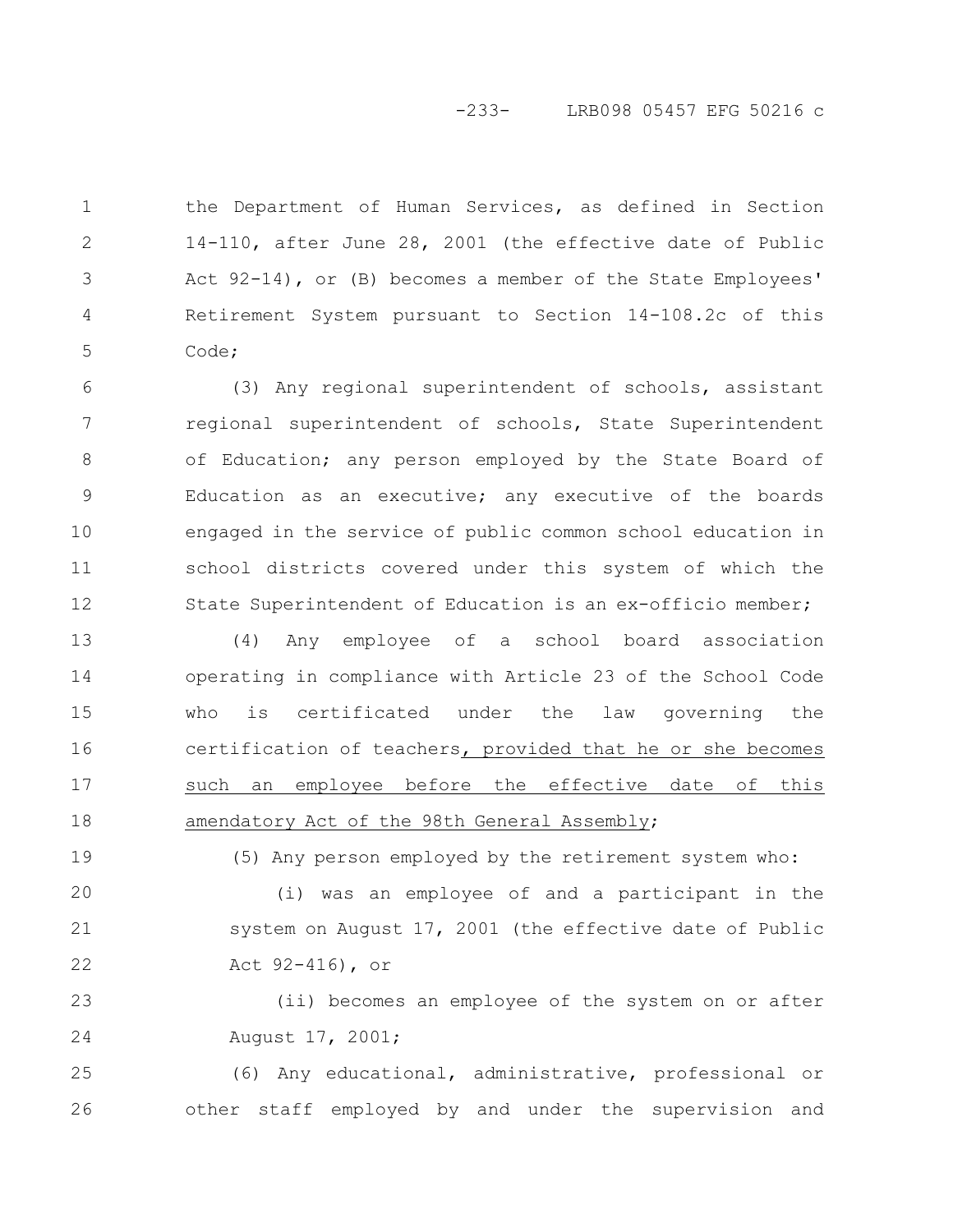## -233- LRB098 05457 EFG 50216 c

the Department of Human Services, as defined in Section 14-110, after June 28, 2001 (the effective date of Public Act 92-14), or (B) becomes a member of the State Employees' Retirement System pursuant to Section 14-108.2c of this Code; 1 2 3 4 5

(3) Any regional superintendent of schools, assistant regional superintendent of schools, State Superintendent of Education; any person employed by the State Board of Education as an executive; any executive of the boards engaged in the service of public common school education in school districts covered under this system of which the State Superintendent of Education is an ex-officio member; 6 7 8 9 10 11 12

(4) Any employee of a school board association operating in compliance with Article 23 of the School Code who is certificated under the law governing the certification of teachers, provided that he or she becomes such an employee before the effective date of this amendatory Act of the 98th General Assembly; 13 14 15 16 17 18

(5) Any person employed by the retirement system who:

(i) was an employee of and a participant in the system on August 17, 2001 (the effective date of Public Act 92-416), or 20 21 22

19

(ii) becomes an employee of the system on or after August 17, 2001; 23 24

(6) Any educational, administrative, professional or other staff employed by and under the supervision and 25 26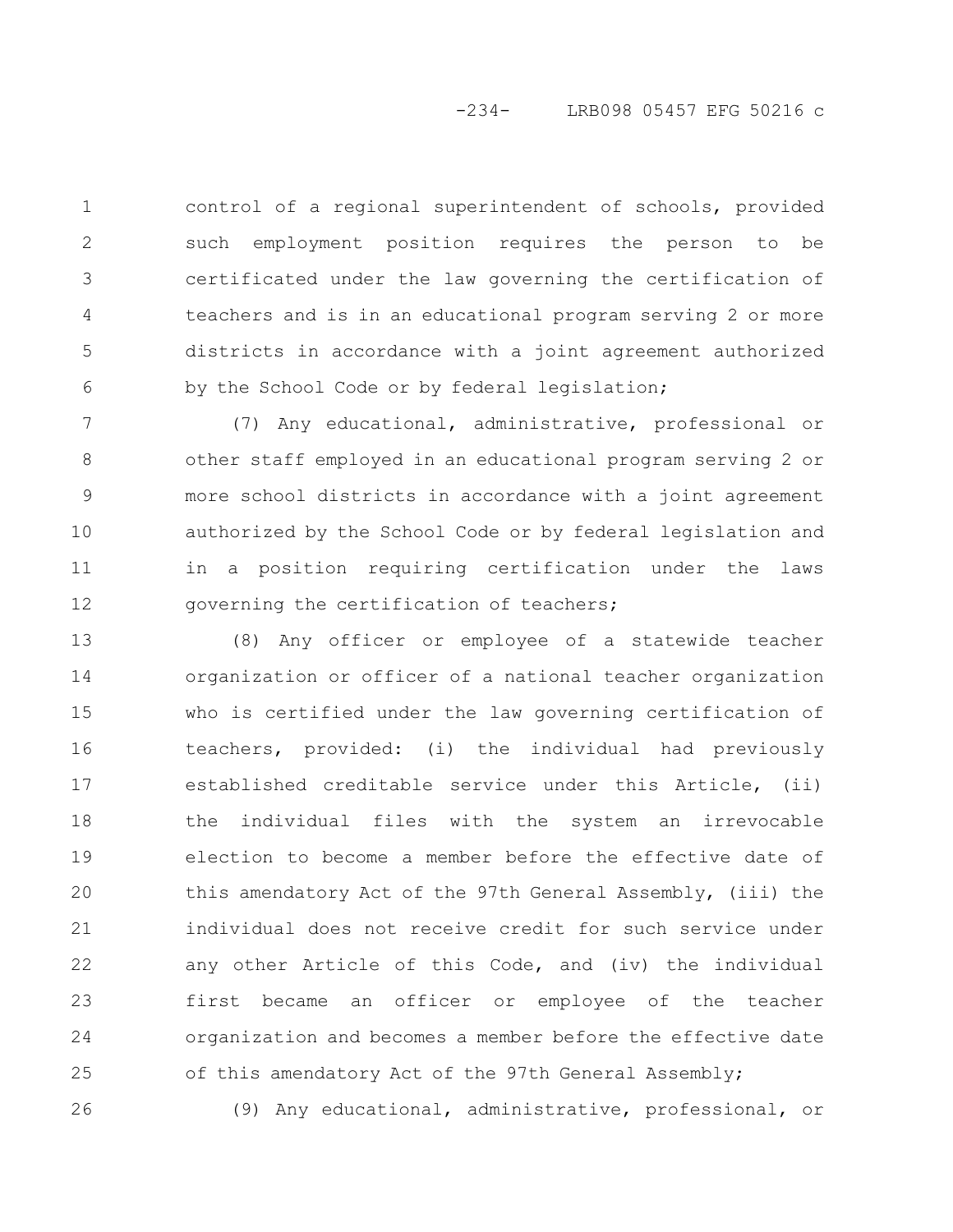control of a regional superintendent of schools, provided such employment position requires the person to be certificated under the law governing the certification of teachers and is in an educational program serving 2 or more districts in accordance with a joint agreement authorized by the School Code or by federal legislation; 1 2 3 4 5 6

(7) Any educational, administrative, professional or other staff employed in an educational program serving 2 or more school districts in accordance with a joint agreement authorized by the School Code or by federal legislation and in a position requiring certification under the laws governing the certification of teachers; 7 8 9 10 11 12

(8) Any officer or employee of a statewide teacher organization or officer of a national teacher organization who is certified under the law governing certification of teachers, provided: (i) the individual had previously established creditable service under this Article, (ii) the individual files with the system an irrevocable election to become a member before the effective date of this amendatory Act of the 97th General Assembly, (iii) the individual does not receive credit for such service under any other Article of this Code, and (iv) the individual first became an officer or employee of the teacher organization and becomes a member before the effective date of this amendatory Act of the 97th General Assembly; 13 14 15 16 17 18 19 20 21 22 23 24 25

26

(9) Any educational, administrative, professional, or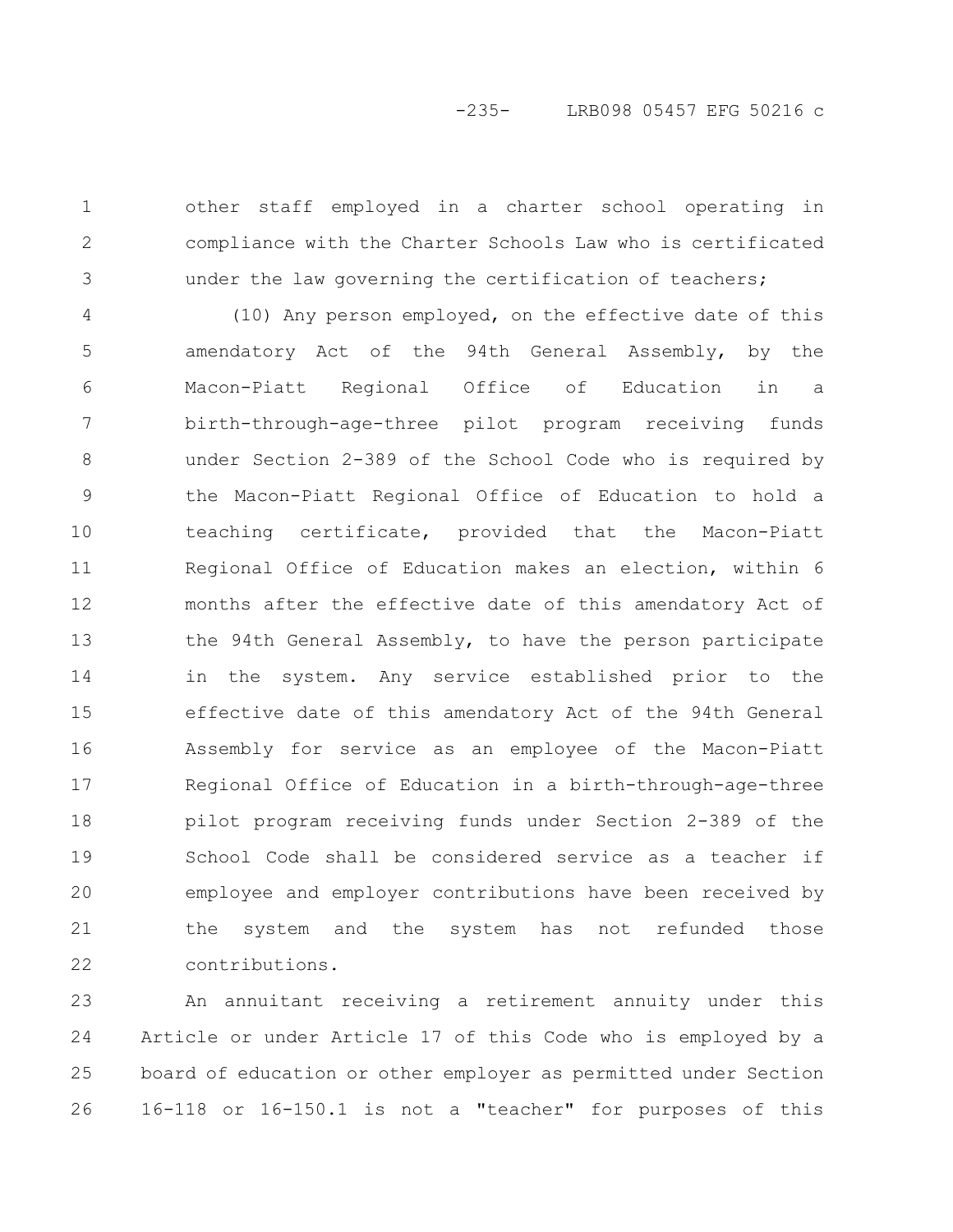other staff employed in a charter school operating in compliance with the Charter Schools Law who is certificated under the law governing the certification of teachers;

1

2

3

(10) Any person employed, on the effective date of this amendatory Act of the 94th General Assembly, by the Macon-Piatt Regional Office of Education in a birth-through-age-three pilot program receiving funds under Section 2-389 of the School Code who is required by the Macon-Piatt Regional Office of Education to hold a teaching certificate, provided that the Macon-Piatt Regional Office of Education makes an election, within 6 months after the effective date of this amendatory Act of the 94th General Assembly, to have the person participate in the system. Any service established prior to the effective date of this amendatory Act of the 94th General Assembly for service as an employee of the Macon-Piatt Regional Office of Education in a birth-through-age-three pilot program receiving funds under Section 2-389 of the School Code shall be considered service as a teacher if employee and employer contributions have been received by the system and the system has not refunded those contributions. 4 5 6 7 8 9 10 11 12 13 14 15 16 17 18 19 20 21 22

An annuitant receiving a retirement annuity under this Article or under Article 17 of this Code who is employed by a board of education or other employer as permitted under Section 16-118 or 16-150.1 is not a "teacher" for purposes of this 23 24 25 26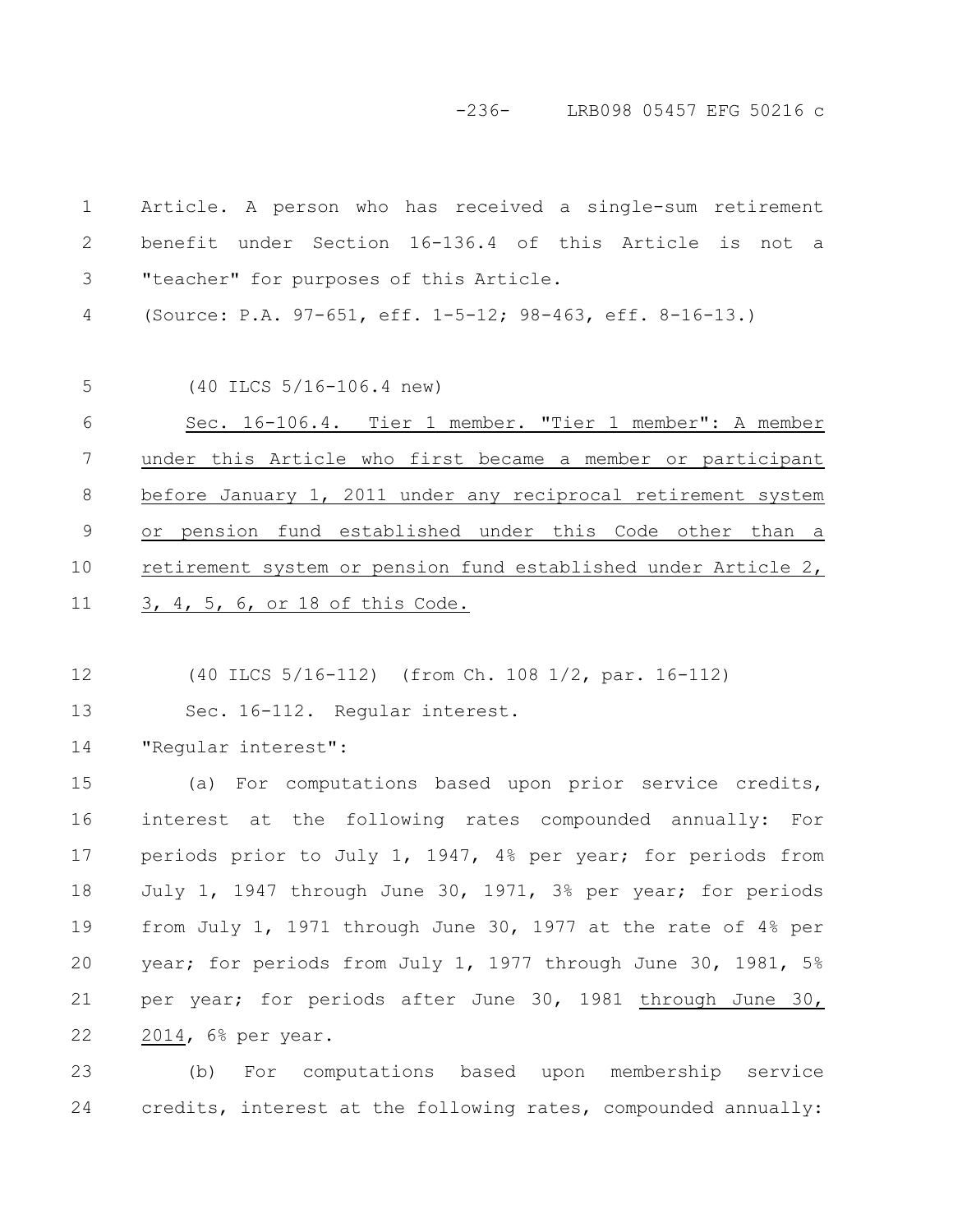-236- LRB098 05457 EFG 50216 c

Article. A person who has received a single-sum retirement benefit under Section 16-136.4 of this Article is not a "teacher" for purposes of this Article. (Source: P.A. 97-651, eff. 1-5-12; 98-463, eff. 8-16-13.) (40 ILCS 5/16-106.4 new) Sec. 16-106.4. Tier 1 member. "Tier 1 member": A member under this Article who first became a member or participant before January 1, 2011 under any reciprocal retirement system or pension fund established under this Code other than a retirement system or pension fund established under Article 2, 3, 4, 5, 6, or 18 of this Code. (40 ILCS 5/16-112) (from Ch. 108 1/2, par. 16-112) Sec. 16-112. Regular interest. "Regular interest": 1 2 3 4 5 6 7 8 9 10 11 12 13 14

(a) For computations based upon prior service credits, interest at the following rates compounded annually: For periods prior to July 1, 1947, 4% per year; for periods from July 1, 1947 through June 30, 1971, 3% per year; for periods from July 1, 1971 through June 30, 1977 at the rate of 4% per year; for periods from July 1, 1977 through June 30, 1981, 5% per year; for periods after June 30, 1981 through June 30, 2014, 6% per year. 15 16 17 18 19 20 21 22

(b) For computations based upon membership service credits, interest at the following rates, compounded annually: 23 24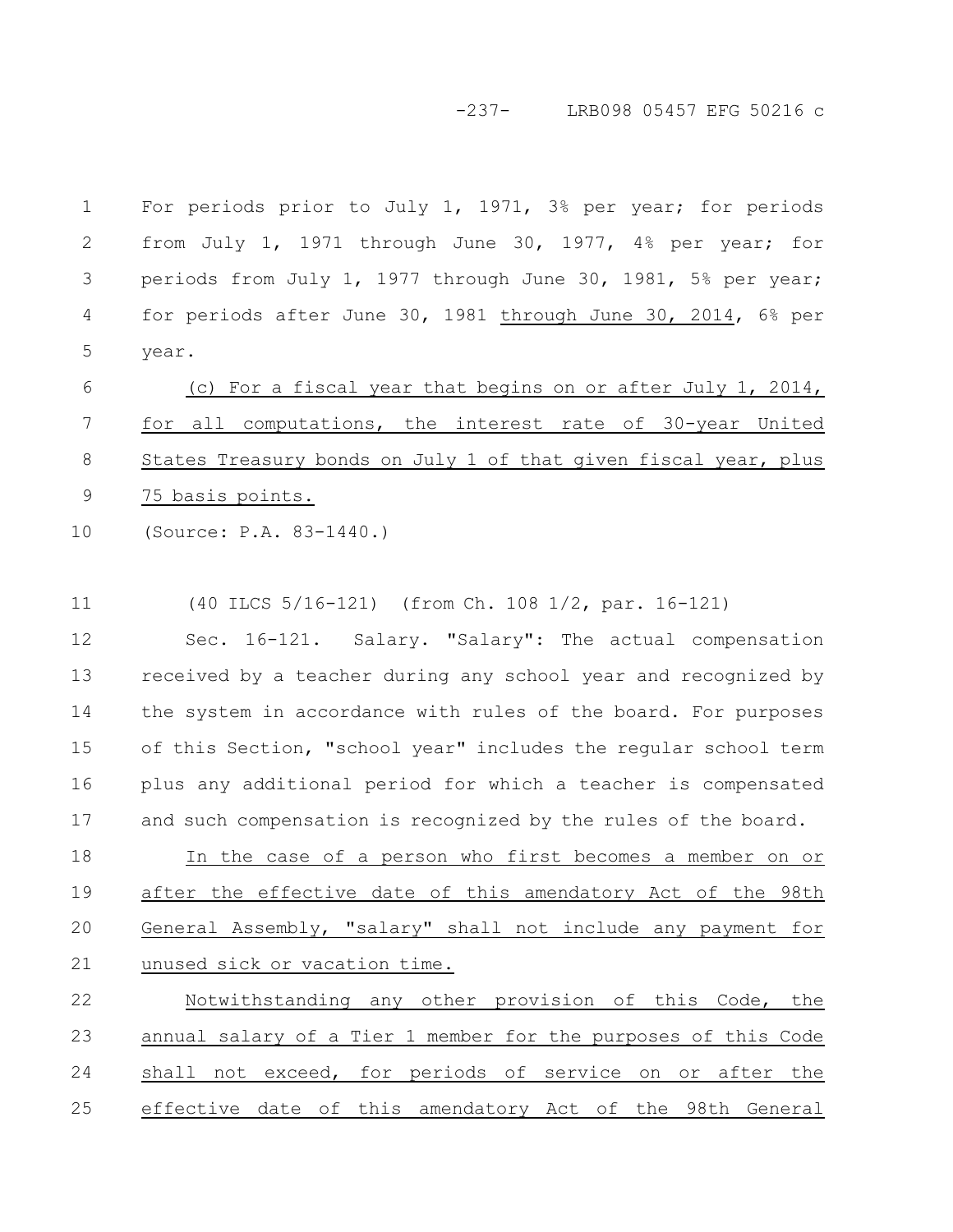-237- LRB098 05457 EFG 50216 c

For periods prior to July 1, 1971, 3% per year; for periods from July 1, 1971 through June 30, 1977, 4% per year; for periods from July 1, 1977 through June 30, 1981, 5% per year; for periods after June 30, 1981 through June 30, 2014, 6% per year. 1 2 3 4 5

(c) For a fiscal year that begins on or after July 1, 2014, for all computations, the interest rate of 30-year United States Treasury bonds on July 1 of that given fiscal year, plus 75 basis points. 6 7 8 9

(Source: P.A. 83-1440.) 10

(40 ILCS 5/16-121) (from Ch. 108 1/2, par. 16-121) 11

Sec. 16-121. Salary. "Salary": The actual compensation received by a teacher during any school year and recognized by the system in accordance with rules of the board. For purposes of this Section, "school year" includes the regular school term plus any additional period for which a teacher is compensated and such compensation is recognized by the rules of the board. 12 13 14 15 16 17

In the case of a person who first becomes a member on or after the effective date of this amendatory Act of the 98th General Assembly, "salary" shall not include any payment for unused sick or vacation time. 18 19 20 21

Notwithstanding any other provision of this Code, the annual salary of a Tier 1 member for the purposes of this Code shall not exceed, for periods of service on or after the effective date of this amendatory Act of the 98th General 22 23 24 25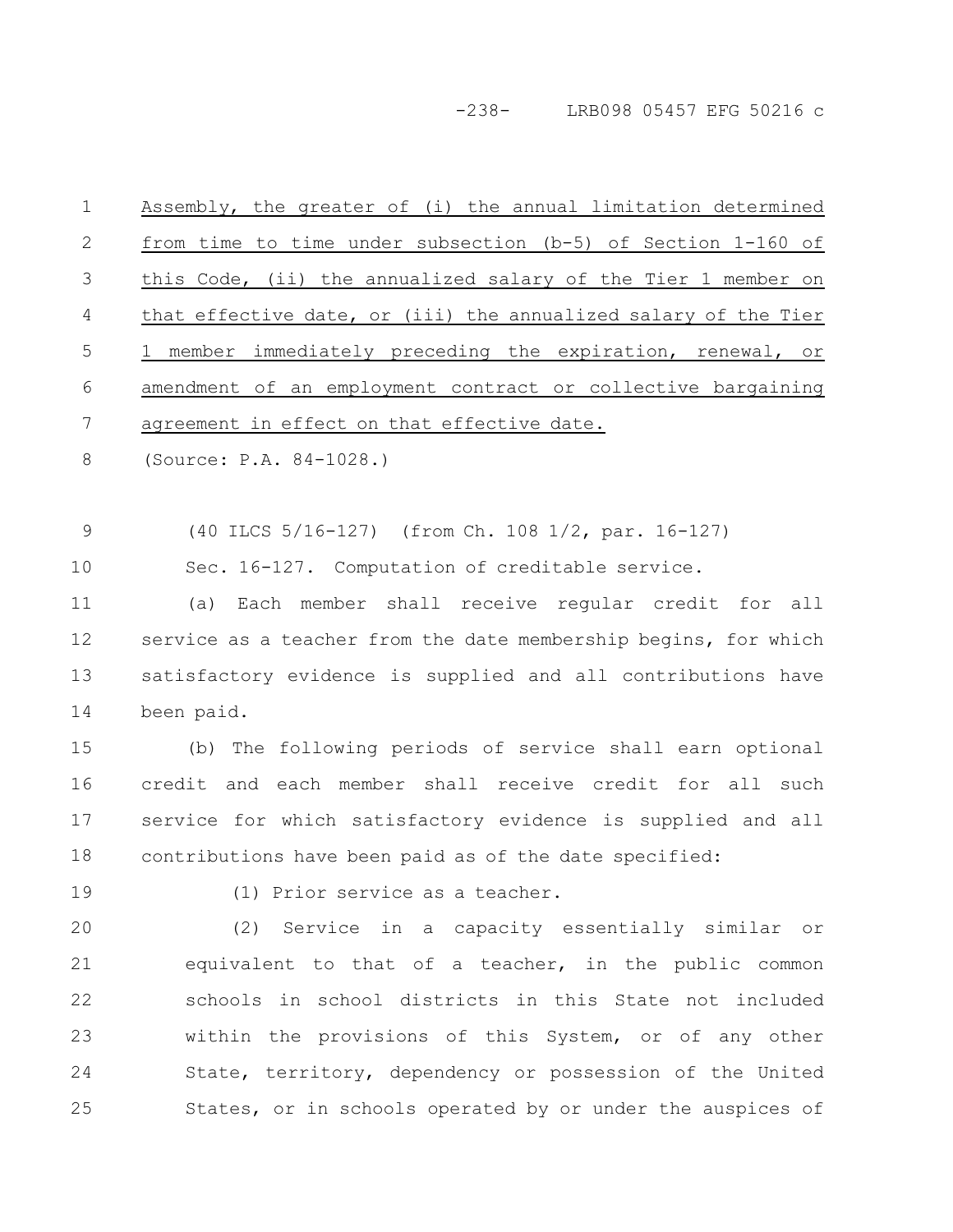-238- LRB098 05457 EFG 50216 c

| $\mathbf 1$ | Assembly, the greater of (i) the annual limitation determined   |
|-------------|-----------------------------------------------------------------|
| 2           | from time to time under subsection $(b-5)$ of Section 1-160 of  |
| 3           | this Code, (ii) the annualized salary of the Tier 1 member on   |
| 4           | that effective date, or (iii) the annualized salary of the Tier |
| 5           | 1 member immediately preceding the expiration, renewal, or      |
| 6           | amendment of an employment contract or collective bargaining    |
| 7           | agreement in effect on that effective date.                     |
| 8           | (Source: P.A. 84-1028.)                                         |
|             |                                                                 |
| $\mathsf 9$ | (40 ILCS 5/16-127) (from Ch. 108 1/2, par. 16-127)              |
| 10          | Sec. 16-127. Computation of creditable service.                 |
| 11          | Each member shall receive regular credit for all<br>(a)         |
| 12          | service as a teacher from the date membership begins, for which |
| 13          | satisfactory evidence is supplied and all contributions have    |
| 14          | been paid.                                                      |
| 15          | (b) The following periods of service shall earn optional        |
| 16          | credit and each member shall receive credit for all such        |
| 17          | service for which satisfactory evidence is supplied and all     |
| 18          | contributions have been paid as of the date specified:          |
| 19          | (1) Prior service as a teacher.                                 |
| 20          | (2) Service in a capacity essentially similar or                |
| 21          | equivalent to that of a teacher, in the public common           |
| 22          | schools in school districts in this State not included          |
| 23          | within the provisions of this System, or of any other           |
| 24          | State, territory, dependency or possession of the United        |
| 25          | States, or in schools operated by or under the auspices of      |
|             |                                                                 |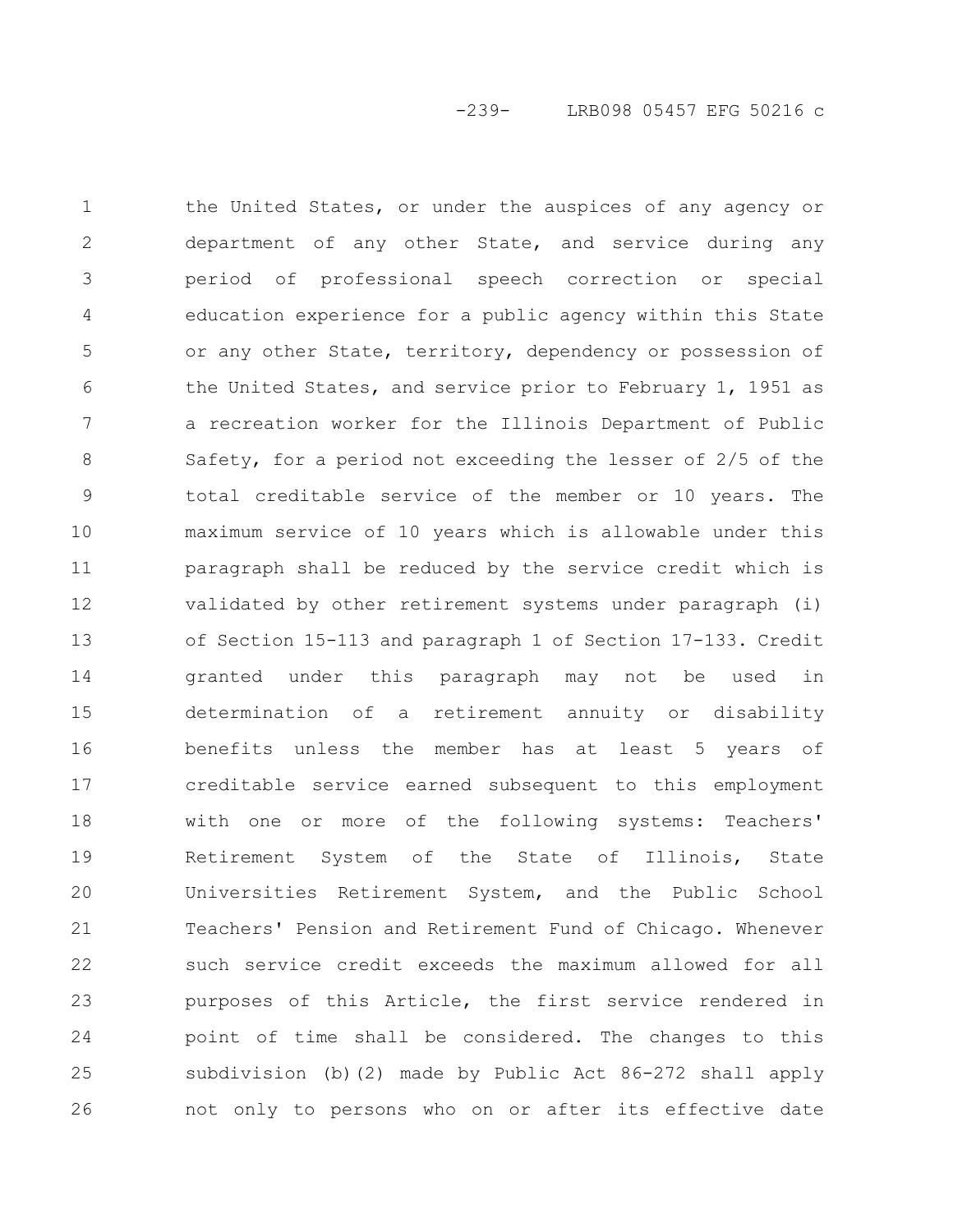the United States, or under the auspices of any agency or department of any other State, and service during any period of professional speech correction or special education experience for a public agency within this State or any other State, territory, dependency or possession of the United States, and service prior to February 1, 1951 as a recreation worker for the Illinois Department of Public Safety, for a period not exceeding the lesser of 2/5 of the total creditable service of the member or 10 years. The maximum service of 10 years which is allowable under this paragraph shall be reduced by the service credit which is validated by other retirement systems under paragraph (i) of Section 15-113 and paragraph 1 of Section 17-133. Credit granted under this paragraph may not be used in determination of a retirement annuity or disability benefits unless the member has at least 5 years of creditable service earned subsequent to this employment with one or more of the following systems: Teachers' Retirement System of the State of Illinois, State Universities Retirement System, and the Public School Teachers' Pension and Retirement Fund of Chicago. Whenever such service credit exceeds the maximum allowed for all purposes of this Article, the first service rendered in point of time shall be considered. The changes to this subdivision (b)(2) made by Public Act 86-272 shall apply not only to persons who on or after its effective date 1 2 3 4 5 6 7 8 9 10 11 12 13 14 15 16 17 18 19 20 21 22 23 24 25 26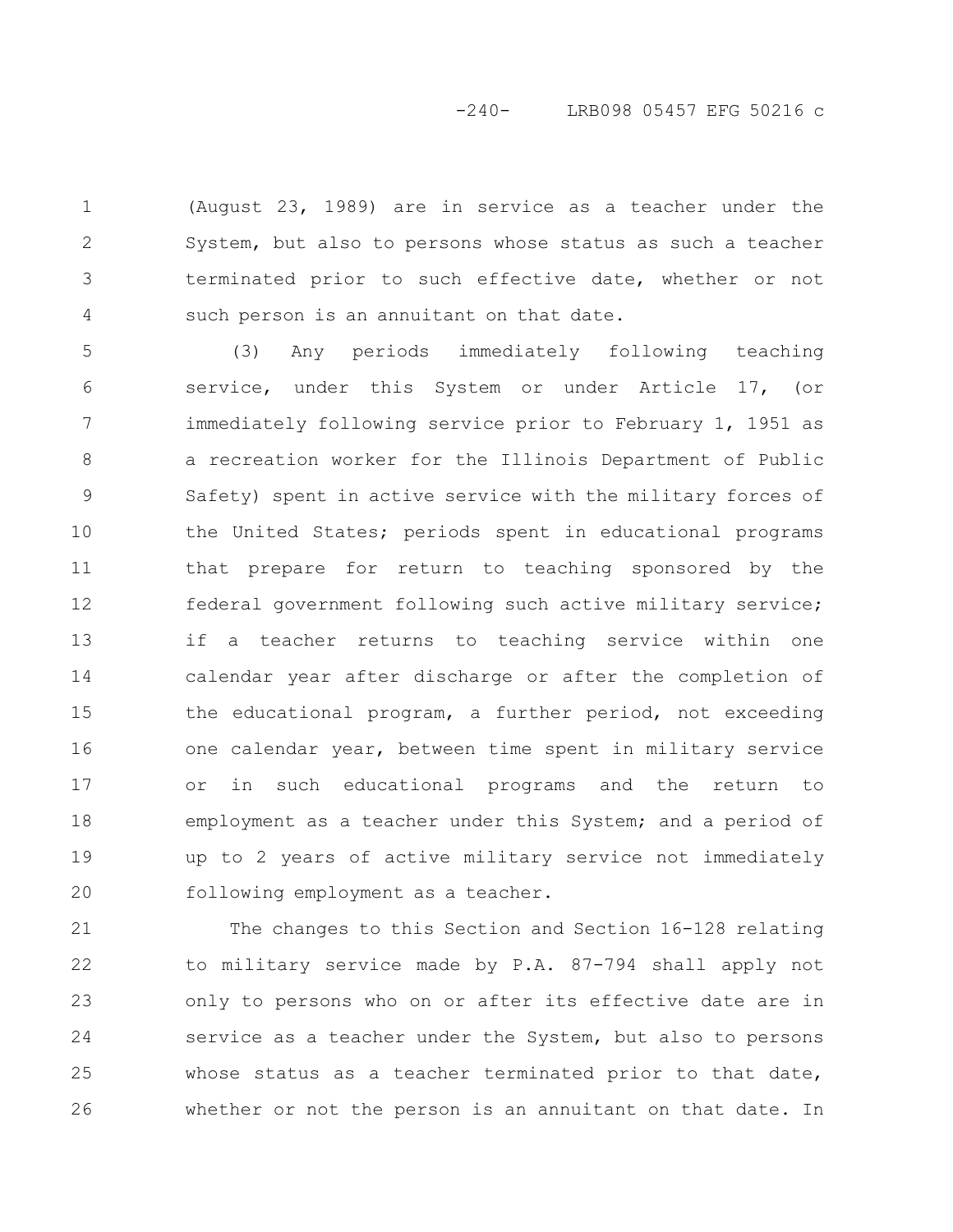# -240- LRB098 05457 EFG 50216 c

(August 23, 1989) are in service as a teacher under the System, but also to persons whose status as such a teacher terminated prior to such effective date, whether or not such person is an annuitant on that date. 1 2 3 4

(3) Any periods immediately following teaching service, under this System or under Article 17, (or immediately following service prior to February 1, 1951 as a recreation worker for the Illinois Department of Public Safety) spent in active service with the military forces of the United States; periods spent in educational programs that prepare for return to teaching sponsored by the federal government following such active military service; if a teacher returns to teaching service within one calendar year after discharge or after the completion of the educational program, a further period, not exceeding one calendar year, between time spent in military service or in such educational programs and the return to employment as a teacher under this System; and a period of up to 2 years of active military service not immediately following employment as a teacher. 5 6 7 8 9 10 11 12 13 14 15 16 17 18 19 20

The changes to this Section and Section 16-128 relating to military service made by P.A. 87-794 shall apply not only to persons who on or after its effective date are in service as a teacher under the System, but also to persons whose status as a teacher terminated prior to that date, whether or not the person is an annuitant on that date. In 21 22 23 24 25 26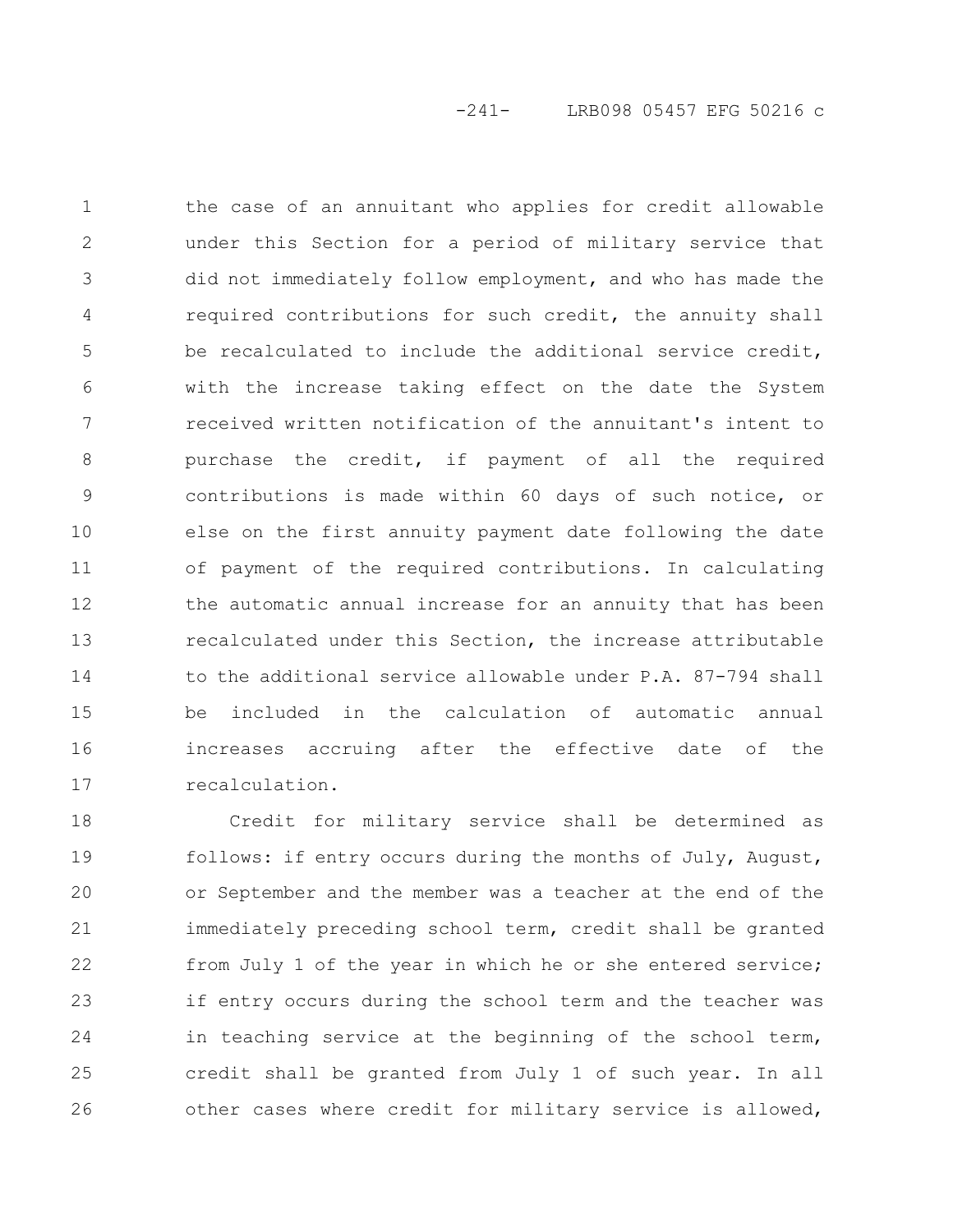the case of an annuitant who applies for credit allowable under this Section for a period of military service that did not immediately follow employment, and who has made the required contributions for such credit, the annuity shall be recalculated to include the additional service credit, with the increase taking effect on the date the System received written notification of the annuitant's intent to purchase the credit, if payment of all the required contributions is made within 60 days of such notice, or else on the first annuity payment date following the date of payment of the required contributions. In calculating the automatic annual increase for an annuity that has been recalculated under this Section, the increase attributable to the additional service allowable under P.A. 87-794 shall be included in the calculation of automatic annual increases accruing after the effective date of the recalculation. 1 2 3 4 5 6 7 8 9 10 11 12 13 14 15 16 17

Credit for military service shall be determined as follows: if entry occurs during the months of July, August, or September and the member was a teacher at the end of the immediately preceding school term, credit shall be granted from July 1 of the year in which he or she entered service; if entry occurs during the school term and the teacher was in teaching service at the beginning of the school term, credit shall be granted from July 1 of such year. In all other cases where credit for military service is allowed, 18 19 20 21 22 23 24 25 26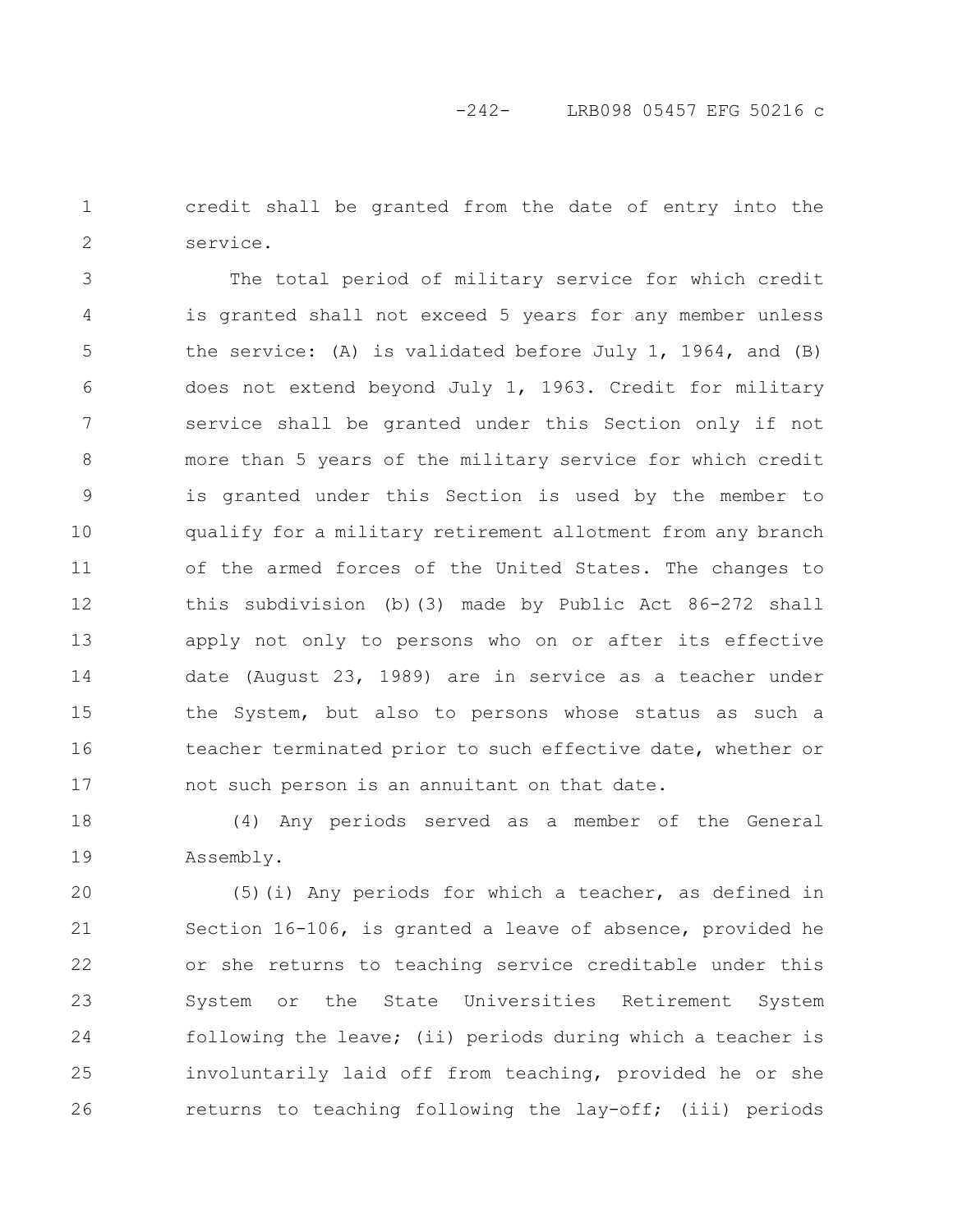credit shall be granted from the date of entry into the service. 1 2

The total period of military service for which credit is granted shall not exceed 5 years for any member unless the service: (A) is validated before July 1, 1964, and (B) does not extend beyond July 1, 1963. Credit for military service shall be granted under this Section only if not more than 5 years of the military service for which credit is granted under this Section is used by the member to qualify for a military retirement allotment from any branch of the armed forces of the United States. The changes to this subdivision (b)(3) made by Public Act 86-272 shall apply not only to persons who on or after its effective date (August 23, 1989) are in service as a teacher under the System, but also to persons whose status as such a teacher terminated prior to such effective date, whether or not such person is an annuitant on that date. 3 4 5 6 7 8 9 10 11 12 13 14 15 16 17

(4) Any periods served as a member of the General Assembly. 18 19

(5)(i) Any periods for which a teacher, as defined in Section 16-106, is granted a leave of absence, provided he or she returns to teaching service creditable under this System or the State Universities Retirement System following the leave; (ii) periods during which a teacher is involuntarily laid off from teaching, provided he or she returns to teaching following the lay-off; (iii) periods 20 21 22 23 24 25 26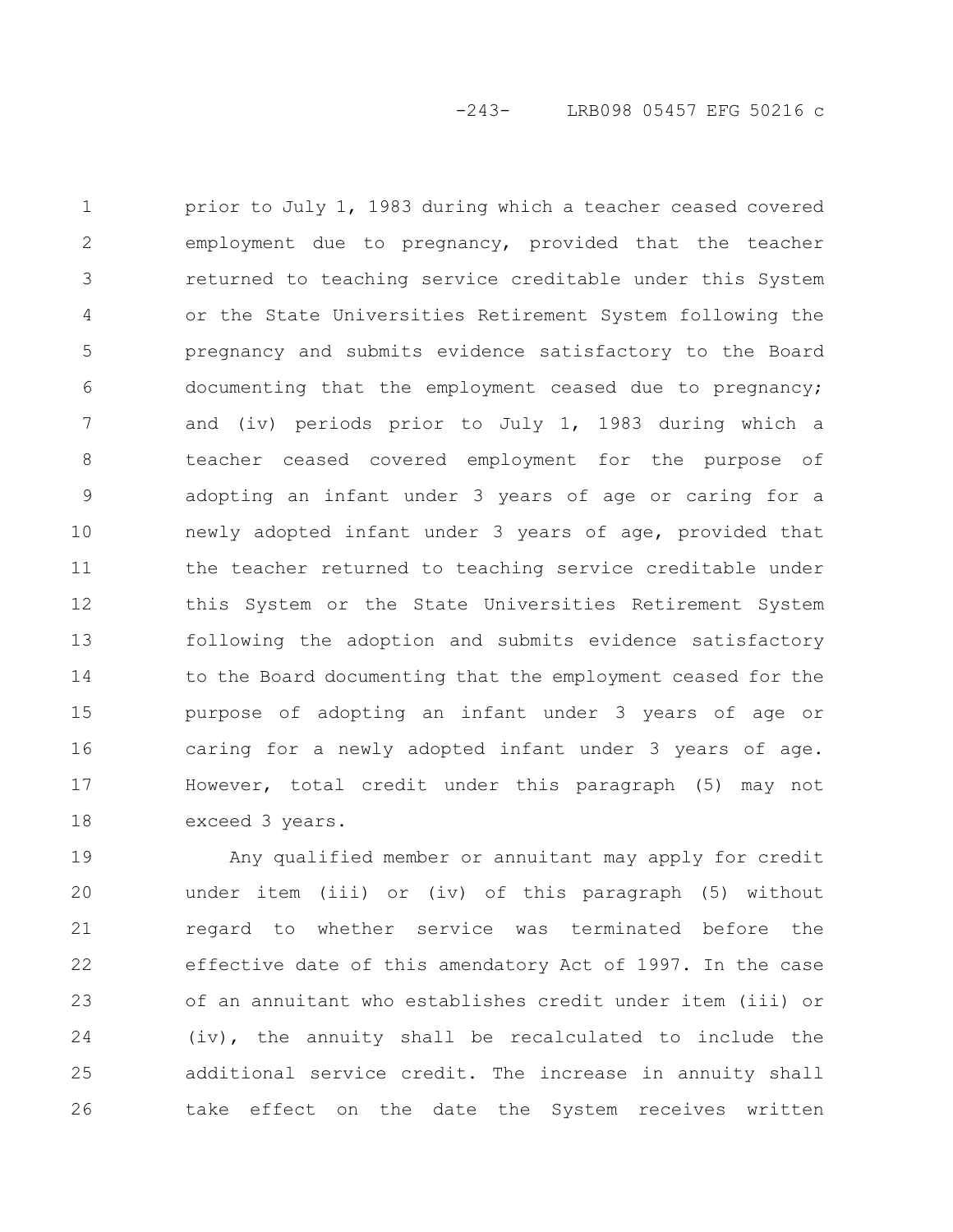prior to July 1, 1983 during which a teacher ceased covered employment due to pregnancy, provided that the teacher returned to teaching service creditable under this System or the State Universities Retirement System following the pregnancy and submits evidence satisfactory to the Board documenting that the employment ceased due to pregnancy; and (iv) periods prior to July 1, 1983 during which a teacher ceased covered employment for the purpose of adopting an infant under 3 years of age or caring for a newly adopted infant under 3 years of age, provided that the teacher returned to teaching service creditable under this System or the State Universities Retirement System following the adoption and submits evidence satisfactory to the Board documenting that the employment ceased for the purpose of adopting an infant under 3 years of age or caring for a newly adopted infant under 3 years of age. However, total credit under this paragraph (5) may not exceed 3 years. 1 2 3 4 5 6 7 8 9 10 11 12 13 14 15 16 17 18

Any qualified member or annuitant may apply for credit under item (iii) or (iv) of this paragraph (5) without regard to whether service was terminated before the effective date of this amendatory Act of 1997. In the case of an annuitant who establishes credit under item (iii) or (iv), the annuity shall be recalculated to include the additional service credit. The increase in annuity shall take effect on the date the System receives written 19 20 21 22 23 24 25 26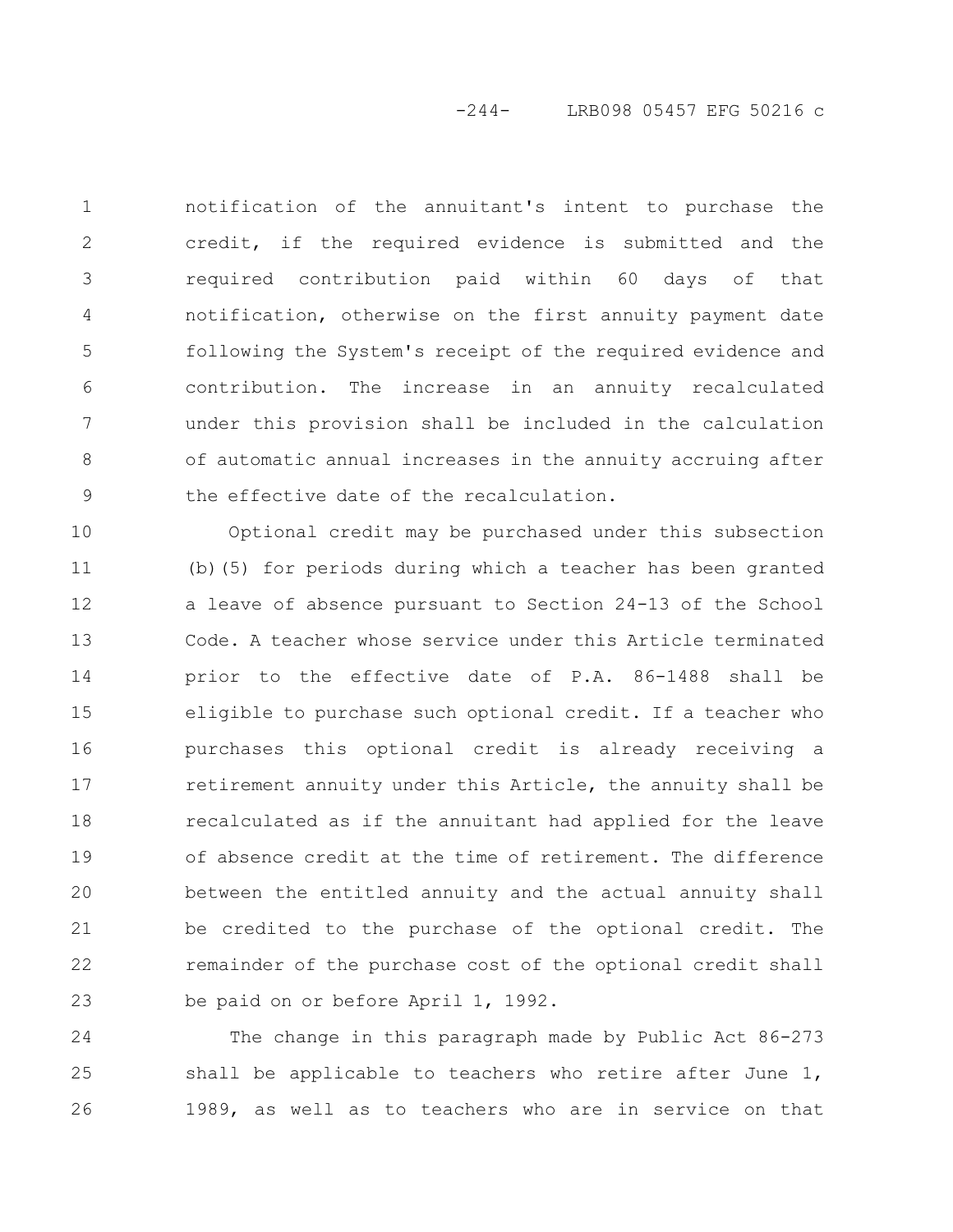# -244- LRB098 05457 EFG 50216 c

notification of the annuitant's intent to purchase the credit, if the required evidence is submitted and the required contribution paid within 60 days of that notification, otherwise on the first annuity payment date following the System's receipt of the required evidence and contribution. The increase in an annuity recalculated under this provision shall be included in the calculation of automatic annual increases in the annuity accruing after the effective date of the recalculation. 1 2 3 4 5 6 7 8 9

Optional credit may be purchased under this subsection (b)(5) for periods during which a teacher has been granted a leave of absence pursuant to Section 24-13 of the School Code. A teacher whose service under this Article terminated prior to the effective date of P.A. 86-1488 shall be eligible to purchase such optional credit. If a teacher who purchases this optional credit is already receiving a retirement annuity under this Article, the annuity shall be recalculated as if the annuitant had applied for the leave of absence credit at the time of retirement. The difference between the entitled annuity and the actual annuity shall be credited to the purchase of the optional credit. The remainder of the purchase cost of the optional credit shall be paid on or before April 1, 1992. 10 11 12 13 14 15 16 17 18 19 20 21 22 23

The change in this paragraph made by Public Act 86-273 shall be applicable to teachers who retire after June 1, 1989, as well as to teachers who are in service on that 24 25 26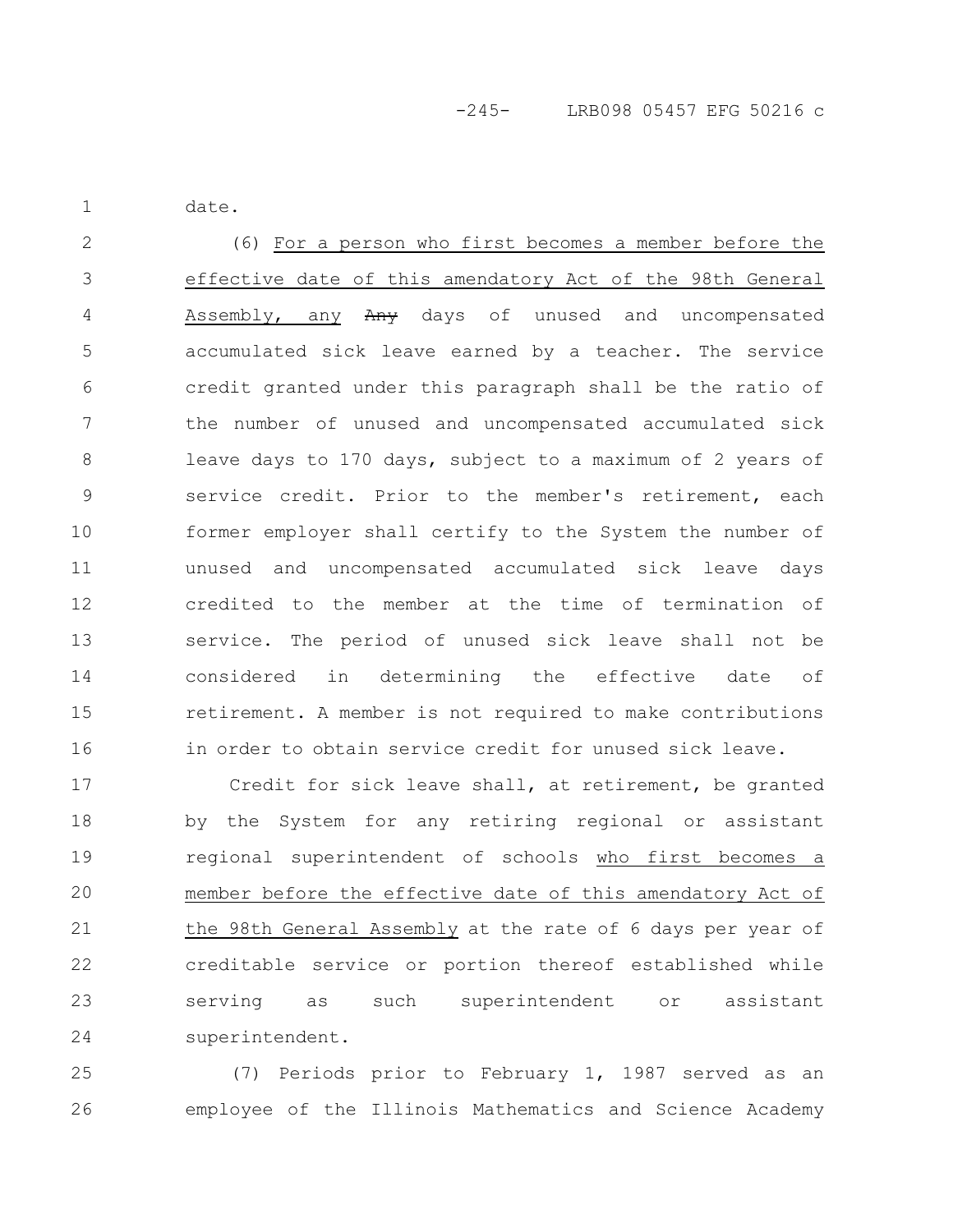date.

1

(6) For a person who first becomes a member before the effective date of this amendatory Act of the 98th General Assembly, any Any days of unused and uncompensated accumulated sick leave earned by a teacher. The service credit granted under this paragraph shall be the ratio of the number of unused and uncompensated accumulated sick leave days to 170 days, subject to a maximum of 2 years of service credit. Prior to the member's retirement, each former employer shall certify to the System the number of unused and uncompensated accumulated sick leave days credited to the member at the time of termination of service. The period of unused sick leave shall not be considered in determining the effective date of retirement. A member is not required to make contributions in order to obtain service credit for unused sick leave. 2 3 4 5 6 7 8 9 10 11 12 13 14 15 16

Credit for sick leave shall, at retirement, be granted by the System for any retiring regional or assistant regional superintendent of schools who first becomes a member before the effective date of this amendatory Act of the 98th General Assembly at the rate of 6 days per year of creditable service or portion thereof established while serving as such superintendent or assistant superintendent. 17 18 19 20 21 22 23 24

(7) Periods prior to February 1, 1987 served as an employee of the Illinois Mathematics and Science Academy 25 26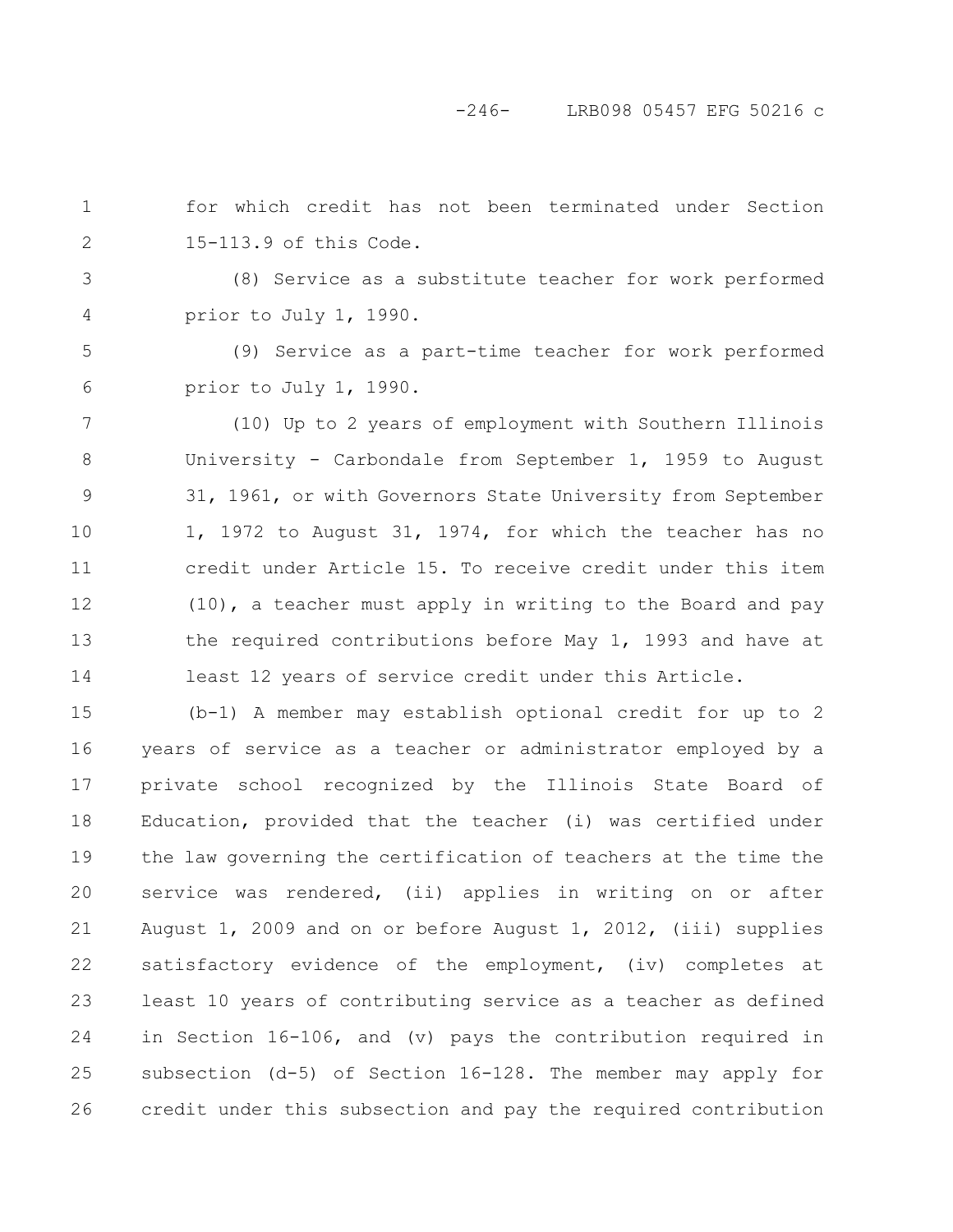## -246- LRB098 05457 EFG 50216 c

for which credit has not been terminated under Section 15-113.9 of this Code. 1 2

3

4

(8) Service as a substitute teacher for work performed prior to July 1, 1990.

(9) Service as a part-time teacher for work performed prior to July 1, 1990. 5 6

(10) Up to 2 years of employment with Southern Illinois University - Carbondale from September 1, 1959 to August 31, 1961, or with Governors State University from September 1, 1972 to August 31, 1974, for which the teacher has no credit under Article 15. To receive credit under this item (10), a teacher must apply in writing to the Board and pay the required contributions before May 1, 1993 and have at least 12 years of service credit under this Article. 7 8 9 10 11 12 13 14

(b-1) A member may establish optional credit for up to 2 years of service as a teacher or administrator employed by a private school recognized by the Illinois State Board of Education, provided that the teacher (i) was certified under the law governing the certification of teachers at the time the service was rendered, (ii) applies in writing on or after August 1, 2009 and on or before August 1, 2012, (iii) supplies satisfactory evidence of the employment, (iv) completes at least 10 years of contributing service as a teacher as defined in Section 16-106, and (v) pays the contribution required in subsection (d-5) of Section 16-128. The member may apply for credit under this subsection and pay the required contribution 15 16 17 18 19 20 21 22 23 24 25 26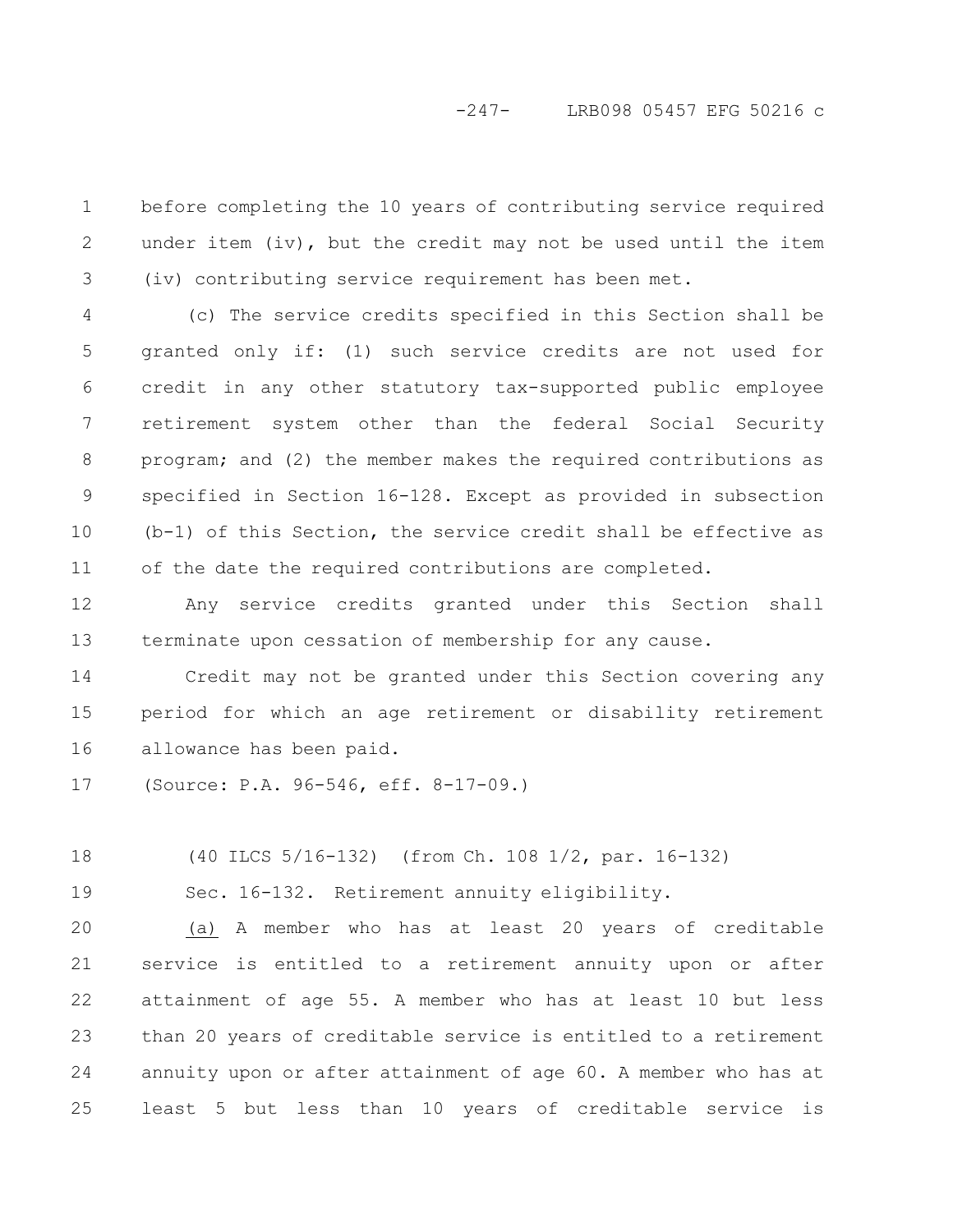# -247- LRB098 05457 EFG 50216 c

before completing the 10 years of contributing service required under item (iv), but the credit may not be used until the item (iv) contributing service requirement has been met. 1 2 3

(c) The service credits specified in this Section shall be granted only if: (1) such service credits are not used for credit in any other statutory tax-supported public employee retirement system other than the federal Social Security program; and (2) the member makes the required contributions as specified in Section 16-128. Except as provided in subsection (b-1) of this Section, the service credit shall be effective as of the date the required contributions are completed. 4 5 6 7 8 9 10 11

Any service credits granted under this Section shall terminate upon cessation of membership for any cause. 12 13

Credit may not be granted under this Section covering any period for which an age retirement or disability retirement allowance has been paid. 14 15 16

(Source: P.A. 96-546, eff. 8-17-09.) 17

(40 ILCS 5/16-132) (from Ch. 108 1/2, par. 16-132) 18

Sec. 16-132. Retirement annuity eligibility. 19

(a) A member who has at least 20 years of creditable service is entitled to a retirement annuity upon or after attainment of age 55. A member who has at least 10 but less than 20 years of creditable service is entitled to a retirement annuity upon or after attainment of age 60. A member who has at least 5 but less than 10 years of creditable service is 20 21 22 23 24 25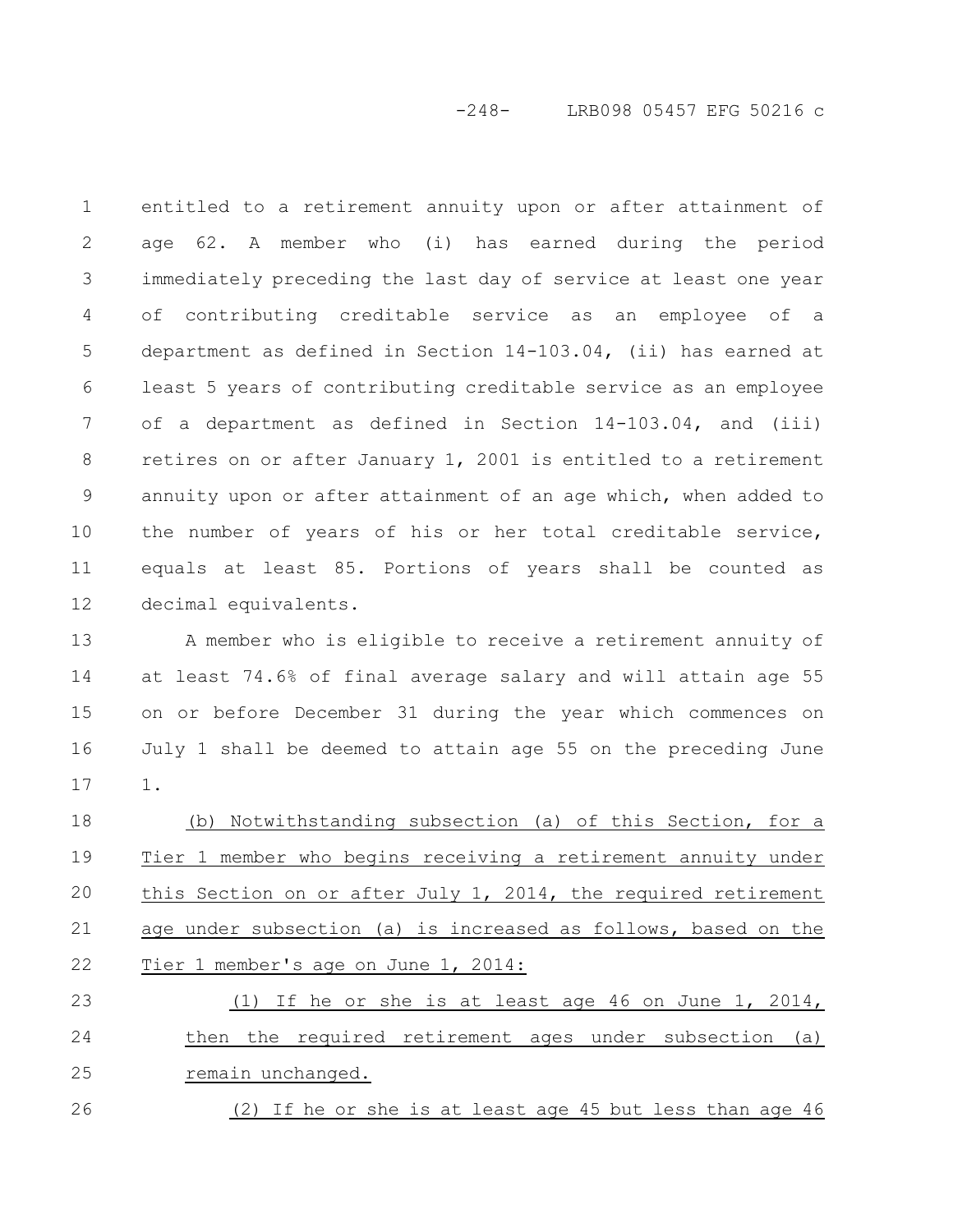-248- LRB098 05457 EFG 50216 c

entitled to a retirement annuity upon or after attainment of age 62. A member who (i) has earned during the period immediately preceding the last day of service at least one year of contributing creditable service as an employee of a department as defined in Section 14-103.04, (ii) has earned at least 5 years of contributing creditable service as an employee of a department as defined in Section 14-103.04, and (iii) retires on or after January 1, 2001 is entitled to a retirement annuity upon or after attainment of an age which, when added to the number of years of his or her total creditable service, equals at least 85. Portions of years shall be counted as decimal equivalents. 1 2 3 4 5 6 7 8 9 10 11 12

A member who is eligible to receive a retirement annuity of at least 74.6% of final average salary and will attain age 55 on or before December 31 during the year which commences on July 1 shall be deemed to attain age 55 on the preceding June 1. 13 14 15 16 17

(b) Notwithstanding subsection (a) of this Section, for a Tier 1 member who begins receiving a retirement annuity under this Section on or after July 1, 2014, the required retirement age under subsection (a) is increased as follows, based on the Tier 1 member's age on June 1, 2014: 18 19 20 21 22

(1) If he or she is at least age 46 on June 1, 2014, then the required retirement ages under subsection (a) remain unchanged. 23 24 25

(2) If he or she is at least age 45 but less than age 46 26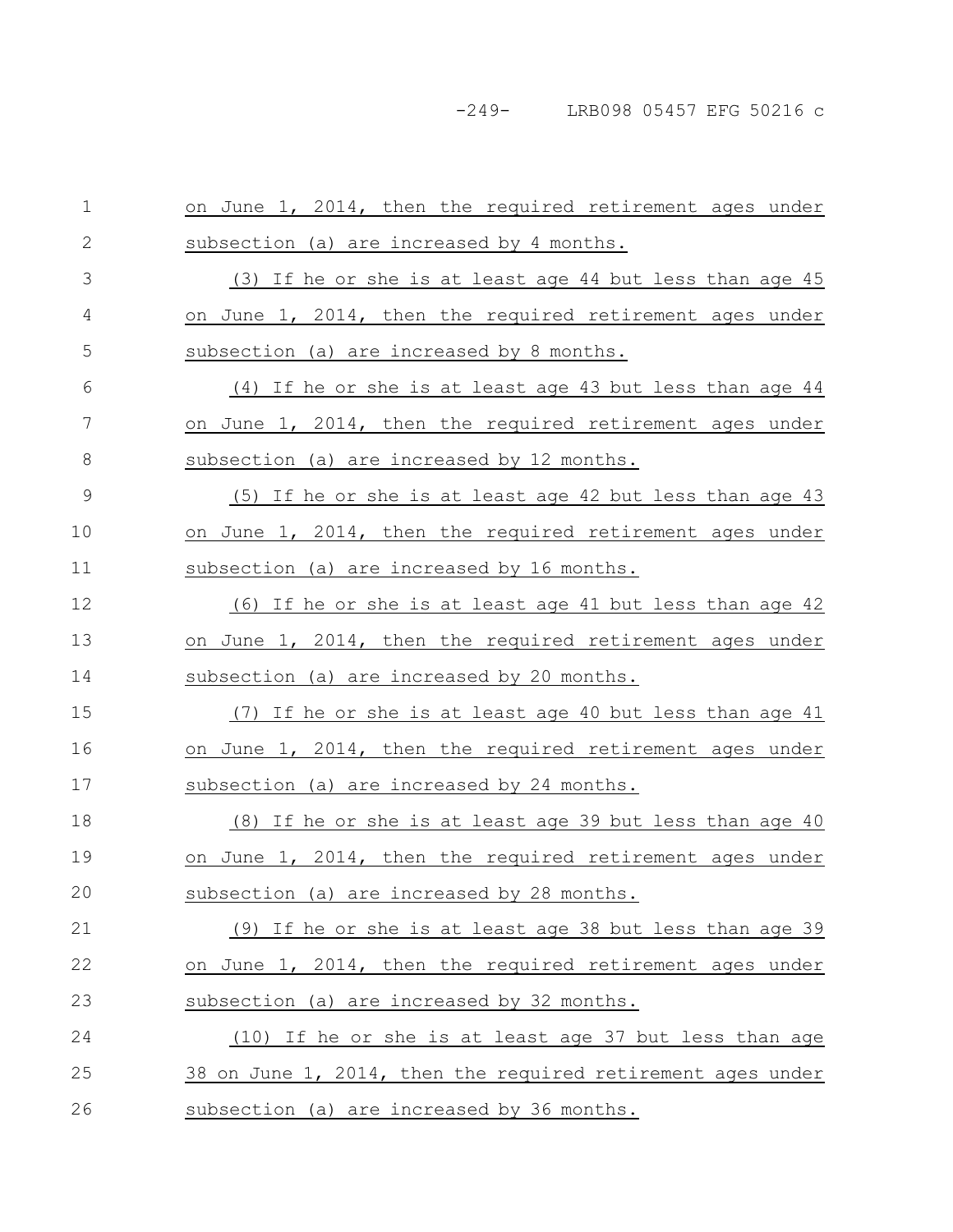| $1\,$        | on June 1, 2014, then the required retirement ages under        |
|--------------|-----------------------------------------------------------------|
| $\mathbf{2}$ | subsection (a) are increased by 4 months.                       |
| 3            | (3) If he or she is at least age 44 but less than age 45        |
| 4            | on June 1, 2014, then the required retirement ages under        |
| 5            | subsection (a) are increased by 8 months.                       |
| 6            | (4) If he or she is at least age 43 but less than age 44        |
| 7            | on June 1, 2014, then the required retirement ages under        |
| 8            | subsection (a) are increased by 12 months.                      |
| 9            | <u>(5) If he or she is at least age 42 but less than age 43</u> |
| 10           | on June 1, 2014, then the required retirement ages under        |
| 11           | subsection (a) are increased by 16 months.                      |
| 12           | (6) If he or she is at least age 41 but less than age 42        |
| 13           | on June 1, 2014, then the required retirement ages under        |
|              |                                                                 |
| 14           | subsection (a) are increased by 20 months.                      |
| 15           | If he or she is at least age 40 but less than age 41<br>(7)     |
| 16           | on June 1, 2014, then the required retirement ages under        |
| 17           | subsection (a) are increased by 24 months.                      |
| 18           | <u>(8)</u> If he or she is at least age 39 but less than age 40 |
| 19           | on June 1, 2014, then the required retirement ages under        |
| 20           | subsection (a) are increased by 28 months.                      |
| 21           | (9) If he or she is at least age 38 but less than age 39        |
| 22           | on June 1, 2014, then the required retirement ages under        |
| 23           | subsection (a) are increased by 32 months.                      |
| 24           | (10) If he or she is at least age 37 but less than age          |
| 25           | 38 on June 1, 2014, then the required retirement ages under     |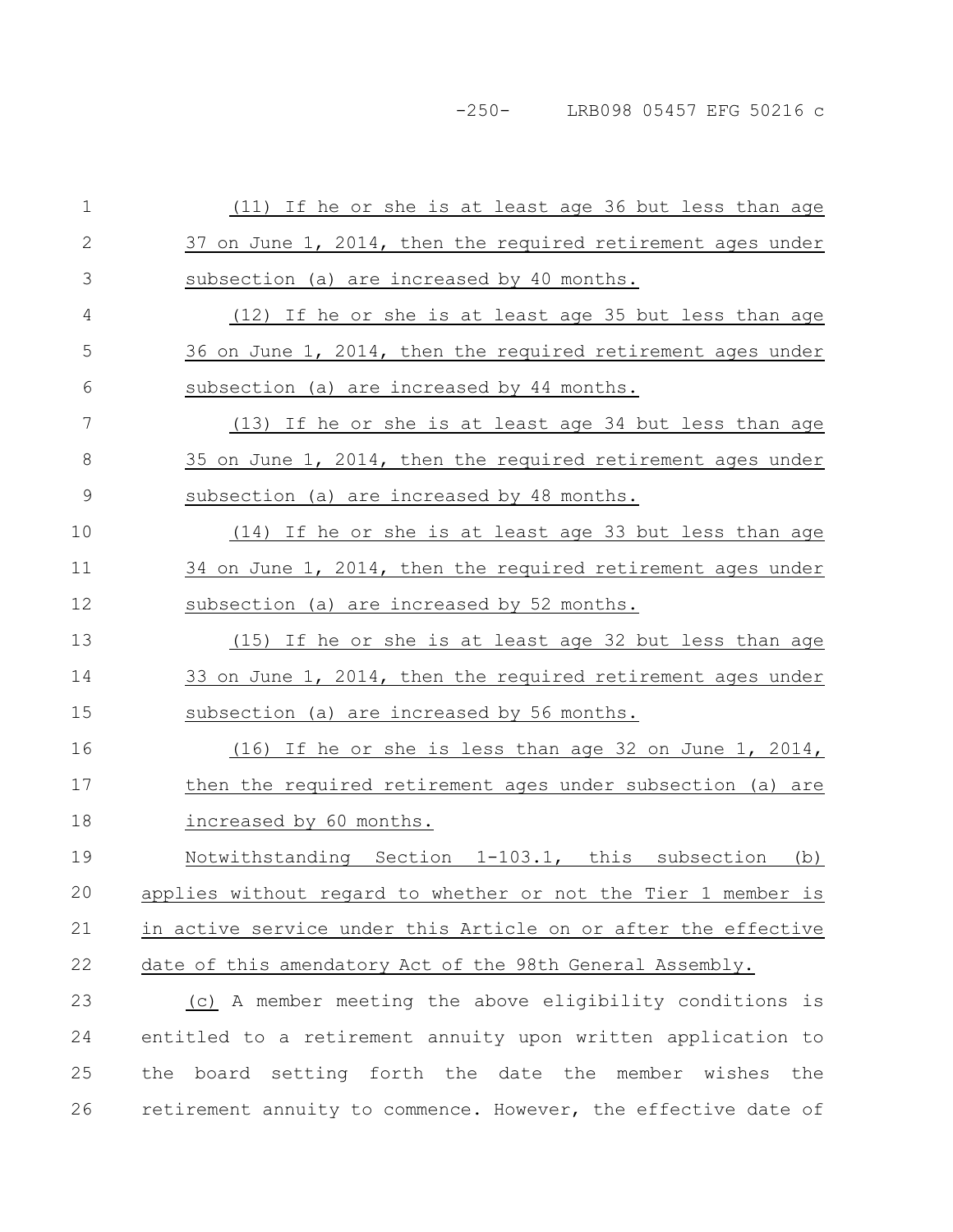-250- LRB098 05457 EFG 50216 c

| $\mathbf 1$   | (11) If he or she is at least age 36 but less than age         |
|---------------|----------------------------------------------------------------|
| 2             | 37 on June 1, 2014, then the required retirement ages under    |
| 3             | subsection (a) are increased by 40 months.                     |
| 4             | (12) If he or she is at least age 35 but less than age         |
| 5             | 36 on June 1, 2014, then the required retirement ages under    |
| 6             | subsection (a) are increased by 44 months.                     |
| 7             | (13) If he or she is at least age 34 but less than age         |
| 8             | 35 on June 1, 2014, then the required retirement ages under    |
| $\mathcal{G}$ | subsection (a) are increased by 48 months.                     |
| 10            | (14) If he or she is at least age 33 but less than age         |
| 11            | 34 on June 1, 2014, then the required retirement ages under    |
| 12            | subsection (a) are increased by 52 months.                     |
| 13            | (15) If he or she is at least age 32 but less than age         |
| 14            | 33 on June 1, 2014, then the required retirement ages under    |
| 15            | subsection (a) are increased by 56 months.                     |
| 16            | (16) If he or she is less than age 32 on June 1, 2014,         |
| 17            | then the required retirement ages under subsection (a) are     |
| 18            | increased by 60 months.                                        |
| 19            | Notwithstanding Section 1-103.1, this subsection<br>(b)        |
| 20            | applies without regard to whether or not the Tier 1 member is  |
| 21            | in active service under this Article on or after the effective |
| 22            | date of this amendatory Act of the 98th General Assembly.      |
| 23            | (c) A member meeting the above eligibility conditions is       |
| 24            | entitled to a retirement annuity upon written application to   |
| 25            | the board setting forth the date the member wishes the         |
| 26            | retirement annuity to commence. However, the effective date of |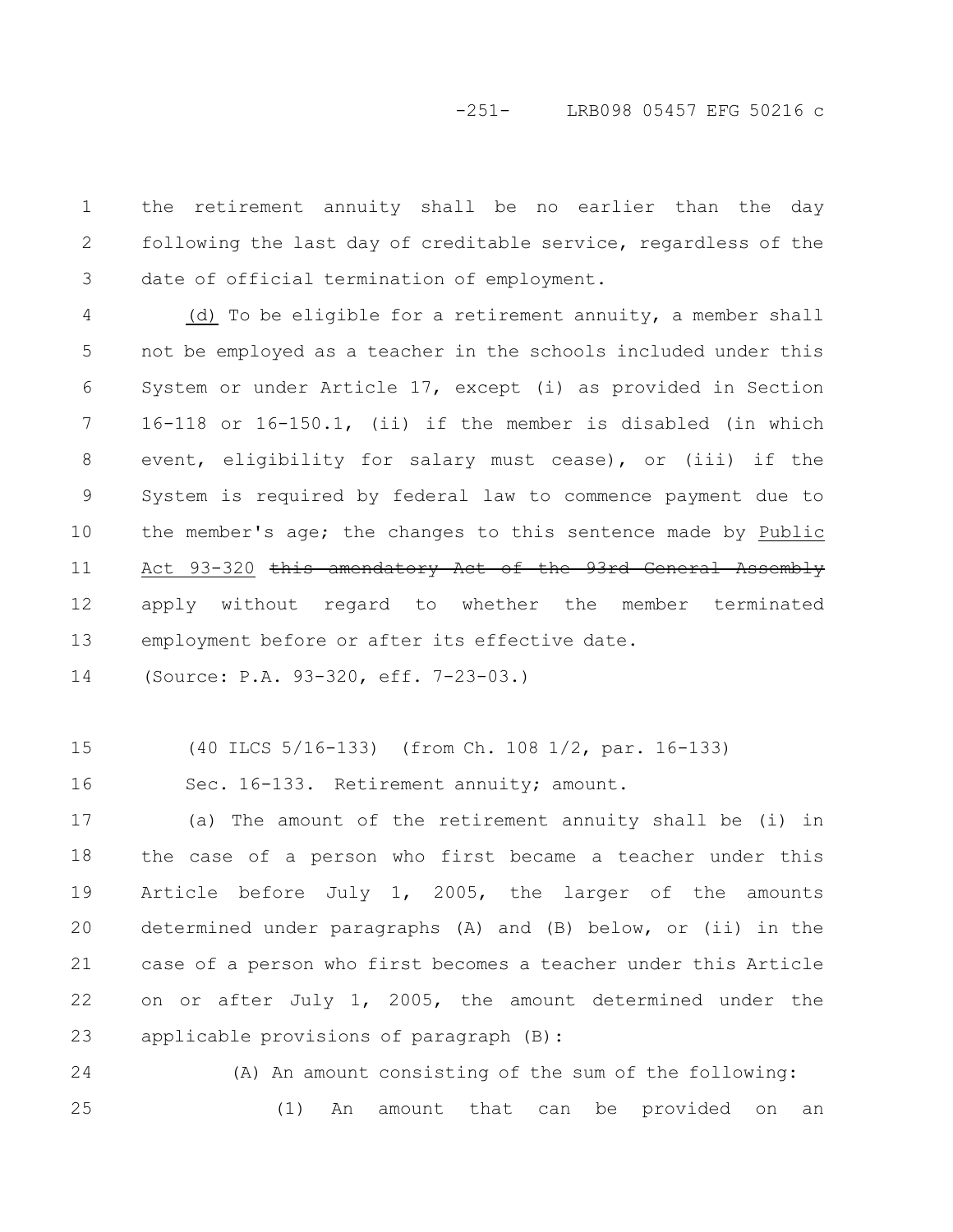# -251- LRB098 05457 EFG 50216 c

the retirement annuity shall be no earlier than the day following the last day of creditable service, regardless of the date of official termination of employment. 1 2 3

(d) To be eligible for a retirement annuity, a member shall not be employed as a teacher in the schools included under this System or under Article 17, except (i) as provided in Section 16-118 or 16-150.1, (ii) if the member is disabled (in which event, eligibility for salary must cease), or (iii) if the System is required by federal law to commence payment due to the member's age; the changes to this sentence made by Public Act 93-320 this amendatory Act of the 93rd General Assembly apply without regard to whether the member terminated employment before or after its effective date. 4 5 6 7 8 9 10 11 12 13

(Source: P.A. 93-320, eff. 7-23-03.) 14

(40 ILCS 5/16-133) (from Ch. 108 1/2, par. 16-133) 15

Sec. 16-133. Retirement annuity; amount. 16

(a) The amount of the retirement annuity shall be (i) in the case of a person who first became a teacher under this Article before July 1, 2005, the larger of the amounts determined under paragraphs (A) and (B) below, or (ii) in the case of a person who first becomes a teacher under this Article on or after July 1, 2005, the amount determined under the applicable provisions of paragraph (B): 17 18 19 20 21 22 23

(A) An amount consisting of the sum of the following: (1) An amount that can be provided on an 24 25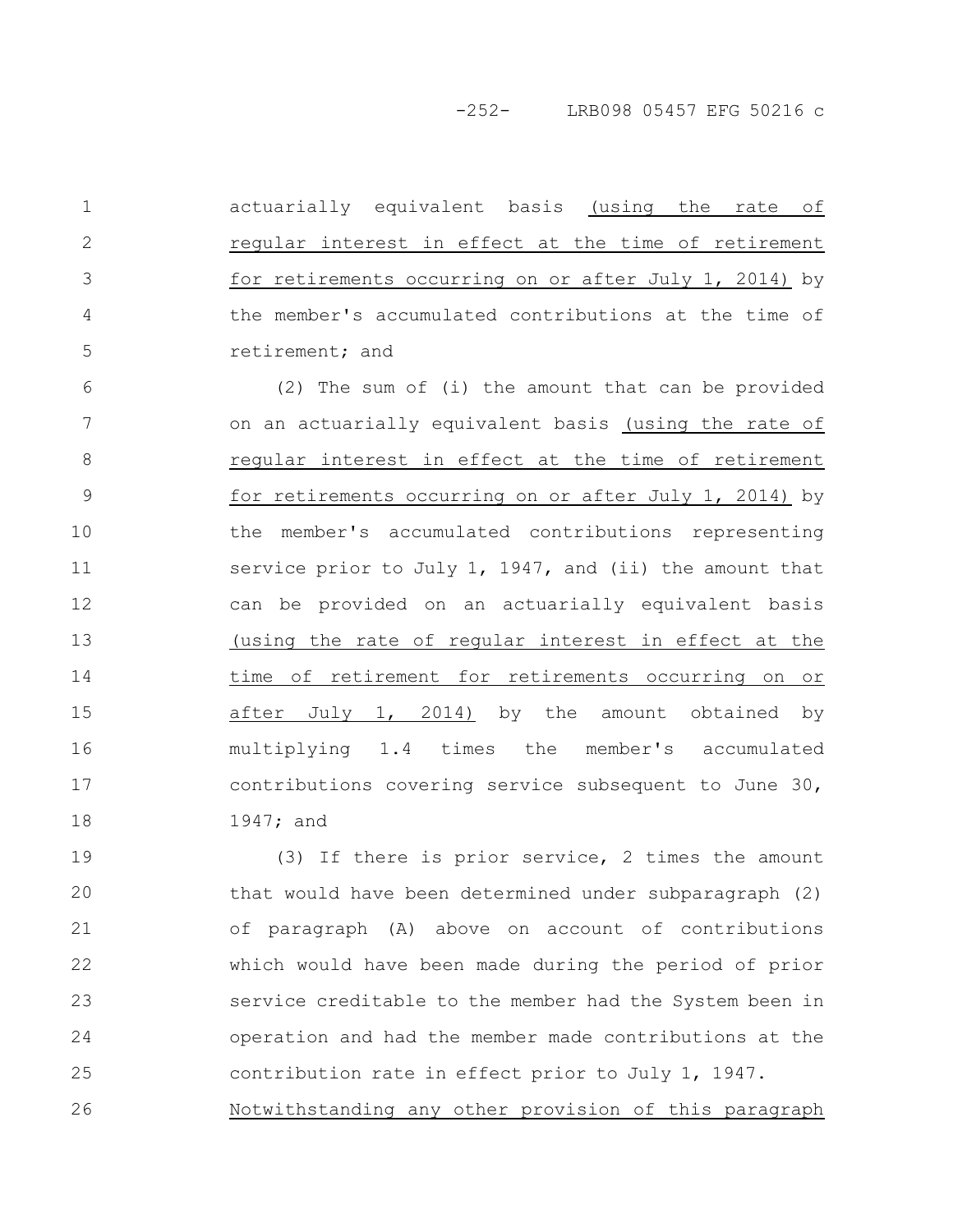-252- LRB098 05457 EFG 50216 c

actuarially equivalent basis (using the rate of regular interest in effect at the time of retirement for retirements occurring on or after July 1, 2014) by the member's accumulated contributions at the time of retirement; and 1

2

3

4

5

(2) The sum of (i) the amount that can be provided on an actuarially equivalent basis (using the rate of regular interest in effect at the time of retirement for retirements occurring on or after July 1, 2014) by the member's accumulated contributions representing service prior to July 1, 1947, and (ii) the amount that can be provided on an actuarially equivalent basis (using the rate of regular interest in effect at the time of retirement for retirements occurring on or after July 1, 2014) by the amount obtained by multiplying 1.4 times the member's accumulated contributions covering service subsequent to June 30, 1947; and 6 7 8 9 10 11 12 13 14 15 16 17 18

(3) If there is prior service, 2 times the amount that would have been determined under subparagraph (2) of paragraph (A) above on account of contributions which would have been made during the period of prior service creditable to the member had the System been in operation and had the member made contributions at the contribution rate in effect prior to July 1, 1947. Notwithstanding any other provision of this paragraph 19 20 21 22 23 24 25 26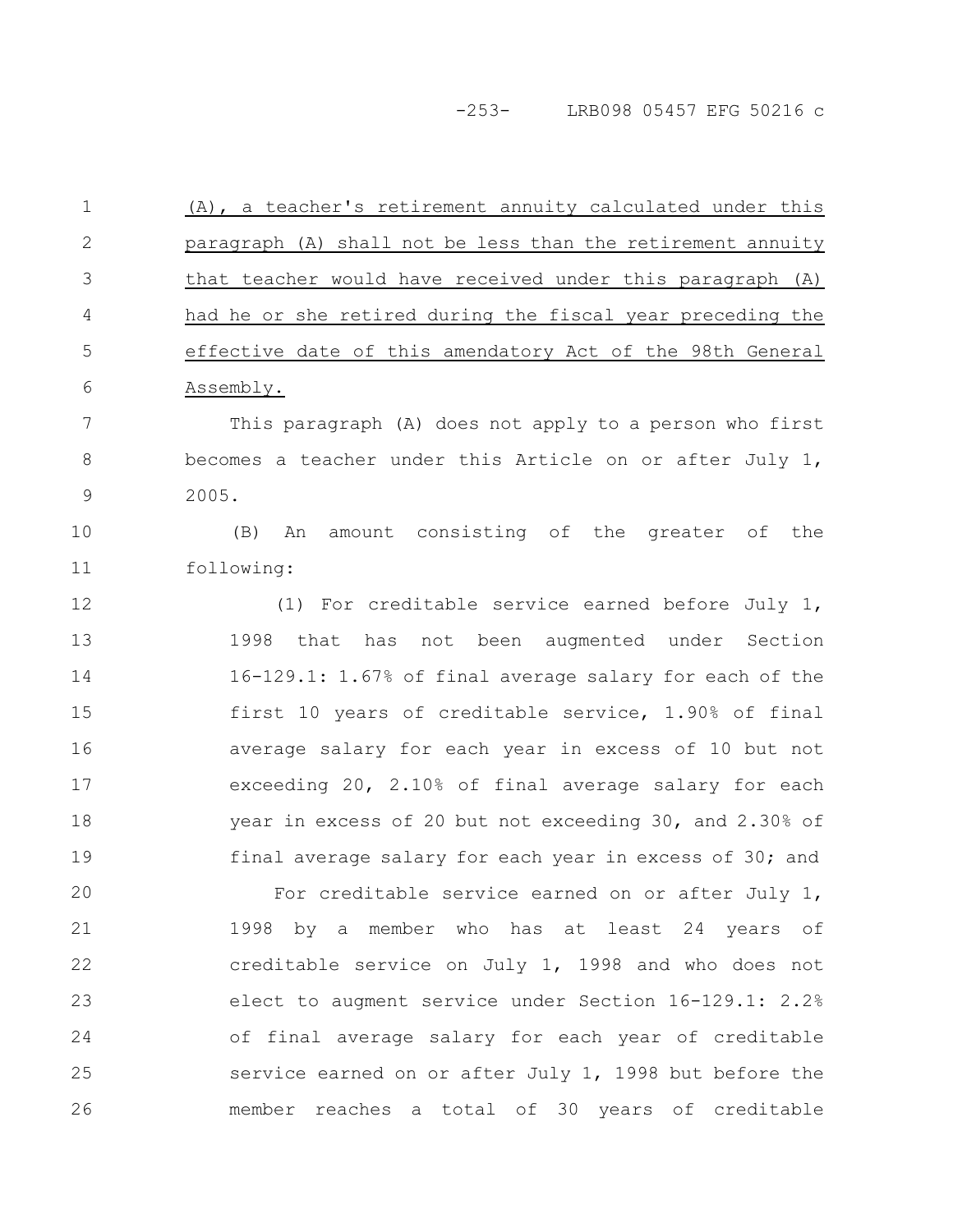-253- LRB098 05457 EFG 50216 c

(A), a teacher's retirement annuity calculated under this paragraph (A) shall not be less than the retirement annuity that teacher would have received under this paragraph (A) had he or she retired during the fiscal year preceding the effective date of this amendatory Act of the 98th General Assembly. This paragraph (A) does not apply to a person who first becomes a teacher under this Article on or after July 1, 2005. (B) An amount consisting of the greater of the following: (1) For creditable service earned before July 1, 1998 that has not been augmented under Section 16-129.1: 1.67% of final average salary for each of the first 10 years of creditable service, 1.90% of final average salary for each year in excess of 10 but not exceeding 20, 2.10% of final average salary for each year in excess of 20 but not exceeding 30, and 2.30% of final average salary for each year in excess of 30; and For creditable service earned on or after July 1, 1998 by a member who has at least 24 years of creditable service on July 1, 1998 and who does not elect to augment service under Section 16-129.1: 2.2% of final average salary for each year of creditable service earned on or after July 1, 1998 but before the member reaches a total of 30 years of creditable 1 2 3 4 5 6 7 8 9 10 11 12 13 14 15 16 17 18 19 20 21 22 23 24 25 26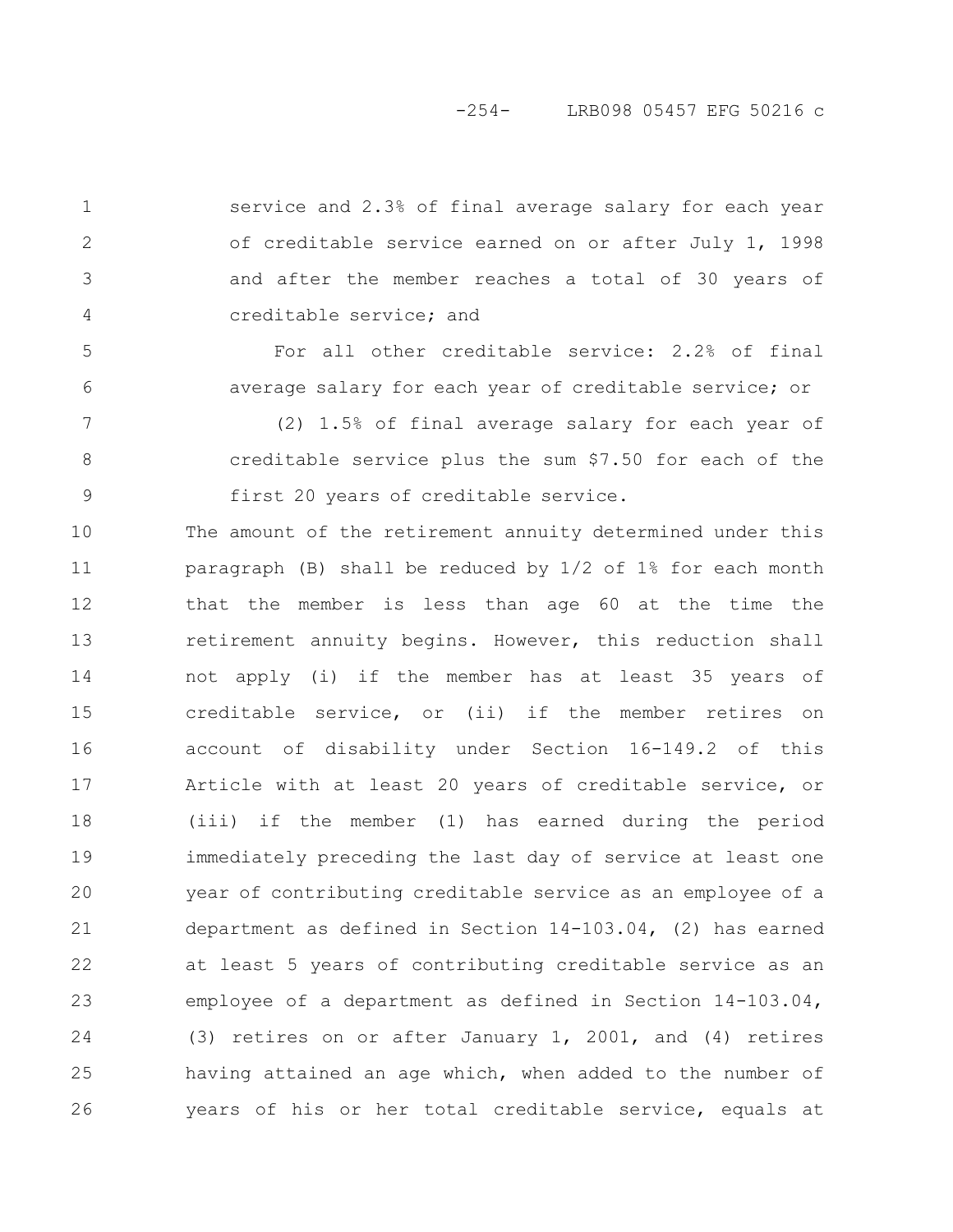## -254- LRB098 05457 EFG 50216 c

service and 2.3% of final average salary for each year of creditable service earned on or after July 1, 1998 and after the member reaches a total of 30 years of creditable service; and

1

2

3

4

5

6

For all other creditable service: 2.2% of final average salary for each year of creditable service; or

(2) 1.5% of final average salary for each year of creditable service plus the sum \$7.50 for each of the first 20 years of creditable service. 7 8 9

The amount of the retirement annuity determined under this paragraph (B) shall be reduced by 1/2 of 1% for each month that the member is less than age 60 at the time the retirement annuity begins. However, this reduction shall not apply (i) if the member has at least 35 years of creditable service, or (ii) if the member retires on account of disability under Section 16-149.2 of this Article with at least 20 years of creditable service, or (iii) if the member (1) has earned during the period immediately preceding the last day of service at least one year of contributing creditable service as an employee of a department as defined in Section 14-103.04, (2) has earned at least 5 years of contributing creditable service as an employee of a department as defined in Section 14-103.04, (3) retires on or after January 1, 2001, and (4) retires having attained an age which, when added to the number of years of his or her total creditable service, equals at 10 11 12 13 14 15 16 17 18 19 20 21 22 23 24 25 26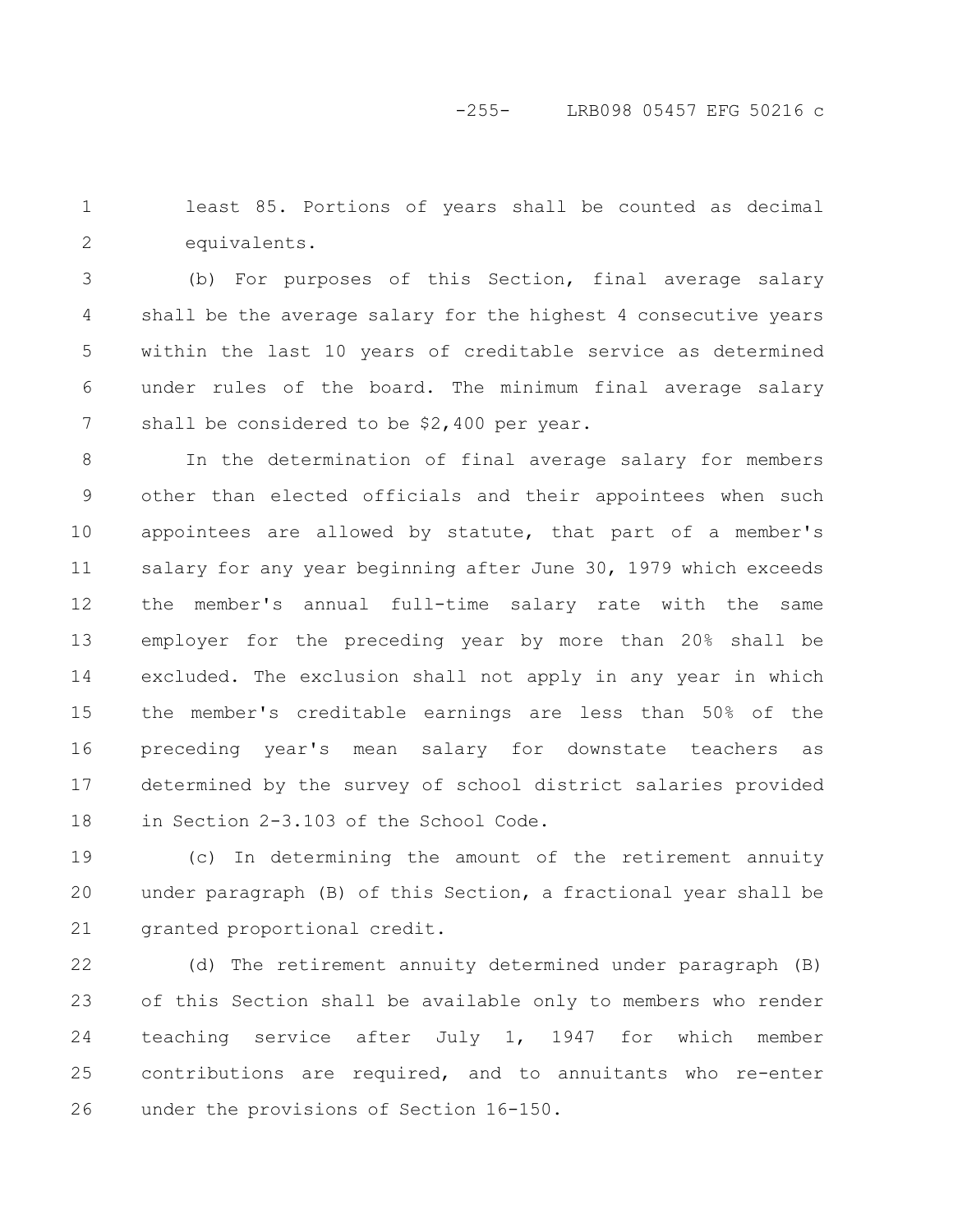least 85. Portions of years shall be counted as decimal equivalents. 1 2

(b) For purposes of this Section, final average salary shall be the average salary for the highest 4 consecutive years within the last 10 years of creditable service as determined under rules of the board. The minimum final average salary shall be considered to be \$2,400 per year. 3 4 5 6 7

In the determination of final average salary for members other than elected officials and their appointees when such appointees are allowed by statute, that part of a member's salary for any year beginning after June 30, 1979 which exceeds the member's annual full-time salary rate with the same employer for the preceding year by more than 20% shall be excluded. The exclusion shall not apply in any year in which the member's creditable earnings are less than 50% of the preceding year's mean salary for downstate teachers as determined by the survey of school district salaries provided in Section 2-3.103 of the School Code. 8 9 10 11 12 13 14 15 16 17 18

(c) In determining the amount of the retirement annuity under paragraph (B) of this Section, a fractional year shall be granted proportional credit. 19 20 21

(d) The retirement annuity determined under paragraph (B) of this Section shall be available only to members who render teaching service after July 1, 1947 for which member contributions are required, and to annuitants who re-enter under the provisions of Section 16-150. 22 23 24 25 26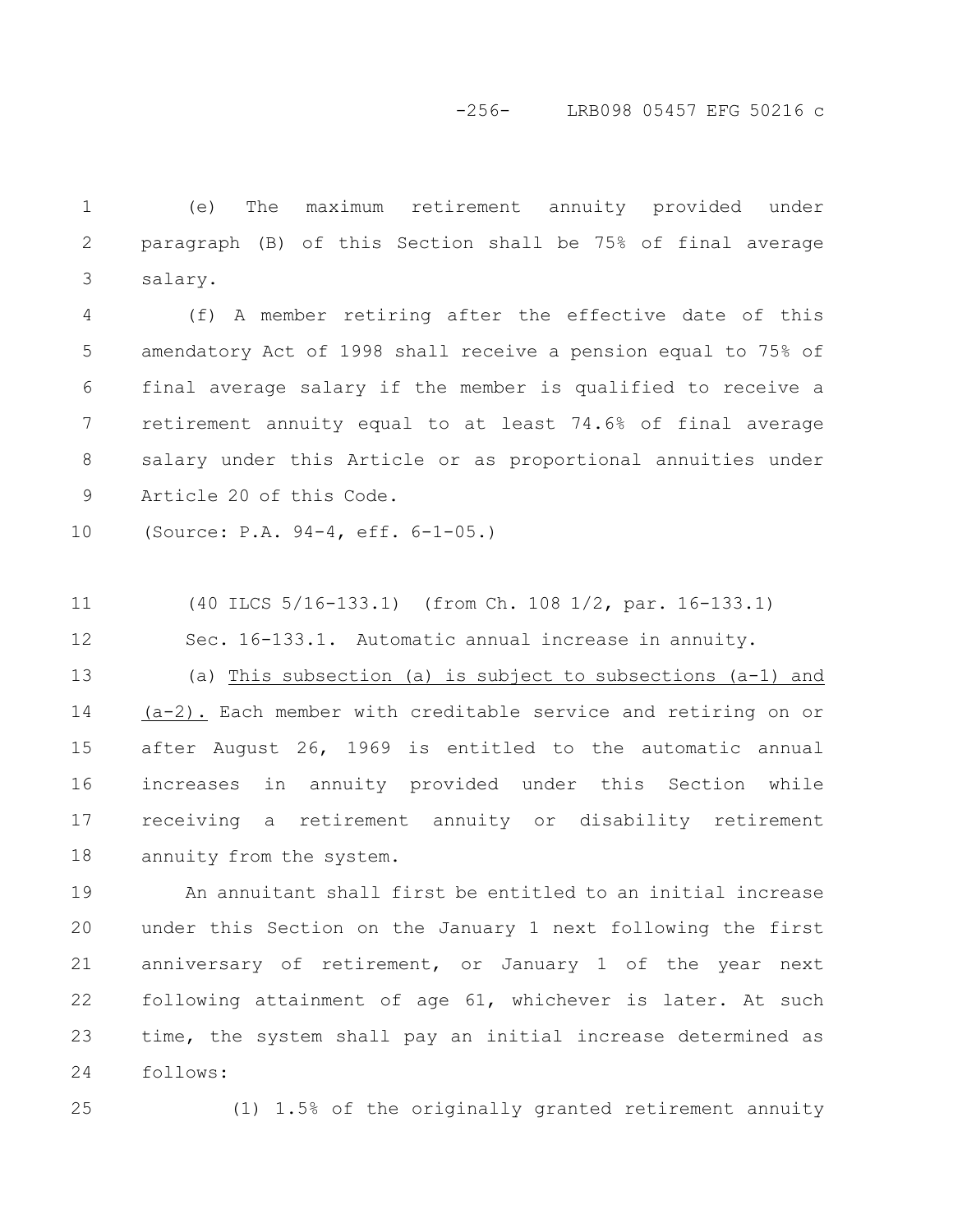(e) The maximum retirement annuity provided under paragraph (B) of this Section shall be 75% of final average salary. 1 2 3

(f) A member retiring after the effective date of this amendatory Act of 1998 shall receive a pension equal to 75% of final average salary if the member is qualified to receive a retirement annuity equal to at least 74.6% of final average salary under this Article or as proportional annuities under Article 20 of this Code. 4 5 6 7 8 9

(Source: P.A. 94-4, eff. 6-1-05.) 10

(40 ILCS 5/16-133.1) (from Ch. 108 1/2, par. 16-133.1) 11

Sec. 16-133.1. Automatic annual increase in annuity. 12

(a) This subsection (a) is subject to subsections (a-1) and (a-2). Each member with creditable service and retiring on or after August 26, 1969 is entitled to the automatic annual increases in annuity provided under this Section while receiving a retirement annuity or disability retirement annuity from the system. 13 14 15 16 17 18

An annuitant shall first be entitled to an initial increase under this Section on the January 1 next following the first anniversary of retirement, or January 1 of the year next following attainment of age 61, whichever is later. At such time, the system shall pay an initial increase determined as follows: 19 20 21 22 23 24

25

(1) 1.5% of the originally granted retirement annuity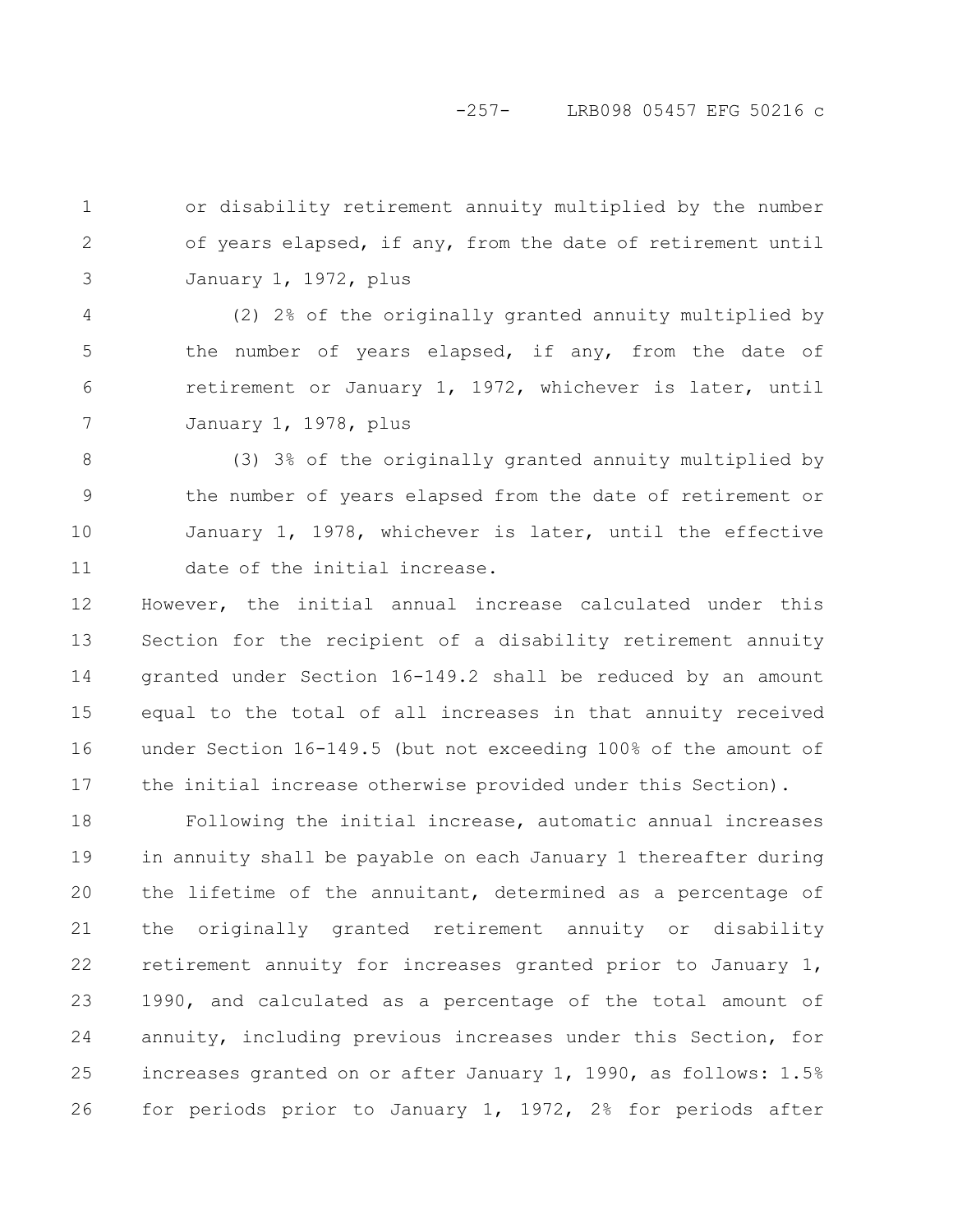# -257- LRB098 05457 EFG 50216 c

or disability retirement annuity multiplied by the number of years elapsed, if any, from the date of retirement until January 1, 1972, plus 1 2 3

(2) 2% of the originally granted annuity multiplied by the number of years elapsed, if any, from the date of retirement or January 1, 1972, whichever is later, until January 1, 1978, plus 4 5 6 7

(3) 3% of the originally granted annuity multiplied by the number of years elapsed from the date of retirement or January 1, 1978, whichever is later, until the effective date of the initial increase. 8 9 10 11

However, the initial annual increase calculated under this Section for the recipient of a disability retirement annuity granted under Section 16-149.2 shall be reduced by an amount equal to the total of all increases in that annuity received under Section 16-149.5 (but not exceeding 100% of the amount of the initial increase otherwise provided under this Section). 12 13 14 15 16 17

Following the initial increase, automatic annual increases in annuity shall be payable on each January 1 thereafter during the lifetime of the annuitant, determined as a percentage of the originally granted retirement annuity or disability retirement annuity for increases granted prior to January 1, 1990, and calculated as a percentage of the total amount of annuity, including previous increases under this Section, for increases granted on or after January 1, 1990, as follows: 1.5% for periods prior to January 1, 1972, 2% for periods after 18 19 20 21 22 23 24 25 26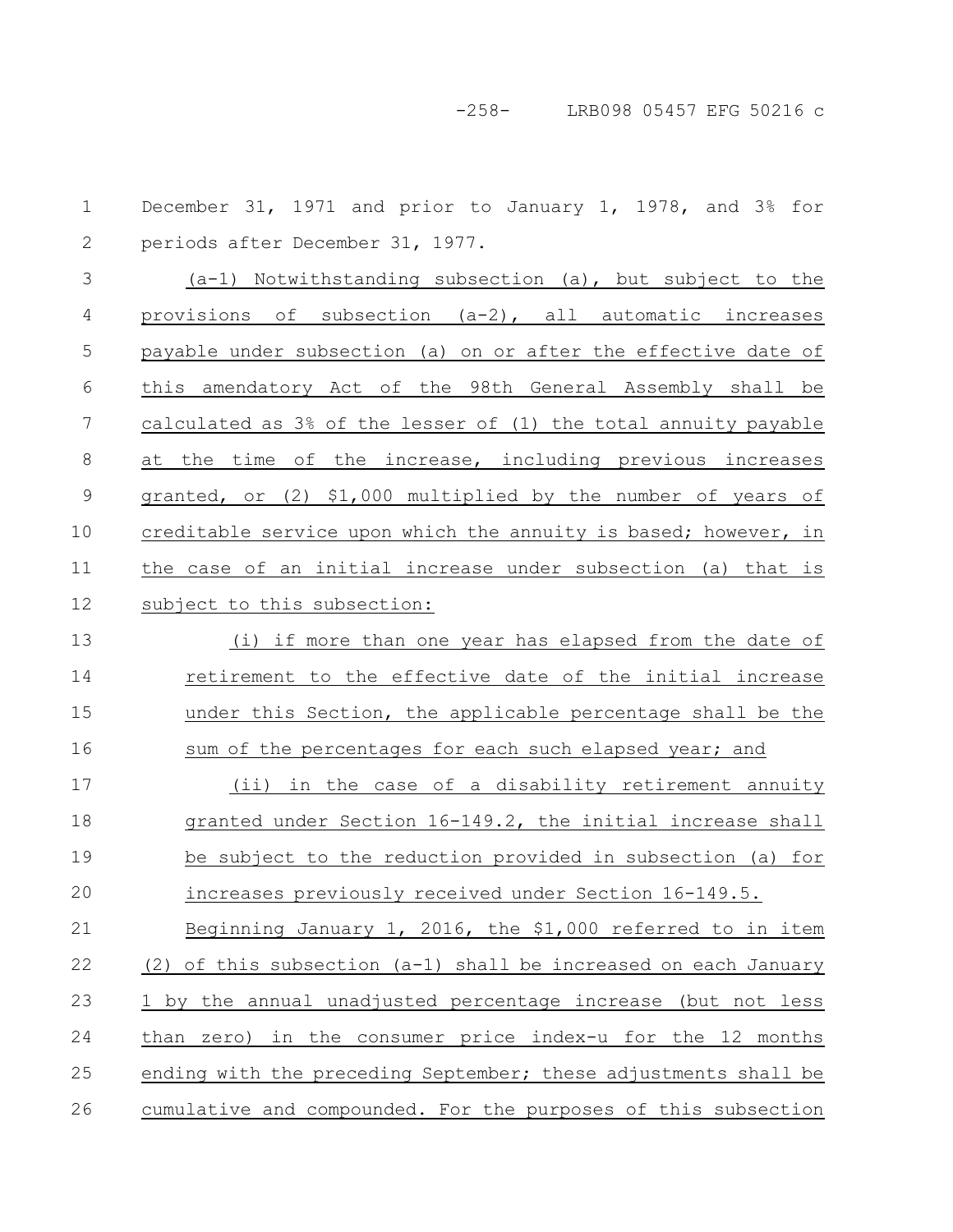-258- LRB098 05457 EFG 50216 c

December 31, 1971 and prior to January 1, 1978, and 3% for periods after December 31, 1977. (a-1) Notwithstanding subsection (a), but subject to the provisions of subsection (a-2), all automatic increases payable under subsection (a) on or after the effective date of this amendatory Act of the 98th General Assembly shall be calculated as 3% of the lesser of (1) the total annuity payable at the time of the increase, including previous increases granted, or (2) \$1,000 multiplied by the number of years of creditable service upon which the annuity is based; however, in the case of an initial increase under subsection (a) that is subject to this subsection: (i) if more than one year has elapsed from the date of retirement to the effective date of the initial increase under this Section, the applicable percentage shall be the sum of the percentages for each such elapsed year; and (ii) in the case of a disability retirement annuity granted under Section 16-149.2, the initial increase shall be subject to the reduction provided in subsection (a) for increases previously received under Section 16-149.5. Beginning January 1, 2016, the \$1,000 referred to in item (2) of this subsection (a-1) shall be increased on each January 1 by the annual unadjusted percentage increase (but not less than zero) in the consumer price index-u for the 12 months ending with the preceding September; these adjustments shall be cumulative and compounded. For the purposes of this subsection 1 2 3 4 5 6 7 8 9 10 11 12 13 14 15 16 17 18 19 20 21 22 23 24 25 26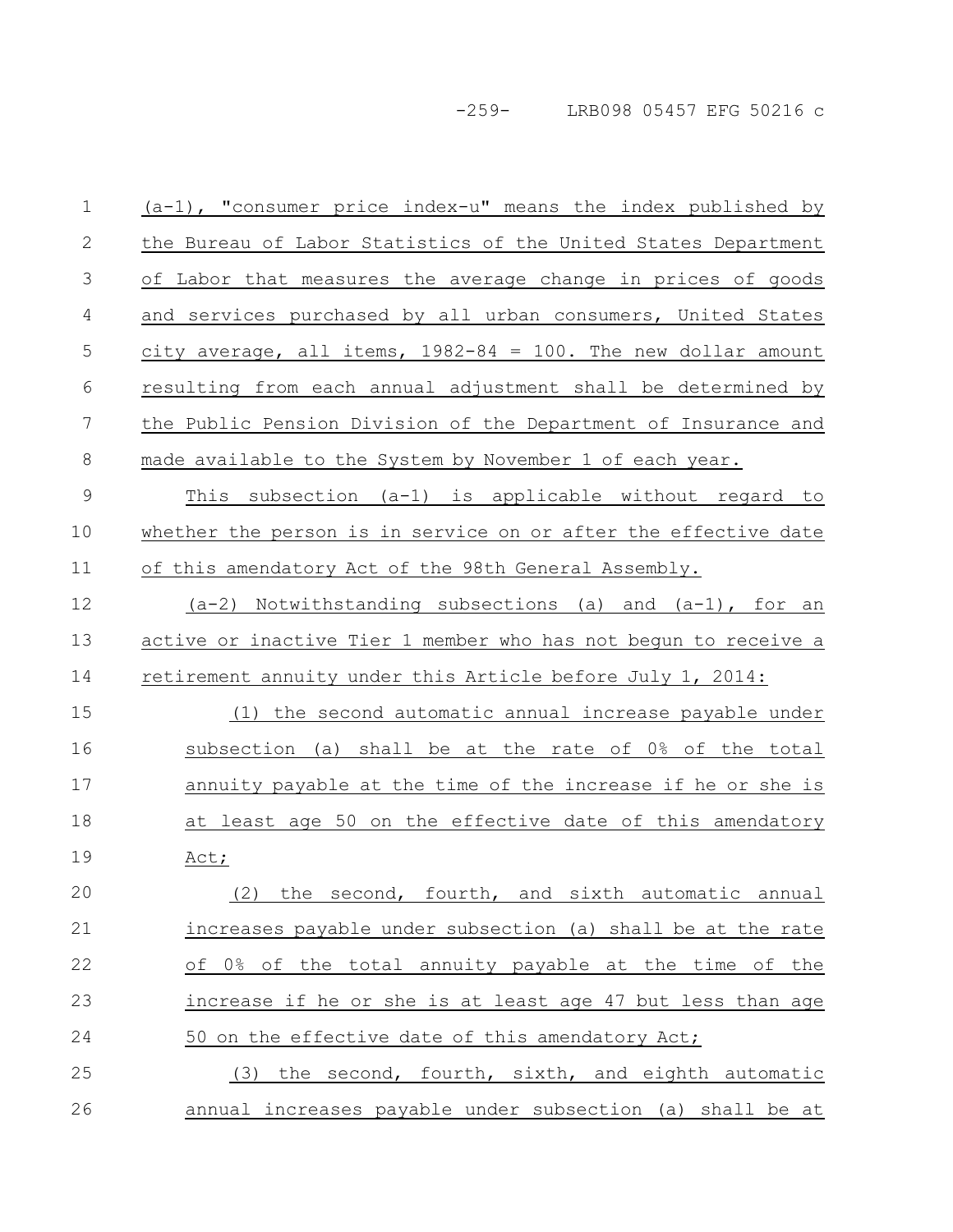-259- LRB098 05457 EFG 50216 c

| $\mathbf 1$    | $(a-1)$ , "consumer price index-u" means the index published by    |
|----------------|--------------------------------------------------------------------|
| 2              | the Bureau of Labor Statistics of the United States Department     |
| 3              | of Labor that measures the average change in prices of goods       |
| 4              | and services purchased by all urban consumers, United States       |
| 5              | $city$ average, all items, $1982-84 = 100$ . The new dollar amount |
| 6              | resulting from each annual adjustment shall be determined by       |
| $\overline{7}$ | the Public Pension Division of the Department of Insurance and     |
| 8              | made available to the System by November 1 of each year.           |
| $\mathcal{G}$  | This subsection (a-1) is applicable without regard to              |
| 10             | whether the person is in service on or after the effective date    |
| 11             | of this amendatory Act of the 98th General Assembly.               |
| 12             | $(a-2)$ Notwithstanding subsections (a) and $(a-1)$ , for an       |
| 13             | active or inactive Tier 1 member who has not begun to receive a    |
| 14             | retirement annuity under this Article before July 1, 2014:         |
| 15             | (1) the second automatic annual increase payable under             |
| 16             | subsection (a) shall be at the rate of 0% of the total             |
| 17             | annuity payable at the time of the increase if he or she is        |
| 18             | at least age 50 on the effective date of this amendatory           |
| 19             | Act;                                                               |
| 20             | the second, fourth, and sixth automatic annual<br>(2)              |
| 21             | increases payable under subsection (a) shall be at the rate        |
| 22             | of 0% of the total annuity payable at the time of the              |
|                |                                                                    |
| 23             | increase if he or she is at least age 47 but less than age         |
| 24             | 50 on the effective date of this amendatory Act;                   |
| 25             | (3) the second, fourth, sixth, and eighth automatic                |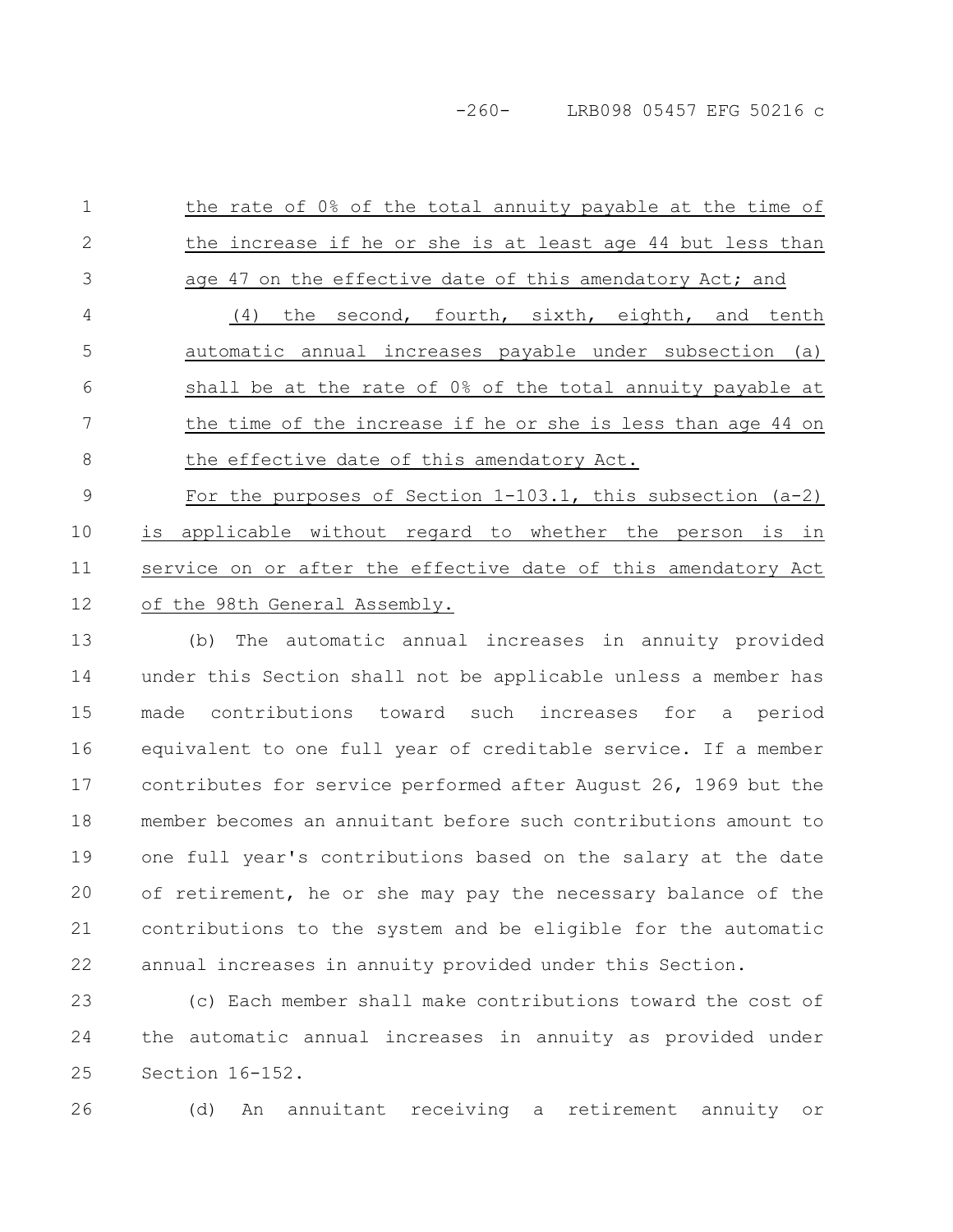-260- LRB098 05457 EFG 50216 c

the rate of 0% of the total annuity payable at the time of the increase if he or she is at least age 44 but less than age 47 on the effective date of this amendatory Act; and (4) the second, fourth, sixth, eighth, and tenth automatic annual increases payable under subsection (a) shall be at the rate of 0% of the total annuity payable at the time of the increase if he or she is less than age 44 on the effective date of this amendatory Act. For the purposes of Section 1-103.1, this subsection (a-2) is applicable without regard to whether the person is in service on or after the effective date of this amendatory Act of the 98th General Assembly. 1 2 3 4 5 6 7 8 9 10 11 12

(b) The automatic annual increases in annuity provided under this Section shall not be applicable unless a member has made contributions toward such increases for a period equivalent to one full year of creditable service. If a member contributes for service performed after August 26, 1969 but the member becomes an annuitant before such contributions amount to one full year's contributions based on the salary at the date of retirement, he or she may pay the necessary balance of the contributions to the system and be eligible for the automatic annual increases in annuity provided under this Section. 13 14 15 16 17 18 19 20 21 22

(c) Each member shall make contributions toward the cost of the automatic annual increases in annuity as provided under Section 16-152. 23 24 25

26

(d) An annuitant receiving a retirement annuity or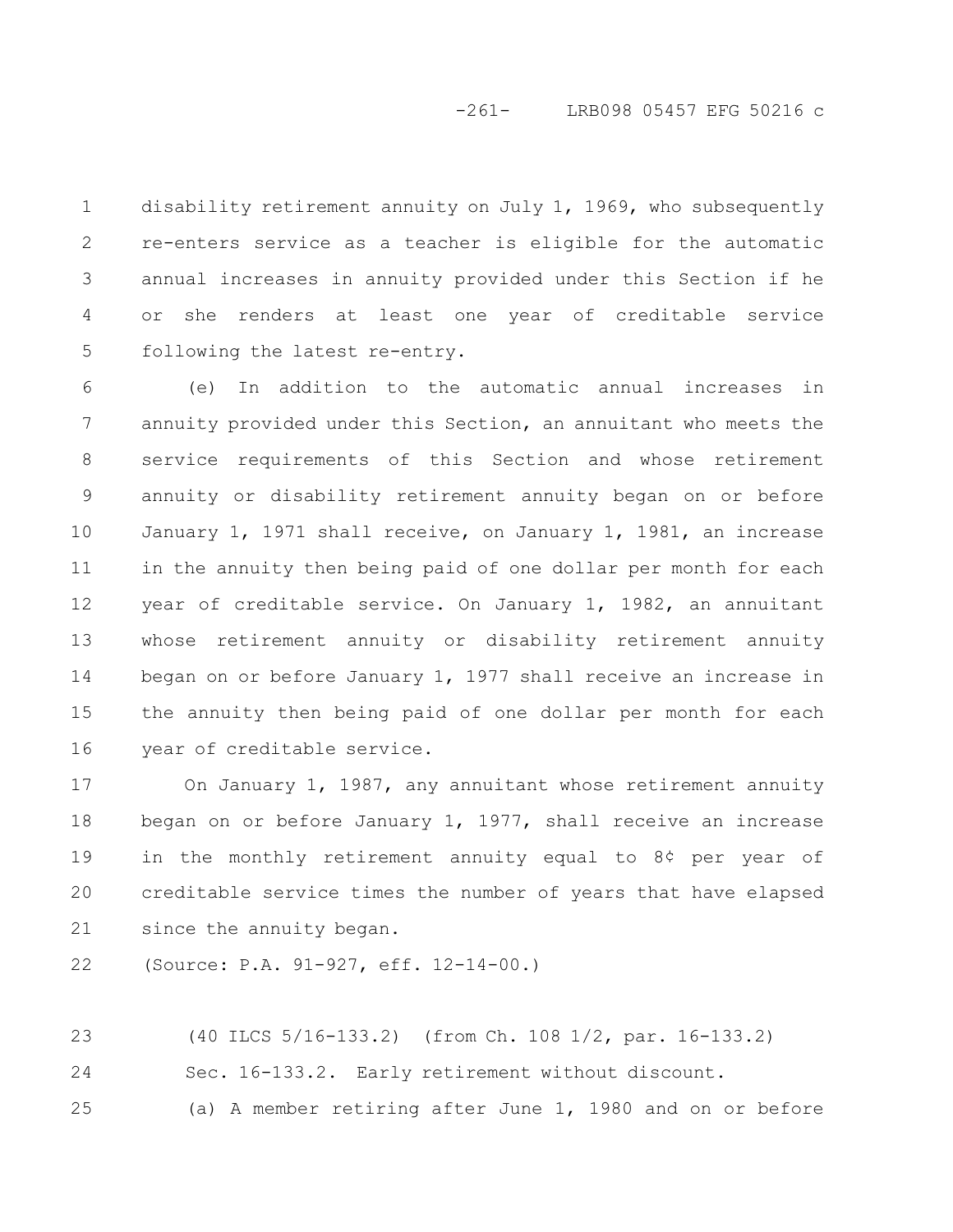## -261- LRB098 05457 EFG 50216 c

disability retirement annuity on July 1, 1969, who subsequently re-enters service as a teacher is eligible for the automatic annual increases in annuity provided under this Section if he or she renders at least one year of creditable service following the latest re-entry. 1 2 3 4 5

(e) In addition to the automatic annual increases in annuity provided under this Section, an annuitant who meets the service requirements of this Section and whose retirement annuity or disability retirement annuity began on or before January 1, 1971 shall receive, on January 1, 1981, an increase in the annuity then being paid of one dollar per month for each year of creditable service. On January 1, 1982, an annuitant whose retirement annuity or disability retirement annuity began on or before January 1, 1977 shall receive an increase in the annuity then being paid of one dollar per month for each year of creditable service. 6 7 8 9 10 11 12 13 14 15 16

On January 1, 1987, any annuitant whose retirement annuity began on or before January 1, 1977, shall receive an increase in the monthly retirement annuity equal to 8¢ per year of creditable service times the number of years that have elapsed since the annuity began. 17 18 19 20 21

(Source: P.A. 91-927, eff. 12-14-00.) 22

(40 ILCS 5/16-133.2) (from Ch. 108 1/2, par. 16-133.2) Sec. 16-133.2. Early retirement without discount. (a) A member retiring after June 1, 1980 and on or before 23 24 25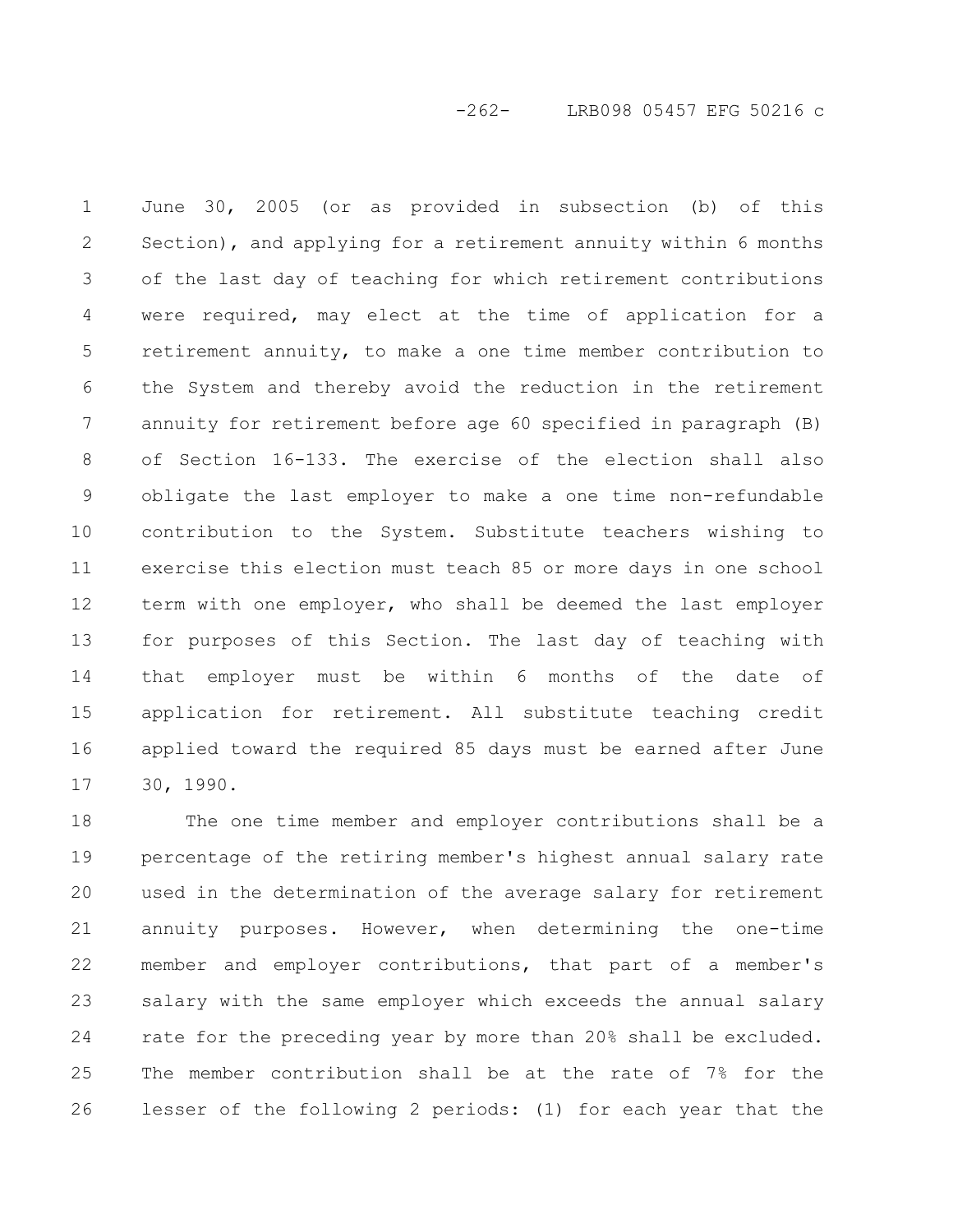-262- LRB098 05457 EFG 50216 c

June 30, 2005 (or as provided in subsection (b) of this Section), and applying for a retirement annuity within 6 months of the last day of teaching for which retirement contributions were required, may elect at the time of application for a retirement annuity, to make a one time member contribution to the System and thereby avoid the reduction in the retirement annuity for retirement before age 60 specified in paragraph (B) of Section 16-133. The exercise of the election shall also obligate the last employer to make a one time non-refundable contribution to the System. Substitute teachers wishing to exercise this election must teach 85 or more days in one school term with one employer, who shall be deemed the last employer for purposes of this Section. The last day of teaching with that employer must be within 6 months of the date of application for retirement. All substitute teaching credit applied toward the required 85 days must be earned after June 30, 1990. 1 2 3 4 5 6 7 8 9 10 11 12 13 14 15 16 17

The one time member and employer contributions shall be a percentage of the retiring member's highest annual salary rate used in the determination of the average salary for retirement annuity purposes. However, when determining the one-time member and employer contributions, that part of a member's salary with the same employer which exceeds the annual salary rate for the preceding year by more than 20% shall be excluded. The member contribution shall be at the rate of 7% for the lesser of the following 2 periods: (1) for each year that the 18 19 20 21 22 23 24 25 26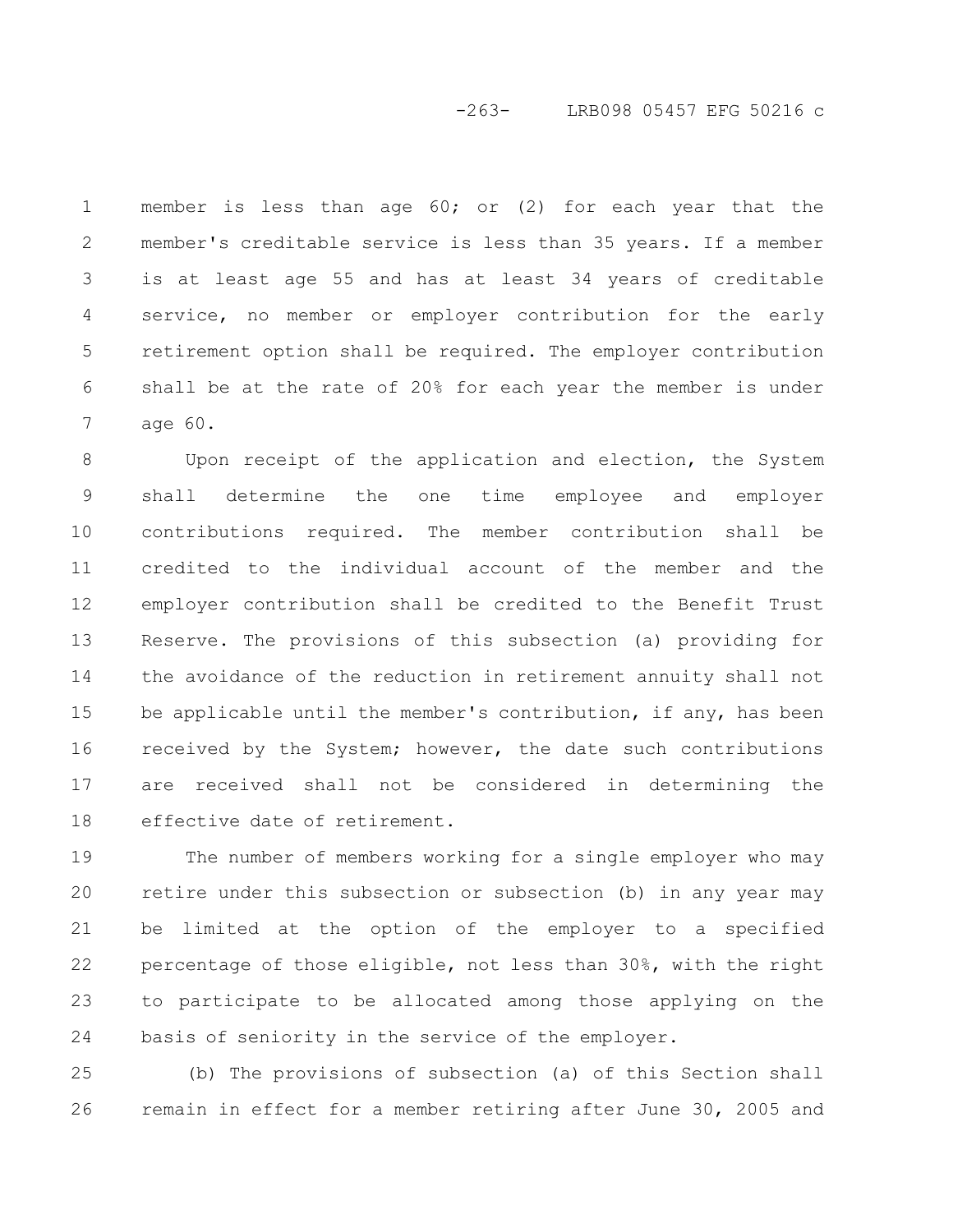# -263- LRB098 05457 EFG 50216 c

member is less than age  $60$ ; or (2) for each year that the member's creditable service is less than 35 years. If a member is at least age 55 and has at least 34 years of creditable service, no member or employer contribution for the early retirement option shall be required. The employer contribution shall be at the rate of 20% for each year the member is under age 60. 1 2 3 4 5 6 7

Upon receipt of the application and election, the System shall determine the one time employee and employer contributions required. The member contribution shall be credited to the individual account of the member and the employer contribution shall be credited to the Benefit Trust Reserve. The provisions of this subsection (a) providing for the avoidance of the reduction in retirement annuity shall not be applicable until the member's contribution, if any, has been received by the System; however, the date such contributions are received shall not be considered in determining the effective date of retirement. 8 9 10 11 12 13 14 15 16 17 18

The number of members working for a single employer who may retire under this subsection or subsection (b) in any year may be limited at the option of the employer to a specified percentage of those eligible, not less than 30%, with the right to participate to be allocated among those applying on the basis of seniority in the service of the employer. 19 20 21 22 23 24

(b) The provisions of subsection (a) of this Section shall remain in effect for a member retiring after June 30, 2005 and 25 26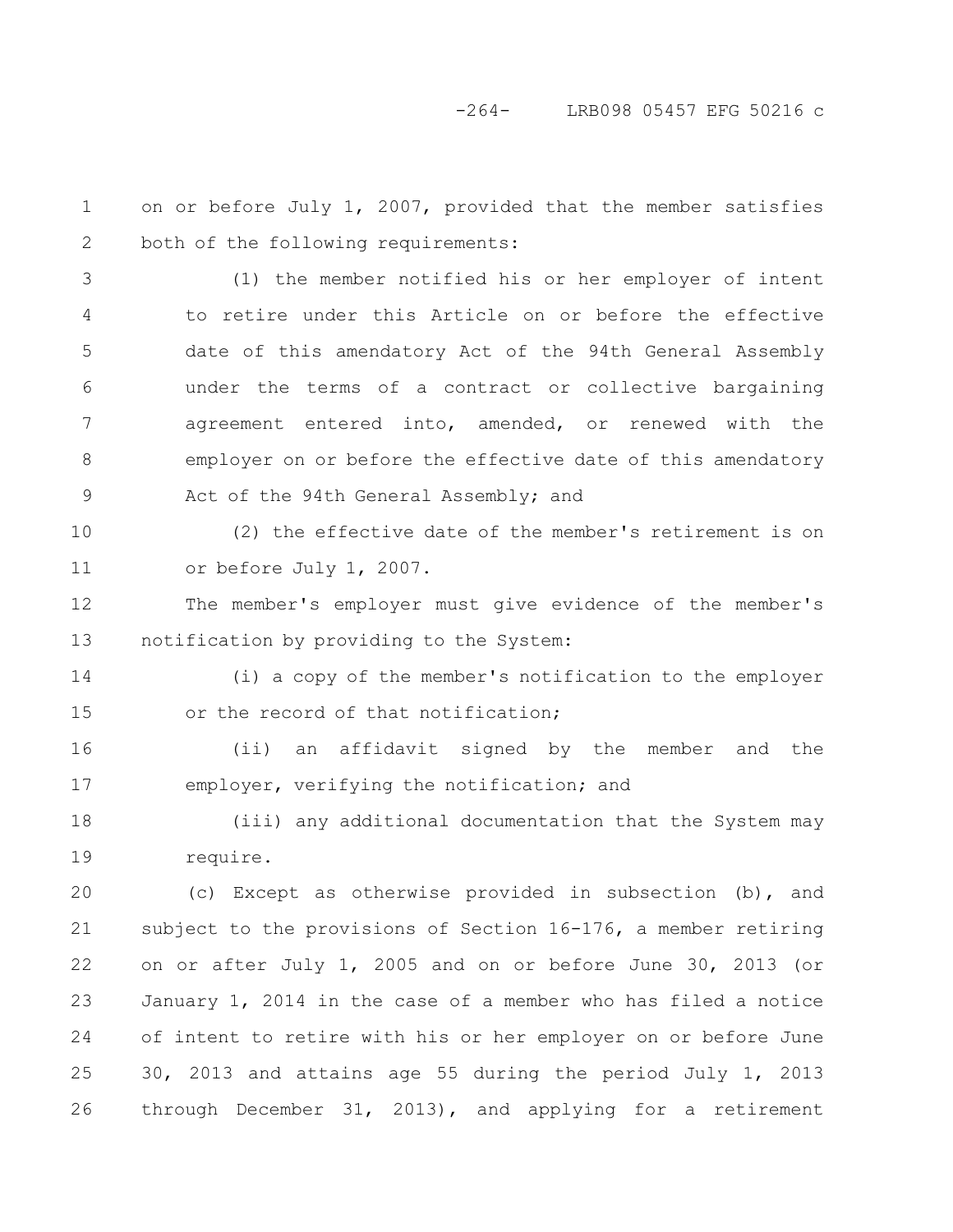-264- LRB098 05457 EFG 50216 c

on or before July 1, 2007, provided that the member satisfies both of the following requirements: (1) the member notified his or her employer of intent to retire under this Article on or before the effective date of this amendatory Act of the 94th General Assembly under the terms of a contract or collective bargaining agreement entered into, amended, or renewed with the employer on or before the effective date of this amendatory Act of the 94th General Assembly; and (2) the effective date of the member's retirement is on or before July 1, 2007. The member's employer must give evidence of the member's notification by providing to the System: (i) a copy of the member's notification to the employer or the record of that notification; (ii) an affidavit signed by the member and the employer, verifying the notification; and (iii) any additional documentation that the System may require. (c) Except as otherwise provided in subsection (b), and subject to the provisions of Section 16-176, a member retiring on or after July 1, 2005 and on or before June 30, 2013 (or January 1, 2014 in the case of a member who has filed a notice of intent to retire with his or her employer on or before June 30, 2013 and attains age 55 during the period July 1, 2013 through December 31, 2013), and applying for a retirement 1 2 3 4 5 6 7 8 9 10 11 12 13 14 15 16 17 18 19 20 21 22 23 24 25 26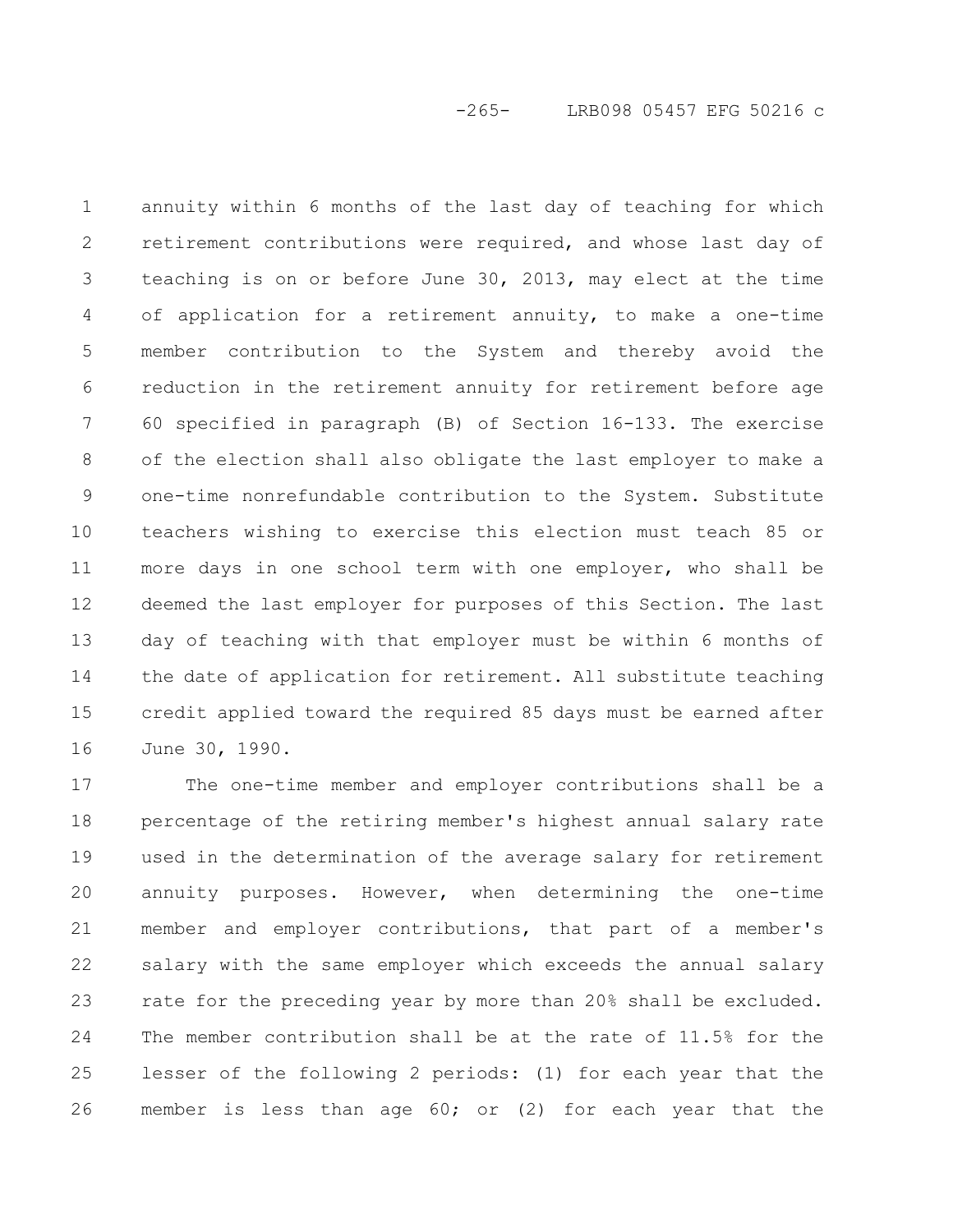annuity within 6 months of the last day of teaching for which retirement contributions were required, and whose last day of teaching is on or before June 30, 2013, may elect at the time of application for a retirement annuity, to make a one-time member contribution to the System and thereby avoid the reduction in the retirement annuity for retirement before age 60 specified in paragraph (B) of Section 16-133. The exercise of the election shall also obligate the last employer to make a one-time nonrefundable contribution to the System. Substitute teachers wishing to exercise this election must teach 85 or more days in one school term with one employer, who shall be deemed the last employer for purposes of this Section. The last day of teaching with that employer must be within 6 months of the date of application for retirement. All substitute teaching credit applied toward the required 85 days must be earned after June 30, 1990. 1 2 3 4 5 6 7 8 9 10 11 12 13 14 15 16

The one-time member and employer contributions shall be a percentage of the retiring member's highest annual salary rate used in the determination of the average salary for retirement annuity purposes. However, when determining the one-time member and employer contributions, that part of a member's salary with the same employer which exceeds the annual salary rate for the preceding year by more than 20% shall be excluded. The member contribution shall be at the rate of 11.5% for the lesser of the following 2 periods: (1) for each year that the member is less than age 60; or (2) for each year that the 17 18 19 20 21 22 23 24 25 26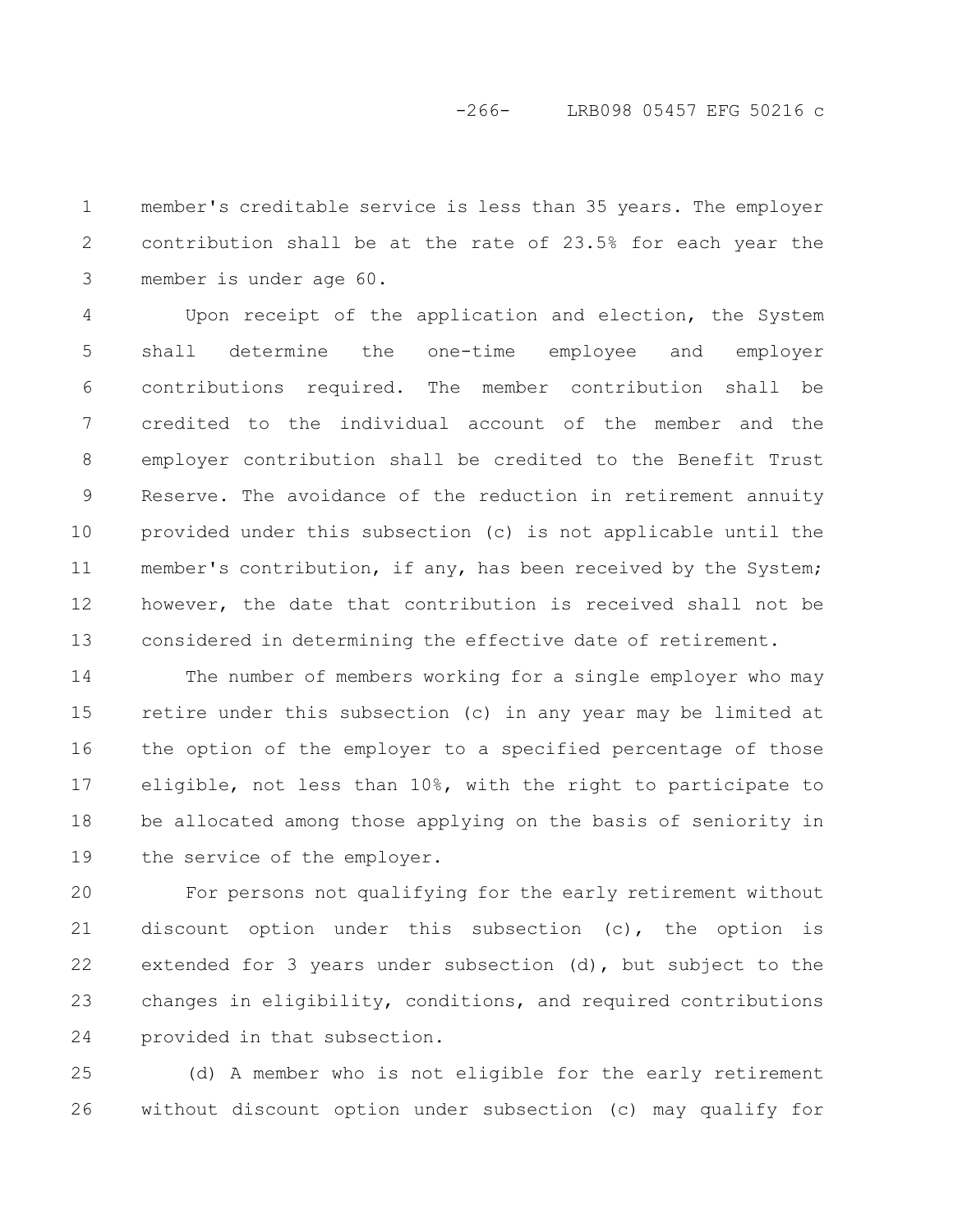member's creditable service is less than 35 years. The employer contribution shall be at the rate of 23.5% for each year the member is under age 60. 1 2 3

Upon receipt of the application and election, the System shall determine the one-time employee and employer contributions required. The member contribution shall be credited to the individual account of the member and the employer contribution shall be credited to the Benefit Trust Reserve. The avoidance of the reduction in retirement annuity provided under this subsection (c) is not applicable until the member's contribution, if any, has been received by the System; however, the date that contribution is received shall not be considered in determining the effective date of retirement. 4 5 6 7 8 9 10 11 12 13

The number of members working for a single employer who may retire under this subsection (c) in any year may be limited at the option of the employer to a specified percentage of those eligible, not less than 10%, with the right to participate to be allocated among those applying on the basis of seniority in the service of the employer. 14 15 16 17 18 19

For persons not qualifying for the early retirement without discount option under this subsection (c), the option is extended for 3 years under subsection (d), but subject to the changes in eligibility, conditions, and required contributions provided in that subsection. 20 21 22 23 24

(d) A member who is not eligible for the early retirement without discount option under subsection (c) may qualify for 25 26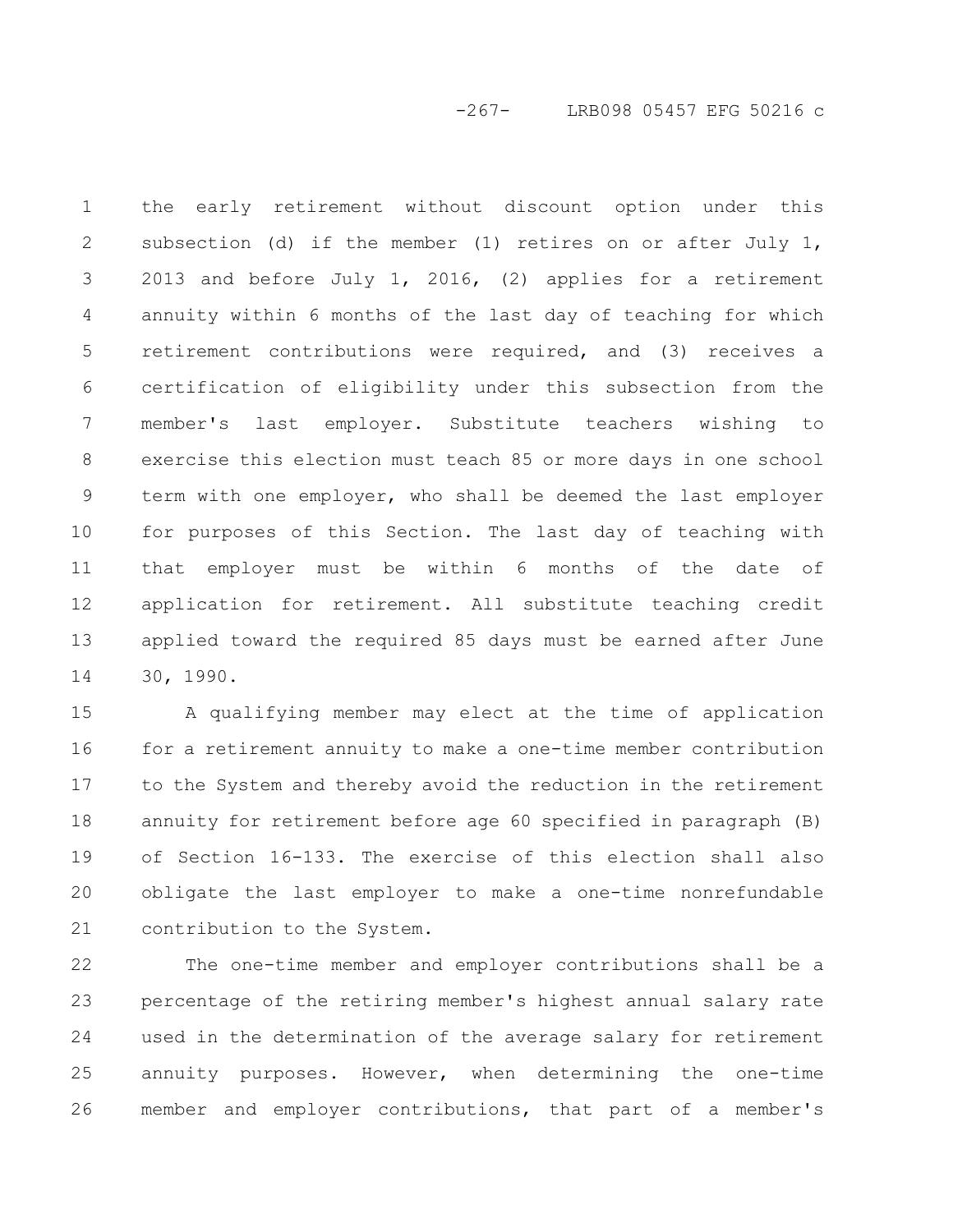-267- LRB098 05457 EFG 50216 c

the early retirement without discount option under this subsection (d) if the member (1) retires on or after July 1, 2013 and before July 1, 2016, (2) applies for a retirement annuity within 6 months of the last day of teaching for which retirement contributions were required, and (3) receives a certification of eligibility under this subsection from the member's last employer. Substitute teachers wishing to exercise this election must teach 85 or more days in one school term with one employer, who shall be deemed the last employer for purposes of this Section. The last day of teaching with that employer must be within 6 months of the date of application for retirement. All substitute teaching credit applied toward the required 85 days must be earned after June 30, 1990. 1 2 3 4 5 6 7 8 9 10 11 12 13 14

A qualifying member may elect at the time of application for a retirement annuity to make a one-time member contribution to the System and thereby avoid the reduction in the retirement annuity for retirement before age 60 specified in paragraph (B) of Section 16-133. The exercise of this election shall also obligate the last employer to make a one-time nonrefundable contribution to the System. 15 16 17 18 19 20 21

The one-time member and employer contributions shall be a percentage of the retiring member's highest annual salary rate used in the determination of the average salary for retirement annuity purposes. However, when determining the one-time member and employer contributions, that part of a member's 22 23 24 25 26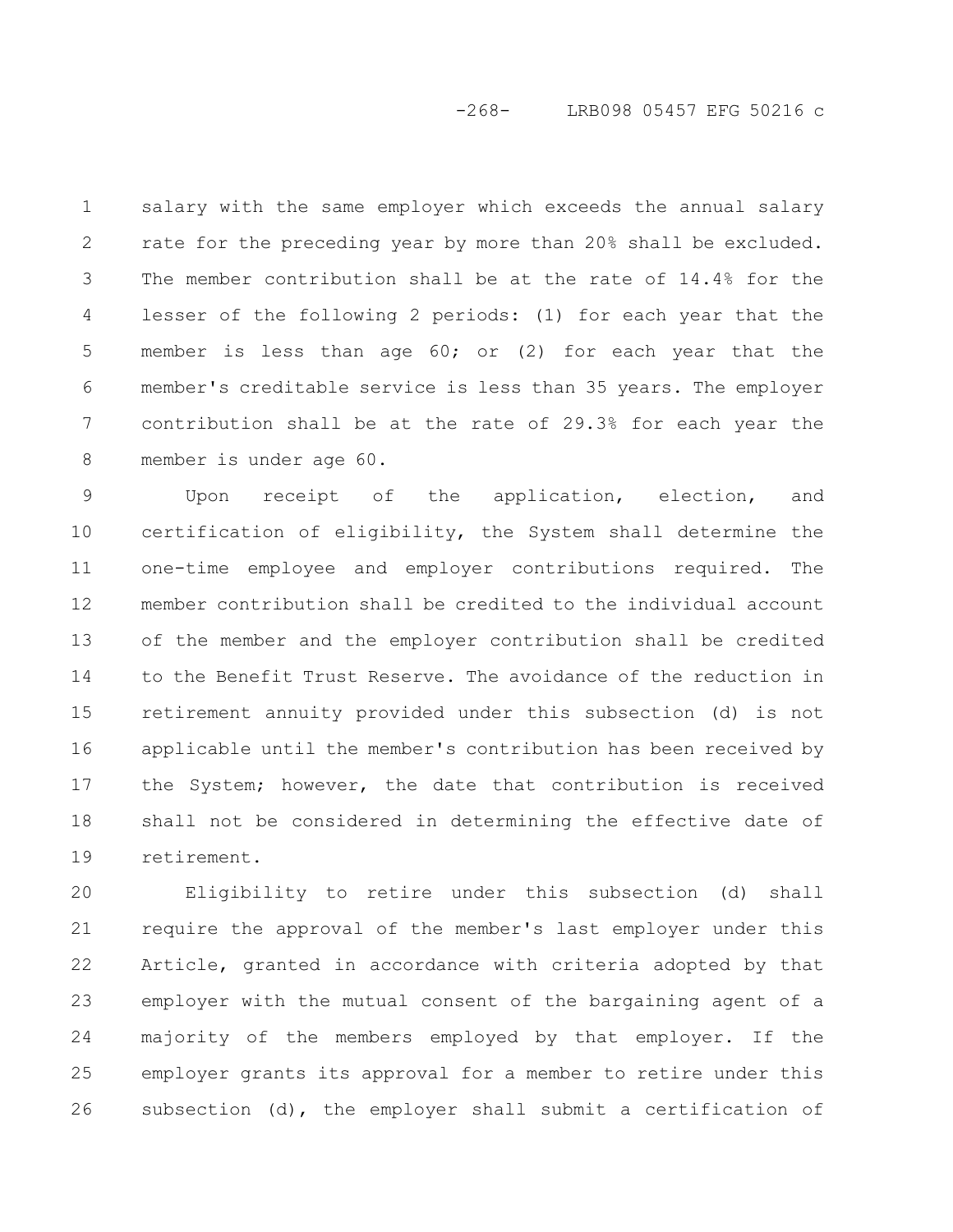# -268- LRB098 05457 EFG 50216 c

salary with the same employer which exceeds the annual salary rate for the preceding year by more than 20% shall be excluded. The member contribution shall be at the rate of 14.4% for the lesser of the following 2 periods: (1) for each year that the member is less than age 60; or (2) for each year that the member's creditable service is less than 35 years. The employer contribution shall be at the rate of 29.3% for each year the member is under age 60. 1 2 3 4 5 6 7 8

Upon receipt of the application, election, and certification of eligibility, the System shall determine the one-time employee and employer contributions required. The member contribution shall be credited to the individual account of the member and the employer contribution shall be credited to the Benefit Trust Reserve. The avoidance of the reduction in retirement annuity provided under this subsection (d) is not applicable until the member's contribution has been received by the System; however, the date that contribution is received shall not be considered in determining the effective date of retirement. 9 10 11 12 13 14 15 16 17 18 19

Eligibility to retire under this subsection (d) shall require the approval of the member's last employer under this Article, granted in accordance with criteria adopted by that employer with the mutual consent of the bargaining agent of a majority of the members employed by that employer. If the employer grants its approval for a member to retire under this subsection (d), the employer shall submit a certification of 20 21 22 23 24 25 26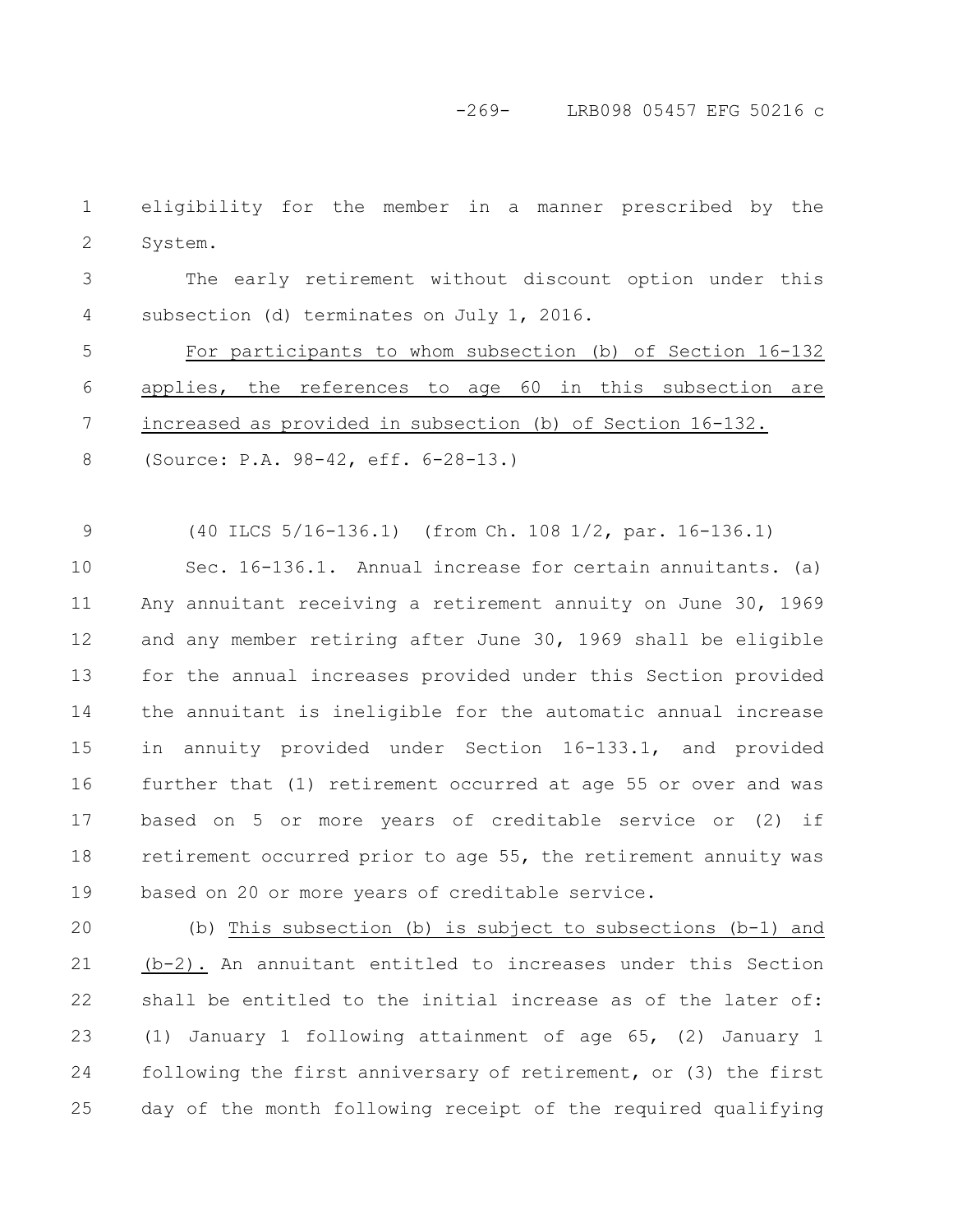-269- LRB098 05457 EFG 50216 c

eligibility for the member in a manner prescribed by the System. 1 2

The early retirement without discount option under this subsection (d) terminates on July 1, 2016. 3 4

For participants to whom subsection (b) of Section 16-132 applies, the references to age 60 in this subsection are increased as provided in subsection (b) of Section 16-132. (Source: P.A. 98-42, eff. 6-28-13.) 5 6 7 8

(40 ILCS 5/16-136.1) (from Ch. 108 1/2, par. 16-136.1) 9

Sec. 16-136.1. Annual increase for certain annuitants. (a) Any annuitant receiving a retirement annuity on June 30, 1969 and any member retiring after June 30, 1969 shall be eligible for the annual increases provided under this Section provided the annuitant is ineligible for the automatic annual increase in annuity provided under Section 16-133.1, and provided further that (1) retirement occurred at age 55 or over and was based on 5 or more years of creditable service or (2) if retirement occurred prior to age 55, the retirement annuity was based on 20 or more years of creditable service. 10 11 12 13 14 15 16 17 18 19

(b) This subsection (b) is subject to subsections (b-1) and (b-2). An annuitant entitled to increases under this Section shall be entitled to the initial increase as of the later of: (1) January 1 following attainment of age 65, (2) January 1 following the first anniversary of retirement, or (3) the first day of the month following receipt of the required qualifying 20 21 22 23 24 25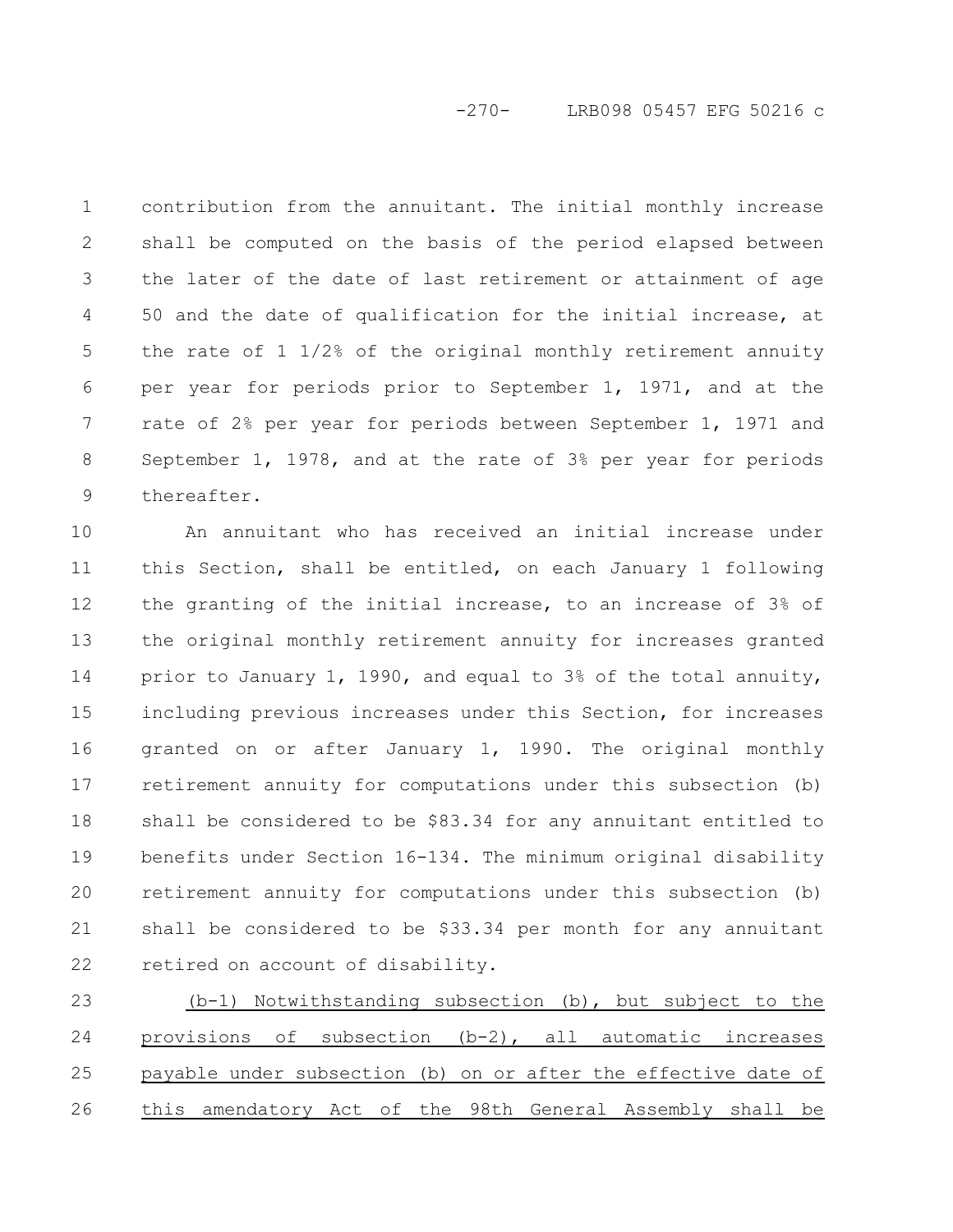# -270- LRB098 05457 EFG 50216 c

contribution from the annuitant. The initial monthly increase shall be computed on the basis of the period elapsed between the later of the date of last retirement or attainment of age 50 and the date of qualification for the initial increase, at the rate of 1 1/2% of the original monthly retirement annuity per year for periods prior to September 1, 1971, and at the rate of 2% per year for periods between September 1, 1971 and September 1, 1978, and at the rate of 3% per year for periods thereafter. 1 2 3 4 5 6 7 8 9

An annuitant who has received an initial increase under this Section, shall be entitled, on each January 1 following the granting of the initial increase, to an increase of 3% of the original monthly retirement annuity for increases granted prior to January 1, 1990, and equal to 3% of the total annuity, including previous increases under this Section, for increases granted on or after January 1, 1990. The original monthly retirement annuity for computations under this subsection (b) shall be considered to be \$83.34 for any annuitant entitled to benefits under Section 16-134. The minimum original disability retirement annuity for computations under this subsection (b) shall be considered to be \$33.34 per month for any annuitant retired on account of disability. 10 11 12 13 14 15 16 17 18 19 20 21 22

(b-1) Notwithstanding subsection (b), but subject to the provisions of subsection (b-2), all automatic increases payable under subsection (b) on or after the effective date of this amendatory Act of the 98th General Assembly shall be 23 24 25 26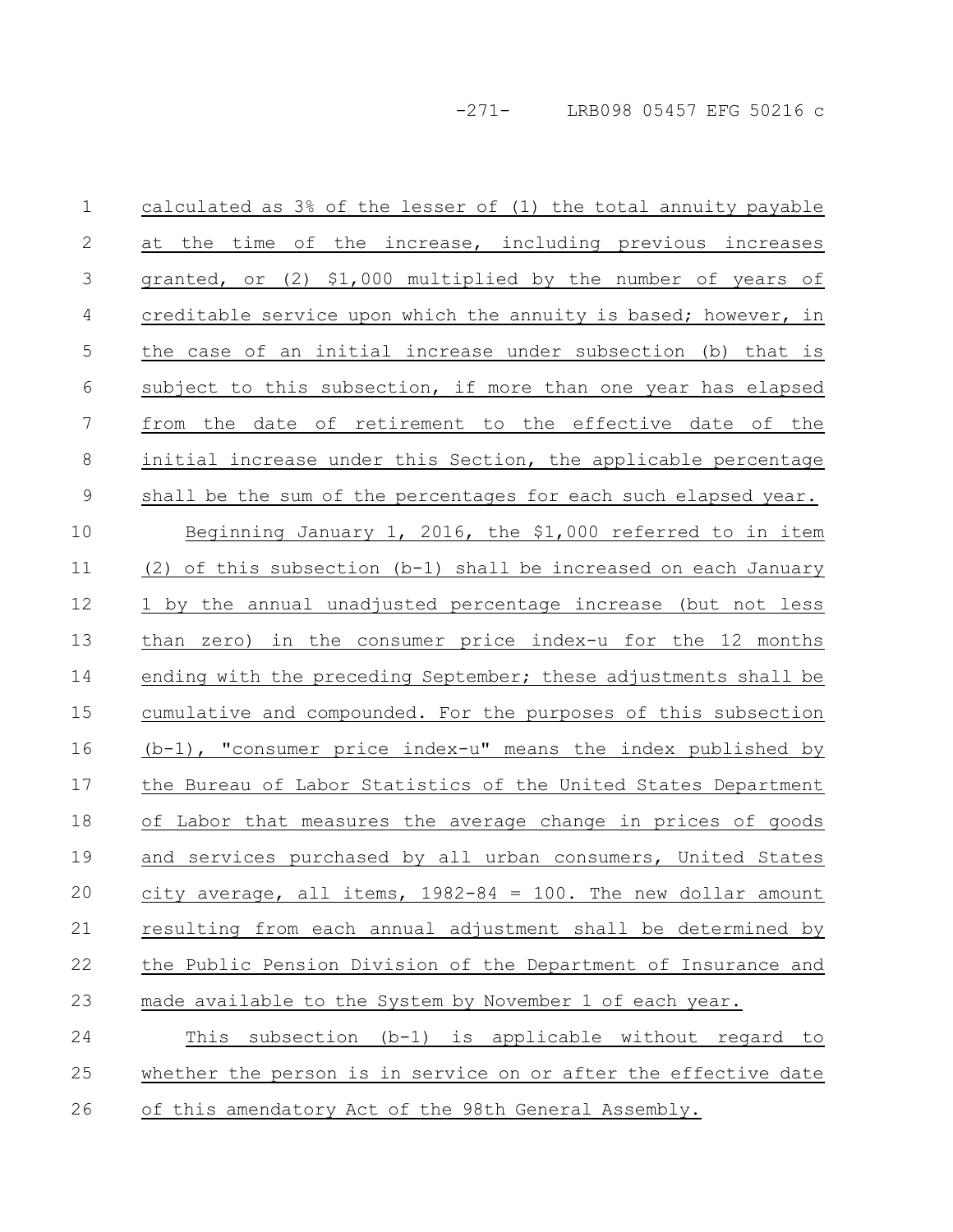| calculated as 3% of the lesser of (1) the total annuity payable    |
|--------------------------------------------------------------------|
| at the time of the increase, including previous increases          |
| granted, or (2) \$1,000 multiplied by the number of years of       |
| creditable service upon which the annuity is based; however, in    |
| the case of an initial increase under subsection (b) that is       |
| subject to this subsection, if more than one year has elapsed      |
| from the date of retirement to the effective date of the           |
| initial increase under this Section, the applicable percentage     |
| shall be the sum of the percentages for each such elapsed year.    |
| Beginning January 1, 2016, the \$1,000 referred to in item         |
| (2) of this subsection $(b-1)$ shall be increased on each January  |
| 1 by the annual unadjusted percentage increase (but not less       |
| than zero) in the consumer price index-u for the 12 months         |
| ending with the preceding September; these adjustments shall be    |
| cumulative and compounded. For the purposes of this subsection     |
| $(b-1)$ , "consumer price index-u" means the index published by    |
| the Bureau of Labor Statistics of the United States Department     |
| of Labor that measures the average change in prices of goods       |
| and services purchased by all urban consumers, United States       |
| $city$ average, all items, $1982-84 = 100$ . The new dollar amount |
| resulting from each annual adjustment shall be determined by       |
| the Public Pension Division of the Department of Insurance and     |
| made available to the System by November 1 of each year.           |
| This subsection (b-1) is applicable without regard to              |
| whether the person is in service on or after the effective date    |
|                                                                    |

26 of this amendatory Act of the 98th General Assembly.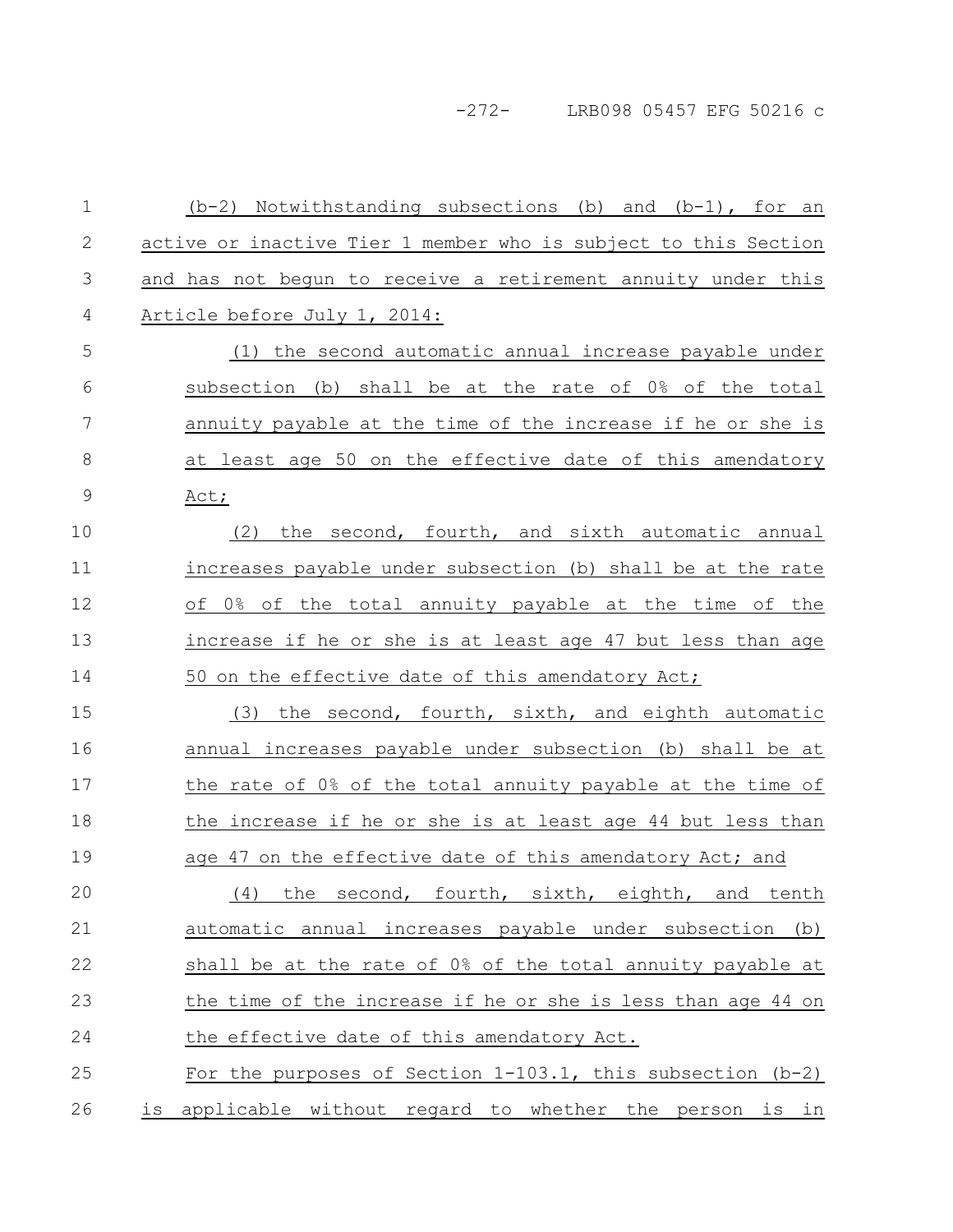-272- LRB098 05457 EFG 50216 c

 $(b-2)$  Notwithstanding subsections (b) and  $(b-1)$ , for an active or inactive Tier 1 member who is subject to this Section and has not begun to receive a retirement annuity under this Article before July 1, 2014: (1) the second automatic annual increase payable under subsection (b) shall be at the rate of 0% of the total annuity payable at the time of the increase if he or she is at least age 50 on the effective date of this amendatory Act; (2) the second, fourth, and sixth automatic annual increases payable under subsection (b) shall be at the rate of 0% of the total annuity payable at the time of the increase if he or she is at least age 47 but less than age 50 on the effective date of this amendatory Act; (3) the second, fourth, sixth, and eighth automatic annual increases payable under subsection (b) shall be at the rate of 0% of the total annuity payable at the time of the increase if he or she is at least age 44 but less than age 47 on the effective date of this amendatory Act; and (4) the second, fourth, sixth, eighth, and tenth automatic annual increases payable under subsection (b) shall be at the rate of 0% of the total annuity payable at the time of the increase if he or she is less than age 44 on the effective date of this amendatory Act. For the purposes of Section 1-103.1, this subsection (b-2) is applicable without regard to whether the person is in 1 2 3 4 5 6 7 8 9 10 11 12 13 14 15 16 17 18 19 20 21 22 23 24 25 26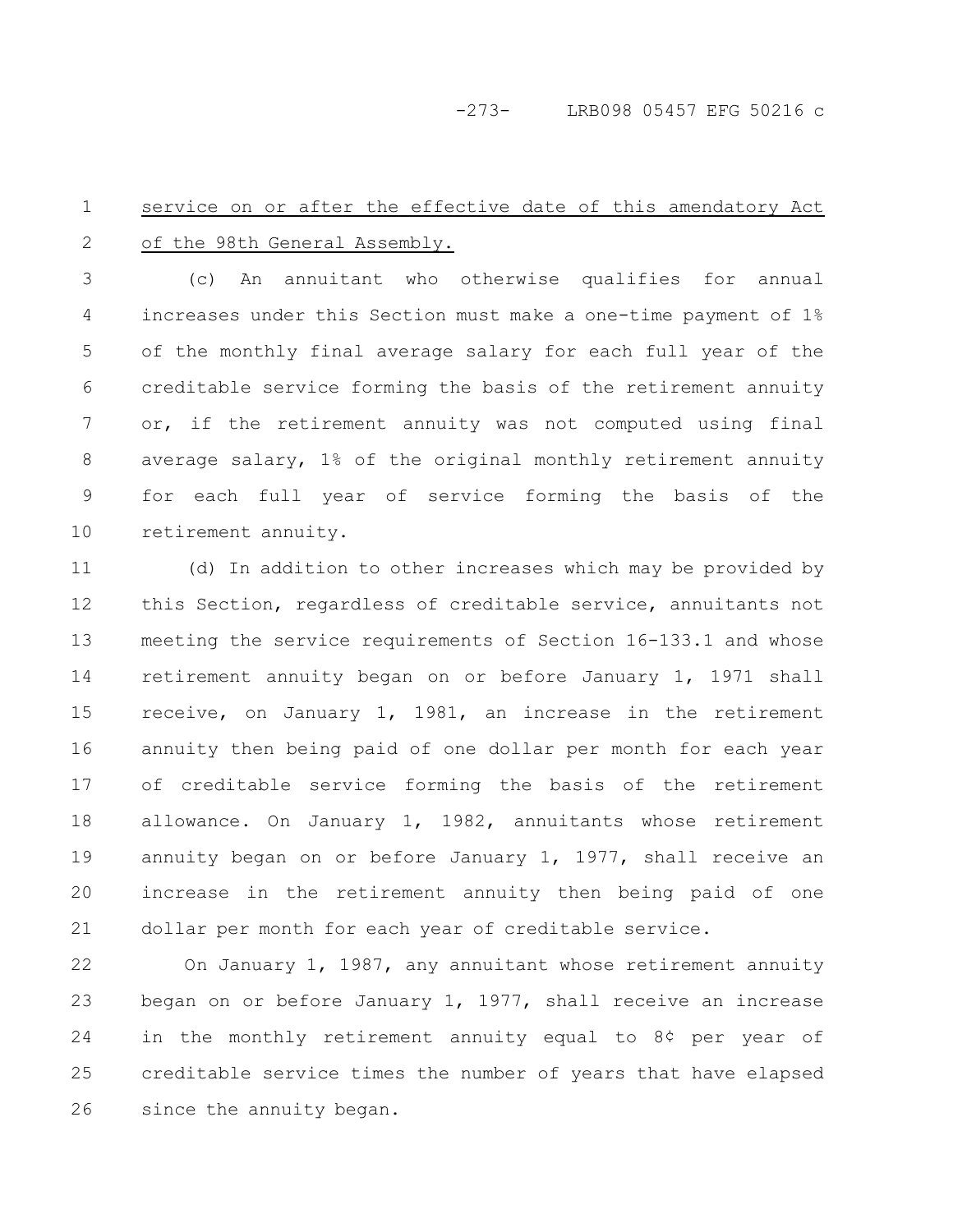-273- LRB098 05457 EFG 50216 c

#### service on or after the effective date of this amendatory Act of the 98th General Assembly. 1 2

(c) An annuitant who otherwise qualifies for annual increases under this Section must make a one-time payment of 1% of the monthly final average salary for each full year of the creditable service forming the basis of the retirement annuity or, if the retirement annuity was not computed using final average salary, 1% of the original monthly retirement annuity for each full year of service forming the basis of the retirement annuity. 3 4 5 6 7 8 9 10

(d) In addition to other increases which may be provided by this Section, regardless of creditable service, annuitants not meeting the service requirements of Section 16-133.1 and whose retirement annuity began on or before January 1, 1971 shall receive, on January 1, 1981, an increase in the retirement annuity then being paid of one dollar per month for each year of creditable service forming the basis of the retirement allowance. On January 1, 1982, annuitants whose retirement annuity began on or before January 1, 1977, shall receive an increase in the retirement annuity then being paid of one dollar per month for each year of creditable service. 11 12 13 14 15 16 17 18 19 20 21

On January 1, 1987, any annuitant whose retirement annuity began on or before January 1, 1977, shall receive an increase in the monthly retirement annuity equal to 8¢ per year of creditable service times the number of years that have elapsed since the annuity began. 22 23 24 25 26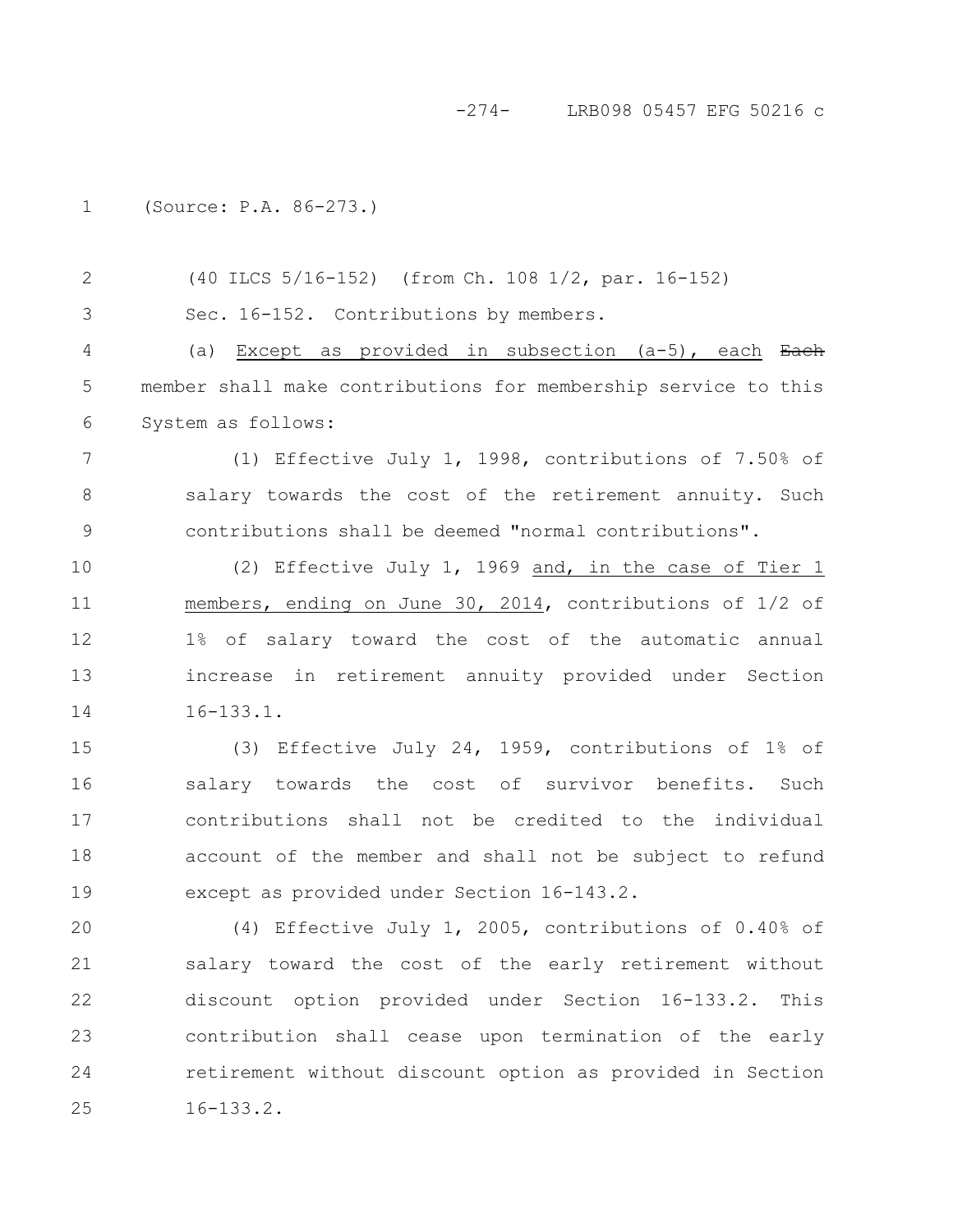#### -274- LRB098 05457 EFG 50216 c

(Source: P.A. 86-273.) 1

3

(40 ILCS 5/16-152) (from Ch. 108 1/2, par. 16-152) 2

Sec. 16-152. Contributions by members.

(a) Except as provided in subsection  $(a-5)$ , each Each member shall make contributions for membership service to this System as follows: 4 5 6

(1) Effective July 1, 1998, contributions of 7.50% of salary towards the cost of the retirement annuity. Such contributions shall be deemed "normal contributions". 7 8 9

(2) Effective July 1, 1969 and, in the case of Tier 1 members, ending on June 30, 2014, contributions of 1/2 of 1% of salary toward the cost of the automatic annual increase in retirement annuity provided under Section 16-133.1. 10 11 12 13 14

(3) Effective July 24, 1959, contributions of 1% of salary towards the cost of survivor benefits. Such contributions shall not be credited to the individual account of the member and shall not be subject to refund except as provided under Section 16-143.2. 15 16 17 18 19

(4) Effective July 1, 2005, contributions of 0.40% of salary toward the cost of the early retirement without discount option provided under Section 16-133.2. This contribution shall cease upon termination of the early retirement without discount option as provided in Section 16-133.2. 20 21 22 23 24 25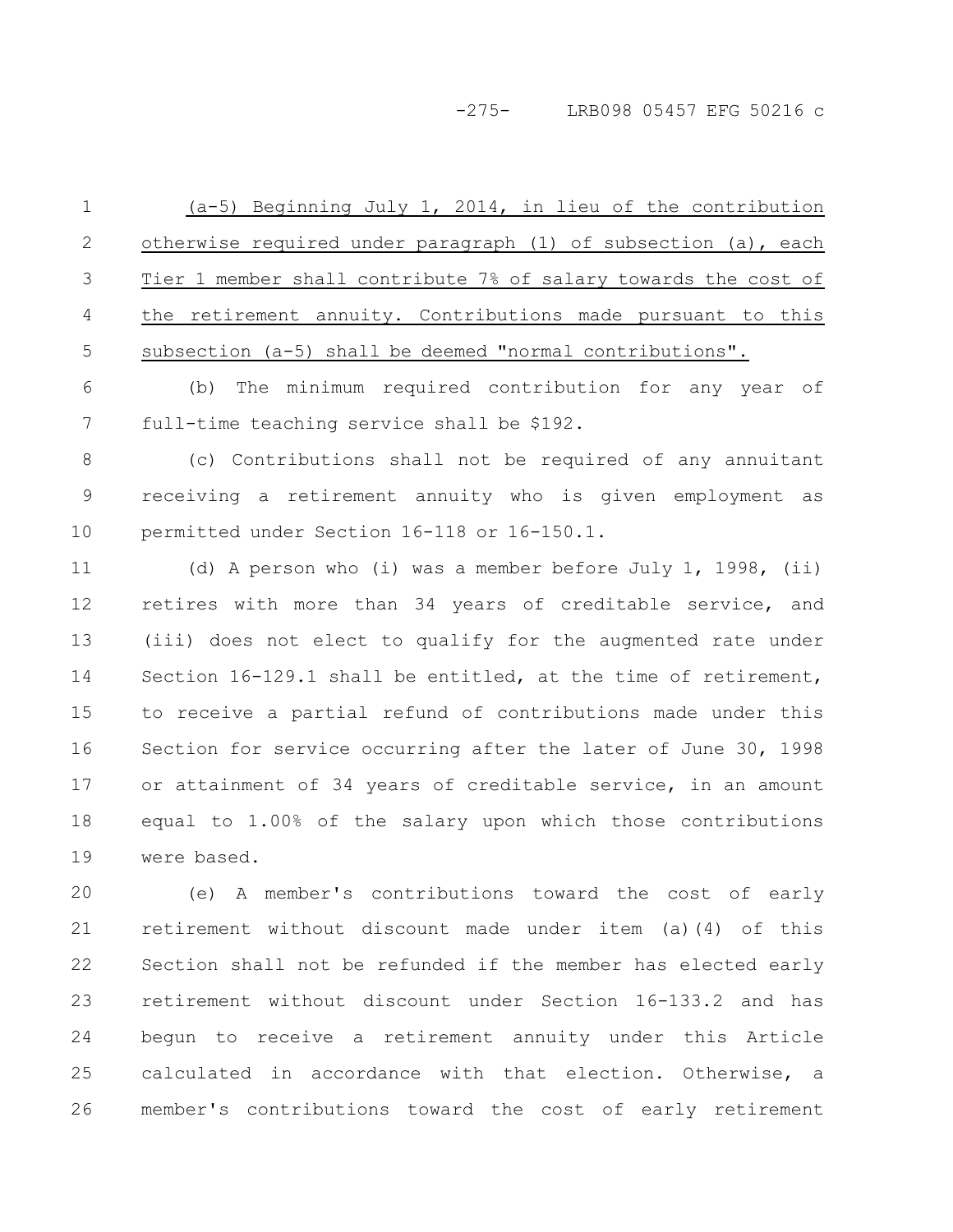#### -275- LRB098 05457 EFG 50216 c

(a-5) Beginning July 1, 2014, in lieu of the contribution otherwise required under paragraph (1) of subsection (a), each Tier 1 member shall contribute 7% of salary towards the cost of the retirement annuity. Contributions made pursuant to this subsection (a-5) shall be deemed "normal contributions". 1 2 3 4 5

(b) The minimum required contribution for any year of full-time teaching service shall be \$192. 6 7

(c) Contributions shall not be required of any annuitant receiving a retirement annuity who is given employment as permitted under Section 16-118 or 16-150.1. 8 9 10

(d) A person who (i) was a member before July 1, 1998, (ii) retires with more than 34 years of creditable service, and (iii) does not elect to qualify for the augmented rate under Section 16-129.1 shall be entitled, at the time of retirement, to receive a partial refund of contributions made under this Section for service occurring after the later of June 30, 1998 or attainment of 34 years of creditable service, in an amount equal to 1.00% of the salary upon which those contributions were based. 11 12 13 14 15 16 17 18 19

(e) A member's contributions toward the cost of early retirement without discount made under item (a)(4) of this Section shall not be refunded if the member has elected early retirement without discount under Section 16-133.2 and has begun to receive a retirement annuity under this Article calculated in accordance with that election. Otherwise, a member's contributions toward the cost of early retirement 20 21 22 23 24 25 26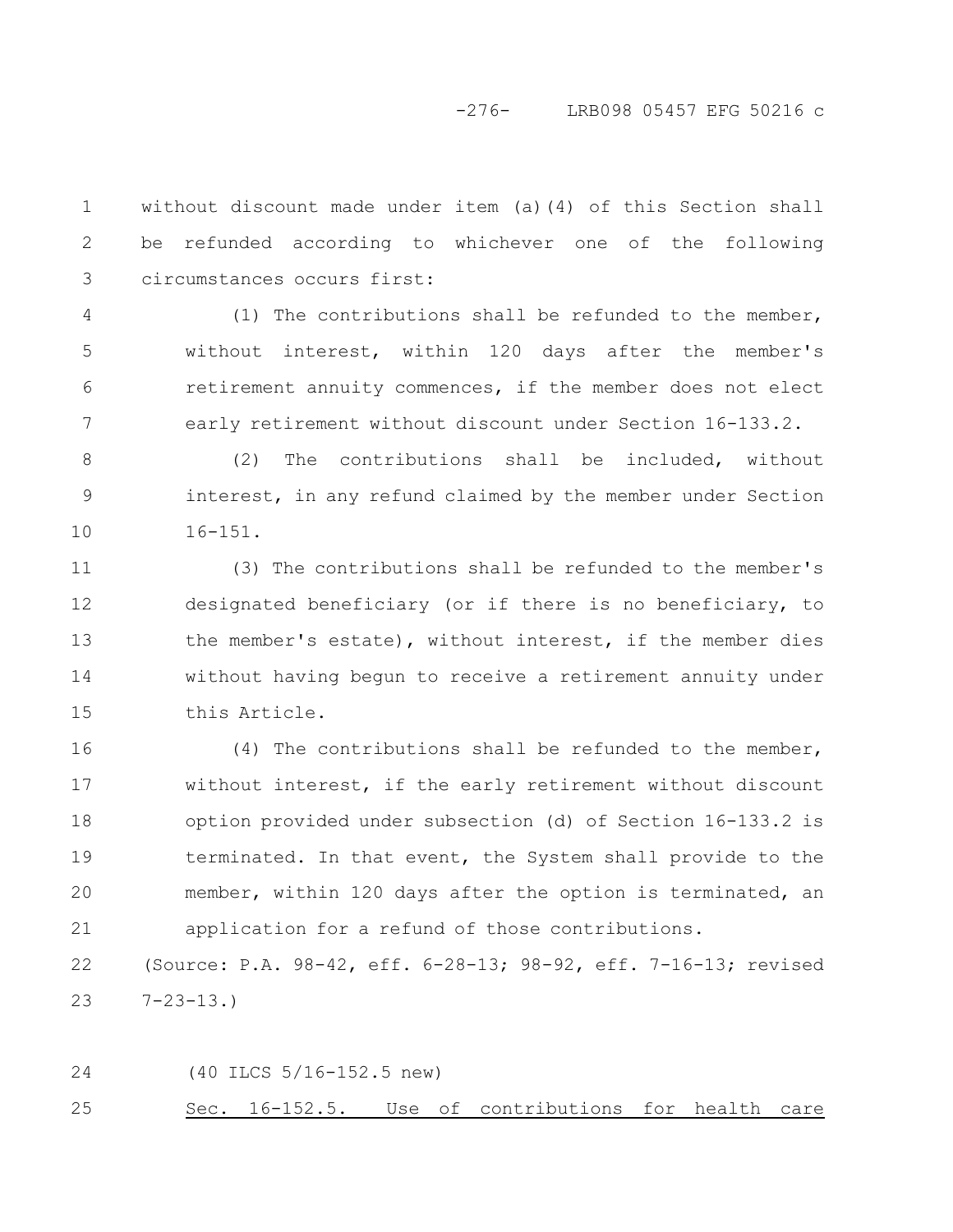# -276- LRB098 05457 EFG 50216 c

without discount made under item (a)(4) of this Section shall be refunded according to whichever one of the following circumstances occurs first: 1 2 3

(1) The contributions shall be refunded to the member, without interest, within 120 days after the member's retirement annuity commences, if the member does not elect early retirement without discount under Section 16-133.2. 4 5 6 7

(2) The contributions shall be included, without interest, in any refund claimed by the member under Section 16-151. 8 9 10

(3) The contributions shall be refunded to the member's designated beneficiary (or if there is no beneficiary, to the member's estate), without interest, if the member dies without having begun to receive a retirement annuity under this Article. 11 12 13 14 15

(4) The contributions shall be refunded to the member, without interest, if the early retirement without discount option provided under subsection (d) of Section 16-133.2 is terminated. In that event, the System shall provide to the member, within 120 days after the option is terminated, an application for a refund of those contributions. 16 17 18 19 20 21

(Source: P.A. 98-42, eff. 6-28-13; 98-92, eff. 7-16-13; revised 7-23-13.) 22 23

(40 ILCS 5/16-152.5 new) Sec. 16-152.5. Use of contributions for health care 24 25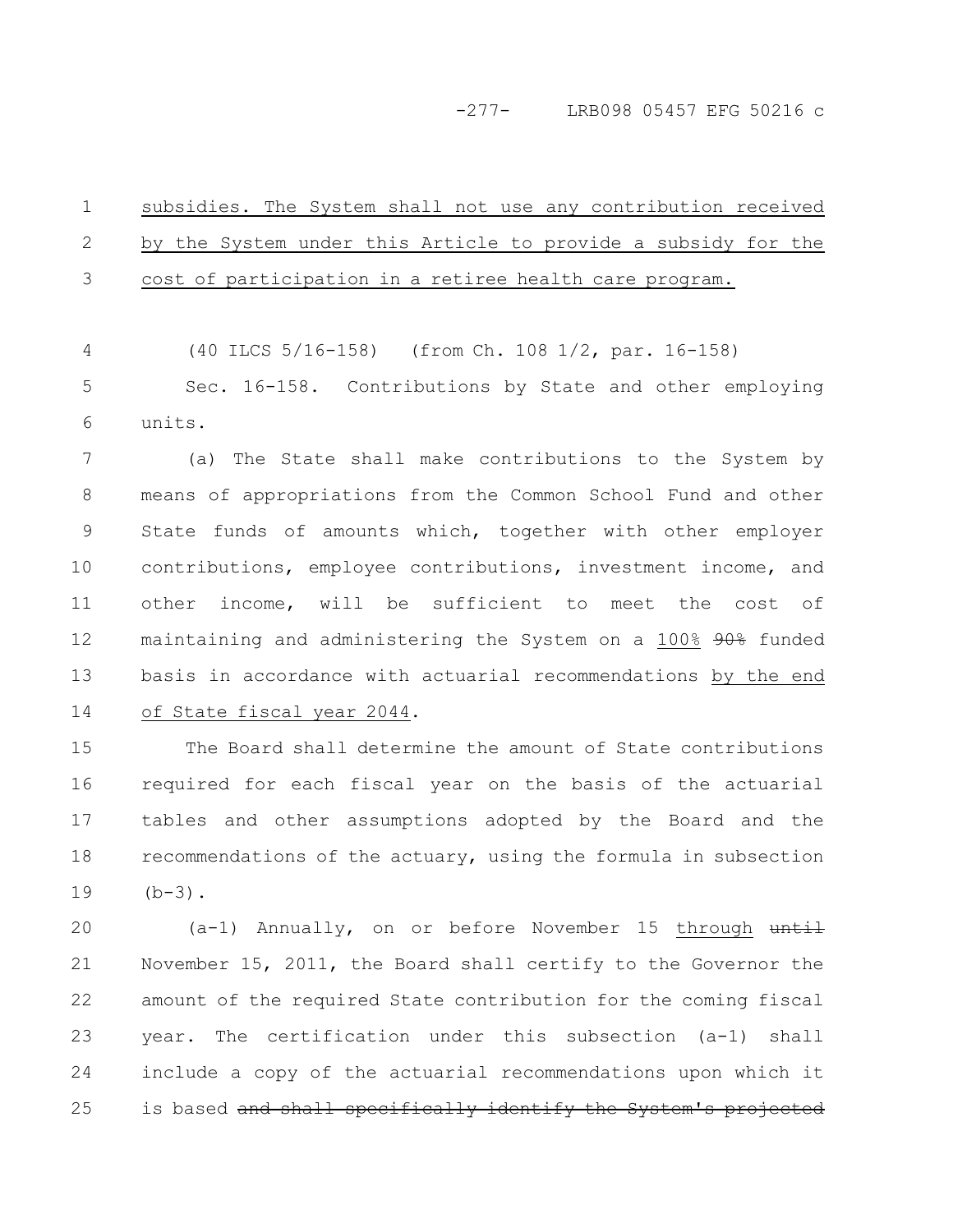subsidies. The System shall not use any contribution received by the System under this Article to provide a subsidy for the cost of participation in a retiree health care program. 1 2 3

(40 ILCS 5/16-158) (from Ch. 108 1/2, par. 16-158) 4

Sec. 16-158. Contributions by State and other employing units. 5 6

(a) The State shall make contributions to the System by means of appropriations from the Common School Fund and other State funds of amounts which, together with other employer contributions, employee contributions, investment income, and other income, will be sufficient to meet the cost of maintaining and administering the System on a 100% 90% funded basis in accordance with actuarial recommendations by the end of State fiscal year 2044. 7 8 9 10 11 12 13 14

The Board shall determine the amount of State contributions required for each fiscal year on the basis of the actuarial tables and other assumptions adopted by the Board and the recommendations of the actuary, using the formula in subsection  $(b-3)$ . 15 16 17 18 19

 $(a-1)$  Annually, on or before November 15 through until November 15, 2011, the Board shall certify to the Governor the amount of the required State contribution for the coming fiscal year. The certification under this subsection (a-1) shall include a copy of the actuarial recommendations upon which it is based and shall specifically identify the System's projected 20 21 22 23 24 25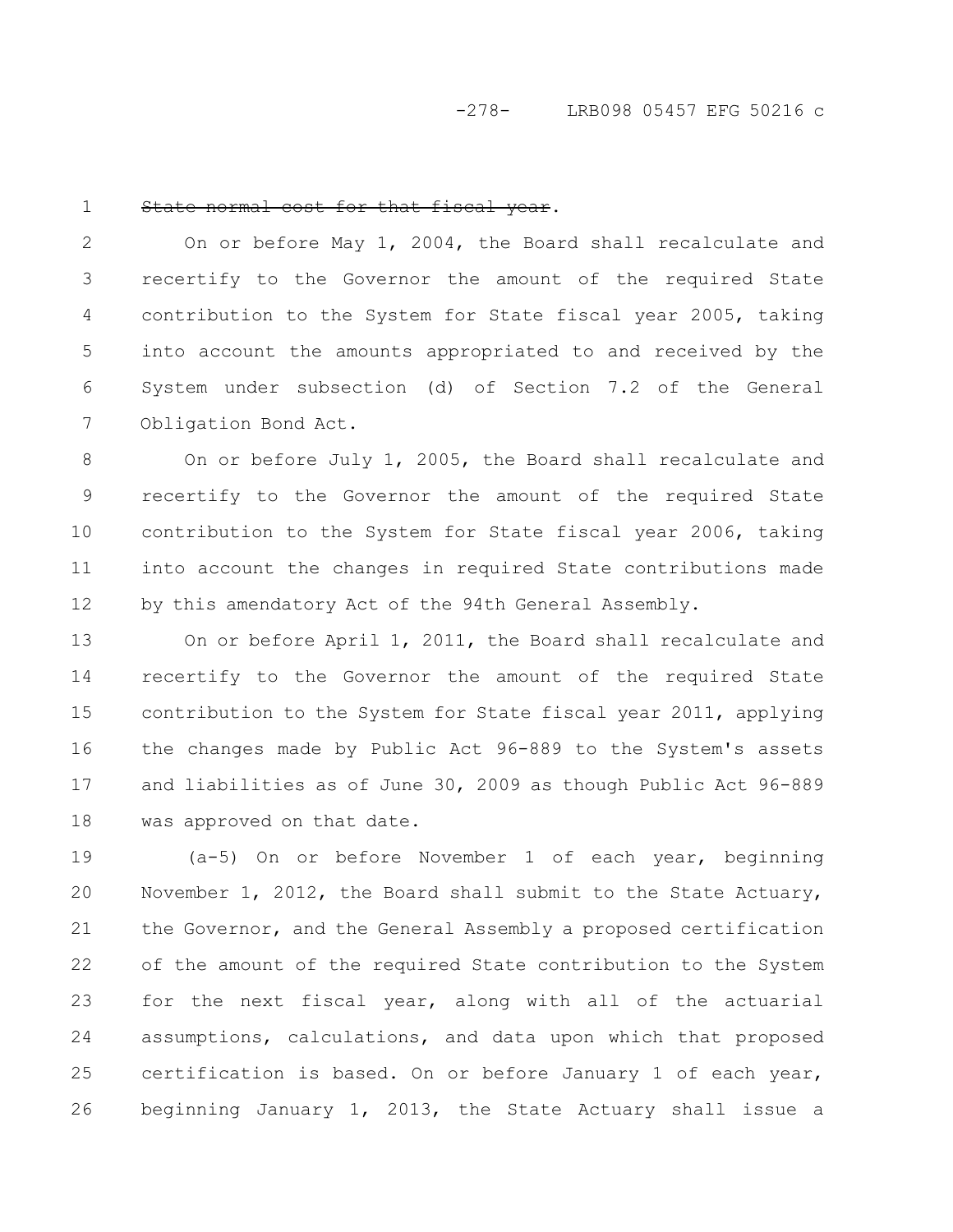#### State normal cost for that fiscal year. 1

On or before May 1, 2004, the Board shall recalculate and recertify to the Governor the amount of the required State contribution to the System for State fiscal year 2005, taking into account the amounts appropriated to and received by the System under subsection (d) of Section 7.2 of the General Obligation Bond Act. 2 3 4 5 6 7

On or before July 1, 2005, the Board shall recalculate and recertify to the Governor the amount of the required State contribution to the System for State fiscal year 2006, taking into account the changes in required State contributions made by this amendatory Act of the 94th General Assembly. 8 9 10 11 12

On or before April 1, 2011, the Board shall recalculate and recertify to the Governor the amount of the required State contribution to the System for State fiscal year 2011, applying the changes made by Public Act 96-889 to the System's assets and liabilities as of June 30, 2009 as though Public Act 96-889 was approved on that date. 13 14 15 16 17 18

(a-5) On or before November 1 of each year, beginning November 1, 2012, the Board shall submit to the State Actuary, the Governor, and the General Assembly a proposed certification of the amount of the required State contribution to the System for the next fiscal year, along with all of the actuarial assumptions, calculations, and data upon which that proposed certification is based. On or before January 1 of each year, beginning January 1, 2013, the State Actuary shall issue a 19 20 21 22 23 24 25 26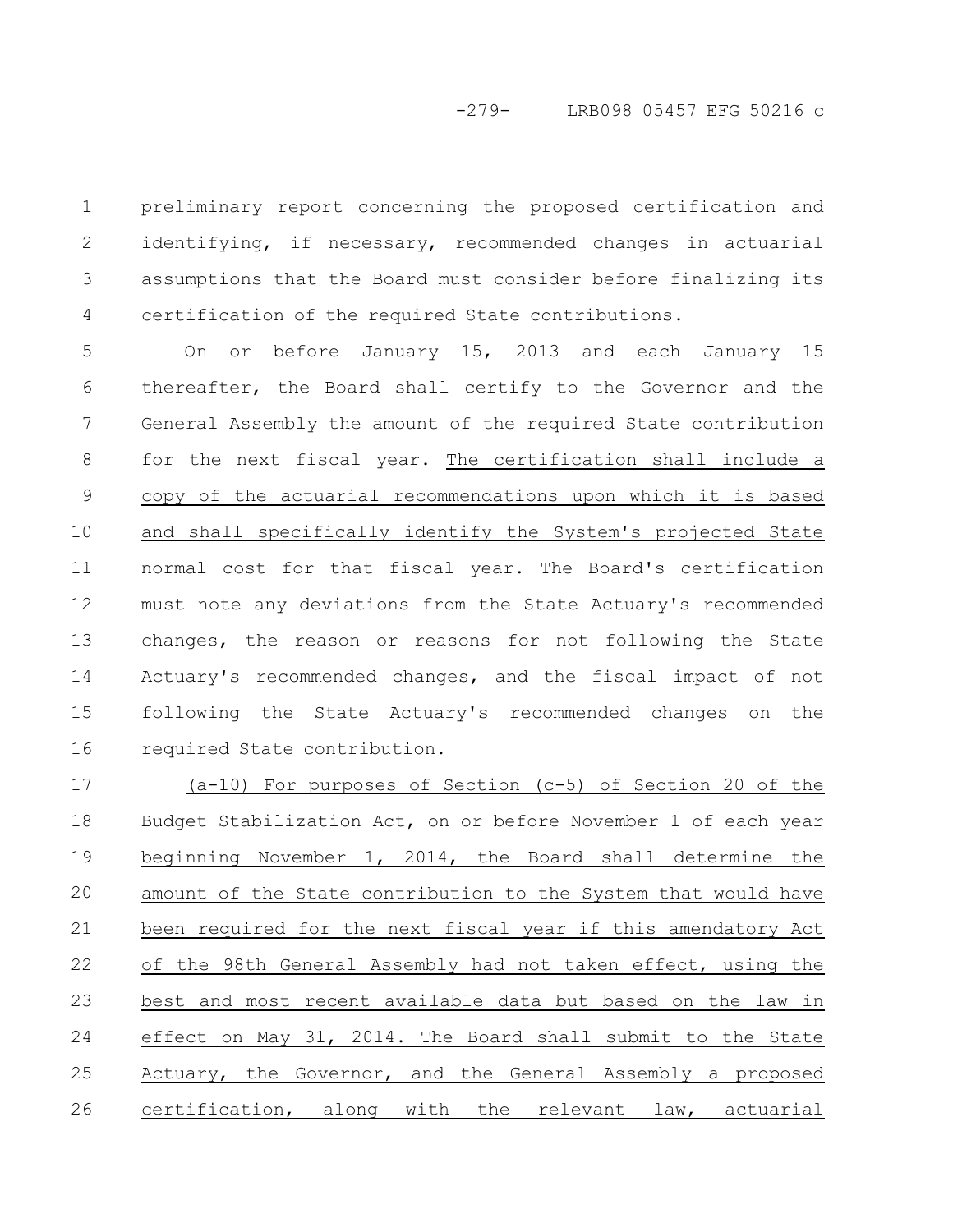preliminary report concerning the proposed certification and identifying, if necessary, recommended changes in actuarial assumptions that the Board must consider before finalizing its certification of the required State contributions. 1 2 3 4

On or before January 15, 2013 and each January 15 thereafter, the Board shall certify to the Governor and the General Assembly the amount of the required State contribution for the next fiscal year. The certification shall include a copy of the actuarial recommendations upon which it is based and shall specifically identify the System's projected State normal cost for that fiscal year. The Board's certification must note any deviations from the State Actuary's recommended changes, the reason or reasons for not following the State Actuary's recommended changes, and the fiscal impact of not following the State Actuary's recommended changes on the required State contribution. 5 6 7 8 9 10 11 12 13 14 15 16

(a-10) For purposes of Section (c-5) of Section 20 of the Budget Stabilization Act, on or before November 1 of each year beginning November 1, 2014, the Board shall determine the amount of the State contribution to the System that would have been required for the next fiscal year if this amendatory Act of the 98th General Assembly had not taken effect, using the best and most recent available data but based on the law in effect on May 31, 2014. The Board shall submit to the State Actuary, the Governor, and the General Assembly a proposed certification, along with the relevant law, actuarial 17 18 19 20 21 22 23 24 25 26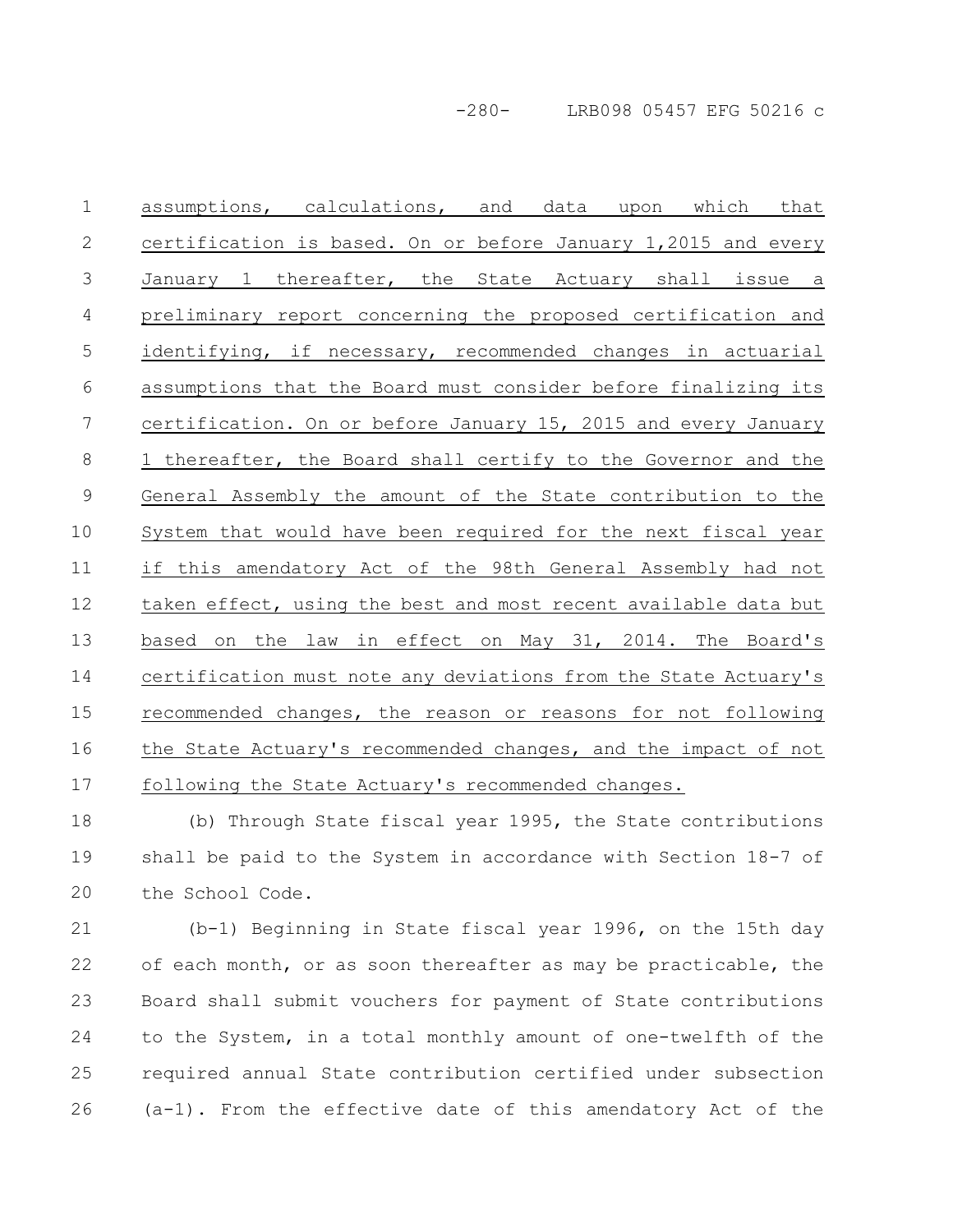-280- LRB098 05457 EFG 50216 c

assumptions, calculations, and data upon which that certification is based. On or before January 1,2015 and every January 1 thereafter, the State Actuary shall issue a preliminary report concerning the proposed certification and identifying, if necessary, recommended changes in actuarial assumptions that the Board must consider before finalizing its certification. On or before January 15, 2015 and every January 1 thereafter, the Board shall certify to the Governor and the General Assembly the amount of the State contribution to the System that would have been required for the next fiscal year if this amendatory Act of the 98th General Assembly had not taken effect, using the best and most recent available data but based on the law in effect on May 31, 2014. The Board's certification must note any deviations from the State Actuary's recommended changes, the reason or reasons for not following the State Actuary's recommended changes, and the impact of not following the State Actuary's recommended changes. 1 2 3 4 5 6 7 8 9 10 11 12 13 14 15 16 17

(b) Through State fiscal year 1995, the State contributions shall be paid to the System in accordance with Section 18-7 of the School Code. 18 19 20

(b-1) Beginning in State fiscal year 1996, on the 15th day of each month, or as soon thereafter as may be practicable, the Board shall submit vouchers for payment of State contributions to the System, in a total monthly amount of one-twelfth of the required annual State contribution certified under subsection (a-1). From the effective date of this amendatory Act of the 21 22 23 24 25 26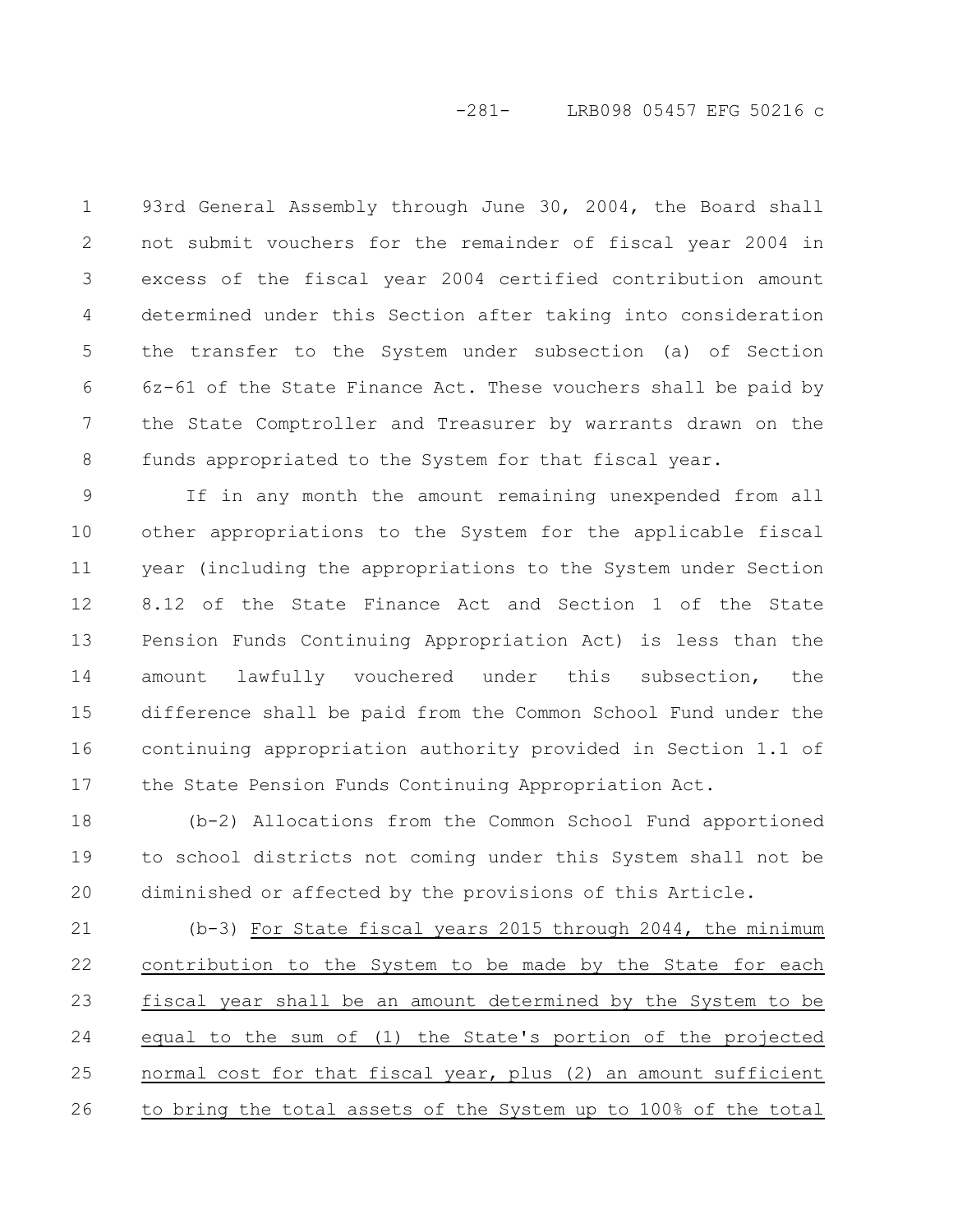# -281- LRB098 05457 EFG 50216 c

93rd General Assembly through June 30, 2004, the Board shall not submit vouchers for the remainder of fiscal year 2004 in excess of the fiscal year 2004 certified contribution amount determined under this Section after taking into consideration the transfer to the System under subsection (a) of Section 6z-61 of the State Finance Act. These vouchers shall be paid by the State Comptroller and Treasurer by warrants drawn on the funds appropriated to the System for that fiscal year. 1 2 3 4 5 6 7 8

If in any month the amount remaining unexpended from all other appropriations to the System for the applicable fiscal year (including the appropriations to the System under Section 8.12 of the State Finance Act and Section 1 of the State Pension Funds Continuing Appropriation Act) is less than the amount lawfully vouchered under this subsection, the difference shall be paid from the Common School Fund under the continuing appropriation authority provided in Section 1.1 of the State Pension Funds Continuing Appropriation Act. 9 10 11 12 13 14 15 16 17

(b-2) Allocations from the Common School Fund apportioned to school districts not coming under this System shall not be diminished or affected by the provisions of this Article. 18 19 20

(b-3) For State fiscal years 2015 through 2044, the minimum contribution to the System to be made by the State for each fiscal year shall be an amount determined by the System to be equal to the sum of (1) the State's portion of the projected normal cost for that fiscal year, plus (2) an amount sufficient to bring the total assets of the System up to 100% of the total 21 22 23 24 25 26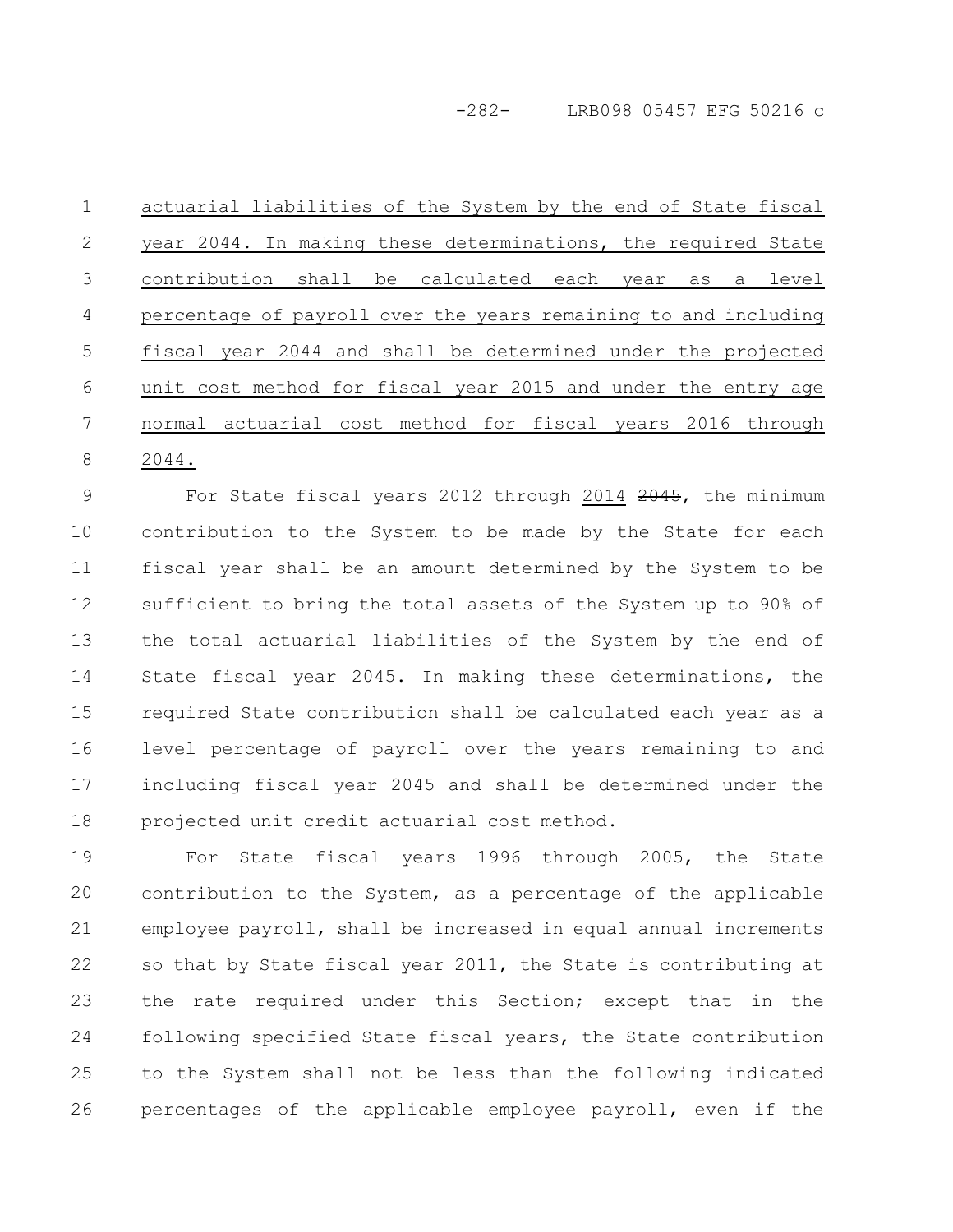actuarial liabilities of the System by the end of State fiscal year 2044. In making these determinations, the required State contribution shall be calculated each year as a level percentage of payroll over the years remaining to and including fiscal year 2044 and shall be determined under the projected unit cost method for fiscal year 2015 and under the entry age normal actuarial cost method for fiscal years 2016 through 2044. 1 2 3 4 5 6 7 8

For State fiscal years 2012 through 2014 2045, the minimum contribution to the System to be made by the State for each fiscal year shall be an amount determined by the System to be sufficient to bring the total assets of the System up to 90% of the total actuarial liabilities of the System by the end of State fiscal year 2045. In making these determinations, the required State contribution shall be calculated each year as a level percentage of payroll over the years remaining to and including fiscal year 2045 and shall be determined under the projected unit credit actuarial cost method. 9 10 11 12 13 14 15 16 17 18

For State fiscal years 1996 through 2005, the State contribution to the System, as a percentage of the applicable employee payroll, shall be increased in equal annual increments so that by State fiscal year 2011, the State is contributing at the rate required under this Section; except that in the following specified State fiscal years, the State contribution to the System shall not be less than the following indicated percentages of the applicable employee payroll, even if the 19 20 21 22 23 24 25 26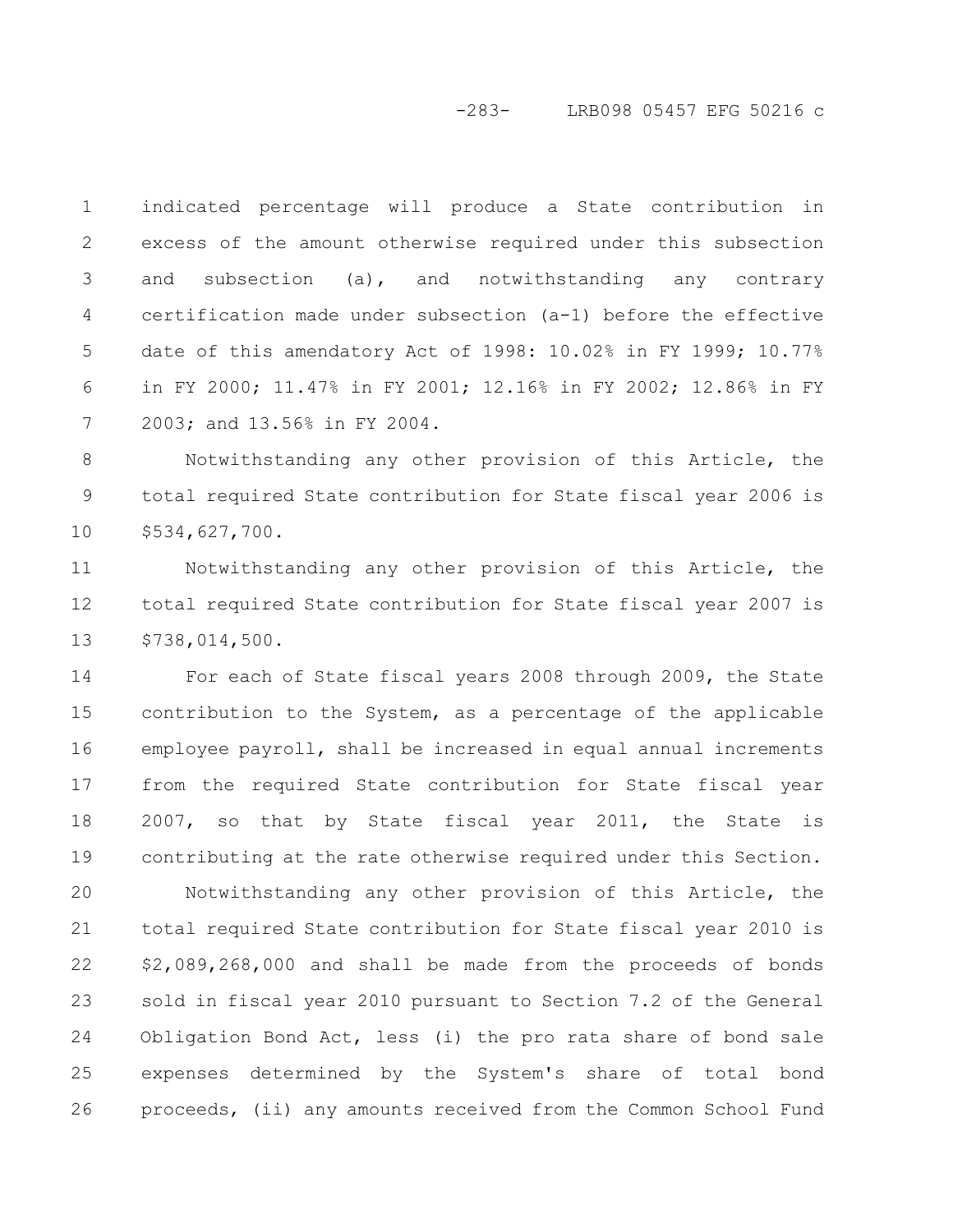## -283- LRB098 05457 EFG 50216 c

indicated percentage will produce a State contribution in excess of the amount otherwise required under this subsection and subsection (a), and notwithstanding any contrary certification made under subsection (a-1) before the effective date of this amendatory Act of 1998: 10.02% in FY 1999; 10.77% in FY 2000; 11.47% in FY 2001; 12.16% in FY 2002; 12.86% in FY 2003; and 13.56% in FY 2004. 1 2 3 4 5 6 7

Notwithstanding any other provision of this Article, the total required State contribution for State fiscal year 2006 is \$534,627,700. 8 9 10

Notwithstanding any other provision of this Article, the total required State contribution for State fiscal year 2007 is \$738,014,500. 11 12 13

For each of State fiscal years 2008 through 2009, the State contribution to the System, as a percentage of the applicable employee payroll, shall be increased in equal annual increments from the required State contribution for State fiscal year 2007, so that by State fiscal year 2011, the State is contributing at the rate otherwise required under this Section. 14 15 16 17 18 19

Notwithstanding any other provision of this Article, the total required State contribution for State fiscal year 2010 is \$2,089,268,000 and shall be made from the proceeds of bonds sold in fiscal year 2010 pursuant to Section 7.2 of the General Obligation Bond Act, less (i) the pro rata share of bond sale expenses determined by the System's share of total bond proceeds, (ii) any amounts received from the Common School Fund 20 21 22 23 24 25 26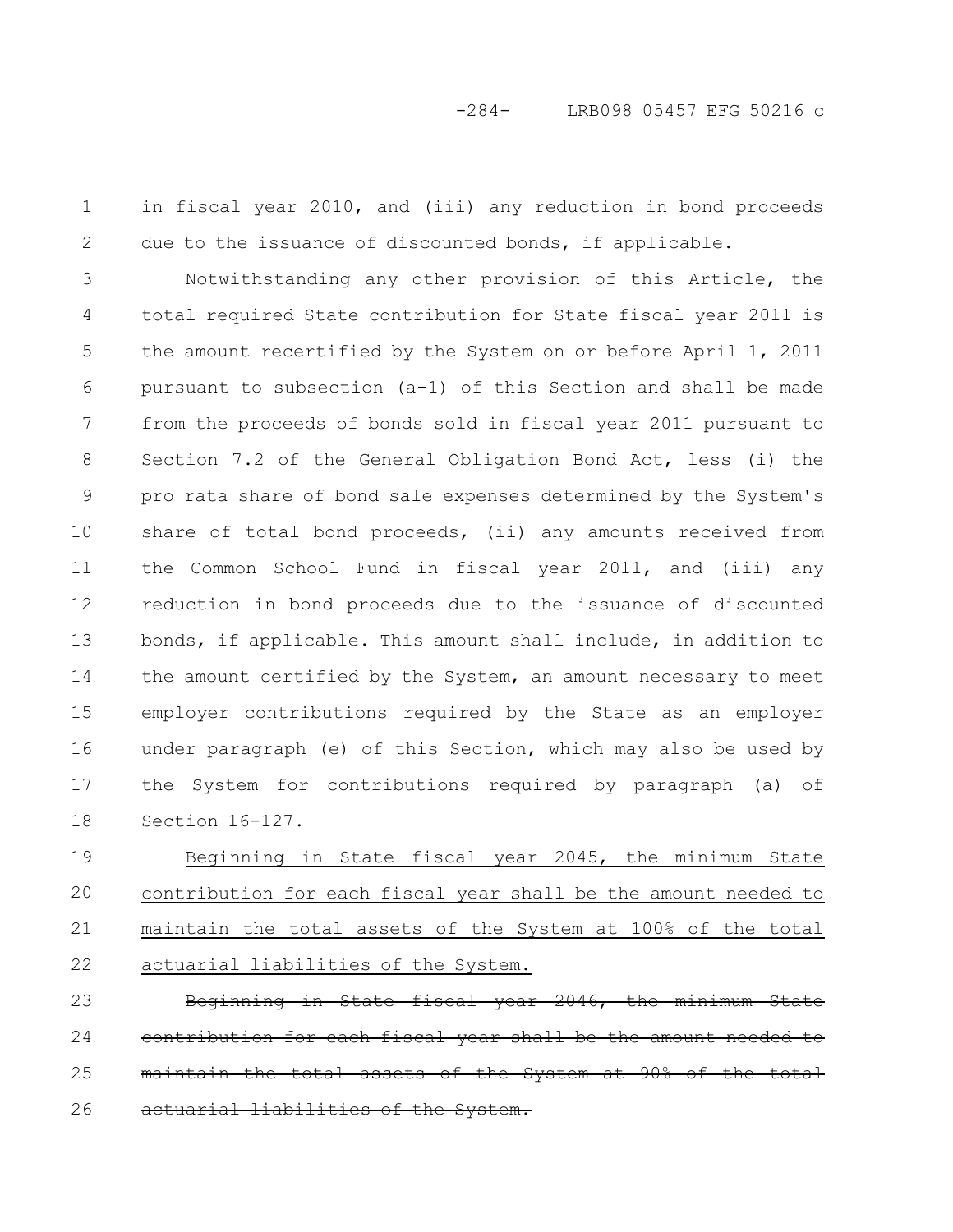in fiscal year 2010, and (iii) any reduction in bond proceeds due to the issuance of discounted bonds, if applicable. 1 2

Notwithstanding any other provision of this Article, the total required State contribution for State fiscal year 2011 is the amount recertified by the System on or before April 1, 2011 pursuant to subsection (a-1) of this Section and shall be made from the proceeds of bonds sold in fiscal year 2011 pursuant to Section 7.2 of the General Obligation Bond Act, less (i) the pro rata share of bond sale expenses determined by the System's share of total bond proceeds, (ii) any amounts received from the Common School Fund in fiscal year 2011, and (iii) any reduction in bond proceeds due to the issuance of discounted bonds, if applicable. This amount shall include, in addition to the amount certified by the System, an amount necessary to meet employer contributions required by the State as an employer under paragraph (e) of this Section, which may also be used by the System for contributions required by paragraph (a) of Section 16-127. 3 4 5 6 7 8 9 10 11 12 13 14 15 16 17 18

Beginning in State fiscal year 2045, the minimum State contribution for each fiscal year shall be the amount needed to maintain the total assets of the System at 100% of the total actuarial liabilities of the System. 19 20 21 22

Beginning in State fiscal year 2046, the cach fiscal year shall be the amount maintain the total assets of the System at 90% of the total <del>liabilities of</del> 23 24 25 26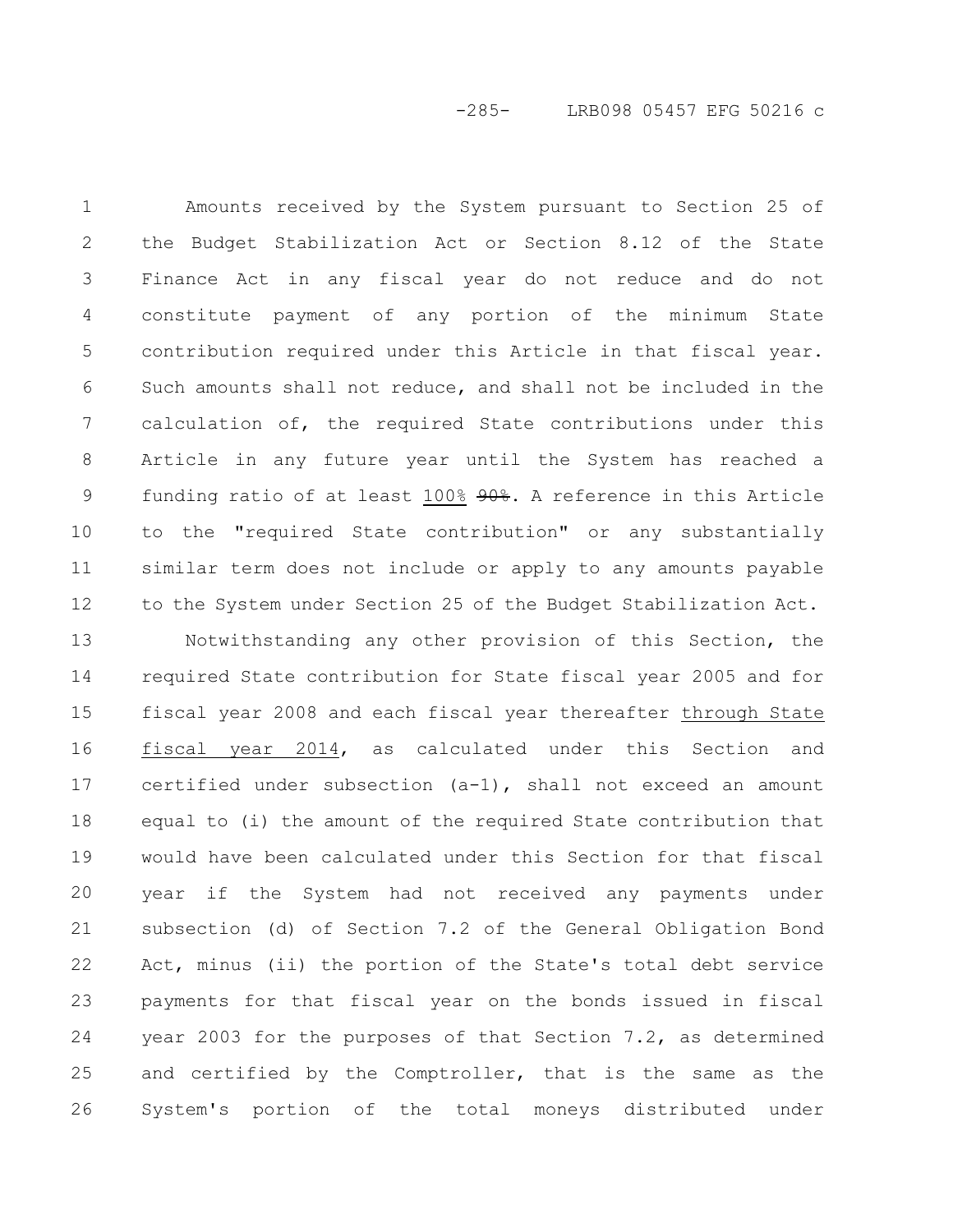-285- LRB098 05457 EFG 50216 c

Amounts received by the System pursuant to Section 25 of the Budget Stabilization Act or Section 8.12 of the State Finance Act in any fiscal year do not reduce and do not constitute payment of any portion of the minimum State contribution required under this Article in that fiscal year. Such amounts shall not reduce, and shall not be included in the calculation of, the required State contributions under this Article in any future year until the System has reached a funding ratio of at least 100% 90%. A reference in this Article to the "required State contribution" or any substantially similar term does not include or apply to any amounts payable to the System under Section 25 of the Budget Stabilization Act. 1 2 3 4 5 6 7 8 9 10 11 12

Notwithstanding any other provision of this Section, the required State contribution for State fiscal year 2005 and for fiscal year 2008 and each fiscal year thereafter through State fiscal year 2014, as calculated under this Section and certified under subsection (a-1), shall not exceed an amount equal to (i) the amount of the required State contribution that would have been calculated under this Section for that fiscal year if the System had not received any payments under subsection (d) of Section 7.2 of the General Obligation Bond Act, minus (ii) the portion of the State's total debt service payments for that fiscal year on the bonds issued in fiscal year 2003 for the purposes of that Section 7.2, as determined and certified by the Comptroller, that is the same as the System's portion of the total moneys distributed under 13 14 15 16 17 18 19 20 21 22 23 24 25 26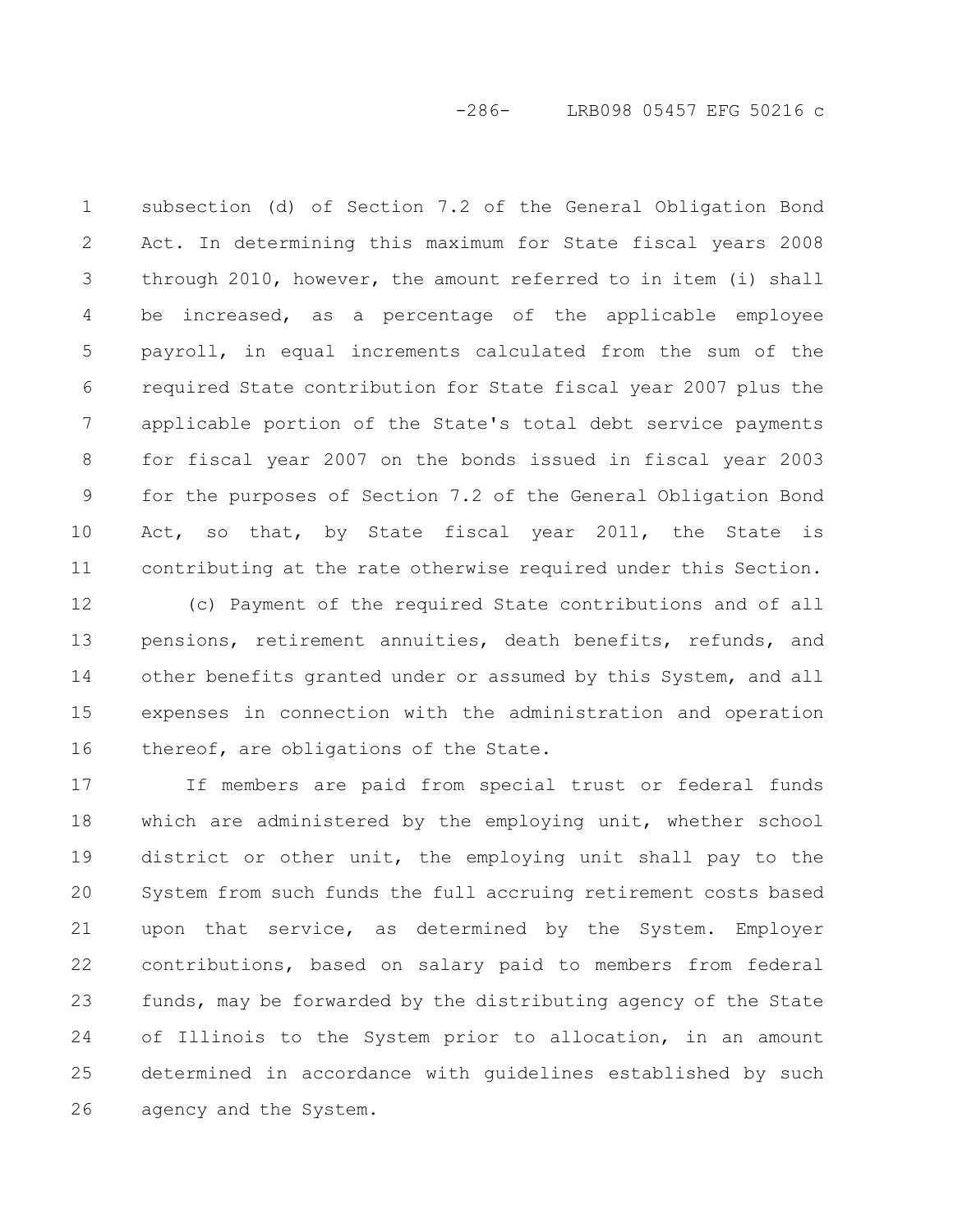-286- LRB098 05457 EFG 50216 c

subsection (d) of Section 7.2 of the General Obligation Bond Act. In determining this maximum for State fiscal years 2008 through 2010, however, the amount referred to in item (i) shall be increased, as a percentage of the applicable employee payroll, in equal increments calculated from the sum of the required State contribution for State fiscal year 2007 plus the applicable portion of the State's total debt service payments for fiscal year 2007 on the bonds issued in fiscal year 2003 for the purposes of Section 7.2 of the General Obligation Bond Act, so that, by State fiscal year 2011, the State is contributing at the rate otherwise required under this Section. 1 2 3 4 5 6 7 8 9 10 11

(c) Payment of the required State contributions and of all pensions, retirement annuities, death benefits, refunds, and other benefits granted under or assumed by this System, and all expenses in connection with the administration and operation thereof, are obligations of the State. 12 13 14 15 16

If members are paid from special trust or federal funds which are administered by the employing unit, whether school district or other unit, the employing unit shall pay to the System from such funds the full accruing retirement costs based upon that service, as determined by the System. Employer contributions, based on salary paid to members from federal funds, may be forwarded by the distributing agency of the State of Illinois to the System prior to allocation, in an amount determined in accordance with guidelines established by such agency and the System. 17 18 19 20 21 22 23 24 25 26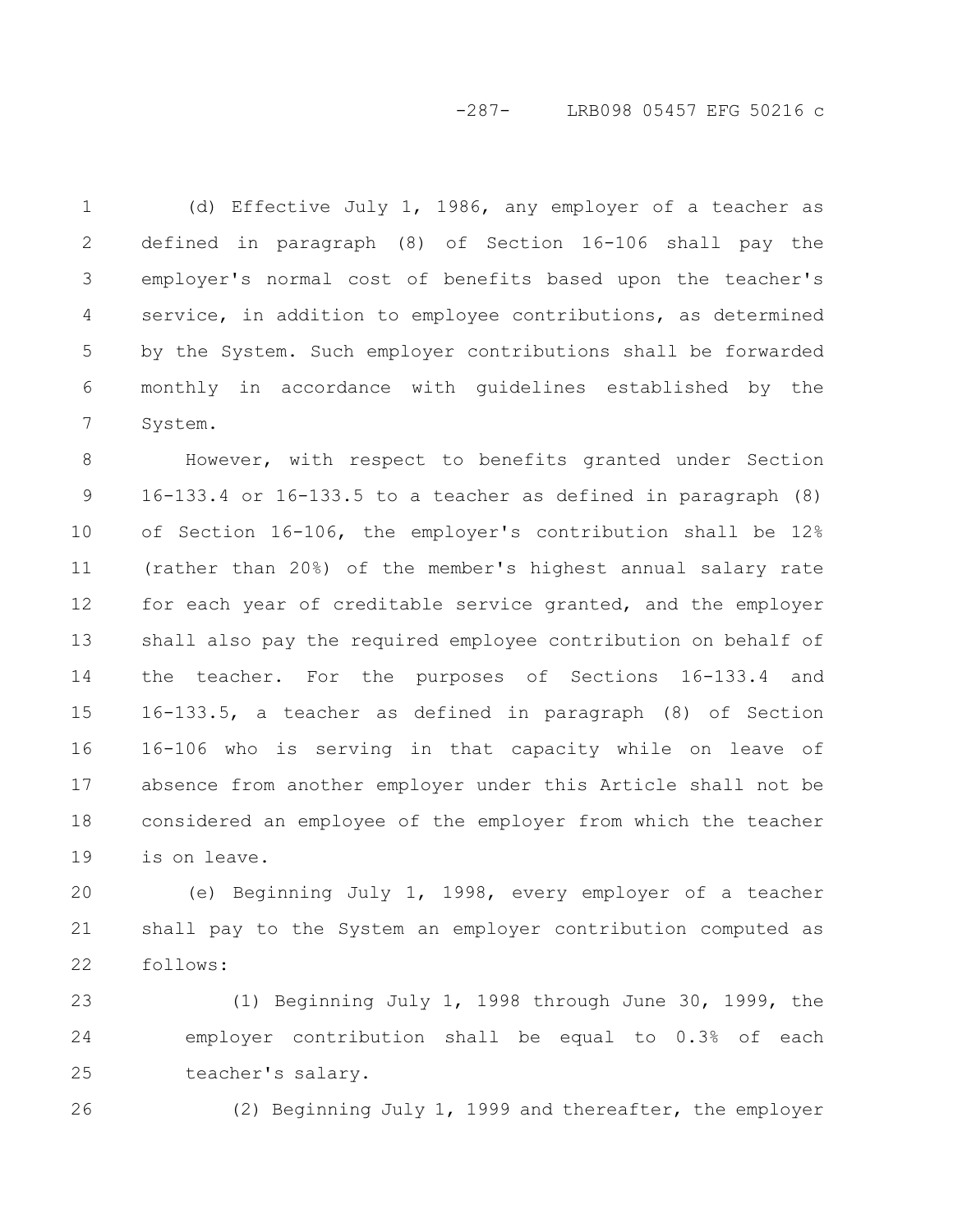# -287- LRB098 05457 EFG 50216 c

(d) Effective July 1, 1986, any employer of a teacher as defined in paragraph (8) of Section 16-106 shall pay the employer's normal cost of benefits based upon the teacher's service, in addition to employee contributions, as determined by the System. Such employer contributions shall be forwarded monthly in accordance with guidelines established by the System. 1 2 3 4 5 6 7

However, with respect to benefits granted under Section 16-133.4 or 16-133.5 to a teacher as defined in paragraph (8) of Section 16-106, the employer's contribution shall be 12% (rather than 20%) of the member's highest annual salary rate for each year of creditable service granted, and the employer shall also pay the required employee contribution on behalf of the teacher. For the purposes of Sections 16-133.4 and 16-133.5, a teacher as defined in paragraph (8) of Section 16-106 who is serving in that capacity while on leave of absence from another employer under this Article shall not be considered an employee of the employer from which the teacher is on leave. 8 9 10 11 12 13 14 15 16 17 18 19

(e) Beginning July 1, 1998, every employer of a teacher shall pay to the System an employer contribution computed as follows: 20 21 22

(1) Beginning July 1, 1998 through June 30, 1999, the employer contribution shall be equal to 0.3% of each teacher's salary. 23 24 25

26

(2) Beginning July 1, 1999 and thereafter, the employer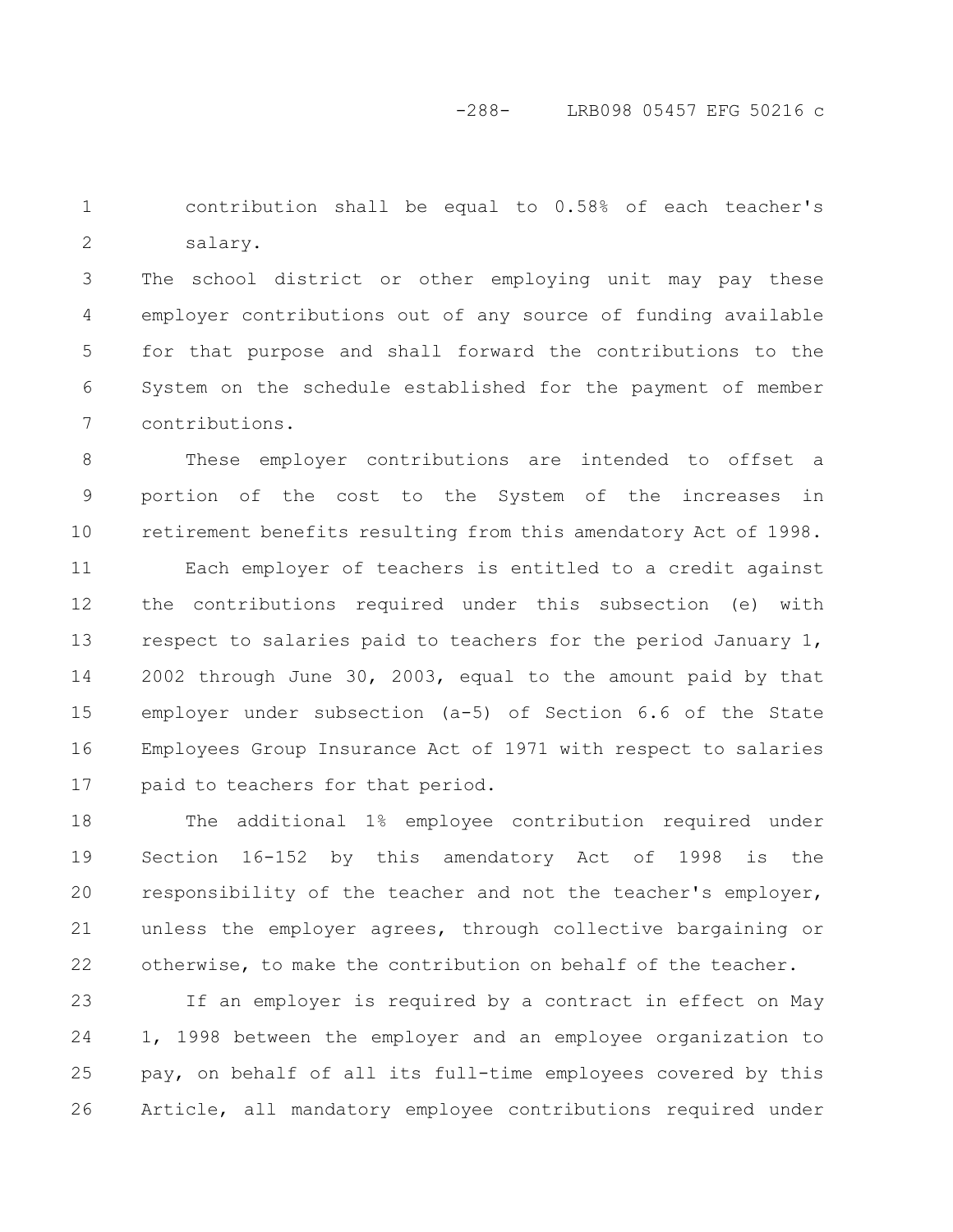contribution shall be equal to 0.58% of each teacher's salary. 1 2

The school district or other employing unit may pay these employer contributions out of any source of funding available for that purpose and shall forward the contributions to the System on the schedule established for the payment of member contributions. 3 4 5 6 7

These employer contributions are intended to offset a portion of the cost to the System of the increases in retirement benefits resulting from this amendatory Act of 1998. 8 9 10

Each employer of teachers is entitled to a credit against the contributions required under this subsection (e) with respect to salaries paid to teachers for the period January 1, 2002 through June 30, 2003, equal to the amount paid by that employer under subsection (a-5) of Section 6.6 of the State Employees Group Insurance Act of 1971 with respect to salaries paid to teachers for that period. 11 12 13 14 15 16 17

The additional 1% employee contribution required under Section 16-152 by this amendatory Act of 1998 is the responsibility of the teacher and not the teacher's employer, unless the employer agrees, through collective bargaining or otherwise, to make the contribution on behalf of the teacher. 18 19 20 21 22

If an employer is required by a contract in effect on May 1, 1998 between the employer and an employee organization to pay, on behalf of all its full-time employees covered by this Article, all mandatory employee contributions required under 23 24 25 26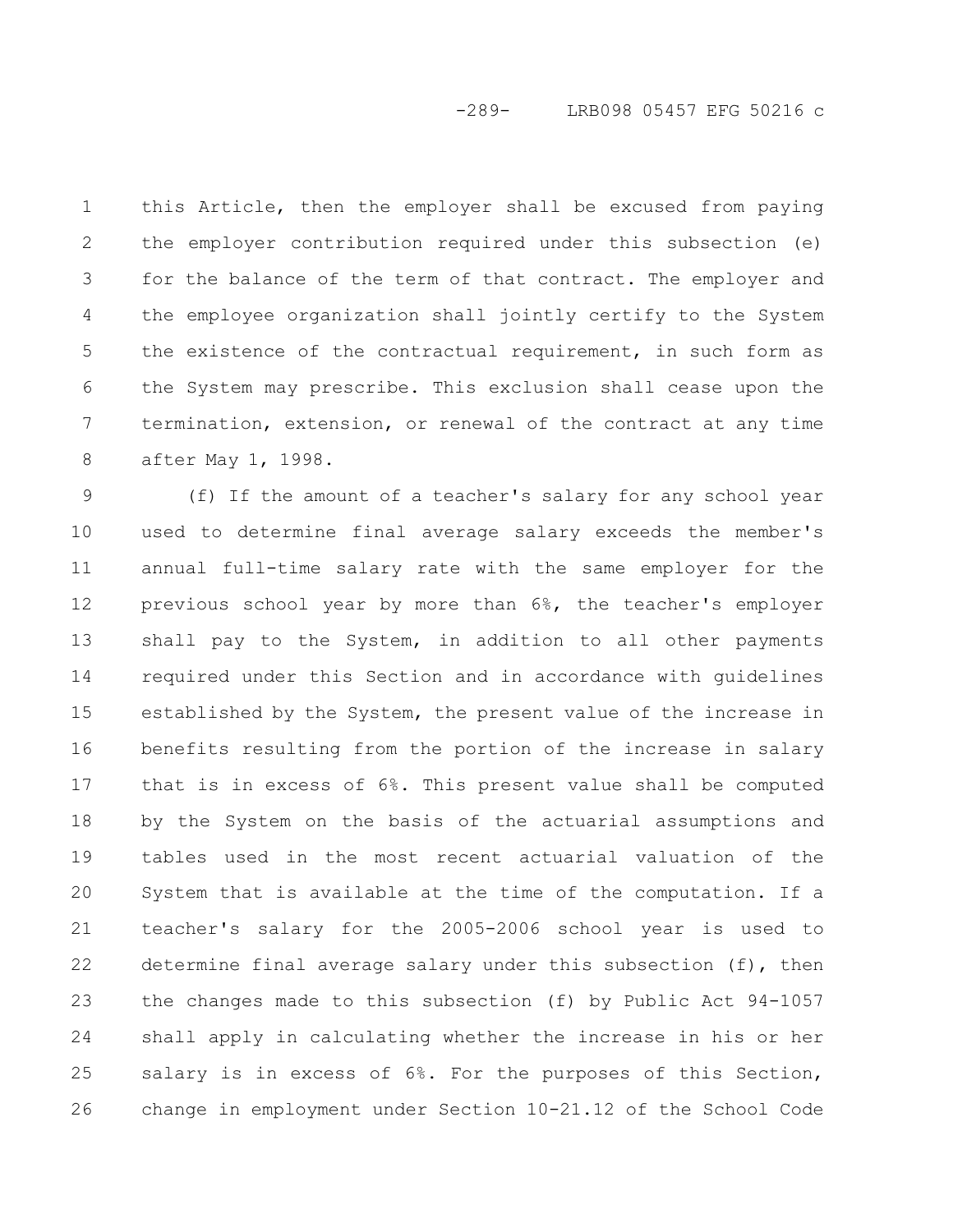## -289- LRB098 05457 EFG 50216 c

this Article, then the employer shall be excused from paying the employer contribution required under this subsection (e) for the balance of the term of that contract. The employer and the employee organization shall jointly certify to the System the existence of the contractual requirement, in such form as the System may prescribe. This exclusion shall cease upon the termination, extension, or renewal of the contract at any time after May 1, 1998. 1 2 3 4 5 6 7 8

(f) If the amount of a teacher's salary for any school year used to determine final average salary exceeds the member's annual full-time salary rate with the same employer for the previous school year by more than 6%, the teacher's employer shall pay to the System, in addition to all other payments required under this Section and in accordance with guidelines established by the System, the present value of the increase in benefits resulting from the portion of the increase in salary that is in excess of 6%. This present value shall be computed by the System on the basis of the actuarial assumptions and tables used in the most recent actuarial valuation of the System that is available at the time of the computation. If a teacher's salary for the 2005-2006 school year is used to determine final average salary under this subsection (f), then the changes made to this subsection (f) by Public Act 94-1057 shall apply in calculating whether the increase in his or her salary is in excess of 6%. For the purposes of this Section, change in employment under Section 10-21.12 of the School Code 9 10 11 12 13 14 15 16 17 18 19 20 21 22 23 24 25 26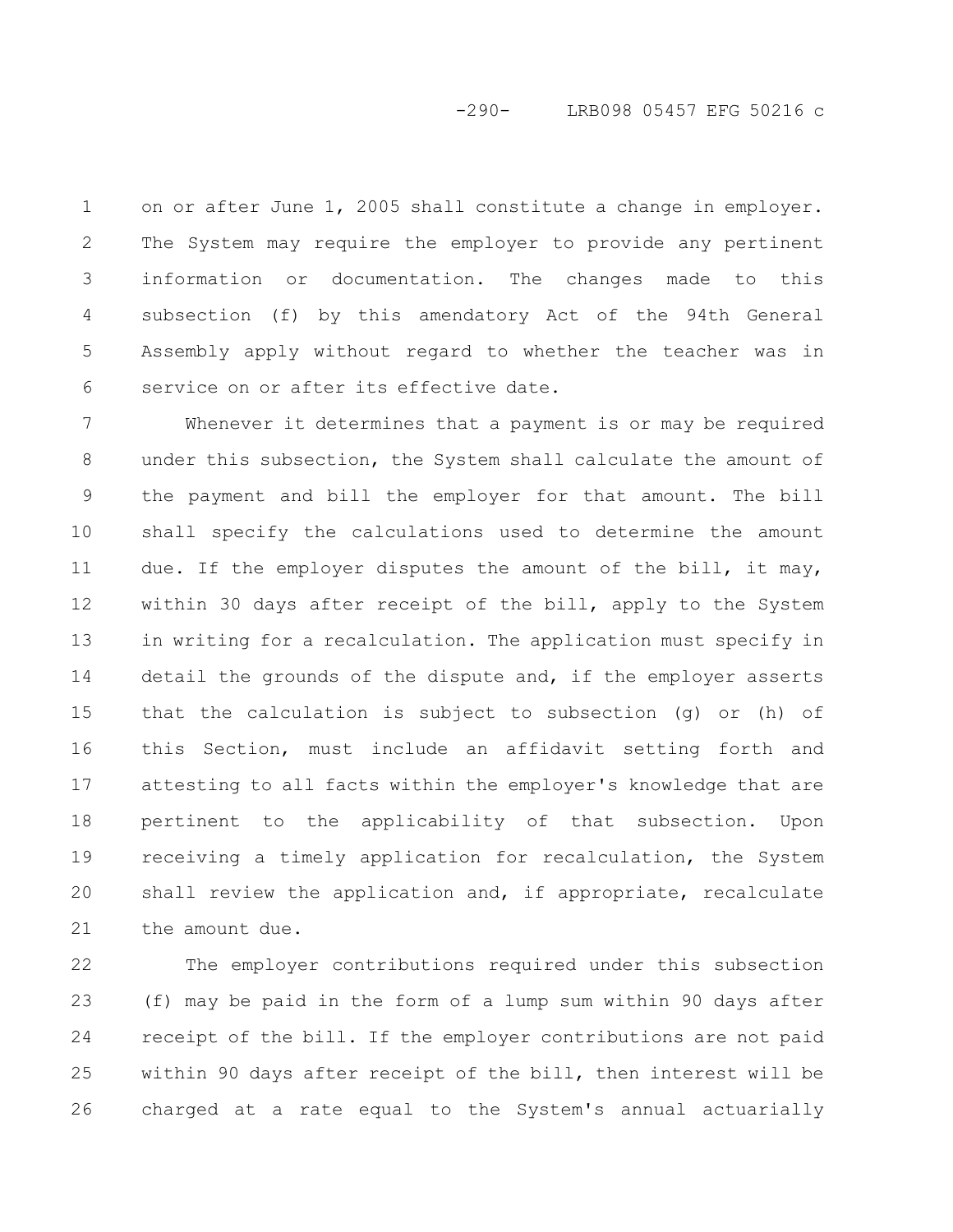## -290- LRB098 05457 EFG 50216 c

on or after June 1, 2005 shall constitute a change in employer. The System may require the employer to provide any pertinent information or documentation. The changes made to this subsection (f) by this amendatory Act of the 94th General Assembly apply without regard to whether the teacher was in service on or after its effective date. 1 2 3 4 5 6

Whenever it determines that a payment is or may be required under this subsection, the System shall calculate the amount of the payment and bill the employer for that amount. The bill shall specify the calculations used to determine the amount due. If the employer disputes the amount of the bill, it may, within 30 days after receipt of the bill, apply to the System in writing for a recalculation. The application must specify in detail the grounds of the dispute and, if the employer asserts that the calculation is subject to subsection (g) or (h) of this Section, must include an affidavit setting forth and attesting to all facts within the employer's knowledge that are pertinent to the applicability of that subsection. Upon receiving a timely application for recalculation, the System shall review the application and, if appropriate, recalculate the amount due. 7 8 9 10 11 12 13 14 15 16 17 18 19 20 21

The employer contributions required under this subsection (f) may be paid in the form of a lump sum within 90 days after receipt of the bill. If the employer contributions are not paid within 90 days after receipt of the bill, then interest will be charged at a rate equal to the System's annual actuarially 22 23 24 25 26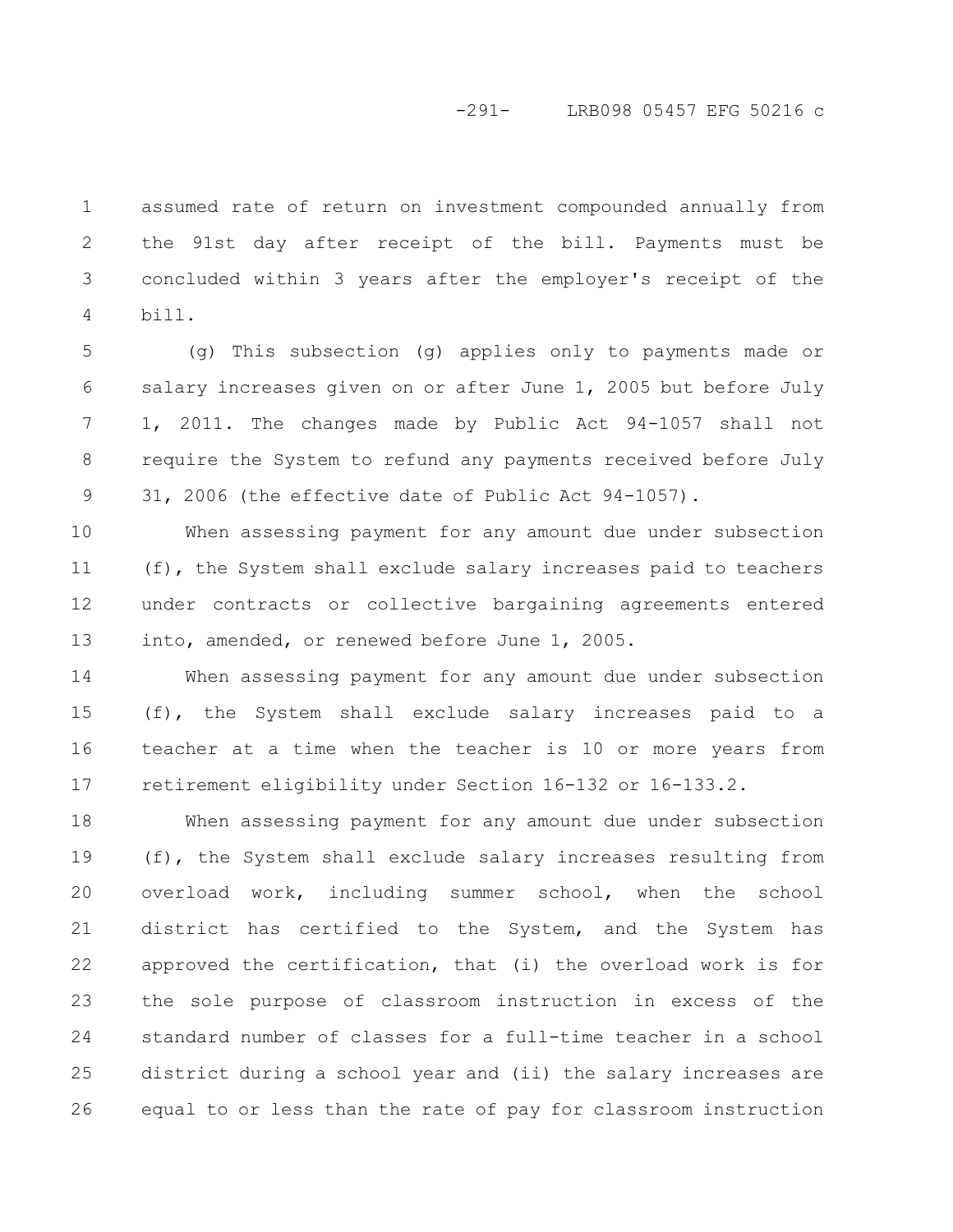#### -291- LRB098 05457 EFG 50216 c

assumed rate of return on investment compounded annually from the 91st day after receipt of the bill. Payments must be concluded within 3 years after the employer's receipt of the bill. 1 2 3 4

(g) This subsection (g) applies only to payments made or salary increases given on or after June 1, 2005 but before July 1, 2011. The changes made by Public Act 94-1057 shall not require the System to refund any payments received before July 31, 2006 (the effective date of Public Act 94-1057). 5 6 7 8 9

When assessing payment for any amount due under subsection (f), the System shall exclude salary increases paid to teachers under contracts or collective bargaining agreements entered into, amended, or renewed before June 1, 2005. 10 11 12 13

When assessing payment for any amount due under subsection (f), the System shall exclude salary increases paid to a teacher at a time when the teacher is 10 or more years from retirement eligibility under Section 16-132 or 16-133.2. 14 15 16 17

When assessing payment for any amount due under subsection (f), the System shall exclude salary increases resulting from overload work, including summer school, when the school district has certified to the System, and the System has approved the certification, that (i) the overload work is for the sole purpose of classroom instruction in excess of the standard number of classes for a full-time teacher in a school district during a school year and (ii) the salary increases are equal to or less than the rate of pay for classroom instruction 18 19 20 21 22 23 24 25 26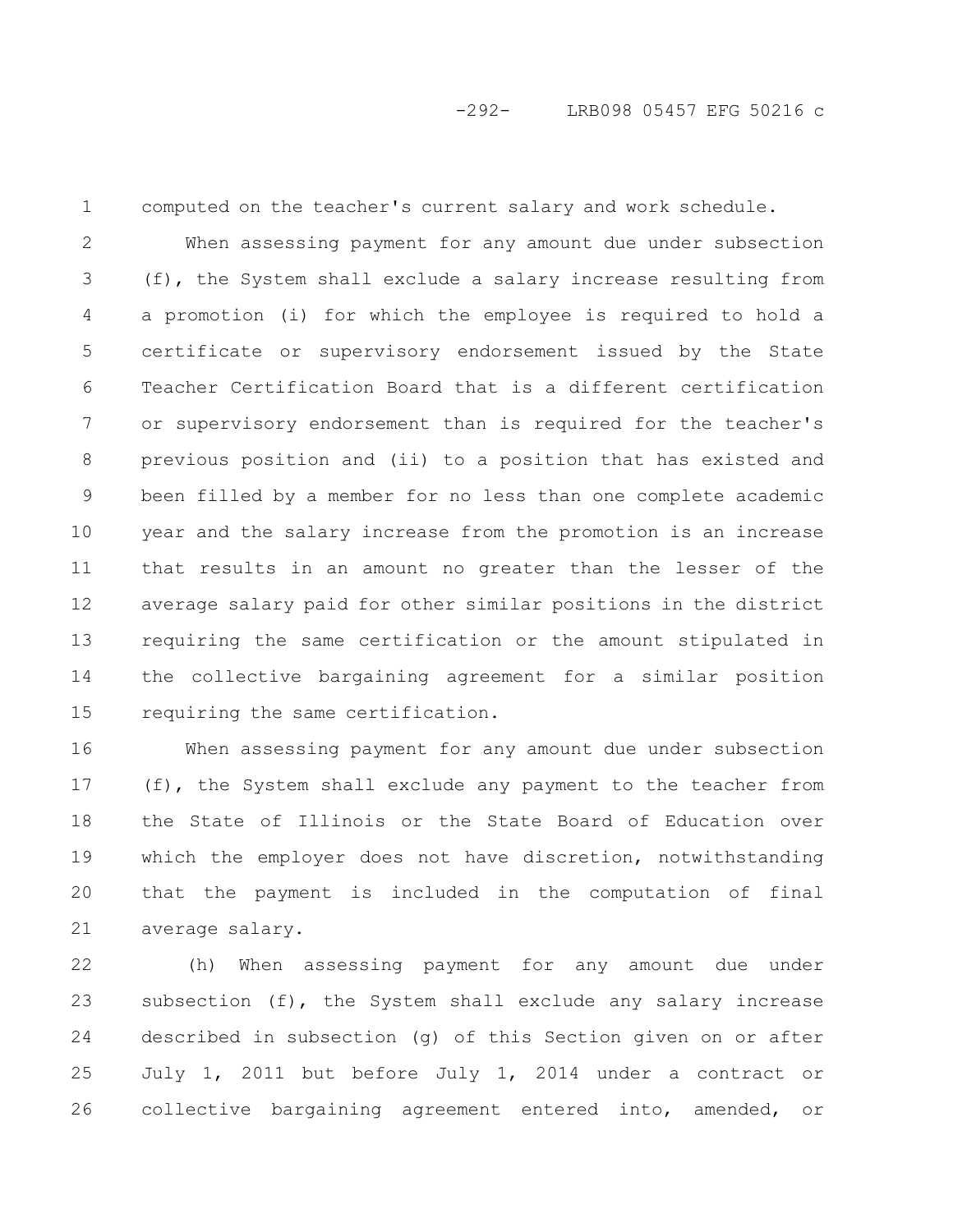1

computed on the teacher's current salary and work schedule.

When assessing payment for any amount due under subsection (f), the System shall exclude a salary increase resulting from a promotion (i) for which the employee is required to hold a certificate or supervisory endorsement issued by the State Teacher Certification Board that is a different certification or supervisory endorsement than is required for the teacher's previous position and (ii) to a position that has existed and been filled by a member for no less than one complete academic year and the salary increase from the promotion is an increase that results in an amount no greater than the lesser of the average salary paid for other similar positions in the district requiring the same certification or the amount stipulated in the collective bargaining agreement for a similar position requiring the same certification. 2 3 4 5 6 7 8 9 10 11 12 13 14 15

When assessing payment for any amount due under subsection (f), the System shall exclude any payment to the teacher from the State of Illinois or the State Board of Education over which the employer does not have discretion, notwithstanding that the payment is included in the computation of final average salary. 16 17 18 19 20 21

(h) When assessing payment for any amount due under subsection (f), the System shall exclude any salary increase described in subsection (g) of this Section given on or after July 1, 2011 but before July 1, 2014 under a contract or collective bargaining agreement entered into, amended, or 22 23 24 25 26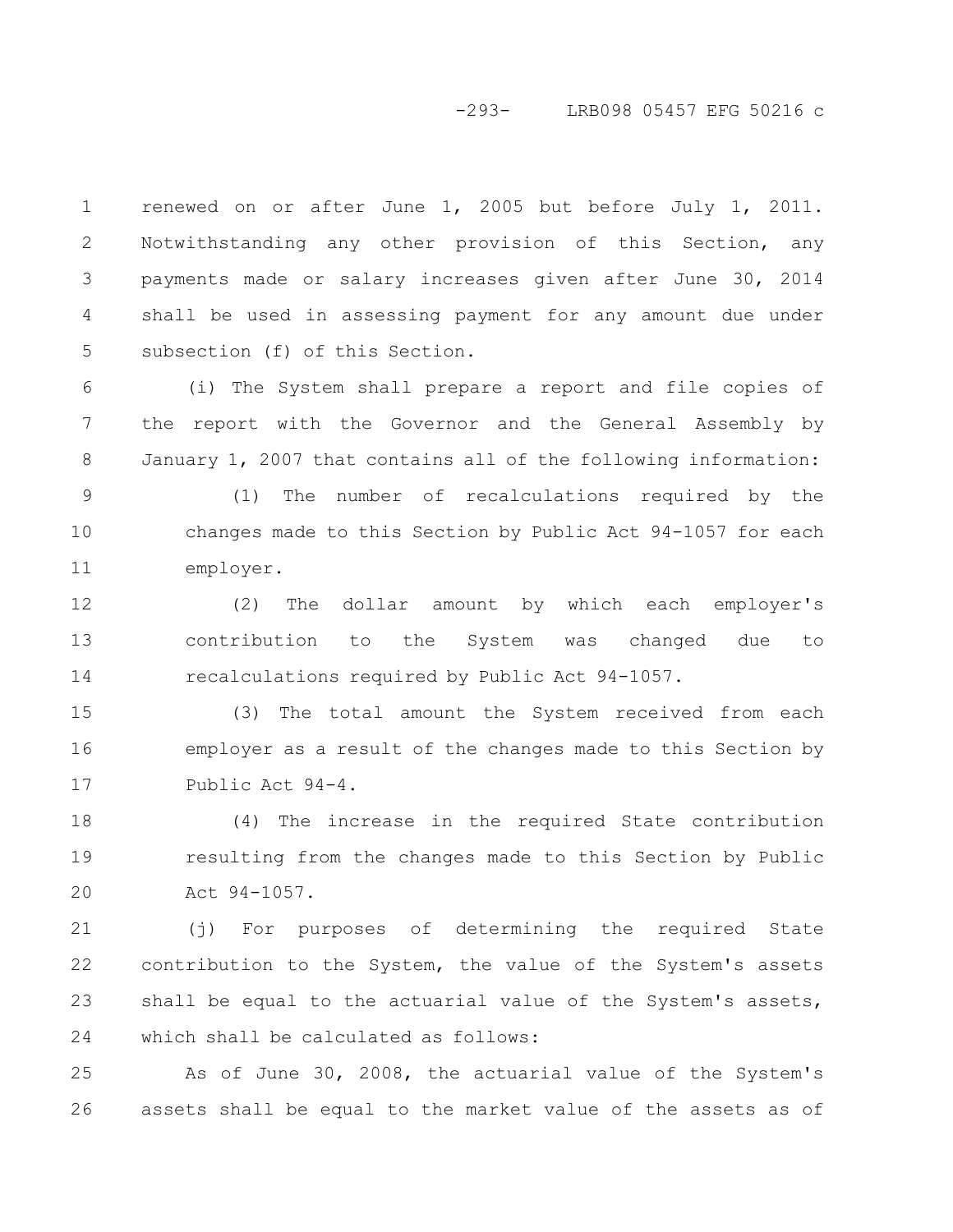#### -293- LRB098 05457 EFG 50216 c

renewed on or after June 1, 2005 but before July 1, 2011. Notwithstanding any other provision of this Section, any payments made or salary increases given after June 30, 2014 shall be used in assessing payment for any amount due under subsection (f) of this Section. 1 2 3 4 5

(i) The System shall prepare a report and file copies of the report with the Governor and the General Assembly by January 1, 2007 that contains all of the following information: 6 7 8

(1) The number of recalculations required by the changes made to this Section by Public Act 94-1057 for each employer. 9 10 11

(2) The dollar amount by which each employer's contribution to the System was changed due to recalculations required by Public Act 94-1057. 12 13 14

(3) The total amount the System received from each employer as a result of the changes made to this Section by Public Act 94-4. 15 16 17

(4) The increase in the required State contribution resulting from the changes made to this Section by Public Act 94-1057. 18 19 20

(j) For purposes of determining the required State contribution to the System, the value of the System's assets shall be equal to the actuarial value of the System's assets, which shall be calculated as follows: 21 22 23 24

As of June 30, 2008, the actuarial value of the System's assets shall be equal to the market value of the assets as of 25 26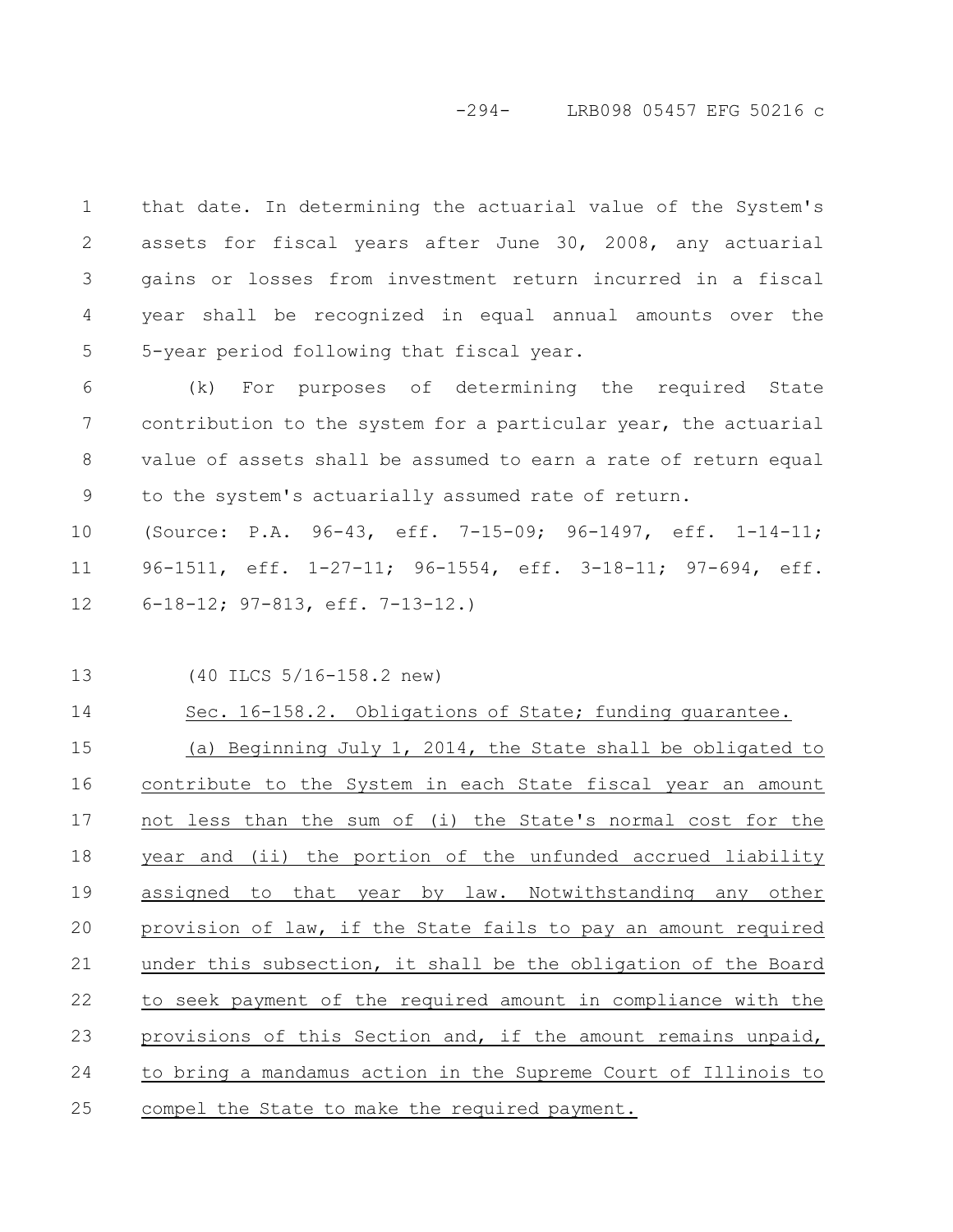#### -294- LRB098 05457 EFG 50216 c

that date. In determining the actuarial value of the System's assets for fiscal years after June 30, 2008, any actuarial gains or losses from investment return incurred in a fiscal year shall be recognized in equal annual amounts over the 5-year period following that fiscal year. 1 2 3 4 5

(k) For purposes of determining the required State contribution to the system for a particular year, the actuarial value of assets shall be assumed to earn a rate of return equal to the system's actuarially assumed rate of return. 6 7 8 9

(Source: P.A. 96-43, eff. 7-15-09; 96-1497, eff. 1-14-11; 96-1511, eff. 1-27-11; 96-1554, eff. 3-18-11; 97-694, eff. 6-18-12; 97-813, eff. 7-13-12.) 10 11 12

(40 ILCS 5/16-158.2 new) 13

14

Sec. 16-158.2. Obligations of State; funding guarantee. (a) Beginning July 1, 2014, the State shall be obligated to contribute to the System in each State fiscal year an amount not less than the sum of (i) the State's normal cost for the 15 16 17

year and (ii) the portion of the unfunded accrued liability assigned to that year by law. Notwithstanding any other provision of law, if the State fails to pay an amount required under this subsection, it shall be the obligation of the Board to seek payment of the required amount in compliance with the provisions of this Section and, if the amount remains unpaid, to bring a mandamus action in the Supreme Court of Illinois to compel the State to make the required payment. 18 19 20 21 22 23 24 25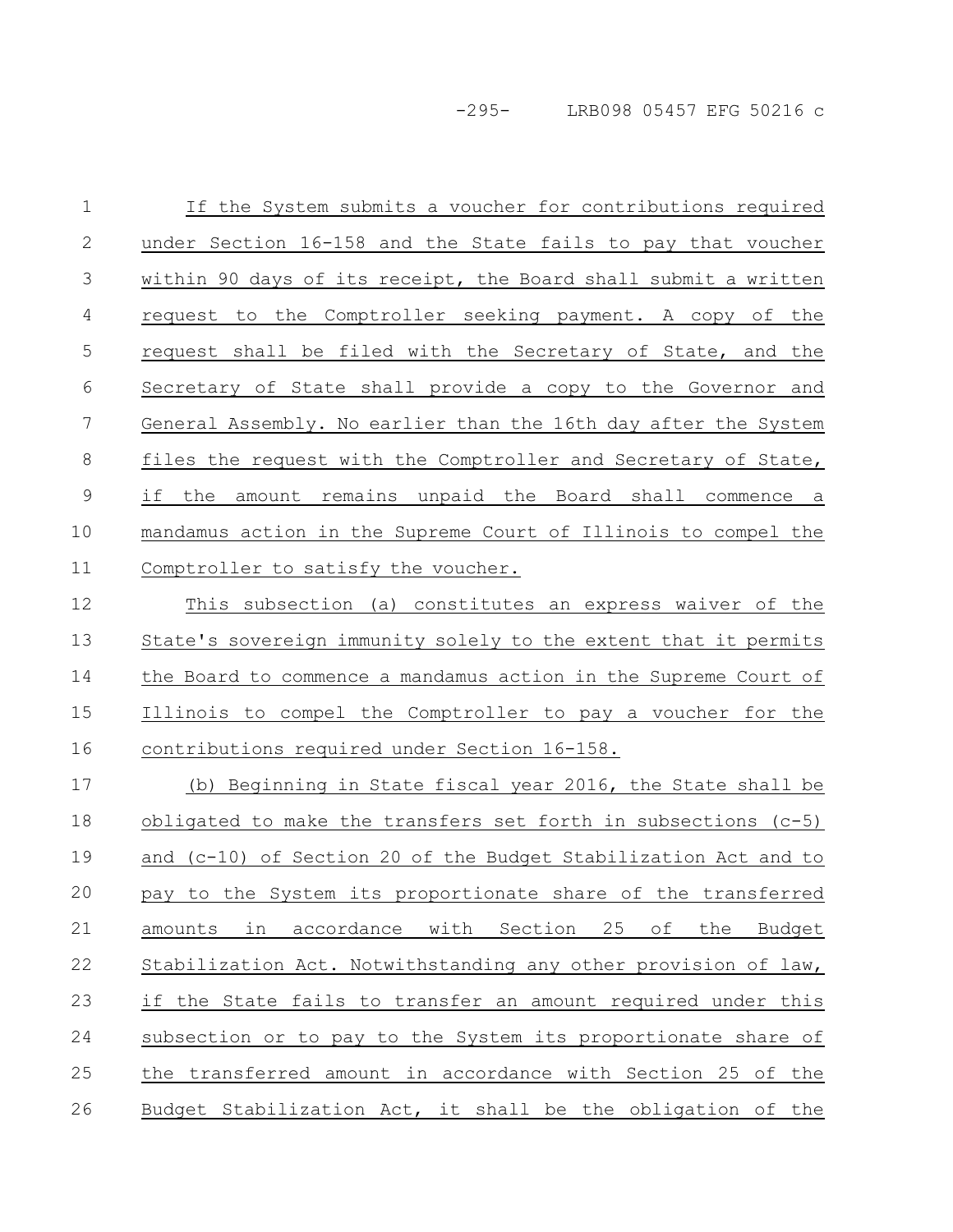-295- LRB098 05457 EFG 50216 c

If the System submits a voucher for contributions required under Section 16-158 and the State fails to pay that voucher within 90 days of its receipt, the Board shall submit a written request to the Comptroller seeking payment. A copy of the request shall be filed with the Secretary of State, and the Secretary of State shall provide a copy to the Governor and General Assembly. No earlier than the 16th day after the System files the request with the Comptroller and Secretary of State, if the amount remains unpaid the Board shall commence a mandamus action in the Supreme Court of Illinois to compel the Comptroller to satisfy the voucher. This subsection (a) constitutes an express waiver of the State's sovereign immunity solely to the extent that it permits the Board to commence a mandamus action in the Supreme Court of Illinois to compel the Comptroller to pay a voucher for the 1 2 3 4 5 6 7 8 9 10 11 12 13 14 15

contributions required under Section 16-158. 16

(b) Beginning in State fiscal year 2016, the State shall be obligated to make the transfers set forth in subsections (c-5) and (c-10) of Section 20 of the Budget Stabilization Act and to pay to the System its proportionate share of the transferred amounts in accordance with Section 25 of the Budget Stabilization Act. Notwithstanding any other provision of law, if the State fails to transfer an amount required under this subsection or to pay to the System its proportionate share of the transferred amount in accordance with Section 25 of the Budget Stabilization Act, it shall be the obligation of the 17 18 19 20 21 22 23 24 25 26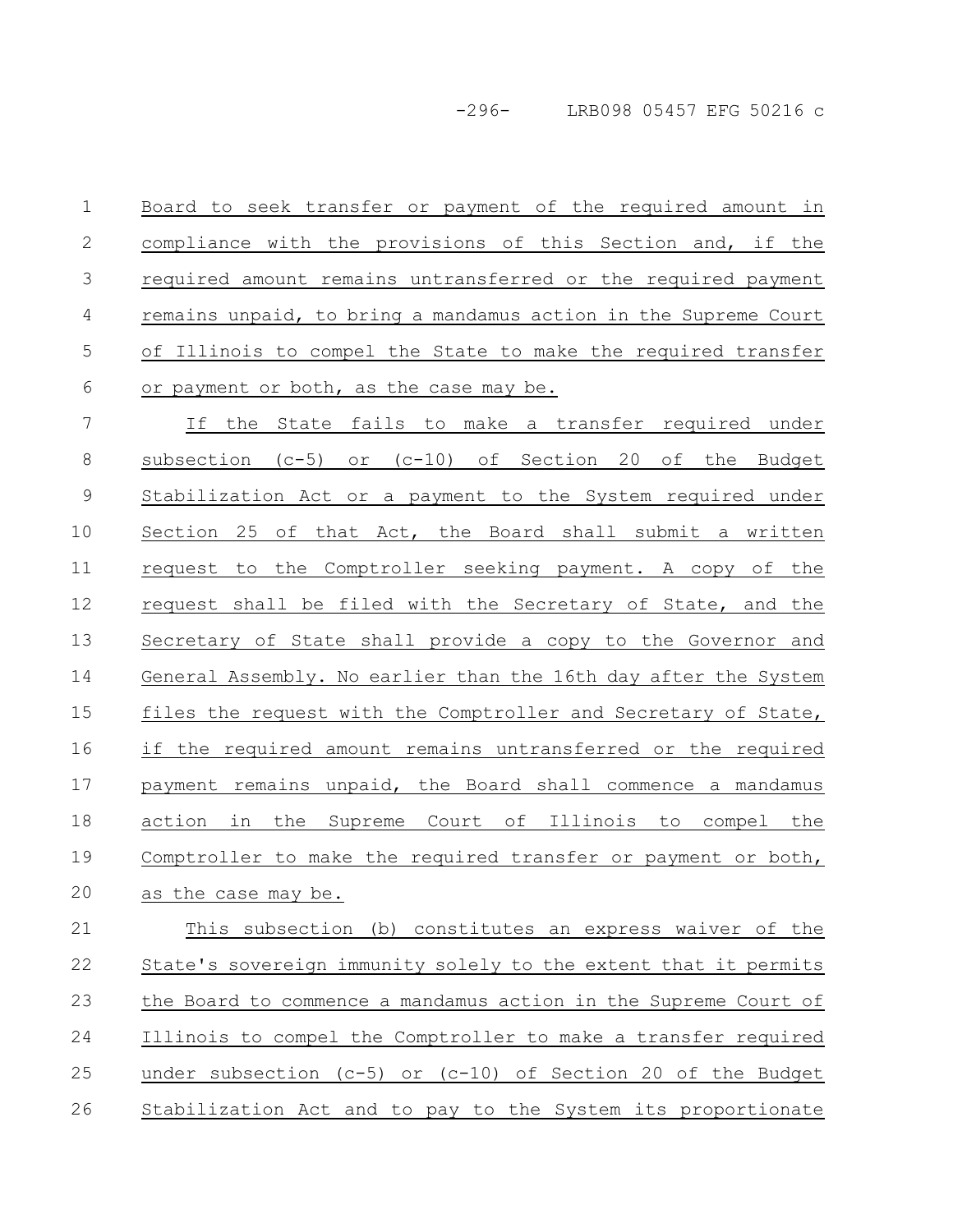-296- LRB098 05457 EFG 50216 c

Board to seek transfer or payment of the required amount in compliance with the provisions of this Section and, if the required amount remains untransferred or the required payment remains unpaid, to bring a mandamus action in the Supreme Court of Illinois to compel the State to make the required transfer or payment or both, as the case may be. 1 2 3 4 5 6

If the State fails to make a transfer required under subsection (c-5) or (c-10) of Section 20 of the Budget Stabilization Act or a payment to the System required under Section 25 of that Act, the Board shall submit a written request to the Comptroller seeking payment. A copy of the request shall be filed with the Secretary of State, and the Secretary of State shall provide a copy to the Governor and General Assembly. No earlier than the 16th day after the System files the request with the Comptroller and Secretary of State, if the required amount remains untransferred or the required payment remains unpaid, the Board shall commence a mandamus action in the Supreme Court of Illinois to compel the Comptroller to make the required transfer or payment or both, as the case may be. 7 8 9 10 11 12 13 14 15 16 17 18 19 20

This subsection (b) constitutes an express waiver of the State's sovereign immunity solely to the extent that it permits the Board to commence a mandamus action in the Supreme Court of Illinois to compel the Comptroller to make a transfer required under subsection (c-5) or (c-10) of Section 20 of the Budget Stabilization Act and to pay to the System its proportionate 21 22 23 24 25 26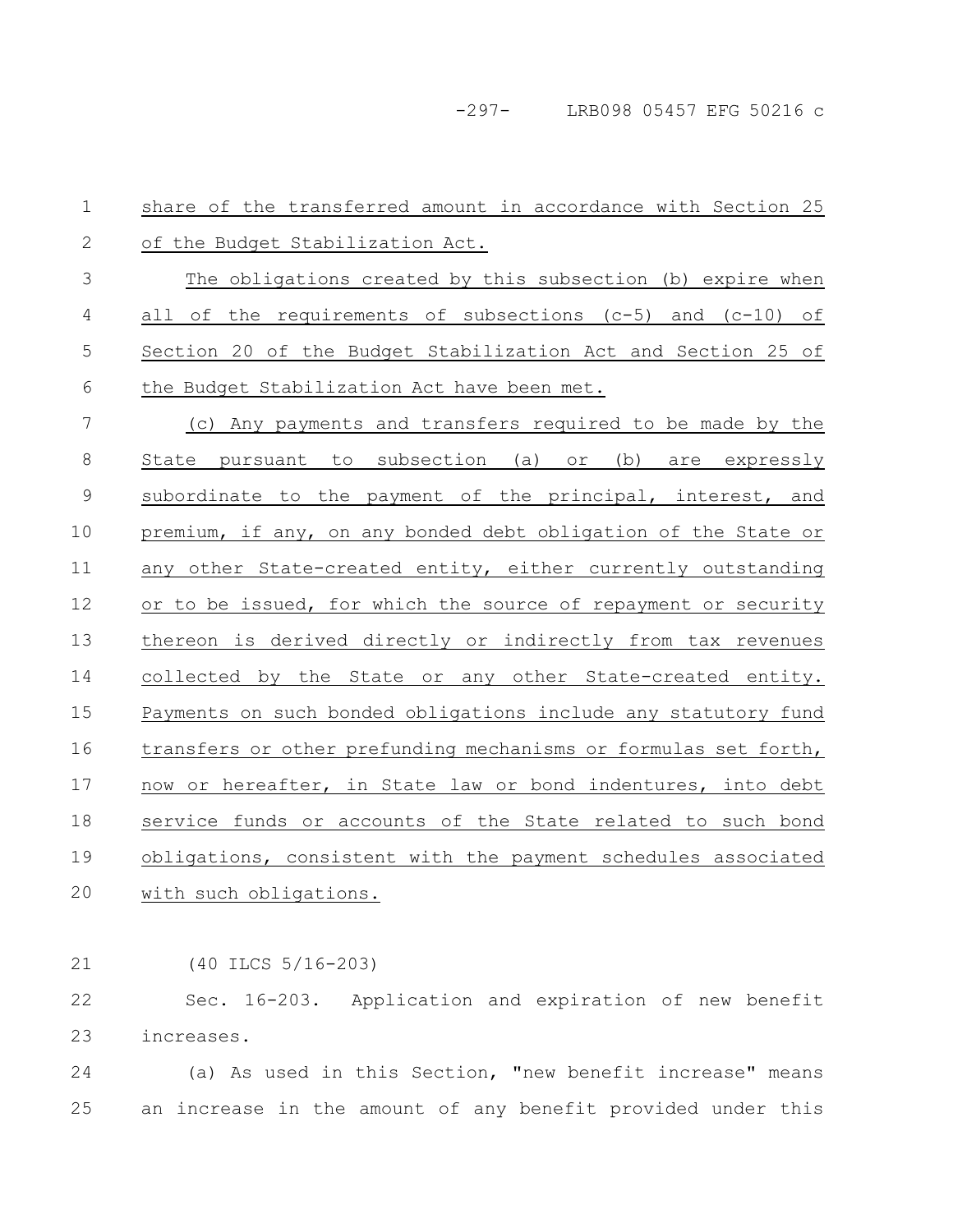-297- LRB098 05457 EFG 50216 c

share of the transferred amount in accordance with Section 25 of the Budget Stabilization Act. The obligations created by this subsection (b) expire when all of the requirements of subsections  $(c-5)$  and  $(c-10)$  of Section 20 of the Budget Stabilization Act and Section 25 of the Budget Stabilization Act have been met. (c) Any payments and transfers required to be made by the State pursuant to subsection (a) or (b) are expressly subordinate to the payment of the principal, interest, and premium, if any, on any bonded debt obligation of the State or any other State-created entity, either currently outstanding or to be issued, for which the source of repayment or security thereon is derived directly or indirectly from tax revenues collected by the State or any other State-created entity. Payments on such bonded obligations include any statutory fund transfers or other prefunding mechanisms or formulas set forth, now or hereafter, in State law or bond indentures, into debt service funds or accounts of the State related to such bond obligations, consistent with the payment schedules associated with such obligations. 1 2 3 4 5 6 7 8 9 10 11 12 13 14 15 16 17 18 19 20

(40 ILCS 5/16-203) 21

Sec. 16-203. Application and expiration of new benefit increases. 22 23

(a) As used in this Section, "new benefit increase" means an increase in the amount of any benefit provided under this 24 25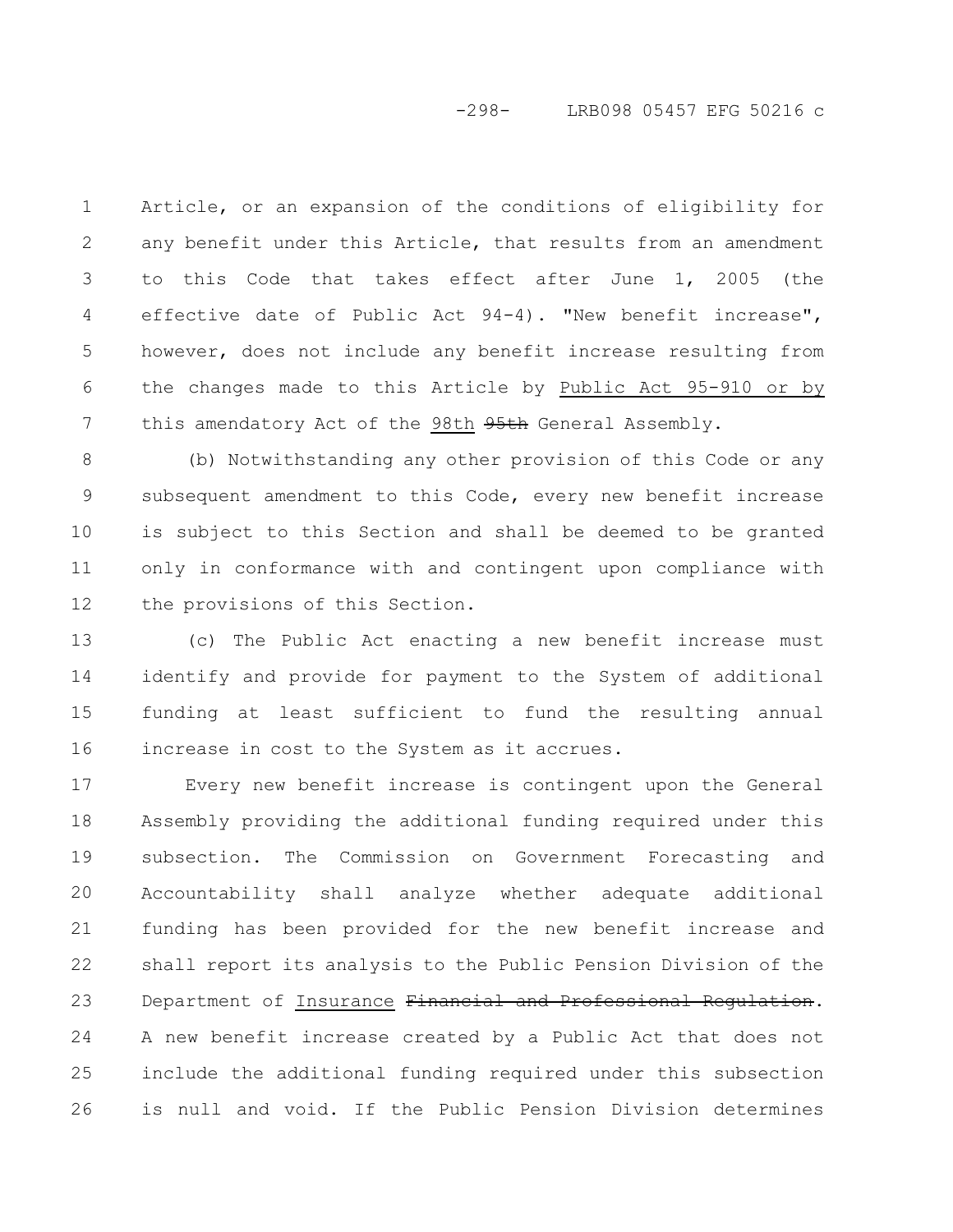## -298- LRB098 05457 EFG 50216 c

Article, or an expansion of the conditions of eligibility for any benefit under this Article, that results from an amendment to this Code that takes effect after June 1, 2005 (the effective date of Public Act 94-4). "New benefit increase", however, does not include any benefit increase resulting from the changes made to this Article by Public Act 95-910 or by this amendatory Act of the 98th 95th General Assembly. 1 2 3 4 5 6 7

(b) Notwithstanding any other provision of this Code or any subsequent amendment to this Code, every new benefit increase is subject to this Section and shall be deemed to be granted only in conformance with and contingent upon compliance with the provisions of this Section. 8 9 10 11 12

(c) The Public Act enacting a new benefit increase must identify and provide for payment to the System of additional funding at least sufficient to fund the resulting annual increase in cost to the System as it accrues. 13 14 15 16

Every new benefit increase is contingent upon the General Assembly providing the additional funding required under this subsection. The Commission on Government Forecasting and Accountability shall analyze whether adequate additional funding has been provided for the new benefit increase and shall report its analysis to the Public Pension Division of the Department of Insurance Financial and Professional Regulation. A new benefit increase created by a Public Act that does not include the additional funding required under this subsection is null and void. If the Public Pension Division determines 17 18 19 20 21 22 23 24 25 26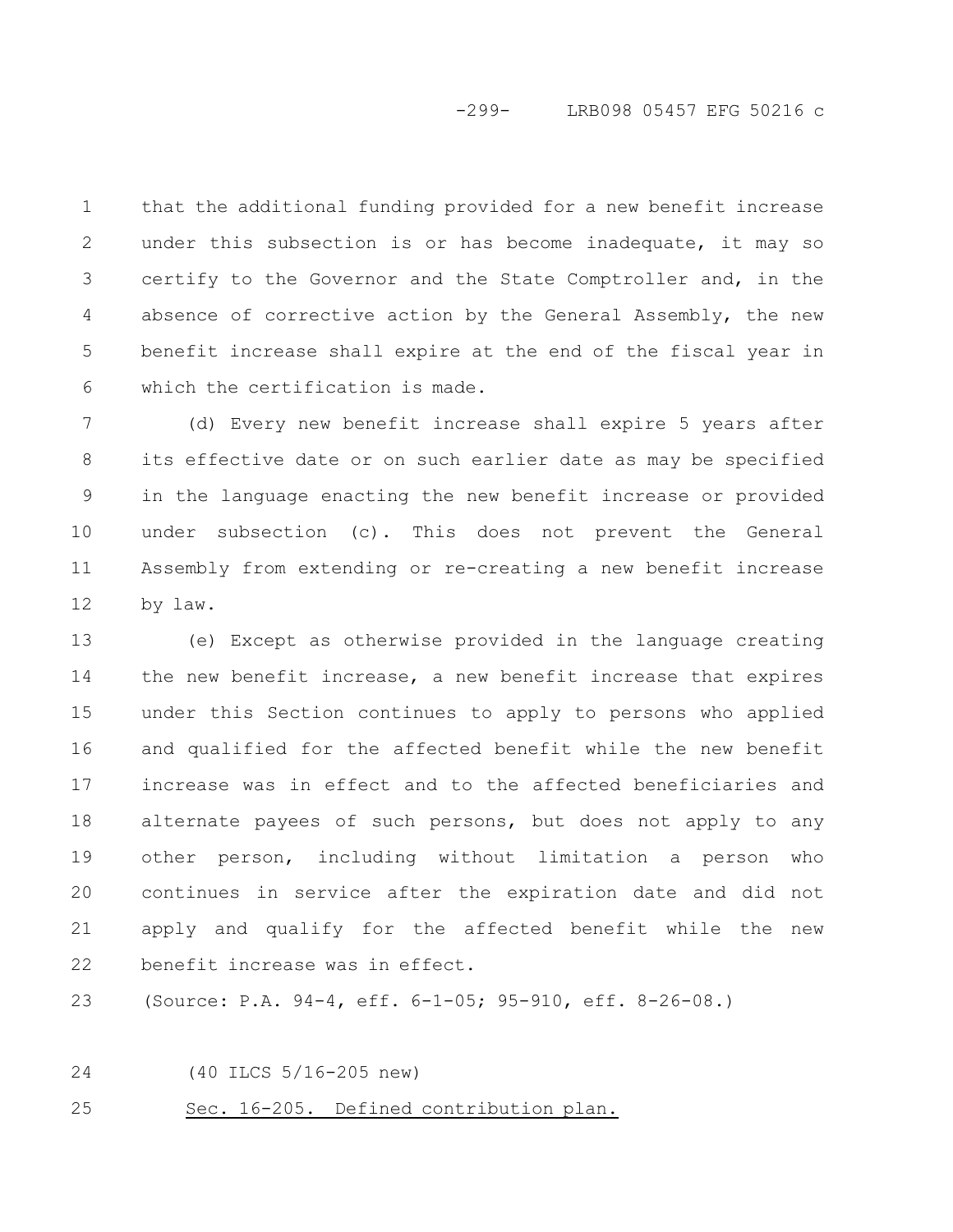## -299- LRB098 05457 EFG 50216 c

that the additional funding provided for a new benefit increase under this subsection is or has become inadequate, it may so certify to the Governor and the State Comptroller and, in the absence of corrective action by the General Assembly, the new benefit increase shall expire at the end of the fiscal year in which the certification is made. 1 2 3 4 5 6

(d) Every new benefit increase shall expire 5 years after its effective date or on such earlier date as may be specified in the language enacting the new benefit increase or provided under subsection (c). This does not prevent the General Assembly from extending or re-creating a new benefit increase by law. 7 8 9 10 11 12

(e) Except as otherwise provided in the language creating the new benefit increase, a new benefit increase that expires under this Section continues to apply to persons who applied and qualified for the affected benefit while the new benefit increase was in effect and to the affected beneficiaries and alternate payees of such persons, but does not apply to any other person, including without limitation a person who continues in service after the expiration date and did not apply and qualify for the affected benefit while the new benefit increase was in effect. 13 14 15 16 17 18 19 20 21 22

(Source: P.A. 94-4, eff. 6-1-05; 95-910, eff. 8-26-08.) 23

(40 ILCS 5/16-205 new) 24

Sec. 16-205. Defined contribution plan. 25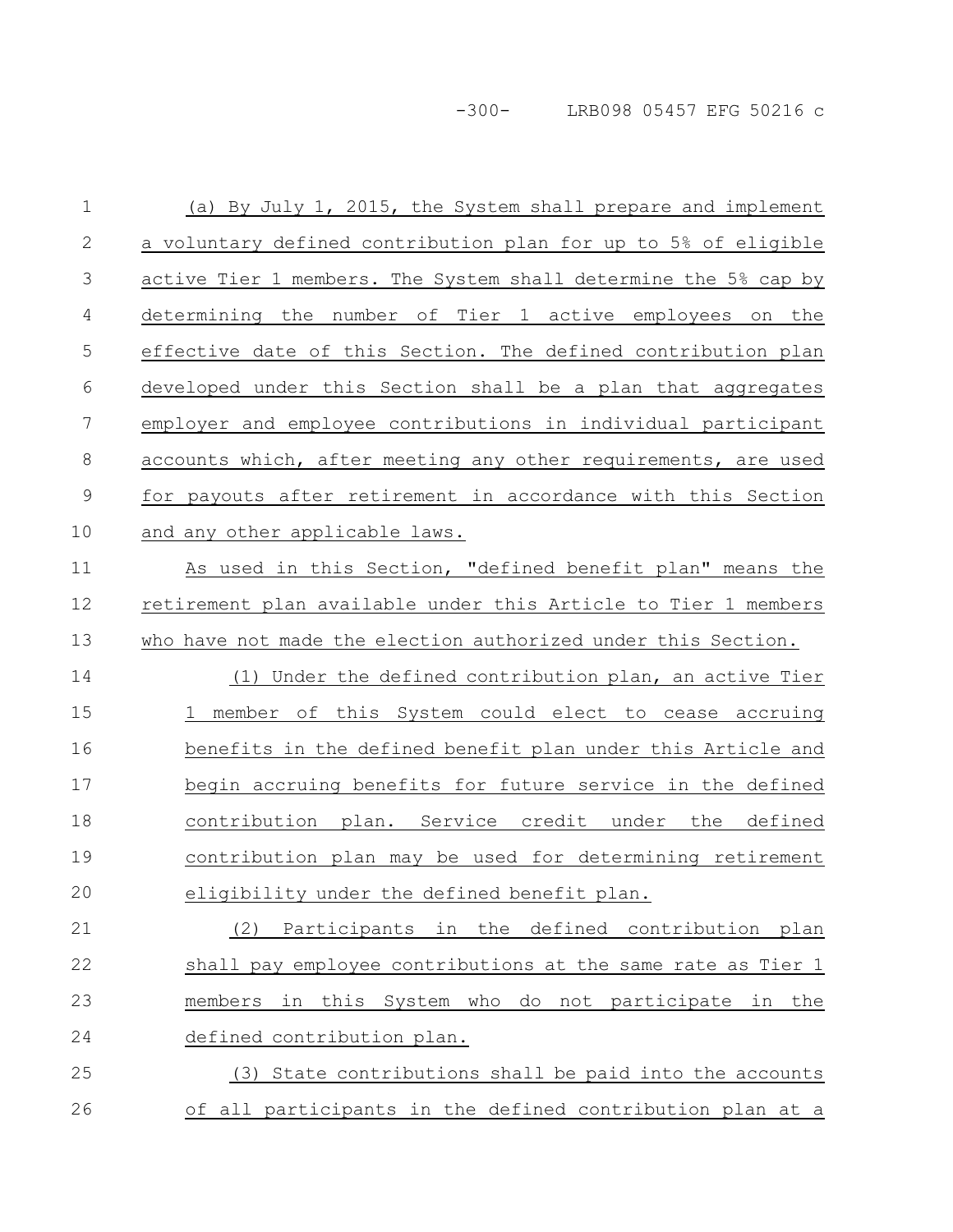-300- LRB098 05457 EFG 50216 c

| $\mathbf{1}$   | (a) By July 1, 2015, the System shall prepare and implement     |
|----------------|-----------------------------------------------------------------|
| 2              | a voluntary defined contribution plan for up to 5% of eligible  |
| 3              | active Tier 1 members. The System shall determine the 5% cap by |
| 4              | determining the number of Tier 1 active employees on the        |
| 5              | effective date of this Section. The defined contribution plan   |
| 6              | developed under this Section shall be a plan that aggregates    |
| $\overline{7}$ | employer and employee contributions in individual participant   |
| $\,8\,$        | accounts which, after meeting any other requirements, are used  |
| $\mathcal{G}$  | for payouts after retirement in accordance with this Section    |
| 10             | and any other applicable laws.                                  |
| 11             | As used in this Section, "defined benefit plan" means the       |
| 12             | retirement plan available under this Article to Tier 1 members  |
| 13             | who have not made the election authorized under this Section.   |
| 14             | (1) Under the defined contribution plan, an active Tier         |
| 15             | 1 member of this System could elect to cease accruing           |
| 16             | benefits in the defined benefit plan under this Article and     |
| 17             | begin accruing benefits for future service in the defined       |
| 18             | contribution plan. Service credit under the defined             |
| 19             | contribution plan may be used for determining retirement        |
| 20             | eligibility under the defined benefit plan.                     |
| 21             | Participants in the defined contribution<br>(2)<br>plan         |
| 22             | shall pay employee contributions at the same rate as Tier 1     |
| 23             | in this System who do not participate in the<br>members         |
| 24             | defined contribution plan.                                      |
| 25             | (3) State contributions shall be paid into the accounts         |
| 26             | of all participants in the defined contribution plan at a       |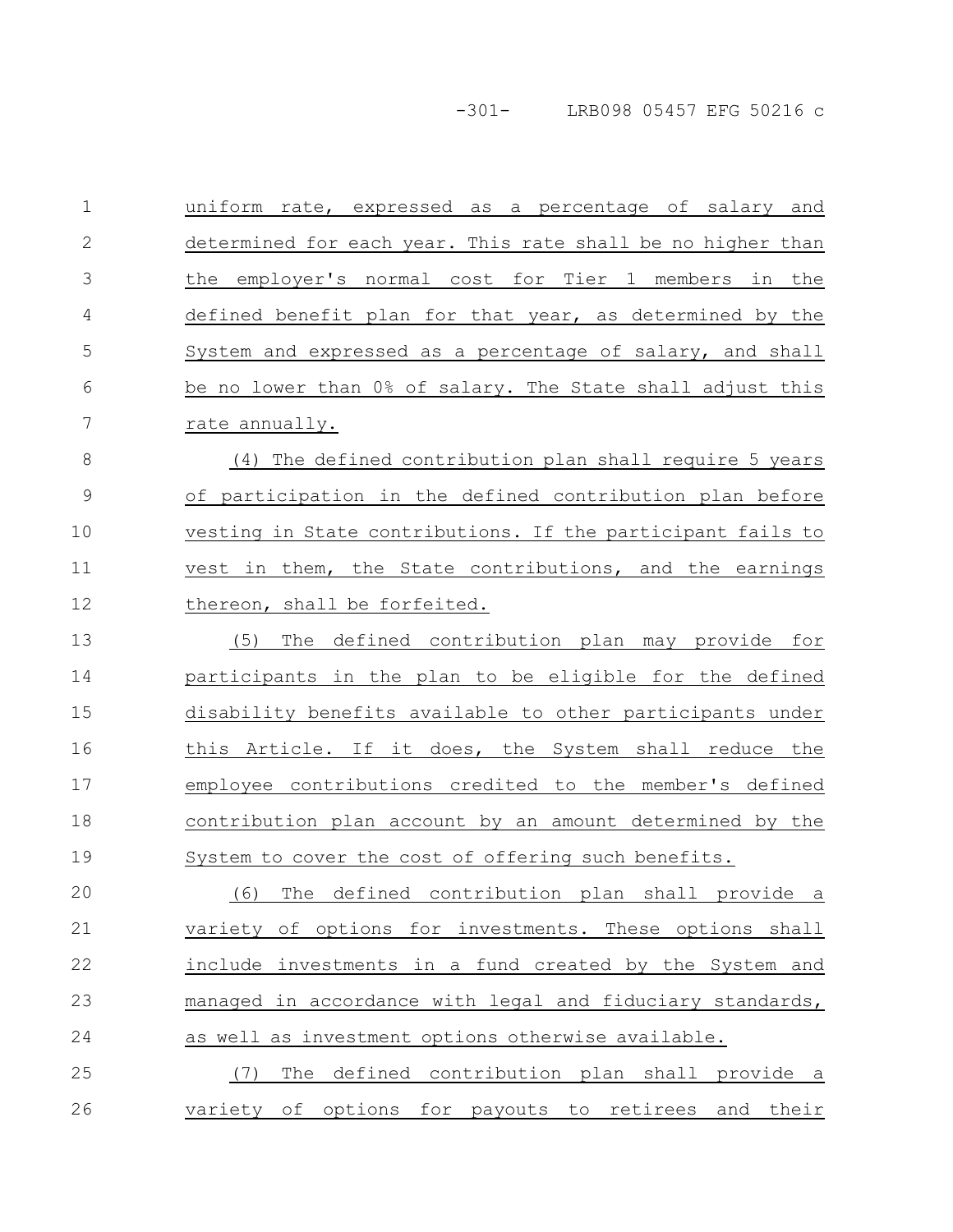-301- LRB098 05457 EFG 50216 c

uniform rate, expressed as a percentage of salary and determined for each year. This rate shall be no higher than the employer's normal cost for Tier 1 members in the defined benefit plan for that year, as determined by the System and expressed as a percentage of salary, and shall be no lower than 0% of salary. The State shall adjust this rate annually. (4) The defined contribution plan shall require 5 years of participation in the defined contribution plan before vesting in State contributions. If the participant fails to vest in them, the State contributions, and the earnings thereon, shall be forfeited. (5) The defined contribution plan may provide for participants in the plan to be eligible for the defined disability benefits available to other participants under this Article. If it does, the System shall reduce the employee contributions credited to the member's defined contribution plan account by an amount determined by the System to cover the cost of offering such benefits. (6) The defined contribution plan shall provide a variety of options for investments. These options shall include investments in a fund created by the System and managed in accordance with legal and fiduciary standards, as well as investment options otherwise available. (7) The defined contribution plan shall provide a variety of options for payouts to retirees and their 1 2 3 4 5 6 7 8 9 10 11 12 13 14 15 16 17 18 19 20 21 22 23 24 25 26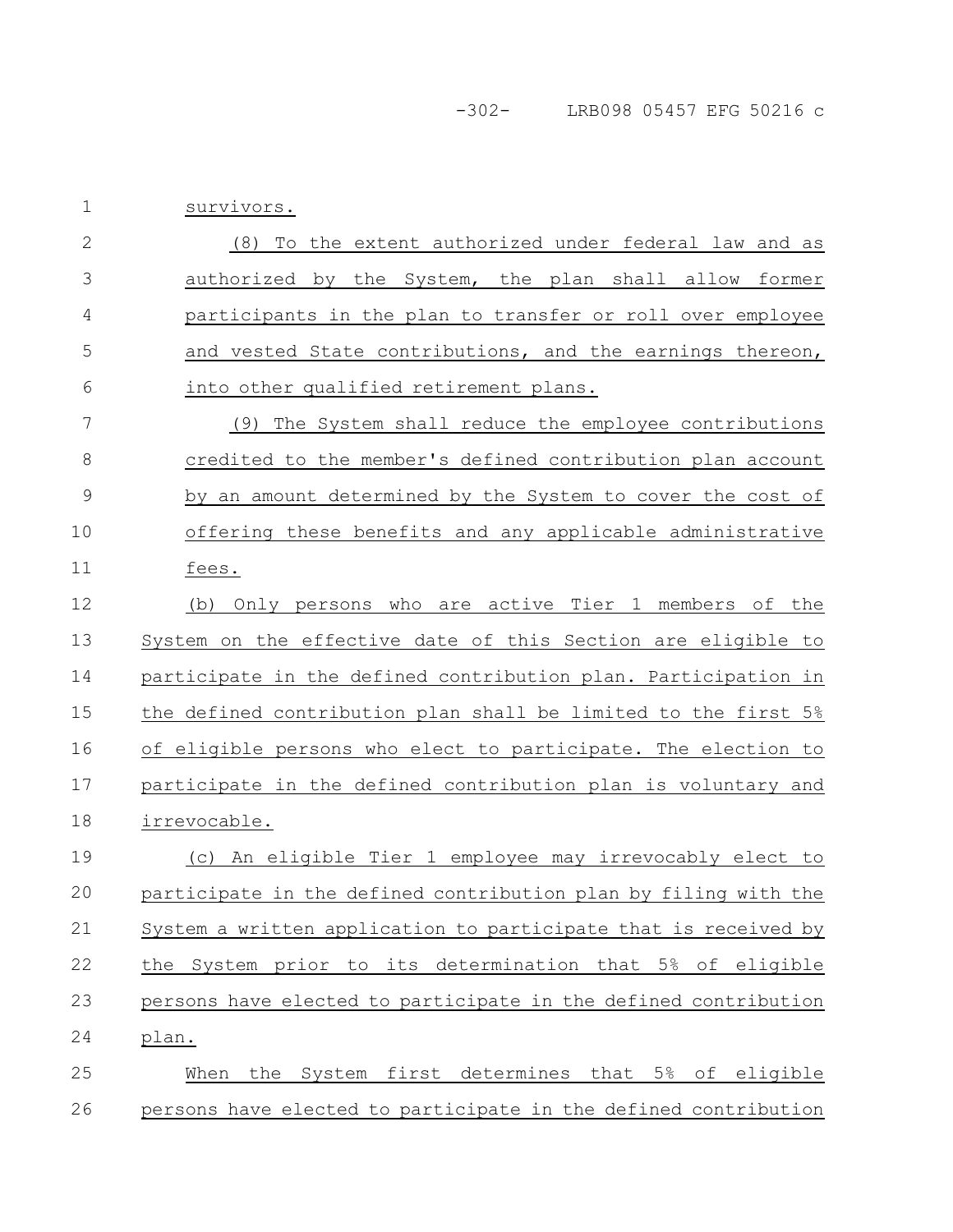survivors. 1

(8) To the extent authorized under federal law and as authorized by the System, the plan shall allow former participants in the plan to transfer or roll over employee and vested State contributions, and the earnings thereon, into other qualified retirement plans. 2 3 4 5 6

(9) The System shall reduce the employee contributions credited to the member's defined contribution plan account by an amount determined by the System to cover the cost of offering these benefits and any applicable administrative fees. 7 8 9 10 11

(b) Only persons who are active Tier 1 members of the System on the effective date of this Section are eligible to participate in the defined contribution plan. Participation in the defined contribution plan shall be limited to the first 5% of eligible persons who elect to participate. The election to participate in the defined contribution plan is voluntary and irrevocable. 12 13 14 15 16 17 18

(c) An eligible Tier 1 employee may irrevocably elect to participate in the defined contribution plan by filing with the System a written application to participate that is received by the System prior to its determination that 5% of eligible persons have elected to participate in the defined contribution plan. 19 20 21 22 23 24

When the System first determines that 5% of eligible persons have elected to participate in the defined contribution 25 26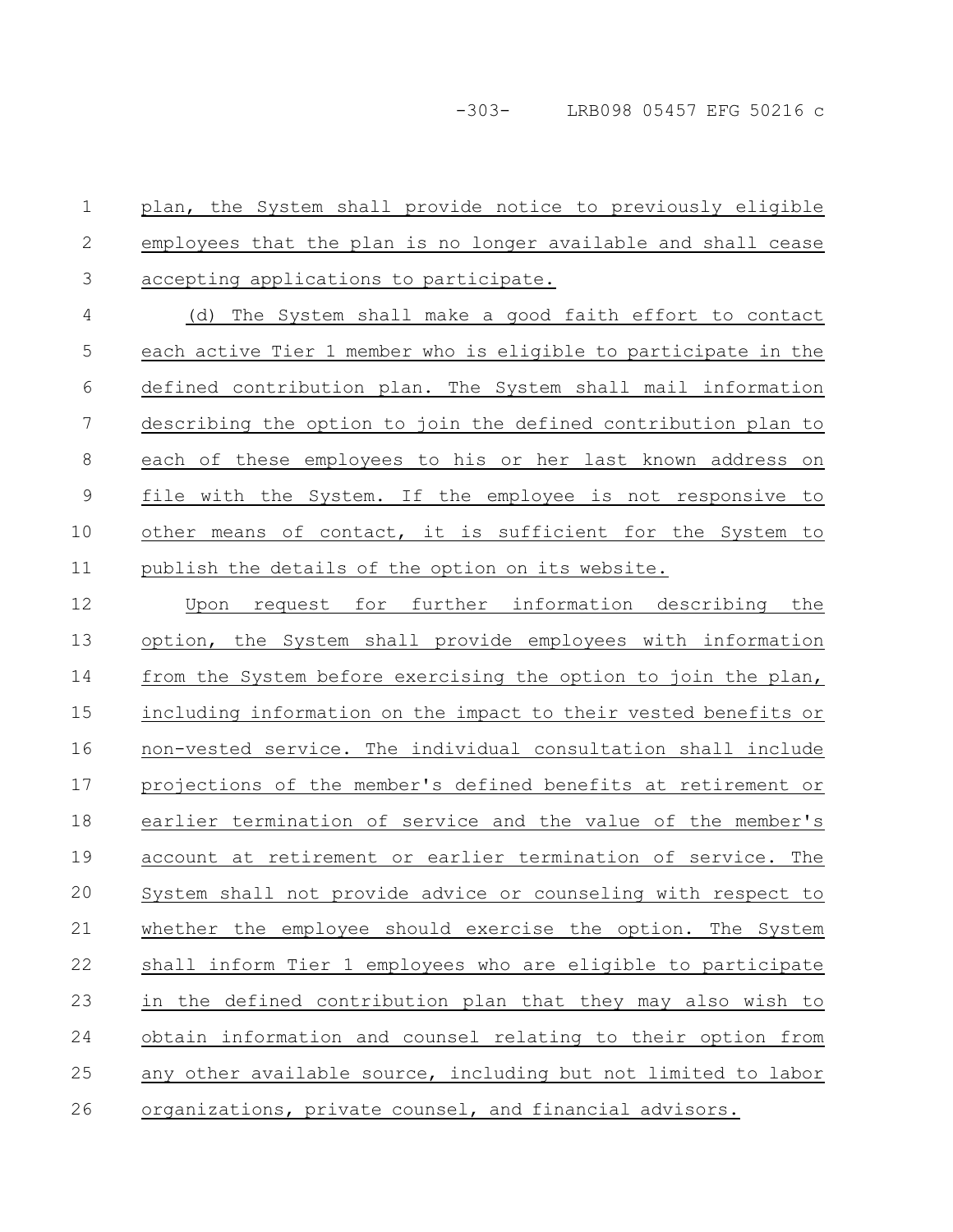plan, the System shall provide notice to previously eligible employees that the plan is no longer available and shall cease accepting applications to participate. 1 2 3

(d) The System shall make a good faith effort to contact each active Tier 1 member who is eligible to participate in the defined contribution plan. The System shall mail information describing the option to join the defined contribution plan to each of these employees to his or her last known address on file with the System. If the employee is not responsive to other means of contact, it is sufficient for the System to publish the details of the option on its website. 4 5 6 7 8 9 10 11

Upon request for further information describing the option, the System shall provide employees with information from the System before exercising the option to join the plan, including information on the impact to their vested benefits or non-vested service. The individual consultation shall include projections of the member's defined benefits at retirement or earlier termination of service and the value of the member's account at retirement or earlier termination of service. The System shall not provide advice or counseling with respect to whether the employee should exercise the option. The System shall inform Tier 1 employees who are eligible to participate in the defined contribution plan that they may also wish to obtain information and counsel relating to their option from any other available source, including but not limited to labor organizations, private counsel, and financial advisors. 12 13 14 15 16 17 18 19 20 21 22 23 24 25 26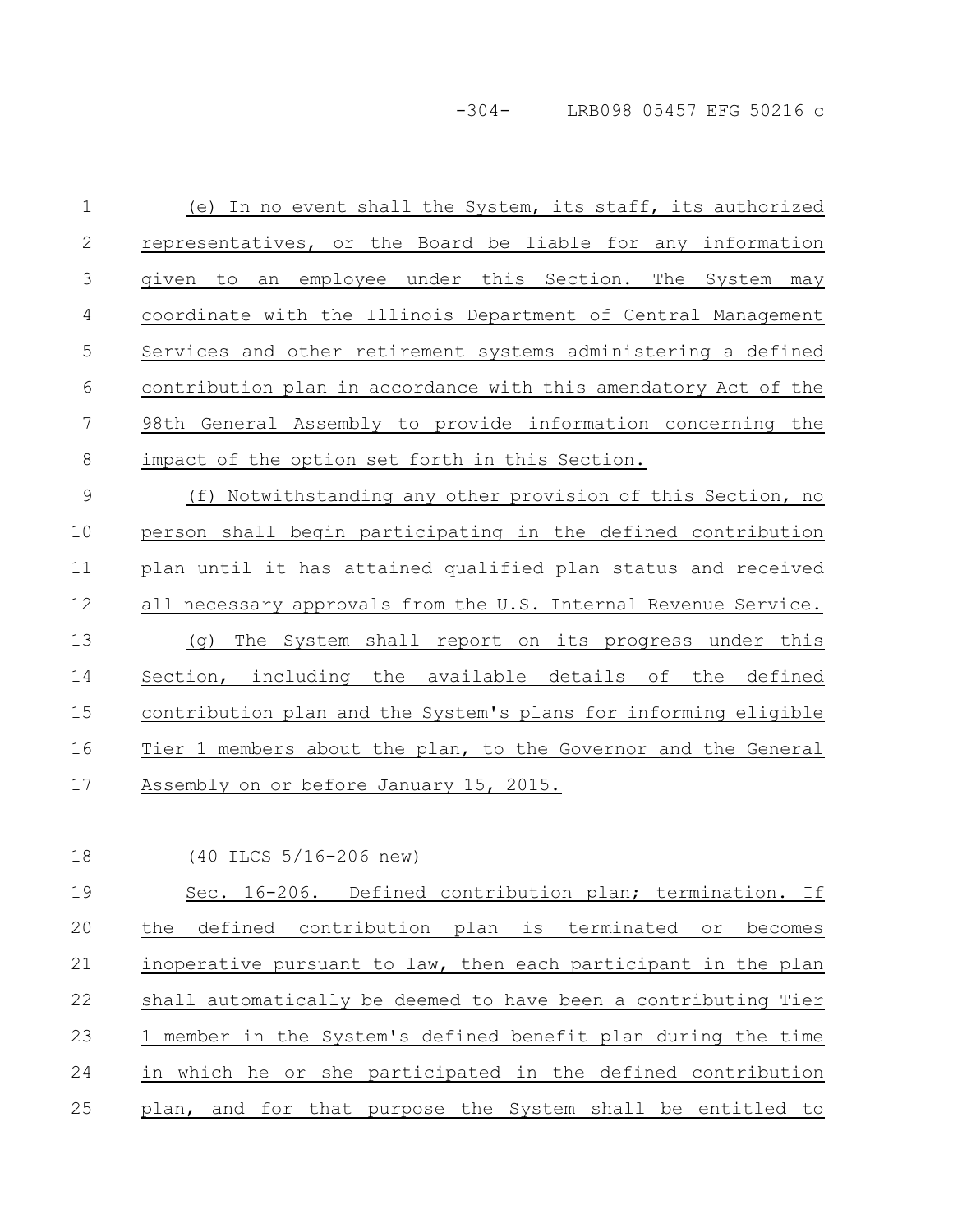-304- LRB098 05457 EFG 50216 c

(e) In no event shall the System, its staff, its authorized representatives, or the Board be liable for any information given to an employee under this Section. The System may coordinate with the Illinois Department of Central Management Services and other retirement systems administering a defined contribution plan in accordance with this amendatory Act of the 98th General Assembly to provide information concerning the impact of the option set forth in this Section. (f) Notwithstanding any other provision of this Section, no person shall begin participating in the defined contribution plan until it has attained qualified plan status and received all necessary approvals from the U.S. Internal Revenue Service. (g) The System shall report on its progress under this Section, including the available details of the defined contribution plan and the System's plans for informing eligible 1 2 3 4 5 6 7 8 9 10 11 12 13 14 15

Assembly on or before January 15, 2015. 17

18

16

(40 ILCS 5/16-206 new)

Sec. 16-206. Defined contribution plan; termination. If the defined contribution plan is terminated or becomes inoperative pursuant to law, then each participant in the plan shall automatically be deemed to have been a contributing Tier 1 member in the System's defined benefit plan during the time in which he or she participated in the defined contribution plan, and for that purpose the System shall be entitled to 19 20 21 22 23 24 25

Tier 1 members about the plan, to the Governor and the General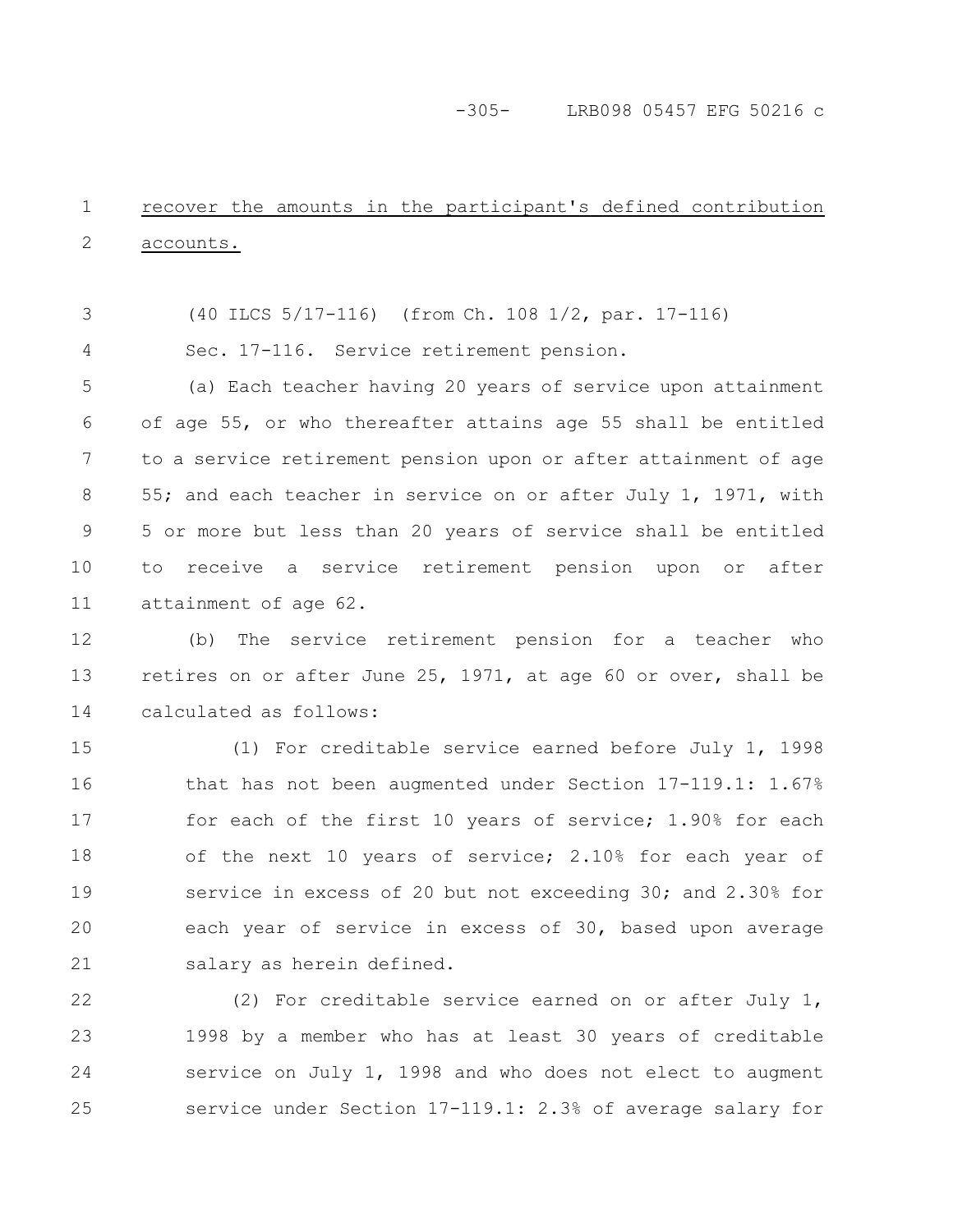-305- LRB098 05457 EFG 50216 c

#### recover the amounts in the participant's defined contribution accounts. 1 2

(40 ILCS 5/17-116) (from Ch. 108 1/2, par. 17-116) 3

Sec. 17-116. Service retirement pension. 4

(a) Each teacher having 20 years of service upon attainment of age 55, or who thereafter attains age 55 shall be entitled to a service retirement pension upon or after attainment of age 55; and each teacher in service on or after July 1, 1971, with 5 or more but less than 20 years of service shall be entitled to receive a service retirement pension upon or after attainment of age 62. 5 6 7 8 9 10 11

(b) The service retirement pension for a teacher who retires on or after June 25, 1971, at age 60 or over, shall be calculated as follows: 12 13 14

(1) For creditable service earned before July 1, 1998 that has not been augmented under Section 17-119.1: 1.67% for each of the first 10 years of service; 1.90% for each of the next 10 years of service; 2.10% for each year of service in excess of 20 but not exceeding 30; and 2.30% for each year of service in excess of 30, based upon average salary as herein defined. 15 16 17 18 19 20 21

(2) For creditable service earned on or after July 1, 1998 by a member who has at least 30 years of creditable service on July 1, 1998 and who does not elect to augment service under Section 17-119.1: 2.3% of average salary for 22 23 24 25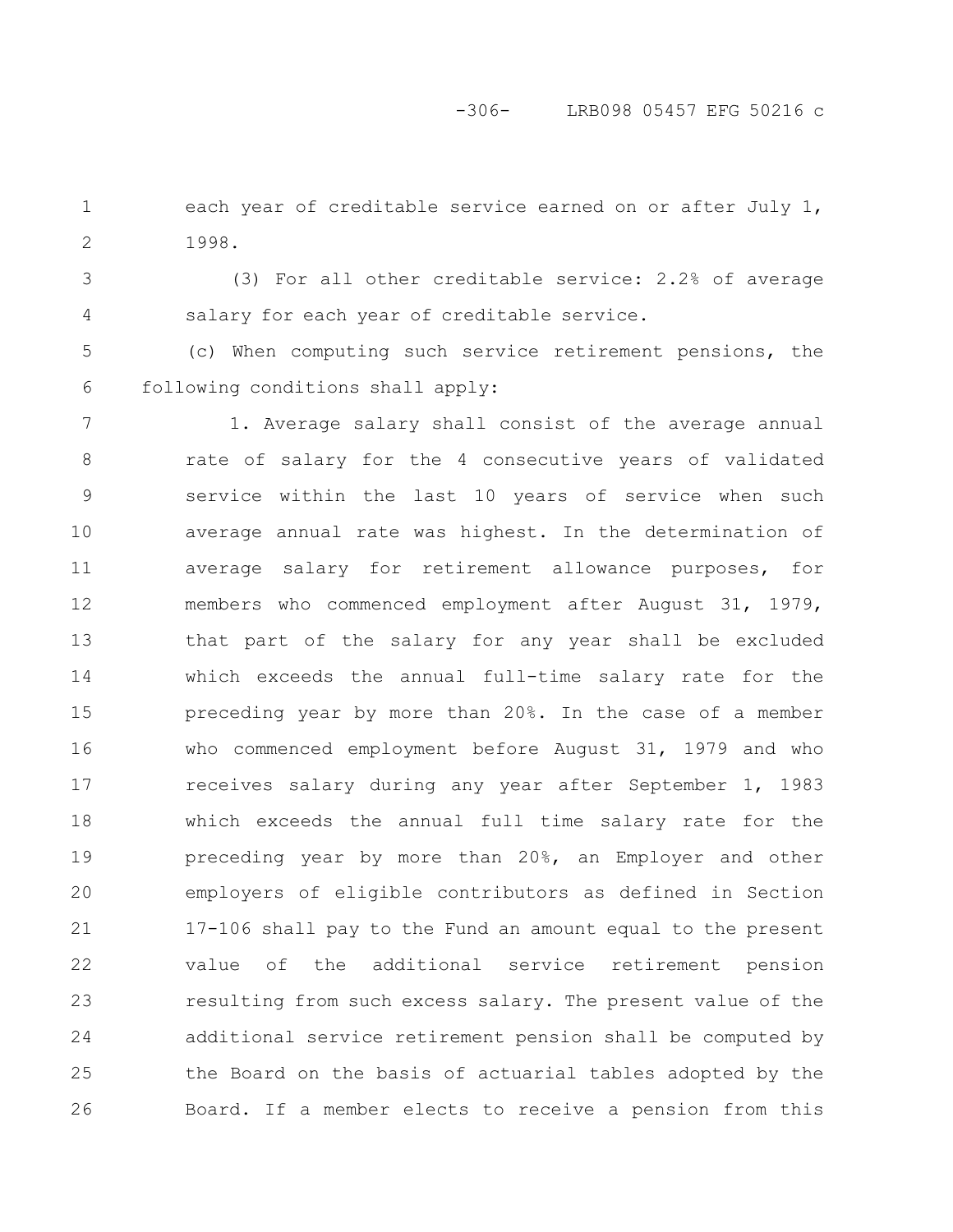### -306- LRB098 05457 EFG 50216 c

each year of creditable service earned on or after July 1, 1998. 1 2

3 4

(3) For all other creditable service: 2.2% of average salary for each year of creditable service.

(c) When computing such service retirement pensions, the following conditions shall apply: 5 6

1. Average salary shall consist of the average annual rate of salary for the 4 consecutive years of validated service within the last 10 years of service when such average annual rate was highest. In the determination of average salary for retirement allowance purposes, for members who commenced employment after August 31, 1979, that part of the salary for any year shall be excluded which exceeds the annual full-time salary rate for the preceding year by more than 20%. In the case of a member who commenced employment before August 31, 1979 and who receives salary during any year after September 1, 1983 which exceeds the annual full time salary rate for the preceding year by more than 20%, an Employer and other employers of eligible contributors as defined in Section 17-106 shall pay to the Fund an amount equal to the present value of the additional service retirement pension resulting from such excess salary. The present value of the additional service retirement pension shall be computed by the Board on the basis of actuarial tables adopted by the Board. If a member elects to receive a pension from this 7 8 9 10 11 12 13 14 15 16 17 18 19 20 21 22 23 24 25 26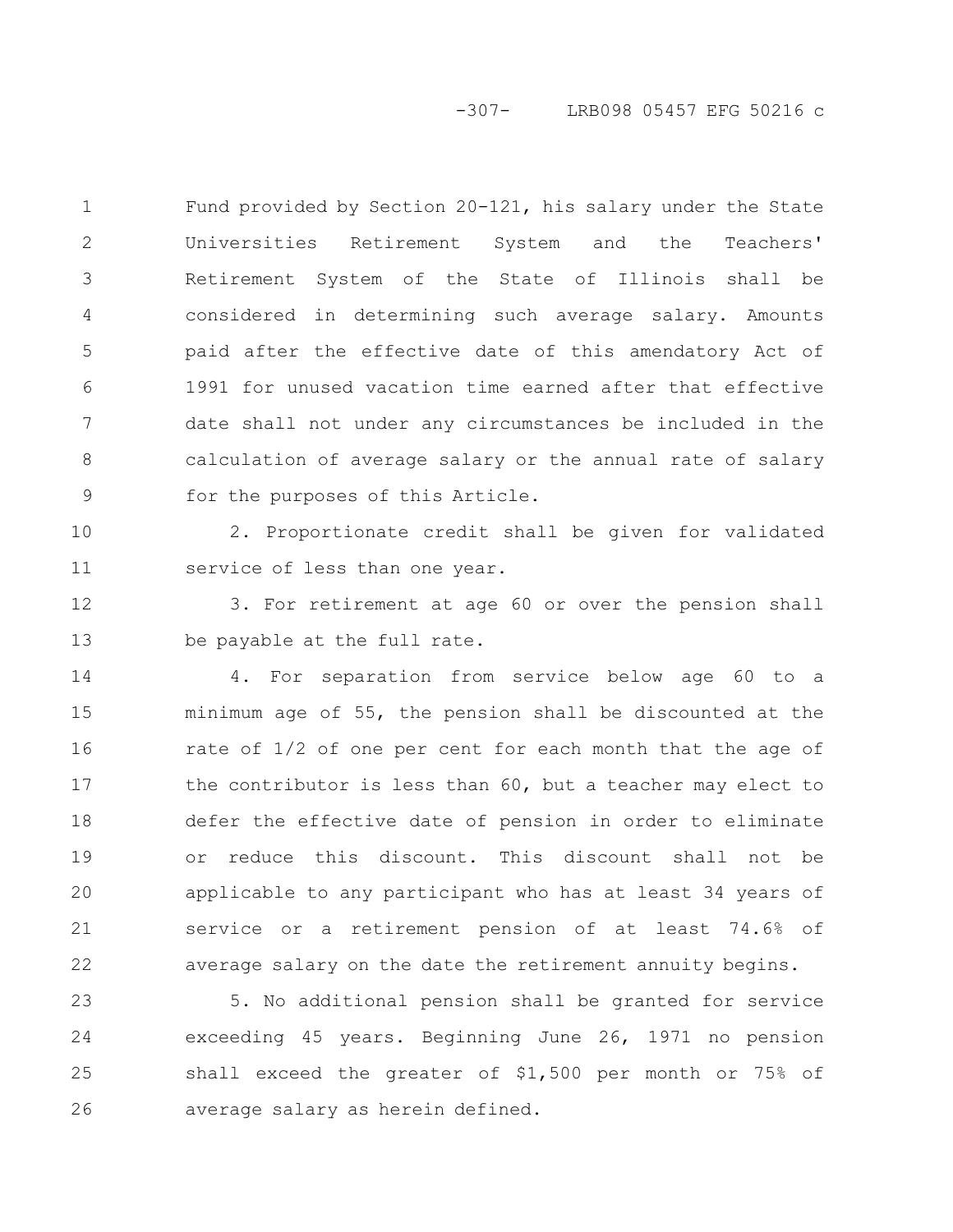-307- LRB098 05457 EFG 50216 c

Fund provided by Section 20-121, his salary under the State Universities Retirement System and the Teachers' Retirement System of the State of Illinois shall be considered in determining such average salary. Amounts paid after the effective date of this amendatory Act of 1991 for unused vacation time earned after that effective date shall not under any circumstances be included in the calculation of average salary or the annual rate of salary for the purposes of this Article. 1 2 3 4 5 6 7 8 9

10

11

2. Proportionate credit shall be given for validated service of less than one year.

3. For retirement at age 60 or over the pension shall be payable at the full rate. 12 13

4. For separation from service below age 60 to a minimum age of 55, the pension shall be discounted at the rate of 1/2 of one per cent for each month that the age of the contributor is less than 60, but a teacher may elect to defer the effective date of pension in order to eliminate or reduce this discount. This discount shall not be applicable to any participant who has at least 34 years of service or a retirement pension of at least 74.6% of average salary on the date the retirement annuity begins. 14 15 16 17 18 19 20 21 22

5. No additional pension shall be granted for service exceeding 45 years. Beginning June 26, 1971 no pension shall exceed the greater of \$1,500 per month or 75% of average salary as herein defined. 23 24 25 26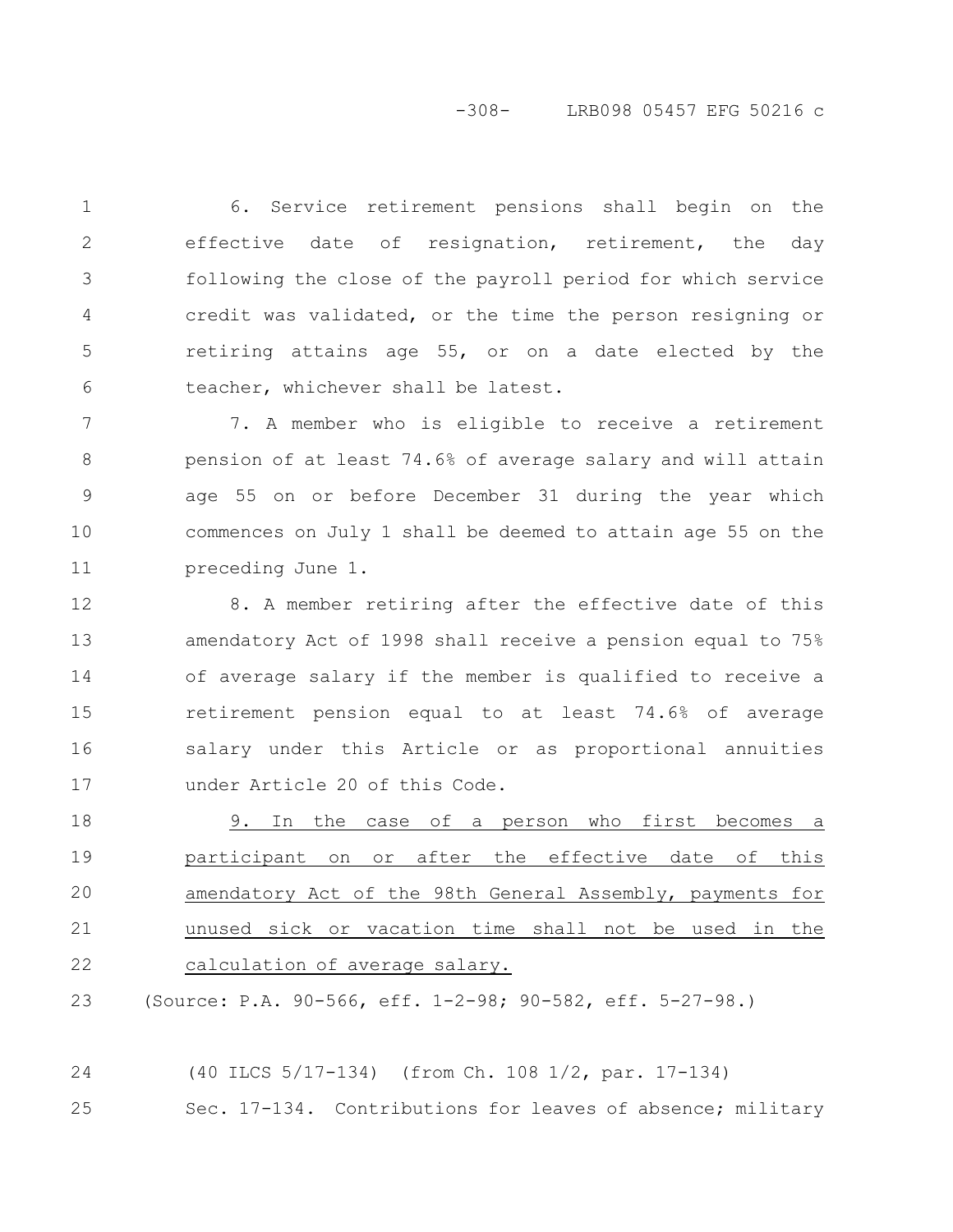# -308- LRB098 05457 EFG 50216 c

6. Service retirement pensions shall begin on the effective date of resignation, retirement, the day following the close of the payroll period for which service credit was validated, or the time the person resigning or retiring attains age 55, or on a date elected by the teacher, whichever shall be latest. 1 2 3 4 5 6

7. A member who is eligible to receive a retirement pension of at least 74.6% of average salary and will attain age 55 on or before December 31 during the year which commences on July 1 shall be deemed to attain age 55 on the preceding June 1. 7 8 9 10 11

8. A member retiring after the effective date of this amendatory Act of 1998 shall receive a pension equal to 75% of average salary if the member is qualified to receive a retirement pension equal to at least 74.6% of average salary under this Article or as proportional annuities under Article 20 of this Code. 12 13 14 15 16 17

9. In the case of a person who first becomes a participant on or after the effective date of this amendatory Act of the 98th General Assembly, payments for unused sick or vacation time shall not be used in the calculation of average salary. 18 19 20 21 22

(Source: P.A. 90-566, eff. 1-2-98; 90-582, eff. 5-27-98.) 23

(40 ILCS 5/17-134) (from Ch. 108 1/2, par. 17-134) Sec. 17-134. Contributions for leaves of absence; military 24 25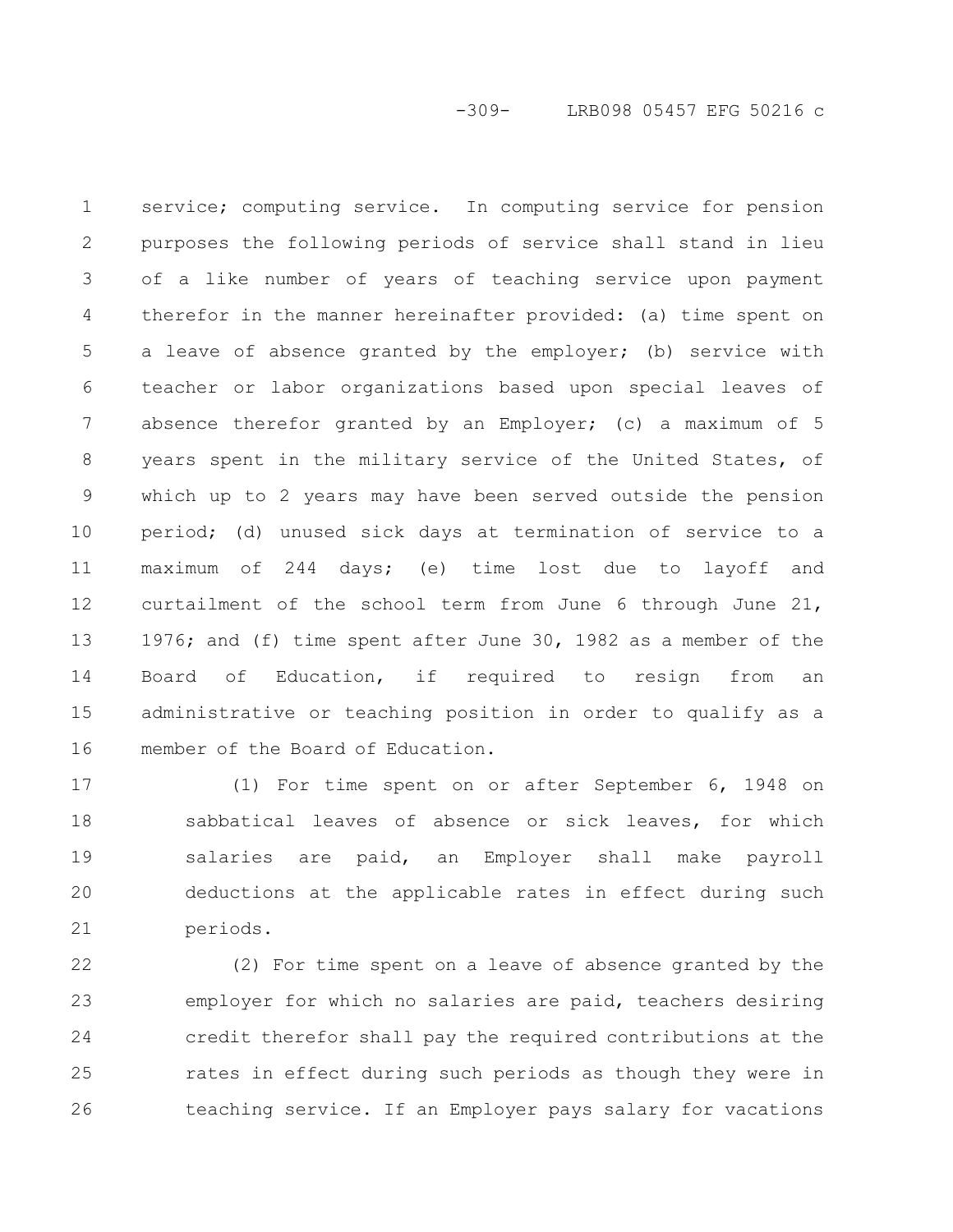-309- LRB098 05457 EFG 50216 c

service; computing service. In computing service for pension purposes the following periods of service shall stand in lieu of a like number of years of teaching service upon payment therefor in the manner hereinafter provided: (a) time spent on a leave of absence granted by the employer; (b) service with teacher or labor organizations based upon special leaves of absence therefor granted by an Employer; (c) a maximum of 5 years spent in the military service of the United States, of which up to 2 years may have been served outside the pension period; (d) unused sick days at termination of service to a maximum of 244 days; (e) time lost due to layoff and curtailment of the school term from June 6 through June 21, 1976; and (f) time spent after June 30, 1982 as a member of the Board of Education, if required to resign from an administrative or teaching position in order to qualify as a member of the Board of Education. 1 2 3 4 5 6 7 8 9 10 11 12 13 14 15 16

(1) For time spent on or after September 6, 1948 on sabbatical leaves of absence or sick leaves, for which salaries are paid, an Employer shall make payroll deductions at the applicable rates in effect during such periods. 17 18 19 20 21

(2) For time spent on a leave of absence granted by the employer for which no salaries are paid, teachers desiring credit therefor shall pay the required contributions at the rates in effect during such periods as though they were in teaching service. If an Employer pays salary for vacations 22 23 24 25 26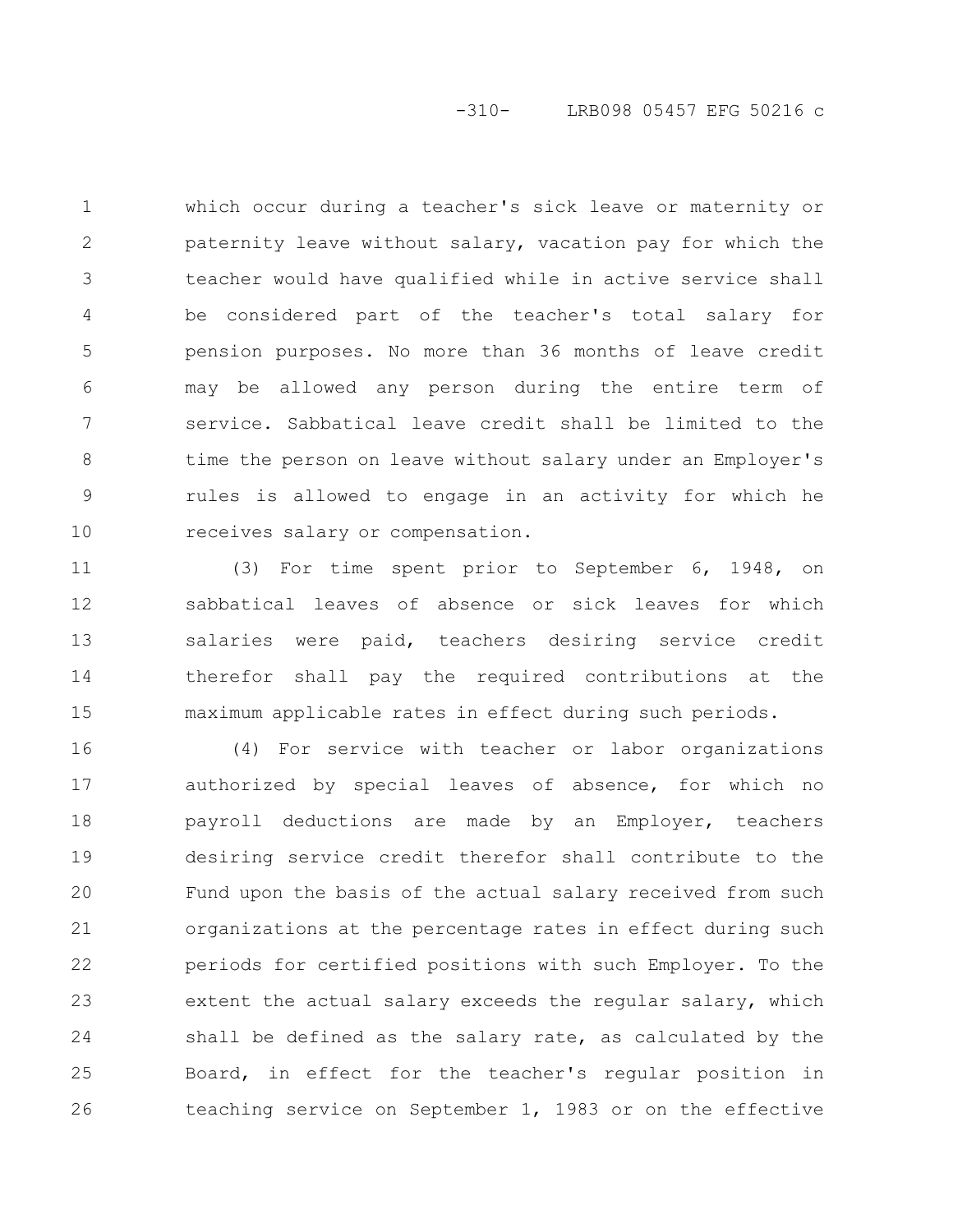# -310- LRB098 05457 EFG 50216 c

which occur during a teacher's sick leave or maternity or paternity leave without salary, vacation pay for which the teacher would have qualified while in active service shall be considered part of the teacher's total salary for pension purposes. No more than 36 months of leave credit may be allowed any person during the entire term of service. Sabbatical leave credit shall be limited to the time the person on leave without salary under an Employer's rules is allowed to engage in an activity for which he receives salary or compensation. 1 2 3 4 5 6 7 8 9 10

(3) For time spent prior to September 6, 1948, on sabbatical leaves of absence or sick leaves for which salaries were paid, teachers desiring service credit therefor shall pay the required contributions at the maximum applicable rates in effect during such periods. 11 12 13 14 15

(4) For service with teacher or labor organizations authorized by special leaves of absence, for which no payroll deductions are made by an Employer, teachers desiring service credit therefor shall contribute to the Fund upon the basis of the actual salary received from such organizations at the percentage rates in effect during such periods for certified positions with such Employer. To the extent the actual salary exceeds the regular salary, which shall be defined as the salary rate, as calculated by the Board, in effect for the teacher's regular position in teaching service on September 1, 1983 or on the effective 16 17 18 19 20 21 22 23 24 25 26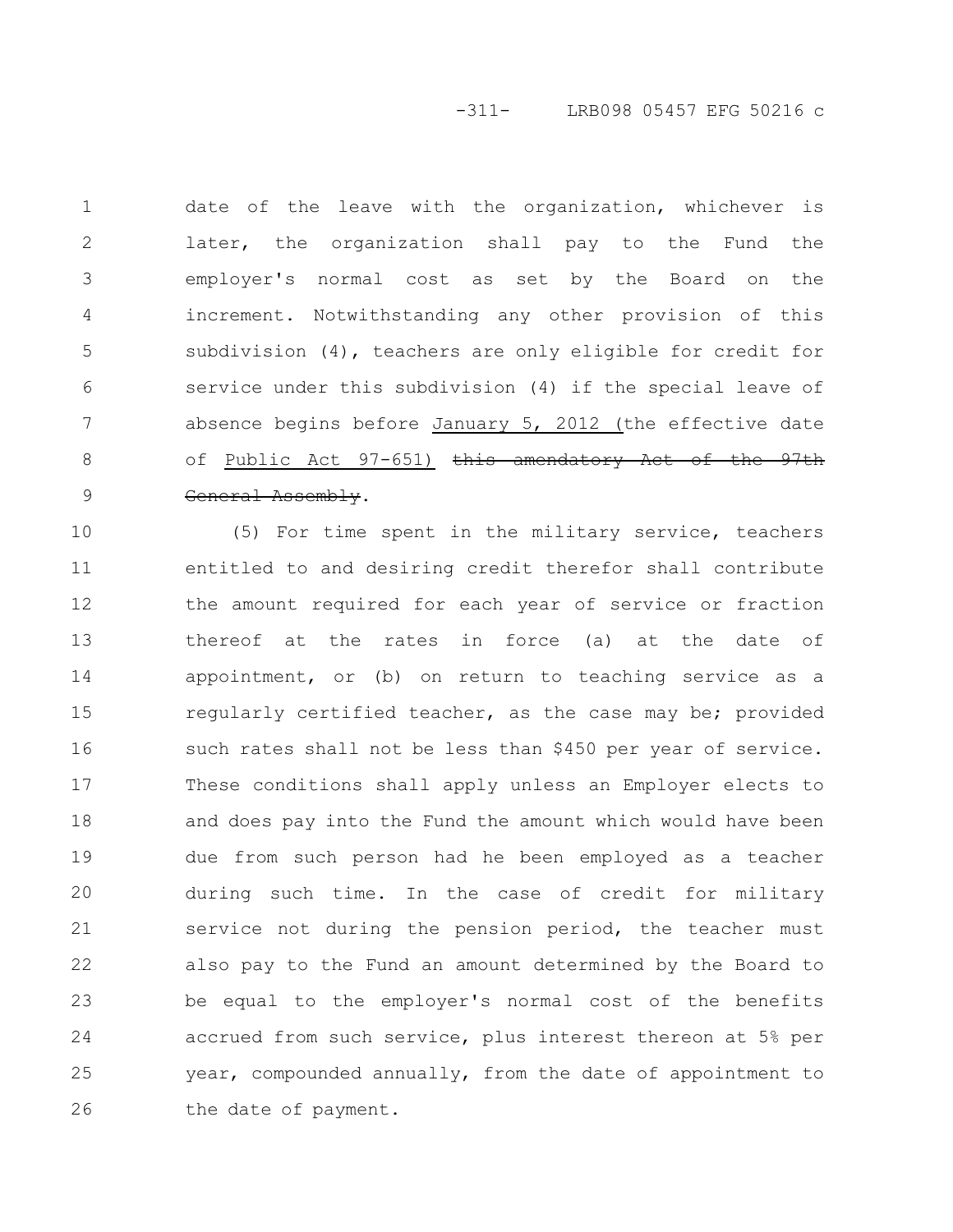-311- LRB098 05457 EFG 50216 c

date of the leave with the organization, whichever is later, the organization shall pay to the Fund the employer's normal cost as set by the Board on the increment. Notwithstanding any other provision of this subdivision (4), teachers are only eligible for credit for service under this subdivision (4) if the special leave of absence begins before January 5, 2012 (the effective date of Public Act 97-651) this amendatory General Assembly. 1 2 3 4 5 6 7 8 9

(5) For time spent in the military service, teachers entitled to and desiring credit therefor shall contribute the amount required for each year of service or fraction thereof at the rates in force (a) at the date of appointment, or (b) on return to teaching service as a regularly certified teacher, as the case may be; provided such rates shall not be less than \$450 per year of service. These conditions shall apply unless an Employer elects to and does pay into the Fund the amount which would have been due from such person had he been employed as a teacher during such time. In the case of credit for military service not during the pension period, the teacher must also pay to the Fund an amount determined by the Board to be equal to the employer's normal cost of the benefits accrued from such service, plus interest thereon at 5% per year, compounded annually, from the date of appointment to the date of payment. 10 11 12 13 14 15 16 17 18 19 20 21 22 23 24 25 26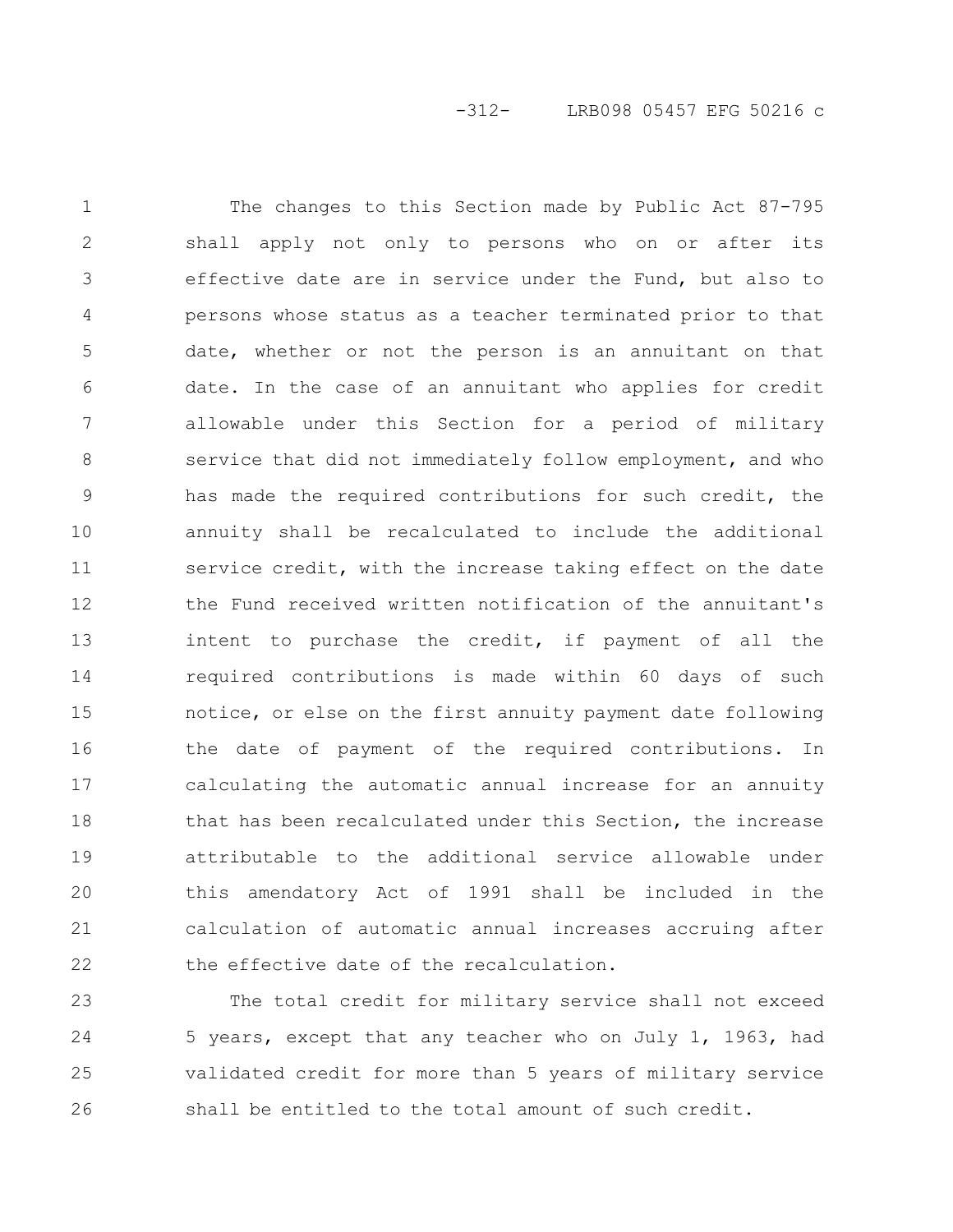The changes to this Section made by Public Act 87-795 shall apply not only to persons who on or after its effective date are in service under the Fund, but also to persons whose status as a teacher terminated prior to that date, whether or not the person is an annuitant on that date. In the case of an annuitant who applies for credit allowable under this Section for a period of military service that did not immediately follow employment, and who has made the required contributions for such credit, the annuity shall be recalculated to include the additional service credit, with the increase taking effect on the date the Fund received written notification of the annuitant's intent to purchase the credit, if payment of all the required contributions is made within 60 days of such notice, or else on the first annuity payment date following the date of payment of the required contributions. In calculating the automatic annual increase for an annuity that has been recalculated under this Section, the increase attributable to the additional service allowable under this amendatory Act of 1991 shall be included in the calculation of automatic annual increases accruing after the effective date of the recalculation. 1 2 3 4 5 6 7 8 9 10 11 12 13 14 15 16 17 18 19 20 21 22

The total credit for military service shall not exceed 5 years, except that any teacher who on July 1, 1963, had validated credit for more than 5 years of military service shall be entitled to the total amount of such credit. 23 24 25 26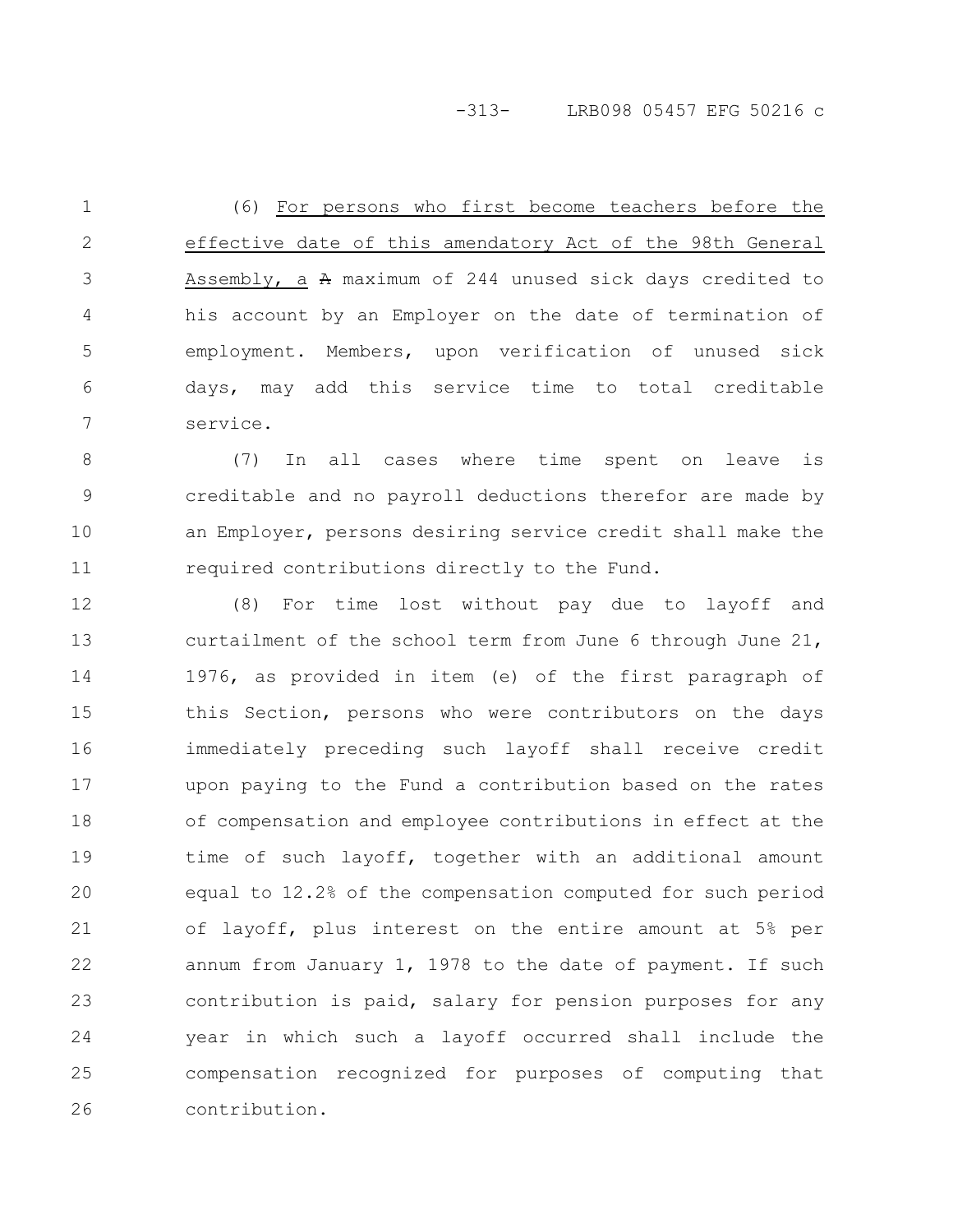-313- LRB098 05457 EFG 50216 c

(6) For persons who first become teachers before the effective date of this amendatory Act of the 98th General Assembly, a A maximum of 244 unused sick days credited to his account by an Employer on the date of termination of employment. Members, upon verification of unused sick days, may add this service time to total creditable service. 1 2 3 4 5 6 7

(7) In all cases where time spent on leave is creditable and no payroll deductions therefor are made by an Employer, persons desiring service credit shall make the required contributions directly to the Fund. 8 9 10 11

(8) For time lost without pay due to layoff and curtailment of the school term from June 6 through June 21, 1976, as provided in item (e) of the first paragraph of this Section, persons who were contributors on the days immediately preceding such layoff shall receive credit upon paying to the Fund a contribution based on the rates of compensation and employee contributions in effect at the time of such layoff, together with an additional amount equal to 12.2% of the compensation computed for such period of layoff, plus interest on the entire amount at 5% per annum from January 1, 1978 to the date of payment. If such contribution is paid, salary for pension purposes for any year in which such a layoff occurred shall include the compensation recognized for purposes of computing that contribution. 12 13 14 15 16 17 18 19 20 21 22 23 24 25 26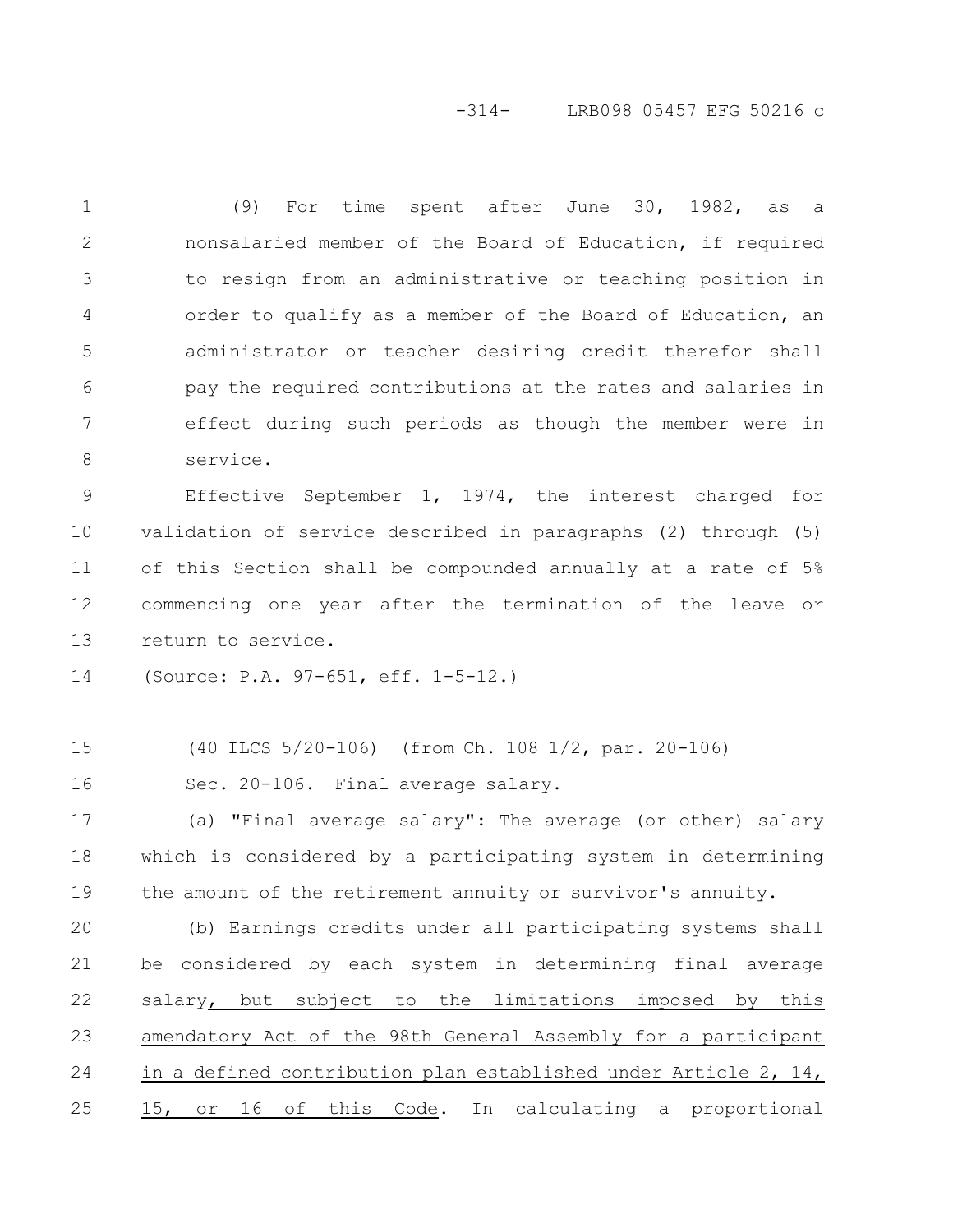#### -314- LRB098 05457 EFG 50216 c

(9) For time spent after June 30, 1982, as a nonsalaried member of the Board of Education, if required to resign from an administrative or teaching position in order to qualify as a member of the Board of Education, an administrator or teacher desiring credit therefor shall pay the required contributions at the rates and salaries in effect during such periods as though the member were in service. 1 2 3 4 5 6 7 8

Effective September 1, 1974, the interest charged for validation of service described in paragraphs (2) through (5) of this Section shall be compounded annually at a rate of 5% commencing one year after the termination of the leave or return to service. 9 10 11 12 13

(Source: P.A. 97-651, eff. 1-5-12.) 14

(40 ILCS 5/20-106) (from Ch. 108 1/2, par. 20-106) 15

Sec. 20-106. Final average salary. 16

(a) "Final average salary": The average (or other) salary which is considered by a participating system in determining the amount of the retirement annuity or survivor's annuity. 17 18 19

(b) Earnings credits under all participating systems shall be considered by each system in determining final average salary, but subject to the limitations imposed by this amendatory Act of the 98th General Assembly for a participant in a defined contribution plan established under Article 2, 14, 15, or 16 of this Code. In calculating a proportional 20 21 22 23 24 25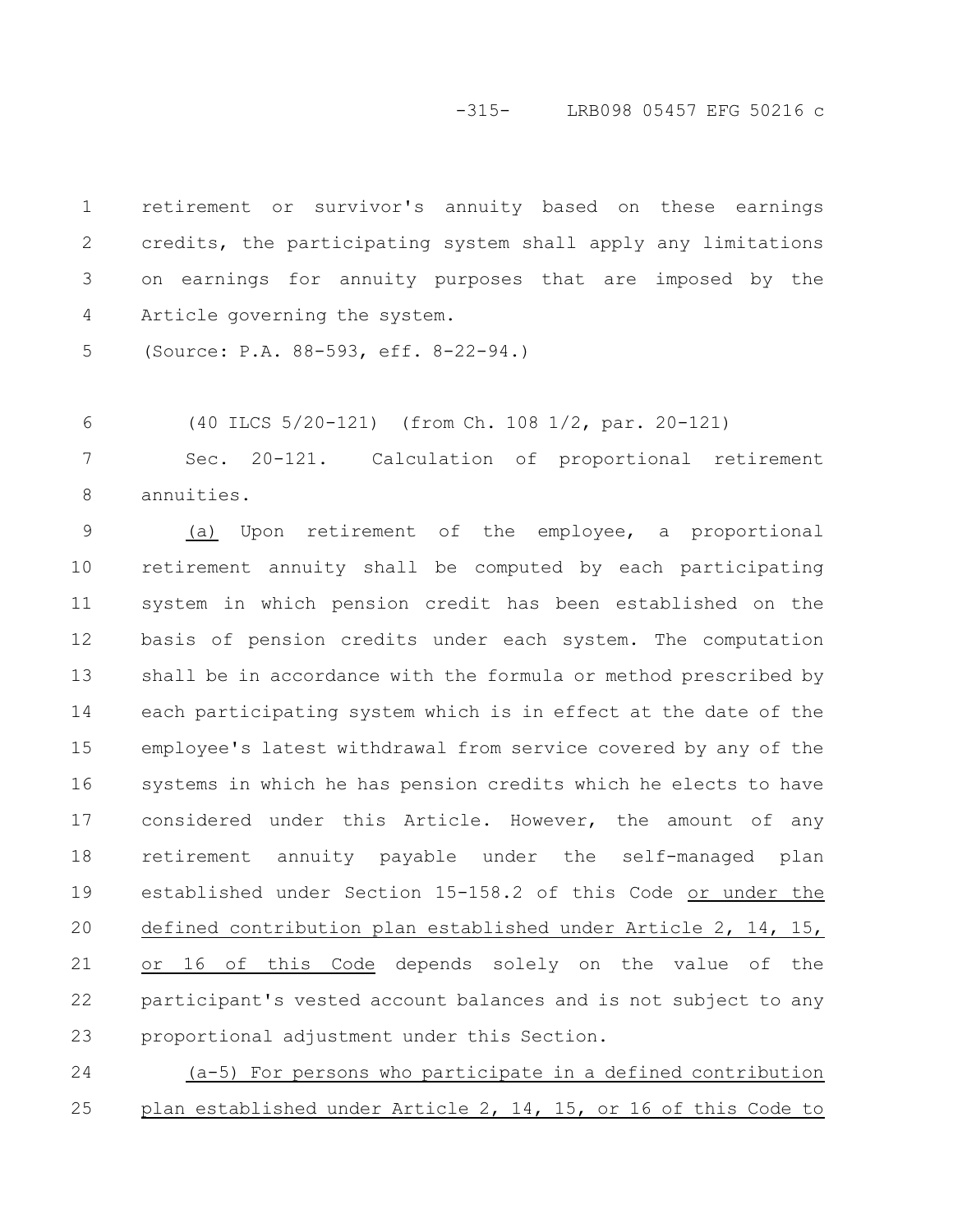#### -315- LRB098 05457 EFG 50216 c

retirement or survivor's annuity based on these earnings credits, the participating system shall apply any limitations on earnings for annuity purposes that are imposed by the Article governing the system. 1 2 3 4

(Source: P.A. 88-593, eff. 8-22-94.) 5

(40 ILCS 5/20-121) (from Ch. 108 1/2, par. 20-121) 6

Sec. 20-121. Calculation of proportional retirement annuities. 7 8

(a) Upon retirement of the employee, a proportional retirement annuity shall be computed by each participating system in which pension credit has been established on the basis of pension credits under each system. The computation shall be in accordance with the formula or method prescribed by each participating system which is in effect at the date of the employee's latest withdrawal from service covered by any of the systems in which he has pension credits which he elects to have considered under this Article. However, the amount of any retirement annuity payable under the self-managed plan established under Section 15-158.2 of this Code or under the defined contribution plan established under Article 2, 14, 15, or 16 of this Code depends solely on the value of the participant's vested account balances and is not subject to any proportional adjustment under this Section. 9 10 11 12 13 14 15 16 17 18 19 20 21 22 23

(a-5) For persons who participate in a defined contribution plan established under Article 2, 14, 15, or 16 of this Code to 24 25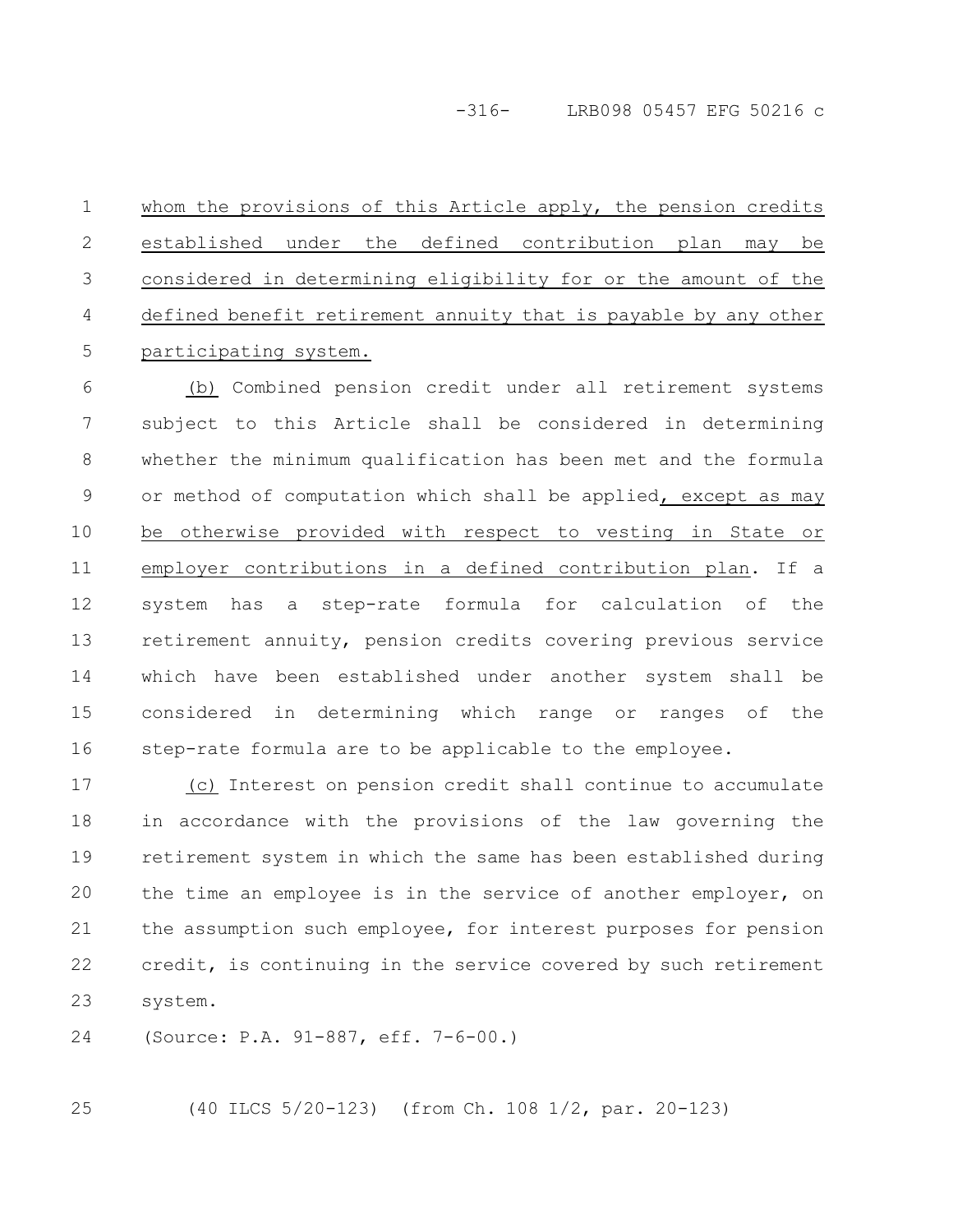whom the provisions of this Article apply, the pension credits established under the defined contribution plan may be considered in determining eligibility for or the amount of the defined benefit retirement annuity that is payable by any other participating system. 1 2 3 4 5

(b) Combined pension credit under all retirement systems subject to this Article shall be considered in determining whether the minimum qualification has been met and the formula or method of computation which shall be applied, except as may be otherwise provided with respect to vesting in State or employer contributions in a defined contribution plan. If a system has a step-rate formula for calculation of the retirement annuity, pension credits covering previous service which have been established under another system shall be considered in determining which range or ranges of the step-rate formula are to be applicable to the employee. 6 7 8 9 10 11 12 13 14 15 16

(c) Interest on pension credit shall continue to accumulate in accordance with the provisions of the law governing the retirement system in which the same has been established during the time an employee is in the service of another employer, on the assumption such employee, for interest purposes for pension credit, is continuing in the service covered by such retirement system. 17 18 19 20 21 22 23

(Source: P.A. 91-887, eff. 7-6-00.) 24

25

(40 ILCS 5/20-123) (from Ch. 108 1/2, par. 20-123)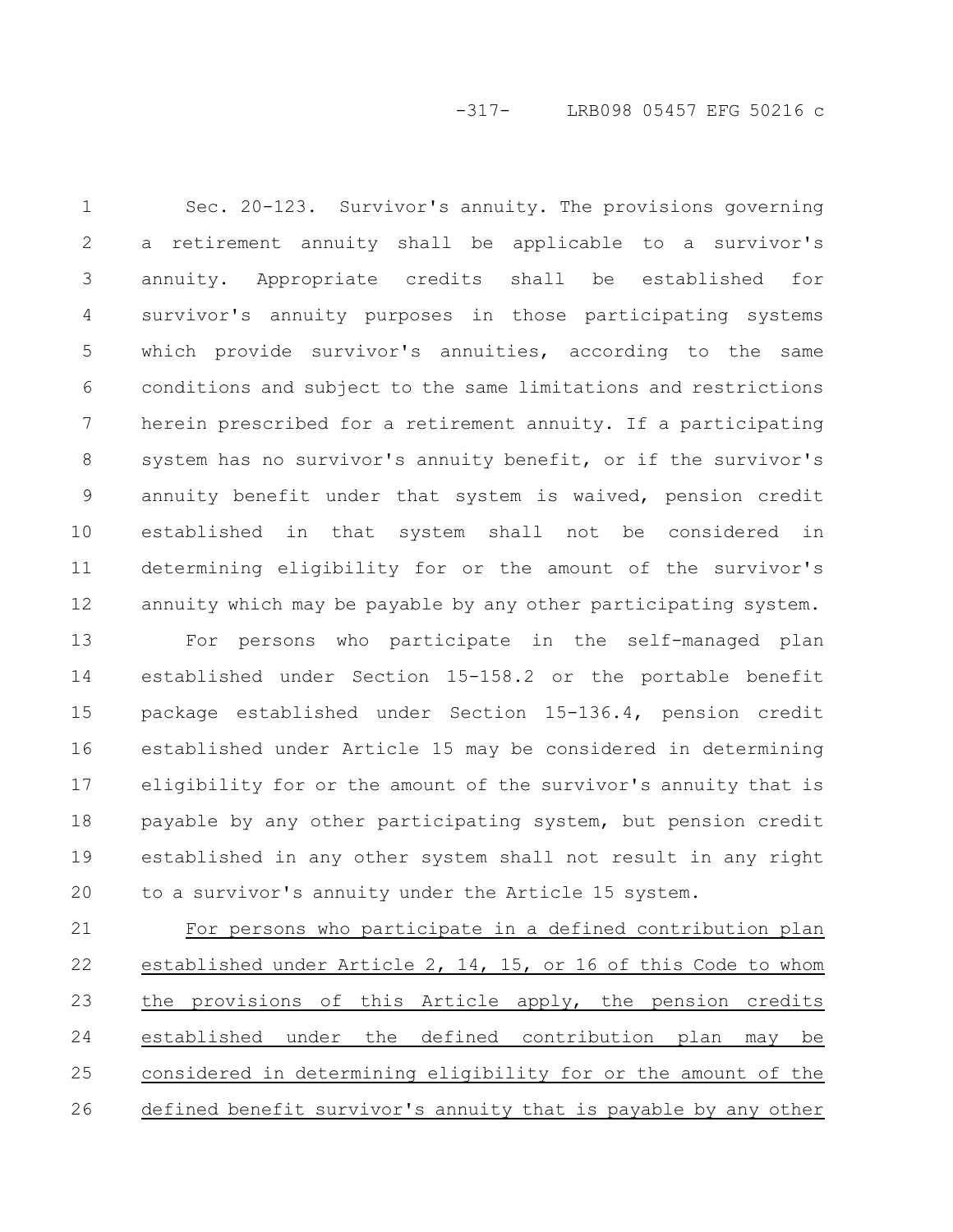# -317- LRB098 05457 EFG 50216 c

Sec. 20-123. Survivor's annuity. The provisions governing a retirement annuity shall be applicable to a survivor's annuity. Appropriate credits shall be established for survivor's annuity purposes in those participating systems which provide survivor's annuities, according to the same conditions and subject to the same limitations and restrictions herein prescribed for a retirement annuity. If a participating system has no survivor's annuity benefit, or if the survivor's annuity benefit under that system is waived, pension credit established in that system shall not be considered in determining eligibility for or the amount of the survivor's annuity which may be payable by any other participating system. 1 2 3 4 5 6 7 8 9 10 11 12

For persons who participate in the self-managed plan established under Section 15-158.2 or the portable benefit package established under Section 15-136.4, pension credit established under Article 15 may be considered in determining eligibility for or the amount of the survivor's annuity that is payable by any other participating system, but pension credit established in any other system shall not result in any right to a survivor's annuity under the Article 15 system. 13 14 15 16 17 18 19 20

For persons who participate in a defined contribution plan established under Article 2, 14, 15, or 16 of this Code to whom the provisions of this Article apply, the pension credits established under the defined contribution plan may be considered in determining eligibility for or the amount of the defined benefit survivor's annuity that is payable by any other 21 22 23 24 25 26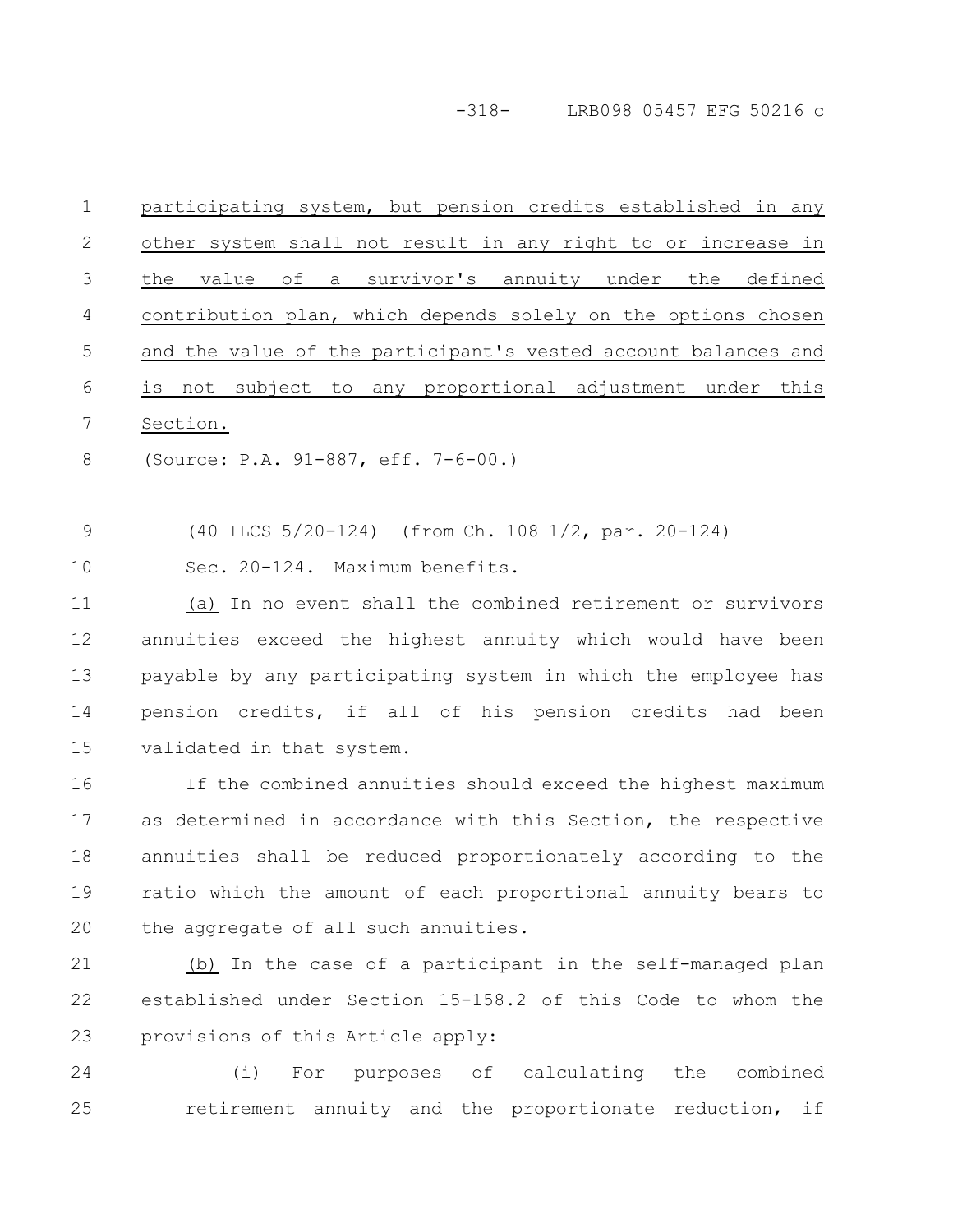-318- LRB098 05457 EFG 50216 c

| $\mathbf 1$    | participating system, but pension credits established in any    |
|----------------|-----------------------------------------------------------------|
| $\mathbf{2}$   | other system shall not result in any right to or increase in    |
| $\mathfrak{Z}$ | value<br>оf<br>a survivor's annuity under the<br>the<br>defined |
| 4              | contribution plan, which depends solely on the options chosen   |
| 5              | and the value of the participant's vested account balances and  |
| 6              | is not subject to any proportional adjustment under this        |
| 7              | Section.                                                        |
| 8              | (Source: P.A. 91-887, eff. 7-6-00.)                             |
|                |                                                                 |
| $\mathcal{G}$  | (40 ILCS 5/20-124) (from Ch. 108 1/2, par. 20-124)              |
| 10             | Sec. 20-124. Maximum benefits.                                  |
| 11             | (a) In no event shall the combined retirement or survivors      |
| 12             | annuities exceed the highest annuity which would have been      |
| 13             | payable by any participating system in which the employee has   |
| 14             | pension credits, if all of his pension credits had been         |
| 15             | validated in that system.                                       |
| 16             | If the combined annuities should exceed the highest maximum     |
| 17             | as determined in accordance with this Section, the respective   |
| 18             | annuities shall be reduced proportionately according to the     |
| 19             | ratio which the amount of each proportional annuity bears to    |
| 20             | the aggregate of all such annuities.                            |
| 21             | (b) In the case of a participant in the self-managed plan       |
| 22             | established under Section 15-158.2 of this Code to whom the     |
| 23             | provisions of this Article apply:                               |
| 24             | For purposes of calculating the combined<br>(i)                 |
| 25             | retirement annuity and the proportionate reduction, if          |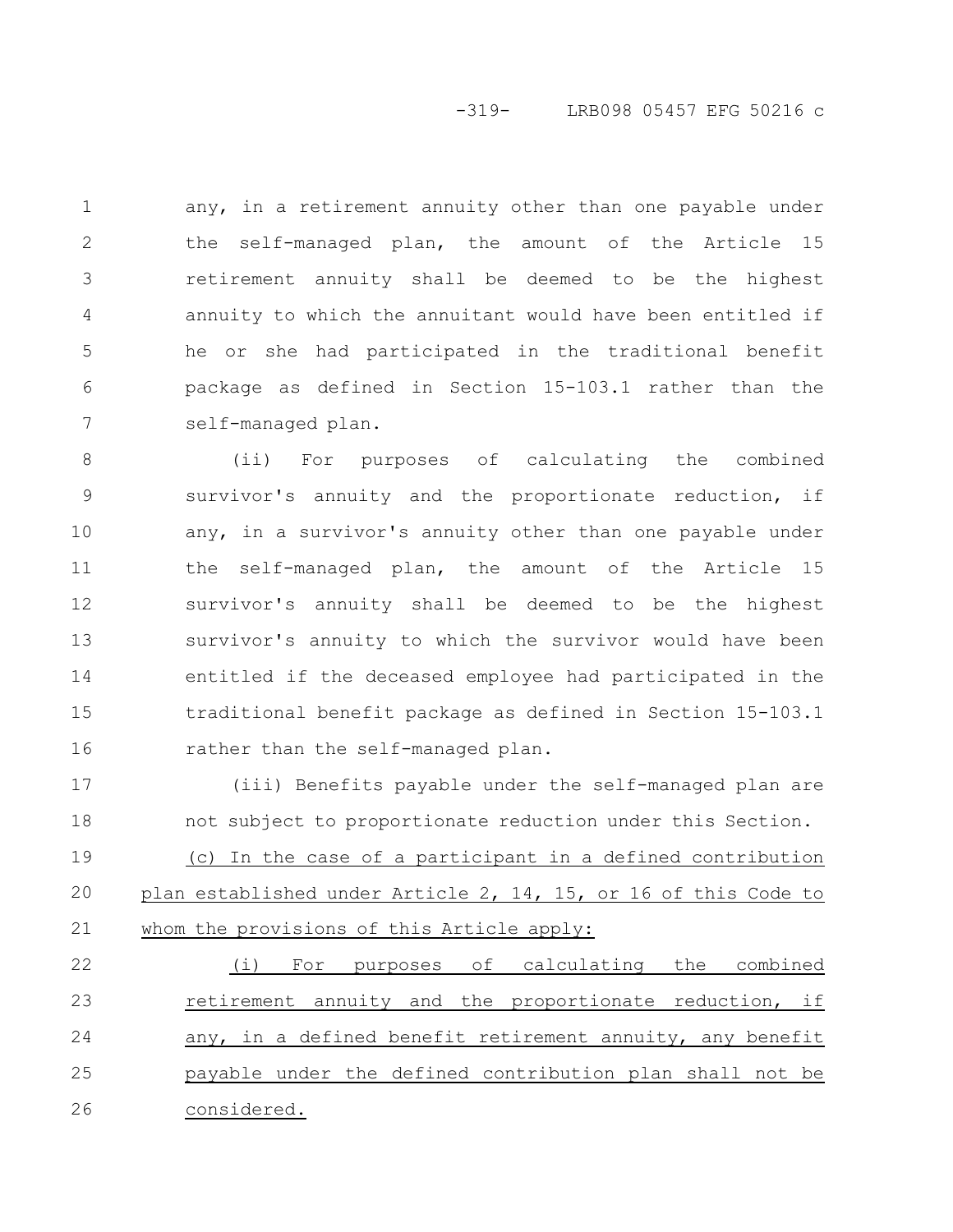# -319- LRB098 05457 EFG 50216 c

any, in a retirement annuity other than one payable under the self-managed plan, the amount of the Article 15 retirement annuity shall be deemed to be the highest annuity to which the annuitant would have been entitled if he or she had participated in the traditional benefit package as defined in Section 15-103.1 rather than the self-managed plan. 1 2 3 4 5 6 7

(ii) For purposes of calculating the combined survivor's annuity and the proportionate reduction, if any, in a survivor's annuity other than one payable under the self-managed plan, the amount of the Article 15 survivor's annuity shall be deemed to be the highest survivor's annuity to which the survivor would have been entitled if the deceased employee had participated in the traditional benefit package as defined in Section 15-103.1 rather than the self-managed plan. 8 9 10 11 12 13 14 15 16

(iii) Benefits payable under the self-managed plan are not subject to proportionate reduction under this Section. (c) In the case of a participant in a defined contribution plan established under Article 2, 14, 15, or 16 of this Code to whom the provisions of this Article apply: 17 18 19 20 21

(i) For purposes of calculating the combined retirement annuity and the proportionate reduction, if any, in a defined benefit retirement annuity, any benefit payable under the defined contribution plan shall not be considered. 22 23 24 25 26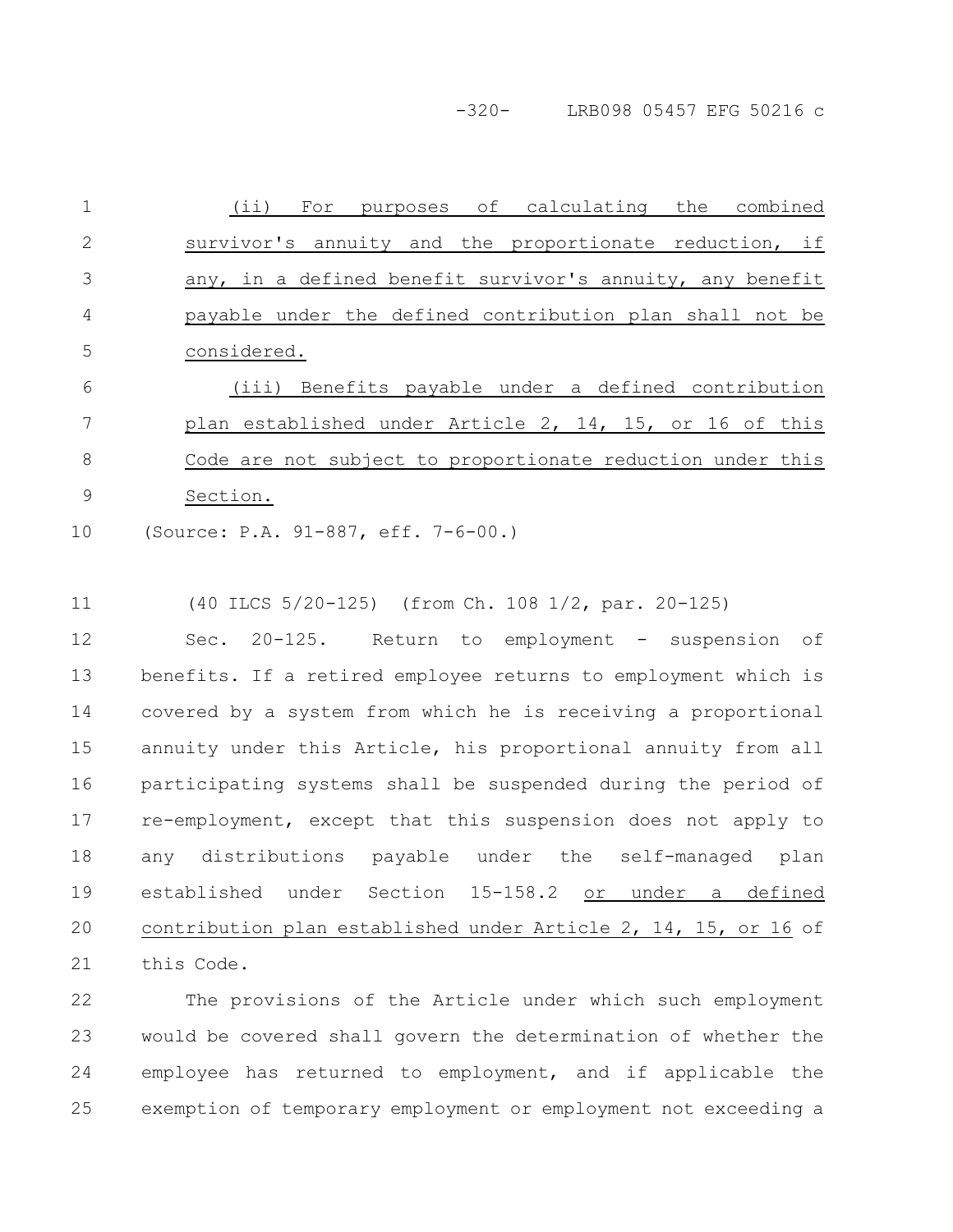-320- LRB098 05457 EFG 50216 c

(ii) For purposes of calculating the combined survivor's annuity and the proportionate reduction, if any, in a defined benefit survivor's annuity, any benefit payable under the defined contribution plan shall not be considered. 1 2 3 4 5

(iii) Benefits payable under a defined contribution plan established under Article 2, 14, 15, or 16 of this Code are not subject to proportionate reduction under this Section. 6 7 8 9

(Source: P.A. 91-887, eff. 7-6-00.) 10

(40 ILCS 5/20-125) (from Ch. 108 1/2, par. 20-125) 11

Sec. 20-125. Return to employment - suspension of benefits. If a retired employee returns to employment which is covered by a system from which he is receiving a proportional annuity under this Article, his proportional annuity from all participating systems shall be suspended during the period of re-employment, except that this suspension does not apply to any distributions payable under the self-managed plan established under Section 15-158.2 or under a defined contribution plan established under Article 2, 14, 15, or 16 of this Code. 12 13 14 15 16 17 18 19 20 21

The provisions of the Article under which such employment would be covered shall govern the determination of whether the employee has returned to employment, and if applicable the exemption of temporary employment or employment not exceeding a 22 23 24 25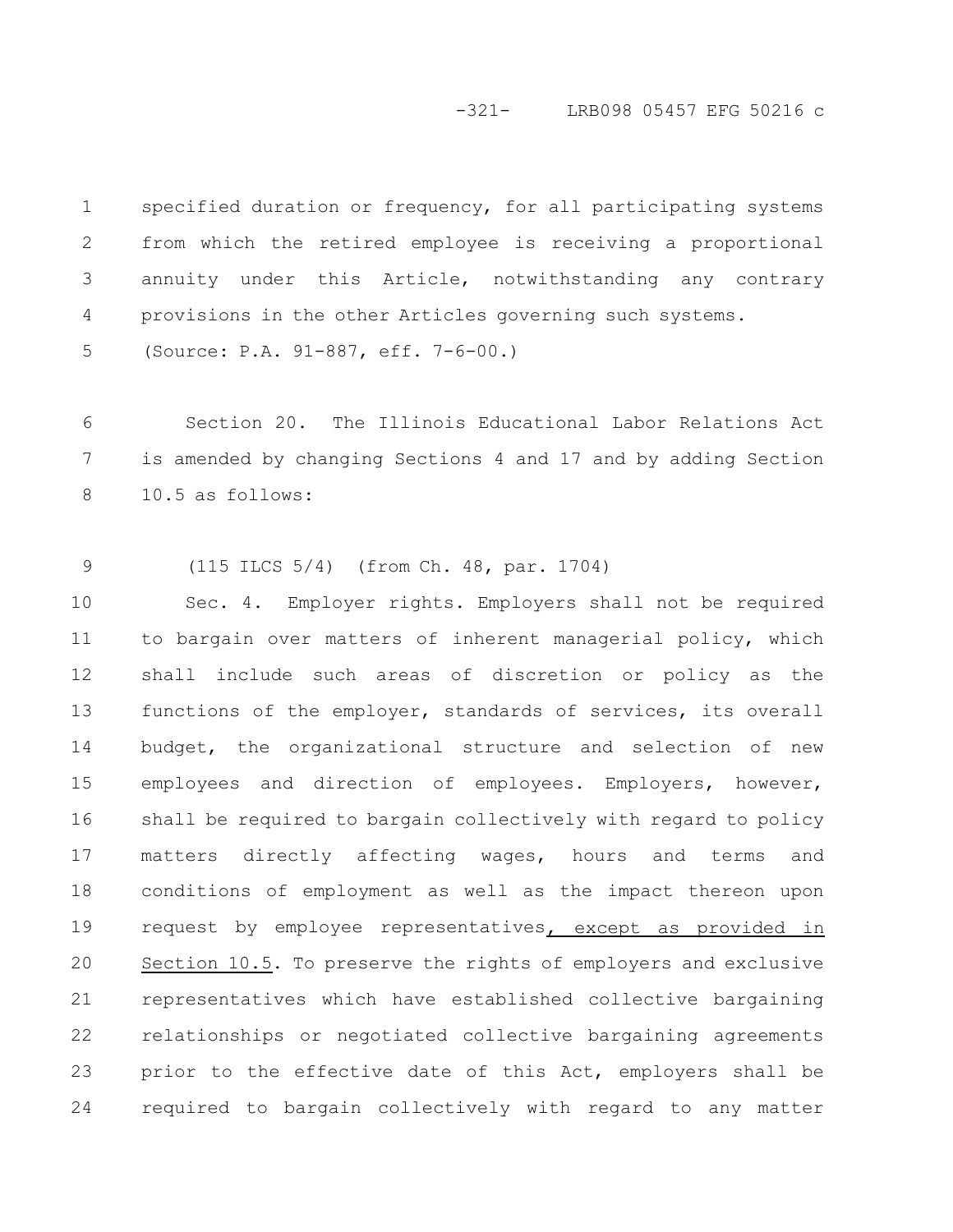#### -321- LRB098 05457 EFG 50216 c

specified duration or frequency, for all participating systems from which the retired employee is receiving a proportional annuity under this Article, notwithstanding any contrary provisions in the other Articles governing such systems. 1 2 3 4

(Source: P.A. 91-887, eff. 7-6-00.) 5

Section 20. The Illinois Educational Labor Relations Act is amended by changing Sections 4 and 17 and by adding Section 10.5 as follows: 6 7 8

(115 ILCS 5/4) (from Ch. 48, par. 1704) 9

Sec. 4. Employer rights. Employers shall not be required to bargain over matters of inherent managerial policy, which shall include such areas of discretion or policy as the functions of the employer, standards of services, its overall budget, the organizational structure and selection of new employees and direction of employees. Employers, however, shall be required to bargain collectively with regard to policy matters directly affecting wages, hours and terms and conditions of employment as well as the impact thereon upon request by employee representatives, except as provided in Section 10.5. To preserve the rights of employers and exclusive representatives which have established collective bargaining relationships or negotiated collective bargaining agreements prior to the effective date of this Act, employers shall be required to bargain collectively with regard to any matter 10 11 12 13 14 15 16 17 18 19 20 21 22 23 24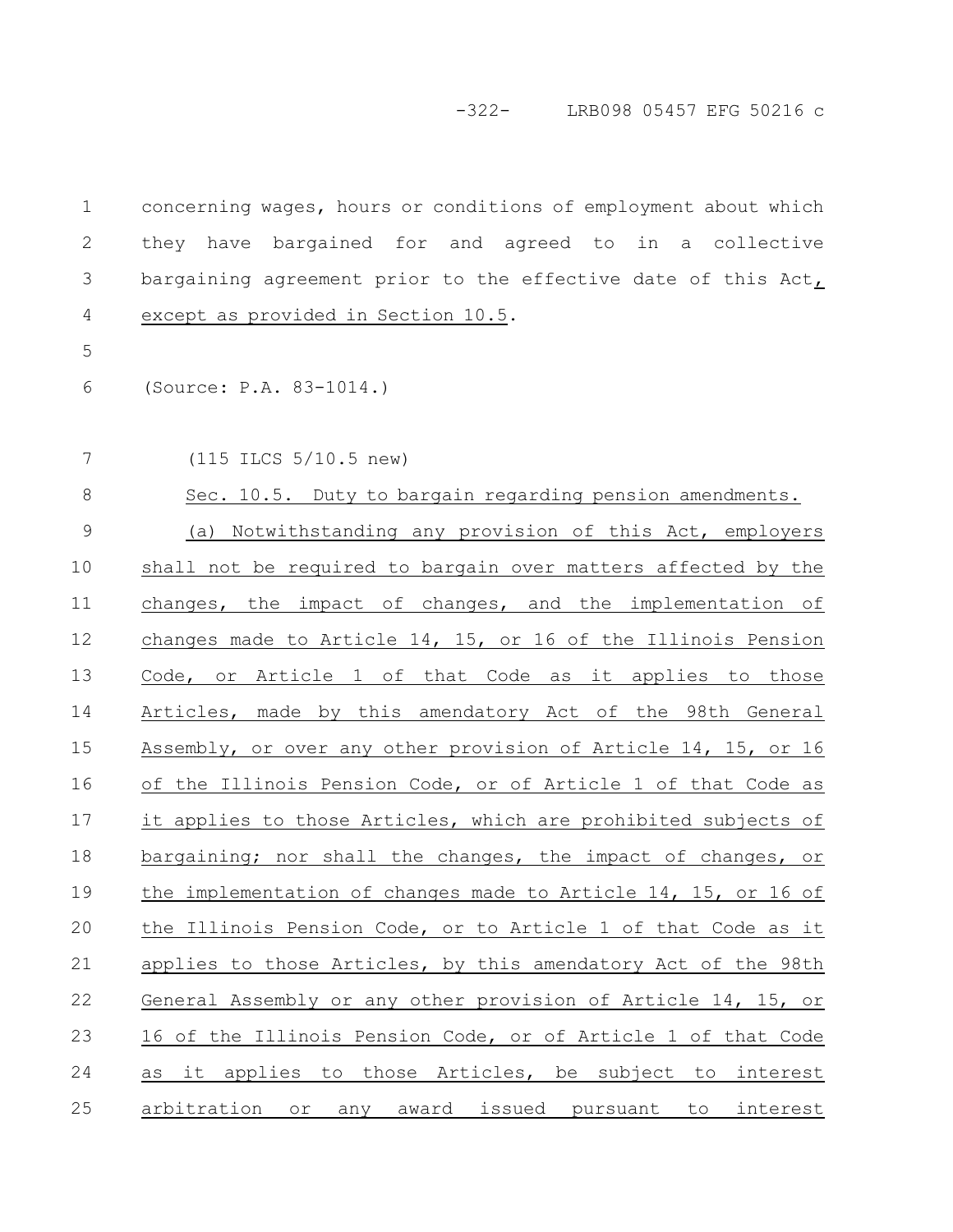| $\mathbf 1$   | concerning wages, hours or conditions of employment about which |
|---------------|-----------------------------------------------------------------|
| $\mathbf{2}$  | they have bargained for and agreed to in a collective           |
| 3             | bargaining agreement prior to the effective date of this Act,   |
| 4             | except as provided in Section 10.5.                             |
| 5             |                                                                 |
| 6             | (Source: P.A. 83-1014.)                                         |
| 7             | $(115$ ILCS $5/10.5$ new)                                       |
| $\,8\,$       | Sec. 10.5. Duty to bargain regarding pension amendments.        |
| $\mathcal{G}$ | (a) Notwithstanding any provision of this Act, employers        |
| 10            | shall not be required to bargain over matters affected by the   |
| 11            | changes, the impact of changes, and the implementation of       |
| 12            | changes made to Article 14, 15, or 16 of the Illinois Pension   |
| 13            | Code, or Article 1 of that Code as it applies to those          |
| 14            | Articles, made by this amendatory Act of the 98th General       |
| 15            | Assembly, or over any other provision of Article 14, 15, or 16  |
| 16            | of the Illinois Pension Code, or of Article 1 of that Code as   |
| 17            | it applies to those Articles, which are prohibited subjects of  |
| 18            | bargaining; nor shall the changes, the impact of changes, or    |
| 19            | the implementation of changes made to Article 14, 15, or 16 of  |
| 20            | the Illinois Pension Code, or to Article 1 of that Code as it   |
| 21            | applies to those Articles, by this amendatory Act of the 98th   |
| 22            | General Assembly or any other provision of Article 14, 15, or   |
| 23            | 16 of the Illinois Pension Code, or of Article 1 of that Code   |
| 24            | it applies to those Articles, be subject to interest<br>as      |
| 25            | or any award issued pursuant to<br>arbitration<br>interest      |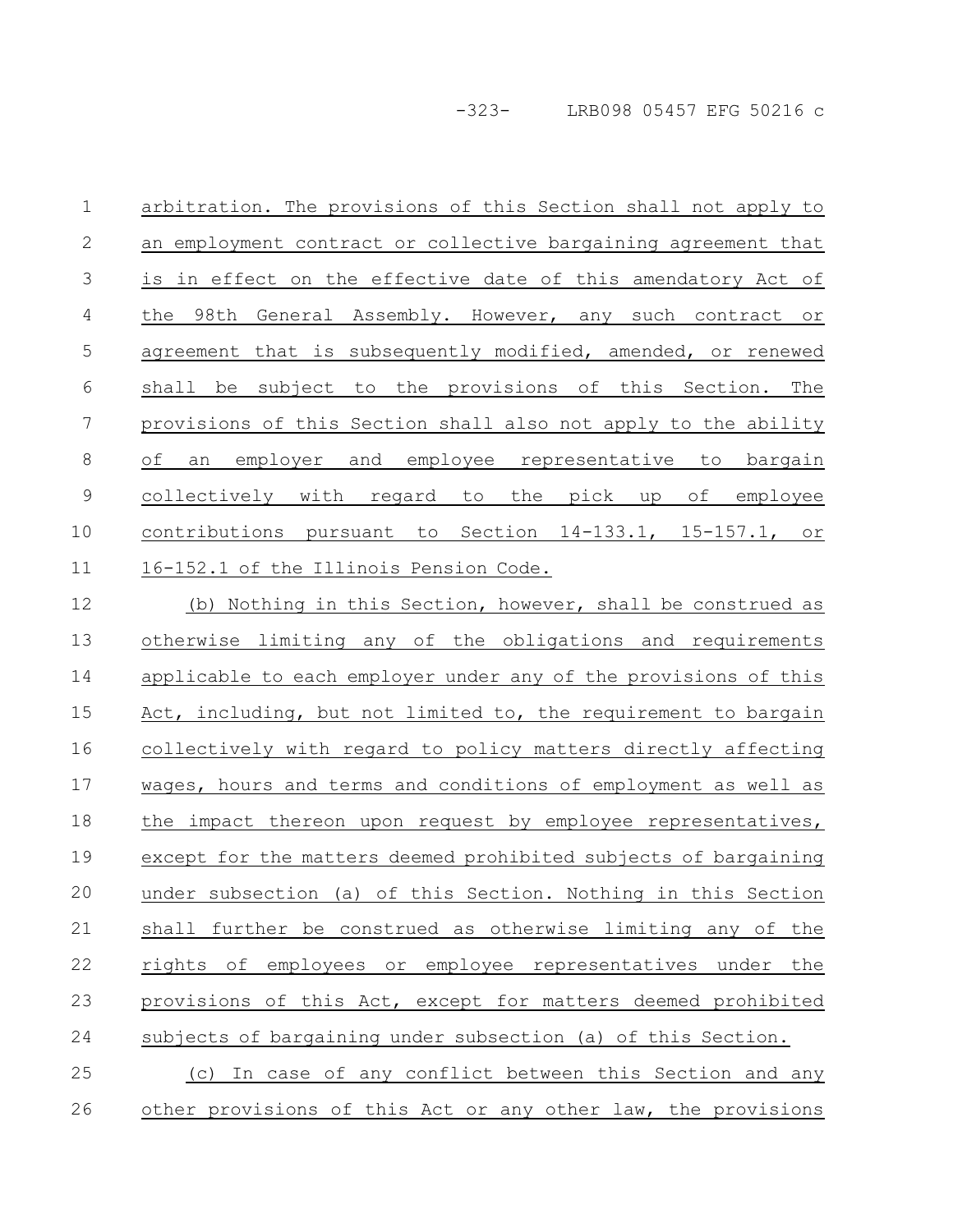-323- LRB098 05457 EFG 50216 c

arbitration. The provisions of this Section shall not apply to an employment contract or collective bargaining agreement that is in effect on the effective date of this amendatory Act of the 98th General Assembly. However, any such contract or agreement that is subsequently modified, amended, or renewed shall be subject to the provisions of this Section. The provisions of this Section shall also not apply to the ability of an employer and employee representative to bargain collectively with regard to the pick up of employee contributions pursuant to Section 14-133.1, 15-157.1, or 16-152.1 of the Illinois Pension Code. 1 2 3 4 5 6 7 8 9 10 11

(b) Nothing in this Section, however, shall be construed as otherwise limiting any of the obligations and requirements applicable to each employer under any of the provisions of this Act, including, but not limited to, the requirement to bargain collectively with regard to policy matters directly affecting wages, hours and terms and conditions of employment as well as the impact thereon upon request by employee representatives, except for the matters deemed prohibited subjects of bargaining under subsection (a) of this Section. Nothing in this Section shall further be construed as otherwise limiting any of the rights of employees or employee representatives under the provisions of this Act, except for matters deemed prohibited subjects of bargaining under subsection (a) of this Section. (c) In case of any conflict between this Section and any 12 13 14 15 16 17 18 19 20 21 22 23 24 25

other provisions of this Act or any other law, the provisions 26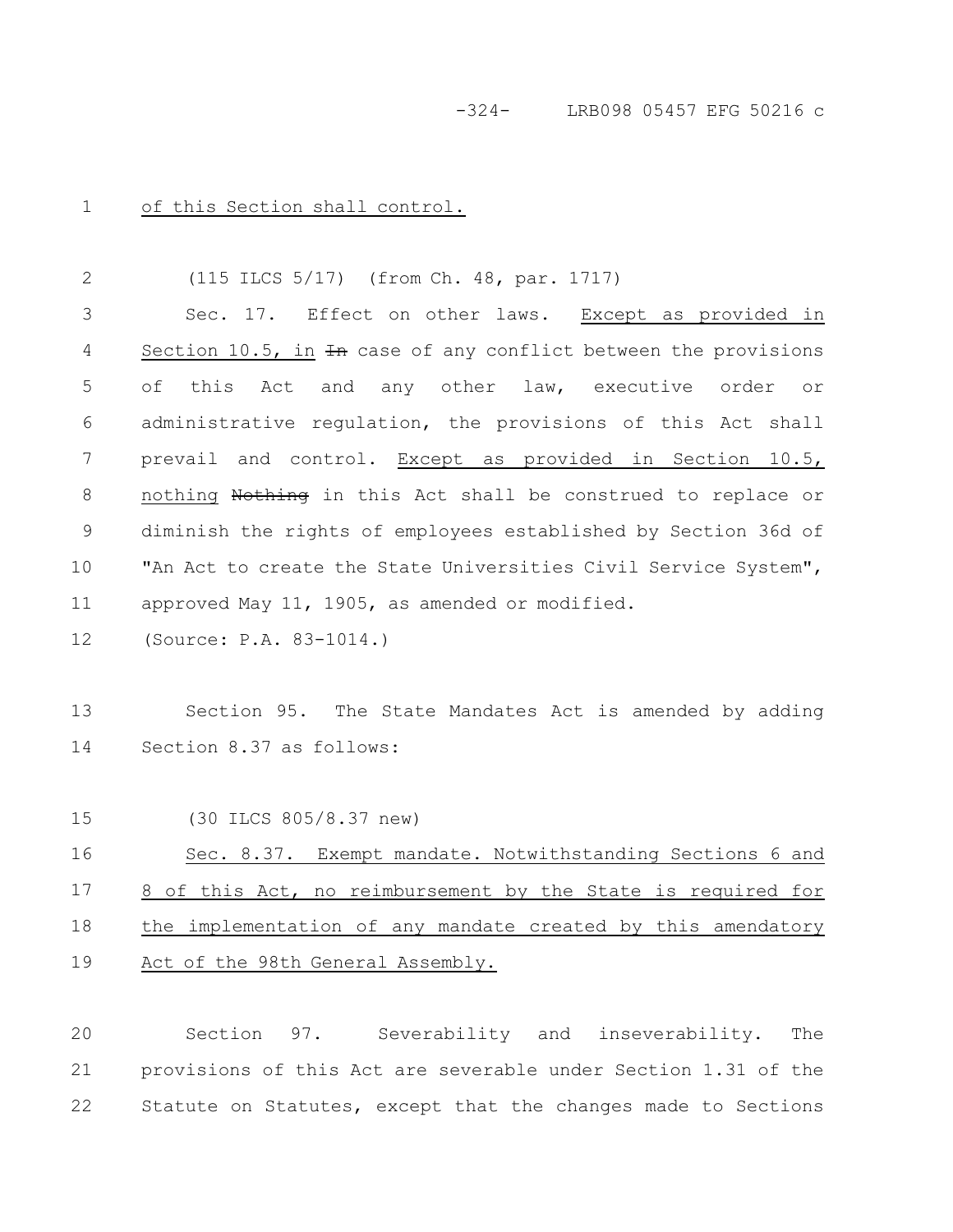-324- LRB098 05457 EFG 50216 c

of this Section shall control. 1

(115 ILCS 5/17) (from Ch. 48, par. 1717) Sec. 17. Effect on other laws. Except as provided in Section 10.5, in  $\overline{4n}$  case of any conflict between the provisions of this Act and any other law, executive order or administrative regulation, the provisions of this Act shall prevail and control. Except as provided in Section 10.5, nothing Nothing in this Act shall be construed to replace or diminish the rights of employees established by Section 36d of "An Act to create the State Universities Civil Service System", approved May 11, 1905, as amended or modified. 2 3 4 5 6 7 8 9 10 11

(Source: P.A. 83-1014.) 12

Section 95. The State Mandates Act is amended by adding Section 8.37 as follows: 13 14

(30 ILCS 805/8.37 new) 15

Sec. 8.37. Exempt mandate. Notwithstanding Sections 6 and 8 of this Act, no reimbursement by the State is required for the implementation of any mandate created by this amendatory Act of the 98th General Assembly. 16 17 18 19

Section 97. Severability and inseverability. The provisions of this Act are severable under Section 1.31 of the Statute on Statutes, except that the changes made to Sections 20 21 22